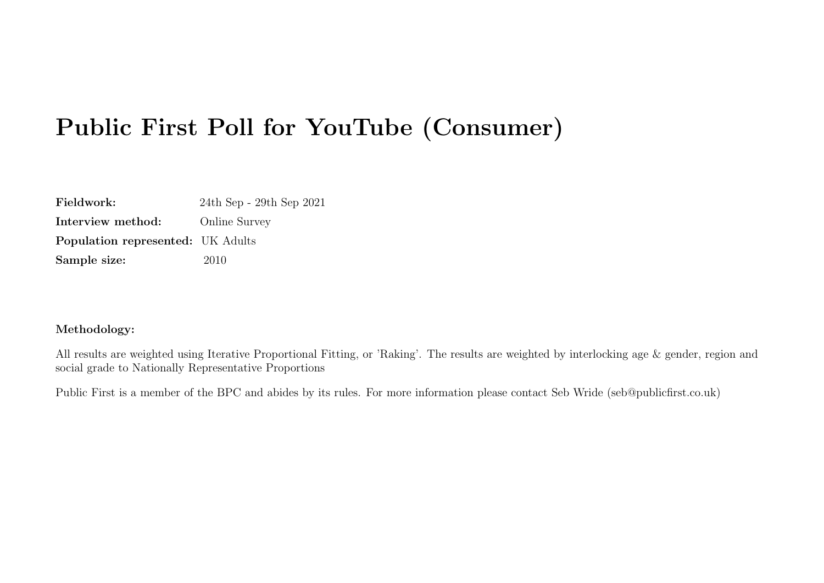# Public First Poll for YouTube (Consumer)

Fieldwork: 24th Sep - 29th Sep 2021 Interview method: Online Survey Population represented: UK Adults Sample size: 2010

#### Methodology:

All results are weighted using Iterative Proportional Fitting, or 'Raking'. The results are weighted by interlocking age & gender, region and social grade to Nationally Representative Proportions

Public First is a member of the BPC and abides by its rules. For more information please contact Seb Wride (seb@publicfirst.co.uk)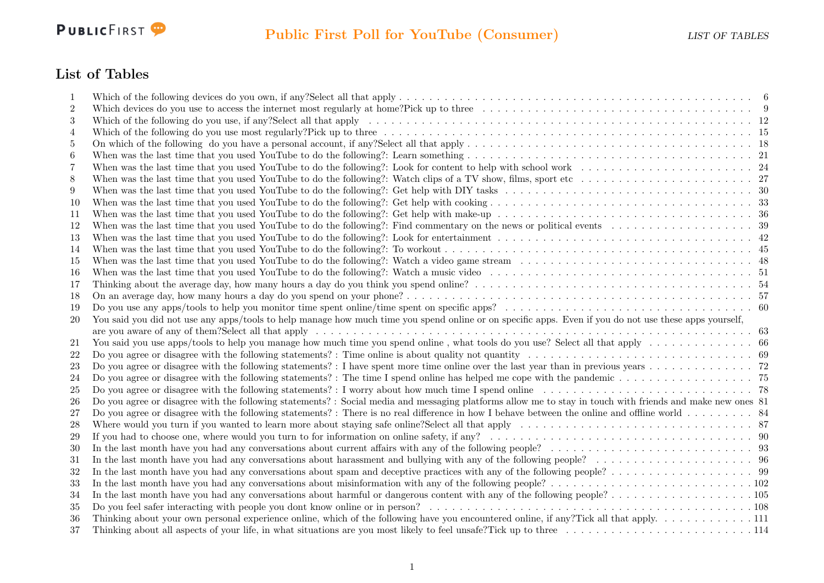

### List of Tables

| 1              |                                                                                                                                                                                          |  |
|----------------|------------------------------------------------------------------------------------------------------------------------------------------------------------------------------------------|--|
| $\overline{2}$ | Which devices do you use to access the internet most regularly at home?Pick up to three $\ldots \ldots \ldots \ldots \ldots \ldots \ldots \ldots \ldots \ldots \ldots \ldots$            |  |
| 3              |                                                                                                                                                                                          |  |
| 4              |                                                                                                                                                                                          |  |
| 5              | On which of the following do you have a personal account, if any?Select all that apply $\dots \dots \dots \dots \dots \dots \dots \dots \dots \dots \dots \dots \dots \dots \dots \dots$ |  |
| 6              |                                                                                                                                                                                          |  |
| 7              |                                                                                                                                                                                          |  |
| 8              |                                                                                                                                                                                          |  |
| 9              |                                                                                                                                                                                          |  |
| 10             |                                                                                                                                                                                          |  |
| 11             |                                                                                                                                                                                          |  |
| 12             |                                                                                                                                                                                          |  |
| 13             |                                                                                                                                                                                          |  |
| 14             |                                                                                                                                                                                          |  |
| 15             |                                                                                                                                                                                          |  |
| 16             |                                                                                                                                                                                          |  |
| 17             |                                                                                                                                                                                          |  |
| 18             |                                                                                                                                                                                          |  |
| 19             |                                                                                                                                                                                          |  |
| <b>20</b>      | You said you did not use any apps/tools to help manage how much time you spend online or on specific apps. Even if you do not use these apps yourself,                                   |  |
|                |                                                                                                                                                                                          |  |
| 21             | You said you use apps/tools to help you manage how much time you spend online, what tools do you use? Select all that apply $\dots \dots \dots \dots$                                    |  |
| 22             |                                                                                                                                                                                          |  |
| 23             |                                                                                                                                                                                          |  |
| 24             |                                                                                                                                                                                          |  |
| 25             |                                                                                                                                                                                          |  |
| 26             | Do you agree or disagree with the following statements? : Social media and messaging platforms allow me to stay in touch with friends and make new ones 81                               |  |
| 27             |                                                                                                                                                                                          |  |
| 28             | Where would you turn if you wanted to learn more about staying safe online?Select all that apply $\ldots \ldots \ldots \ldots \ldots \ldots \ldots \ldots \ldots \ldots \ldots$          |  |
| 29             |                                                                                                                                                                                          |  |
| 30             |                                                                                                                                                                                          |  |
| 31             |                                                                                                                                                                                          |  |
| 32             |                                                                                                                                                                                          |  |
| 33             |                                                                                                                                                                                          |  |
| 34             |                                                                                                                                                                                          |  |
| 35             |                                                                                                                                                                                          |  |
| 36             | Thinking about your own personal experience online, which of the following have you encountered online, if any?Tick all that apply. 111                                                  |  |
| 37             |                                                                                                                                                                                          |  |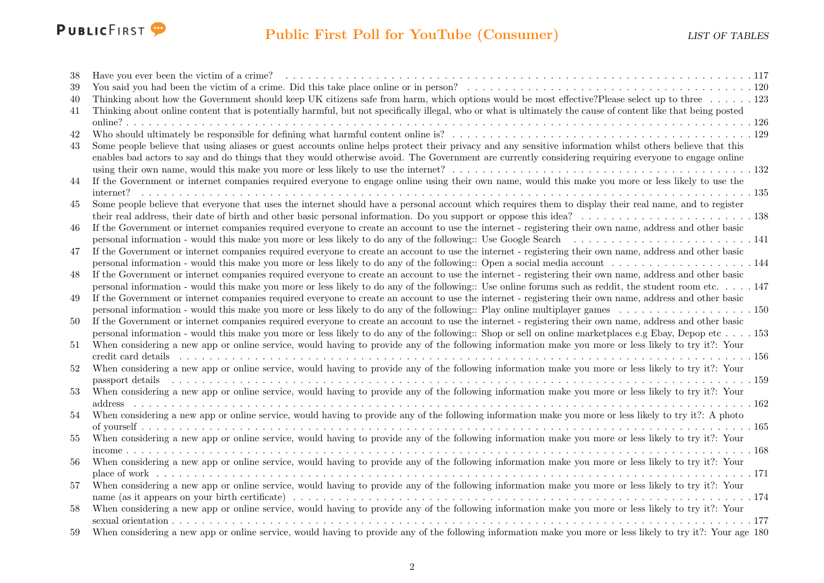

## Public First Poll for YouTube (Consumer) LIST OF TABLES

| 38 |                                                                                                                                                                                                                               |  |
|----|-------------------------------------------------------------------------------------------------------------------------------------------------------------------------------------------------------------------------------|--|
| 39 |                                                                                                                                                                                                                               |  |
| 40 | Thinking about how the Government should keep UK citizens safe from harm, which options would be most effective?Please select up to three 123                                                                                 |  |
| 41 | Thinking about online content that is potentially harmful, but not specifically illegal, who or what is ultimately the cause of content like that being posted                                                                |  |
|    |                                                                                                                                                                                                                               |  |
| 42 |                                                                                                                                                                                                                               |  |
| 43 | Some people believe that using aliases or guest accounts online helps protect their privacy and any sensitive information whilst others believe that this                                                                     |  |
|    | enables bad actors to say and do things that they would otherwise avoid. The Government are currently considering requiring everyone to engage online                                                                         |  |
|    |                                                                                                                                                                                                                               |  |
| 44 | If the Government or internet companies required everyone to engage online using their own name, would this make you more or less likely to use the                                                                           |  |
|    |                                                                                                                                                                                                                               |  |
| 45 | Some people believe that everyone that uses the internet should have a personal account which requires them to display their real name, and to register                                                                       |  |
|    |                                                                                                                                                                                                                               |  |
| 46 | If the Government or internet companies required everyone to create an account to use the internet - registering their own name, address and other basic                                                                      |  |
|    |                                                                                                                                                                                                                               |  |
| 47 | If the Government or internet companies required everyone to create an account to use the internet - registering their own name, address and other basic                                                                      |  |
|    |                                                                                                                                                                                                                               |  |
| 48 | If the Government or internet companies required everyone to create an account to use the internet - registering their own name, address and other basic                                                                      |  |
|    | personal information - would this make you more or less likely to do any of the following:: Use online forums such as reddit, the student room etc. 147                                                                       |  |
| 49 | If the Government or internet companies required everyone to create an account to use the internet - registering their own name, address and other basic                                                                      |  |
|    |                                                                                                                                                                                                                               |  |
| 50 | If the Government or internet companies required everyone to create an account to use the internet - registering their own name, address and other basic                                                                      |  |
|    | personal information - would this make you more or less likely to do any of the following:: Shop or sell on online marketplaces e.g Ebay, Depop etc 153                                                                       |  |
| 51 | When considering a new app or online service, would having to provide any of the following information make you more or less likely to try it?: Your                                                                          |  |
|    |                                                                                                                                                                                                                               |  |
| 52 | When considering a new app or online service, would having to provide any of the following information make you more or less likely to try it?: Your                                                                          |  |
|    | passport details respectively conserved to the contract conserved to the conserved to the conserved to the conserved to the conserved to the conserved to the conserved to the conserved to the conserved to the conserved to |  |
| 53 | When considering a new app or online service, would having to provide any of the following information make you more or less likely to try it?: Your                                                                          |  |
|    | address $\ldots$ $\ldots$ $\ldots$ $\ldots$ $\ldots$                                                                                                                                                                          |  |
| 54 | When considering a new app or online service, would having to provide any of the following information make you more or less likely to try it?: A photo                                                                       |  |
|    |                                                                                                                                                                                                                               |  |
| 55 | When considering a new app or online service, would having to provide any of the following information make you more or less likely to try it?: Your                                                                          |  |
| 56 | income $\ldots \ldots \ldots \ldots \ldots \ldots \ldots$<br>When considering a new app or online service, would having to provide any of the following information make you more or less likely to try it?: Your             |  |
|    |                                                                                                                                                                                                                               |  |
| 57 | When considering a new app or online service, would having to provide any of the following information make you more or less likely to try it?: Your                                                                          |  |
|    |                                                                                                                                                                                                                               |  |
| 58 | When considering a new app or online service, would having to provide any of the following information make you more or less likely to try it?: Your                                                                          |  |
|    |                                                                                                                                                                                                                               |  |
| 59 | When considering a new app or online service, would having to provide any of the following information make you more or less likely to try it?: Your age 180                                                                  |  |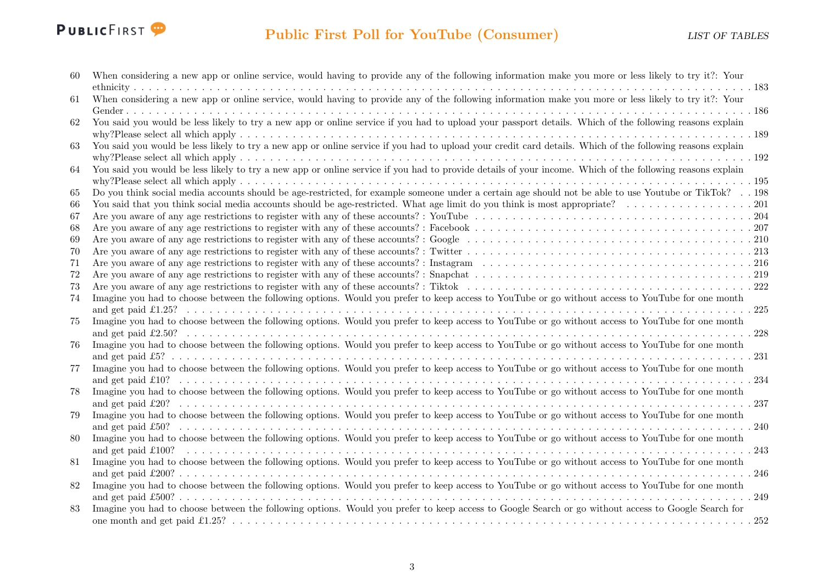

| 60 | When considering a new app or online service, would having to provide any of the following information make you more or less likely to try it?: Your       |
|----|------------------------------------------------------------------------------------------------------------------------------------------------------------|
|    |                                                                                                                                                            |
| 61 | When considering a new app or online service, would having to provide any of the following information make you more or less likely to try it?: Your       |
|    |                                                                                                                                                            |
| 62 | You said you would be less likely to try a new app or online service if you had to upload your passport details. Which of the following reasons explain    |
|    |                                                                                                                                                            |
| 63 | You said you would be less likely to try a new app or online service if you had to upload your credit card details. Which of the following reasons explain |
|    |                                                                                                                                                            |
| 64 | You said you would be less likely to try a new app or online service if you had to provide details of your income. Which of the following reasons explain  |
|    |                                                                                                                                                            |
| 65 | Do you think social media accounts should be age-restricted, for example someone under a certain age should not be able to use Youtube or TikTok? 198      |
| 66 |                                                                                                                                                            |
| 67 |                                                                                                                                                            |
| 68 |                                                                                                                                                            |
| 69 |                                                                                                                                                            |
| 70 |                                                                                                                                                            |
| 71 |                                                                                                                                                            |
| 72 |                                                                                                                                                            |
| 73 |                                                                                                                                                            |
| 74 | Imagine you had to choose between the following options. Would you prefer to keep access to YouTube or go without access to YouTube for one month          |
|    |                                                                                                                                                            |
| 75 | Imagine you had to choose between the following options. Would you prefer to keep access to YouTube or go without access to YouTube for one month          |
|    |                                                                                                                                                            |
| 76 | Imagine you had to choose between the following options. Would you prefer to keep access to YouTube or go without access to YouTube for one month          |
|    |                                                                                                                                                            |
| 77 | Imagine you had to choose between the following options. Would you prefer to keep access to YouTube or go without access to YouTube for one month          |
|    |                                                                                                                                                            |
| 78 | Imagine you had to choose between the following options. Would you prefer to keep access to YouTube or go without access to YouTube for one month          |
|    |                                                                                                                                                            |
| 79 | Imagine you had to choose between the following options. Would you prefer to keep access to YouTube or go without access to YouTube for one month          |
|    |                                                                                                                                                            |
| 80 | Imagine you had to choose between the following options. Would you prefer to keep access to YouTube or go without access to YouTube for one month          |
|    | and get paid £100?<br>.243                                                                                                                                 |
| 81 | Imagine you had to choose between the following options. Would you prefer to keep access to YouTube or go without access to YouTube for one month          |
|    |                                                                                                                                                            |
| 82 | Imagine you had to choose between the following options. Would you prefer to keep access to YouTube or go without access to YouTube for one month          |
|    |                                                                                                                                                            |
| 83 | Imagine you had to choose between the following options. Would you prefer to keep access to Google Search or go without access to Google Search for        |
|    |                                                                                                                                                            |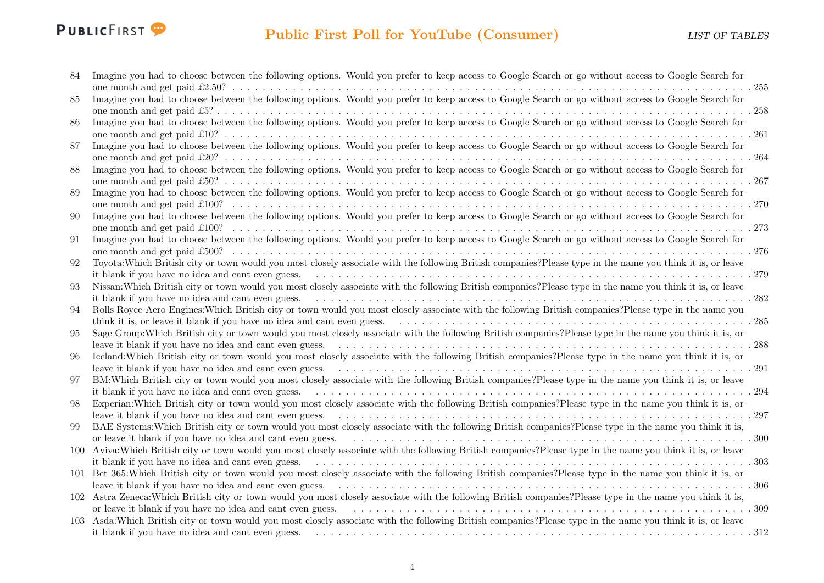

| 84  | Imagine you had to choose between the following options. Would you prefer to keep access to Google Search or go without access to Google Search for           |
|-----|---------------------------------------------------------------------------------------------------------------------------------------------------------------|
|     |                                                                                                                                                               |
| 85  | Imagine you had to choose between the following options. Would you prefer to keep access to Google Search or go without access to Google Search for           |
|     |                                                                                                                                                               |
| 86  | Imagine you had to choose between the following options. Would you prefer to keep access to Google Search or go without access to Google Search for           |
|     |                                                                                                                                                               |
| 87  | Imagine you had to choose between the following options. Would you prefer to keep access to Google Search or go without access to Google Search for           |
|     |                                                                                                                                                               |
| 88  | Imagine you had to choose between the following options. Would you prefer to keep access to Google Search or go without access to Google Search for           |
|     |                                                                                                                                                               |
| 89  | Imagine you had to choose between the following options. Would you prefer to keep access to Google Search or go without access to Google Search for           |
|     |                                                                                                                                                               |
| 90  | Imagine you had to choose between the following options. Would you prefer to keep access to Google Search or go without access to Google Search for           |
|     |                                                                                                                                                               |
| 91  | Imagine you had to choose between the following options. Would you prefer to keep access to Google Search or go without access to Google Search for           |
|     |                                                                                                                                                               |
| 92  | Toyota: Which British city or town would you most closely associate with the following British companies? Please type in the name you think it is, or leave   |
|     |                                                                                                                                                               |
| 93  | Nissan: Which British city or town would you most closely associate with the following British companies? Please type in the name you think it is, or leave   |
|     | it blank if you have no idea and cant even guess.<br>.282                                                                                                     |
| 94  | Rolls Royce Aero Engines: Which British city or town would you most closely associate with the following British companies? Please type in the name you       |
|     |                                                                                                                                                               |
| 95  | Sage Group: Which British city or town would you most closely associate with the following British companies? Please type in the name you think it is, or     |
|     |                                                                                                                                                               |
| 96  | Iceland: Which British city or town would you most closely associate with the following British companies? Please type in the name you think it is, or        |
|     |                                                                                                                                                               |
| 97  | BM: Which British city or town would you most closely associate with the following British companies? Please type in the name you think it is, or leave       |
|     |                                                                                                                                                               |
| 98  | Experian: Which British city or town would you most closely associate with the following British companies? Please type in the name you think it is, or       |
|     |                                                                                                                                                               |
| 99  | BAE Systems: Which British city or town would you most closely associate with the following British companies? Please type in the name you think it is,       |
|     | or leave it blank if you have no idea and cant even guess.                                                                                                    |
| 100 | Aviva: Which British city or town would you most closely associate with the following British companies? Please type in the name you think it is, or leave    |
|     |                                                                                                                                                               |
|     | 101 Bet 365: Which British city or town would you most closely associate with the following British companies? Please type in the name you think it is, or    |
|     | leave it blank if you have no idea and cant even guess.                                                                                                       |
|     | 102 Astra Zeneca: Which British city or town would you most closely associate with the following British companies? Please type in the name you think it is,  |
|     | or leave it blank if you have no idea and cant even guess.                                                                                                    |
|     | 103 Asda: Which British city or town would you most closely associate with the following British companies? Please type in the name you think it is, or leave |
|     | it blank if you have no idea and cant even guess.                                                                                                             |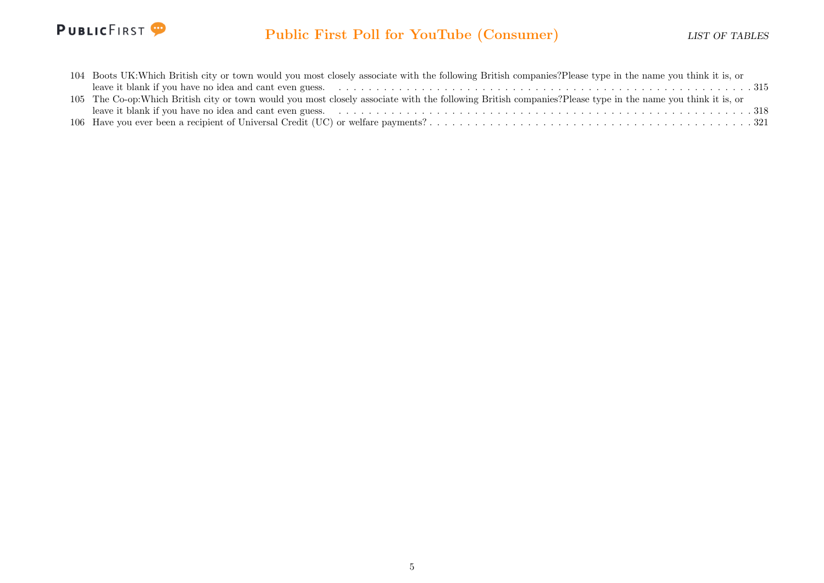

## Public First Poll for YouTube (Consumer) LIST OF TABLES

| 104 Boots UK: Which British city or town would you most closely associate with the following British companies? Please type in the name you think it is, or  |
|--------------------------------------------------------------------------------------------------------------------------------------------------------------|
|                                                                                                                                                              |
| 105 The Co-op: Which British city or town would you most closely associate with the following British companies? Please type in the name you think it is, or |
|                                                                                                                                                              |
|                                                                                                                                                              |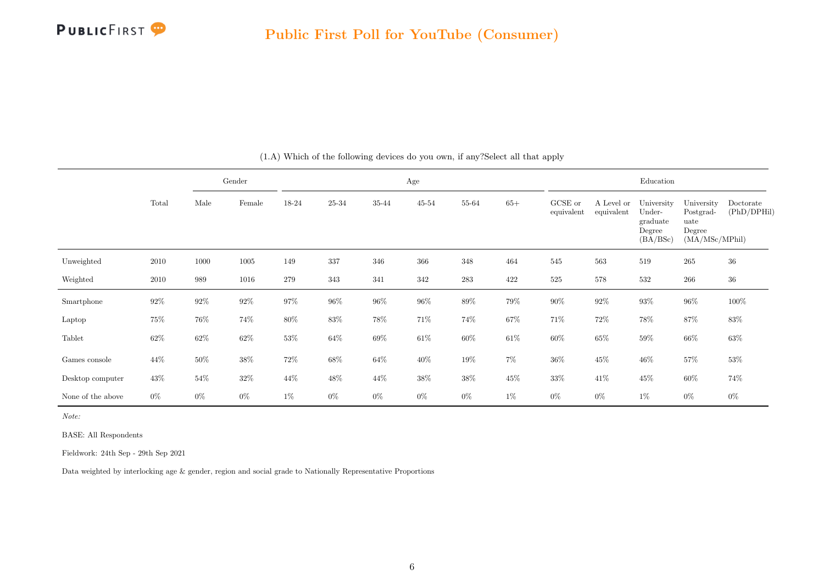

<span id="page-6-0"></span>

|                   |          | Gender |        | Age    |           |        |        |        |        |                       | Education                |                                                        |                                                             |                          |  |  |
|-------------------|----------|--------|--------|--------|-----------|--------|--------|--------|--------|-----------------------|--------------------------|--------------------------------------------------------|-------------------------------------------------------------|--------------------------|--|--|
|                   | Total    | Male   | Female | 18-24  | $25 - 34$ | 35-44  | 45-54  | 55-64  | $65+$  | GCSE or<br>equivalent | A Level or<br>equivalent | University<br>Under-<br>graduate<br>Degree<br>(BA/BSc) | University<br>Postgrad-<br>uate<br>Degree<br>(MA/MSc/MPhil) | Doctorate<br>(PhD/DPHil) |  |  |
| Unweighted        | 2010     | 1000   | 1005   | 149    | 337       | 346    | 366    | 348    | 464    | 545                   | 563                      | 519                                                    | $265\,$                                                     | $36\,$                   |  |  |
| Weighted          | $2010\,$ | 989    | 1016   | 279    | 343       | 341    | 342    | 283    | 422    | $525\,$               | 578                      | 532                                                    | 266                                                         | $36\,$                   |  |  |
| Smartphone        | $92\%$   | $92\%$ | $92\%$ | $97\%$ | $96\%$    | $96\%$ | $96\%$ | 89%    | $79\%$ | $90\%$                | $92\%$                   | $93\%$                                                 | $96\%$                                                      | 100%                     |  |  |
| Laptop            | $75\%$   | 76%    | 74%    | $80\%$ | $83\%$    | 78%    | 71%    | 74%    | $67\%$ | 71\%                  | 72\%                     | 78%                                                    | 87%                                                         | $83\%$                   |  |  |
| Tablet            | $62\%$   | $62\%$ | $62\%$ | $53\%$ | $64\%$    | $69\%$ | $61\%$ | $60\%$ | $61\%$ | $60\%$                | $65\%$                   | $59\%$                                                 | $66\%$                                                      | $63\%$                   |  |  |
| Games console     | 44%      | $50\%$ | $38\%$ | 72\%   | $68\%$    | $64\%$ | 40\%   | 19%    | $7\%$  | $36\%$                | $45\%$                   | $46\%$                                                 | 57%                                                         | 53%                      |  |  |
| Desktop computer  | 43\%     | $54\%$ | $32\%$ | 44%    | 48\%      | 44%    | $38\%$ | 38%    | $45\%$ | 33%                   | 41%                      | $45\%$                                                 | $60\%$                                                      | 74%                      |  |  |
| None of the above | $0\%$    | $0\%$  | $0\%$  | $1\%$  | $0\%$     | $0\%$  | $0\%$  | $0\%$  | $1\%$  | $0\%$                 | $0\%$                    | $1\%$                                                  | $0\%$                                                       | $0\%$                    |  |  |

#### (1.A) Which of the following devices do you own, if any?Select all that apply

Note:

BASE: All Respondents

Fieldwork: 24th Sep - 29th Sep 2021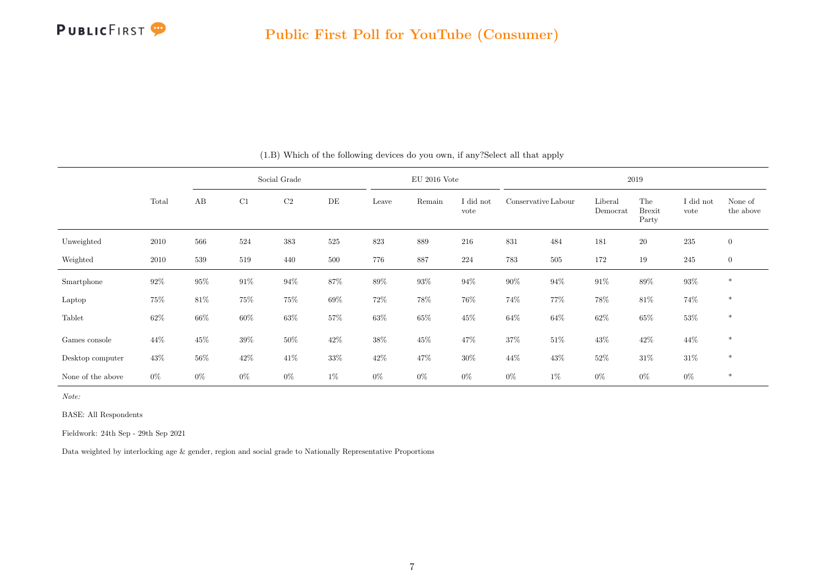

|                   |        | Social Grade |        |          |        |        | $EU$ 2016 Vote |                   | 2019                |         |                     |                               |                   |                      |  |
|-------------------|--------|--------------|--------|----------|--------|--------|----------------|-------------------|---------------------|---------|---------------------|-------------------------------|-------------------|----------------------|--|
|                   | Total  | AB           | C1     | $\rm C2$ | DE     | Leave  | Remain         | I did not<br>vote | Conservative Labour |         | Liberal<br>Democrat | The<br><b>Brexit</b><br>Party | I did not<br>vote | None of<br>the above |  |
| Unweighted        | 2010   | 566          | 524    | 383      | 525    | 823    | 889            | 216               | 831                 | 484     | 181                 | <b>20</b>                     | 235               | $\boldsymbol{0}$     |  |
| Weighted          | 2010   | 539          | 519    | 440      | 500    | 776    | 887            | 224               | 783                 | $505\,$ | 172                 | 19                            | 245               | $\overline{0}$       |  |
| Smartphone        | 92%    | 95%          | $91\%$ | $94\%$   | $87\%$ | $89\%$ | $93\%$         | $94\%$            | $90\%$              | $94\%$  | $91\%$              | $89\%$                        | $93\%$            | $\ast$               |  |
| Laptop            | 75%    | $81\%$       | $75\%$ | $75\%$   | 69%    | $72\%$ | 78%            | 76%               | 74%                 | 77%     | $78\%$              | $81\%$                        | 74%               | $\ast$               |  |
| Tablet            | $62\%$ | $66\%$       | $60\%$ | $63\%$   | $57\%$ | $63\%$ | $65\%$         | 45%               | $64\%$              | $64\%$  | $62\%$              | $65\%$                        | $53\%$            | $\ast$               |  |
| Games console     | 44%    | 45\%         | $39\%$ | $50\%$   | $42\%$ | $38\%$ | 45\%           | 47%               | $37\%$              | $51\%$  | $43\%$              | $42\%$                        | 44\%              | $\ast$               |  |
| Desktop computer  | 43%    | $56\%$       | $42\%$ | 41\%     | 33%    | 42\%   | 47%            | $30\%$            | 44\%                | 43\%    | 52%                 | $31\%$                        | $31\%$            | $\ast$               |  |
| None of the above | $0\%$  | $0\%$        | $0\%$  | $0\%$    | 1%     | $0\%$  | $0\%$          | $0\%$             | $0\%$               | $1\%$   | 0%                  | $0\%$                         | $0\%$             | $\ast$               |  |

(1.B) Which of the following devices do you own, if any?Select all that apply

Note:

BASE: All Respondents

Fieldwork: 24th Sep - 29th Sep 2021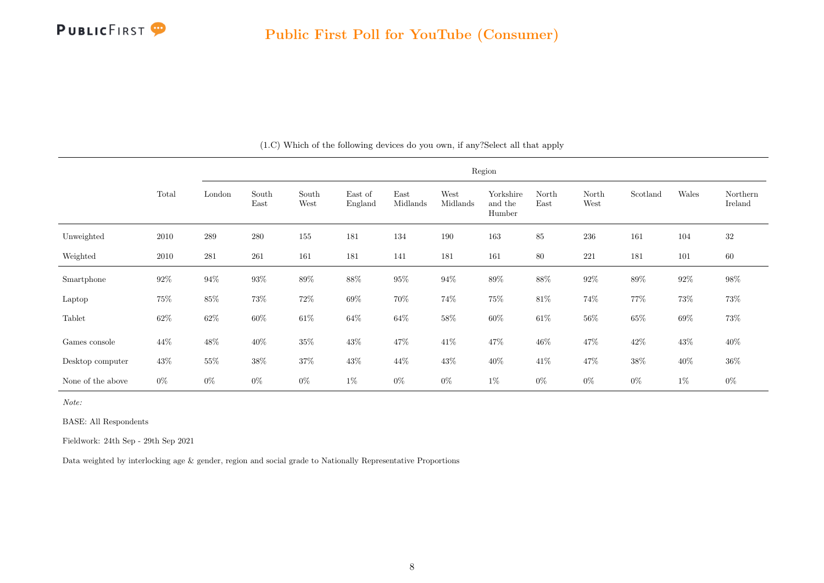

|                   |        |         | Region        |               |                    |                  |                  |                                |               |               |          |        |                     |  |
|-------------------|--------|---------|---------------|---------------|--------------------|------------------|------------------|--------------------------------|---------------|---------------|----------|--------|---------------------|--|
|                   | Total  | London  | South<br>East | South<br>West | East of<br>England | East<br>Midlands | West<br>Midlands | Yorkshire<br>and the<br>Humber | North<br>East | North<br>West | Scotland | Wales  | Northern<br>Ireland |  |
| Unweighted        | 2010   | $\,289$ | 280           | $155\,$       | 181                | 134              | 190              | 163                            | 85            | 236           | 161      | 104    | $32\,$              |  |
| Weighted          | 2010   | 281     | 261           | 161           | $181\,$            | 141              | 181              | 161                            | 80            | 221           | 181      | 101    | 60                  |  |
| Smartphone        | $92\%$ | $94\%$  | $93\%$        | $89\%$        | $88\%$             | $95\%$           | $94\%$           | $89\%$                         | $88\%$        | $92\%$        | $89\%$   | $92\%$ | $98\%$              |  |
| Laptop            | $75\%$ | $85\%$  | 73%           | $72\%$        | $69\%$             | $70\%$           | $74\%$           | $75\%$                         | $81\%$        | $74\%$        | 77%      | 73%    | 73%                 |  |
| Tablet            | $62\%$ | $62\%$  | $60\%$        | $61\%$        | $64\%$             | $64\%$           | $58\%$           | $60\%$                         | $61\%$        | $56\%$        | $65\%$   | $69\%$ | 73%                 |  |
| Games console     | 44%    | $48\%$  | $40\%$        | $35\%$        | $43\%$             | $47\%$           | $41\%$           | 47%                            | $46\%$        | $47\%$        | $42\%$   | $43\%$ | $40\%$              |  |
| Desktop computer  | $43\%$ | $55\%$  | $38\%$        | $37\%$        | $43\%$             | 44\%             | $43\%$           | $40\%$                         | 41\%          | $47\%$        | $38\%$   | $40\%$ | $36\%$              |  |
| None of the above | $0\%$  | $0\%$   | $0\%$         | $0\%$         | $1\%$              | $0\%$            | $0\%$            | $1\%$                          | $0\%$         | $0\%$         | $0\%$    | $1\%$  | $0\%$               |  |

(1.C) Which of the following devices do you own, if any?Select all that apply

Note:

BASE: All Respondents

Fieldwork: 24th Sep - 29th Sep 2021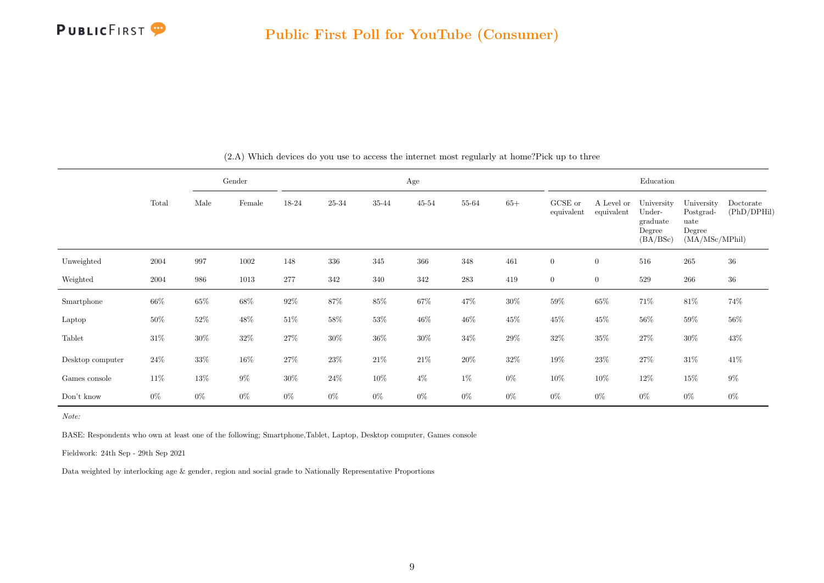

<span id="page-9-0"></span>

|                  |        | Gender |        |         |        |        | Age    | Education |        |                       |                          |                                                        |                                                             |                          |
|------------------|--------|--------|--------|---------|--------|--------|--------|-----------|--------|-----------------------|--------------------------|--------------------------------------------------------|-------------------------------------------------------------|--------------------------|
|                  | Total  | Male   | Female | 18-24   | 25-34  | 35-44  | 45-54  | 55-64     | $65+$  | GCSE or<br>equivalent | A Level or<br>equivalent | University<br>Under-<br>graduate<br>Degree<br>(BA/BSc) | University<br>Postgrad-<br>uate<br>Degree<br>(MA/MSc/MPhil) | Doctorate<br>(PhD/DPHil) |
| Unweighted       | 2004   | 997    | 1002   | 148     | 336    | 345    | 366    | 348       | 461    | $\boldsymbol{0}$      | $\overline{0}$           | 516                                                    | $265\,$                                                     | $36\,$                   |
| Weighted         | 2004   | 986    | 1013   | $277\,$ | 342    | 340    | 342    | $\bf 283$ | 419    | $\overline{0}$        | $\overline{0}$           | 529                                                    | 266                                                         | $36\,$                   |
| Smartphone       | $66\%$ | $65\%$ | $68\%$ | $92\%$  | 87\%   | $85\%$ | $67\%$ | 47\%      | $30\%$ | $59\%$                | $65\%$                   | $71\%$                                                 | $81\%$                                                      | 74%                      |
| Laptop           | $50\%$ | $52\%$ | $48\%$ | $51\%$  | $58\%$ | $53\%$ | $46\%$ | $46\%$    | $45\%$ | $45\%$                | $45\%$                   | $56\%$                                                 | $59\%$                                                      | $56\%$                   |
| Tablet           | $31\%$ | 30%    | $32\%$ | $27\%$  | $30\%$ | $36\%$ | $30\%$ | $34\%$    | $29\%$ | $32\%$                | $35\%$                   | $27\%$                                                 | $30\%$                                                      | 43%                      |
| Desktop computer | $24\%$ | $33\%$ | 16%    | $27\%$  | 23\%   | $21\%$ | $21\%$ | $20\%$    | $32\%$ | $19\%$                | $23\%$                   | $27\%$                                                 | $31\%$                                                      | 41\%                     |
| Games console    | $11\%$ | 13%    | $9\%$  | $30\%$  | $24\%$ | $10\%$ | $4\%$  | $1\%$     | $0\%$  | $10\%$                | 10%                      | $12\%$                                                 | $15\%$                                                      | $9\%$                    |
| Don't know       | $0\%$  | $0\%$  | $0\%$  | $0\%$   | $0\%$  | $0\%$  | $0\%$  | $0\%$     | $0\%$  | $0\%$                 | $0\%$                    | $0\%$                                                  | $0\%$                                                       | $0\%$                    |

(2.A) Which devices do you use to access the internet most regularly at home?Pick up to three

Note:

BASE: Respondents who own at least one of the following; Smartphone,Tablet, Laptop, Desktop computer, Games console

Fieldwork: 24th Sep - 29th Sep 2021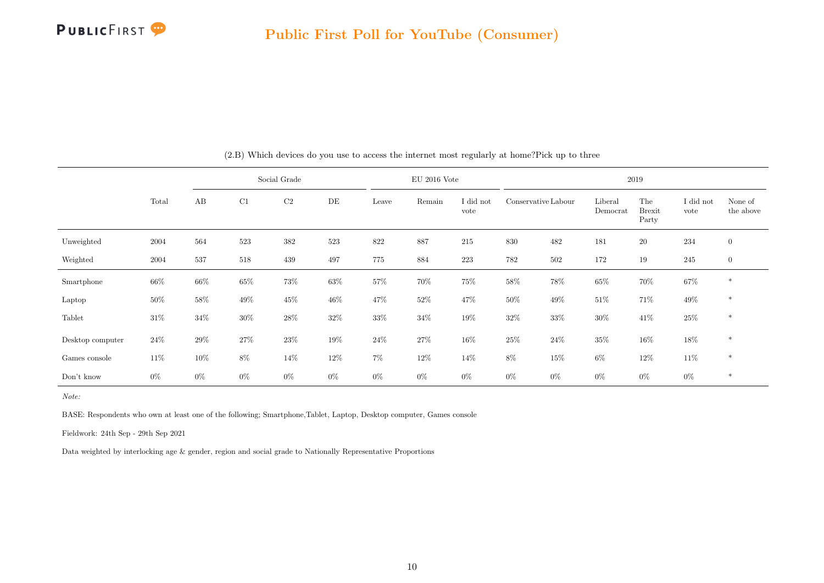

|                  |        | Social Grade |        |                |           |        | $EU$ 2016 Vote |                   | 2019                |        |                     |                               |                   |                      |  |
|------------------|--------|--------------|--------|----------------|-----------|--------|----------------|-------------------|---------------------|--------|---------------------|-------------------------------|-------------------|----------------------|--|
|                  | Total  | AB           | C1     | C <sub>2</sub> | $\rm{DE}$ | Leave  | Remain         | I did not<br>vote | Conservative Labour |        | Liberal<br>Democrat | The<br><b>Brexit</b><br>Party | I did not<br>vote | None of<br>the above |  |
| Unweighted       | 2004   | 564          | 523    | 382            | 523       | 822    | 887            | 215               | 830                 | 482    | 181                 | <b>20</b>                     | 234               | $\boldsymbol{0}$     |  |
| Weighted         | 2004   | 537          | 518    | 439            | 497       | 775    | 884            | 223               | 782                 | 502    | 172                 | 19                            | 245               | $\boldsymbol{0}$     |  |
| Smartphone       | $66\%$ | $66\%$       | $65\%$ | 73%            | $63\%$    | $57\%$ | $70\%$         | 75%               | $58\%$              | 78%    | $65\%$              | $70\%$                        | $67\%$            | $\ast$               |  |
| Laptop           | $50\%$ | $58\%$       | $49\%$ | 45\%           | 46%       | $47\%$ | $52\%$         | $47\%$            | $50\%$              | 49%    | $51\%$              | 71%                           | $49\%$            | $\ast$               |  |
| Tablet           | $31\%$ | $34\%$       | $30\%$ | $28\%$         | $32\%$    | 33%    | $34\%$         | 19%               | $32\%$              | $33\%$ | 30%                 | 41%                           | $25\%$            | $\ast$               |  |
| Desktop computer | $24\%$ | $29\%$       | $27\%$ | $23\%$         | 19%       | $24\%$ | $27\%$         | 16%               | $25\%$              | $24\%$ | $35\%$              | $16\%$                        | $18\%$            | $\ast$               |  |
| Games console    | 11\%   | $10\%$       | $8\%$  | 14\%           | 12\%      | 7%     | $12\%$         | 14%               | 8%                  | $15\%$ | 6%                  | 12\%                          | $11\%$            | $\ast$               |  |
| Don't know       | $0\%$  | $0\%$        | $0\%$  | $0\%$          | $0\%$     | $0\%$  | $0\%$          | $0\%$             | $0\%$               | $0\%$  | $0\%$               | $0\%$                         | $0\%$             | $\ast$               |  |

(2.B) Which devices do you use to access the internet most regularly at home?Pick up to three

Note:

BASE: Respondents who own at least one of the following; Smartphone,Tablet, Laptop, Desktop computer, Games console

Fieldwork: 24th Sep - 29th Sep 2021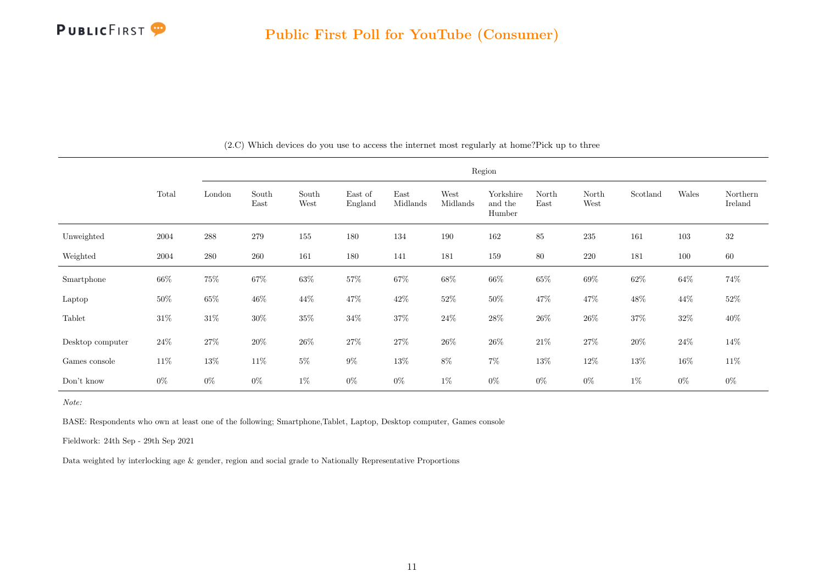

|                  |        | Region             |               |               |                    |                  |                  |                                |               |               |          |        |                     |
|------------------|--------|--------------------|---------------|---------------|--------------------|------------------|------------------|--------------------------------|---------------|---------------|----------|--------|---------------------|
|                  | Total  | London             | South<br>East | South<br>West | East of<br>England | East<br>Midlands | West<br>Midlands | Yorkshire<br>and the<br>Humber | North<br>East | North<br>West | Scotland | Wales  | Northern<br>Ireland |
| Unweighted       | 2004   | $\boldsymbol{288}$ | 279           | $155\,$       | 180                | 134              | 190              | 162                            | 85            | 235           | 161      | 103    | 32                  |
| Weighted         | 2004   | 280                | 260           | 161           | 180                | 141              | 181              | 159                            | 80            | 220           | 181      | 100    | 60                  |
| Smartphone       | $66\%$ | $75\%$             | $67\%$        | $63\%$        | $57\%$             | $67\%$           | $68\%$           | $66\%$                         | $65\%$        | $69\%$        | $62\%$   | $64\%$ | $74\%$              |
| Laptop           | $50\%$ | $65\%$             | $46\%$        | $44\%$        | 47%                | $42\%$           | $52\%$           | $50\%$                         | 47%           | $47\%$        | $48\%$   | $44\%$ | $52\%$              |
| Tablet           | $31\%$ | $31\%$             | $30\%$        | $35\%$        | $34\%$             | $37\%$           | $24\%$           | $28\%$                         | $26\%$        | $26\%$        | 37%      | $32\%$ | $40\%$              |
| Desktop computer | $24\%$ | $27\%$             | 20%           | $26\%$        | $27\%$             | $27\%$           | $26\%$           | $26\%$                         | 21\%          | $27\%$        | 20%      | 24\%   | 14%                 |
| Games console    | $11\%$ | $13\%$             | $11\%$        | $5\%$         | $9\%$              | $13\%$           | 8%               | $7\%$                          | $13\%$        | $12\%$        | 13%      | $16\%$ | $11\%$              |
| Don't know       | $0\%$  | $0\%$              | $0\%$         | $1\%$         | $0\%$              | $0\%$            | $1\%$            | $0\%$                          | $0\%$         | $0\%$         | $1\%$    | $0\%$  | $0\%$               |

(2.C) Which devices do you use to access the internet most regularly at home?Pick up to three

Note:

BASE: Respondents who own at least one of the following; Smartphone,Tablet, Laptop, Desktop computer, Games console

Fieldwork: 24th Sep - 29th Sep 2021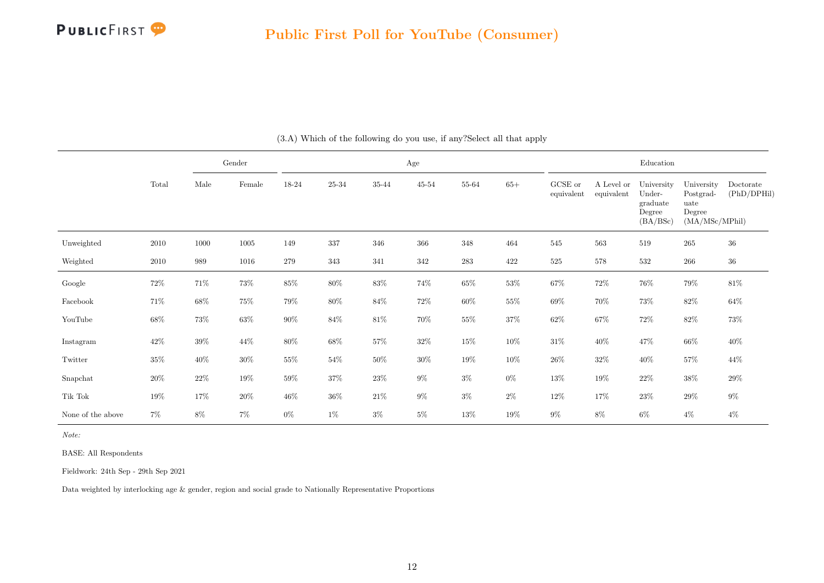

<span id="page-12-0"></span>

|                   |        |        | Gender          |        |        |           | Age       |           | Education |                       |                          |                                                        |                                                             |                          |
|-------------------|--------|--------|-----------------|--------|--------|-----------|-----------|-----------|-----------|-----------------------|--------------------------|--------------------------------------------------------|-------------------------------------------------------------|--------------------------|
|                   | Total  | Male   | $\mbox{Female}$ | 18-24  | 25-34  | $35 - 44$ | $45 - 54$ | 55-64     | $65+$     | GCSE or<br>equivalent | A Level or<br>equivalent | University<br>Under-<br>graduate<br>Degree<br>(BA/BSc) | University<br>Postgrad-<br>uate<br>Degree<br>(MA/MSc/MPhil) | Doctorate<br>(PhD/DPHil) |
| Unweighted        | 2010   | 1000   | 1005            | 149    | 337    | 346       | 366       | $348\,$   | 464       | 545                   | 563                      | 519                                                    | $265\,$                                                     | $36\,$                   |
| Weighted          | 2010   | 989    | 1016            | 279    | 343    | 341       | 342       | $\bf 283$ | 422       | $525\,$               | 578                      | 532                                                    | $266\,$                                                     | $36\,$                   |
| Google            | $72\%$ | 71%    | $73\%$          | $85\%$ | $80\%$ | $83\%$    | $74\%$    | $65\%$    | $53\%$    | $67\%$                | 72%                      | $76\%$                                                 | $79\%$                                                      | $81\%$                   |
| Facebook          | 71\%   | 68%    | $75\%$          | 79%    | $80\%$ | $84\%$    | $72\%$    | $60\%$    | $55\%$    | $69\%$                | 70%                      | 73%                                                    | $82\%$                                                      | $64\%$                   |
| YouTube           | $68\%$ | 73%    | $63\%$          | $90\%$ | $84\%$ | $81\%$    | $70\%$    | $55\%$    | $37\%$    | $62\%$                | $67\%$                   | $72\%$                                                 | 82\%                                                        | $73\%$                   |
| Instagram         | $42\%$ | 39%    | $44\%$          | $80\%$ | $68\%$ | $57\%$    | $32\%$    | $15\%$    | $10\%$    | $31\%$                | $40\%$                   | 47%                                                    | $66\%$                                                      | $40\%$                   |
| Twitter           | $35\%$ | $40\%$ | $30\%$          | $55\%$ | $54\%$ | $50\%$    | $30\%$    | $19\%$    | $10\%$    | $26\%$                | $32\%$                   | $40\%$                                                 | $57\%$                                                      | $44\%$                   |
| Snapchat          | 20%    | $22\%$ | $19\%$          | $59\%$ | $37\%$ | $23\%$    | $9\%$     | $3\%$     | $0\%$     | $13\%$                | 19%                      | $22\%$                                                 | $38\%$                                                      | $29\%$                   |
| Tik Tok           | 19%    | 17%    | $20\%$          | $46\%$ | $36\%$ | $21\%$    | $9\%$     | $3\%$     | $2\%$     | $12\%$                | 17%                      | $23\%$                                                 | $29\%$                                                      | $9\%$                    |
| None of the above | $7\%$  | $8\%$  | $7\%$           | $0\%$  | $1\%$  | $3\%$     | $5\%$     | $13\%$    | $19\%$    | $9\%$                 | $8\%$                    | $6\%$                                                  | $4\%$                                                       | $4\%$                    |

(3.A) Which of the following do you use, if any?Select all that apply

Note:

BASE: All Respondents

Fieldwork: 24th Sep - 29th Sep 2021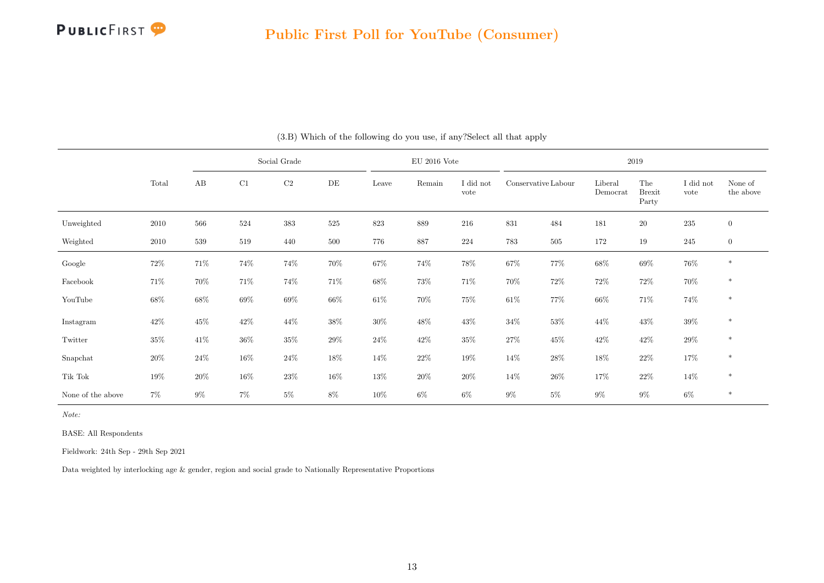

|                   |        |         |        | Social Grade |        |        | $\rm EU$ 2016 Vote |                   |                     |         |                     | 2019                          |                   |                      |
|-------------------|--------|---------|--------|--------------|--------|--------|--------------------|-------------------|---------------------|---------|---------------------|-------------------------------|-------------------|----------------------|
|                   | Total  | AB      | C1     | $\rm C2$     | DE     | Leave  | Remain             | I did not<br>vote | Conservative Labour |         | Liberal<br>Democrat | The<br><b>Brexit</b><br>Party | I did not<br>vote | None of<br>the above |
| Unweighted        | 2010   | 566     | 524    | 383          | 525    | 823    | 889                | 216               | 831                 | 484     | 181                 | $20\,$                        | $\bf 235$         | $\mathbf{0}$         |
| Weighted          | 2010   | $539\,$ | 519    | 440          | 500    | 776    | 887                | 224               | 783                 | $505\,$ | 172                 | $19\,$                        | 245               | $\mathbf{0}$         |
| Google            | $72\%$ | 71\%    | $74\%$ | 74%          | 70%    | $67\%$ | 74%                | $78\%$            | $67\%$              | 77%     | $68\%$              | $69\%$                        | $76\%$            | $\ast$               |
| Facebook          | 71%    | 70%     | 71%    | 74%          | 71%    | 68%    | 73%                | 71%               | 70%                 | 72\%    | $72\%$              | $72\%$                        | 70%               | $\ast$               |
| YouTube           | $68\%$ | $68\%$  | $69\%$ | $69\%$       | $66\%$ | $61\%$ | 70%                | $75\%$            | $61\%$              | 77%     | 66\%                | $71\%$                        | 74%               | $\ast$               |
| Instagram         | $42\%$ | $45\%$  | $42\%$ | $44\%$       | $38\%$ | $30\%$ | 48%                | $43\%$            | $34\%$              | $53\%$  | 44\%                | $43\%$                        | $39\%$            | $\ast$               |
| Twitter           | 35%    | 41%     | $36\%$ | $35\%$       | 29%    | $24\%$ | $42\%$             | 35%               | $27\%$              | 45%     | 42\%                | $42\%$                        | $29\%$            | $\ast$               |
| Snapchat          | $20\%$ | $24\%$  | $16\%$ | $24\%$       | 18%    | $14\%$ | $22\%$             | $19\%$            | $14\%$              | $28\%$  | $18\%$              | $22\%$                        | 17%               | $\ast$               |
| Tik Tok           | 19%    | $20\%$  | $16\%$ | $23\%$       | $16\%$ | $13\%$ | $20\%$             | $20\%$            | $14\%$              | $26\%$  | 17%                 | $22\%$                        | 14%               | $\ast$               |
| None of the above | $7\%$  | $9\%$   | $7\%$  | $5\%$        | 8%     | 10%    | $6\%$              | $6\%$             | $9\%$               | $5\%$   | $9\%$               | $9\%$                         | $6\%$             | $\ast$               |

(3.B) Which of the following do you use, if any?Select all that apply

Note:

BASE: All Respondents

Fieldwork: 24th Sep - 29th Sep 2021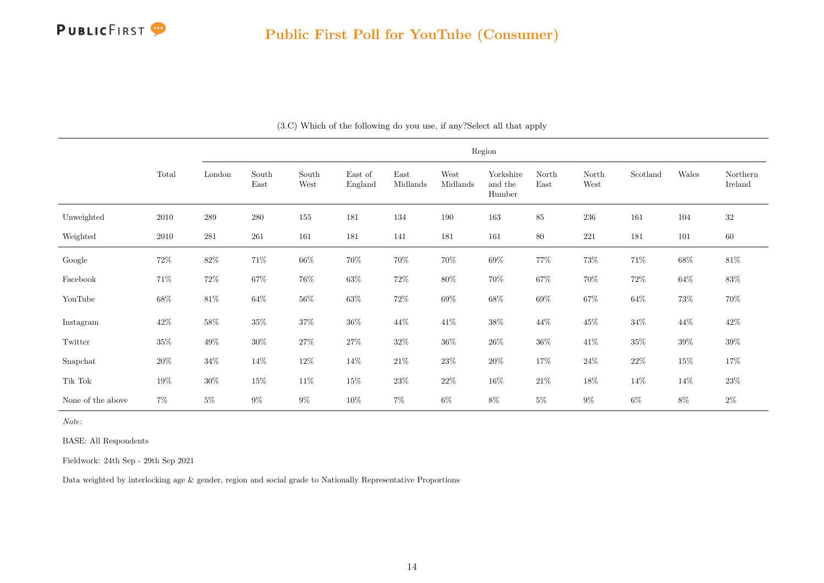

|                   |          |           |               |               |                    |                  |                  | Region                         |               |               |          |        |                     |
|-------------------|----------|-----------|---------------|---------------|--------------------|------------------|------------------|--------------------------------|---------------|---------------|----------|--------|---------------------|
|                   | Total    | London    | South<br>East | South<br>West | East of<br>England | East<br>Midlands | West<br>Midlands | Yorkshire<br>and the<br>Humber | North<br>East | North<br>West | Scotland | Wales  | Northern<br>Ireland |
| Unweighted        | $2010\,$ | $\,289$   | $280\,$       | $155\,$       | 181                | 134              | 190              | $163\,$                        | 85            | $236\,$       | 161      | 104    | $32\,$              |
| Weighted          | $2010\,$ | $\bf 281$ | 261           | 161           | 181                | 141              | 181              | 161                            | $80\,$        | $221\,$       | 181      | 101    | $60\,$              |
| Google            | $72\%$   | $82\%$    | $71\%$        | $66\%$        | $70\%$             | $70\%$           | $70\%$           | $69\%$                         | $77\%$        | $73\%$        | $71\%$   | $68\%$ | $81\%$              |
| Facebook          | 71\%     | $72\%$    | $67\%$        | $76\%$        | $63\%$             | $72\%$           | $80\%$           | $70\%$                         | $67\%$        | $70\%$        | $72\%$   | $64\%$ | $83\%$              |
| YouTube           | $68\%$   | $81\%$    | $64\%$        | $56\%$        | $63\%$             | $72\%$           | $69\%$           | $68\%$                         | $69\%$        | $67\%$        | $64\%$   | $73\%$ | $70\%$              |
| Instagram         | 42\%     | $58\%$    | $35\%$        | $37\%$        | $36\%$             | $44\%$           | $41\%$           | $38\%$                         | $44\%$        | $45\%$        | $34\%$   | $44\%$ | $42\%$              |
| Twitter           | $35\%$   | $49\%$    | $30\%$        | $27\%$        | $27\%$             | $32\%$           | $36\%$           | $26\%$                         | $36\%$        | 41\%          | $35\%$   | $39\%$ | $39\%$              |
| Snapchat          | $20\%$   | $34\%$    | $14\%$        | $12\%$        | $14\%$             | $21\%$           | $23\%$           | $20\%$                         | $17\%$        | $24\%$        | $22\%$   | $15\%$ | $17\%$              |
| Tik Tok           | 19%      | $30\%$    | $15\%$        | $11\%$        | $15\%$             | $23\%$           | $22\%$           | $16\%$                         | $21\%$        | $18\%$        | $14\%$   | $14\%$ | $23\%$              |
| None of the above | $7\%$    | $5\%$     | $9\%$         | $9\%$         | $10\%$             | $7\%$            | $6\%$            | $8\%$                          | $5\%$         | $9\%$         | $6\%$    | $8\%$  | $2\%$               |

(3.C) Which of the following do you use, if any?Select all that apply

Note:

BASE: All Respondents

Fieldwork: 24th Sep - 29th Sep 2021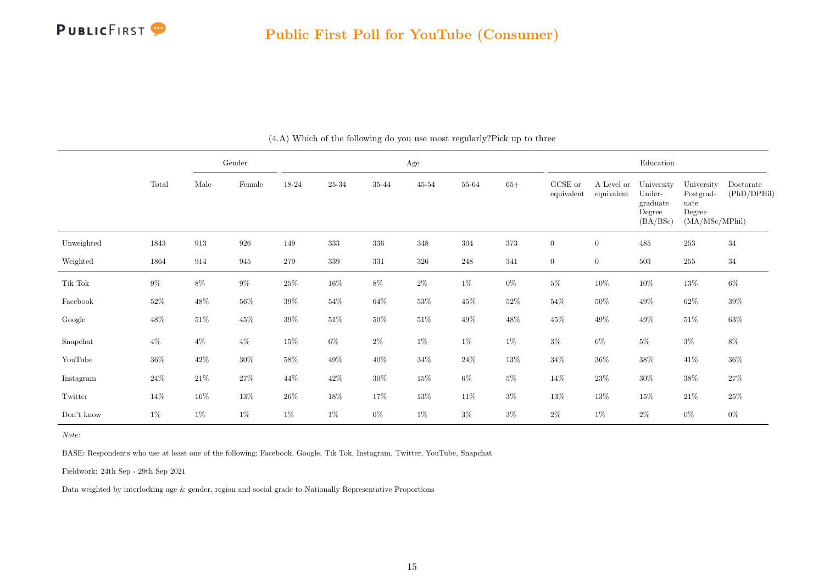

<span id="page-15-0"></span>

|            |        |                    | Gender          |        |           |         | Age       |         |         |                       |                          | Education                                              |                                                             |                          |
|------------|--------|--------------------|-----------------|--------|-----------|---------|-----------|---------|---------|-----------------------|--------------------------|--------------------------------------------------------|-------------------------------------------------------------|--------------------------|
|            | Total  | Male               | $\mbox{Female}$ | 18-24  | $25 - 34$ | 35-44   | $45 - 54$ | 55-64   | $65+$   | GCSE or<br>equivalent | A Level or<br>equivalent | University<br>Under-<br>graduate<br>Degree<br>(BA/BSc) | University<br>Postgrad-<br>uate<br>Degree<br>(MA/MSc/MPhil) | Doctorate<br>(PhD/DPHil) |
| Unweighted | 1843   | $\boldsymbol{913}$ | 926             | 149    | 333       | $336\,$ | 348       | $304\,$ | $373\,$ | $\boldsymbol{0}$      | $\overline{0}$           | 485                                                    | $253\,$                                                     | $34\,$                   |
| Weighted   | 1864   | 914                | $\,\,945$       | 279    | $339\,$   | $331\,$ | 326       | $248\,$ | 341     | $\boldsymbol{0}$      | $\overline{0}$           | $503\,$                                                | $255\,$                                                     | $34\,$                   |
| Tik Tok    | $9\%$  | $8\%$              | $9\%$           | $25\%$ | $16\%$    | $8\%$   | $2\%$     | $1\%$   | $0\%$   | $5\%$                 | $10\%$                   | $10\%$                                                 | $13\%$                                                      | $6\%$                    |
| Facebook   | $52\%$ | $48\%$             | 56\%            | $39\%$ | $54\%$    | $64\%$  | $53\%$    | $45\%$  | $52\%$  | $54\%$                | $50\%$                   | 49\%                                                   | $62\%$                                                      | $39\%$                   |
| Google     | $48\%$ | $51\%$             | $45\%$          | $39\%$ | $51\%$    | $50\%$  | $51\%$    | $49\%$  | $48\%$  | $45\%$                | $49\%$                   | $49\%$                                                 | $51\%$                                                      | $63\%$                   |
| Snapchat   | $4\%$  | $4\%$              | $4\%$           | $15\%$ | $6\%$     | $2\%$   | $1\%$     | $1\%$   | $1\%$   | $3\%$                 | $6\%$                    | $5\%$                                                  | $3\%$                                                       | $8\%$                    |
| YouTube    | $36\%$ | $42\%$             | $30\%$          | $58\%$ | $49\%$    | $40\%$  | $34\%$    | $24\%$  | $13\%$  | $34\%$                | $36\%$                   | $38\%$                                                 | $41\%$                                                      | $36\%$                   |
| Instagram  | $24\%$ | $21\%$             | $27\%$          | $44\%$ | $42\%$    | $30\%$  | $15\%$    | $6\%$   | $5\%$   | $14\%$                | $23\%$                   | $30\%$                                                 | $38\%$                                                      | $27\%$                   |
| Twitter    | $14\%$ | $16\%$             | $13\%$          | $26\%$ | $18\%$    | 17%     | $13\%$    | $11\%$  | $3\%$   | $13\%$                | $13\%$                   | $15\%$                                                 | $21\%$                                                      | $25\%$                   |
| Don't know | $1\%$  | $1\%$              | $1\%$           | $1\%$  | $1\%$     | $0\%$   | $1\%$     | $3\%$   | $3\%$   | $2\%$                 | $1\%$                    | $2\%$                                                  | $0\%$                                                       | $0\%$                    |

(4.A) Which of the following do you use most regularly?Pick up to three

Note:

BASE: Respondents who use at least one of the following; Facebook, Google, Tik Tok, Instagram, Twitter, YouTube, Snapchat

Fieldwork: 24th Sep - 29th Sep 2021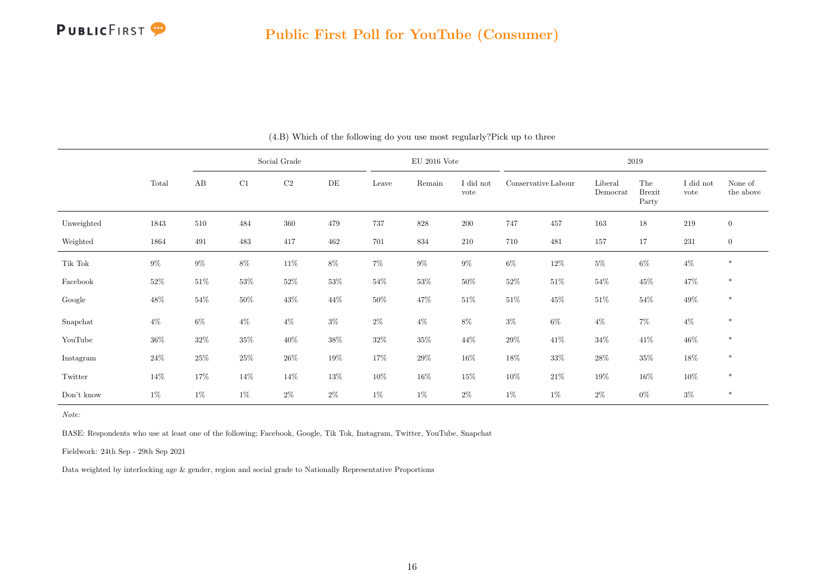

|            |        |        |        | Social Grade |        |        | $EU$ 2016 Vote |                   |                     |        |                     | 2019                          |                   |                      |
|------------|--------|--------|--------|--------------|--------|--------|----------------|-------------------|---------------------|--------|---------------------|-------------------------------|-------------------|----------------------|
|            | Total  | AB     | C1     | C2           | DE     | Leave  | Remain         | I did not<br>vote | Conservative Labour |        | Liberal<br>Democrat | The<br><b>Brexit</b><br>Party | I did not<br>vote | None of<br>the above |
| Unweighted | 1843   | 510    | 484    | 360          | 479    | 737    | 828            | 200               | 747                 | 457    | 163                 | $18\,$                        | 219               | $\mathbf{0}$         |
| Weighted   | 1864   | 491    | 483    | 417          | 462    | 701    | 834            | 210               | 710                 | 481    | 157                 | 17                            | 231               | $\mathbf{0}$         |
| Tik Tok    | $9\%$  | $9\%$  | $8\%$  | $11\%$       | $8\%$  | $7\%$  | $9\%$          | $9\%$             | $6\%$               | $12\%$ | $5\%$               | $6\%$                         | $4\%$             | $\ast$               |
| Facebook   | $52\%$ | $51\%$ | $53\%$ | $52\%$       | $53\%$ | $54\%$ | $53\%$         | $50\%$            | $52\%$              | $51\%$ | $54\%$              | $45\%$                        | 47%               | $\ast$               |
| Google     | $48\%$ | $54\%$ | $50\%$ | 43\%         | 44\%   | $50\%$ | 47%            | $51\%$            | $51\%$              | $45\%$ | $51\%$              | $54\%$                        | 49%               | $\ast$               |
| Snapchat   | $4\%$  | $6\%$  | $4\%$  | $4\%$        | $3\%$  | $2\%$  | $4\%$          | 8%                | $3\%$               | $6\%$  | $4\%$               | $7\%$                         | $4\%$             | $\ast$               |
| YouTube    | $36\%$ | $32\%$ | $35\%$ | $40\%$       | $38\%$ | $32\%$ | $35\%$         | 44\%              | 29%                 | $41\%$ | $34\%$              | 41\%                          | $46\%$            | $\ast$               |
| Instagram  | $24\%$ | $25\%$ | $25\%$ | $26\%$       | 19%    | $17\%$ | $29\%$         | $16\%$            | $18\%$              | $33\%$ | $28\%$              | $35\%$                        | 18%               | $\ast$               |
| Twitter    | 14\%   | 17%    | $14\%$ | 14\%         | $13\%$ | $10\%$ | $16\%$         | $15\%$            | $10\%$              | $21\%$ | $19\%$              | $16\%$                        | $10\%$            | $\ast$               |
| Don't know | $1\%$  | $1\%$  | $1\%$  | $2\%$        | $2\%$  | $1\%$  | $1\%$          | $2\%$             | $1\%$               | $1\%$  | $2\%$               | $0\%$                         | $3\%$             | $\ast$               |

(4.B) Which of the following do you use most regularly?Pick up to three

Note:

BASE: Respondents who use at least one of the following; Facebook, Google, Tik Tok, Instagram, Twitter, YouTube, Snapchat

Fieldwork: 24th Sep - 29th Sep 2021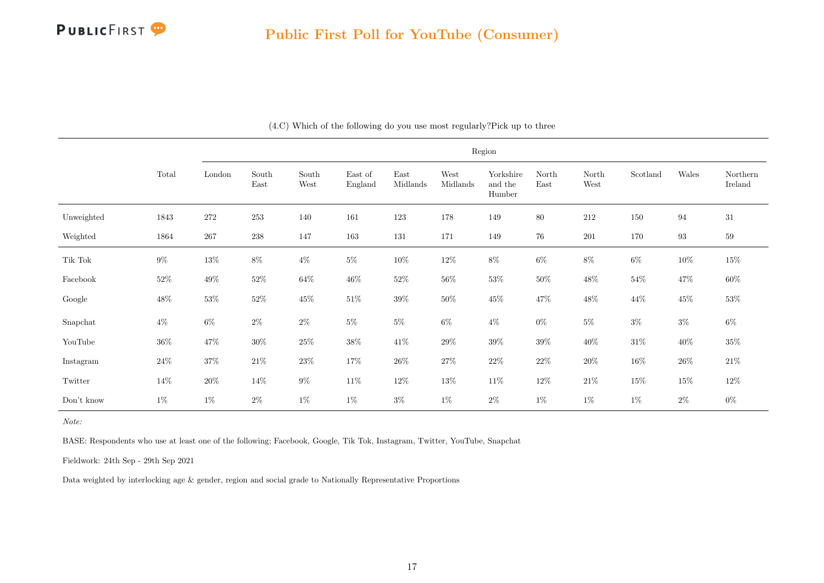

|                                                                                      |        |        |               |               |                    |                  |                  | Region                         |               |               |          |                   |                     |
|--------------------------------------------------------------------------------------|--------|--------|---------------|---------------|--------------------|------------------|------------------|--------------------------------|---------------|---------------|----------|-------------------|---------------------|
|                                                                                      | Total  | London | South<br>East | South<br>West | East of<br>England | East<br>Midlands | West<br>Midlands | Yorkshire<br>and the<br>Humber | North<br>East | North<br>West | Scotland | Wales             | Northern<br>Ireland |
| Unweighted                                                                           | 1843   | 272    | 253           | 140           | 161                | 123              | 178              | 149                            | 80            | 212           | 150      | 94                | 31                  |
| Weighted                                                                             | 1864   | 267    | $\bf 238$     | 147           | $163\,$            | 131              | 171              | 149                            | $76\,$        | $201\,$       | 170      | $\boldsymbol{93}$ | $59\,$              |
| $\operatorname*{Tik}% \nolimits_{\mathbb{Z}}\mathbb{Z}^{\Sigma\left( 1\right) }$ Tok | $9\%$  | $13\%$ | $8\%$         | $4\%$         | $5\%$              | $10\%$           | $12\%$           | $8\%$                          | $6\%$         | $8\%$         | $6\%$    | $10\%$            | $15\%$              |
| Facebook                                                                             | 52\%   | $49\%$ | $52\%$        | $64\%$        | $46\%$             | $52\%$           | $56\%$           | $53\%$                         | $50\%$        | $48\%$        | $54\%$   | $47\%$            | $60\%$              |
| Google                                                                               | $48\%$ | $53\%$ | $52\%$        | $45\%$        | $51\%$             | 39%              | $50\%$           | $45\%$                         | $47\%$        | $48\%$        | $44\%$   | 45\%              | $53\%$              |
| Snapchat                                                                             | $4\%$  | $6\%$  | $2\%$         | $2\%$         | $5\%$              | $5\%$            | $6\%$            | $4\%$                          | $0\%$         | $5\%$         | $3\%$    | $3\%$             | $6\%$               |
| YouTube                                                                              | $36\%$ | $47\%$ | $30\%$        | $25\%$        | $38\%$             | $41\%$           | $29\%$           | $39\%$                         | $39\%$        | $40\%$        | $31\%$   | $40\%$            | $35\%$              |
| Instagram                                                                            | $24\%$ | $37\%$ | $21\%$        | $23\%$        | $17\%$             | 26\%             | $27\%$           | $22\%$                         | $22\%$        | $20\%$        | 16%      | $26\%$            | $21\%$              |
| Twitter                                                                              | $14\%$ | $20\%$ | $14\%$        | $9\%$         | $11\%$             | $12\%$           | $13\%$           | $11\%$                         | $12\%$        | $21\%$        | $15\%$   | $15\%$            | $12\%$              |
| Don't know                                                                           | $1\%$  | $1\%$  | $2\%$         | $1\%$         | $1\%$              | $3\%$            | $1\%$            | $2\%$                          | $1\%$         | $1\%$         | $1\%$    | $2\%$             | $0\%$               |

(4.C) Which of the following do you use most regularly?Pick up to three

Note:

BASE: Respondents who use at least one of the following; Facebook, Google, Tik Tok, Instagram, Twitter, YouTube, Snapchat

Fieldwork: 24th Sep - 29th Sep 2021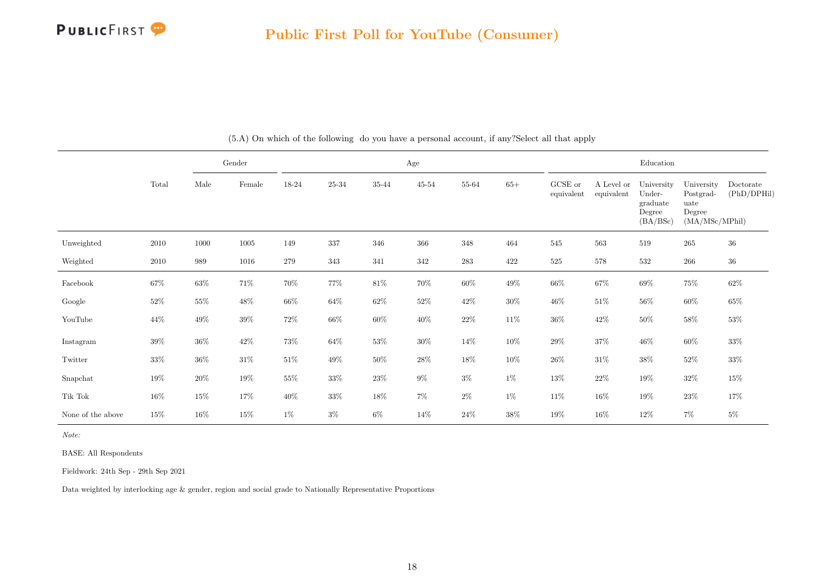

<span id="page-18-0"></span>

|                   |        |        | Gender          |        |        |           | Age       |           |        |                       |                          | Education                                              |                                                             |                          |
|-------------------|--------|--------|-----------------|--------|--------|-----------|-----------|-----------|--------|-----------------------|--------------------------|--------------------------------------------------------|-------------------------------------------------------------|--------------------------|
|                   | Total  | Male   | $\mbox{Female}$ | 18-24  | 25-34  | $35 - 44$ | $45 - 54$ | 55-64     | $65+$  | GCSE or<br>equivalent | A Level or<br>equivalent | University<br>Under-<br>graduate<br>Degree<br>(BA/BSc) | University<br>Postgrad-<br>uate<br>Degree<br>(MA/MSc/MPhil) | Doctorate<br>(PhD/DPHil) |
| Unweighted        | 2010   | 1000   | 1005            | 149    | 337    | 346       | 366       | 348       | 464    | 545                   | 563                      | 519                                                    | $265\,$                                                     | $36\,$                   |
| Weighted          | 2010   | 989    | 1016            | 279    | 343    | 341       | 342       | $\bf 283$ | 422    | $525\,$               | 578                      | 532                                                    | $266\,$                                                     | $36\,$                   |
| Facebook          | $67\%$ | $63\%$ | $71\%$          | $70\%$ | $77\%$ | $81\%$    | $70\%$    | $60\%$    | $49\%$ | $66\%$                | $67\%$                   | $69\%$                                                 | $75\%$                                                      | $62\%$                   |
| Google            | $52\%$ | $55\%$ | $48\%$          | $66\%$ | $64\%$ | $62\%$    | $52\%$    | 42\%      | $30\%$ | $46\%$                | $51\%$                   | $56\%$                                                 | $60\%$                                                      | $65\%$                   |
| YouTube           | 44\%   | 49%    | $39\%$          | $72\%$ | $66\%$ | $60\%$    | $40\%$    | $22\%$    | $11\%$ | $36\%$                | $42\%$                   | $50\%$                                                 | $58\%$                                                      | $53\%$                   |
| Instagram         | 39%    | $36\%$ | $42\%$          | 73%    | $64\%$ | $53\%$    | $30\%$    | 14\%      | $10\%$ | $29\%$                | 37%                      | $46\%$                                                 | $60\%$                                                      | $33\%$                   |
| Twitter           | 33%    | $36\%$ | $31\%$          | $51\%$ | $49\%$ | $50\%$    | $28\%$    | 18%       | $10\%$ | $26\%$                | $31\%$                   | $38\%$                                                 | $52\%$                                                      | $33\%$                   |
| Snapchat          | 19%    | $20\%$ | $19\%$          | $55\%$ | $33\%$ | $23\%$    | $9\%$     | $3\%$     | $1\%$  | $13\%$                | $22\%$                   | 19%                                                    | $32\%$                                                      | $15\%$                   |
| Tik Tok           | $16\%$ | 15%    | $17\%$          | $40\%$ | $33\%$ | $18\%$    | $7\%$     | $2\%$     | $1\%$  | $11\%$                | 16%                      | $19\%$                                                 | $23\%$                                                      | 17%                      |
| None of the above | $15\%$ | $16\%$ | $15\%$          | $1\%$  | $3\%$  | $6\%$     | 14%       | $24\%$    | $38\%$ | 19%                   | 16%                      | 12%                                                    | $7\%$                                                       | $5\%$                    |

(5.A) On which of the following do you have a personal account, if any?Select all that apply

Note:

BASE: All Respondents

Fieldwork: 24th Sep - 29th Sep 2021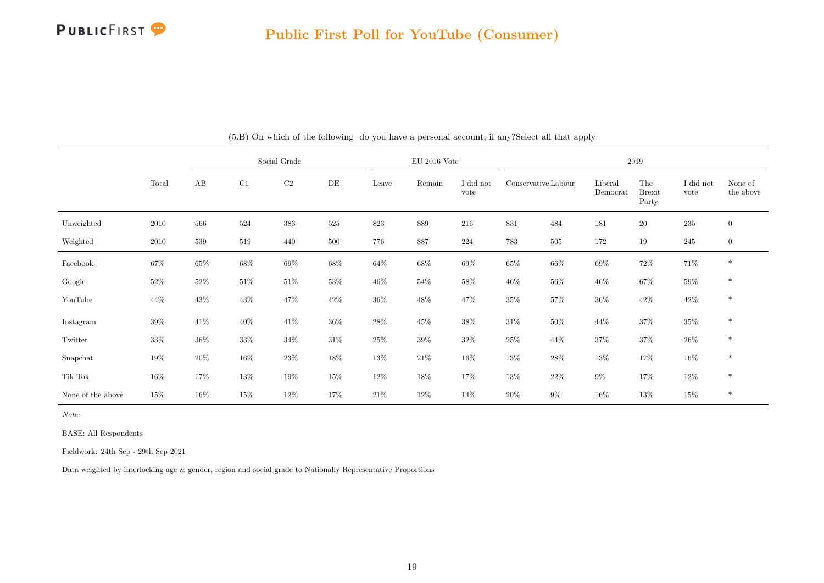

|                   |        |          |        | Social Grade |           |        | $EU$ 2016 Vote |                   |                     |         |                     | $2019\,$                      |                   |                      |
|-------------------|--------|----------|--------|--------------|-----------|--------|----------------|-------------------|---------------------|---------|---------------------|-------------------------------|-------------------|----------------------|
|                   | Total  | $\rm AB$ | C1     | $\rm C2$     | $\rm{DE}$ | Leave  | Remain         | I did not<br>vote | Conservative Labour |         | Liberal<br>Democrat | The<br><b>Brexit</b><br>Party | I did not<br>vote | None of<br>the above |
| Unweighted        | 2010   | 566      | 524    | 383          | 525       | 823    | 889            | 216               | 831                 | 484     | 181                 | 20                            | $\,235$           | $\mathbf{0}$         |
| Weighted          | 2010   | 539      | 519    | 440          | 500       | 776    | 887            | 224               | 783                 | $505\,$ | 172                 | 19                            | 245               | $\mathbf{0}$         |
| Facebook          | $67\%$ | $65\%$   | $68\%$ | $69\%$       | $68\%$    | $64\%$ | $68\%$         | $69\%$            | $65\%$              | $66\%$  | $69\%$              | $72\%$                        | $71\%$            | $\ast$               |
| Google            | $52\%$ | $52\%$   | $51\%$ | $51\%$       | $53\%$    | $46\%$ | $54\%$         | $58\%$            | $46\%$              | $56\%$  | $46\%$              | $67\%$                        | $59\%$            | $\ast$               |
| YouTube           | $44\%$ | 43\%     | $43\%$ | 47%          | $42\%$    | $36\%$ | 48%            | 47\%              | $35\%$              | 57%     | $36\%$              | $42\%$                        | $42\%$            | $\ast$               |
| Instagram         | 39%    | 41\%     | $40\%$ | 41\%         | $36\%$    | 28%    | $45\%$         | $38\%$            | 31%                 | $50\%$  | 44%                 | $37\%$                        | $35\%$            | $\ast$               |
| Twitter           | 33%    | $36\%$   | $33\%$ | $34\%$       | $31\%$    | $25\%$ | $39\%$         | $32\%$            | $25\%$              | 44\%    | $37\%$              | $37\%$                        | $26\%$            | $\ast$               |
| Snapchat          | $19\%$ | $20\%$   | $16\%$ | 23%          | 18%       | $13\%$ | $21\%$         | $16\%$            | $13\%$              | 28\%    | $13\%$              | 17%                           | $16\%$            | $\ast$               |
| Tik Tok           | $16\%$ | 17%      | $13\%$ | 19%          | $15\%$    | $12\%$ | 18%            | 17%               | $13\%$              | $22\%$  | $9\%$               | $17\%$                        | $12\%$            | $\ast$               |
| None of the above | $15\%$ | $16\%$   | 15%    | 12%          | 17%       | $21\%$ | 12\%           | 14%               | $20\%$              | $9\%$   | 16%                 | 13%                           | $15\%$            | $\ast$               |

(5.B) On which of the following do you have a personal account, if any?Select all that apply

Note:

BASE: All Respondents

Fieldwork: 24th Sep - 29th Sep 2021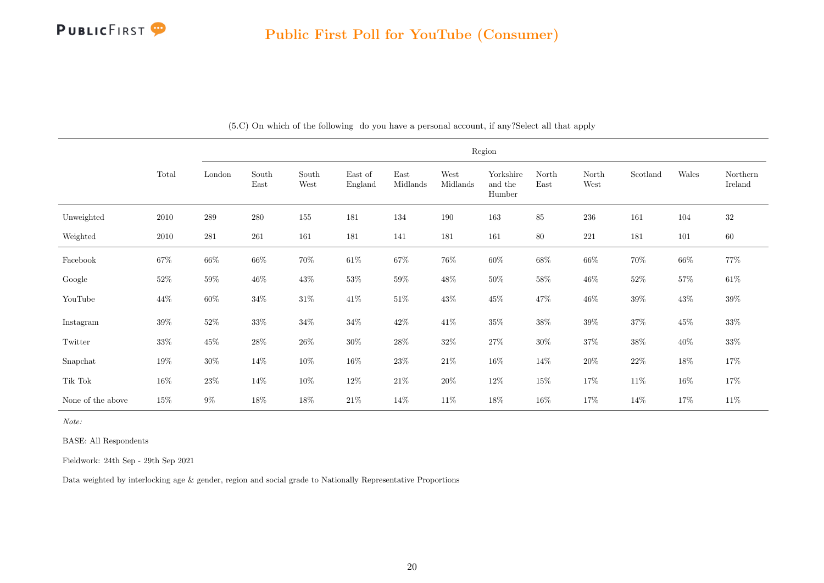

|                   |        |           |               |               |                    |                  |                  | Region                         |               |               |          |        |                     |
|-------------------|--------|-----------|---------------|---------------|--------------------|------------------|------------------|--------------------------------|---------------|---------------|----------|--------|---------------------|
|                   | Total  | London    | South<br>East | South<br>West | East of<br>England | East<br>Midlands | West<br>Midlands | Yorkshire<br>and the<br>Humber | North<br>East | North<br>West | Scotland | Wales  | Northern<br>Ireland |
| Unweighted        | 2010   | 289       | 280           | 155           | 181                | 134              | 190              | 163                            | 85            | $236\,$       | 161      | 104    | $32\,$              |
| Weighted          | 2010   | $\bf 281$ | 261           | 161           | 181                | 141              | 181              | 161                            | $80\,$        | $221\,$       | 181      | 101    | $60\,$              |
| Facebook          | $67\%$ | $66\%$    | 66%           | $70\%$        | $61\%$             | $67\%$           | 76%              | $60\%$                         | 68%           | $66\%$        | 70%      | $66\%$ | $77\%$              |
| Google            | 52\%   | $59\%$    | $46\%$        | $43\%$        | $53\%$             | $59\%$           | $48\%$           | $50\%$                         | $58\%$        | $46\%$        | $52\%$   | $57\%$ | $61\%$              |
| YouTube           | 44%    | 60%       | $34\%$        | $31\%$        | $41\%$             | $51\%$           | 43\%             | $45\%$                         | $47\%$        | $46\%$        | $39\%$   | $43\%$ | $39\%$              |
| Instagram         | $39\%$ | $52\%$    | $33\%$        | $34\%$        | $34\%$             | $42\%$           | $41\%$           | $35\%$                         | $38\%$        | $39\%$        | $37\%$   | $45\%$ | $33\%$              |
| Twitter           | $33\%$ | $45\%$    | $28\%$        | $26\%$        | $30\%$             | $28\%$           | $32\%$           | $27\%$                         | $30\%$        | $37\%$        | $38\%$   | $40\%$ | $33\%$              |
| Snapchat          | 19%    | $30\%$    | $14\%$        | $10\%$        | 16%                | $23\%$           | $21\%$           | $16\%$                         | $14\%$        | $20\%$        | $22\%$   | $18\%$ | $17\%$              |
| Tik Tok           | 16%    | $23\%$    | 14%           | $10\%$        | 12\%               | $21\%$           | $20\%$           | $12\%$                         | $15\%$        | $17\%$        | 11\%     | 16%    | $17\%$              |
| None of the above | $15\%$ | $9\%$     | $18\%$        | 18%           | $21\%$             | 14%              | $11\%$           | 18%                            | 16\%          | 17%           | 14%      | 17%    | $11\%$              |

(5.C) On which of the following do you have a personal account, if any?Select all that apply

Note:

BASE: All Respondents

Fieldwork: 24th Sep - 29th Sep 2021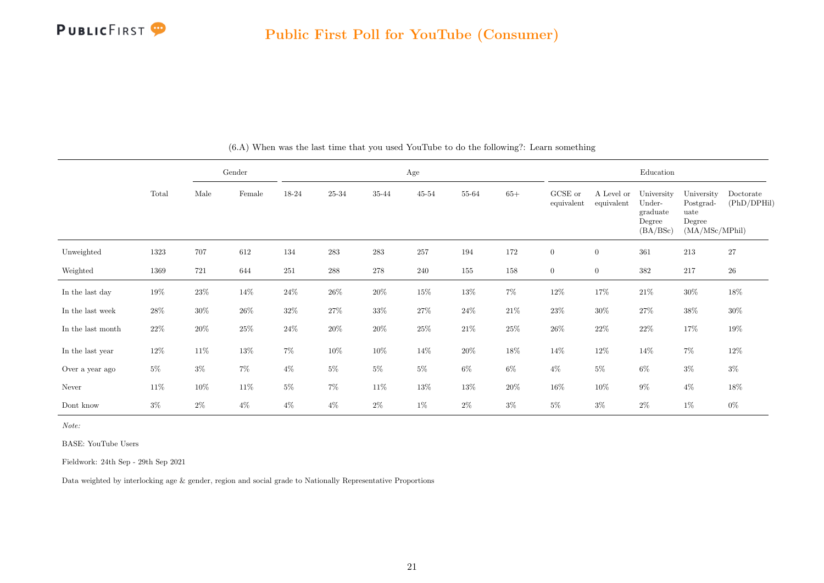

<span id="page-21-0"></span>

|                   |        |        | Gender          |         |           |           | Age    |        |        |                       |                          | Education                                              |                                                             |                          |
|-------------------|--------|--------|-----------------|---------|-----------|-----------|--------|--------|--------|-----------------------|--------------------------|--------------------------------------------------------|-------------------------------------------------------------|--------------------------|
|                   | Total  | Male   | $\mbox{Female}$ | 18-24   | $25 - 34$ | $35 - 44$ | 45-54  | 55-64  | $65+$  | GCSE or<br>equivalent | A Level or<br>equivalent | University<br>Under-<br>graduate<br>Degree<br>(BA/BSc) | University<br>Postgrad-<br>uate<br>Degree<br>(MA/MSc/MPhil) | Doctorate<br>(PhD/DPHil) |
| Unweighted        | 1323   | 707    | 612             | 134     | 283       | 283       | 257    | 194    | 172    | $\overline{0}$        | $\overline{0}$           | 361                                                    | 213                                                         | $27\,$                   |
| Weighted          | 1369   | 721    | 644             | $251\,$ | 288       | $278\,$   | 240    | 155    | 158    | $\overline{0}$        | $\overline{0}$           | $382\,$                                                | 217                                                         | $26\,$                   |
| In the last day   | $19\%$ | $23\%$ | 14%             | $24\%$  | $26\%$    | $20\%$    | $15\%$ | 13%    | $7\%$  | $12\%$                | 17%                      | $21\%$                                                 | $30\%$                                                      | $18\%$                   |
| In the last week  | $28\%$ | $30\%$ | $26\%$          | 32\%    | $27\%$    | $33\%$    | 27%    | $24\%$ | $21\%$ | $23\%$                | $30\%$                   | $27\%$                                                 | $38\%$                                                      | $30\%$                   |
| In the last month | $22\%$ | $20\%$ | $25\%$          | $24\%$  | $20\%$    | $20\%$    | $25\%$ | $21\%$ | $25\%$ | $26\%$                | $22\%$                   | $22\%$                                                 | $17\%$                                                      | $19\%$                   |
| In the last year  | $12\%$ | 11\%   | $13\%$          | $7\%$   | $10\%$    | $10\%$    | 14%    | $20\%$ | 18%    | 14\%                  | $12\%$                   | 14\%                                                   | $7\%$                                                       | $12\%$                   |
| Over a year ago   | $5\%$  | $3\%$  | $7\%$           | $4\%$   | $5\%$     | $5\%$     | $5\%$  | $6\%$  | $6\%$  | $4\%$                 | $5\%$                    | $6\%$                                                  | $3\%$                                                       | $3\%$                    |
| Never             | $11\%$ | 10%    | $11\%$          | $5\%$   | $7\%$     | 11\%      | $13\%$ | 13%    | $20\%$ | $16\%$                | $10\%$                   | $9\%$                                                  | $4\%$                                                       | $18\%$                   |
| Dont know         | $3\%$  | $2\%$  | $4\%$           | $4\%$   | $4\%$     | $2\%$     | $1\%$  | $2\%$  | $3\%$  | 5%                    | $3\%$                    | $2\%$                                                  | $1\%$                                                       | $0\%$                    |

(6.A) When was the last time that you used YouTube to do the following?: Learn something

Note:

BASE: YouTube Users

Fieldwork: 24th Sep - 29th Sep 2021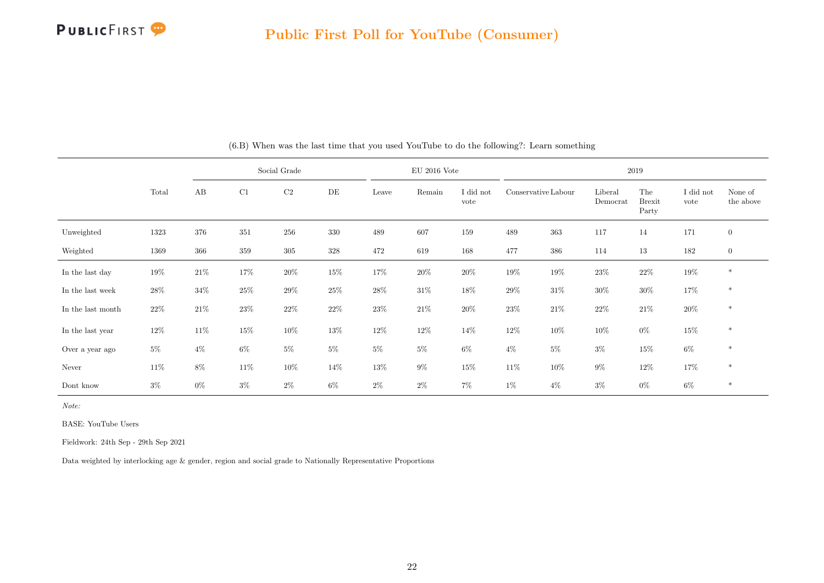

|                   |        |        |         | Social Grade |        |        | $EU$ 2016 Vote |                   |                     |        |                     | 2019                          |                   |                      |
|-------------------|--------|--------|---------|--------------|--------|--------|----------------|-------------------|---------------------|--------|---------------------|-------------------------------|-------------------|----------------------|
|                   | Total  | AB     | C1      | $\rm C2$     | DE     | Leave  | Remain         | I did not<br>vote | Conservative Labour |        | Liberal<br>Democrat | The<br><b>Brexit</b><br>Party | I did not<br>vote | None of<br>the above |
| Unweighted        | 1323   | 376    | 351     | 256          | 330    | 489    | 607            | 159               | 489                 | 363    | 117                 | 14                            | 171               | $\overline{0}$       |
| Weighted          | 1369   | 366    | $359\,$ | $305\,$      | 328    | 472    | 619            | 168               | 477                 | 386    | 114                 | $13\,$                        | 182               | $\mathbf{0}$         |
| In the last day   | $19\%$ | $21\%$ | 17%     | $20\%$       | $15\%$ | 17%    | $20\%$         | $20\%$            | $19\%$              | 19%    | 23\%                | $22\%$                        | $19\%$            | $\ast$               |
| In the last week  | $28\%$ | $34\%$ | $25\%$  | 29%          | $25\%$ | $28\%$ | $31\%$         | $18\%$            | $29\%$              | $31\%$ | $30\%$              | $30\%$                        | 17%               | $\ast$               |
| In the last month | $22\%$ | $21\%$ | $23\%$  | $22\%$       | $22\%$ | $23\%$ | $21\%$         | $20\%$            | $23\%$              | $21\%$ | $22\%$              | $21\%$                        | $20\%$            | $\ast$               |
| In the last year  | $12\%$ | $11\%$ | $15\%$  | $10\%$       | 13%    | 12\%   | $12\%$         | 14%               | $12\%$              | $10\%$ | $10\%$              | $0\%$                         | $15\%$            | $\ast$               |
| Over a year ago   | $5\%$  | $4\%$  | $6\%$   | $5\%$        | $5\%$  | $5\%$  | $5\%$          | $6\%$             | $4\%$               | $5\%$  | $3\%$               | $15\%$                        | $6\%$             | $\ast$               |
| Never             | $11\%$ | $8\%$  | $11\%$  | $10\%$       | 14%    | 13%    | $9\%$          | 15%               | 11\%                | $10\%$ | $9\%$               | $12\%$                        | $17\%$            | $\ast$               |
| Dont know         | $3\%$  | $0\%$  | $3\%$   | $2\%$        | $6\%$  | $2\%$  | $2\%$          | 7%                | $1\%$               | $4\%$  | $3\%$               | $0\%$                         | $6\%$             | $\ast$               |

|  |  |  |  |  | (6.B) When was the last time that you used YouTube to do the following?: Learn something |  |  |  |
|--|--|--|--|--|------------------------------------------------------------------------------------------|--|--|--|
|  |  |  |  |  |                                                                                          |  |  |  |

Note:

BASE: YouTube Users

Fieldwork: 24th Sep - 29th Sep 2021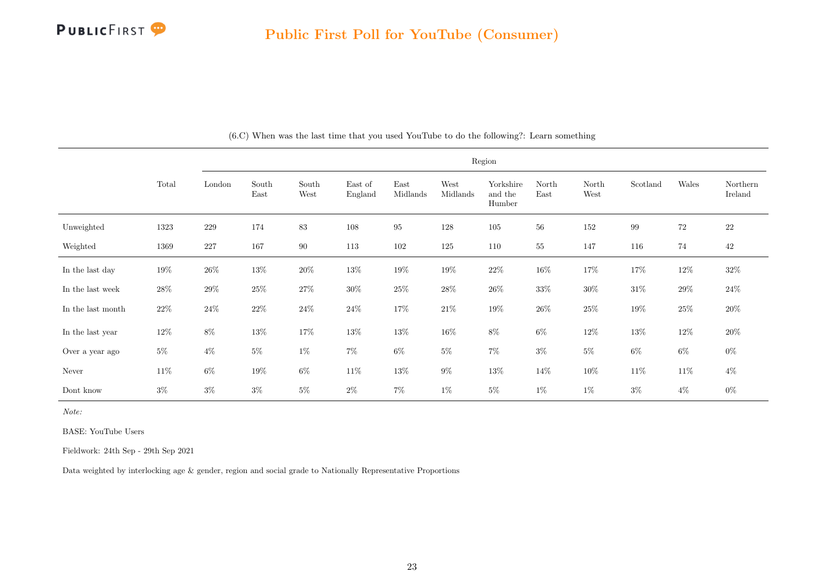

|                   |        |         |               |               |                    |                  |                  | Region                         |               |               |          |        |                     |
|-------------------|--------|---------|---------------|---------------|--------------------|------------------|------------------|--------------------------------|---------------|---------------|----------|--------|---------------------|
|                   | Total  | London  | South<br>East | South<br>West | East of<br>England | East<br>Midlands | West<br>Midlands | Yorkshire<br>and the<br>Humber | North<br>East | North<br>West | Scotland | Wales  | Northern<br>Ireland |
| Unweighted        | 1323   | $229\,$ | 174           | 83            | 108                | $\rm 95$         | 128              | $105\,$                        | 56            | 152           | 99       | 72     | <b>22</b>           |
| Weighted          | 1369   | $227\,$ | 167           | 90            | 113                | 102              | 125              | 110                            | $\sqrt{55}$   | 147           | 116      | 74     | 42                  |
| In the last day   | $19\%$ | $26\%$  | $13\%$        | $20\%$        | $13\%$             | 19%              | 19%              | $22\%$                         | 16%           | $17\%$        | $17\%$   | 12\%   | $32\%$              |
| In the last week  | 28\%   | $29\%$  | $25\%$        | $27\%$        | $30\%$             | 25\%             | $28\%$           | $26\%$                         | 33%           | $30\%$        | $31\%$   | 29%    | $24\%$              |
| In the last month | $22\%$ | $24\%$  | $22\%$        | $24\%$        | $24\%$             | $17\%$           | $21\%$           | 19%                            | $26\%$        | $25\%$        | $19\%$   | $25\%$ | $20\%$              |
| In the last year  | $12\%$ | $8\%$   | $13\%$        | $17\%$        | $13\%$             | $13\%$           | $16\%$           | $8\%$                          | $6\%$         | $12\%$        | $13\%$   | $12\%$ | $20\%$              |
| Over a year ago   | $5\%$  | $4\%$   | $5\%$         | $1\%$         | $7\%$              | $6\%$            | $5\%$            | $7\%$                          | $3\%$         | $5\%$         | $6\%$    | $6\%$  | $0\%$               |
| Never             | $11\%$ | $6\%$   | $19\%$        | $6\%$         | $11\%$             | $13\%$           | $9\%$            | $13\%$                         | $14\%$        | $10\%$        | $11\%$   | $11\%$ | $4\%$               |
| Dont know         | $3\%$  | $3\%$   | $3\%$         | $5\%$         | $2\%$              | $7\%$            | $1\%$            | $5\%$                          | $1\%$         | $1\%$         | $3\%$    | $4\%$  | $0\%$               |

(6.C) When was the last time that you used YouTube to do the following?: Learn something

Note:

BASE: YouTube Users

Fieldwork: 24th Sep - 29th Sep 2021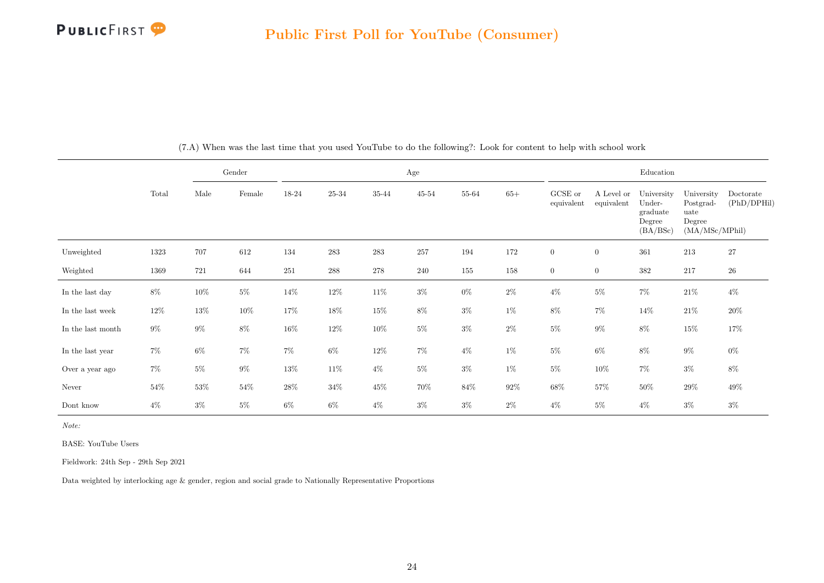

<span id="page-24-0"></span>

|                   |        |        | Gender |         |           |           | Age       |        |        |                       |                          | Education                                              |                                                             |                          |
|-------------------|--------|--------|--------|---------|-----------|-----------|-----------|--------|--------|-----------------------|--------------------------|--------------------------------------------------------|-------------------------------------------------------------|--------------------------|
|                   | Total  | Male   | Female | 18-24   | $25 - 34$ | $35 - 44$ | $45 - 54$ | 55-64  | $65+$  | GCSE or<br>equivalent | A Level or<br>equivalent | University<br>Under-<br>graduate<br>Degree<br>(BA/BSc) | University<br>Postgrad-<br>uate<br>Degree<br>(MA/MSc/MPhil) | Doctorate<br>(PhD/DPHil) |
| Unweighted        | 1323   | 707    | 612    | 134     | 283       | 283       | 257       | 194    | 172    | $\overline{0}$        | $\boldsymbol{0}$         | 361                                                    | 213                                                         | $27\,$                   |
| Weighted          | 1369   | 721    | 644    | $251\,$ | 288       | 278       | 240       | 155    | 158    | $\overline{0}$        | $\overline{0}$           | $382\,$                                                | 217                                                         | $26\,$                   |
| In the last day   | $8\%$  | 10%    | $5\%$  | $14\%$  | $12\%$    | $11\%$    | $3\%$     | $0\%$  | $2\%$  | $4\%$                 | $5\%$                    | $7\%$                                                  | $21\%$                                                      | $4\%$                    |
| In the last week  | $12\%$ | 13%    | $10\%$ | $17\%$  | $18\%$    | $15\%$    | $8\%$     | $3\%$  | $1\%$  | $8\%$                 | $7\%$                    | $14\%$                                                 | $21\%$                                                      | $20\%$                   |
| In the last month | $9\%$  | $9\%$  | $8\%$  | $16\%$  | 12%       | $10\%$    | $5\%$     | $3\%$  | $2\%$  | $5\%$                 | $9\%$                    | $8\%$                                                  | $15\%$                                                      | 17%                      |
| In the last year  | $7\%$  | $6\%$  | $7\%$  | $7\%$   | $6\%$     | $12\%$    | $7\%$     | $4\%$  | $1\%$  | $5\%$                 | $6\%$                    | $8\%$                                                  | $9\%$                                                       | $0\%$                    |
| Over a year ago   | $7\%$  | $5\%$  | $9\%$  | $13\%$  | $11\%$    | $4\%$     | $5\%$     | $3\%$  | $1\%$  | $5\%$                 | $10\%$                   | $7\%$                                                  | $3\%$                                                       | $8\%$                    |
| Never             | $54\%$ | $53\%$ | $54\%$ | $28\%$  | $34\%$    | $45\%$    | $70\%$    | $84\%$ | $92\%$ | $68\%$                | 57%                      | $50\%$                                                 | $29\%$                                                      | $49\%$                   |
| Dont know         | $4\%$  | $3\%$  | $5\%$  | $6\%$   | $6\%$     | $4\%$     | $3\%$     | $3\%$  | $2\%$  | $4\%$                 | $5\%$                    | $4\%$                                                  | $3\%$                                                       | $3\%$                    |

(7.A) When was the last time that you used YouTube to do the following?: Look for content to help with school work

Note:

BASE: YouTube Users

Fieldwork: 24th Sep - 29th Sep 2021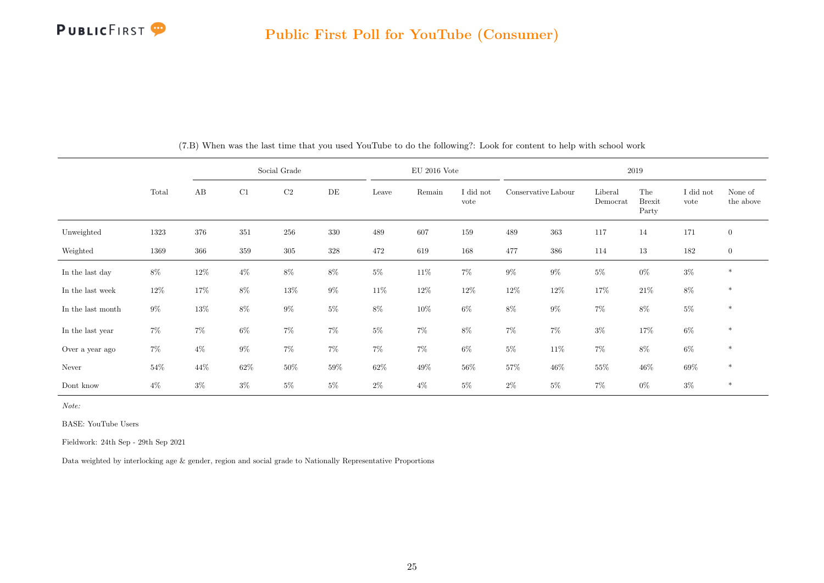

|                   |       |       |        | Social Grade |       |        | $EU$ 2016 Vote |                   |                     |        |                     | 2019                          |                   |                      |
|-------------------|-------|-------|--------|--------------|-------|--------|----------------|-------------------|---------------------|--------|---------------------|-------------------------------|-------------------|----------------------|
|                   | Total | AB    | C1     | C2           | DE    | Leave  | Remain         | I did not<br>vote | Conservative Labour |        | Liberal<br>Democrat | The<br><b>Brexit</b><br>Party | I did not<br>vote | None of<br>the above |
| Unweighted        | 1323  | 376   | 351    | 256          | 330   | 489    | 607            | 159               | 489                 | 363    | 117                 | 14                            | 171               | $\mathbf{0}$         |
| Weighted          | 1369  | 366   | 359    | $305\,$      | 328   | 472    | 619            | 168               | 477                 | 386    | 114                 | 13                            | 182               | $\mathbf{0}$         |
| In the last day   | $8\%$ | 12\%  | $4\%$  | $8\%$        | $8\%$ | $5\%$  | $11\%$         | $7\%$             | $9\%$               | $9\%$  | $5\%$               | $0\%$                         | $3\%$             | $\ast$               |
| In the last week  | 12%   | 17%   | $8\%$  | 13%          | $9\%$ | $11\%$ | $12\%$         | $12\%$            | 12\%                | 12\%   | 17%                 | $21\%$                        | $8\%$             | $\ast$               |
| In the last month | $9\%$ | 13%   | $8\%$  | $9\%$        | $5\%$ | $8\%$  | $10\%$         | $6\%$             | $8\%$               | $9\%$  | $7\%$               | $8\%$                         | $5\%$             | $\ast$               |
| In the last year  | $7\%$ | $7\%$ | $6\%$  | $7\%$        | $7\%$ | $5\%$  | $7\%$          | 8%                | $7\%$               | $7\%$  | $3\%$               | 17%                           | $6\%$             | $\ast$               |
| Over a year ago   | $7\%$ | $4\%$ | $9\%$  | $7\%$        | $7\%$ | $7\%$  | $7\%$          | 6%                | $5\%$               | 11\%   | 7%                  | $8\%$                         | $6\%$             | $\ast$               |
| Never             | 54%   | 44\%  | $62\%$ | $50\%$       | 59%   | $62\%$ | 49%            | 56%               | $57\%$              | $46\%$ | 55%                 | $46\%$                        | 69%               | $\ast$               |
| Dont know         | $4\%$ | $3\%$ | $3\%$  | $5\%$        | $5\%$ | $2\%$  | $4\%$          | $5\%$             | $2\%$               | $5\%$  | 7%                  | $0\%$                         | $3\%$             | $\ast$               |

(7.B) When was the last time that you used YouTube to do the following?: Look for content to help with school work

Note:

BASE: YouTube Users

Fieldwork: 24th Sep - 29th Sep 2021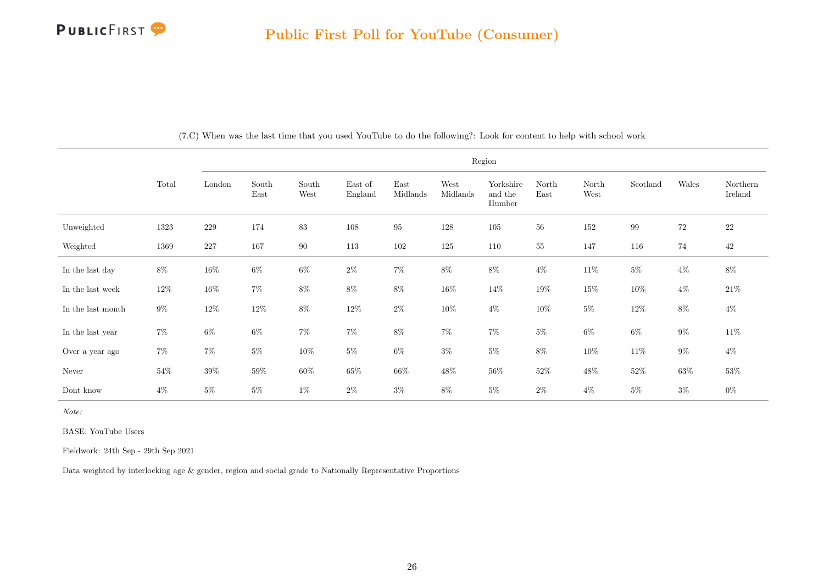

|                   |        |         |               |               |                    |                  |                  | Region                         |               |               |          |        |                     |
|-------------------|--------|---------|---------------|---------------|--------------------|------------------|------------------|--------------------------------|---------------|---------------|----------|--------|---------------------|
|                   | Total  | London  | South<br>East | South<br>West | East of<br>England | East<br>Midlands | West<br>Midlands | Yorkshire<br>and the<br>Humber | North<br>East | North<br>West | Scotland | Wales  | Northern<br>Ireland |
| Unweighted        | 1323   | $229\,$ | 174           | 83            | 108                | $\rm 95$         | 128              | $105\,$                        | 56            | 152           | 99       | 72     | $22\,$              |
| Weighted          | 1369   | $227\,$ | 167           | $90\,$        | 113                | 102              | 125              | 110                            | 55            | 147           | 116      | 74     | $42\,$              |
| In the last day   | $8\%$  | $16\%$  | $6\%$         | $6\%$         | $2\%$              | $7\%$            | $8\%$            | $8\%$                          | $4\%$         | $11\%$        | $5\%$    | $4\%$  | $8\%$               |
| In the last week  | 12\%   | $16\%$  | $7\%$         | $8\%$         | $8\%$              | $8\%$            | $16\%$           | $14\%$                         | $19\%$        | $15\%$        | 10%      | $4\%$  | $21\%$              |
| In the last month | $9\%$  | $12\%$  | $12\%$        | $8\%$         | $12\%$             | $2\%$            | $10\%$           | $4\%$                          | $10\%$        | $5\%$         | $12\%$   | $8\%$  | $4\%$               |
| In the last year  | $7\%$  | $6\%$   | $6\%$         | $7\%$         | $7\%$              | $8\%$            | $7\%$            | $7\%$                          | $5\%$         | $6\%$         | $6\%$    | $9\%$  | $11\%$              |
| Over a year ago   | $7\%$  | $7\%$   | $5\%$         | $10\%$        | $5\%$              | $6\%$            | $3\%$            | $5\%$                          | $8\%$         | $10\%$        | $11\%$   | $9\%$  | $4\%$               |
| Never             | $54\%$ | $39\%$  | $59\%$        | $60\%$        | $65\%$             | $66\%$           | $48\%$           | $56\%$                         | $52\%$        | $48\%$        | $52\%$   | $63\%$ | $53\%$              |
| Dont know         | $4\%$  | $5\%$   | $5\%$         | $1\%$         | $2\%$              | $3\%$            | $8\%$            | $5\%$                          | $2\%$         | $4\%$         | $5\%$    | $3\%$  | $0\%$               |

(7.C) When was the last time that you used YouTube to do the following?: Look for content to help with school work

Note:

BASE: YouTube Users

Fieldwork: 24th Sep - 29th Sep 2021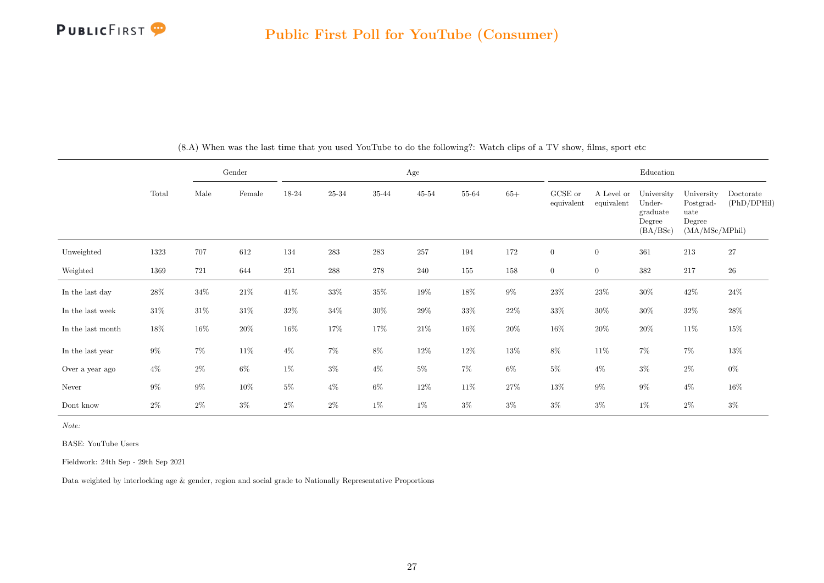

<span id="page-27-0"></span>

|                   |        |        | Gender |         |           |           | Age       |        |        |                       |                          | Education                                              |                                                             |                          |
|-------------------|--------|--------|--------|---------|-----------|-----------|-----------|--------|--------|-----------------------|--------------------------|--------------------------------------------------------|-------------------------------------------------------------|--------------------------|
|                   | Total  | Male   | Female | 18-24   | $25 - 34$ | $35 - 44$ | $45 - 54$ | 55-64  | $65+$  | GCSE or<br>equivalent | A Level or<br>equivalent | University<br>Under-<br>graduate<br>Degree<br>(BA/BSc) | University<br>Postgrad-<br>uate<br>Degree<br>(MA/MSc/MPhil) | Doctorate<br>(PhD/DPHil) |
| Unweighted        | 1323   | 707    | 612    | 134     | 283       | 283       | 257       | 194    | 172    | $\overline{0}$        | $\boldsymbol{0}$         | 361                                                    | 213                                                         | $27\,$                   |
| Weighted          | 1369   | 721    | 644    | $251\,$ | 288       | 278       | 240       | 155    | 158    | $\overline{0}$        | $\overline{0}$           | $382\,$                                                | 217                                                         | $26\,$                   |
| In the last day   | $28\%$ | $34\%$ | $21\%$ | $41\%$  | $33\%$    | $35\%$    | $19\%$    | $18\%$ | $9\%$  | $23\%$                | $23\%$                   | $30\%$                                                 | $42\%$                                                      | $24\%$                   |
| In the last week  | $31\%$ | $31\%$ | $31\%$ | $32\%$  | $34\%$    | $30\%$    | $29\%$    | $33\%$ | $22\%$ | $33\%$                | $30\%$                   | $30\%$                                                 | $32\%$                                                      | $28\%$                   |
| In the last month | 18%    | 16%    | $20\%$ | $16\%$  | 17%       | 17%       | $21\%$    | $16\%$ | $20\%$ | $16\%$                | $20\%$                   | $20\%$                                                 | $11\%$                                                      | $15\%$                   |
| In the last year  | $9\%$  | $7\%$  | $11\%$ | $4\%$   | $7\%$     | $8\%$     | 12\%      | 12\%   | $13\%$ | $8\%$                 | $11\%$                   | $7\%$                                                  | $7\%$                                                       | $13\%$                   |
| Over a year ago   | $4\%$  | $2\%$  | $6\%$  | $1\%$   | $3\%$     | $4\%$     | $5\%$     | $7\%$  | $6\%$  | $5\%$                 | $4\%$                    | $3\%$                                                  | $2\%$                                                       | $0\%$                    |
| Never             | $9\%$  | $9\%$  | $10\%$ | $5\%$   | $4\%$     | $6\%$     | $12\%$    | 11\%   | $27\%$ | $13\%$                | $9\%$                    | $9\%$                                                  | $4\%$                                                       | $16\%$                   |
| Dont know         | $2\%$  | $2\%$  | $3\%$  | $2\%$   | $2\%$     | $1\%$     | $1\%$     | $3\%$  | $3\%$  | $3\%$                 | $3\%$                    | $1\%$                                                  | $2\%$                                                       | $3\%$                    |

(8.A) When was the last time that you used YouTube to do the following?: Watch clips of a TV show, films, sport etc

Note:

BASE: YouTube Users

Fieldwork: 24th Sep - 29th Sep 2021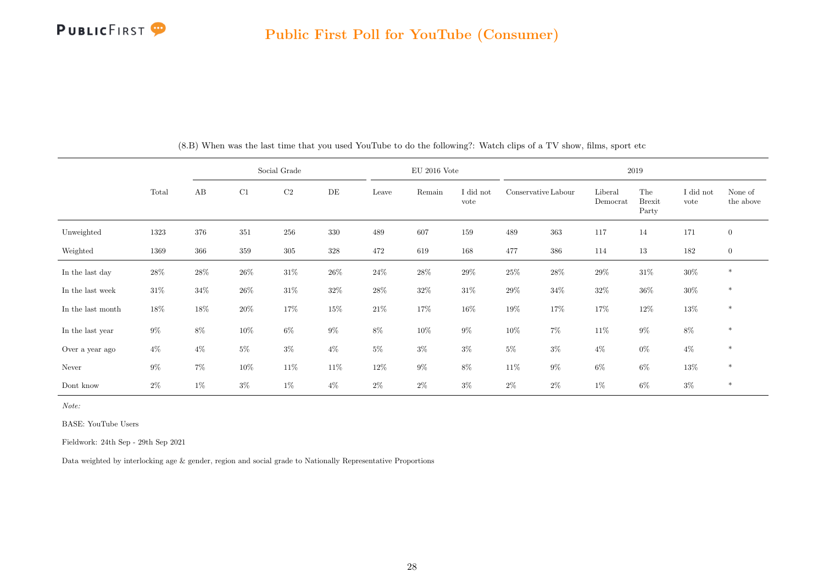

|                   |        |        |         | Social Grade |        |        | $EU$ 2016 Vote |                   |                     |        |                     | 2019                          |                   |                      |
|-------------------|--------|--------|---------|--------------|--------|--------|----------------|-------------------|---------------------|--------|---------------------|-------------------------------|-------------------|----------------------|
|                   | Total  | AB     | C1      | C2           | DE     | Leave  | Remain         | I did not<br>vote | Conservative Labour |        | Liberal<br>Democrat | The<br><b>Brexit</b><br>Party | I did not<br>vote | None of<br>the above |
| Unweighted        | 1323   | 376    | $351\,$ | $256\,$      | 330    | 489    | 607            | 159               | $\!489$             | 363    | 117                 | 14                            | 171               | $\mathbf{0}$         |
| Weighted          | 1369   | 366    | $359\,$ | $305\,$      | 328    | 472    | 619            | 168               | 477                 | 386    | 114                 | 13                            | 182               | $\mathbf{0}$         |
| In the last day   | $28\%$ | $28\%$ | $26\%$  | $31\%$       | $26\%$ | $24\%$ | 28\%           | $29\%$            | $25\%$              | $28\%$ | $29\%$              | $31\%$                        | $30\%$            | $\ast$               |
| In the last week  | $31\%$ | 34%    | $26\%$  | $31\%$       | 32\%   | $28\%$ | $32\%$         | 31\%              | 29%                 | $34\%$ | 32%                 | $36\%$                        | $30\%$            | $\ast$               |
| In the last month | 18%    | 18%    | $20\%$  | 17%          | 15%    | $21\%$ | 17%            | 16%               | 19%                 | 17%    | 17%                 | 12\%                          | $13\%$            | $\ast$               |
| In the last year  | $9\%$  | 8%     | $10\%$  | $6\%$        | 9%     | 8%     | $10\%$         | $9\%$             | $10\%$              | $7\%$  | 11%                 | $9\%$                         | $8\%$             | $\ast$               |
| Over a year ago   | $4\%$  | $4\%$  | $5\%$   | $3\%$        | $4\%$  | $5\%$  | $3\%$          | $3\%$             | $5\%$               | $3\%$  | $4\%$               | $0\%$                         | $4\%$             | $\ast$               |
| Never             | $9\%$  | $7\%$  | $10\%$  | $11\%$       | $11\%$ | $12\%$ | $9\%$          | 8%                | $11\%$              | $9\%$  | $6\%$               | $6\%$                         | 13%               | $\ast$               |
| Dont know         | $2\%$  | $1\%$  | $3\%$   | $1\%$        | $4\%$  | $2\%$  | $2\%$          | $3\%$             | $2\%$               | $2\%$  | 1%                  | $6\%$                         | $3\%$             | $\ast$               |

(8.B) When was the last time that you used YouTube to do the following?: Watch clips of a TV show, films, sport etc

Note:

BASE: YouTube Users

Fieldwork: 24th Sep - 29th Sep 2021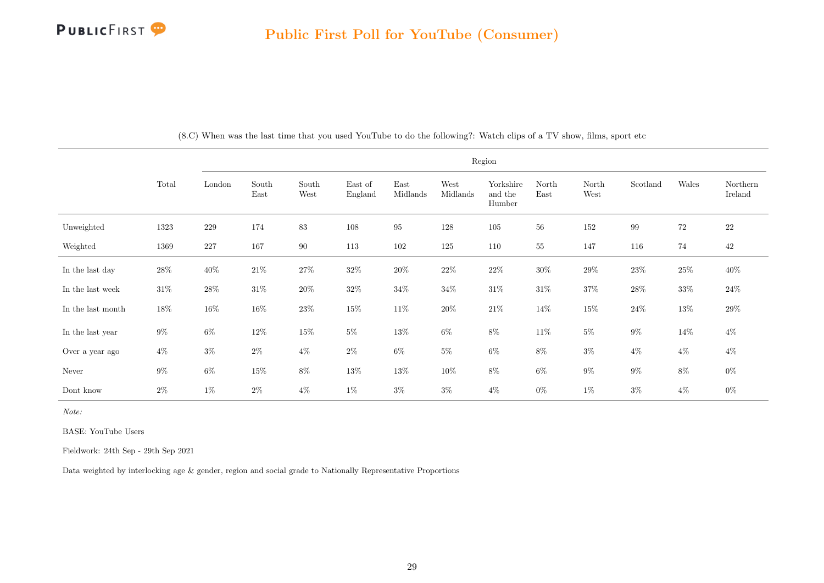

|                   |        |         |               |               |                    |                  |                  | Region                         |               |               |          |        |                     |
|-------------------|--------|---------|---------------|---------------|--------------------|------------------|------------------|--------------------------------|---------------|---------------|----------|--------|---------------------|
|                   | Total  | London  | South<br>East | South<br>West | East of<br>England | East<br>Midlands | West<br>Midlands | Yorkshire<br>and the<br>Humber | North<br>East | North<br>West | Scotland | Wales  | Northern<br>Ireland |
| Unweighted        | 1323   | $229\,$ | 174           | $83\,$        | 108                | $\rm 95$         | 128              | $105\,$                        | 56            | $152\,$       | $\,99$   | $72\,$ | $22\,$              |
| Weighted          | 1369   | 227     | 167           | $90\,$        | 113                | 102              | 125              | 110                            | 55            | 147           | 116      | 74     | 42                  |
| In the last day   | $28\%$ | $40\%$  | $21\%$        | $27\%$        | $32\%$             | $20\%$           | $22\%$           | $22\%$                         | $30\%$        | $29\%$        | $23\%$   | $25\%$ | $40\%$              |
| In the last week  | $31\%$ | $28\%$  | $31\%$        | $20\%$        | $32\%$             | $34\%$           | $34\%$           | $31\%$                         | $31\%$        | $37\%$        | $28\%$   | $33\%$ | $24\%$              |
| In the last month | $18\%$ | $16\%$  | $16\%$        | $23\%$        | $15\%$             | $11\%$           | $20\%$           | $21\%$                         | 14\%          | $15\%$        | $24\%$   | $13\%$ | $29\%$              |
| In the last year  | $9\%$  | $6\%$   | $12\%$        | $15\%$        | $5\%$              | $13\%$           | $6\%$            | $8\%$                          | $11\%$        | $5\%$         | $9\%$    | 14%    | $4\%$               |
| Over a year ago   | $4\%$  | $3\%$   | $2\%$         | $4\%$         | $2\%$              | $6\%$            | $5\%$            | $6\%$                          | $8\%$         | $3\%$         | $4\%$    | $4\%$  | $4\%$               |
| Never             | $9\%$  | $6\%$   | $15\%$        | $8\%$         | $13\%$             | 13%              | 10%              | $8\%$                          | $6\%$         | $9\%$         | $9\%$    | $8\%$  | $0\%$               |
| Dont know         | $2\%$  | $1\%$   | $2\%$         | $4\%$         | $1\%$              | $3\%$            | $3\%$            | $4\%$                          | $0\%$         | $1\%$         | $3\%$    | $4\%$  | $0\%$               |

(8.C) When was the last time that you used YouTube to do the following?: Watch clips of a TV show, films, sport etc

Note:

BASE: YouTube Users

Fieldwork: 24th Sep - 29th Sep 2021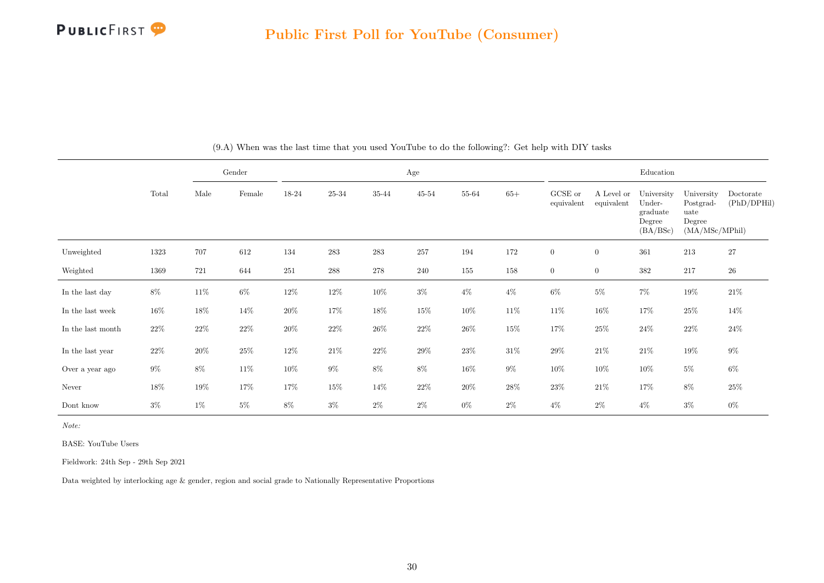

<span id="page-30-0"></span>

|                   |        |        | Gender          |        |           |        | Age    |        |        |                       |                          | Education                                              |                                                             |                          |
|-------------------|--------|--------|-----------------|--------|-----------|--------|--------|--------|--------|-----------------------|--------------------------|--------------------------------------------------------|-------------------------------------------------------------|--------------------------|
|                   | Total  | Male   | $\mbox{Female}$ | 18-24  | $25 - 34$ | 35-44  | 45-54  | 55-64  | $65+$  | GCSE or<br>equivalent | A Level or<br>equivalent | University<br>Under-<br>graduate<br>Degree<br>(BA/BSc) | University<br>Postgrad-<br>uate<br>Degree<br>(MA/MSc/MPhil) | Doctorate<br>(PhD/DPHil) |
| Unweighted        | 1323   | 707    | 612             | 134    | 283       | 283    | 257    | 194    | 172    | $\overline{0}$        | $\overline{0}$           | 361                                                    | 213                                                         | 27                       |
| Weighted          | 1369   | 721    | 644             | 251    | 288       | 278    | 240    | 155    | 158    | $\overline{0}$        | $\overline{0}$           | $382\,$                                                | 217                                                         | $26\,$                   |
| In the last day   | $8\%$  | 11\%   | $6\%$           | $12\%$ | 12\%      | $10\%$ | $3\%$  | $4\%$  | $4\%$  | $6\%$                 | $5\%$                    | $7\%$                                                  | $19\%$                                                      | $21\%$                   |
| In the last week  | $16\%$ | 18%    | $14\%$          | $20\%$ | 17%       | $18\%$ | $15\%$ | $10\%$ | $11\%$ | $11\%$                | $16\%$                   | 17%                                                    | $25\%$                                                      | 14%                      |
| In the last month | $22\%$ | $22\%$ | $22\%$          | $20\%$ | $22\%$    | $26\%$ | $22\%$ | $26\%$ | $15\%$ | $17\%$                | $25\%$                   | $24\%$                                                 | $22\%$                                                      | $24\%$                   |
| In the last year  | $22\%$ | $20\%$ | $25\%$          | $12\%$ | $21\%$    | $22\%$ | $29\%$ | $23\%$ | $31\%$ | $29\%$                | $21\%$                   | $21\%$                                                 | $19\%$                                                      | $9\%$                    |
| Over a year ago   | $9\%$  | $8\%$  | 11\%            | $10\%$ | $9\%$     | $8\%$  | $8\%$  | $16\%$ | $9\%$  | $10\%$                | $10\%$                   | $10\%$                                                 | $5\%$                                                       | $6\%$                    |
| Never             | $18\%$ | 19%    | 17%             | 17%    | 15%       | $14\%$ | $22\%$ | $20\%$ | 28\%   | $23\%$                | $21\%$                   | 17%                                                    | $8\%$                                                       | $25\%$                   |
| Dont know         | $3\%$  | $1\%$  | $5\%$           | $8\%$  | $3\%$     | $2\%$  | $2\%$  | $0\%$  | $2\%$  | $4\%$                 | $2\%$                    | $4\%$                                                  | $3\%$                                                       | $0\%$                    |

(9.A) When was the last time that you used YouTube to do the following?: Get help with DIY tasks

Note:

BASE: YouTube Users

Fieldwork: 24th Sep - 29th Sep 2021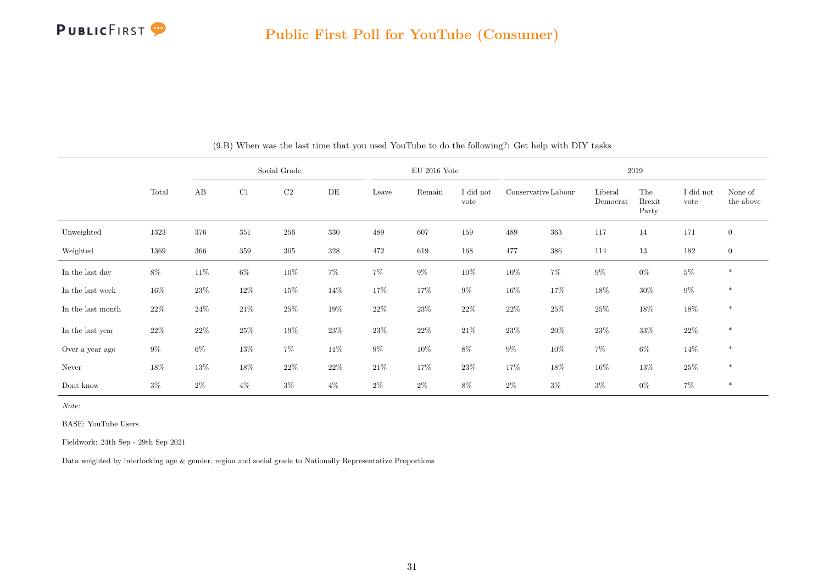

|                   |        |        |        | Social Grade |        |        | $EU$ 2016 Vote |                   |                     |        |                     | 2019                          |                   |                      |
|-------------------|--------|--------|--------|--------------|--------|--------|----------------|-------------------|---------------------|--------|---------------------|-------------------------------|-------------------|----------------------|
|                   | Total  | AB     | C1     | C2           | DE     | Leave  | Remain         | I did not<br>vote | Conservative Labour |        | Liberal<br>Democrat | The<br><b>Brexit</b><br>Party | I did not<br>vote | None of<br>the above |
| Unweighted        | 1323   | 376    | 351    | 256          | 330    | 489    | 607            | 159               | 489                 | 363    | 117                 | $14\,$                        | 171               | $\mathbf{0}$         |
| Weighted          | 1369   | 366    | 359    | $305\,$      | 328    | 472    | 619            | 168               | 477                 | 386    | 114                 | $13\,$                        | 182               | $\mathbf{0}$         |
| In the last day   | $8\%$  | 11\%   | $6\%$  | $10\%$       | $7\%$  | $7\%$  | $9\%$          | $10\%$            | $10\%$              | $7\%$  | $9\%$               | $0\%$                         | $5\%$             | $\ast$               |
| In the last week  | $16\%$ | $23\%$ | $12\%$ | $15\%$       | 14%    | 17%    | 17%            | $9\%$             | $16\%$              | 17%    | 18%                 | $30\%$                        | $9\%$             | $\ast$               |
| In the last month | $22\%$ | 24%    | $21\%$ | 25%          | 19%    | $22\%$ | 23\%           | 22%               | $22\%$              | $25\%$ | 25%                 | $18\%$                        | $18\%$            | $\ast$               |
| In the last year  | $22\%$ | 22%    | $25\%$ | $19\%$       | $23\%$ | $23\%$ | $22\%$         | $21\%$            | $23\%$              | $20\%$ | $23\%$              | $33\%$                        | $22\%$            | $\ast$               |
| Over a year ago   | $9\%$  | $6\%$  | $13\%$ | $7\%$        | 11\%   | $9\%$  | $10\%$         | 8%                | $9\%$               | $10\%$ | 7%                  | $6\%$                         | 14%               | $\ast$               |
| Never             | $18\%$ | $13\%$ | $18\%$ | $22\%$       | $22\%$ | $21\%$ | 17%            | $23\%$            | 17%                 | 18%    | $16\%$              | $13\%$                        | $25\%$            | $\ast$               |
| Dont know         | $3\%$  | $2\%$  | $4\%$  | $3\%$        | $4\%$  | $2\%$  | $2\%$          | 8%                | $2\%$               | $3\%$  | $3\%$               | $0\%$                         | 7%                | $\ast$               |

(9.B) When was the last time that you used YouTube to do the following?: Get help with DIY tasks

Note:

BASE: YouTube Users

Fieldwork: 24th Sep - 29th Sep 2021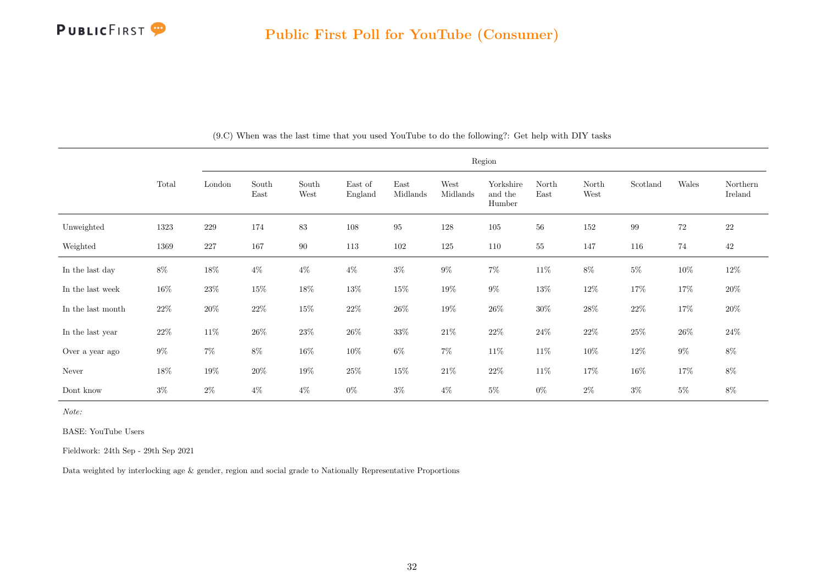

|                   |        |         |               |               |                    |                  |                  | Region                         |               |               |          |        |                     |
|-------------------|--------|---------|---------------|---------------|--------------------|------------------|------------------|--------------------------------|---------------|---------------|----------|--------|---------------------|
|                   | Total  | London  | South<br>East | South<br>West | East of<br>England | East<br>Midlands | West<br>Midlands | Yorkshire<br>and the<br>Humber | North<br>East | North<br>West | Scotland | Wales  | Northern<br>Ireland |
| Unweighted        | 1323   | $229\,$ | 174           | $\bf 83$      | 108                | $\rm 95$         | 128              | $105\,$                        | $56\,$        | 152           | $\,99$   | $72\,$ | $22\,$              |
| Weighted          | 1369   | $227\,$ | 167           | 90            | 113                | 102              | 125              | 110                            | $\sqrt{55}$   | 147           | 116      | 74     | $42\,$              |
| In the last day   | $8\%$  | $18\%$  | $4\%$         | $4\%$         | $4\%$              | $3\%$            | $9\%$            | $7\%$                          | $11\%$        | $8\%$         | $5\%$    | $10\%$ | $12\%$              |
| In the last week  | 16%    | $23\%$  | $15\%$        | $18\%$        | $13\%$             | $15\%$           | $19\%$           | $9\%$                          | $13\%$        | $12\%$        | 17%      | $17\%$ | $20\%$              |
| In the last month | $22\%$ | $20\%$  | $22\%$        | $15\%$        | $22\%$             | $26\%$           | $19\%$           | $26\%$                         | $30\%$        | $28\%$        | $22\%$   | 17%    | $20\%$              |
| In the last year  | $22\%$ | $11\%$  | $26\%$        | $23\%$        | $26\%$             | $33\%$           | $21\%$           | $22\%$                         | $24\%$        | $22\%$        | $25\%$   | $26\%$ | $24\%$              |
| Over a year ago   | $9\%$  | $7\%$   | $8\%$         | $16\%$        | $10\%$             | $6\%$            | $7\%$            | $11\%$                         | $11\%$        | $10\%$        | $12\%$   | $9\%$  | $8\%$               |
| Never             | $18\%$ | $19\%$  | $20\%$        | $19\%$        | $25\%$             | $15\%$           | $21\%$           | $22\%$                         | $11\%$        | $17\%$        | $16\%$   | 17%    | $8\%$               |
| Dont know         | $3\%$  | $2\%$   | $4\%$         | $4\%$         | $0\%$              | $3\%$            | $4\%$            | $5\%$                          | $0\%$         | $2\%$         | $3\%$    | $5\%$  | 8%                  |

(9.C) When was the last time that you used YouTube to do the following?: Get help with DIY tasks

Note:

BASE: YouTube Users

Fieldwork: 24th Sep - 29th Sep 2021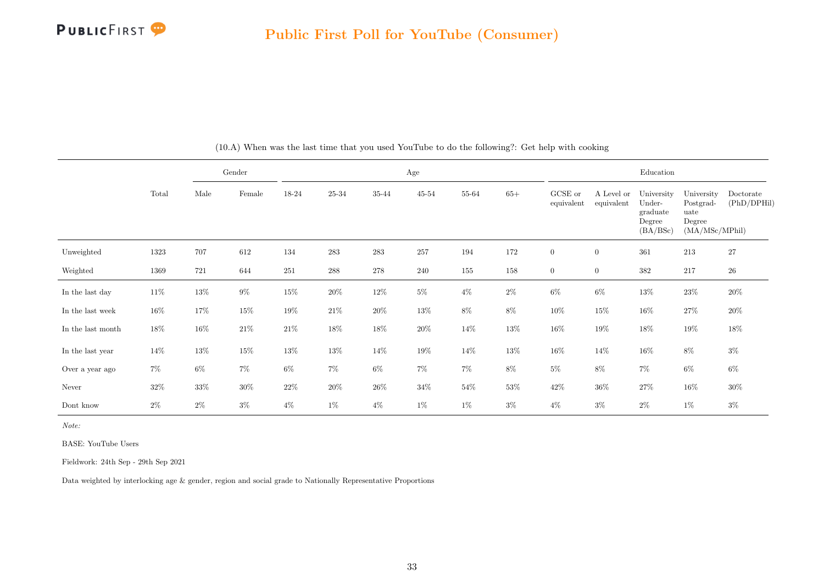

<span id="page-33-0"></span>

|                   |        |        | Gender          |        |           |        | Age    |        |        |                       |                          | Education                                              |                                                             |                          |
|-------------------|--------|--------|-----------------|--------|-----------|--------|--------|--------|--------|-----------------------|--------------------------|--------------------------------------------------------|-------------------------------------------------------------|--------------------------|
|                   | Total  | Male   | $\mbox{Female}$ | 18-24  | $25 - 34$ | 35-44  | 45-54  | 55-64  | $65+$  | GCSE or<br>equivalent | A Level or<br>equivalent | University<br>Under-<br>graduate<br>Degree<br>(BA/BSc) | University<br>Postgrad-<br>uate<br>Degree<br>(MA/MSc/MPhil) | Doctorate<br>(PhD/DPHil) |
| Unweighted        | 1323   | 707    | 612             | 134    | 283       | 283    | 257    | 194    | 172    | $\overline{0}$        | $\overline{0}$           | 361                                                    | 213                                                         | 27                       |
| Weighted          | 1369   | 721    | 644             | 251    | 288       | 278    | 240    | 155    | 158    | $\overline{0}$        | $\overline{0}$           | $382\,$                                                | 217                                                         | $26\,$                   |
| In the last day   | $11\%$ | $13\%$ | $9\%$           | $15\%$ | $20\%$    | $12\%$ | $5\%$  | $4\%$  | $2\%$  | $6\%$                 | $6\%$                    | $13\%$                                                 | $23\%$                                                      | $20\%$                   |
| In the last week  | $16\%$ | 17%    | $15\%$          | $19\%$ | $21\%$    | $20\%$ | $13\%$ | $8\%$  | $8\%$  | $10\%$                | $15\%$                   | $16\%$                                                 | $27\%$                                                      | $20\%$                   |
| In the last month | $18\%$ | 16%    | $21\%$          | $21\%$ | 18%       | $18\%$ | $20\%$ | 14\%   | $13\%$ | $16\%$                | $19\%$                   | $18\%$                                                 | $19\%$                                                      | $18\%$                   |
| In the last year  | $14\%$ | $13\%$ | $15\%$          | $13\%$ | 13%       | 14%    | $19\%$ | 14\%   | $13\%$ | $16\%$                | 14%                      | $16\%$                                                 | $8\%$                                                       | $3\%$                    |
| Over a year ago   | $7\%$  | $6\%$  | $7\%$           | $6\%$  | $7\%$     | $6\%$  | $7\%$  | $7\%$  | $8\%$  | $5\%$                 | $8\%$                    | $7\%$                                                  | $6\%$                                                       | $6\%$                    |
| Never             | $32\%$ | $33\%$ | $30\%$          | $22\%$ | $20\%$    | $26\%$ | $34\%$ | $54\%$ | 53%    | $42\%$                | $36\%$                   | $27\%$                                                 | $16\%$                                                      | $30\%$                   |
| Dont know         | $2\%$  | $2\%$  | $3\%$           | $4\%$  | $1\%$     | $4\%$  | $1\%$  | $1\%$  | $3\%$  | $4\%$                 | $3\%$                    | $2\%$                                                  | $1\%$                                                       | $3\%$                    |

(10.A) When was the last time that you used YouTube to do the following?: Get help with cooking

Note:

BASE: YouTube Users

Fieldwork: 24th Sep - 29th Sep 2021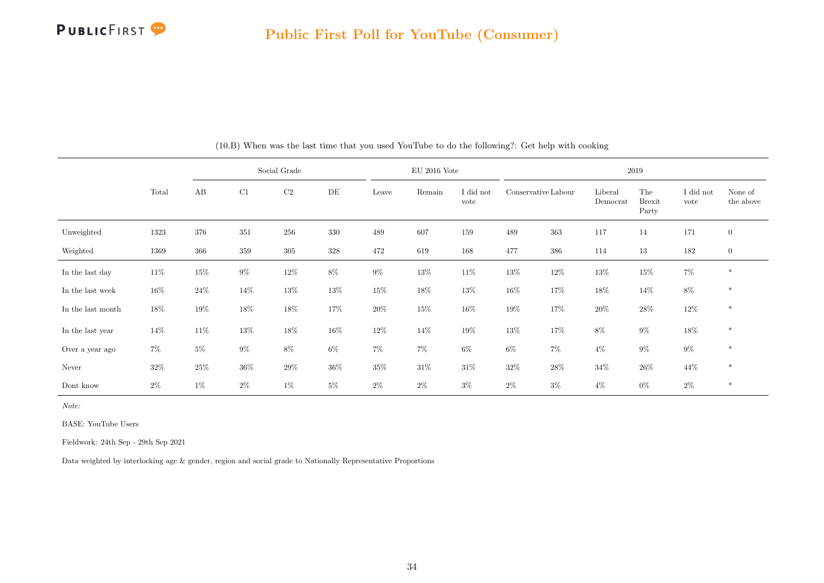

|                   |        |        |         | Social Grade |        |        | $EU$ 2016 Vote |                   |                     |        |                     | 2019                          |                   |                      |
|-------------------|--------|--------|---------|--------------|--------|--------|----------------|-------------------|---------------------|--------|---------------------|-------------------------------|-------------------|----------------------|
|                   | Total  | AB     | C1      | C2           | DE     | Leave  | Remain         | I did not<br>vote | Conservative Labour |        | Liberal<br>Democrat | The<br><b>Brexit</b><br>Party | I did not<br>vote | None of<br>the above |
| Unweighted        | 1323   | 376    | 351     | 256          | 330    | 489    | 607            | 159               | 489                 | 363    | 117                 | 14                            | 171               | $\mathbf{0}$         |
| Weighted          | 1369   | 366    | $359\,$ | $305\,$      | 328    | 472    | 619            | 168               | 477                 | 386    | 114                 | 13                            | 182               | $\mathbf{0}$         |
| In the last day   | $11\%$ | $15\%$ | $9\%$   | $12\%$       | 8%     | $9\%$  | $13\%$         | $11\%$            | 13%                 | 12\%   | $13\%$              | $15\%$                        | $7\%$             | $\ast$               |
| In the last week  | $16\%$ | $24\%$ | 14\%    | $13\%$       | $13\%$ | $15\%$ | $18\%$         | $13\%$            | $16\%$              | 17%    | $18\%$              | 14%                           | $8\%$             | $\ast$               |
| In the last month | $18\%$ | 19%    | 18%     | 18%          | 17%    | $20\%$ | $15\%$         | $16\%$            | 19%                 | 17%    | $20\%$              | $28\%$                        | 12\%              | $\ast$               |
| In the last year  | $14\%$ | 11\%   | $13\%$  | $18\%$       | $16\%$ | $12\%$ | $14\%$         | $19\%$            | 13%                 | 17%    | 8%                  | $9\%$                         | 18%               | $\ast$               |
| Over a year ago   | $7\%$  | $5\%$  | $9\%$   | $8\%$        | $6\%$  | $7\%$  | $7\%$          | $6\%$             | $6\%$               | $7\%$  | $4\%$               | $9\%$                         | $9\%$             | $\ast$               |
| Never             | $32\%$ | 25%    | $36\%$  | 29%          | 36%    | $35\%$ | $31\%$         | 31\%              | $32\%$              | $28\%$ | 34%                 | $26\%$                        | 44%               | $\ast$               |
| Dont know         | $2\%$  | $1\%$  | $2\%$   | $1\%$        | $5\%$  | $2\%$  | $2\%$          | $3\%$             | $2\%$               | $3\%$  | $4\%$               | $0\%$                         | $2\%$             | $\ast$               |

(10.B) When was the last time that you used YouTube to do the following?: Get help with cooking

Note:

BASE: YouTube Users

Fieldwork: 24th Sep - 29th Sep 2021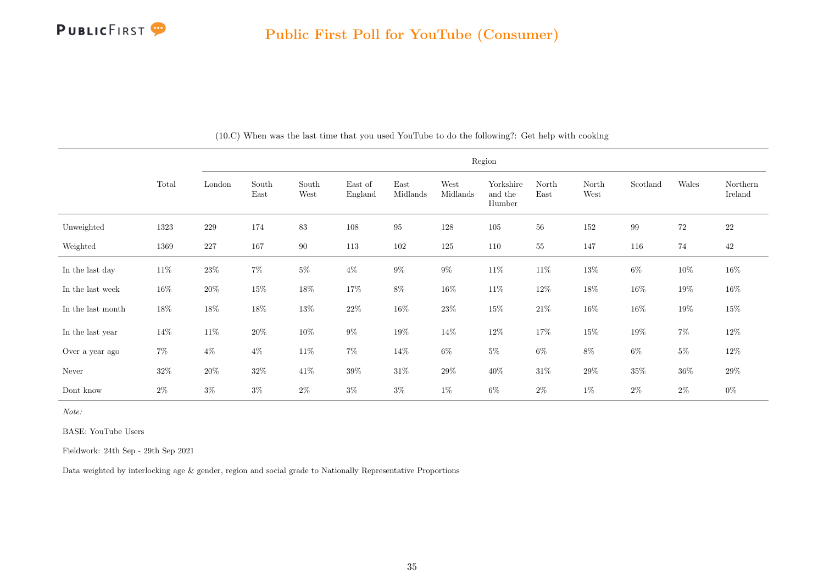

|                   |        |         |               |               |                    |                  |                  | Region                         |               |               |          |        |                     |
|-------------------|--------|---------|---------------|---------------|--------------------|------------------|------------------|--------------------------------|---------------|---------------|----------|--------|---------------------|
|                   | Total  | London  | South<br>East | South<br>West | East of<br>England | East<br>Midlands | West<br>Midlands | Yorkshire<br>and the<br>Humber | North<br>East | North<br>West | Scotland | Wales  | Northern<br>Ireland |
| Unweighted        | 1323   | $229\,$ | 174           | 83            | 108                | $\bf 95$         | 128              | $105\,$                        | 56            | 152           | 99       | $72\,$ | $22\,$              |
| Weighted          | 1369   | $227\,$ | 167           | 90            | 113                | $102\,$          | 125              | 110                            | 55            | 147           | 116      | 74     | 42                  |
| In the last day   | $11\%$ | $23\%$  | $7\%$         | $5\%$         | $4\%$              | $9\%$            | $9\%$            | $11\%$                         | $11\%$        | $13\%$        | $6\%$    | $10\%$ | $16\%$              |
| In the last week  | $16\%$ | $20\%$  | $15\%$        | $18\%$        | $17\%$             | $8\%$            | $16\%$           | $11\%$                         | $12\%$        | $18\%$        | $16\%$   | $19\%$ | $16\%$              |
| In the last month | 18%    | $18\%$  | $18\%$        | $13\%$        | $22\%$             | $16\%$           | $23\%$           | $15\%$                         | $21\%$        | $16\%$        | $16\%$   | $19\%$ | $15\%$              |
| In the last year  | 14\%   | $11\%$  | $20\%$        | $10\%$        | $9\%$              | $19\%$           | $14\%$           | $12\%$                         | 17%           | $15\%$        | $19\%$   | $7\%$  | $12\%$              |
| Over a year ago   | $7\%$  | $4\%$   | $4\%$         | $11\%$        | $7\%$              | 14%              | $6\%$            | $5\%$                          | $6\%$         | $8\%$         | $6\%$    | $5\%$  | $12\%$              |
| Never             | $32\%$ | 20%     | $32\%$        | 41\%          | $39\%$             | $31\%$           | $29\%$           | 40%                            | $31\%$        | 29%           | $35\%$   | $36\%$ | $29\%$              |
| Dont know         | $2\%$  | $3\%$   | $3\%$         | $2\%$         | $3\%$              | $3\%$            | $1\%$            | $6\%$                          | $2\%$         | $1\%$         | $2\%$    | $2\%$  | $0\%$               |

(10.C) When was the last time that you used YouTube to do the following?: Get help with cooking

Note:

BASE: YouTube Users

Fieldwork: 24th Sep - 29th Sep 2021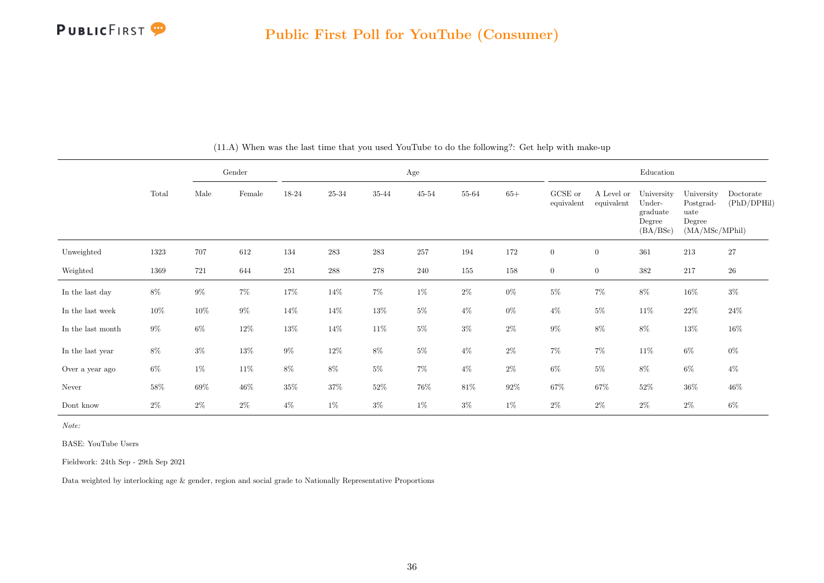

|                   |        |        | Gender          |        |           |        | Age    |        |        |                       |                          | Education                                              |                                                             |                          |
|-------------------|--------|--------|-----------------|--------|-----------|--------|--------|--------|--------|-----------------------|--------------------------|--------------------------------------------------------|-------------------------------------------------------------|--------------------------|
|                   | Total  | Male   | $\mbox{Female}$ | 18-24  | $25 - 34$ | 35-44  | 45-54  | 55-64  | $65+$  | GCSE or<br>equivalent | A Level or<br>equivalent | University<br>Under-<br>graduate<br>Degree<br>(BA/BSc) | University<br>Postgrad-<br>uate<br>Degree<br>(MA/MSc/MPhil) | Doctorate<br>(PhD/DPHil) |
| Unweighted        | 1323   | 707    | 612             | 134    | 283       | 283    | 257    | 194    | 172    | $\overline{0}$        | $\overline{0}$           | 361                                                    | 213                                                         | 27                       |
| Weighted          | 1369   | 721    | 644             | 251    | 288       | 278    | 240    | 155    | 158    | $\overline{0}$        | $\overline{0}$           | 382                                                    | 217                                                         | $26\,$                   |
| In the last day   | $8\%$  | $9\%$  | $7\%$           | $17\%$ | $14\%$    | $7\%$  | $1\%$  | $2\%$  | $0\%$  | $5\%$                 | $7\%$                    | $8\%$                                                  | $16\%$                                                      | $3\%$                    |
| In the last week  | $10\%$ | 10%    | $9\%$           | $14\%$ | 14\%      | $13\%$ | $5\%$  | $4\%$  | $0\%$  | $4\%$                 | $5\%$                    | 11\%                                                   | $22\%$                                                      | $24\%$                   |
| In the last month | $9\%$  | $6\%$  | $12\%$          | $13\%$ | 14%       | $11\%$ | $5\%$  | $3\%$  | $2\%$  | $9\%$                 | $8\%$                    | $8\%$                                                  | $13\%$                                                      | $16\%$                   |
| In the last year  | 8%     | $3\%$  | $13\%$          | $9\%$  | 12\%      | $8\%$  | $5\%$  | $4\%$  | $2\%$  | $7\%$                 | $7\%$                    | $11\%$                                                 | $6\%$                                                       | $0\%$                    |
| Over a year ago   | $6\%$  | $1\%$  | $11\%$          | $8\%$  | $8\%$     | $5\%$  | $7\%$  | $4\%$  | $2\%$  | $6\%$                 | $5\%$                    | $8\%$                                                  | $6\%$                                                       | $4\%$                    |
| Never             | $58\%$ | $69\%$ | $46\%$          | $35\%$ | $37\%$    | $52\%$ | $76\%$ | $81\%$ | $92\%$ | $67\%$                | $67\%$                   | $52\%$                                                 | $36\%$                                                      | $46\%$                   |
| Dont know         | $2\%$  | $2\%$  | $2\%$           | $4\%$  | $1\%$     | $3\%$  | $1\%$  | $3\%$  | $1\%$  | $2\%$                 | $2\%$                    | $2\%$                                                  | $2\%$                                                       | $6\%$                    |

(11.A) When was the last time that you used YouTube to do the following?: Get help with make-up

Note:

BASE: YouTube Users

Fieldwork: 24th Sep - 29th Sep 2021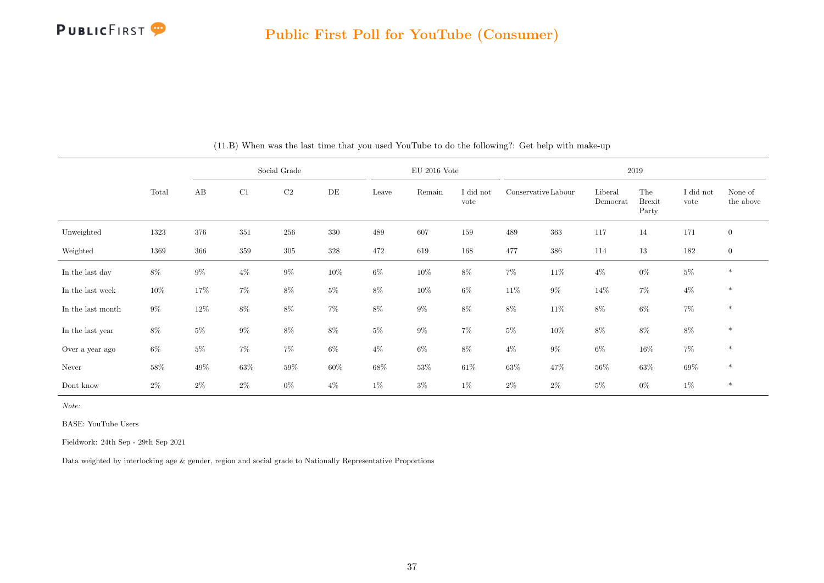

|                   |        |        |         | Social Grade |        |       | EU 2016 Vote |                   |                     |        |                     | 2019                          |                   |                      |
|-------------------|--------|--------|---------|--------------|--------|-------|--------------|-------------------|---------------------|--------|---------------------|-------------------------------|-------------------|----------------------|
|                   | Total  | AB     | C1      | C2           | DE     | Leave | Remain       | I did not<br>vote | Conservative Labour |        | Liberal<br>Democrat | The<br><b>Brexit</b><br>Party | I did not<br>vote | None of<br>the above |
| Unweighted        | 1323   | 376    | 351     | 256          | 330    | 489   | 607          | 159               | 489                 | 363    | 117                 | 14                            | 171               | $\mathbf{0}$         |
| Weighted          | 1369   | 366    | $359\,$ | 305          | 328    | 472   | 619          | 168               | 477                 | 386    | 114                 | $13\,$                        | 182               | $\boldsymbol{0}$     |
| In the last day   | $8\%$  | $9\%$  | $4\%$   | $9\%$        | $10\%$ | $6\%$ | $10\%$       | $8\%$             | $7\%$               | $11\%$ | $4\%$               | $0\%$                         | $5\%$             | $\ast$               |
| In the last week  | $10\%$ | 17%    | $7\%$   | $8\%$        | $5\%$  | $8\%$ | $10\%$       | $6\%$             | $11\%$              | $9\%$  | 14\%                | $7\%$                         | $4\%$             | $\ast$               |
| In the last month | $9\%$  | $12\%$ | $8\%$   | $8\%$        | $7\%$  | $8\%$ | $9\%$        | $8\%$             | $8\%$               | $11\%$ | $8\%$               | $6\%$                         | $7\%$             | $\ast$               |
| In the last year  | $8\%$  | $5\%$  | $9\%$   | $8\%$        | $8\%$  | $5\%$ | $9\%$        | $7\%$             | $5\%$               | $10\%$ | 8%                  | $8\%$                         | $8\%$             | $\ast$               |
| Over a year ago   | $6\%$  | $5\%$  | $7\%$   | $7\%$        | $6\%$  | $4\%$ | $6\%$        | $8\%$             | $4\%$               | $9\%$  | 6%                  | $16\%$                        | $7\%$             | $\ast$               |
| Never             | 58%    | 49%    | $63\%$  | $59\%$       | 60%    | 68%   | $53\%$       | 61\%              | $63\%$              | 47%    | 56%                 | $63\%$                        | 69%               | $\ast$               |
| Dont know         | $2\%$  | $2\%$  | $2\%$   | $0\%$        | $4\%$  | $1\%$ | $3\%$        | $1\%$             | $2\%$               | $2\%$  | $5\%$               | $0\%$                         | $1\%$             | $\ast$               |

(11.B) When was the last time that you used YouTube to do the following?: Get help with make-up

Note:

BASE: YouTube Users

Fieldwork: 24th Sep - 29th Sep 2021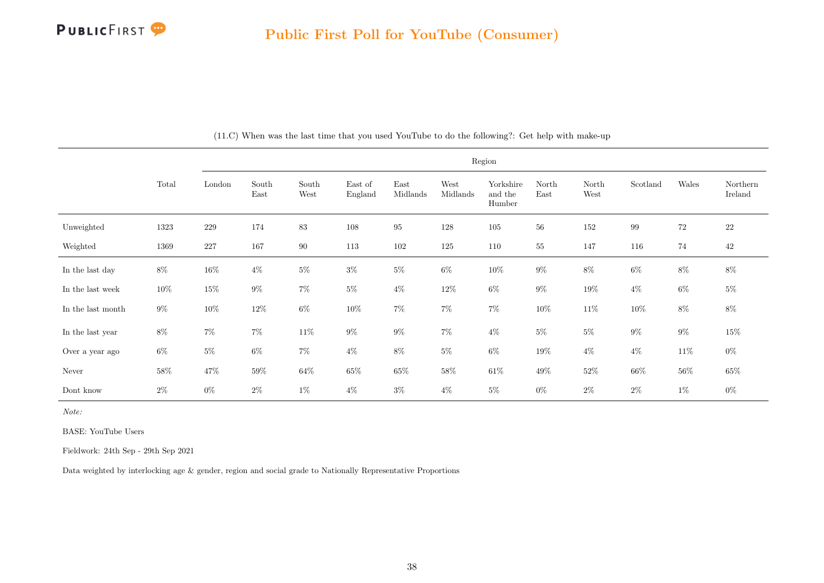

|                   |        |         |               |               |                    |                  |                  | Region                         |               |               |          |        |                     |
|-------------------|--------|---------|---------------|---------------|--------------------|------------------|------------------|--------------------------------|---------------|---------------|----------|--------|---------------------|
|                   | Total  | London  | South<br>East | South<br>West | East of<br>England | East<br>Midlands | West<br>Midlands | Yorkshire<br>and the<br>Humber | North<br>East | North<br>West | Scotland | Wales  | Northern<br>Ireland |
| Unweighted        | 1323   | $229\,$ | 174           | 83            | 108                | $\rm 95$         | 128              | 105                            | 56            | 152           | 99       | $72\,$ | $22\,$              |
| Weighted          | 1369   | $227\,$ | 167           | $90\,$        | 113                | 102              | 125              | $110\,$                        | $55\,$        | 147           | 116      | 74     | 42                  |
| In the last day   | $8\%$  | $16\%$  | $4\%$         | $5\%$         | $3\%$              | $5\%$            | $6\%$            | $10\%$                         | $9\%$         | $8\%$         | $6\%$    | 8%     | $8\%$               |
| In the last week  | 10%    | $15\%$  | $9\%$         | $7\%$         | $5\%$              | $4\%$            | $12\%$           | $6\%$                          | $9\%$         | $19\%$        | $4\%$    | $6\%$  | $5\%$               |
| In the last month | $9\%$  | $10\%$  | $12\%$        | $6\%$         | $10\%$             | $7\%$            | $7\%$            | $7\%$                          | $10\%$        | $11\%$        | $10\%$   | $8\%$  | $8\%$               |
| In the last year  | $8\%$  | $7\%$   | $7\%$         | $11\%$        | $9\%$              | $9\%$            | $7\%$            | $4\%$                          | $5\%$         | $5\%$         | $9\%$    | $9\%$  | $15\%$              |
| Over a year ago   | $6\%$  | $5\%$   | $6\%$         | $7\%$         | $4\%$              | $8\%$            | $5\%$            | $6\%$                          | $19\%$        | $4\%$         | $4\%$    | $11\%$ | $0\%$               |
| Never             | $58\%$ | $47\%$  | 59%           | 64%           | $65\%$             | 65%              | $58\%$           | $61\%$                         | 49%           | $52\%$        | $66\%$   | 56%    | $65\%$              |
| Dont know         | $2\%$  | $0\%$   | $2\%$         | $1\%$         | $4\%$              | $3\%$            | $4\%$            | $5\%$                          | $0\%$         | $2\%$         | $2\%$    | $1\%$  | $0\%$               |

(11.C) When was the last time that you used YouTube to do the following?: Get help with make-up

Note:

BASE: YouTube Users

Fieldwork: 24th Sep - 29th Sep 2021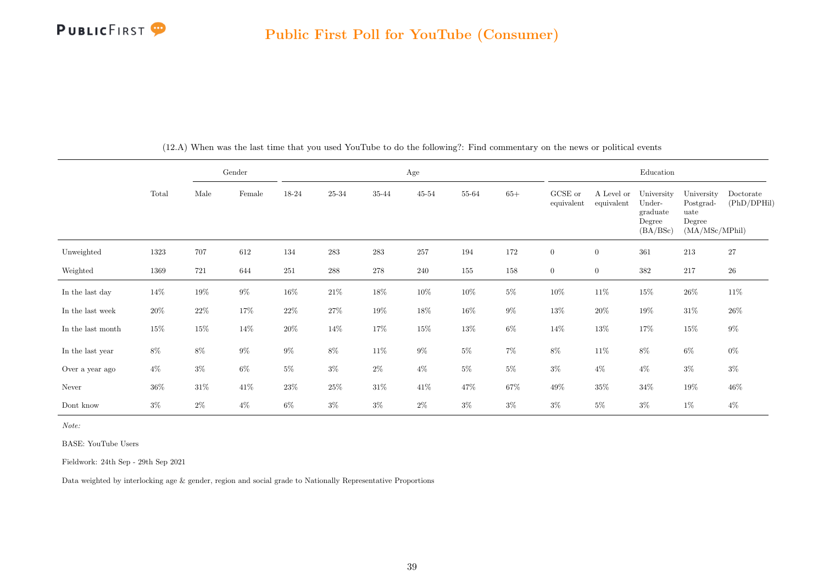

|                   |        |        | Gender |        |                    |           | Age       |           |        |                       |                          | Education                                              |                                                             |                          |
|-------------------|--------|--------|--------|--------|--------------------|-----------|-----------|-----------|--------|-----------------------|--------------------------|--------------------------------------------------------|-------------------------------------------------------------|--------------------------|
|                   | Total  | Male   | Female | 18-24  | $25 - 34$          | $35 - 44$ | $45 - 54$ | $55 - 64$ | $65+$  | GCSE or<br>equivalent | A Level or<br>equivalent | University<br>Under-<br>graduate<br>Degree<br>(BA/BSc) | University<br>Postgrad-<br>uate<br>Degree<br>(MA/MSc/MPhil) | Doctorate<br>(PhD/DPHil) |
| Unweighted        | 1323   | 707    | 612    | 134    | 283                | 283       | $257\,$   | 194       | 172    | $\boldsymbol{0}$      | $\boldsymbol{0}$         | 361                                                    | 213                                                         | $27\,$                   |
| Weighted          | 1369   | 721    | 644    | 251    | $\boldsymbol{288}$ | $278\,$   | 240       | $155\,$   | 158    | $\boldsymbol{0}$      | $\boldsymbol{0}$         | $382\,$                                                | $217\,$                                                     | $26\,$                   |
| In the last day   | 14%    | $19\%$ | $9\%$  | $16\%$ | $21\%$             | 18%       | $10\%$    | $10\%$    | $5\%$  | $10\%$                | $11\%$                   | $15\%$                                                 | $26\%$                                                      | 11%                      |
| In the last week  | $20\%$ | $22\%$ | 17%    | $22\%$ | $27\%$             | 19%       | 18%       | $16\%$    | $9\%$  | $13\%$                | $20\%$                   | $19\%$                                                 | $31\%$                                                      | $26\%$                   |
| In the last month | $15\%$ | $15\%$ | $14\%$ | $20\%$ | 14\%               | $17\%$    | $15\%$    | $13\%$    | $6\%$  | $14\%$                | $13\%$                   | $17\%$                                                 | $15\%$                                                      | $9\%$                    |
| In the last year  | $8\%$  | 8%     | $9\%$  | $9\%$  | $8\%$              | $11\%$    | $9\%$     | $5\%$     | $7\%$  | $8\%$                 | $11\%$                   | 8%                                                     | $6\%$                                                       | $0\%$                    |
| Over a year ago   | $4\%$  | $3\%$  | $6\%$  | $5\%$  | $3\%$              | $2\%$     | $4\%$     | $5\%$     | $5\%$  | $3\%$                 | $4\%$                    | $4\%$                                                  | $3\%$                                                       | $3\%$                    |
| Never             | $36\%$ | $31\%$ | $41\%$ | $23\%$ | $25\%$             | $31\%$    | $41\%$    | 47\%      | $67\%$ | $49\%$                | $35\%$                   | $34\%$                                                 | $19\%$                                                      | $46\%$                   |
| Dont know         | $3\%$  | $2\%$  | $4\%$  | $6\%$  | $3\%$              | $3\%$     | $2\%$     | $3\%$     | $3\%$  | $3\%$                 | $5\%$                    | $3\%$                                                  | $1\%$                                                       | $4\%$                    |

(12.A) When was the last time that you used YouTube to do the following?: Find commentary on the news or political events

Note:

BASE: YouTube Users

Fieldwork: 24th Sep - 29th Sep 2021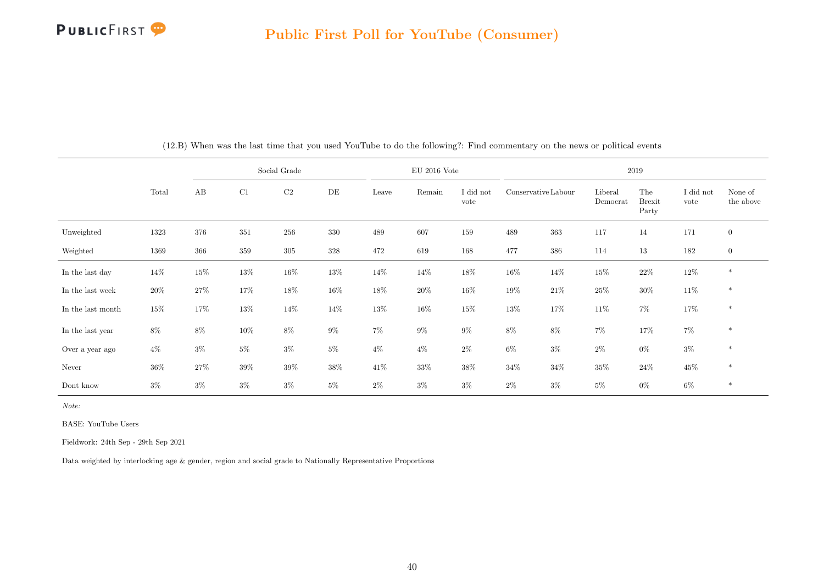

|                   |        |        |         | Social Grade |        |        | $EU$ 2016 Vote |                   |                     |        |                     | 2019                          |                   |                      |
|-------------------|--------|--------|---------|--------------|--------|--------|----------------|-------------------|---------------------|--------|---------------------|-------------------------------|-------------------|----------------------|
|                   | Total  | AB     | C1      | $\rm C2$     | DE     | Leave  | Remain         | I did not<br>vote | Conservative Labour |        | Liberal<br>Democrat | The<br><b>Brexit</b><br>Party | I did not<br>vote | None of<br>the above |
| Unweighted        | 1323   | 376    | $351\,$ | 256          | 330    | 489    | 607            | 159               | 489                 | 363    | 117                 | 14                            | 171               | $\mathbf{0}$         |
| Weighted          | 1369   | 366    | 359     | 305          | 328    | 472    | 619            | 168               | 477                 | 386    | 114                 | 13                            | 182               | $\boldsymbol{0}$     |
| In the last day   | 14%    | $15\%$ | $13\%$  | $16\%$       | 13%    | $14\%$ | $14\%$         | $18\%$            | $16\%$              | 14%    | $15\%$              | $22\%$                        | 12\%              | $\ast$               |
| In the last week  | 20%    | 27\%   | 17%     | $18\%$       | $16\%$ | 18%    | $20\%$         | $16\%$            | $19\%$              | $21\%$ | $25\%$              | $30\%$                        | 11\%              | $\ast$               |
| In the last month | $15\%$ | 17%    | $13\%$  | $14\%$       | 14%    | $13\%$ | 16\%           | 15%               | 13%                 | 17%    | 11\%                | $7\%$                         | 17%               | $\ast$               |
| In the last year  | $8\%$  | 8%     | $10\%$  | $8\%$        | 9%     | $7\%$  | $9\%$          | $9\%$             | $8\%$               | $8\%$  | 7%                  | 17%                           | $7\%$             | $\ast$               |
| Over a year ago   | $4\%$  | $3\%$  | $5\%$   | $3\%$        | $5\%$  | $4\%$  | $4\%$          | $2\%$             | $6\%$               | $3\%$  | $2\%$               | $0\%$                         | $3\%$             | $\ast$               |
| Never             | $36\%$ | 27\%   | 39%     | $39\%$       | 38%    | 41%    | $33\%$         | 38%               | $34\%$              | $34\%$ | 35%                 | $24\%$                        | $45\%$            | $\ast$               |
| Dont know         | $3\%$  | $3\%$  | $3\%$   | $3\%$        | $5\%$  | $2\%$  | $3\%$          | $3\%$             | $2\%$               | $3\%$  | $5\%$               | $0\%$                         | 6%                | $\ast$               |

(12.B) When was the last time that you used YouTube to do the following?: Find commentary on the news or political events

Note:

BASE: YouTube Users

Fieldwork: 24th Sep - 29th Sep 2021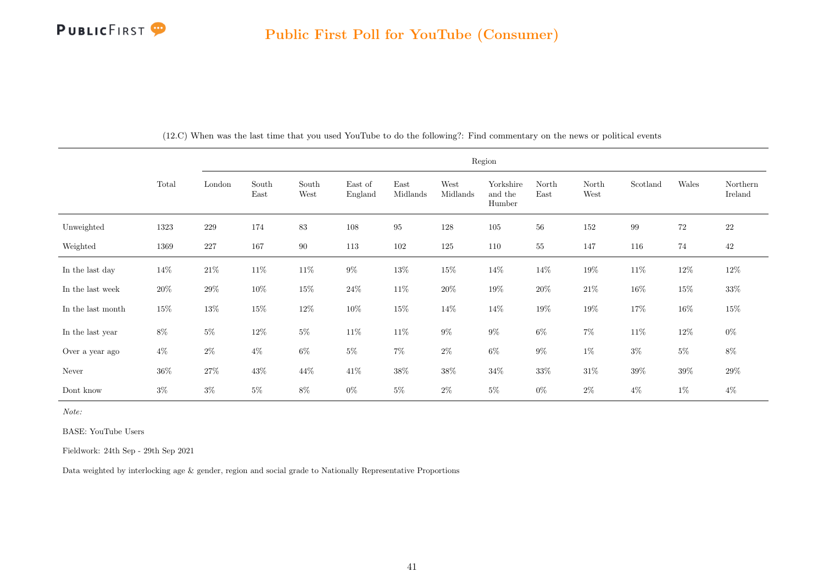

|                   |        |         |               |               |                    |                  |                  | Region                         |               |               |          |        |                     |
|-------------------|--------|---------|---------------|---------------|--------------------|------------------|------------------|--------------------------------|---------------|---------------|----------|--------|---------------------|
|                   | Total  | London  | South<br>East | South<br>West | East of<br>England | East<br>Midlands | West<br>Midlands | Yorkshire<br>and the<br>Humber | North<br>East | North<br>West | Scotland | Wales  | Northern<br>Ireland |
| Unweighted        | 1323   | $229\,$ | 174           | $83\,$        | 108                | $\rm 95$         | 128              | $105\,$                        | 56            | $152\,$       | 99       | $72\,$ | $22\,$              |
| Weighted          | 1369   | 227     | 167           | 90            | 113                | $102\,$          | 125              | 110                            | $55\,$        | 147           | 116      | 74     | 42                  |
| In the last day   | 14%    | $21\%$  | $11\%$        | $11\%$        | $9\%$              | $13\%$           | $15\%$           | 14\%                           | 14%           | $19\%$        | $11\%$   | $12\%$ | 12%                 |
| In the last week  | $20\%$ | $29\%$  | $10\%$        | $15\%$        | $24\%$             | $11\%$           | $20\%$           | $19\%$                         | 20%           | $21\%$        | $16\%$   | $15\%$ | $33\%$              |
| In the last month | $15\%$ | $13\%$  | $15\%$        | $12\%$        | $10\%$             | $15\%$           | 14%              | $14\%$                         | $19\%$        | $19\%$        | $17\%$   | $16\%$ | $15\%$              |
| In the last year  | $8\%$  | $5\%$   | $12\%$        | $5\%$         | $11\%$             | $11\%$           | $9\%$            | $9\%$                          | $6\%$         | $7\%$         | $11\%$   | $12\%$ | $0\%$               |
| Over a year ago   | $4\%$  | $2\%$   | $4\%$         | $6\%$         | $5\%$              | $7\%$            | $2\%$            | $6\%$                          | $9\%$         | $1\%$         | $3\%$    | $5\%$  | $8\%$               |
| Never             | $36\%$ | $27\%$  | 43\%          | 44\%          | $41\%$             | $38\%$           | $38\%$           | $34\%$                         | $33\%$        | $31\%$        | $39\%$   | $39\%$ | $29\%$              |
| Dont know         | $3\%$  | $3\%$   | $5\%$         | $8\%$         | $0\%$              | $5\%$            | $2\%$            | $5\%$                          | $0\%$         | $2\%$         | $4\%$    | $1\%$  | $4\%$               |

(12.C) When was the last time that you used YouTube to do the following?: Find commentary on the news or political events

Note:

BASE: YouTube Users

Fieldwork: 24th Sep - 29th Sep 2021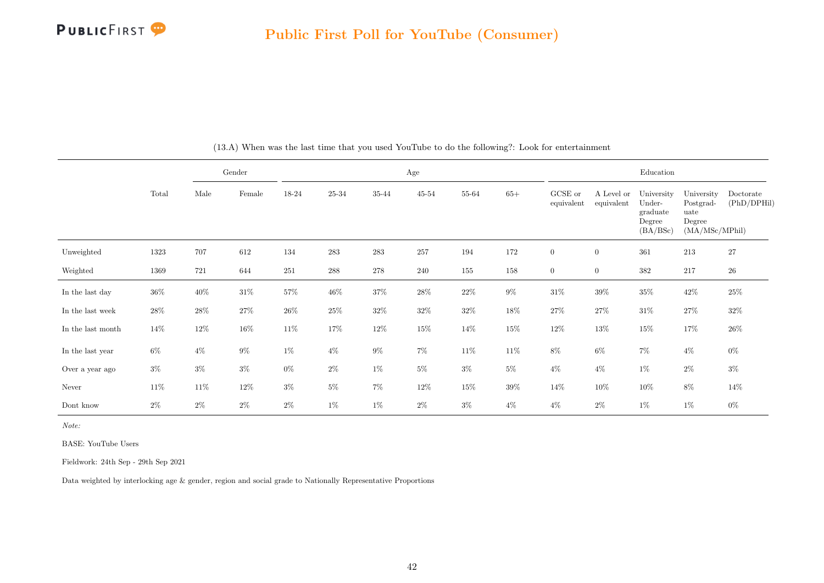

|                   |        |        | Gender          |        |           |        | Age    |        |        |                       |                          | Education                                              |                                                             |                          |
|-------------------|--------|--------|-----------------|--------|-----------|--------|--------|--------|--------|-----------------------|--------------------------|--------------------------------------------------------|-------------------------------------------------------------|--------------------------|
|                   | Total  | Male   | $\mbox{Female}$ | 18-24  | $25 - 34$ | 35-44  | 45-54  | 55-64  | $65+$  | GCSE or<br>equivalent | A Level or<br>equivalent | University<br>Under-<br>graduate<br>Degree<br>(BA/BSc) | University<br>Postgrad-<br>uate<br>Degree<br>(MA/MSc/MPhil) | Doctorate<br>(PhD/DPHil) |
| Unweighted        | 1323   | 707    | 612             | 134    | 283       | 283    | 257    | 194    | 172    | $\overline{0}$        | $\overline{0}$           | 361                                                    | 213                                                         | 27                       |
| Weighted          | 1369   | 721    | 644             | 251    | 288       | 278    | 240    | 155    | 158    | $\overline{0}$        | $\overline{0}$           | $382\,$                                                | 217                                                         | $26\,$                   |
| In the last day   | $36\%$ | 40\%   | $31\%$          | $57\%$ | $46\%$    | $37\%$ | $28\%$ | $22\%$ | $9\%$  | $31\%$                | $39\%$                   | $35\%$                                                 | $42\%$                                                      | $25\%$                   |
| In the last week  | $28\%$ | $28\%$ | $27\%$          | $26\%$ | $25\%$    | $32\%$ | $32\%$ | $32\%$ | 18%    | $27\%$                | $27\%$                   | $31\%$                                                 | $27\%$                                                      | $32\%$                   |
| In the last month | 14%    | 12\%   | $16\%$          | 11\%   | 17%       | $12\%$ | $15\%$ | 14\%   | $15\%$ | $12\%$                | $13\%$                   | $15\%$                                                 | 17%                                                         | $26\%$                   |
| In the last year  | $6\%$  | $4\%$  | $9\%$           | $1\%$  | $4\%$     | $9\%$  | $7\%$  | 11\%   | $11\%$ | $8\%$                 | $6\%$                    | $7\%$                                                  | $4\%$                                                       | $0\%$                    |
| Over a year ago   | $3\%$  | $3\%$  | $3\%$           | $0\%$  | $2\%$     | $1\%$  | $5\%$  | $3\%$  | $5\%$  | $4\%$                 | $4\%$                    | $1\%$                                                  | $2\%$                                                       | $3\%$                    |
| Never             | $11\%$ | 11\%   | $12\%$          | $3\%$  | $5\%$     | $7\%$  | $12\%$ | $15\%$ | 39%    | $14\%$                | $10\%$                   | $10\%$                                                 | $8\%$                                                       | 14%                      |
| Dont know         | $2\%$  | $2\%$  | $2\%$           | $2\%$  | $1\%$     | $1\%$  | $2\%$  | $3\%$  | $4\%$  | $4\%$                 | $2\%$                    | $1\%$                                                  | $1\%$                                                       | $0\%$                    |

(13.A) When was the last time that you used YouTube to do the following?: Look for entertainment

Note:

BASE: YouTube Users

Fieldwork: 24th Sep - 29th Sep 2021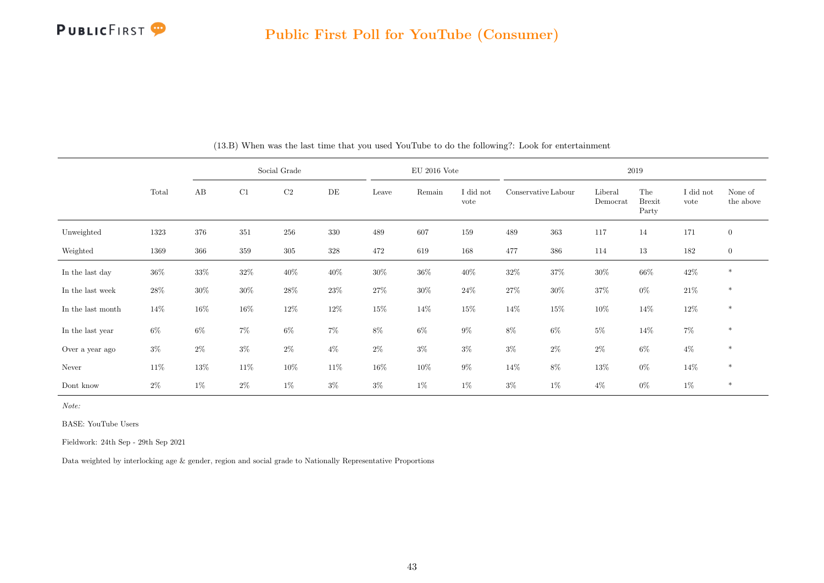

|                   |        |        |         | Social Grade |        |        | $EU$ 2016 Vote |                   |                     |        |                     | 2019                          |                   |                      |
|-------------------|--------|--------|---------|--------------|--------|--------|----------------|-------------------|---------------------|--------|---------------------|-------------------------------|-------------------|----------------------|
|                   | Total  | AB     | C1      | C2           | DE     | Leave  | Remain         | I did not<br>vote | Conservative Labour |        | Liberal<br>Democrat | The<br><b>Brexit</b><br>Party | I did not<br>vote | None of<br>the above |
| Unweighted        | 1323   | 376    | 351     | 256          | 330    | 489    | 607            | 159               | 489                 | 363    | 117                 | 14                            | 171               | $\mathbf{0}$         |
| Weighted          | 1369   | 366    | $359\,$ | 305          | 328    | 472    | 619            | 168               | 477                 | 386    | 114                 | $13\,$                        | 182               | $\boldsymbol{0}$     |
| In the last day   | $36\%$ | 33%    | $32\%$  | $40\%$       | 40%    | $30\%$ | $36\%$         | 40%               | $32\%$              | 37%    | 30%                 | $66\%$                        | $42\%$            | $\ast$               |
| In the last week  | $28\%$ | $30\%$ | $30\%$  | 28\%         | $23\%$ | 27%    | $30\%$         | $24\%$            | 27%                 | $30\%$ | $37\%$              | $0\%$                         | $21\%$            | $\ast$               |
| In the last month | 14%    | 16%    | $16\%$  | 12%          | 12\%   | $15\%$ | $14\%$         | $15\%$            | 14\%                | $15\%$ | $10\%$              | 14%                           | 12\%              | $\ast$               |
| In the last year  | $6\%$  | $6\%$  | 7%      | $6\%$        | 7%     | $8\%$  | $6\%$          | $9\%$             | $8\%$               | $6\%$  | $5\%$               | 14%                           | $7\%$             | $\ast$               |
| Over a year ago   | $3\%$  | $2\%$  | $3\%$   | $2\%$        | $4\%$  | $2\%$  | $3\%$          | $3\%$             | $3\%$               | $2\%$  | $2\%$               | $6\%$                         | $4\%$             | $\ast$               |
| Never             | 11%    | 13%    | $11\%$  | $10\%$       | 11%    | $16\%$ | $10\%$         | $9\%$             | 14\%                | 8%     | 13%                 | $0\%$                         | 14%               | $\ast$               |
| Dont know         | $2\%$  | $1\%$  | $2\%$   | $1\%$        | $3\%$  | $3\%$  | $1\%$          | $1\%$             | $3\%$               | $1\%$  | $4\%$               | $0\%$                         | $1\%$             | $\ast$               |

(13.B) When was the last time that you used YouTube to do the following?: Look for entertainment

Note:

BASE: YouTube Users

Fieldwork: 24th Sep - 29th Sep 2021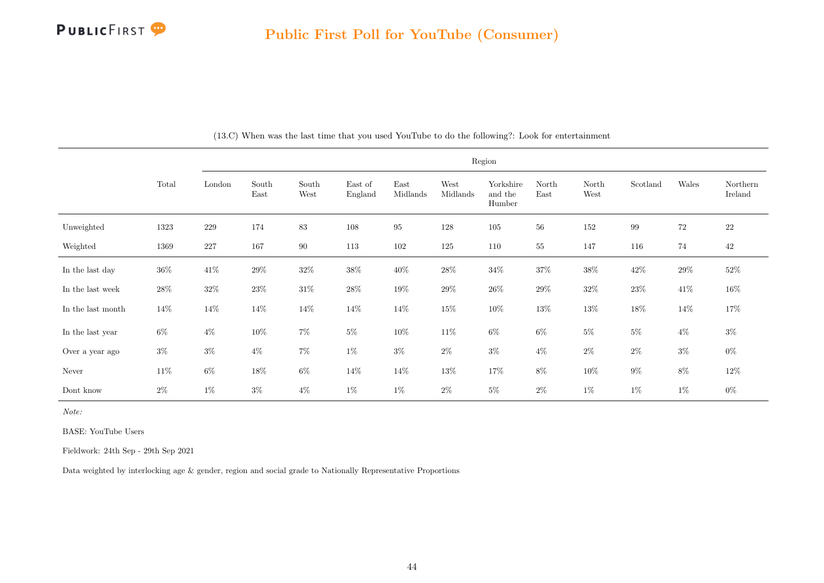

|                   |        |         |               |               |                    |                  |                  | Region                         |               |               |          |        |                     |
|-------------------|--------|---------|---------------|---------------|--------------------|------------------|------------------|--------------------------------|---------------|---------------|----------|--------|---------------------|
|                   | Total  | London  | South<br>East | South<br>West | East of<br>England | East<br>Midlands | West<br>Midlands | Yorkshire<br>and the<br>Humber | North<br>East | North<br>West | Scotland | Wales  | Northern<br>Ireland |
| Unweighted        | 1323   | $229\,$ | 174           | $\bf 83$      | 108                | $\rm 95$         | 128              | $105\,$                        | 56            | 152           | 99       | $72\,$ | $22\,$              |
| Weighted          | 1369   | $227\,$ | 167           | 90            | 113                | 102              | 125              | 110                            | $55\,$        | 147           | 116      | $74\,$ | $42\,$              |
| In the last day   | $36\%$ | $41\%$  | $29\%$        | $32\%$        | $38\%$             | $40\%$           | $28\%$           | $34\%$                         | $37\%$        | $38\%$        | $42\%$   | $29\%$ | $52\%$              |
| In the last week  | $28\%$ | $32\%$  | $23\%$        | $31\%$        | $28\%$             | $19\%$           | $29\%$           | $26\%$                         | $29\%$        | $32\%$        | $23\%$   | $41\%$ | $16\%$              |
| In the last month | $14\%$ | $14\%$  | $14\%$        | $14\%$        | $14\%$             | $14\%$           | $15\%$           | $10\%$                         | $13\%$        | $13\%$        | $18\%$   | 14%    | $17\%$              |
| In the last year  | $6\%$  | $4\%$   | $10\%$        | $7\%$         | $5\%$              | $10\%$           | $11\%$           | $6\%$                          | $6\%$         | $5\%$         | $5\%$    | $4\%$  | $3\%$               |
| Over a year ago   | $3\%$  | $3\%$   | $4\%$         | $7\%$         | $1\%$              | $3\%$            | $2\%$            | $3\%$                          | $4\%$         | $2\%$         | $2\%$    | $3\%$  | $0\%$               |
| Never             | $11\%$ | $6\%$   | 18\%          | $6\%$         | $14\%$             | $14\%$           | $13\%$           | 17%                            | $8\%$         | 10%           | $9\%$    | $8\%$  | $12\%$              |
| Dont know         | $2\%$  | $1\%$   | $3\%$         | $4\%$         | $1\%$              | $1\%$            | $2\%$            | $5\%$                          | $2\%$         | $1\%$         | $1\%$    | $1\%$  | $0\%$               |

(13.C) When was the last time that you used YouTube to do the following?: Look for entertainment

Note:

BASE: YouTube Users

Fieldwork: 24th Sep - 29th Sep 2021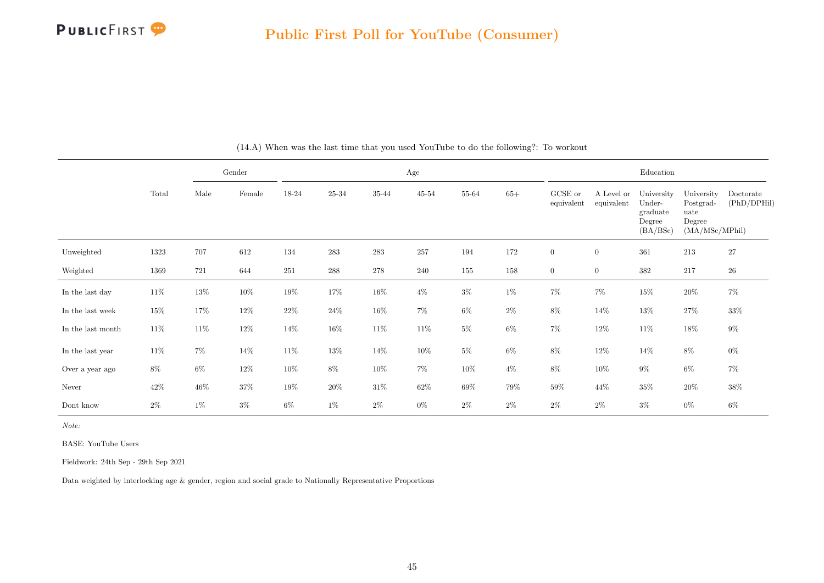

|                   |        |        | Gender          |         |           |           | Age    |        |        |                       |                          | Education                                              |                                                             |                          |
|-------------------|--------|--------|-----------------|---------|-----------|-----------|--------|--------|--------|-----------------------|--------------------------|--------------------------------------------------------|-------------------------------------------------------------|--------------------------|
|                   | Total  | Male   | $\mbox{Female}$ | 18-24   | $25 - 34$ | $35 - 44$ | 45-54  | 55-64  | $65+$  | GCSE or<br>equivalent | A Level or<br>equivalent | University<br>Under-<br>graduate<br>Degree<br>(BA/BSc) | University<br>Postgrad-<br>uate<br>Degree<br>(MA/MSc/MPhil) | Doctorate<br>(PhD/DPHil) |
| Unweighted        | 1323   | 707    | 612             | 134     | 283       | 283       | 257    | 194    | 172    | $\overline{0}$        | $\overline{0}$           | 361                                                    | 213                                                         | $27\,$                   |
| Weighted          | 1369   | 721    | 644             | $251\,$ | 288       | $278\,$   | 240    | 155    | 158    | $\overline{0}$        | $\overline{0}$           | $382\,$                                                | 217                                                         | $26\,$                   |
| In the last day   | 11\%   | $13\%$ | $10\%$          | 19%     | 17%       | $16\%$    | $4\%$  | $3\%$  | $1\%$  | $7\%$                 | $7\%$                    | $15\%$                                                 | $20\%$                                                      | $7\%$                    |
| In the last week  | $15\%$ | 17%    | $12\%$          | $22\%$  | $24\%$    | $16\%$    | $7\%$  | $6\%$  | $2\%$  | $8\%$                 | 14%                      | 13%                                                    | $27\%$                                                      | $33\%$                   |
| In the last month | $11\%$ | 11\%   | $12\%$          | $14\%$  | $16\%$    | $11\%$    | $11\%$ | $5\%$  | $6\%$  | $7\%$                 | $12\%$                   | $11\%$                                                 | $18\%$                                                      | $9\%$                    |
| In the last year  | $11\%$ | $7\%$  | 14%             | 11\%    | 13%       | 14\%      | $10\%$ | $5\%$  | $6\%$  | $8\%$                 | $12\%$                   | 14\%                                                   | $8\%$                                                       | $0\%$                    |
| Over a year ago   | $8\%$  | $6\%$  | $12\%$          | $10\%$  | $8\%$     | $10\%$    | $7\%$  | $10\%$ | $4\%$  | $8\%$                 | $10\%$                   | $9\%$                                                  | $6\%$                                                       | $7\%$                    |
| Never             | $42\%$ | 46\%   | $37\%$          | $19\%$  | $20\%$    | $31\%$    | $62\%$ | $69\%$ | $79\%$ | $59\%$                | 44\%                     | $35\%$                                                 | $20\%$                                                      | $38\%$                   |
| Dont know         | $2\%$  | $1\%$  | $3\%$           | $6\%$   | 1%        | $2\%$     | $0\%$  | $2\%$  | $2\%$  | $2\%$                 | $2\%$                    | $3\%$                                                  | $0\%$                                                       | 6%                       |

(14.A) When was the last time that you used YouTube to do the following?: To workout

Note:

BASE: YouTube Users

Fieldwork: 24th Sep - 29th Sep 2021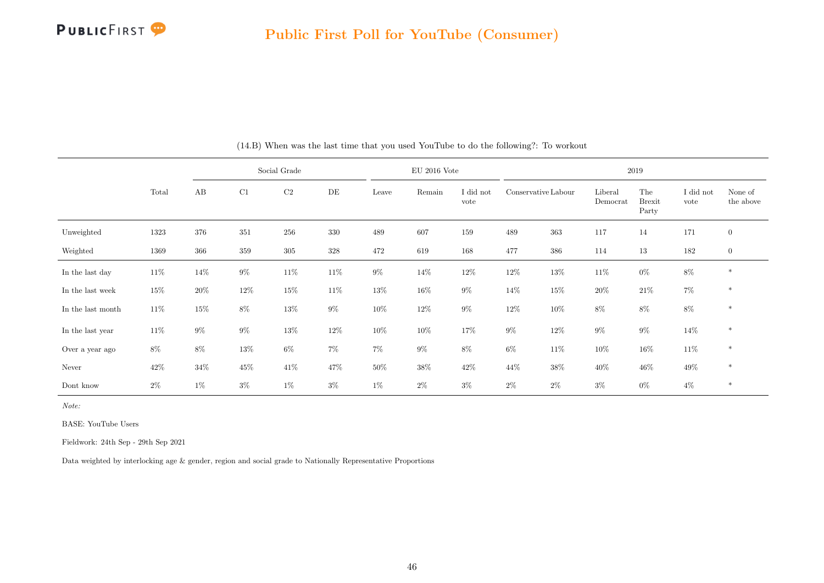

|                   |        |        |         | Social Grade |        |        | $EU$ 2016 Vote |                   |                     |        |                     | 2019                          |                   |                      |
|-------------------|--------|--------|---------|--------------|--------|--------|----------------|-------------------|---------------------|--------|---------------------|-------------------------------|-------------------|----------------------|
|                   | Total  | AB     | C1      | C2           | DE     | Leave  | Remain         | I did not<br>vote | Conservative Labour |        | Liberal<br>Democrat | The<br><b>Brexit</b><br>Party | I did not<br>vote | None of<br>the above |
| Unweighted        | 1323   | 376    | $351\,$ | 256          | 330    | 489    | 607            | 159               | 489                 | 363    | 117                 | 14                            | 171               | $\overline{0}$       |
| Weighted          | 1369   | 366    | $359\,$ | $305\,$      | 328    | 472    | 619            | 168               | 477                 | 386    | 114                 | 13                            | 182               | $\mathbf{0}$         |
| In the last day   | $11\%$ | 14%    | $9\%$   | $11\%$       | $11\%$ | $9\%$  | 14\%           | $12\%$            | 12\%                | $13\%$ | $11\%$              | $0\%$                         | $8\%$             | $\ast$               |
| In the last week  | $15\%$ | $20\%$ | $12\%$  | $15\%$       | $11\%$ | $13\%$ | 16\%           | $9\%$             | 14%                 | $15\%$ | $20\%$              | $21\%$                        | $7\%$             | $\ast$               |
| In the last month | $11\%$ | $15\%$ | $8\%$   | $13\%$       | $9\%$  | $10\%$ | 12\%           | $9\%$             | $12\%$              | $10\%$ | 8%                  | $8\%$                         | $8\%$             | $\ast$               |
| In the last year  | $11\%$ | $9\%$  | $9\%$   | $13\%$       | 12\%   | $10\%$ | $10\%$         | 17%               | $9\%$               | $12\%$ | $9\%$               | $9\%$                         | 14%               | $\ast$               |
| Over a year ago   | 8%     | 8%     | $13\%$  | $6\%$        | 7%     | $7\%$  | $9\%$          | 8%                | $6\%$               | $11\%$ | $10\%$              | $16\%$                        | 11\%              | $\ast$               |
| Never             | $42\%$ | $34\%$ | $45\%$  | 41%          | 47%    | $50\%$ | $38\%$         | $42\%$            | $44\%$              | $38\%$ | $40\%$              | $46\%$                        | 49\%              | $\ast$               |
| Dont know         | $2\%$  | $1\%$  | $3\%$   | $1\%$        | $3\%$  | $1\%$  | $2\%$          | $3\%$             | $2\%$               | $2\%$  | $3\%$               | $0\%$                         | $4\%$             | $\ast$               |

(14.B) When was the last time that you used YouTube to do the following?: To workout

Note:

BASE: YouTube Users

Fieldwork: 24th Sep - 29th Sep 2021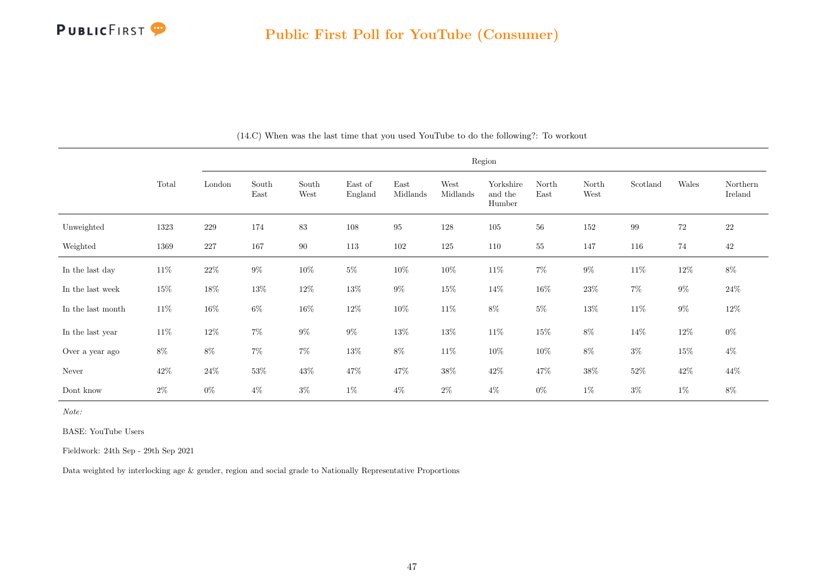

|                   |        |         |               |               |                    |                  |                  | Region                         |               |               |          |        |                     |
|-------------------|--------|---------|---------------|---------------|--------------------|------------------|------------------|--------------------------------|---------------|---------------|----------|--------|---------------------|
|                   | Total  | London  | South<br>East | South<br>West | East of<br>England | East<br>Midlands | West<br>Midlands | Yorkshire<br>and the<br>Humber | North<br>East | North<br>West | Scotland | Wales  | Northern<br>Ireland |
| Unweighted        | 1323   | $229\,$ | 174           | 83            | 108                | $\rm 95$         | 128              | $105\,$                        | 56            | 152           | 99       | $72\,$ | $22\,$              |
| Weighted          | 1369   | 227     | 167           | $90\,$        | 113                | $102\,$          | 125              | 110                            | $55\,$        | 147           | 116      | 74     | $42\,$              |
| In the last day   | $11\%$ | $22\%$  | $9\%$         | $10\%$        | $5\%$              | $10\%$           | $10\%$           | $11\%$                         | $7\%$         | $9\%$         | $11\%$   | $12\%$ | $8\%$               |
| In the last week  | $15\%$ | $18\%$  | $13\%$        | $12\%$        | $13\%$             | $9\%$            | $15\%$           | $14\%$                         | $16\%$        | $23\%$        | $7\%$    | $9\%$  | $24\%$              |
| In the last month | $11\%$ | $16\%$  | $6\%$         | $16\%$        | $12\%$             | $10\%$           | $11\%$           | $8\%$                          | $5\%$         | $13\%$        | $11\%$   | $9\%$  | $12\%$              |
| In the last year  | $11\%$ | $12\%$  | $7\%$         | $9\%$         | $9\%$              | $13\%$           | $13\%$           | $11\%$                         | $15\%$        | $8\%$         | 14\%     | $12\%$ | $0\%$               |
| Over a year ago   | $8\%$  | $8\%$   | $7\%$         | $7\%$         | $13\%$             | $8\%$            | $11\%$           | $10\%$                         | $10\%$        | $8\%$         | $3\%$    | 15%    | $4\%$               |
| Never             | $42\%$ | $24\%$  | $53\%$        | $43\%$        | $47\%$             | $47\%$           | $38\%$           | $42\%$                         | 47%           | $38\%$        | $52\%$   | $42\%$ | 44%                 |
| Dont know         | $2\%$  | $0\%$   | $4\%$         | $3\%$         | $1\%$              | $4\%$            | $2\%$            | $4\%$                          | $0\%$         | $1\%$         | $3\%$    | $1\%$  | 8%                  |

(14.C) When was the last time that you used YouTube to do the following?: To workout

Note:

BASE: YouTube Users

Fieldwork: 24th Sep - 29th Sep 2021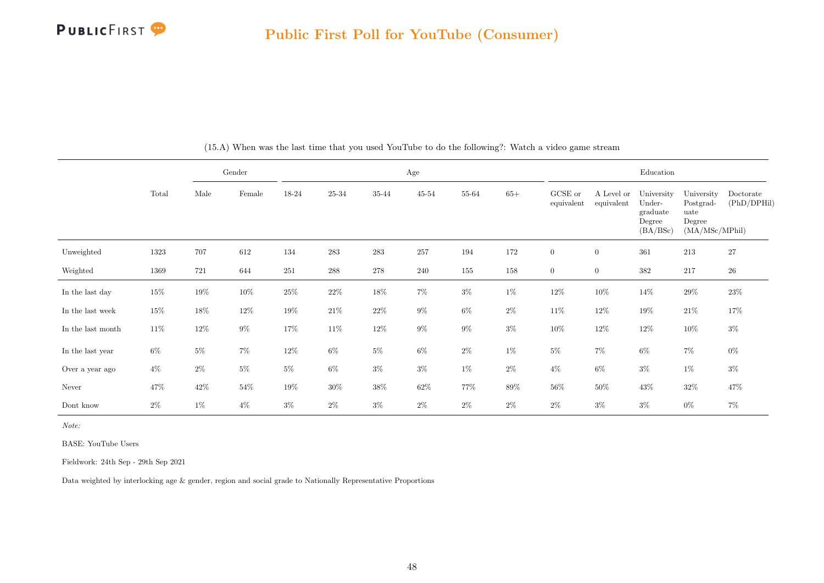

|                   |        |       | Gender |        |        |         | $\rm Age$ |       |        |                       |                          | Education                                              |                                                             |                          |
|-------------------|--------|-------|--------|--------|--------|---------|-----------|-------|--------|-----------------------|--------------------------|--------------------------------------------------------|-------------------------------------------------------------|--------------------------|
|                   | Total  | Male  | Female | 18-24  | 25-34  | 35-44   | $45 - 54$ | 55-64 | $65+$  | GCSE or<br>equivalent | A Level or<br>equivalent | University<br>Under-<br>graduate<br>Degree<br>(BA/BSc) | University<br>Postgrad-<br>uate<br>Degree<br>(MA/MSc/MPhil) | Doctorate<br>(PhD/DPHil) |
| Unweighted        | 1323   | 707   | 612    | 134    | 283    | 283     | 257       | 194   | 172    | $\boldsymbol{0}$      | $\overline{0}$           | 361                                                    | 213                                                         | $27\,$                   |
| Weighted          | 1369   | 721   | 644    | 251    | 288    | $278\,$ | 240       | 155   | 158    | $\overline{0}$        | $\overline{0}$           | 382                                                    | 217                                                         | $26\,$                   |
| In the last day   | $15\%$ | 19%   | $10\%$ | $25\%$ | $22\%$ | $18\%$  | $7\%$     | $3\%$ | $1\%$  | $12\%$                | $10\%$                   | $14\%$                                                 | $29\%$                                                      | $23\%$                   |
| In the last week  | $15\%$ | 18%   | $12\%$ | $19\%$ | $21\%$ | $22\%$  | $9\%$     | $6\%$ | $2\%$  | $11\%$                | 12\%                     | $19\%$                                                 | $21\%$                                                      | 17%                      |
| In the last month | $11\%$ | 12\%  | $9\%$  | $17\%$ | $11\%$ | $12\%$  | $9\%$     | $9\%$ | $3\%$  | $10\%$                | $12\%$                   | $12\%$                                                 | $10\%$                                                      | $3\%$                    |
| In the last year  | $6\%$  | $5\%$ | $7\%$  | 12\%   | $6\%$  | $5\%$   | $6\%$     | $2\%$ | $1\%$  | $5\%$                 | $7\%$                    | $6\%$                                                  | $7\%$                                                       | $0\%$                    |
| Over a year ago   | $4\%$  | $2\%$ | $5\%$  | $5\%$  | $6\%$  | $3\%$   | $3\%$     | $1\%$ | $2\%$  | $4\%$                 | $6\%$                    | $3\%$                                                  | $1\%$                                                       | $3\%$                    |
| Never             | $47\%$ | 42\%  | $54\%$ | $19\%$ | $30\%$ | $38\%$  | $62\%$    | 77%   | $89\%$ | $56\%$                | $50\%$                   | $43\%$                                                 | $32\%$                                                      | $47\%$                   |
| Dont know         | $2\%$  | $1\%$ | $4\%$  | $3\%$  | $2\%$  | $3\%$   | $2\%$     | $2\%$ | $2\%$  | $2\%$                 | $3\%$                    | $3\%$                                                  | $0\%$                                                       | $7\%$                    |

(15.A) When was the last time that you used YouTube to do the following?: Watch a video game stream

Note:

BASE: YouTube Users

Fieldwork: 24th Sep - 29th Sep 2021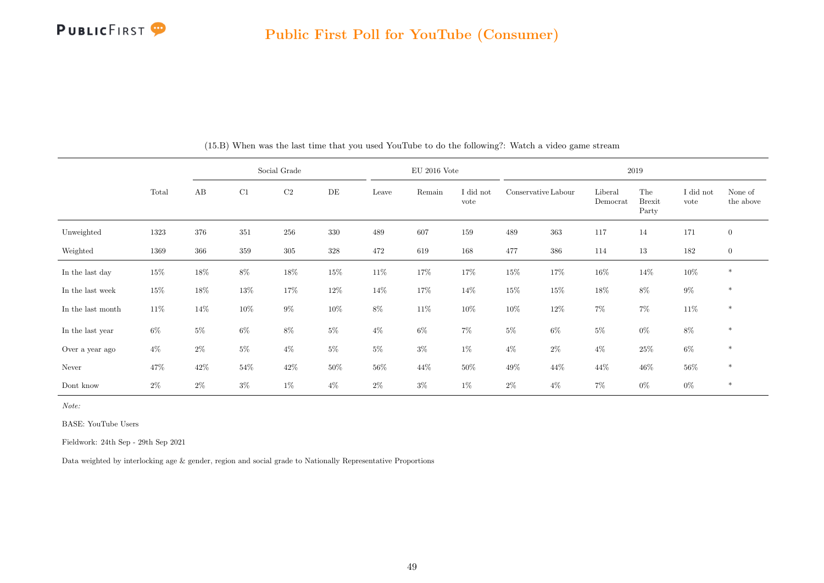

|                   |        |        |         | Social Grade |        |        | $EU$ 2016 Vote |                   |                     |        |                     | 2019                          |                   |                      |
|-------------------|--------|--------|---------|--------------|--------|--------|----------------|-------------------|---------------------|--------|---------------------|-------------------------------|-------------------|----------------------|
|                   | Total  | AB     | C1      | $\rm C2$     | DE     | Leave  | Remain         | I did not<br>vote | Conservative Labour |        | Liberal<br>Democrat | The<br><b>Brexit</b><br>Party | I did not<br>vote | None of<br>the above |
| Unweighted        | 1323   | 376    | 351     | 256          | 330    | 489    | 607            | 159               | 489                 | 363    | 117                 | 14                            | 171               | $\mathbf{0}$         |
| Weighted          | 1369   | 366    | $359\,$ | $305\,$      | 328    | 472    | 619            | 168               | 477                 | 386    | 114                 | 13                            | 182               | $\boldsymbol{0}$     |
| In the last day   | $15\%$ | $18\%$ | $8\%$   | 18%          | $15\%$ | $11\%$ | $17\%$         | 17%               | $15\%$              | 17%    | $16\%$              | 14%                           | $10\%$            | $\ast$               |
| In the last week  | $15\%$ | $18\%$ | $13\%$  | 17%          | $12\%$ | 14\%   | 17%            | 14%               | $15\%$              | $15\%$ | $18\%$              | $8\%$                         | $9\%$             | $\ast$               |
| In the last month | $11\%$ | 14\%   | $10\%$  | $9\%$        | $10\%$ | $8\%$  | $11\%$         | $10\%$            | $10\%$              | 12%    | $7\%$               | $7\%$                         | 11\%              | $\ast$               |
| In the last year  | $6\%$  | $5\%$  | $6\%$   | $8\%$        | $5\%$  | $4\%$  | $6\%$          | 7%                | $5\%$               | $6\%$  | $5\%$               | $0\%$                         | $8\%$             | $\ast$               |
| Over a year ago   | $4\%$  | $2\%$  | $5\%$   | $4\%$        | $5\%$  | $5\%$  | $3\%$          | $1\%$             | $4\%$               | $2\%$  | $4\%$               | $25\%$                        | $6\%$             | $\ast$               |
| Never             | 47%    | 42\%   | $54\%$  | $42\%$       | 50%    | $56\%$ | $44\%$         | 50%               | 49\%                | 44%    | 44%                 | $46\%$                        | $56\%$            | $\ast$               |
| Dont know         | $2\%$  | $2\%$  | $3\%$   | $1\%$        | $4\%$  | $2\%$  | $3\%$          | $1\%$             | $2\%$               | $4\%$  | 7%                  | $0\%$                         | $0\%$             | $\ast$               |

|  | (15.B) When was the last time that you used YouTube to do the following?: Watch a video game stream |  |  |
|--|-----------------------------------------------------------------------------------------------------|--|--|
|  |                                                                                                     |  |  |

Note:

BASE: YouTube Users

Fieldwork: 24th Sep - 29th Sep 2021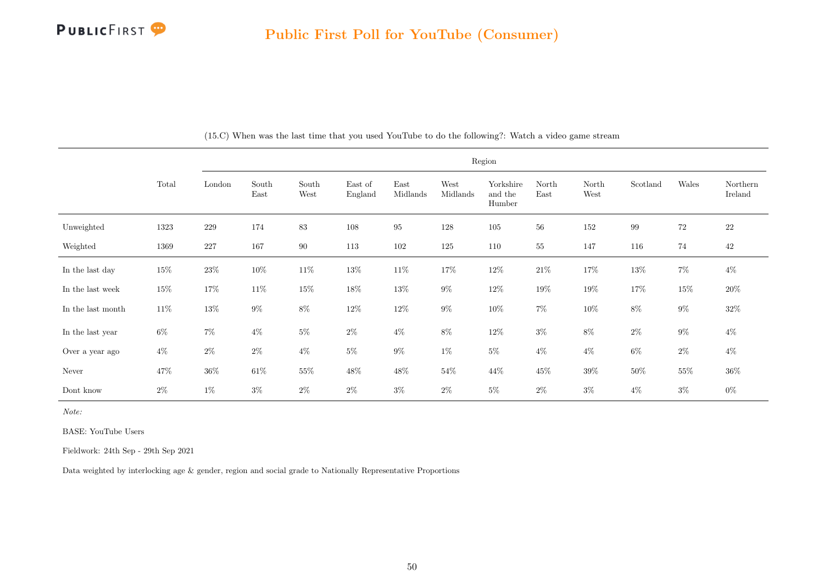

|                   |        |         |               |               |                    |                  |                  | Region                         |               |               |          |        |                     |
|-------------------|--------|---------|---------------|---------------|--------------------|------------------|------------------|--------------------------------|---------------|---------------|----------|--------|---------------------|
|                   | Total  | London  | South<br>East | South<br>West | East of<br>England | East<br>Midlands | West<br>Midlands | Yorkshire<br>and the<br>Humber | North<br>East | North<br>West | Scotland | Wales  | Northern<br>Ireland |
| Unweighted        | 1323   | $229\,$ | 174           | 83            | 108                | $\rm 95$         | 128              | $105\,$                        | 56            | 152           | 99       | 72     | $22\,$              |
| Weighted          | 1369   | $227\,$ | 167           | $90\,$        | 113                | 102              | 125              | 110                            | 55            | 147           | 116      | 74     | $42\,$              |
| In the last day   | $15\%$ | $23\%$  | $10\%$        | $11\%$        | $13\%$             | $11\%$           | $17\%$           | $12\%$                         | $21\%$        | $17\%$        | $13\%$   | $7\%$  | $4\%$               |
| In the last week  | 15%    | $17\%$  | $11\%$        | $15\%$        | $18\%$             | $13\%$           | $9\%$            | $12\%$                         | $19\%$        | $19\%$        | $17\%$   | $15\%$ | $20\%$              |
| In the last month | $11\%$ | $13\%$  | $9\%$         | $8\%$         | $12\%$             | $12\%$           | $9\%$            | $10\%$                         | $7\%$         | $10\%$        | $8\%$    | $9\%$  | $32\%$              |
| In the last year  | $6\%$  | $7\%$   | $4\%$         | $5\%$         | $2\%$              | $4\%$            | $8\%$            | $12\%$                         | $3\%$         | $8\%$         | $2\%$    | $9\%$  | $4\%$               |
| Over a year ago   | $4\%$  | $2\%$   | $2\%$         | $4\%$         | $5\%$              | $9\%$            | $1\%$            | $5\%$                          | $4\%$         | $4\%$         | $6\%$    | $2\%$  | $4\%$               |
| Never             | 47%    | $36\%$  | $61\%$        | $55\%$        | $48\%$             | $48\%$           | $54\%$           | $44\%$                         | $45\%$        | $39\%$        | 50%      | $55\%$ | $36\%$              |
| Dont know         | $2\%$  | $1\%$   | $3\%$         | $2\%$         | $2\%$              | $3\%$            | $2\%$            | $5\%$                          | $2\%$         | $3\%$         | $4\%$    | $3\%$  | $0\%$               |

(15.C) When was the last time that you used YouTube to do the following?: Watch a video game stream

Note:

BASE: YouTube Users

Fieldwork: 24th Sep - 29th Sep 2021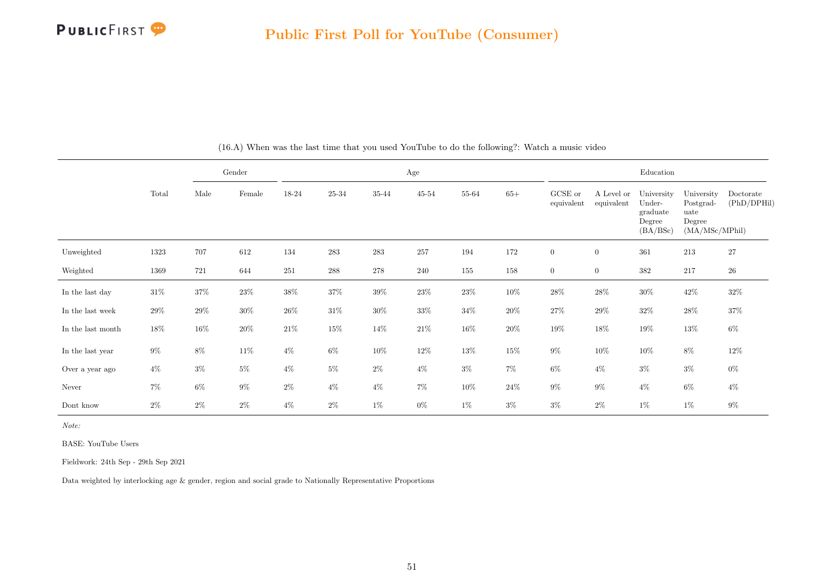

|                   |        |        | Gender |        |                    |        | Age       |        |        |                       |                          | Education                                              |                                                             |                          |
|-------------------|--------|--------|--------|--------|--------------------|--------|-----------|--------|--------|-----------------------|--------------------------|--------------------------------------------------------|-------------------------------------------------------------|--------------------------|
|                   | Total  | Male   | Female | 18-24  | $25 - 34$          | 35-44  | $45 - 54$ | 55-64  | $65+$  | GCSE or<br>equivalent | A Level or<br>equivalent | University<br>Under-<br>graduate<br>Degree<br>(BA/BSc) | University<br>Postgrad-<br>uate<br>Degree<br>(MA/MSc/MPhil) | Doctorate<br>(PhD/DPHil) |
| Unweighted        | 1323   | 707    | 612    | 134    | 283                | 283    | 257       | 194    | 172    | $\boldsymbol{0}$      | $\boldsymbol{0}$         | 361                                                    | 213                                                         | $27\,$                   |
| Weighted          | 1369   | 721    | 644    | 251    | $\boldsymbol{288}$ | 278    | 240       | 155    | 158    | $\boldsymbol{0}$      | $\boldsymbol{0}$         | 382                                                    | 217                                                         | $26\,$                   |
| In the last day   | $31\%$ | 37%    | $23\%$ | $38\%$ | $37\%$             | $39\%$ | $23\%$    | $23\%$ | $10\%$ | $28\%$                | $28\%$                   | $30\%$                                                 | $42\%$                                                      | $32\%$                   |
| In the last week  | $29\%$ | 29%    | $30\%$ | $26\%$ | $31\%$             | $30\%$ | $33\%$    | $34\%$ | $20\%$ | $27\%$                | $29\%$                   | $32\%$                                                 | $28\%$                                                      | $37\%$                   |
| In the last month | 18%    | $16\%$ | $20\%$ | $21\%$ | $15\%$             | 14%    | $21\%$    | $16\%$ | $20\%$ | $19\%$                | 18%                      | 19%                                                    | $13\%$                                                      | $6\%$                    |
| In the last year  | $9\%$  | $8\%$  | $11\%$ | $4\%$  | $6\%$              | $10\%$ | $12\%$    | $13\%$ | $15\%$ | $9\%$                 | $10\%$                   | $10\%$                                                 | $8\%$                                                       | $12\%$                   |
| Over a year ago   | $4\%$  | $3\%$  | $5\%$  | $4\%$  | $5\%$              | $2\%$  | $4\%$     | $3\%$  | $7\%$  | $6\%$                 | $4\%$                    | $3\%$                                                  | $3\%$                                                       | $0\%$                    |
| Never             | $7\%$  | $6\%$  | $9\%$  | $2\%$  | $4\%$              | $4\%$  | $7\%$     | $10\%$ | $24\%$ | $9\%$                 | $9\%$                    | $4\%$                                                  | $6\%$                                                       | $4\%$                    |
| Dont know         | $2\%$  | $2\%$  | $2\%$  | $4\%$  | $2\%$              | $1\%$  | $0\%$     | $1\%$  | $3\%$  | $3\%$                 | $2\%$                    | $1\%$                                                  | $1\%$                                                       | $9\%$                    |

(16.A) When was the last time that you used YouTube to do the following?: Watch a music video

Note:

BASE: YouTube Users

Fieldwork: 24th Sep - 29th Sep 2021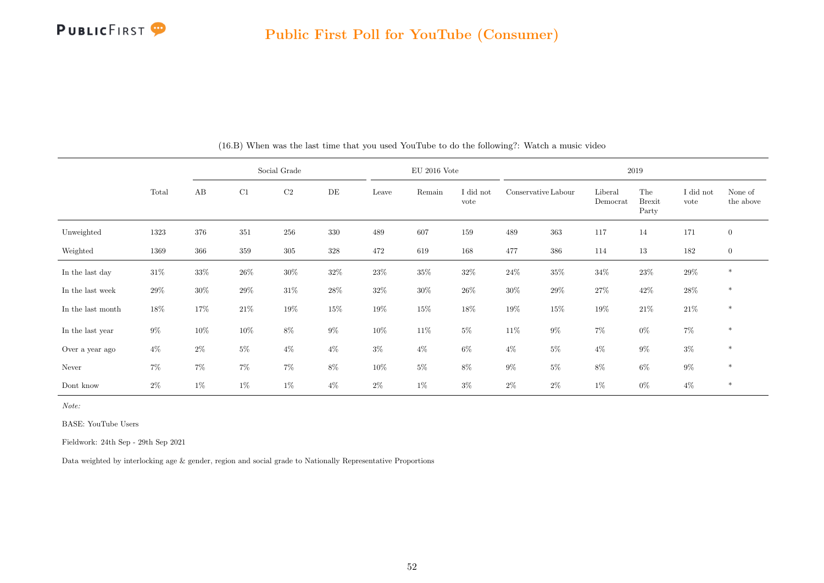

|                   |        |        |         | Social Grade |        |        | $EU$ 2016 Vote |                   |                     |        |                     | 2019                          |                   |                      |
|-------------------|--------|--------|---------|--------------|--------|--------|----------------|-------------------|---------------------|--------|---------------------|-------------------------------|-------------------|----------------------|
|                   | Total  | AB     | C1      | C2           | DE     | Leave  | Remain         | I did not<br>vote | Conservative Labour |        | Liberal<br>Democrat | The<br><b>Brexit</b><br>Party | I did not<br>vote | None of<br>the above |
| Unweighted        | 1323   | 376    | $351\,$ | 256          | 330    | 489    | 607            | 159               | 489                 | 363    | 117                 | 14                            | 171               | $\boldsymbol{0}$     |
| Weighted          | 1369   | 366    | 359     | 305          | 328    | 472    | 619            | 168               | 477                 | 386    | 114                 | 13                            | 182               | $\boldsymbol{0}$     |
| In the last day   | $31\%$ | 33%    | $26\%$  | $30\%$       | 32\%   | $23\%$ | $35\%$         | 32%               | $24\%$              | $35\%$ | $34\%$              | $23\%$                        | $29\%$            | $\ast$               |
| In the last week  | $29\%$ | $30\%$ | 29%     | $31\%$       | $28\%$ | $32\%$ | $30\%$         | $26\%$            | $30\%$              | $29\%$ | $27\%$              | 42\%                          | $28\%$            | $\ast$               |
| In the last month | 18%    | 17%    | $21\%$  | $19\%$       | $15\%$ | $19\%$ | $15\%$         | 18%               | $19\%$              | $15\%$ | 19%                 | $21\%$                        | $21\%$            | $\ast$               |
| In the last year  | $9\%$  | 10%    | $10\%$  | $8\%$        | $9\%$  | $10\%$ | $11\%$         | $5\%$             | $11\%$              | $9\%$  | $7\%$               | $0\%$                         | $7\%$             | $\ast$               |
| Over a year ago   | $4\%$  | $2\%$  | $5\%$   | $4\%$        | $4\%$  | $3\%$  | $4\%$          | 6%                | $4\%$               | $5\%$  | $4\%$               | $9\%$                         | $3\%$             | $\ast$               |
| Never             | $7\%$  | $7\%$  | 7%      | $7\%$        | $8\%$  | $10\%$ | $5\%$          | $8\%$             | $9\%$               | $5\%$  | 8%                  | $6\%$                         | $9\%$             | $\ast$               |
| Dont know         | $2\%$  | $1\%$  | $1\%$   | $1\%$        | $4\%$  | $2\%$  | $1\%$          | $3\%$             | $2\%$               | $2\%$  | $1\%$               | $0\%$                         | $4\%$             | $\ast$               |

(16.B) When was the last time that you used YouTube to do the following?: Watch a music video

Note:

BASE: YouTube Users

Fieldwork: 24th Sep - 29th Sep 2021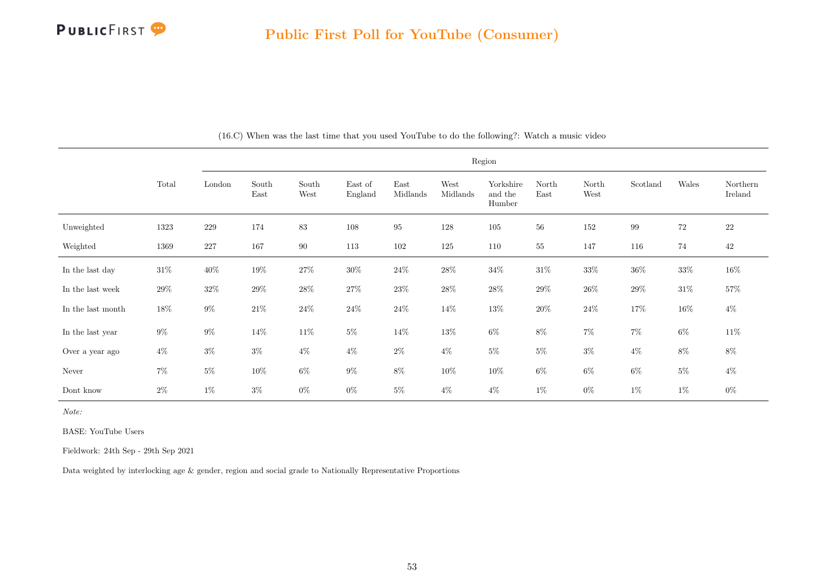

|                   |        |         |               |               |                    |                  |                  | Region                         |               |               |          |        |                     |
|-------------------|--------|---------|---------------|---------------|--------------------|------------------|------------------|--------------------------------|---------------|---------------|----------|--------|---------------------|
|                   | Total  | London  | South<br>East | South<br>West | East of<br>England | East<br>Midlands | West<br>Midlands | Yorkshire<br>and the<br>Humber | North<br>East | North<br>West | Scotland | Wales  | Northern<br>Ireland |
| Unweighted        | 1323   | $229\,$ | 174           | 83            | 108                | $\rm 95$         | 128              | $105\,$                        | 56            | 152           | 99       | 72     | <b>22</b>           |
| Weighted          | 1369   | 227     | 167           | 90            | 113                | $102\,$          | 125              | 110                            | 55            | 147           | 116      | 74     | 42                  |
| In the last day   | $31\%$ | $40\%$  | $19\%$        | $27\%$        | $30\%$             | $24\%$           | $28\%$           | $34\%$                         | $31\%$        | $33\%$        | $36\%$   | 33%    | $16\%$              |
| In the last week  | $29\%$ | $32\%$  | $29\%$        | $28\%$        | $27\%$             | $23\%$           | $28\%$           | $28\%$                         | $29\%$        | $26\%$        | $29\%$   | $31\%$ | 57%                 |
| In the last month | 18%    | $9\%$   | $21\%$        | $24\%$        | $24\%$             | $24\%$           | $14\%$           | $13\%$                         | $20\%$        | $24\%$        | $17\%$   | $16\%$ | $4\%$               |
| In the last year  | $9\%$  | $9\%$   | $14\%$        | $11\%$        | $5\%$              | $14\%$           | $13\%$           | $6\%$                          | $8\%$         | $7\%$         | $7\%$    | $6\%$  | $11\%$              |
| Over a year ago   | $4\%$  | $3\%$   | $3\%$         | $4\%$         | $4\%$              | $2\%$            | $4\%$            | $5\%$                          | $5\%$         | $3\%$         | $4\%$    | 8%     | $8\%$               |
| Never             | $7\%$  | $5\%$   | $10\%$        | $6\%$         | $9\%$              | $8\%$            | $10\%$           | $10\%$                         | $6\%$         | $6\%$         | 6%       | $5\%$  | $4\%$               |
| Dont know         | $2\%$  | $1\%$   | $3\%$         | $0\%$         | $0\%$              | $5\%$            | $4\%$            | $4\%$                          | $1\%$         | $0\%$         | $1\%$    | $1\%$  | $0\%$               |

(16.C) When was the last time that you used YouTube to do the following?: Watch a music video

Note:

BASE: YouTube Users

Fieldwork: 24th Sep - 29th Sep 2021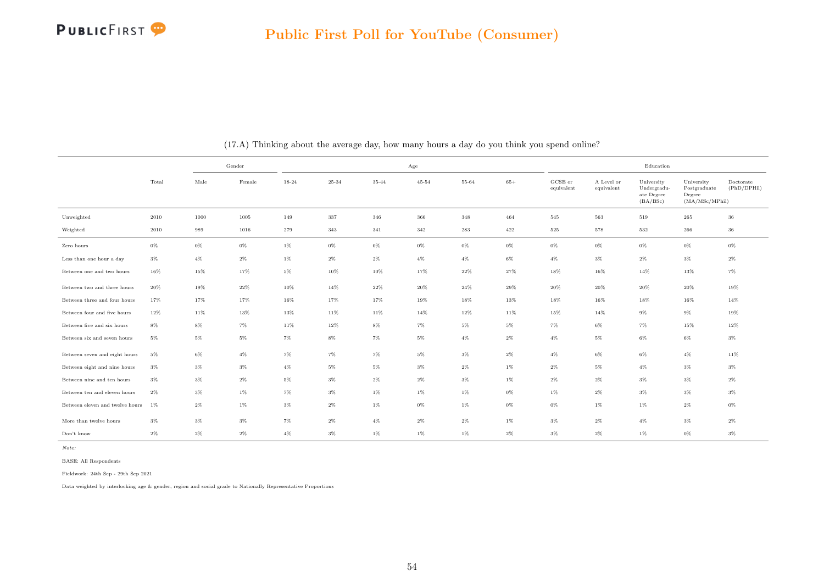

|                                 |       | Gender |        |         |           |        | Age       |        |       |                       |                          | Education                                           |                                                         |                          |
|---------------------------------|-------|--------|--------|---------|-----------|--------|-----------|--------|-------|-----------------------|--------------------------|-----------------------------------------------------|---------------------------------------------------------|--------------------------|
|                                 | Total | Male   | Female | 18-24   | $25 - 34$ | 35-44  | $45 - 54$ | 55-64  | $65+$ | GCSE or<br>equivalent | A Level or<br>equivalent | University<br>Undergradu-<br>ate Degree<br>(BA/BSc) | University<br>Postgraduate<br>Degree<br>(MA/MSc/MPhill) | Doctorate<br>(PhD/DPHil) |
| Unweighted                      | 2010  | 1000   | 1005   | 149     | 337       | 346    | 366       | 348    | 464   | 545                   | 563                      | 519                                                 | 265                                                     | $36\,$                   |
| Weighted                        | 2010  | 989    | 1016   | $279\,$ | 343       | 341    | 342       | 283    | 422   | 525                   | 578                      | 532                                                 | 266                                                     | 36                       |
| Zero hours                      | $0\%$ | $0\%$  | $0\%$  | $1\%$   | $0\%$     | $0\%$  | $0\%$     | $0\%$  | $0\%$ | $0\%$                 | $0\%$                    | $0\%$                                               | $0\%$                                                   | 0%                       |
| Less than one hour a day        | $3\%$ | $4\%$  | $2\%$  | $1\%$   | $2\%$     | $2\%$  | $4\%$     | $4\%$  | $6\%$ | $4\%$                 | $3\%$                    | $2\%$                                               | $3\%$                                                   | $2\%$                    |
| Between one and two hours       | 16%   | 15%    | 17%    | $5\%$   | 10%       | 10%    | 17%       | 22%    | 27%   | 18%                   | 16%                      | 14%                                                 | 13%                                                     | $7\%$                    |
| Between two and three hours     | 20%   | 19%    | $22\%$ | 10%     | 14%       | $22\%$ | $20\%$    | 24%    | 29%   | $20\%$                | 20%                      | $20\%$                                              | 20%                                                     | 19%                      |
| Between three and four hours    | 17%   | 17%    | 17%    | 16%     | 17%       | 17%    | 19%       | 18%    | 13%   | 18%                   | 16%                      | 18%                                                 | 16%                                                     | 14%                      |
| Between four and five hours     | 12%   | 11%    | 13%    | 13%     | 11%       | 11%    | 14%       | $12\%$ | 11%   | 15%                   | 14%                      | 9%                                                  | $9\%$                                                   | 19%                      |
| Between five and six hours      | 8%    | $8\%$  | $7\%$  | 11%     | 12%       | $8\%$  | $7\%$     | $5\%$  | $5\%$ | $7\%$                 | $6\%$                    | 7%                                                  | 15%                                                     | 12%                      |
| Between six and seven hours     | $5\%$ | $5\%$  | $5\%$  | $7\%$   | $8\%$     | $7\%$  | $5\%$     | $4\%$  | $2\%$ | $4\%$                 | $5\%$                    | $6\%$                                               | $6\%$                                                   | $3\%$                    |
| Between seven and eight hours   | $5\%$ | $6\%$  | $4\%$  | $7\%$   | $7\%$     | $7\%$  | $5\%$     | $3\%$  | $2\%$ | $4\%$                 | $6\%$                    | $6\%$                                               | $4\%$                                                   | 11%                      |
| Between eight and nine hours    | $3\%$ | $3\%$  | $3\%$  | $4\%$   | $5\%$     | $5\%$  | $3\%$     | $2\%$  | $1\%$ | $2\%$                 | $5\%$                    | $4\%$                                               | $3\%$                                                   | $3\%$                    |
| Between nine and ten hours      | $3\%$ | $3\%$  | $2\%$  | $5\%$   | $3\%$     | $2\%$  | $2\%$     | $3\%$  | $1\%$ | $2\%$                 | $2\%$                    | $3\%$                                               | $3\%$                                                   | $2\%$                    |
| Between ten and eleven hours    | $2\%$ | $3\%$  | $1\%$  | $7\%$   | $3\%$     | $1\%$  | $1\%$     | $1\%$  | $0\%$ | $1\%$                 | $2\%$                    | $3\%$                                               | $3\%$                                                   | $3\%$                    |
| Between eleven and twelve hours | 1%    | $2\%$  | $1\%$  | $3\%$   | $2\%$     | $1\%$  | $0\%$     | $1\%$  | $0\%$ | $0\%$                 | $1\%$                    | $1\%$                                               | $2\%$                                                   | 0%                       |
| More than twelve hours          | $3\%$ | $3\%$  | $3\%$  | $7\%$   | $2\%$     | $4\%$  | $2\%$     | $2\%$  | $1\%$ | $3\%$                 | $2\%$                    | $4\%$                                               | $3\%$                                                   | $2\%$                    |
| Don't know                      | $2\%$ | $2\%$  | $2\%$  | $4\%$   | $3\%$     | $1\%$  | $1\%$     | $1\%$  | $2\%$ | $3\%$                 | $2\%$                    | $1\%$                                               | $0\%$                                                   | $3\%$                    |

(17.A) Thinking about the average day, how many hours a day do you think you spend online?

Note:

BASE: All Respondents

Fieldwork: 24th Sep - 29th Sep 2021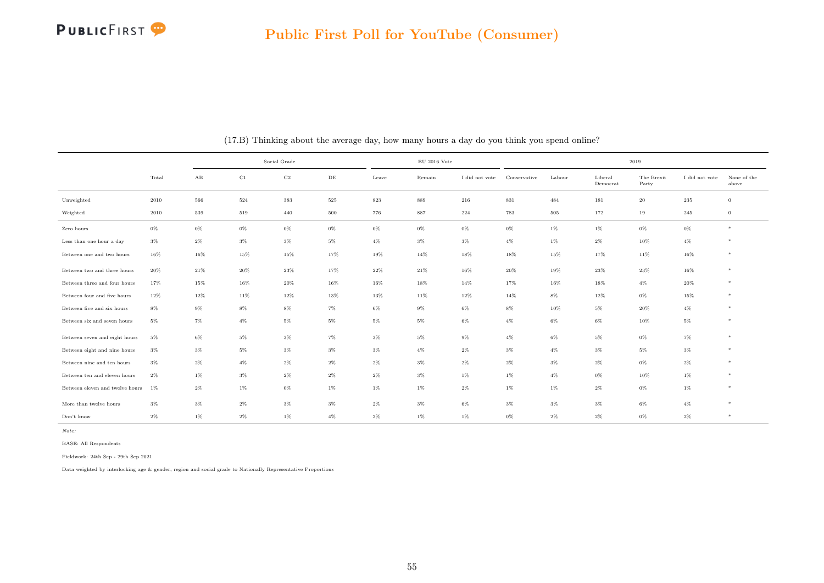

|                                 |        |       |        | Social Grade |       |        | $\rm EU$ 2016 Vote |                |              |        |                     | 2019                |                |                      |
|---------------------------------|--------|-------|--------|--------------|-------|--------|--------------------|----------------|--------------|--------|---------------------|---------------------|----------------|----------------------|
|                                 | Total  | AB    | C1     | $_{\rm C2}$  | DE    | Leave  | Remain             | I did not vote | Conservative | Labour | Liberal<br>Democrat | The Brexit<br>Party | I did not vote | None of the<br>above |
| Unweighted                      | 2010   | 566   | 524    | 383          | 525   | 823    | 889                | 216            | 831          | 484    | 181                 | 20                  | 235            | $\overline{0}$       |
| Weighted                        | 2010   | 539   | 519    | 440          | 500   | 776    | 887                | 224            | 783          | 505    | 172                 | 19                  | 245            | $\mathbf{0}$         |
| Zero hours                      | 0%     | $0\%$ | 0%     | 0%           | $0\%$ | 0%     | $0\%$              | $0\%$          | $0\%$        | $1\%$  | $1\%$               | $0\%$               | $0\%$          | $*$                  |
| Less than one hour a day        | $3\%$  | $2\%$ | $3\%$  | $3\%$        | $5\%$ | $4\%$  | $3\%$              | $3\%$          | $4\%$        | $1\%$  | $2\%$               | 10%                 | $4\%$          | *                    |
| Between one and two hours       | 16%    | 16%   | 15%    | 15%          | 17%   | 19%    | 14%                | 18%            | 18%          | 15%    | 17%                 | 11%                 | 16%            | *                    |
| Between two and three hours     | $20\%$ | 21%   | $20\%$ | $23\%$       | 17%   | $22\%$ | $21\%$             | 16%            | $20\%$       | 19%    | 23%                 | $23\%$              | 16%            | *                    |
| Between three and four hours    | 17%    | 15%   | 16%    | 20%          | 16%   | $16\%$ | $18\%$             | 14%            | 17%          | $16\%$ | 18%                 | $4\%$               | 20%            | *                    |
| Between four and five hours     | 12%    | 12%   | 11%    | $12\%$       | 13%   | $13\%$ | 11%                | 12%            | $14\%$       | $8\%$  | 12%                 | $0\%$               | 15%            | *                    |
| Between five and six hours      | 8%     | $9\%$ | $8\%$  | $8\%$        | $7\%$ | $6\%$  | $9\%$              | $6\%$          | $8\%$        | $10\%$ | $5\%$               | $20\%$              | $4\%$          | *                    |
| Between six and seven hours     | $5\%$  | $7\%$ | $4\%$  | $5\%$        | $5\%$ | $5\%$  | $5\%$              | $6\%$          | $4\%$        | $6\%$  | 6%                  | 10%                 | $5\%$          | $*$                  |
| Between seven and eight hours   | $5\%$  | $6\%$ | $5\%$  | $3\%$        | $7\%$ | $3\%$  | $5\%$              | $9\%$          | $4\%$        | $6\%$  | $5\%$               | $0\%$               | $7\%$          | $*$                  |
| Between eight and nine hours    | $3\%$  | $3\%$ | $5\%$  | $3\%$        | $3\%$ | $3\%$  | $4\%$              | $2\%$          | $3\%$        | $4\%$  | $3\%$               | $5\%$               | $3\%$          | $\ast$               |
| Between nine and ten hours      | $3\%$  | $2\%$ | $4\%$  | $2\%$        | $2\%$ | $2\%$  | $3\%$              | $2\%$          | $2\%$        | $3\%$  | $2\%$               | $0\%$               | $2\%$          | $*$                  |
| Between ten and eleven hours    | $2\%$  | $1\%$ | $3\%$  | $2\%$        | $2\%$ | $2\%$  | $3\%$              | $1\%$          | $1\%$        | $4\%$  | $0\%$               | 10%                 | $1\%$          | *                    |
| Between eleven and twelve hours | $1\%$  | $2\%$ | $1\%$  | $0\%$        | $1\%$ | $1\%$  | $1\%$              | $2\%$          | $1\%$        | $1\%$  | $2\%$               | $0\%$               | $1\%$          | $*$                  |
| More than twelve hours          | $3\%$  | $3\%$ | $2\%$  | $3\%$        | $3\%$ | $2\%$  | $3\%$              | $6\%$          | $3\%$        | $3\%$  | $3\%$               | $6\%$               | $4\%$          | *                    |
| Don't know                      | $2\%$  | $1\%$ | $2\%$  | $1\%$        | $4\%$ | $2\%$  | $1\%$              | $1\%$          | $0\%$        | $2\%$  | $2\%$               | $0\%$               | $2\%$          | *                    |

(17.B) Thinking about the average day, how many hours a day do you think you spend online?

Note:

BASE: All Respondents

Fieldwork: 24th Sep - 29th Sep 2021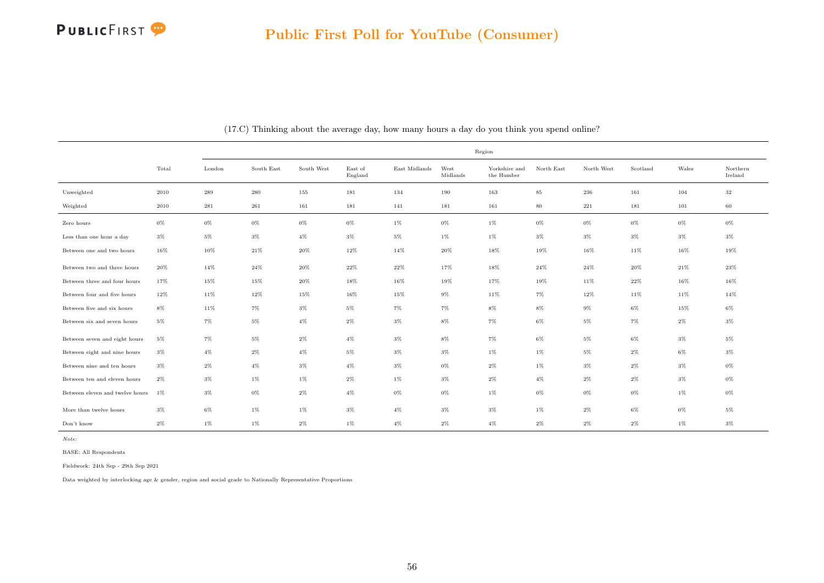

|                                 |        |        |                             |            |                    |               |                  | Region                      |            |            |          |       |                     |
|---------------------------------|--------|--------|-----------------------------|------------|--------------------|---------------|------------------|-----------------------------|------------|------------|----------|-------|---------------------|
|                                 | Total  | London | South $\operatorname{East}$ | South West | East of<br>England | East Midlands | West<br>Midlands | Yorkshire and<br>the Humber | North East | North West | Scotland | Wales | Northern<br>Ireland |
| Unweighted                      | 2010   | 289    | 280                         | 155        | 181                | 134           | 190              | 163                         | 85         | 236        | 161      | 104   | 32                  |
| Weighted                        | 2010   | 281    | 261                         | 161        | 181                | 141           | 181              | 161                         | 80         | 221        | 181      | 101   | 60                  |
| Zero hours                      | $0\%$  | $0\%$  | $0\%$                       | $0\%$      | $0\%$              | $1\%$         | $0\%$            | $1\%$                       | $0\%$      | 0%         | 0%       | $0\%$ | $0\%$               |
| Less than one hour a day        | $3\%$  | $5\%$  | $3\%$                       | $4\%$      | $3\%$              | $5\%$         | $1\%$            | $1\%$                       | $3\%$      | $3\%$      | $3\%$    | 3%    | $3\%$               |
| Between one and two hours       | $16\%$ | $10\%$ | $21\%$                      | $20\%$     | $12\%$             | 14%           | $20\%$           | $18\%$                      | $19\%$     | $16\%$     | 11%      | 16%   | 19%                 |
| Between two and three hours     | $20\%$ | 14%    | $24\%$                      | $20\%$     | $22\%$             | $22\%$        | 17%              | $18\%$                      | $24\%$     | $24\%$     | $20\%$   | 21%   | $23\%$              |
| Between three and four hours    | 17%    | 15%    | 15%                         | 20%        | 18%                | 16%           | 19%              | 17%                         | 19%        | 11%        | 22%      | 16%   | 16%                 |
| Between four and five hours     | 12%    | 11%    | 12%                         | 15%        | $16\%$             | 15%           | $9\%$            | 11%                         | $7\%$      | 12%        | 11%      | 11%   | 14%                 |
| Between five and six hours      | $8\%$  | 11%    | $7\%$                       | $3\%$      | $5\%$              | $7\%$         | $7\%$            | 8%                          | 8%         | 9%         | 6%       | 15%   | 6%                  |
| Between six and seven hours     | $5\%$  | $7\%$  | $5\%$                       | $4\%$      | $2\%$              | $3\%$         | 8%               | $7\%$                       | $6\%$      | 5%         | $7\%$    | $2\%$ | $3\%$               |
| Between seven and eight hours   | $5\%$  | $7\%$  | $5\%$                       | $2\%$      | $4\%$              | $3\%$         | 8%               | 7%                          | $6\%$      | 5%         | 6%       | 3%    | 5%                  |
| Between eight and nine hours    | $3\%$  | $4\%$  | $2\%$                       | $4\%$      | $5\%$              | $3\%$         | $3\%$            | $1\%$                       | $1\%$      | $5\%$      | $2\%$    | $6\%$ | $3\%$               |
| Between nine and ten hours      | $3\%$  | $2\%$  | $4\%$                       | $3\%$      | $4\%$              | $3\%$         | $0\%$            | $2\%$                       | $1\%$      | $3\%$      | $2\%$    | $3\%$ | $0\%$               |
| Between ten and eleven hours    | $2\%$  | $3\%$  | $1\%$                       | 1%         | $2\%$              | $1\%$         | $3\%$            | $2\%$                       | $4\%$      | $2\%$      | $2\%$    | $3\%$ | $0\%$               |
| Between eleven and twelve hours | 1%     | $3\%$  | 0%                          | $2\%$      | $4\%$              | $0\%$         | $0\%$            | $1\%$                       | $0\%$      | 0%         | 0%       | $1\%$ | $0\%$               |
| More than twelve hours          | $3\%$  | $6\%$  | $1\%$                       | 1%         | $3\%$              | $4\%$         | $3\%$            | $3\%$                       | $1\%$      | $2\%$      | 6%       | 0%    | 5%                  |
| Don't know                      | $2\%$  | $1\%$  | $1\%$                       | $2\%$      | $1\%$              | $4\%$         | $2\%$            | $4\%$                       | $2\%$      | $2\%$      | $2\%$    | $1\%$ | $3\%$               |

(17.C) Thinking about the average day, how many hours a day do you think you spend online?

Note:

BASE: All Respondents

Fieldwork: 24th Sep - 29th Sep 2021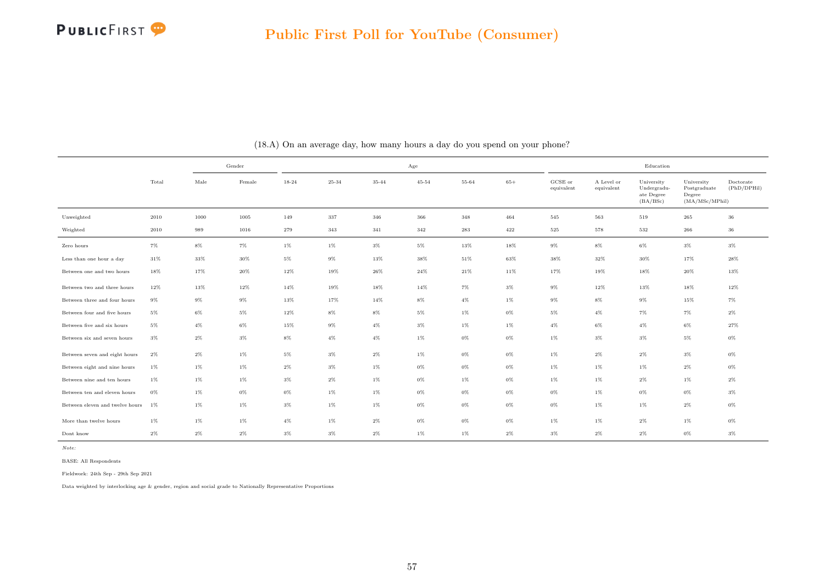

|                                    |        | Gender |        |         |           |           | Age       |        |       |                                |                          | Education                                           |                                                         |                          |
|------------------------------------|--------|--------|--------|---------|-----------|-----------|-----------|--------|-------|--------------------------------|--------------------------|-----------------------------------------------------|---------------------------------------------------------|--------------------------|
|                                    | Total  | Male   | Female | 18-24   | $25 - 34$ | $35 - 44$ | $45 - 54$ | 55-64  | $65+$ | $_{\rm GCSE~or}$<br>equivalent | A Level or<br>equivalent | University<br>Undergradu-<br>ate Degree<br>(BA/BSc) | University<br>Postgraduate<br>Degree<br>(MA/MSc/MPhill) | Doctorate<br>(PhD/DPHil) |
| Unweighted                         | 2010   | 1000   | 1005   | 149     | 337       | 346       | 366       | 348    | 464   | 545                            | 563                      | 519                                                 | 265                                                     | 36                       |
| Weighted                           | 2010   | 989    | 1016   | $279\,$ | 343       | 341       | 342       | 283    | 422   | 525                            | 578                      | 532                                                 | 266                                                     | 36                       |
| Zero hours                         | $7\%$  | $8\%$  | $7\%$  | $1\%$   | $1\%$     | $3\%$     | $5\%$     | 13%    | 18%   | $9\%$                          | $8\%$                    | $6\%$                                               | $3\%$                                                   | $3\%$                    |
| Less than one hour $\mathbf a$ day | $31\%$ | $33\%$ | $30\%$ | $5\%$   | $9\%$     | 13%       | $38\%$    | $51\%$ | 63%   | $38\%$                         | $32\%$                   | $30\%$                                              | 17%                                                     | $28\%$                   |
| Between one and two hours          | 18%    | 17%    | 20%    | $12\%$  | 19%       | 26%       | $24\%$    | $21\%$ | 11%   | 17%                            | 19%                      | 18%                                                 | 20%                                                     | 13%                      |
| Between two and three hours        | 12%    | 13%    | 12%    | 14%     | 19%       | 18%       | 14%       | 7%     | $3\%$ | 9%                             | 12%                      | 13%                                                 | 18%                                                     | 12%                      |
| Between three and four hours       | $9\%$  | $9\%$  | $9\%$  | 13%     | 17%       | 14%       | $8\%$     | $4\%$  | $1\%$ | $9\%$                          | $8\%$                    | $9\%$                                               | 15%                                                     | $7\%$                    |
| Between four and five hours        | $5\%$  | $6\%$  | $5\%$  | $12\%$  | $8\%$     | $8\%$     | $5\%$     | $1\%$  | $0\%$ | $5\%$                          | $4\%$                    | $7\%$                                               | $7\%$                                                   | $2\%$                    |
| Between five and six hours         | $5\%$  | $4\%$  | $6\%$  | 15%     | 9%        | $4\%$     | $3\%$     | $1\%$  | $1\%$ | $4\%$                          | $6\%$                    | $4\%$                                               | $6\%$                                                   | 27%                      |
| Between six and seven hours        | $3\%$  | $2\%$  | $3\%$  | $8\%$   | $4\%$     | $4\%$     | $1\%$     | $0\%$  | $0\%$ | $1\%$                          | $3\%$                    | $3\%$                                               | $5\%$                                                   | $0\%$                    |
| Between seven and eight hours      | $2\%$  | $2\%$  | $1\%$  | $5\%$   | $3\%$     | $2\%$     | $1\%$     | $0\%$  | $0\%$ | $1\%$                          | $2\%$                    | $2\%$                                               | $3\%$                                                   | $0\%$                    |
| Between eight and nine hours       | $1\%$  | $1\%$  | $1\%$  | $2\%$   | $3\%$     | 1%        | $0\%$     | $0\%$  | 0%    | $1\%$                          | $1\%$                    | $1\%$                                               | $2\%$                                                   | 0%                       |
| Between nine and ten hours         | $1\%$  | $1\%$  | $1\%$  | $3\%$   | $2\%$     | $1\%$     | $0\%$     | $1\%$  | $0\%$ | $1\%$                          | $1\%$                    | $2\%$                                               | $1\%$                                                   | $2\%$                    |
| Between ten and eleven hours       | $0\%$  | $1\%$  | $0\%$  | $0\%$   | $1\%$     | $1\%$     | $0\%$     | $0\%$  | $0\%$ | $0\%$                          | $1\%$                    | $0\%$                                               | $0\%$                                                   | $3\%$                    |
| Between eleven and twelve hours    | $1\%$  | $1\%$  | $1\%$  | $3\%$   | $1\%$     | $1\%$     | $0\%$     | $0\%$  | $0\%$ | $0\%$                          | $1\%$                    | $1\%$                                               | $2\%$                                                   | 0%                       |
| More than twelve hours             | $1\%$  | $1\%$  | $1\%$  | $4\%$   | $1\%$     | $2\%$     | $0\%$     | $0\%$  | $0\%$ | $1\%$                          | $1\%$                    | $2\%$                                               | $1\%$                                                   | $0\%$                    |
| Dont know                          | $2\%$  | $2\%$  | $2\%$  | $3\%$   | $3\%$     | $2\%$     | 1%        | $1\%$  | $2\%$ | $3\%$                          | $2\%$                    | $2\%$                                               | $0\%$                                                   | $3\%$                    |

(18.A) On an average day, how many hours a day do you spend on your phone?

Note:

BASE: All Respondents

Fieldwork: 24th Sep - 29th Sep 2021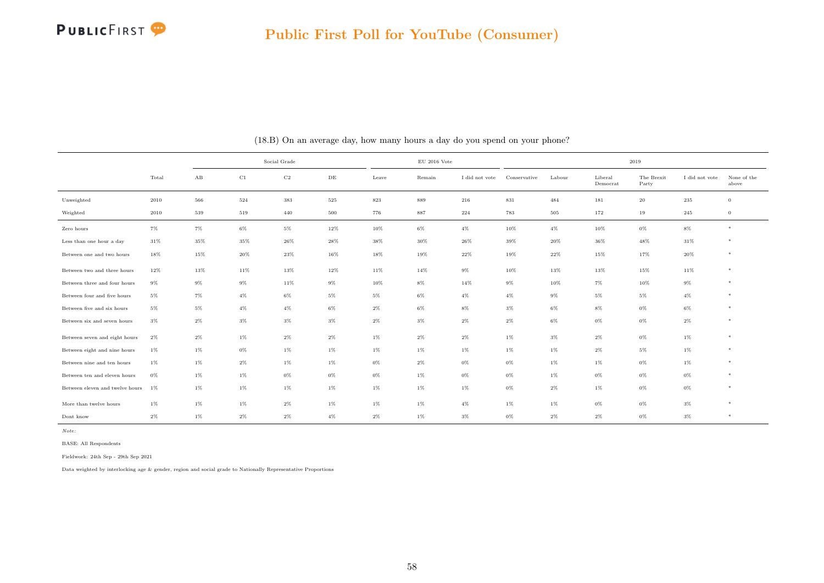

|                                    |       |       |        | Social Grade |       |       | $\rm EU$ 2016 Vote |                |              |        |                     | 2019                |                |                      |
|------------------------------------|-------|-------|--------|--------------|-------|-------|--------------------|----------------|--------------|--------|---------------------|---------------------|----------------|----------------------|
|                                    | Total | AB    | C1     | $_{\rm C2}$  | DE    | Leave | Remain             | I did not vote | Conservative | Labour | Liberal<br>Democrat | The Brexit<br>Party | I did not vote | None of the<br>above |
| Unweighted                         | 2010  | 566   | 524    | 383          | 525   | 823   | 889                | 216            | 831          | 484    | 181                 | 20                  | 235            | $\overline{0}$       |
| Weighted                           | 2010  | 539   | 519    | 440          | 500   | 776   | 887                | 224            | 783          | 505    | 172                 | 19                  | 245            | $\overline{0}$       |
| Zero hours                         | $7\%$ | 7%    | $6\%$  | $5\%$        | 12%   | 10%   | $6\%$              | $4\%$          | 10%          | $4\%$  | 10%                 | 0%                  | $8\%$          | $*$                  |
| Less than one hour a day           | 31%   | 35%   | $35\%$ | 26%          | 28%   | 38%   | 30%                | 26%            | 39%          | 20%    | 36%                 | 48%                 | $31\%$         | $*$                  |
| Between one and two hours          | 18%   | 15%   | 20%    | 23%          | 16%   | 18%   | 19%                | 22%            | 19%          | 22%    | 15%                 | 17%                 | 20%            | $*$                  |
| Between two and three hours        | 12%   | 13%   | 11%    | 13%          | 12%   | 11%   | 14%                | $9\%$          | 10%          | $13\%$ | 13%                 | 15%                 | 11%            | $*$                  |
| Between three and four hours       | $9\%$ | $9\%$ | $9\%$  | 11%          | $9\%$ | 10%   | $8\%$              | 14%            | $9\%$        | $10\%$ | $7\%$               | 10%                 | $9\%$          | $*$                  |
| Between four and five hours        | $5\%$ | $7\%$ | $4\%$  | $6\%$        | $5\%$ | $5\%$ | $6\%$              | $4\%$          | $4\%$        | $9\%$  | $5\%$               | $5\%$               | $4\%$          | $*$                  |
| Between five and six hours         | $5\%$ | $5\%$ | $4\%$  | $4\%$        | $6\%$ | $2\%$ | $6\%$              | $8\%$          | $3\%$        | $6\%$  | $8\%$               | $0\%$               | $6\%$          | $*$                  |
| Between six and seven hours        | $3\%$ | $2\%$ | $3\%$  | $3\%$        | $3\%$ | $2\%$ | $3\%$              | $2\%$          | $2\%$        | $6\%$  | $0\%$               | $0\%$               | $2\%$          | $*$                  |
| Between seven and eight hours      | $2\%$ | $2\%$ | $1\%$  | $2\%$        | $2\%$ | $1\%$ | $2\%$              | $2\%$          | $1\%$        | $3\%$  | $2\%$               | $0\%$               | $1\%$          | $*$                  |
| Between eight and nine hours       | $1\%$ | $1\%$ | $0\%$  | $1\%$        | $1\%$ | $1\%$ | $1\%$              | $1\%$          | $1\%$        | $1\%$  | $2\%$               | $5\%$               | $1\%$          | $*$                  |
| Between nine and ten hours         | $1\%$ | $1\%$ | $2\%$  | $1\%$        | $1\%$ | $0\%$ | $2\%$              | $0\%$          | $0\%$        | $1\%$  | $1\%$               | $0\%$               | $1\%$          | $*$                  |
| Between ten and eleven hours       | $0\%$ | $1\%$ | $1\%$  | $0\%$        | $0\%$ | $0\%$ | $1\%$              | $0\%$          | $0\%$        | $1\%$  | $0\%$               | $0\%$               | $0\%$          | $\ast$               |
| Between eleven and twelve hours 1% |       | $1\%$ | 1%     | $1\%$        | $1\%$ | $1\%$ | $1\%$              | $1\%$          | $0\%$        | $2\%$  | $1\%$               | $0\%$               | $0\%$          | $*$                  |
| More than twelve hours             | $1\%$ | $1\%$ | $1\%$  | $2\%$        | $1\%$ | $1\%$ | $1\%$              | $4\%$          | $1\%$        | $1\%$  | $0\%$               | $0\%$               | $3\%$          | $*$                  |
| Dont know                          | $2\%$ | $1\%$ | $2\%$  | $2\%$        | $4\%$ | $2\%$ | $1\%$              | $3\%$          | $0\%$        | $2\%$  | $2\%$               | $0\%$               | $3\%$          | $*$                  |

(18.B) On an average day, how many hours a day do you spend on your phone?

Note:

BASE: All Respondents

Fieldwork: 24th Sep - 29th Sep 2021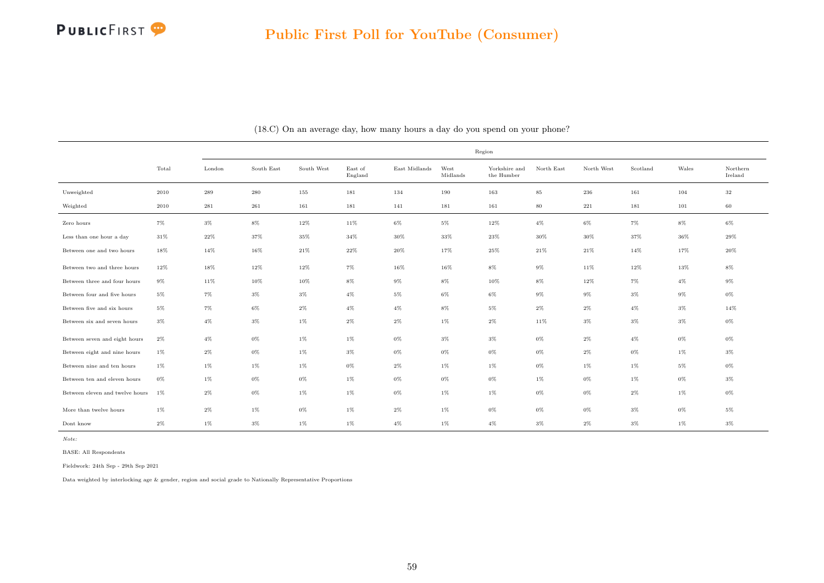

|                                 |        |        |            |            |                    |                     |                  | Region                      |            |            |          |       |                     |
|---------------------------------|--------|--------|------------|------------|--------------------|---------------------|------------------|-----------------------------|------------|------------|----------|-------|---------------------|
|                                 | Total  | London | South East | South West | East of<br>England | $\rm East$ Midlands | West<br>Midlands | Yorkshire and<br>the Humber | North East | North West | Scotland | Wales | Northern<br>Ireland |
| Unweighted                      | 2010   | 289    | 280        | 155        | 181                | 134                 | 190              | 163                         | $85\,$     | 236        | 161      | 104   | $32\,$              |
| Weighted                        | 2010   | 281    | 261        | 161        | 181                | 141                 | 181              | 161                         | $80\,$     | 221        | 181      | 101   | 60                  |
| Zero hours                      | $7\%$  | $3\%$  | 8%         | 12%        | 11%                | 6%                  | $5\%$            | 12%                         | $4\%$      | 6%         | $7\%$    | 8%    | 6%                  |
| Less than one hour a day        | 31%    | 22%    | 37%        | 35%        | 34%                | 30%                 | 33%              | 23%                         | 30%        | 30%        | 37%      | 36%   | 29%                 |
| Between one and two hours       | 18%    | 14%    | 16%        | 21%        | 22%                | 20%                 | 17%              | $25\%$                      | 21%        | $21\%$     | 14%      | 17%   | $20\%$              |
| Between two and three hours     | $12\%$ | $18\%$ | $12\%$     | 12%        | $7\%$              | 16%                 | 16%              | $8\%$                       | $9\%$      | 11%        | $12\%$   | 13%   | $8\%$               |
| Between three and four hours    | $9\%$  | 11%    | 10%        | 10%        | $8\%$              | $9\%$               | $8\%$            | 10%                         | $8\%$      | $12\%$     | $7\%$    | $4\%$ | $9\%$               |
| Between four and five hours     | $5\%$  | $7\%$  | $3\%$      | $3\%$      | $4\%$              | $5\%$               | $6\%$            | $6\%$                       | $9\%$      | $9\%$      | $3\%$    | $9\%$ | $0\%$               |
| Between five and six hours      | $5\%$  | 7%     | $6\%$      | $2\%$      | $4\%$              | $4\%$               | $8\%$            | $5\%$                       | $2\%$      | $2\%$      | $4\%$    | $3\%$ | 14%                 |
| Between six and seven hours     | $3\%$  | $4\%$  | $3\%$      | $1\%$      | $2\%$              | $2\%$               | $1\%$            | $2\%$                       | 11%        | $3\%$      | $3\%$    | $3\%$ | $0\%$               |
| Between seven and eight hours   | $2\%$  | $4\%$  | $0\%$      | $1\%$      | $1\%$              | $0\%$               | $3\%$            | $3\%$                       | $0\%$      | $2\%$      | $4\%$    | $0\%$ | $0\%$               |
| Between eight and nine hours    | 1%     | $2\%$  | $0\%$      | $1\%$      | $3\%$              | $0\%$               | $0\%$            | $0\%$                       | 0%         | $2\%$      | $0\%$    | $1\%$ | $3\%$               |
| Between nine and ten hours      | 1%     | $1\%$  | $1\%$      | $1\%$      | $0\%$              | $2\%$               | $1\%$            | $1\%$                       | $0\%$      | $1\%$      | $1\%$    | $5\%$ | $0\%$               |
| Between ten and eleven hours    | $0\%$  | $1\%$  | $0\%$      | $0\%$      | 1%                 | $0\%$               | 0%               | 0%                          | 1%         | $0\%$      | 1%       | $0\%$ | 3%                  |
| Between eleven and twelve hours | $1\%$  | $2\%$  | $0\%$      | $1\%$      | $1\%$              | $0\%$               | $1\%$            | $1\%$                       | 0%         | $0\%$      | $2\%$    | $1\%$ | $0\%$               |
| More than twelve hours          | 1%     | $2\%$  | 1%         | $0\%$      | $1\%$              | $2\%$               | $1\%$            | $0\%$                       | 0%         | $0\%$      | $3\%$    | $0\%$ | 5%                  |
| Dont know                       | $2\%$  | $1\%$  | $3\%$      | $1\%$      | 1%                 | $4\%$               | $1\%$            | $4\%$                       | $3\%$      | $2\%$      | $3\%$    | $1\%$ | 3%                  |

(18.C) On an average day, how many hours a day do you spend on your phone?

Note:

BASE: All Respondents

Fieldwork: 24th Sep - 29th Sep 2021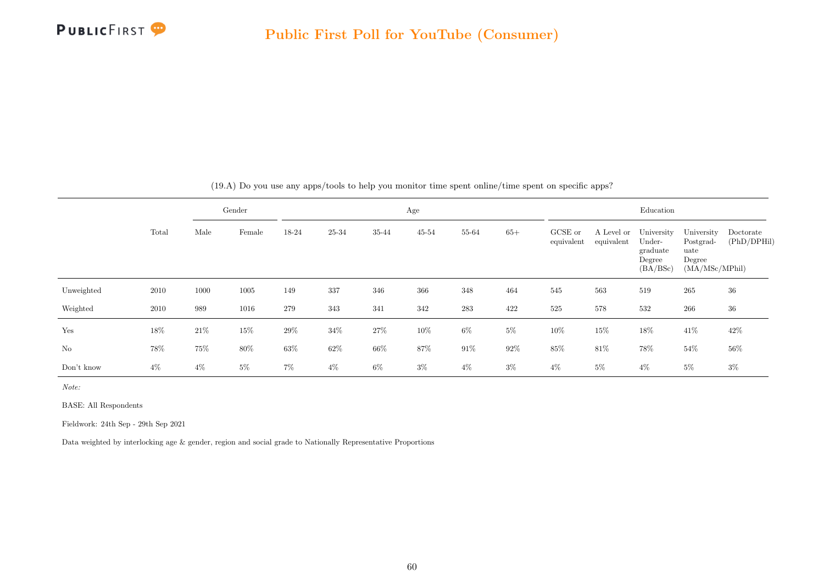

|            |       |        | Gender   |       |        |        | Age       |        |        |                       |                          | Education                                              |                                                             |                          |
|------------|-------|--------|----------|-------|--------|--------|-----------|--------|--------|-----------------------|--------------------------|--------------------------------------------------------|-------------------------------------------------------------|--------------------------|
|            | Total | Male   | Female   | 18-24 | 25-34  | 35-44  | $45 - 54$ | 55-64  | $65+$  | GCSE or<br>equivalent | A Level or<br>equivalent | University<br>Under-<br>graduate<br>Degree<br>(BA/BSc) | University<br>Postgrad-<br>uate<br>Degree<br>(MA/MSc/MPhil) | Doctorate<br>(PhD/DPHil) |
| Unweighted | 2010  | 1000   | $1005\,$ | 149   | 337    | 346    | 366       | 348    | 464    | 545                   | 563                      | 519                                                    | 265                                                         | 36                       |
| Weighted   | 2010  | 989    | 1016     | 279   | 343    | 341    | 342       | 283    | 422    | 525                   | 578                      | 532                                                    | 266                                                         | 36                       |
| Yes        | 18%   | 21\%   | $15\%$   | 29%   | $34\%$ | $27\%$ | $10\%$    | $6\%$  | $5\%$  | 10%                   | $15\%$                   | 18%                                                    | 41\%                                                        | 42\%                     |
| No         | 78%   | $75\%$ | $80\%$   | 63%   | $62\%$ | $66\%$ | $87\%$    | $91\%$ | $92\%$ | $85\%$                | $81\%$                   | 78%                                                    | $54\%$                                                      | $56\%$                   |
| Don't know | $4\%$ | $4\%$  | $5\%$    | $7\%$ | $4\%$  | $6\%$  | $3\%$     | $4\%$  | $3\%$  | $4\%$                 | $5\%$                    | $4\%$                                                  | $5\%$                                                       | $3\%$                    |

(19.A) Do you use any apps/tools to help you monitor time spent online/time spent on specific apps?

Note:

BASE: All Respondents

Fieldwork: 24th Sep - 29th Sep 2021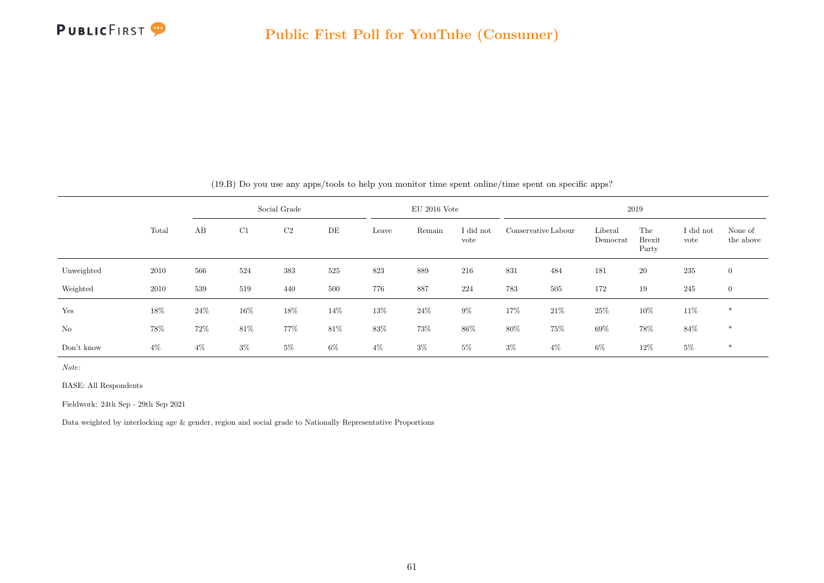

|            |       |       |        | Social Grade   |       |       | $EU$ 2016 Vote |                   |        |                     |                     | 2019                          |                   |                      |
|------------|-------|-------|--------|----------------|-------|-------|----------------|-------------------|--------|---------------------|---------------------|-------------------------------|-------------------|----------------------|
|            | Total | AB    | C1     | C <sub>2</sub> | DE    | Leave | Remain         | I did not<br>vote |        | Conservative Labour | Liberal<br>Democrat | The<br><b>Brexit</b><br>Party | I did not<br>vote | None of<br>the above |
| Unweighted | 2010  | 566   | 524    | 383            | 525   | 823   | 889            | 216               | 831    | 484                 | 181                 | 20                            | 235               | $\overline{0}$       |
| Weighted   | 2010  | 539   | 519    | 440            | 500   | 776   | 887            | 224               | 783    | 505                 | 172                 | 19                            | 245               | $\overline{0}$       |
| Yes        | 18%   | 24\%  | $16\%$ | 18%            | 14%   | 13%   | 24\%           | $9\%$             | 17%    | $21\%$              | 25%                 | $10\%$                        | 11\%              | $\ast$               |
| $\rm No$   | 78%   | 72%   | 81\%   | 77%            | 81\%  | 83%   | 73%            | 86%               | $80\%$ | 75%                 | 69%                 | 78%                           | 84%               | $\ast$               |
| Don't know | $4\%$ | $4\%$ | $3\%$  | $5\%$          | $6\%$ | $4\%$ | $3\%$          | $5\%$             | $3\%$  | $4\%$               | $6\%$               | 12%                           | $5\%$             | $\ast$               |

(19.B) Do you use any apps/tools to help you monitor time spent online/time spent on specific apps?

Note:

BASE: All Respondents

Fieldwork: 24th Sep - 29th Sep 2021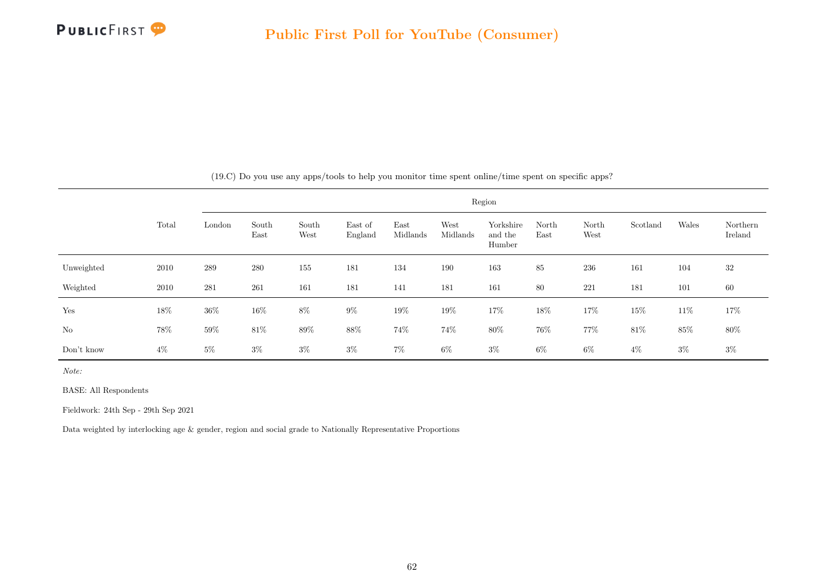

|            |        |        |               |               |                    |                  |                  | Region                         |               |               |          |        |                     |
|------------|--------|--------|---------------|---------------|--------------------|------------------|------------------|--------------------------------|---------------|---------------|----------|--------|---------------------|
|            | Total  | London | South<br>East | South<br>West | East of<br>England | East<br>Midlands | West<br>Midlands | Yorkshire<br>and the<br>Humber | North<br>East | North<br>West | Scotland | Wales  | Northern<br>Ireland |
| Unweighted | 2010   | 289    | 280           | 155           | 181                | 134              | 190              | 163                            | 85            | 236           | 161      | 104    | 32                  |
| Weighted   | 2010   | 281    | 261           | 161           | 181                | 141              | 181              | 161                            | 80            | 221           | 181      | 101    | 60                  |
| Yes        | 18%    | $36\%$ | $16\%$        | $8\%$         | $9\%$              | $19\%$           | $19\%$           | 17%                            | $18\%$        | 17%           | 15%      | $11\%$ | 17%                 |
| $\rm No$   | $78\%$ | $59\%$ | $81\%$        | $89\%$        | $88\%$             | $74\%$           | 74%              | $80\%$                         | $76\%$        | 77%           | $81\%$   | $85\%$ | $80\%$              |
| Don't know | $4\%$  | $5\%$  | $3\%$         | $3\%$         | $3\%$              | $7\%$            | $6\%$            | $3\%$                          | $6\%$         | $6\%$         | $4\%$    | $3\%$  | $3\%$               |

(19.C) Do you use any apps/tools to help you monitor time spent online/time spent on specific apps?

Note:

BASE: All Respondents

Fieldwork: 24th Sep - 29th Sep 2021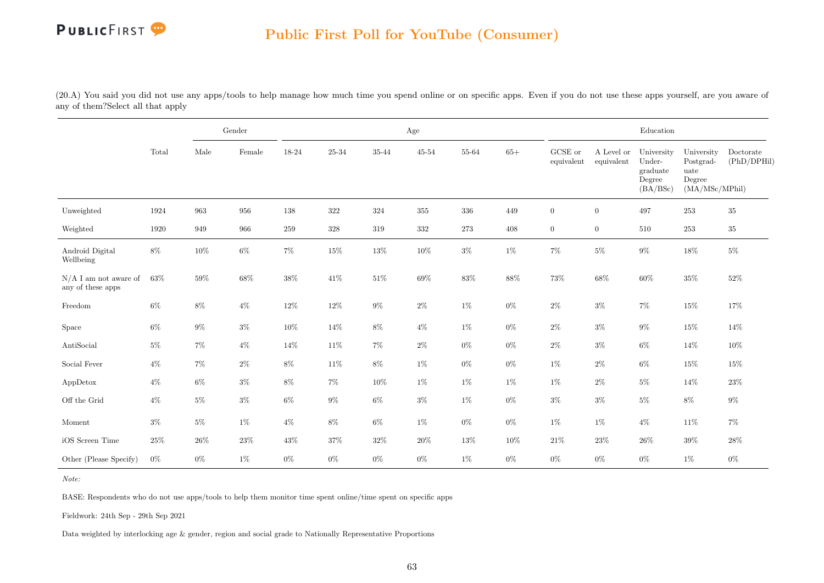#### Public First Poll for YouTube (Consumer)

(20.A) You said you did not use any apps/tools to help manage how much time you spend online or on specific apps. Even if you do not use these apps yourself, are you aware of any of them?Select all that apply

|                                              |        |        | Gender |         |         |           | Age       |        |        |                               |                          | Education                                              |                                                             |                          |
|----------------------------------------------|--------|--------|--------|---------|---------|-----------|-----------|--------|--------|-------------------------------|--------------------------|--------------------------------------------------------|-------------------------------------------------------------|--------------------------|
|                                              | Total  | Male   | Female | 18-24   | 25-34   | $35 - 44$ | $45 - 54$ | 55-64  | $65+$  | ${\rm GCSE}$ or<br>equivalent | A Level or<br>equivalent | University<br>Under-<br>graduate<br>Degree<br>(BA/BSc) | University<br>Postgrad-<br>uate<br>Degree<br>(MA/MSc/MPhil) | Doctorate<br>(PhD/DPHil) |
| Unweighted                                   | 1924   | 963    | 956    | 138     | 322     | 324       | 355       | 336    | 449    | $\overline{0}$                | $\overline{0}$           | 497                                                    | $253\,$                                                     | $35\,$                   |
| Weighted                                     | 1920   | 949    | 966    | $259\,$ | $328\,$ | 319       | $332\,$   | 273    | 408    | $\boldsymbol{0}$              | $\boldsymbol{0}$         | $510\,$                                                | $253\,$                                                     | $35\,$                   |
| Android Digital<br>Wellbeing                 | $8\%$  | $10\%$ | $6\%$  | $7\%$   | 15%     | $13\%$    | $10\%$    | $3\%$  | $1\%$  | $7\%$                         | $5\%$                    | $9\%$                                                  | $18\%$                                                      | $5\%$                    |
| $N/A$ I am not aware of<br>any of these apps | 63%    | $59\%$ | $68\%$ | $38\%$  | $41\%$  | $51\%$    | $69\%$    | $83\%$ | $88\%$ | $73\%$                        | $68\%$                   | $60\%$                                                 | $35\%$                                                      | $52\%$                   |
| Freedom                                      | $6\%$  | $8\%$  | $4\%$  | $12\%$  | 12\%    | $9\%$     | $2\%$     | $1\%$  | $0\%$  | $2\%$                         | $3\%$                    | $7\%$                                                  | $15\%$                                                      | 17%                      |
| Space                                        | $6\%$  | $9\%$  | $3\%$  | $10\%$  | $14\%$  | $8\%$     | $4\%$     | $1\%$  | $0\%$  | $2\%$                         | $3\%$                    | $9\%$                                                  | $15\%$                                                      | 14%                      |
| AntiSocial                                   | $5\%$  | $7\%$  | $4\%$  | $14\%$  | $11\%$  | $7\%$     | $2\%$     | $0\%$  | $0\%$  | $2\%$                         | $3\%$                    | $6\%$                                                  | $14\%$                                                      | $10\%$                   |
| Social Fever                                 | $4\%$  | $7\%$  | $2\%$  | $8\%$   | 11\%    | $8\%$     | $1\%$     | $0\%$  | $0\%$  | $1\%$                         | $2\%$                    | $6\%$                                                  | $15\%$                                                      | 15%                      |
| AppDetox                                     | $4\%$  | $6\%$  | $3\%$  | $8\%$   | $7\%$   | $10\%$    | $1\%$     | $1\%$  | $1\%$  | $1\%$                         | $2\%$                    | $5\%$                                                  | 14%                                                         | $23\%$                   |
| Off the Grid                                 | $4\%$  | $5\%$  | $3\%$  | $6\%$   | $9\%$   | $6\%$     | $3\%$     | $1\%$  | $0\%$  | $3\%$                         | $3\%$                    | $5\%$                                                  | $8\%$                                                       | $9\%$                    |
| Moment                                       | $3\%$  | $5\%$  | $1\%$  | $4\%$   | $8\%$   | $6\%$     | $1\%$     | $0\%$  | $0\%$  | $1\%$                         | 1%                       | $4\%$                                                  | $11\%$                                                      | $7\%$                    |
| iOS Screen Time                              | $25\%$ | 26%    | $23\%$ | $43\%$  | $37\%$  | $32\%$    | $20\%$    | $13\%$ | $10\%$ | $21\%$                        | $23\%$                   | $26\%$                                                 | $39\%$                                                      | $28\%$                   |
| Other (Please Specify)                       | $0\%$  | $0\%$  | $1\%$  | $0\%$   | $0\%$   | $0\%$     | $0\%$     | $1\%$  | $0\%$  | $0\%$                         | $0\%$                    | $0\%$                                                  | $1\%$                                                       | $0\%$                    |

Note:

BASE: Respondents who do not use apps/tools to help them monitor time spent online/time spent on specific apps

Fieldwork: 24th Sep - 29th Sep 2021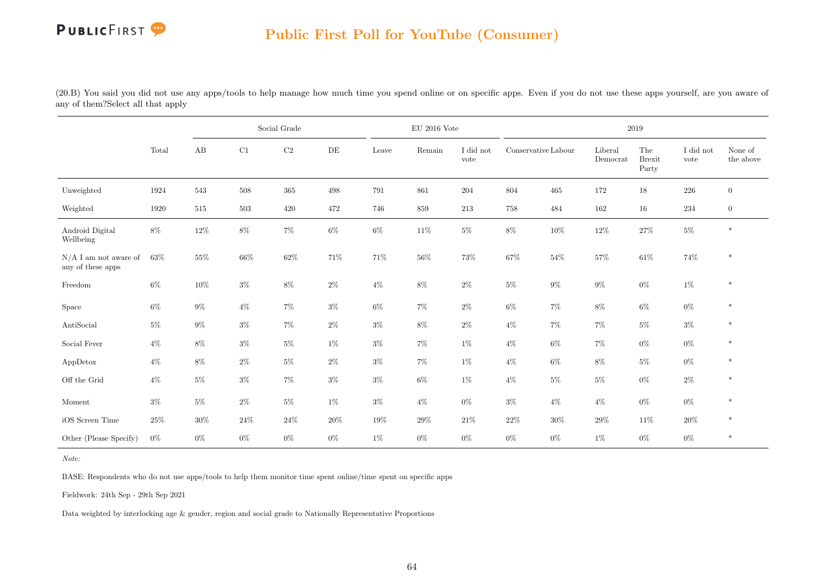(20.B) You said you did not use any apps/tools to help manage how much time you spend online or on specific apps. Even if you do not use these apps yourself, are you aware of any of them?Select all that apply

|                                              |        |       |         | Social Grade |           |        | $EU$ 2016 Vote |                   |                     |         |                     | $2019\,$                      |                   |                      |
|----------------------------------------------|--------|-------|---------|--------------|-----------|--------|----------------|-------------------|---------------------|---------|---------------------|-------------------------------|-------------------|----------------------|
|                                              | Total  | AB    | C1      | $\rm{C2}$    | $\rm{DE}$ | Leave  | Remain         | I did not<br>vote | Conservative Labour |         | Liberal<br>Democrat | The<br><b>Brexit</b><br>Party | I did not<br>vote | None of<br>the above |
| Unweighted                                   | 1924   | 543   | $508\,$ | $365\,$      | 498       | 791    | $861\,$        | 204               | 804                 | $465\,$ | 172                 | $18\,$                        | $226\,$           | $\boldsymbol{0}$     |
| Weighted                                     | 1920   | 515   | $503\,$ | 420          | 472       | 746    | $859\,$        | 213               | $758\,$             | 484     | 162                 | $16\,$                        | 234               | $\boldsymbol{0}$     |
| Android Digital<br>Wellbeing                 | $8\%$  | 12%   | $8\%$   | $7\%$        | $6\%$     | $6\%$  | $11\%$         | $5\%$             | $8\%$               | $10\%$  | $12\%$              | $27\%$                        | $5\%$             | $\ast$               |
| $N/A$ I am not aware of<br>any of these apps | $63\%$ | 55%   | 66\%    | $62\%$       | 71%       | 71%    | $56\%$         | 73%               | 67%                 | $54\%$  | 57%                 | $61\%$                        | $74\%$            | $\ast$               |
| Freedom                                      | $6\%$  | 10%   | $3\%$   | $8\%$        | $2\%$     | $4\%$  | $8\%$          | $2\%$             | $5\%$               | $9\%$   | $9\%$               | $0\%$                         | $1\%$             | $\ast$               |
| Space                                        | $6\%$  | $9\%$ | $4\%$   | $7\%$        | $3\%$     | $6\%$  | $7\%$          | $2\%$             | $6\%$               | $7\%$   | $8\%$               | $6\%$                         | $0\%$             | $\ast$               |
| AntiSocial                                   | $5\%$  | $9\%$ | $3\%$   | $7\%$        | $2\%$     | $3\%$  | $8\%$          | $2\%$             | $4\%$               | $7\%$   | 7%                  | $5\%$                         | $3\%$             | $\ast$               |
| Social Fever                                 | $4\%$  | $8\%$ | $3\%$   | $5\%$        | $1\%$     | $3\%$  | $7\%$          | $1\%$             | $4\%$               | $6\%$   | $7\%$               | $0\%$                         | $0\%$             | $\ast$               |
| AppDetox                                     | $4\%$  | $8\%$ | $2\%$   | $5\%$        | $2\%$     | $3\%$  | $7\%$          | $1\%$             | $4\%$               | $6\%$   | $8\%$               | $5\%$                         | $0\%$             | $\ast$               |
| Off the Grid                                 | $4\%$  | $5\%$ | $3\%$   | $7\%$        | $3\%$     | $3\%$  | $6\%$          | $1\%$             | $4\%$               | $5\%$   | $5\%$               | $0\%$                         | $2\%$             | $\ast$               |
| Moment                                       | $3\%$  | $5\%$ | $2\%$   | $5\%$        | $1\%$     | $3\%$  | $4\%$          | $0\%$             | $3\%$               | $4\%$   | $4\%$               | $0\%$                         | $0\%$             | $\ast$               |
| iOS Screen Time                              | $25\%$ | 30%   | $24\%$  | $24\%$       | 20%       | $19\%$ | $29\%$         | 21\%              | $22\%$              | $30\%$  | 29%                 | $11\%$                        | $20\%$            | $\ast$               |
| Other (Please Specify)                       | $0\%$  | $0\%$ | $0\%$   | $0\%$        | $0\%$     | $1\%$  | $0\%$          | $0\%$             | $0\%$               | $0\%$   | $1\%$               | $0\%$                         | $0\%$             | $\ast$               |

Note:

BASE: Respondents who do not use apps/tools to help them monitor time spent online/time spent on specific apps

Fieldwork: 24th Sep - 29th Sep 2021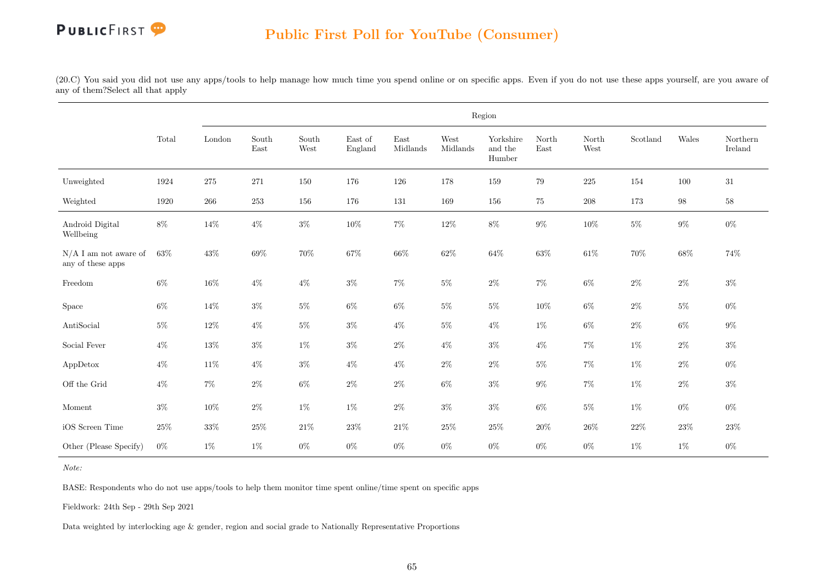(20.C) You said you did not use any apps/tools to help manage how much time you spend online or on specific apps. Even if you do not use these apps yourself, are you aware of any of them?Select all that apply

|                                              |        |         |               |               |                                     |                  |                  | Region                         |               |               |          |        |                     |
|----------------------------------------------|--------|---------|---------------|---------------|-------------------------------------|------------------|------------------|--------------------------------|---------------|---------------|----------|--------|---------------------|
|                                              | Total  | London  | South<br>East | South<br>West | $\operatorname{East}$ of<br>England | East<br>Midlands | West<br>Midlands | Yorkshire<br>and the<br>Humber | North<br>East | North<br>West | Scotland | Wales  | Northern<br>Ireland |
| Unweighted                                   | 1924   | $275\,$ | $271\,$       | 150           | 176                                 | 126              | 178              | 159                            | 79            | $225\,$       | 154      | 100    | 31                  |
| Weighted                                     | 1920   | 266     | $253\,$       | 156           | 176                                 | 131              | 169              | 156                            | 75            | $208\,$       | 173      | $98\,$ | $58\,$              |
| Android Digital<br>Wellbeing                 | $8\%$  | $14\%$  | $4\%$         | $3\%$         | $10\%$                              | $7\%$            | $12\%$           | $8\%$                          | $9\%$         | $10\%$        | $5\%$    | $9\%$  | $0\%$               |
| $N/A$ I am not aware of<br>any of these apps | 63%    | $43\%$  | $69\%$        | $70\%$        | 67%                                 | $66\%$           | 62%              | $64\%$                         | $63\%$        | $61\%$        | $70\%$   | $68\%$ | 74%                 |
| Freedom                                      | $6\%$  | $16\%$  | $4\%$         | $4\%$         | $3\%$                               | $7\%$            | $5\%$            | $2\%$                          | $7\%$         | $6\%$         | $2\%$    | $2\%$  | $3\%$               |
| Space                                        | $6\%$  | 14%     | $3\%$         | $5\%$         | $6\%$                               | $6\%$            | $5\%$            | $5\%$                          | $10\%$        | $6\%$         | $2\%$    | $5\%$  | $0\%$               |
| AntiSocial                                   | $5\%$  | $12\%$  | $4\%$         | $5\%$         | $3\%$                               | $4\%$            | $5\%$            | $4\%$                          | $1\%$         | $6\%$         | $2\%$    | $6\%$  | $9\%$               |
| Social Fever                                 | $4\%$  | $13\%$  | $3\%$         | $1\%$         | $3\%$                               | $2\%$            | $4\%$            | $3\%$                          | $4\%$         | $7\%$         | $1\%$    | $2\%$  | $3\%$               |
| AppDetox                                     | $4\%$  | 11%     | $4\%$         | $3\%$         | $4\%$                               | $4\%$            | $2\%$            | $2\%$                          | $5\%$         | $7\%$         | $1\%$    | $2\%$  | $0\%$               |
| Off the Grid                                 | $4\%$  | $7\%$   | $2\%$         | $6\%$         | $2\%$                               | $2\%$            | $6\%$            | $3\%$                          | $9\%$         | $7\%$         | $1\%$    | $2\%$  | $3\%$               |
| $\operatorname{Moment}$                      | $3\%$  | $10\%$  | $2\%$         | $1\%$         | $1\%$                               | $2\%$            | $3\%$            | $3\%$                          | $6\%$         | $5\%$         | $1\%$    | $0\%$  | $0\%$               |
| iOS Screen Time                              | $25\%$ | $33\%$  | $25\%$        | $21\%$        | $23\%$                              | $21\%$           | $25\%$           | $25\%$                         | $20\%$        | $26\%$        | $22\%$   | $23\%$ | $23\%$              |
| Other (Please Specify)                       | $0\%$  | $1\%$   | $1\%$         | $0\%$         | $0\%$                               | $0\%$            | $0\%$            | $0\%$                          | $0\%$         | $0\%$         | $1\%$    | $1\%$  | $0\%$               |

Note:

BASE: Respondents who do not use apps/tools to help them monitor time spent online/time spent on specific apps

Fieldwork: 24th Sep - 29th Sep 2021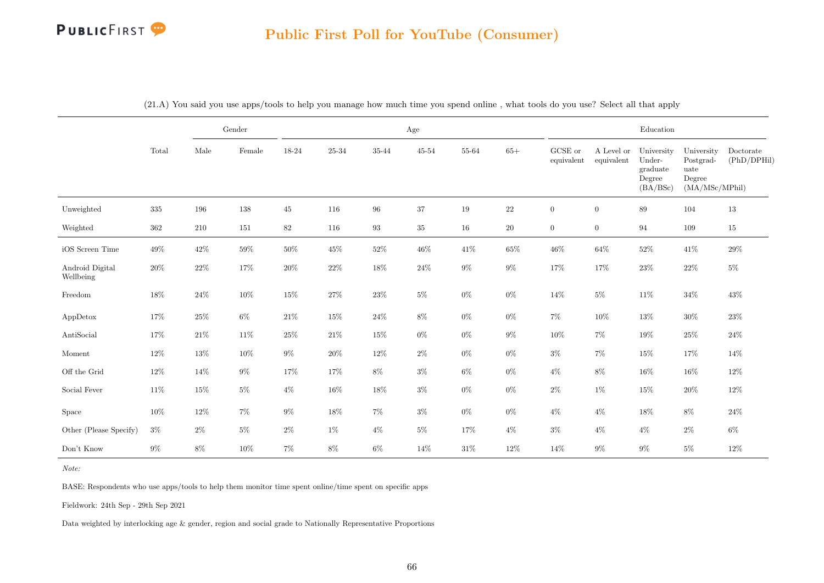#### Public First Poll for YouTube (Consumer)

|                              |         |        | Gender |        |        |                 | Age       |       |        |                       |                          | Education                                              |                                                             |                          |
|------------------------------|---------|--------|--------|--------|--------|-----------------|-----------|-------|--------|-----------------------|--------------------------|--------------------------------------------------------|-------------------------------------------------------------|--------------------------|
|                              | Total   | Male   | Female | 18-24  | 25-34  | $35\mbox{-} 44$ | $45 - 54$ | 55-64 | $65+$  | GCSE or<br>equivalent | A Level or<br>equivalent | University<br>Under-<br>graduate<br>Degree<br>(BA/BSc) | University<br>Postgrad-<br>uate<br>Degree<br>(MA/MSc/MPhil) | Doctorate<br>(PhD/DPHil) |
| Unweighted                   | $335\,$ | 196    | 138    | 45     | 116    | 96              | $37\,$    | 19    | $22\,$ | $\boldsymbol{0}$      | $\boldsymbol{0}$         | $89\,$                                                 | 104                                                         | 13                       |
| Weighted                     | 362     | 210    | 151    | 82     | 116    | $\,93$          | $35\,$    | 16    | 20     | $\overline{0}$        | $\overline{0}$           | 94                                                     | 109                                                         | 15                       |
| iOS Screen Time              | $49\%$  | 42\%   | $59\%$ | 50%    | 45%    | $52\%$          | $46\%$    | 41\%  | $65\%$ | $46\%$                | $64\%$                   | $52\%$                                                 | 41\%                                                        | 29%                      |
| Android Digital<br>Wellbeing | $20\%$  | $22\%$ | $17\%$ | 20%    | $22\%$ | $18\%$          | $24\%$    | $9\%$ | $9\%$  | 17%                   | 17%                      | $23\%$                                                 | $22\%$                                                      | $5\%$                    |
| Freedom                      | $18\%$  | $24\%$ | $10\%$ | $15\%$ | $27\%$ | $23\%$          | $5\%$     | $0\%$ | $0\%$  | 14\%                  | $5\%$                    | 11%                                                    | $34\%$                                                      | 43%                      |
| AppDetox                     | 17%     | $25\%$ | $6\%$  | $21\%$ | $15\%$ | $24\%$          | $8\%$     | $0\%$ | $0\%$  | $7\%$                 | 10%                      | 13%                                                    | $30\%$                                                      | $23\%$                   |
| AntiSocial                   | 17%     | $21\%$ | $11\%$ | $25\%$ | $21\%$ | $15\%$          | $0\%$     | $0\%$ | $9\%$  | $10\%$                | $7\%$                    | 19%                                                    | $25\%$                                                      | 24%                      |
| $\operatorname{Moment}$      | $12\%$  | 13%    | $10\%$ | $9\%$  | $20\%$ | $12\%$          | $2\%$     | $0\%$ | $0\%$  | $3\%$                 | $7\%$                    | $15\%$                                                 | 17%                                                         | 14%                      |
| Off the Grid                 | $12\%$  | 14%    | $9\%$  | 17%    | 17%    | $8\%$           | $3\%$     | $6\%$ | $0\%$  | $4\%$                 | $8\%$                    | $16\%$                                                 | $16\%$                                                      | 12%                      |
| Social Fever                 | $11\%$  | $15\%$ | $5\%$  | $4\%$  | 16%    | $18\%$          | $3\%$     | $0\%$ | $0\%$  | $2\%$                 | $1\%$                    | $15\%$                                                 | $20\%$                                                      | 12%                      |
| Space                        | $10\%$  | 12%    | $7\%$  | $9\%$  | 18%    | $7\%$           | $3\%$     | $0\%$ | $0\%$  | $4\%$                 | $4\%$                    | 18%                                                    | $8\%$                                                       | 24%                      |
| Other (Please Specify)       | $3\%$   | $2\%$  | $5\%$  | $2\%$  | $1\%$  | $4\%$           | $5\%$     | 17%   | $4\%$  | $3\%$                 | $4\%$                    | $4\%$                                                  | $2\%$                                                       | $6\%$                    |
| Don't Know                   | $9\%$   | $8\%$  | $10\%$ | $7\%$  | $8\%$  | $6\%$           | 14%       | 31\%  | 12%    | 14%                   | $9\%$                    | $9\%$                                                  | $5\%$                                                       | $12\%$                   |

(21.A) You said you use apps/tools to help you manage how much time you spend online , what tools do you use? Select all that apply

Note:

BASE: Respondents who use apps/tools to help them monitor time spent online/time spent on specific apps

Fieldwork: 24th Sep - 29th Sep 2021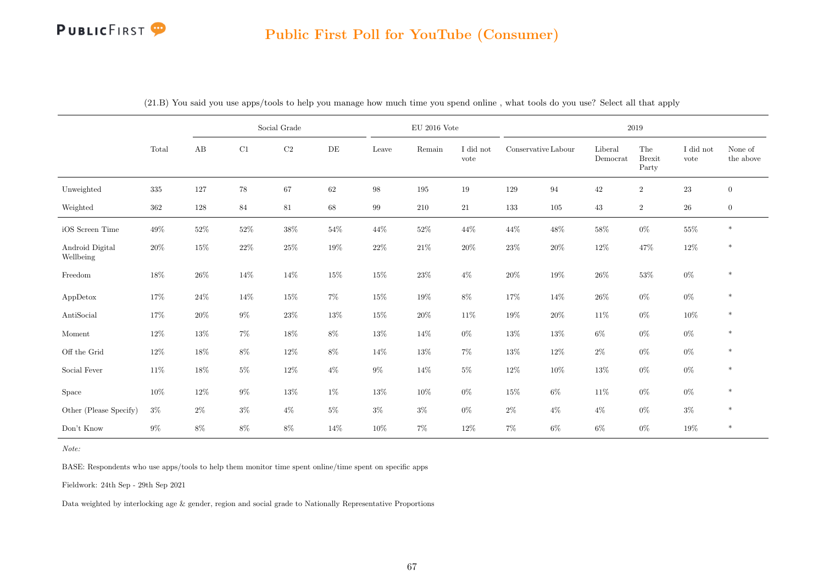|                              |         |        |        | Social Grade |           |                   | $\mathrm{EU}$ 2016 Vote |                   |                     |        |                     | 2019                          |                   |                      |
|------------------------------|---------|--------|--------|--------------|-----------|-------------------|-------------------------|-------------------|---------------------|--------|---------------------|-------------------------------|-------------------|----------------------|
|                              | Total   | AB     | C1     | $\rm{C2}$    | $\rm{DE}$ | Leave             | Remain                  | I did not<br>vote | Conservative Labour |        | Liberal<br>Democrat | The<br><b>Brexit</b><br>Party | I did not<br>vote | None of<br>the above |
| Unweighted                   | $335\,$ | 127    | $78\,$ | 67           | 62        | $98\,$            | 195                     | 19                | 129                 | 94     | $42\,$              | $\overline{2}$                | $23\,$            | $\boldsymbol{0}$     |
| Weighted                     | $362\,$ | 128    | $84\,$ | 81           | $68\,$    | $\boldsymbol{99}$ | 210                     | $21\,$            | 133                 | 105    | 43                  | $\boldsymbol{2}$              | $26\,$            | $\boldsymbol{0}$     |
| iOS Screen Time              | $49\%$  | $52\%$ | $52\%$ | $38\%$       | $54\%$    | $44\%$            | $52\%$                  | 44%               | $44\%$              | $48\%$ | 58%                 | $0\%$                         | $55\%$            | $\ast$               |
| Android Digital<br>Wellbeing | $20\%$  | $15\%$ | $22\%$ | $25\%$       | $19\%$    | $22\%$            | $21\%$                  | $20\%$            | $23\%$              | $20\%$ | $12\%$              | $47\%$                        | $12\%$            | $\ast$               |
| Freedom                      | 18%     | $26\%$ | $14\%$ | 14%          | $15\%$    | $15\%$            | $23\%$                  | $4\%$             | $20\%$              | $19\%$ | $26\%$              | $53\%$                        | $0\%$             | $\ast$               |
| AppDetox                     | 17%     | 24\%   | $14\%$ | $15\%$       | 7%        | $15\%$            | $19\%$                  | 8%                | 17%                 | 14%    | 26\%                | $0\%$                         | $0\%$             | $\ast$               |
| AntiSocial                   | 17%     | 20%    | $9\%$  | $23\%$       | 13%       | $15\%$            | $20\%$                  | 11%               | $19\%$              | $20\%$ | 11%                 | $0\%$                         | 10%               | $\ast$               |
| Moment                       | 12%     | 13%    | $7\%$  | $18\%$       | $8\%$     | $13\%$            | 14%                     | $0\%$             | $13\%$              | 13%    | $6\%$               | $0\%$                         | $0\%$             | $\ast$               |
| Off the Grid                 | 12%     | 18%    | $8\%$  | $12\%$       | 8%        | $14\%$            | $13\%$                  | 7%                | $13\%$              | 12%    | $2\%$               | $0\%$                         | $0\%$             | $\ast$               |
| Social Fever                 | 11%     | $18\%$ | $5\%$  | $12\%$       | $4\%$     | $9\%$             | 14%                     | $5\%$             | $12\%$              | 10%    | 13%                 | $0\%$                         | $0\%$             | $\ast$               |
| Space                        | 10%     | $12\%$ | $9\%$  | 13%          | $1\%$     | 13%               | 10%                     | $0\%$             | $15\%$              | $6\%$  | $11\%$              | $0\%$                         | $0\%$             | $\ast$               |
| Other (Please Specify)       | $3\%$   | $2\%$  | $3\%$  | $4\%$        | $5\%$     | $3\%$             | $3\%$                   | $0\%$             | $2\%$               | $4\%$  | $4\%$               | $0\%$                         | $3\%$             | $\ast$               |
| Don't Know                   | $9\%$   | $8\%$  | $8\%$  | $8\%$        | 14%       | 10%               | $7\%$                   | 12%               | $7\%$               | $6\%$  | $6\%$               | $0\%$                         | $19\%$            | $\ast$               |

(21.B) You said you use apps/tools to help you manage how much time you spend online , what tools do you use? Select all that apply

Note:

BASE: Respondents who use apps/tools to help them monitor time spent online/time spent on specific apps

Fieldwork: 24th Sep - 29th Sep 2021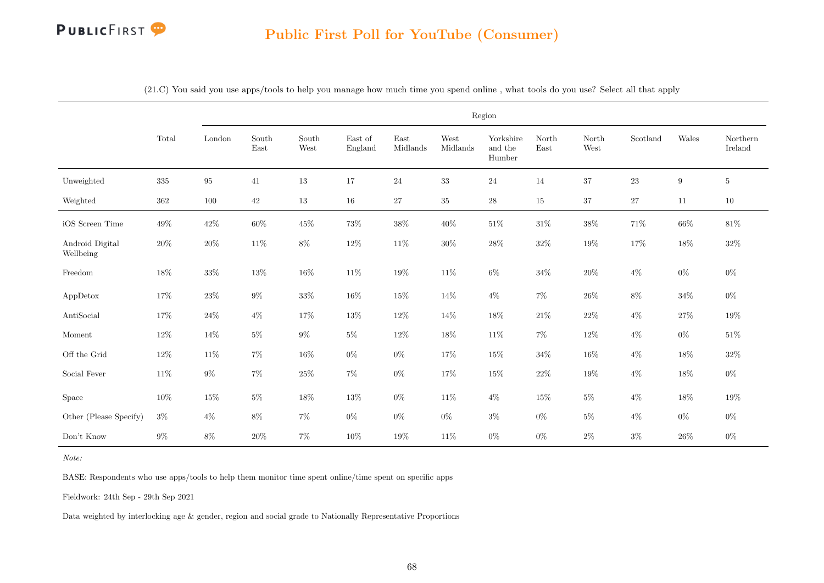

|                              |         |          |               |               |                    |                  | Region           |                                |               |                                |          |                  |                     |
|------------------------------|---------|----------|---------------|---------------|--------------------|------------------|------------------|--------------------------------|---------------|--------------------------------|----------|------------------|---------------------|
|                              | Total   | London   | South<br>East | South<br>West | East of<br>England | East<br>Midlands | West<br>Midlands | Yorkshire<br>and the<br>Humber | North<br>East | North<br>$\operatorname{West}$ | Scotland | Wales            | Northern<br>Ireland |
| Unweighted                   | $335\,$ | $\rm 95$ | 41            | $13\,$        | $17\,$             | 24               | $33\,$           | $24\,$                         | $14\,$        | $37\,$                         | $23\,$   | $\boldsymbol{9}$ | $5^{\circ}$         |
| Weighted                     | $362\,$ | 100      | $42\,$        | 13            | 16                 | $27\,$           | $35\,$           | $\sqrt{28}$                    | 15            | $37\,$                         | $27\,$   | 11               | $10\,$              |
| iOS Screen Time              | $49\%$  | $42\%$   | $60\%$        | $45\%$        | 73%                | $38\%$           | 40%              | $51\%$                         | $31\%$        | $38\%$                         | 71%      | $66\%$           | $81\%$              |
| Android Digital<br>Wellbeing | $20\%$  | $20\%$   | $11\%$        | $8\%$         | $12\%$             | $11\%$           | $30\%$           | $28\%$                         | $32\%$        | $19\%$                         | $17\%$   | $18\%$           | $32\%$              |
| Freedom                      | 18%     | $33\%$   | $13\%$        | $16\%$        | $11\%$             | $19\%$           | 11%              | $6\%$                          | $34\%$        | $20\%$                         | $4\%$    | $0\%$            | $0\%$               |
| AppDetox                     | 17%     | $23\%$   | $9\%$         | $33\%$        | 16%                | $15\%$           | $14\%$           | $4\%$                          | 7%            | $26\%$                         | $8\%$    | $34\%$           | $0\%$               |
| AntiSocial                   | 17%     | $24\%$   | $4\%$         | 17%           | 13%                | $12\%$           | 14%              | $18\%$                         | $21\%$        | $22\%$                         | $4\%$    | $27\%$           | $19\%$              |
| Moment                       | $12\%$  | 14%      | $5\%$         | $9\%$         | $5\%$              | $12\%$           | 18%              | 11\%                           | $7\%$         | $12\%$                         | $4\%$    | $0\%$            | $51\%$              |
| Off the Grid                 | $12\%$  | $11\%$   | $7\%$         | 16%           | $0\%$              | $0\%$            | 17%              | 15%                            | $34\%$        | $16\%$                         | $4\%$    | $18\%$           | $32\%$              |
| Social Fever                 | $11\%$  | $9\%$    | $7\%$         | $25\%$        | $7\%$              | $0\%$            | 17%              | 15%                            | $22\%$        | $19\%$                         | $4\%$    | $18\%$           | $0\%$               |
| Space                        | 10%     | $15\%$   | $5\%$         | $18\%$        | 13%                | $0\%$            | 11%              | $4\%$                          | 15%           | $5\%$                          | $4\%$    | 18%              | $19\%$              |
| Other (Please Specify)       | $3\%$   | $4\%$    | $8\%$         | $7\%$         | $0\%$              | $0\%$            | $0\%$            | $3\%$                          | $0\%$         | $5\%$                          | $4\%$    | $0\%$            | $0\%$               |
| Don't Know                   | $9\%$   | $8\%$    | 20%           | $7\%$         | 10%                | $19\%$           | 11%              | $0\%$                          | $0\%$         | $2\%$                          | $3\%$    | $26\%$           | $0\%$               |

(21.C) You said you use apps/tools to help you manage how much time you spend online , what tools do you use? Select all that apply

Note:

BASE: Respondents who use apps/tools to help them monitor time spent online/time spent on specific apps

Fieldwork: 24th Sep - 29th Sep 2021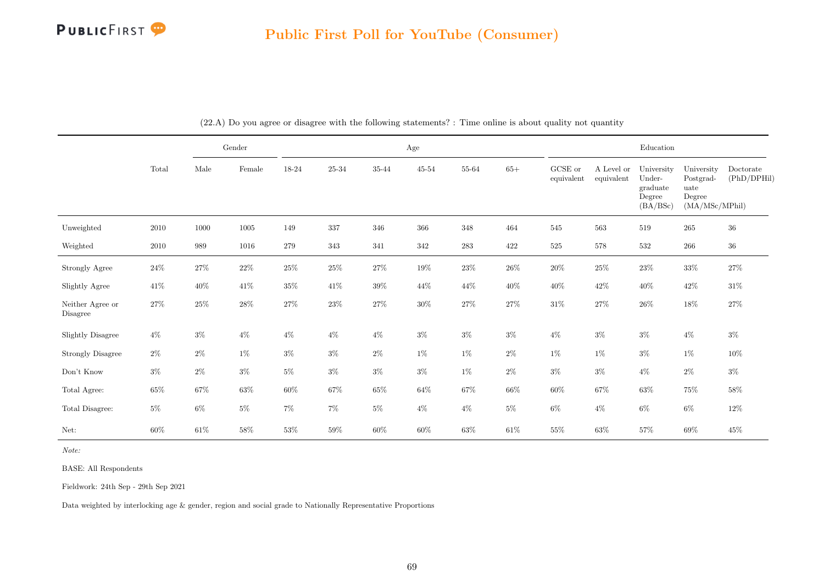

|                              |        |        | Gender |        |           |        | Age       |        |        |                       |                          | Education                                              |                                                             |                          |
|------------------------------|--------|--------|--------|--------|-----------|--------|-----------|--------|--------|-----------------------|--------------------------|--------------------------------------------------------|-------------------------------------------------------------|--------------------------|
|                              | Total  | Male   | Female | 18-24  | $25 - 34$ | 35-44  | $45 - 54$ | 55-64  | $65+$  | GCSE or<br>equivalent | A Level or<br>equivalent | University<br>Under-<br>graduate<br>Degree<br>(BA/BSc) | University<br>Postgrad-<br>uate<br>Degree<br>(MA/MSc/MPhil) | Doctorate<br>(PhD/DPHil) |
| Unweighted                   | 2010   | 1000   | 1005   | 149    | $337\,$   | 346    | $366\,$   | 348    | 464    | 545                   | 563                      | 519                                                    | $265\,$                                                     | $36\,$                   |
| Weighted                     | 2010   | 989    | 1016   | 279    | $343\,$   | 341    | 342       | 283    | 422    | $525\,$               | 578                      | 532                                                    | 266                                                         | $36\,$                   |
| Strongly Agree               | $24\%$ | $27\%$ | $22\%$ | $25\%$ | $25\%$    | $27\%$ | $19\%$    | $23\%$ | $26\%$ | $20\%$                | $25\%$                   | $23\%$                                                 | $33\%$                                                      | $27\%$                   |
| Slightly Agree               | $41\%$ | $40\%$ | $41\%$ | $35\%$ | $41\%$    | $39\%$ | $44\%$    | $44\%$ | $40\%$ | $40\%$                | $42\%$                   | $40\%$                                                 | $42\%$                                                      | $31\%$                   |
| Neither Agree or<br>Disagree | $27\%$ | $25\%$ | $28\%$ | $27\%$ | $23\%$    | $27\%$ | $30\%$    | $27\%$ | $27\%$ | $31\%$                | $27\%$                   | $26\%$                                                 | $18\%$                                                      | $27\%$                   |
| <b>Slightly Disagree</b>     | $4\%$  | $3\%$  | $4\%$  | $4\%$  | $4\%$     | $4\%$  | $3\%$     | $3\%$  | $3\%$  | $4\%$                 | $3\%$                    | $3\%$                                                  | $4\%$                                                       | $3\%$                    |
| <b>Strongly Disagree</b>     | $2\%$  | $2\%$  | $1\%$  | $3\%$  | $3\%$     | $2\%$  | $1\%$     | $1\%$  | $2\%$  | $1\%$                 | $1\%$                    | $3\%$                                                  | $1\%$                                                       | $10\%$                   |
| Don't Know                   | $3\%$  | $2\%$  | $3\%$  | $5\%$  | $3\%$     | $3\%$  | $3\%$     | $1\%$  | $2\%$  | $3\%$                 | $3\%$                    | $4\%$                                                  | $2\%$                                                       | $3\%$                    |
| Total Agree:                 | $65\%$ | $67\%$ | $63\%$ | $60\%$ | $67\%$    | $65\%$ | $64\%$    | $67\%$ | $66\%$ | $60\%$                | $67\%$                   | $63\%$                                                 | $75\%$                                                      | $58\%$                   |
| Total Disagree:              | $5\%$  | $6\%$  | $5\%$  | $7\%$  | $7\%$     | $5\%$  | $4\%$     | $4\%$  | $5\%$  | $6\%$                 | $4\%$                    | $6\%$                                                  | $6\%$                                                       | $12\%$                   |
| Net:                         | $60\%$ | $61\%$ | $58\%$ | 53%    | $59\%$    | $60\%$ | 60%       | $63\%$ | $61\%$ | $55\%$                | $63\%$                   | $57\%$                                                 | 69%                                                         | $45\%$                   |

(22.A) Do you agree or disagree with the following statements? : Time online is about quality not quantity

Note:

BASE: All Respondents

Fieldwork: 24th Sep - 29th Sep 2021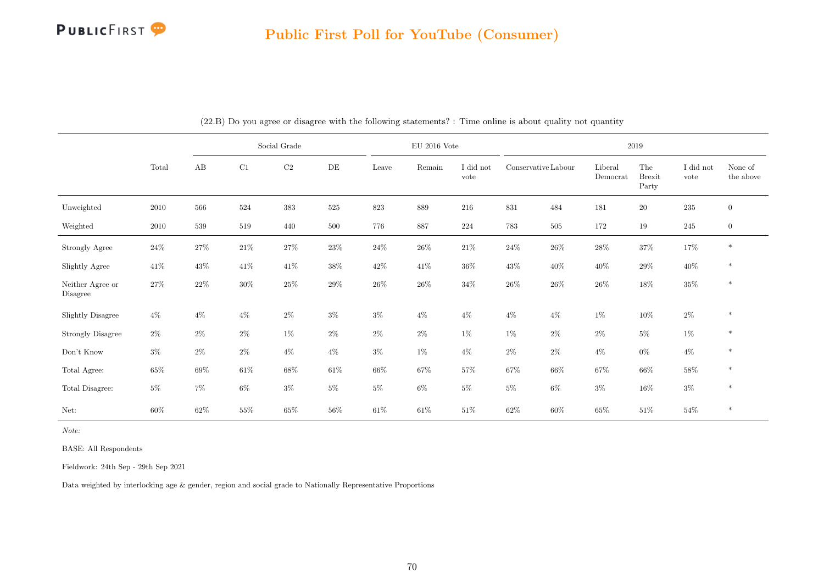

|                              |        |        |        | Social Grade |        |        | $\rm EU$ 2016 Vote |                   |                     |        |                     | 2019                          |                   |                      |
|------------------------------|--------|--------|--------|--------------|--------|--------|--------------------|-------------------|---------------------|--------|---------------------|-------------------------------|-------------------|----------------------|
|                              | Total  | AB     | C1     | $\rm C2$     | DE     | Leave  | Remain             | I did not<br>vote | Conservative Labour |        | Liberal<br>Democrat | The<br><b>Brexit</b><br>Party | I did not<br>vote | None of<br>the above |
| Unweighted                   | 2010   | 566    | 524    | 383          | 525    | 823    | $889\,$            | 216               | $831\,$             | 484    | 181                 | $20\,$                        | $235\,$           | $\overline{0}$       |
| Weighted                     | 2010   | 539    | 519    | 440          | 500    | 776    | 887                | 224               | 783                 | 505    | 172                 | 19                            | 245               | $\mathbf{0}$         |
| Strongly Agree               | $24\%$ | $27\%$ | $21\%$ | $27\%$       | $23\%$ | $24\%$ | $26\%$             | $21\%$            | $24\%$              | $26\%$ | $28\%$              | $37\%$                        | $17\%$            | $\ast$               |
| Slightly Agree               | $41\%$ | $43\%$ | $41\%$ | $41\%$       | $38\%$ | $42\%$ | $41\%$             | $36\%$            | $43\%$              | $40\%$ | $40\%$              | $29\%$                        | $40\%$            | $\ast$               |
| Neither Agree or<br>Disagree | $27\%$ | $22\%$ | $30\%$ | $25\%$       | $29\%$ | $26\%$ | $26\%$             | $34\%$            | $26\%$              | $26\%$ | $26\%$              | $18\%$                        | $35\%$            | $\ast$               |
| <b>Slightly Disagree</b>     | $4\%$  | $4\%$  | $4\%$  | $2\%$        | $3\%$  | $3\%$  | $4\%$              | $4\%$             | $4\%$               | $4\%$  | $1\%$               | $10\%$                        | $2\%$             | $\ast$               |
| <b>Strongly Disagree</b>     | $2\%$  | $2\%$  | $2\%$  | $1\%$        | $2\%$  | $2\%$  | $2\%$              | $1\%$             | $1\%$               | $2\%$  | $2\%$               | $5\%$                         | $1\%$             | $\ast$               |
| Don't Know                   | $3\%$  | $2\%$  | $2\%$  | $4\%$        | $4\%$  | $3\%$  | $1\%$              | $4\%$             | $2\%$               | $2\%$  | $4\%$               | $0\%$                         | $4\%$             | $\ast$               |
| Total Agree:                 | $65\%$ | 69%    | $61\%$ | $68\%$       | $61\%$ | $66\%$ | 67%                | $57\%$            | $67\%$              | $66\%$ | 67%                 | $66\%$                        | $58\%$            | $\ast$               |
| Total Disagree:              | $5\%$  | $7\%$  | $6\%$  | $3\%$        | $5\%$  | $5\%$  | $6\%$              | $5\%$             | $5\%$               | $6\%$  | $3\%$               | $16\%$                        | $3\%$             | $\ast$               |
| Net:                         | 60%    | $62\%$ | $55\%$ | 65%          | $56\%$ | $61\%$ | $61\%$             | $51\%$            | $62\%$              | $60\%$ | $65\%$              | $51\%$                        | $54\%$            | $\ast$               |

(22.B) Do you agree or disagree with the following statements? : Time online is about quality not quantity

Note:

BASE: All Respondents

Fieldwork: 24th Sep - 29th Sep 2021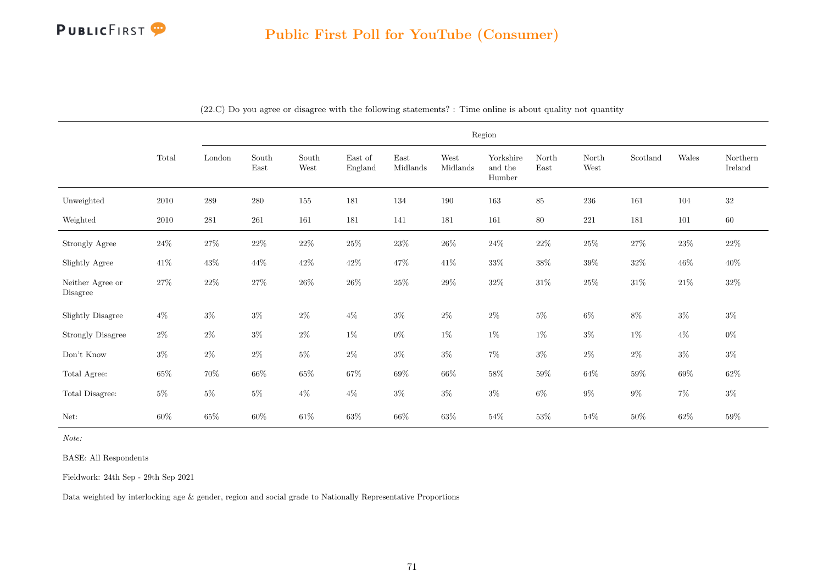

|                              |          | Region                  |               |               |                    |                  |                  |                                |               |               |                           |        |                     |
|------------------------------|----------|-------------------------|---------------|---------------|--------------------|------------------|------------------|--------------------------------|---------------|---------------|---------------------------|--------|---------------------|
|                              | Total    | $\operatorname{London}$ | South<br>East | South<br>West | East of<br>England | East<br>Midlands | West<br>Midlands | Yorkshire<br>and the<br>Humber | North<br>East | North<br>West | $\operatorname{Scotland}$ | Wales  | Northern<br>Ireland |
| Unweighted                   | $2010\,$ | $\,289$                 | $280\,$       | 155           | 181                | 134              | 190              | 163                            | $85\,$        | 236           | 161                       | 104    | $32\,$              |
| Weighted                     | $2010\,$ | $\bf 281$               | $261\,$       | 161           | 181                | 141              | 181              | 161                            | $80\,$        | $221\,$       | 181                       | 101    | $60\,$              |
| Strongly Agree               | $24\%$   | $27\%$                  | $22\%$        | $22\%$        | $25\%$             | $23\%$           | $26\%$           | $24\%$                         | $22\%$        | $25\%$        | $27\%$                    | $23\%$ | $22\%$              |
| Slightly Agree               | $41\%$   | $43\%$                  | 44\%          | $42\%$        | $42\%$             | $47\%$           | $41\%$           | $33\%$                         | $38\%$        | $39\%$        | $32\%$                    | $46\%$ | $40\%$              |
| Neither Agree or<br>Disagree | $27\%$   | $22\%$                  | $27\%$        | $26\%$        | $26\%$             | $25\%$           | $29\%$           | $32\%$                         | $31\%$        | $25\%$        | $31\%$                    | $21\%$ | $32\%$              |
| Slightly Disagree            | $4\%$    | $3\%$                   | $3\%$         | $2\%$         | $4\%$              | $3\%$            | $2\%$            | $2\%$                          | $5\%$         | $6\%$         | $8\%$                     | $3\%$  | $3\%$               |
| <b>Strongly Disagree</b>     | $2\%$    | $2\%$                   | $3\%$         | $2\%$         | $1\%$              | $0\%$            | $1\%$            | $1\%$                          | $1\%$         | $3\%$         | $1\%$                     | $4\%$  | $0\%$               |
| Don't Know                   | $3\%$    | $2\%$                   | $2\%$         | $5\%$         | $2\%$              | $3\%$            | $3\%$            | $7\%$                          | $3\%$         | $2\%$         | $2\%$                     | $3\%$  | $3\%$               |
| Total Agree:                 | $65\%$   | $70\%$                  | $66\%$        | $65\%$        | $67\%$             | $69\%$           | $66\%$           | $58\%$                         | $59\%$        | $64\%$        | $59\%$                    | $69\%$ | $62\%$              |
| Total Disagree:              | $5\%$    | $5\%$                   | $5\%$         | $4\%$         | $4\%$              | $3\%$            | $3\%$            | $3\%$                          | $6\%$         | $9\%$         | $9\%$                     | $7\%$  | $3\%$               |
| Net:                         | $60\%$   | $65\%$                  | $60\%$        | $61\%$        | $63\%$             | $66\%$           | $63\%$           | $54\%$                         | $53\%$        | $54\%$        | $50\%$                    | $62\%$ | $59\%$              |

(22.C) Do you agree or disagree with the following statements? : Time online is about quality not quantity

Note:

BASE: All Respondents

Fieldwork: 24th Sep - 29th Sep 2021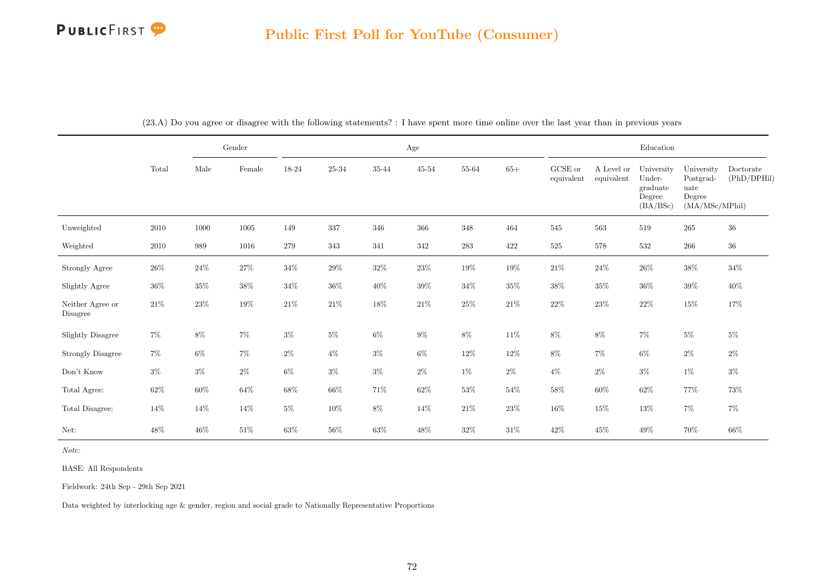|                              |          | Gender |        |        |        |        | Age       |           |        |                       |                          | Education                                              |                                                             |                          |
|------------------------------|----------|--------|--------|--------|--------|--------|-----------|-----------|--------|-----------------------|--------------------------|--------------------------------------------------------|-------------------------------------------------------------|--------------------------|
|                              | Total    | Male   | Female | 18-24  | 25-34  | 35-44  | $45 - 54$ | 55-64     | $65+$  | GCSE or<br>equivalent | A Level or<br>equivalent | University<br>Under-<br>graduate<br>Degree<br>(BA/BSc) | University<br>Postgrad-<br>uate<br>Degree<br>(MA/MSc/MPhil) | Doctorate<br>(PhD/DPHil) |
| Unweighted                   | 2010     | 1000   | 1005   | 149    | 337    | 346    | 366       | 348       | 464    | 545                   | 563                      | 519                                                    | 265                                                         | 36                       |
| Weighted                     | $2010\,$ | 989    | 1016   | 279    | 343    | 341    | 342       | $\bf 283$ | 422    | $525\,$               | 578                      | $532\,$                                                | $266\,$                                                     | $36\,$                   |
| Strongly Agree               | $26\%$   | $24\%$ | $27\%$ | $34\%$ | $29\%$ | $32\%$ | $23\%$    | 19%       | $19\%$ | $21\%$                | $24\%$                   | $26\%$                                                 | $38\%$                                                      | $34\%$                   |
| Slightly Agree               | $36\%$   | $35\%$ | $38\%$ | $34\%$ | $36\%$ | $40\%$ | $39\%$    | $34\%$    | $35\%$ | $38\%$                | $35\%$                   | $36\%$                                                 | $39\%$                                                      | $40\%$                   |
| Neither Agree or<br>Disagree | $21\%$   | $23\%$ | $19\%$ | $21\%$ | $21\%$ | $18\%$ | $21\%$    | $25\%$    | $21\%$ | $22\%$                | $23\%$                   | $22\%$                                                 | $15\%$                                                      | $17\%$                   |
| Slightly Disagree            | $7\%$    | $8\%$  | $7\%$  | $3\%$  | $5\%$  | $6\%$  | $9\%$     | $8\%$     | $11\%$ | $8\%$                 | $8\%$                    | $7\%$                                                  | $5\%$                                                       | $5\%$                    |
| <b>Strongly Disagree</b>     | $7\%$    | $6\%$  | $7\%$  | $2\%$  | $4\%$  | $3\%$  | $6\%$     | 12\%      | $12\%$ | $8\%$                 | $7\%$                    | $6\%$                                                  | $2\%$                                                       | $2\%$                    |
| Don't Know                   | $3\%$    | $3\%$  | $2\%$  | $6\%$  | $3\%$  | $3\%$  | $2\%$     | $1\%$     | $2\%$  | $4\%$                 | $2\%$                    | $3\%$                                                  | $1\%$                                                       | $3\%$                    |
| Total Agree:                 | $62\%$   | $60\%$ | $64\%$ | $68\%$ | $66\%$ | 71%    | $62\%$    | $53\%$    | $54\%$ | $58\%$                | $60\%$                   | $62\%$                                                 | 77%                                                         | $73\%$                   |
| Total Disagree:              | 14%      | $14\%$ | $14\%$ | $5\%$  | $10\%$ | $8\%$  | $14\%$    | $21\%$    | $23\%$ | $16\%$                | $15\%$                   | $13\%$                                                 | $7\%$                                                       | $7\%$                    |
| Net:                         | 48\%     | $46\%$ | $51\%$ | $63\%$ | $56\%$ | $63\%$ | $48\%$    | $32\%$    | $31\%$ | $42\%$                | 45%                      | $49\%$                                                 | 70%                                                         | $66\%$                   |

(23.A) Do you agree or disagree with the following statements? : I have spent more time online over the last year than in previous years

Note:

BASE: All Respondents

Fieldwork: 24th Sep - 29th Sep 2021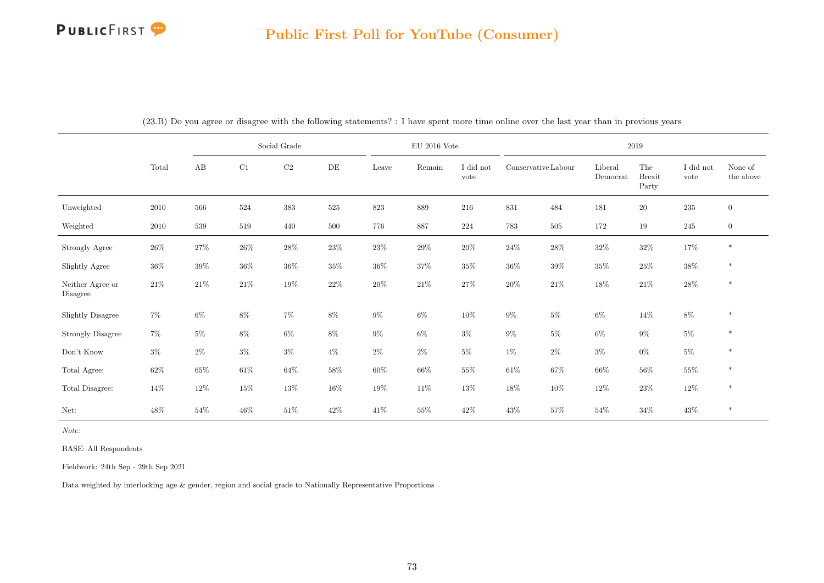# PUBLICFIRST<sup>9</sup>

|                              |        |          |        | Social Grade |           |        | $\rm EU$ 2016 Vote |                   |                     |         |                     | 2019                          |                   |                      |
|------------------------------|--------|----------|--------|--------------|-----------|--------|--------------------|-------------------|---------------------|---------|---------------------|-------------------------------|-------------------|----------------------|
|                              | Total  | $\rm AB$ | C1     | $\rm{C2}$    | $\rm{DE}$ | Leave  | Remain             | I did not<br>vote | Conservative Labour |         | Liberal<br>Democrat | The<br><b>Brexit</b><br>Party | I did not<br>vote | None of<br>the above |
| Unweighted                   | 2010   | 566      | 524    | 383          | $525\,$   | 823    | 889                | 216               | $831\,$             | 484     | 181                 | $20\,$                        | $235\,$           | $\overline{0}$       |
| Weighted                     | 2010   | 539      | 519    | 440          | 500       | 776    | 887                | 224               | 783                 | $505\,$ | 172                 | 19                            | $245\,$           | $\overline{0}$       |
| Strongly Agree               | $26\%$ | $27\%$   | $26\%$ | 28\%         | $23\%$    | $23\%$ | 29%                | $20\%$            | $24\%$              | $28\%$  | $32\%$              | $32\%$                        | 17%               | $\ast$               |
| Slightly Agree               | $36\%$ | $39\%$   | $36\%$ | $36\%$       | $35\%$    | $36\%$ | 37%                | $35\%$            | $36\%$              | $39\%$  | $35\%$              | $25\%$                        | $38\%$            | $\ast$               |
| Neither Agree or<br>Disagree | $21\%$ | $21\%$   | $21\%$ | $19\%$       | $22\%$    | $20\%$ | $21\%$             | $27\%$            | $20\%$              | $21\%$  | 18%                 | $21\%$                        | $28\%$            | $\ast$               |
| <b>Slightly Disagree</b>     | $7\%$  | $6\%$    | $8\%$  | $7\%$        | $8\%$     | $9\%$  | $6\%$              | $10\%$            | $9\%$               | $5\%$   | $6\%$               | $14\%$                        | $8\%$             | $\ast$               |
| <b>Strongly Disagree</b>     | $7\%$  | $5\%$    | $8\%$  | $6\%$        | $8\%$     | $9\%$  | $6\%$              | $3\%$             | $9\%$               | $5\%$   | $6\%$               | $9\%$                         | $5\%$             | $\ast$               |
| Don't Know                   | $3\%$  | $2\%$    | $3\%$  | $3\%$        | $4\%$     | $2\%$  | $2\%$              | $5\%$             | $1\%$               | $2\%$   | $3\%$               | $0\%$                         | $5\%$             | $\ast$               |
| Total Agree:                 | $62\%$ | $65\%$   | $61\%$ | $64\%$       | $58\%$    | $60\%$ | $66\%$             | $55\%$            | $61\%$              | $67\%$  | $66\%$              | $56\%$                        | $55\%$            | $\ast$               |
| Total Disagree:              | 14%    | 12\%     | $15\%$ | 13%          | $16\%$    | $19\%$ | $11\%$             | $13\%$            | $18\%$              | $10\%$  | $12\%$              | $23\%$                        | 12\%              | $\ast$               |
| Net:                         | 48%    | $54\%$   | $46\%$ | $51\%$       | $42\%$    | 41%    | $55\%$             | 42\%              | $43\%$              | $57\%$  | $54\%$              | $34\%$                        | $43\%$            | $\ast$               |

(23.B) Do you agree or disagree with the following statements? : I have spent more time online over the last year than in previous years

Note:

BASE: All Respondents

Fieldwork: 24th Sep - 29th Sep 2021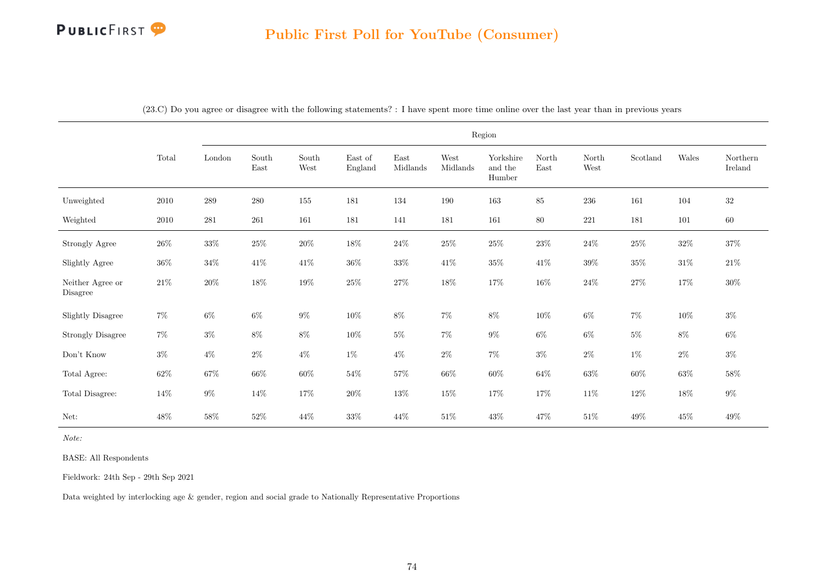|                              |          |           |               |               |                    |                                   |                  | Region                         |               |               |          |        |                     |
|------------------------------|----------|-----------|---------------|---------------|--------------------|-----------------------------------|------------------|--------------------------------|---------------|---------------|----------|--------|---------------------|
|                              | Total    | London    | South<br>East | South<br>West | East of<br>England | $\operatorname{East}$<br>Midlands | West<br>Midlands | Yorkshire<br>and the<br>Humber | North<br>East | North<br>West | Scotland | Wales  | Northern<br>Ireland |
| Unweighted                   | 2010     | $\,289$   | $280\,$       | 155           | 181                | 134                               | 190              | 163                            | $85\,$        | $236\,$       | 161      | 104    | $32\,$              |
| Weighted                     | $2010\,$ | $\bf 281$ | 261           | 161           | 181                | 141                               | 181              | 161                            | 80            | $221\,$       | 181      | 101    | 60                  |
| <b>Strongly Agree</b>        | $26\%$   | $33\%$    | $25\%$        | $20\%$        | $18\%$             | $24\%$                            | $25\%$           | $25\%$                         | $23\%$        | $24\%$        | $25\%$   | $32\%$ | $37\%$              |
| Slightly Agree               | $36\%$   | $34\%$    | $41\%$        | $41\%$        | $36\%$             | $33\%$                            | $41\%$           | $35\%$                         | $41\%$        | $39\%$        | $35\%$   | $31\%$ | $21\%$              |
| Neither Agree or<br>Disagree | $21\%$   | $20\%$    | $18\%$        | $19\%$        | $25\%$             | $27\%$                            | $18\%$           | 17%                            | $16\%$        | $24\%$        | $27\%$   | 17%    | $30\%$              |
| <b>Slightly Disagree</b>     | $7\%$    | $6\%$     | $6\%$         | $9\%$         | $10\%$             | $8\%$                             | $7\%$            | $8\%$                          | $10\%$        | $6\%$         | $7\%$    | $10\%$ | $3\%$               |
| <b>Strongly Disagree</b>     | $7\%$    | $3\%$     | $8\%$         | $8\%$         | $10\%$             | $5\%$                             | $7\%$            | $9\%$                          | $6\%$         | $6\%$         | $5\%$    | $8\%$  | $6\%$               |
| Don't Know                   | $3\%$    | $4\%$     | $2\%$         | $4\%$         | $1\%$              | $4\%$                             | $2\%$            | $7\%$                          | $3\%$         | $2\%$         | $1\%$    | $2\%$  | $3\%$               |
| Total Agree:                 | $62\%$   | $67\%$    | $66\%$        | $60\%$        | $54\%$             | $57\%$                            | $66\%$           | $60\%$                         | $64\%$        | $63\%$        | $60\%$   | $63\%$ | $58\%$              |
| Total Disagree:              | 14%      | $9\%$     | $14\%$        | 17%           | $20\%$             | $13\%$                            | $15\%$           | $17\%$                         | $17\%$        | $11\%$        | $12\%$   | $18\%$ | $9\%$               |
| Net:                         | 48\%     | $58\%$    | $52\%$        | 44\%          | $33\%$             | 44\%                              | $51\%$           | $43\%$                         | $47\%$        | $51\%$        | $49\%$   | $45\%$ | $49\%$              |

(23.C) Do you agree or disagree with the following statements? : I have spent more time online over the last year than in previous years

Note:

BASE: All Respondents

Fieldwork: 24th Sep - 29th Sep 2021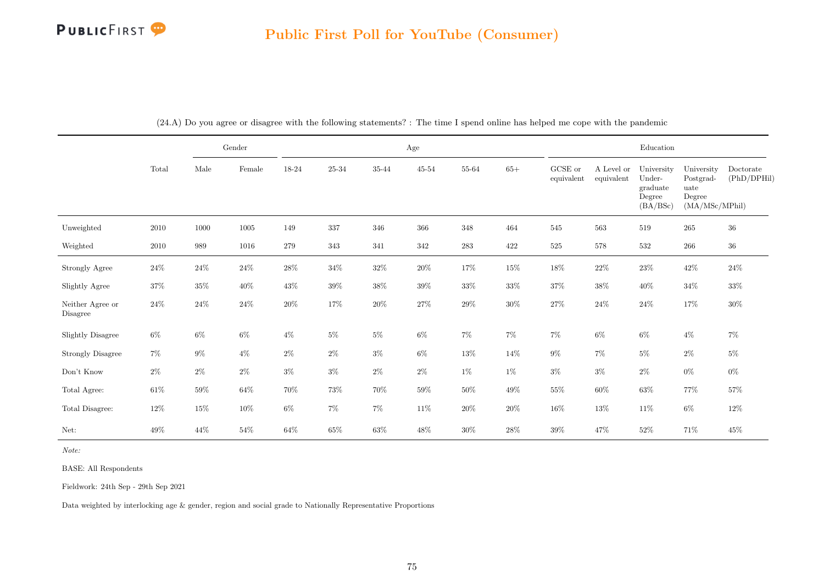## Public First Poll for YouTube (Consumer)

|                              |        |        | Gender          |        |                |        | Age            |           |         |                       |                          | Education                                              |                                                             |                          |
|------------------------------|--------|--------|-----------------|--------|----------------|--------|----------------|-----------|---------|-----------------------|--------------------------|--------------------------------------------------------|-------------------------------------------------------------|--------------------------|
|                              | Total  | Male   | $\mbox{Female}$ | 18-24  | $25\hbox{-}34$ | 35-44  | $45\hbox{-}54$ | 55-64     | $65+$   | GCSE or<br>equivalent | A Level or<br>equivalent | University<br>Under-<br>graduate<br>Degree<br>(BA/BSc) | University<br>Postgrad-<br>uate<br>Degree<br>(MA/MSc/MPhil) | Doctorate<br>(PhD/DPHil) |
| Unweighted                   | 2010   | 1000   | 1005            | 149    | 337            | 346    | 366            | $348\,$   | 464     | 545                   | 563                      | 519                                                    | 265                                                         | $36\,$                   |
| Weighted                     | 2010   | 989    | 1016            | 279    | 343            | 341    | 342            | $\bf 283$ | $422\,$ | $525\,$               | $578\,$                  | 532                                                    | $266\,$                                                     | $36\,$                   |
| Strongly Agree               | 24\%   | $24\%$ | $24\%$          | $28\%$ | $34\%$         | $32\%$ | $20\%$         | 17%       | $15\%$  | $18\%$                | $22\%$                   | $23\%$                                                 | 42\%                                                        | $24\%$                   |
| Slightly Agree               | $37\%$ | $35\%$ | 40\%            | 43%    | $39\%$         | $38\%$ | $39\%$         | $33\%$    | $33\%$  | $37\%$                | $38\%$                   | 40\%                                                   | $34\%$                                                      | $33\%$                   |
| Neither Agree or<br>Disagree | $24\%$ | $24\%$ | $24\%$          | $20\%$ | 17%            | $20\%$ | $27\%$         | $29\%$    | $30\%$  | $27\%$                | $24\%$                   | $24\%$                                                 | 17%                                                         | $30\%$                   |
| <b>Slightly Disagree</b>     | $6\%$  | $6\%$  | $6\%$           | $4\%$  | $5\%$          | $5\%$  | $6\%$          | $7\%$     | $7\%$   | $7\%$                 | $6\%$                    | $6\%$                                                  | $4\%$                                                       | $7\%$                    |
| <b>Strongly Disagree</b>     | $7\%$  | $9\%$  | $4\%$           | $2\%$  | $2\%$          | $3\%$  | $6\%$          | $13\%$    | $14\%$  | $9\%$                 | $7\%$                    | $5\%$                                                  | $2\%$                                                       | $5\%$                    |
| Don't Know                   | $2\%$  | $2\%$  | $2\%$           | $3\%$  | $3\%$          | $2\%$  | $2\%$          | $1\%$     | $1\%$   | $3\%$                 | $3\%$                    | $2\%$                                                  | $0\%$                                                       | $0\%$                    |
| Total Agree:                 | $61\%$ | $59\%$ | $64\%$          | $70\%$ | $73\%$         | $70\%$ | $59\%$         | $50\%$    | $49\%$  | $55\%$                | $60\%$                   | $63\%$                                                 | $77\%$                                                      | $57\%$                   |
| Total Disagree:              | $12\%$ | $15\%$ | $10\%$          | $6\%$  | $7\%$          | $7\%$  | $11\%$         | $20\%$    | $20\%$  | $16\%$                | $13\%$                   | $11\%$                                                 | $6\%$                                                       | $12\%$                   |
| Net:                         | 49\%   | 44\%   | $54\%$          | $64\%$ | $65\%$         | $63\%$ | 48\%           | $30\%$    | 28\%    | $39\%$                | 47%                      | $52\%$                                                 | 71%                                                         | $45\%$                   |

(24.A) Do you agree or disagree with the following statements? : The time I spend online has helped me cope with the pandemic

Note:

BASE: All Respondents

Fieldwork: 24th Sep - 29th Sep 2021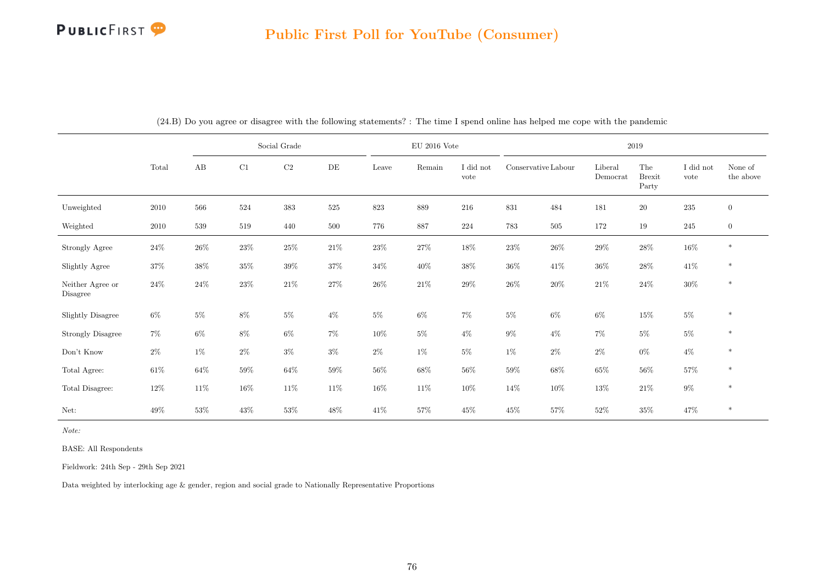|                              |        |        | Social Grade |           |        |        | $\rm EU$ 2016 Vote |                   |                     |         | 2019                |                                         |                   |                      |
|------------------------------|--------|--------|--------------|-----------|--------|--------|--------------------|-------------------|---------------------|---------|---------------------|-----------------------------------------|-------------------|----------------------|
|                              | Total  | AB     | C1           | $\rm{C2}$ | DE     | Leave  | Remain             | I did not<br>vote | Conservative Labour |         | Liberal<br>Democrat | The<br>$\operatorname{Brexit}$<br>Party | I did not<br>vote | None of<br>the above |
| Unweighted                   | 2010   | 566    | 524          | 383       | 525    | 823    | 889                | 216               | $831\,$             | 484     | 181                 | $20\,$                                  | $235\,$           | $\mathbf{0}$         |
| Weighted                     | 2010   | 539    | 519          | 440       | 500    | 776    | 887                | 224               | 783                 | $505\,$ | 172                 | 19                                      | $245\,$           | $\mathbf{0}$         |
| Strongly Agree               | $24\%$ | $26\%$ | $23\%$       | $25\%$    | $21\%$ | $23\%$ | $27\%$             | 18%               | $23\%$              | $26\%$  | 29%                 | $28\%$                                  | $16\%$            | $\ast$               |
| Slightly Agree               | $37\%$ | $38\%$ | $35\%$       | $39\%$    | $37\%$ | $34\%$ | $40\%$             | $38\%$            | $36\%$              | 41\%    | $36\%$              | $28\%$                                  | 41\%              | $\ast$               |
| Neither Agree or<br>Disagree | $24\%$ | $24\%$ | $23\%$       | $21\%$    | $27\%$ | $26\%$ | $21\%$             | $29\%$            | $26\%$              | $20\%$  | $21\%$              | $24\%$                                  | $30\%$            | $\ast$               |
| <b>Slightly Disagree</b>     | $6\%$  | $5\%$  | $8\%$        | $5\%$     | $4\%$  | $5\%$  | $6\%$              | $7\%$             | $5\%$               | $6\%$   | $6\%$               | 15%                                     | $5\%$             | $\ast$               |
| <b>Strongly Disagree</b>     | $7\%$  | $6\%$  | $8\%$        | $6\%$     | 7%     | $10\%$ | $5\%$              | $4\%$             | $9\%$               | $4\%$   | $7\%$               | $5\%$                                   | $5\%$             | $\ast$               |
| Don't Know                   | $2\%$  | $1\%$  | $2\%$        | $3\%$     | $3\%$  | $2\%$  | $1\%$              | $5\%$             | $1\%$               | $2\%$   | $2\%$               | $0\%$                                   | $4\%$             | $\ast$               |
| Total Agree:                 | $61\%$ | $64\%$ | $59\%$       | $64\%$    | $59\%$ | $56\%$ | 68%                | $56\%$            | $59\%$              | 68%     | $65\%$              | $56\%$                                  | $57\%$            | $\ast$               |
| Total Disagree:              | $12\%$ | 11\%   | $16\%$       | 11\%      | 11\%   | $16\%$ | $11\%$             | $10\%$            | 14%                 | $10\%$  | $13\%$              | $21\%$                                  | $9\%$             | $\ast$               |
| Net:                         | 49%    | $53\%$ | $43\%$       | 53%       | 48\%   | $41\%$ | 57%                | $45\%$            | 45\%                | $57\%$  | $52\%$              | $35\%$                                  | $47\%$            | $\ast$               |

(24.B) Do you agree or disagree with the following statements? : The time I spend online has helped me cope with the pandemic

Note:

BASE: All Respondents

Fieldwork: 24th Sep - 29th Sep 2021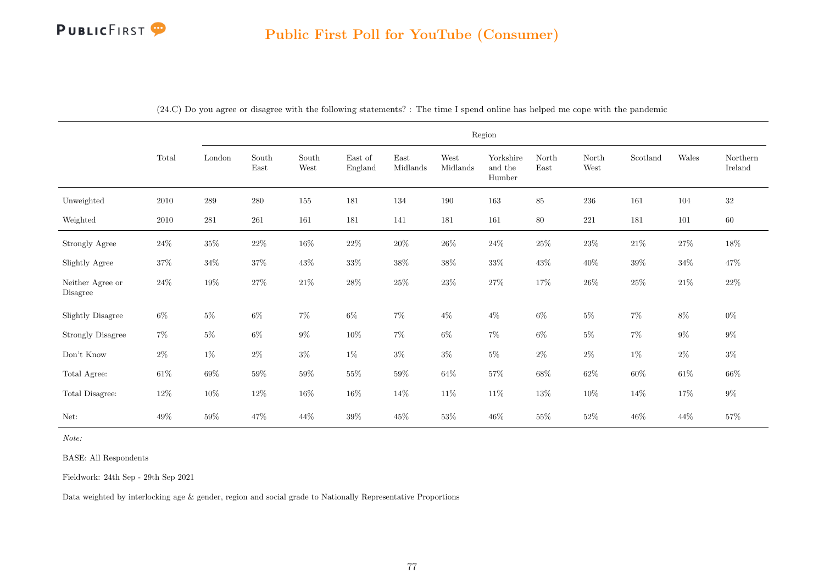|                              |          |           |               |               |                    |                  |                  | Region                         |               |               |          |         |                     |
|------------------------------|----------|-----------|---------------|---------------|--------------------|------------------|------------------|--------------------------------|---------------|---------------|----------|---------|---------------------|
|                              | Total    | London    | South<br>East | South<br>West | East of<br>England | East<br>Midlands | West<br>Midlands | Yorkshire<br>and the<br>Humber | North<br>East | North<br>West | Scotland | Wales   | Northern<br>Ireland |
| Unweighted                   | 2010     | $\,289$   | 280           | 155           | 181                | 134              | 190              | 163                            | 85            | 236           | 161      | 104     | $32\,$              |
| Weighted                     | $2010\,$ | $\bf 281$ | $261\,$       | 161           | 181                | $141\,$          | 181              | $161\,$                        | $80\,$        | $221\,$       | 181      | $101\,$ | $60\,$              |
| Strongly Agree               | $24\%$   | $35\%$    | $22\%$        | $16\%$        | $22\%$             | $20\%$           | $26\%$           | $24\%$                         | $25\%$        | $23\%$        | $21\%$   | $27\%$  | $18\%$              |
| Slightly Agree               | $37\%$   | $34\%$    | $37\%$        | $43\%$        | $33\%$             | $38\%$           | $38\%$           | $33\%$                         | $43\%$        | $40\%$        | $39\%$   | $34\%$  | 47\%                |
| Neither Agree or<br>Disagree | $24\%$   | $19\%$    | $27\%$        | $21\%$        | $28\%$             | $25\%$           | $23\%$           | $27\%$                         | $17\%$        | $26\%$        | $25\%$   | $21\%$  | $22\%$              |
| Slightly Disagree            | $6\%$    | $5\%$     | $6\%$         | $7\%$         | $6\%$              | $7\%$            | $4\%$            | $4\%$                          | $6\%$         | $5\%$         | $7\%$    | $8\%$   | $0\%$               |
| <b>Strongly Disagree</b>     | $7\%$    | $5\%$     | $6\%$         | $9\%$         | $10\%$             | $7\%$            | $6\%$            | $7\%$                          | $6\%$         | $5\%$         | $7\%$    | $9\%$   | $9\%$               |
| Don't Know                   | $2\%$    | $1\%$     | $2\%$         | $3\%$         | $1\%$              | $3\%$            | $3\%$            | $5\%$                          | $2\%$         | $2\%$         | $1\%$    | $2\%$   | $3\%$               |
| Total Agree:                 | $61\%$   | $69\%$    | $59\%$        | $59\%$        | $55\%$             | $59\%$           | $64\%$           | $57\%$                         | $68\%$        | $62\%$        | $60\%$   | $61\%$  | $66\%$              |
| Total Disagree:              | $12\%$   | $10\%$    | $12\%$        | $16\%$        | $16\%$             | 14\%             | $11\%$           | $11\%$                         | $13\%$        | $10\%$        | 14%      | 17%     | $9\%$               |
| Net:                         | 49\%     | 59%       | 47%           | 44%           | 39%                | $45\%$           | $53\%$           | 46\%                           | $55\%$        | $52\%$        | 46%      | 44\%    | $57\%$              |

(24.C) Do you agree or disagree with the following statements? : The time I spend online has helped me cope with the pandemic

Note:

BASE: All Respondents

Fieldwork: 24th Sep - 29th Sep 2021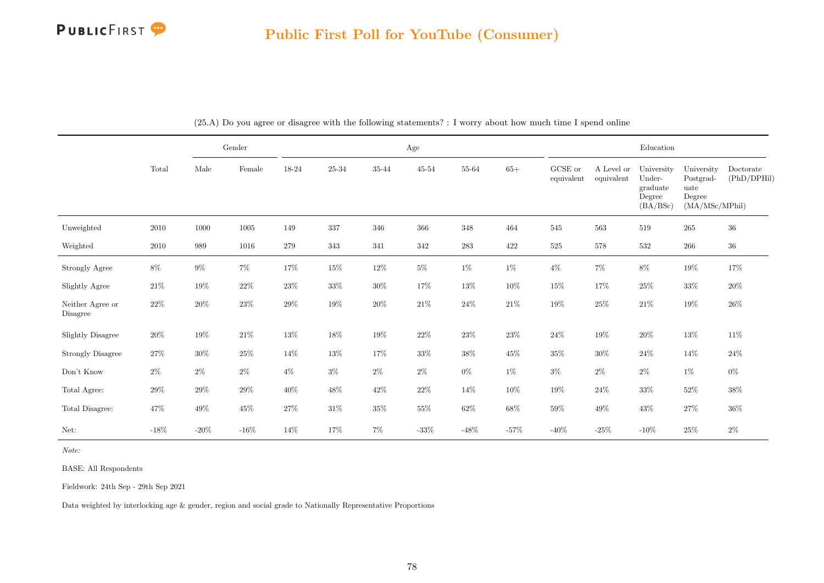

|                              |        |          | Gender   |        |         |         | Age       |           |        |                       |                          | Education                                              |                                                             |                          |
|------------------------------|--------|----------|----------|--------|---------|---------|-----------|-----------|--------|-----------------------|--------------------------|--------------------------------------------------------|-------------------------------------------------------------|--------------------------|
|                              | Total  | Male     | Female   | 18-24  | 25-34   | 35-44   | $45 - 54$ | 55-64     | $65+$  | GCSE or<br>equivalent | A Level or<br>equivalent | University<br>Under-<br>graduate<br>Degree<br>(BA/BSc) | University<br>Postgrad-<br>uate<br>Degree<br>(MA/MSc/MPhil) | Doctorate<br>(PhD/DPHil) |
| Unweighted                   | 2010   | $1000\,$ | $1005\,$ | 149    | $337\,$ | $346\,$ | $366\,$   | $348\,$   | 464    | $545\,$               | 563                      | 519                                                    | $265\,$                                                     | $36\,$                   |
| Weighted                     | 2010   | 989      | 1016     | 279    | $343\,$ | 341     | 342       | $\bf 283$ | 422    | $525\,$               | 578                      | $532\,$                                                | $266\,$                                                     | $36\,$                   |
| <b>Strongly Agree</b>        | $8\%$  | $9\%$    | $7\%$    | 17%    | $15\%$  | $12\%$  | $5\%$     | $1\%$     | $1\%$  | $4\%$                 | $7\%$                    | $8\%$                                                  | $19\%$                                                      | 17%                      |
| Slightly Agree               | $21\%$ | $19\%$   | $22\%$   | $23\%$ | $33\%$  | $30\%$  | 17%       | $13\%$    | $10\%$ | $15\%$                | 17%                      | $25\%$                                                 | $33\%$                                                      | $20\%$                   |
| Neither Agree or<br>Disagree | $22\%$ | $20\%$   | $23\%$   | $29\%$ | $19\%$  | $20\%$  | $21\%$    | $24\%$    | $21\%$ | $19\%$                | $25\%$                   | $21\%$                                                 | $19\%$                                                      | $26\%$                   |
| <b>Slightly Disagree</b>     | $20\%$ | $19\%$   | $21\%$   | $13\%$ | $18\%$  | $19\%$  | $22\%$    | $23\%$    | $23\%$ | $24\%$                | $19\%$                   | $20\%$                                                 | $13\%$                                                      | $11\%$                   |
| <b>Strongly Disagree</b>     | 27%    | $30\%$   | $25\%$   | 14\%   | 13%     | 17%     | $33\%$    | $38\%$    | $45\%$ | $35\%$                | $30\%$                   | $24\%$                                                 | 14\%                                                        | $24\%$                   |
| Don't Know                   | $2\%$  | $2\%$    | $2\%$    | $4\%$  | $3\%$   | $2\%$   | $2\%$     | $0\%$     | $1\%$  | $3\%$                 | $2\%$                    | $2\%$                                                  | $1\%$                                                       | $0\%$                    |
| Total Agree:                 | $29\%$ | $29\%$   | $29\%$   | $40\%$ | $48\%$  | $42\%$  | $22\%$    | $14\%$    | $10\%$ | $19\%$                | $24\%$                   | $33\%$                                                 | $52\%$                                                      | $38\%$                   |
| Total Disagree:              | $47\%$ | $49\%$   | $45\%$   | $27\%$ | $31\%$  | $35\%$  | $55\%$    | $62\%$    | $68\%$ | $59\%$                | $49\%$                   | $43\%$                                                 | $27\%$                                                      | $36\%$                   |
| Net:                         | $-18%$ | $-20\%$  | $-16\%$  | $14\%$ | $17\%$  | $7\%$   | $-33\%$   | $-48\%$   | $-57%$ | $-40\%$               | $-25%$                   | $-10\%$                                                | $25\%$                                                      | $2\%$                    |

(25.A) Do you agree or disagree with the following statements? : I worry about how much time I spend online

Note:

BASE: All Respondents

Fieldwork: 24th Sep - 29th Sep 2021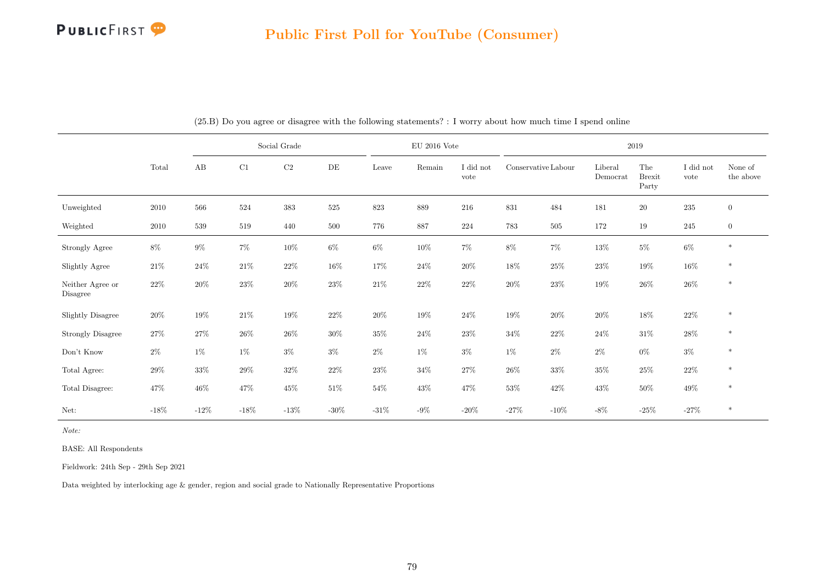

|                              |        |         | Social Grade |          |         |         | $\rm EU$ 2016 Vote |                   |                     |         |                     | $2019\,$                      |                   |                      |
|------------------------------|--------|---------|--------------|----------|---------|---------|--------------------|-------------------|---------------------|---------|---------------------|-------------------------------|-------------------|----------------------|
|                              | Total  | AB      | C1           | $\rm C2$ | DE      | Leave   | Remain             | I did not<br>vote | Conservative Labour |         | Liberal<br>Democrat | The<br><b>Brexit</b><br>Party | I did not<br>vote | None of<br>the above |
| Unweighted                   | 2010   | 566     | 524          | 383      | 525     | 823     | 889                | 216               | $831\,$             | 484     | 181                 | $20\,$                        | $235\,$           | $\overline{0}$       |
| Weighted                     | 2010   | 539     | 519          | 440      | 500     | 776     | 887                | 224               | 783                 | 505     | 172                 | $19\,$                        | 245               | $\overline{0}$       |
| Strongly Agree               | $8\%$  | $9\%$   | $7\%$        | $10\%$   | $6\%$   | $6\%$   | $10\%$             | $7\%$             | $8\%$               | $7\%$   | $13\%$              | $5\%$                         | $6\%$             | $\ast$               |
| Slightly Agree               | $21\%$ | 24\%    | $21\%$       | $22\%$   | $16\%$  | 17%     | $24\%$             | $20\%$            | $18\%$              | $25\%$  | 23\%                | $19\%$                        | $16\%$            | $\ast$               |
| Neither Agree or<br>Disagree | $22\%$ | $20\%$  | $23\%$       | $20\%$   | $23\%$  | $21\%$  | $22\%$             | $22\%$            | $20\%$              | $23\%$  | $19\%$              | $26\%$                        | $26\%$            | $\ast$               |
| <b>Slightly Disagree</b>     | $20\%$ | 19%     | $21\%$       | 19%      | $22\%$  | $20\%$  | $19\%$             | $24\%$            | $19\%$              | $20\%$  | $20\%$              | $18\%$                        | $22\%$            | $\ast$               |
| <b>Strongly Disagree</b>     | $27\%$ | 27%     | $26\%$       | $26\%$   | $30\%$  | $35\%$  | $24\%$             | $23\%$            | $34\%$              | $22\%$  | $24\%$              | $31\%$                        | $28\%$            | $\ast$               |
| Don't Know                   | $2\%$  | $1\%$   | $1\%$        | $3\%$    | $3\%$   | $2\%$   | $1\%$              | $3\%$             | $1\%$               | $2\%$   | $2\%$               | $0\%$                         | $3\%$             | $\ast$               |
| Total Agree:                 | $29\%$ | $33\%$  | $29\%$       | $32\%$   | $22\%$  | $23\%$  | $34\%$             | $27\%$            | $26\%$              | $33\%$  | $35\%$              | $25\%$                        | $22\%$            | $\ast$               |
| Total Disagree:              | 47\%   | $46\%$  | $47\%$       | $45\%$   | $51\%$  | $54\%$  | $43\%$             | $47\%$            | $53\%$              | $42\%$  | 43\%                | $50\%$                        | $49\%$            | $\ast$               |
| Net:                         | $-18%$ | $-12\%$ | $-18\%$      | $-13\%$  | $-30\%$ | $-31\%$ | $-9\%$             | $-20\%$           | $-27\%$             | $-10\%$ | $-8\%$              | $-25\%$                       | $-27\%$           | $\ast$               |

(25.B) Do you agree or disagree with the following statements? : I worry about how much time I spend online

Note:

BASE: All Respondents

Fieldwork: 24th Sep - 29th Sep 2021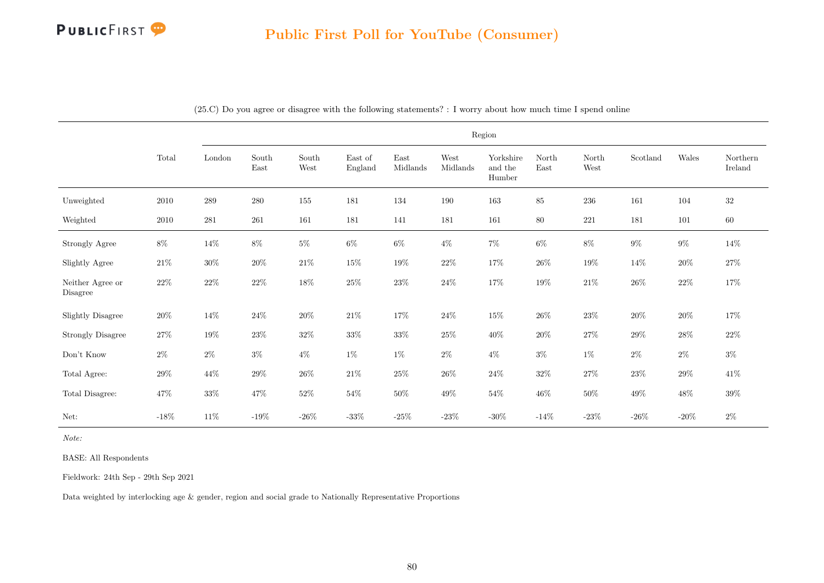

|                              |          |           |               |               |                    |                  |                  | Region                         |               |               |          |         |                     |
|------------------------------|----------|-----------|---------------|---------------|--------------------|------------------|------------------|--------------------------------|---------------|---------------|----------|---------|---------------------|
|                              | Total    | London    | South<br>East | South<br>West | East of<br>England | East<br>Midlands | West<br>Midlands | Yorkshire<br>and the<br>Humber | North<br>East | North<br>West | Scotland | Wales   | Northern<br>Ireland |
| Unweighted                   | $2010\,$ | $\,289$   | 280           | $155\,$       | 181                | 134              | 190              | $163\,$                        | $85\,$        | $\,236$       | 161      | 104     | $32\,$              |
| Weighted                     | $2010\,$ | $\bf 281$ | 261           | 161           | 181                | 141              | 181              | 161                            | $80\,$        | 221           | 181      | $101\,$ | $60\,$              |
| Strongly Agree               | $8\%$    | 14%       | $8\%$         | $5\%$         | $6\%$              | $6\%$            | $4\%$            | $7\%$                          | $6\%$         | $8\%$         | $9\%$    | $9\%$   | $14\%$              |
| Slightly Agree               | $21\%$   | $30\%$    | $20\%$        | $21\%$        | $15\%$             | $19\%$           | $22\%$           | 17%                            | $26\%$        | $19\%$        | $14\%$   | $20\%$  | $27\%$              |
| Neither Agree or<br>Disagree | $22\%$   | $22\%$    | $22\%$        | $18\%$        | $25\%$             | $23\%$           | $24\%$           | 17%                            | $19\%$        | $21\%$        | $26\%$   | $22\%$  | $17\%$              |
| <b>Slightly Disagree</b>     | $20\%$   | $14\%$    | $24\%$        | $20\%$        | $21\%$             | $17\%$           | $24\%$           | $15\%$                         | $26\%$        | $23\%$        | $20\%$   | $20\%$  | $17\%$              |
| <b>Strongly Disagree</b>     | $27\%$   | $19\%$    | $23\%$        | $32\%$        | $33\%$             | $33\%$           | $25\%$           | $40\%$                         | $20\%$        | $27\%$        | $29\%$   | $28\%$  | $22\%$              |
| Don't Know                   | $2\%$    | $2\%$     | $3\%$         | $4\%$         | $1\%$              | $1\%$            | $2\%$            | $4\%$                          | $3\%$         | $1\%$         | $2\%$    | $2\%$   | $3\%$               |
| Total Agree:                 | $29\%$   | $44\%$    | $29\%$        | $26\%$        | $21\%$             | $25\%$           | $26\%$           | $24\%$                         | $32\%$        | $27\%$        | $23\%$   | $29\%$  | $41\%$              |
| Total Disagree:              | 47%      | $33\%$    | $47\%$        | $52\%$        | $54\%$             | $50\%$           | 49\%             | $54\%$                         | $46\%$        | $50\%$        | $49\%$   | $48\%$  | $39\%$              |
| Net:                         | $-18\%$  | $11\%$    | $-19\%$       | $-26\%$       | $-33\%$            | $-25\%$          | $-23\%$          | -30%                           | $-14%$        | $-23\%$       | -26 $%$  | $-20\%$ | $2\%$               |

(25.C) Do you agree or disagree with the following statements? : I worry about how much time I spend online

Note:

BASE: All Respondents

Fieldwork: 24th Sep - 29th Sep 2021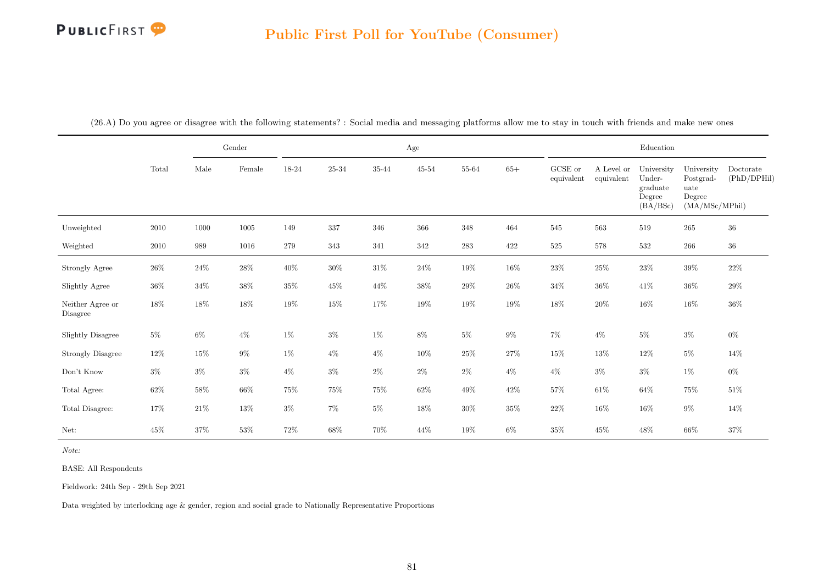#### Public First Poll for YouTube (Consumer)

(26.A) Do you agree or disagree with the following statements? : Social media and messaging platforms allow me to stay in touch with friends and make new ones

|                              |        |        | Gender   |         |        |         | Age       |           |        |                       |                          | Education                                              |                                                             |                          |
|------------------------------|--------|--------|----------|---------|--------|---------|-----------|-----------|--------|-----------------------|--------------------------|--------------------------------------------------------|-------------------------------------------------------------|--------------------------|
|                              | Total  | Male   | Female   | 18-24   | 25-34  | 35-44   | $45 - 54$ | 55-64     | $65+$  | GCSE or<br>equivalent | A Level or<br>equivalent | University<br>Under-<br>graduate<br>Degree<br>(BA/BSc) | University<br>Postgrad-<br>uate<br>Degree<br>(MA/MSc/MPhil) | Doctorate<br>(PhD/DPHil) |
| Unweighted                   | 2010   | 1000   | $1005\,$ | 149     | 337    | $346\,$ | 366       | 348       | 464    | 545                   | 563                      | 519                                                    | $265\,$                                                     | $36\,$                   |
| Weighted                     | 2010   | 989    | 1016     | $279\,$ | 343    | $341\,$ | 342       | $\bf 283$ | 422    | $525\,$               | $578\,$                  | $532\,$                                                | 266                                                         | $36\,$                   |
| Strongly Agree               | $26\%$ | $24\%$ | $28\%$   | $40\%$  | $30\%$ | $31\%$  | $24\%$    | $19\%$    | $16\%$ | $23\%$                | $25\%$                   | $23\%$                                                 | $39\%$                                                      | $22\%$                   |
| Slightly Agree               | $36\%$ | $34\%$ | $38\%$   | $35\%$  | $45\%$ | $44\%$  | $38\%$    | $29\%$    | $26\%$ | $34\%$                | $36\%$                   | $41\%$                                                 | $36\%$                                                      | $29\%$                   |
| Neither Agree or<br>Disagree | $18\%$ | $18\%$ | $18\%$   | $19\%$  | $15\%$ | $17\%$  | $19\%$    | $19\%$    | $19\%$ | $18\%$                | $20\%$                   | $16\%$                                                 | $16\%$                                                      | $36\%$                   |
| Slightly Disagree            | $5\%$  | 6%     | $4\%$    | $1\%$   | $3\%$  | $1\%$   | $8\%$     | $5\%$     | $9\%$  | $7\%$                 | $4\%$                    | $5\%$                                                  | $3\%$                                                       | $0\%$                    |
| <b>Strongly Disagree</b>     | $12\%$ | $15\%$ | $9\%$    | $1\%$   | $4\%$  | $4\%$   | $10\%$    | $25\%$    | $27\%$ | $15\%$                | $13\%$                   | $12\%$                                                 | $5\%$                                                       | 14%                      |
| Don't Know                   | $3\%$  | $3\%$  | $3\%$    | $4\%$   | $3\%$  | $2\%$   | $2\%$     | $2\%$     | $4\%$  | $4\%$                 | $3\%$                    | $3\%$                                                  | $1\%$                                                       | $0\%$                    |
| Total Agree:                 | $62\%$ | $58\%$ | $66\%$   | $75\%$  | 75%    | $75\%$  | $62\%$    | $49\%$    | $42\%$ | $57\%$                | $61\%$                   | $64\%$                                                 | $75\%$                                                      | $51\%$                   |
| Total Disagree:              | 17%    | $21\%$ | $13\%$   | $3\%$   | $7\%$  | $5\%$   | $18\%$    | $30\%$    | $35\%$ | $22\%$                | $16\%$                   | $16\%$                                                 | $9\%$                                                       | 14%                      |
| Net:                         | $45\%$ | $37\%$ | $53\%$   | 72%     | 68%    | 70%     | $44\%$    | $19\%$    | $6\%$  | $35\%$                | $45\%$                   | 48\%                                                   | $66\%$                                                      | $37\%$                   |

Note:

BASE: All Respondents

Fieldwork: 24th Sep - 29th Sep 2021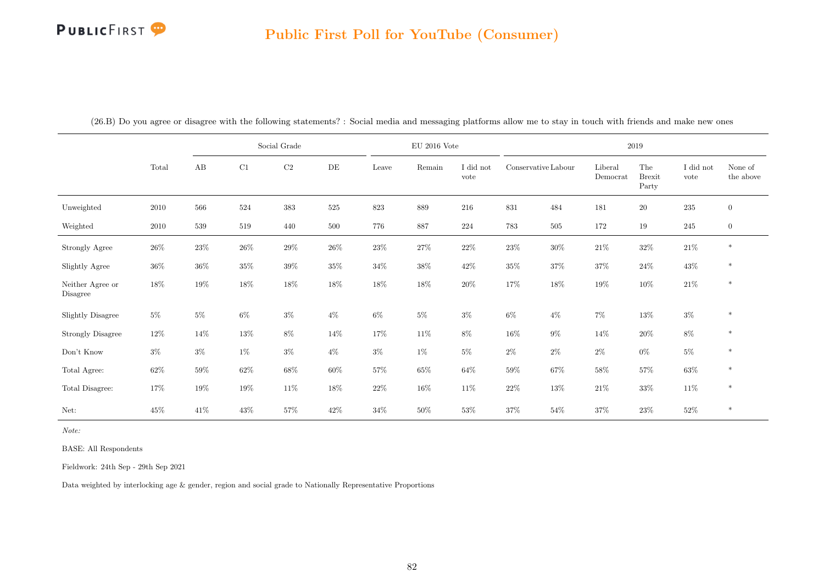# PUBLICFIRST<sup>9</sup>

|  |  | (26.B) Do you agree or disagree with the following statements? : Social media and messaging platforms allow me to stay in touch with friends and make new ones |  |
|--|--|----------------------------------------------------------------------------------------------------------------------------------------------------------------|--|
|  |  |                                                                                                                                                                |  |

|                              |        |         |         | Social Grade |        |         | $EU$ 2016 Vote |                   |                     |        |                     | 2019                          |                   |                      |
|------------------------------|--------|---------|---------|--------------|--------|---------|----------------|-------------------|---------------------|--------|---------------------|-------------------------------|-------------------|----------------------|
|                              | Total  | AB      | C1      | $\rm C2$     | DE     | Leave   | Remain         | I did not<br>vote | Conservative Labour |        | Liberal<br>Democrat | The<br><b>Brexit</b><br>Party | I did not<br>vote | None of<br>the above |
| Unweighted                   | 2010   | 566     | $524\,$ | $383\,$      | 525    | $823\,$ | 889            | $216\,$           | $831\,$             | 484    | 181                 | $20\,$                        | $235\,$           | $\overline{0}$       |
| Weighted                     | 2010   | $539\,$ | 519     | 440          | 500    | 776     | 887            | 224               | 783                 | 505    | 172                 | $19\,$                        | 245               | $\overline{0}$       |
| Strongly Agree               | $26\%$ | $23\%$  | $26\%$  | $29\%$       | $26\%$ | $23\%$  | $27\%$         | $22\%$            | $23\%$              | $30\%$ | $21\%$              | $32\%$                        | $21\%$            | $\ast$               |
| Slightly Agree               | $36\%$ | $36\%$  | $35\%$  | 39%          | $35\%$ | $34\%$  | $38\%$         | $42\%$            | $35\%$              | $37\%$ | 37%                 | $24\%$                        | $43\%$            | $\ast$               |
| Neither Agree or<br>Disagree | $18\%$ | $19\%$  | $18\%$  | $18\%$       | 18%    | $18\%$  | $18\%$         | $20\%$            | $17\%$              | $18\%$ | $19\%$              | $10\%$                        | $21\%$            | $\ast$               |
| <b>Slightly Disagree</b>     | $5\%$  | $5\%$   | $6\%$   | $3\%$        | $4\%$  | $6\%$   | $5\%$          | $3\%$             | $6\%$               | $4\%$  | $7\%$               | $13\%$                        | $3\%$             | $\ast$               |
| <b>Strongly Disagree</b>     | $12\%$ | 14%     | $13\%$  | $8\%$        | 14%    | $17\%$  | $11\%$         | $8\%$             | $16\%$              | $9\%$  | 14%                 | $20\%$                        | $8\%$             | $\ast$               |
| Don't Know                   | $3\%$  | $3\%$   | $1\%$   | $3\%$        | $4\%$  | $3\%$   | $1\%$          | $5\%$             | $2\%$               | $2\%$  | $2\%$               | $0\%$                         | $5\%$             | $\ast$               |
| Total Agree:                 | $62\%$ | $59\%$  | $62\%$  | $68\%$       | $60\%$ | $57\%$  | $65\%$         | $64\%$            | $59\%$              | $67\%$ | $58\%$              | $57\%$                        | $63\%$            | $\ast$               |
| Total Disagree:              | 17%    | $19\%$  | $19\%$  | 11\%         | 18%    | $22\%$  | 16\%           | $11\%$            | $22\%$              | $13\%$ | $21\%$              | $33\%$                        | $11\%$            | $\ast$               |
| Net:                         | $45\%$ | $41\%$  | 43\%    | 57%          | $42\%$ | $34\%$  | $50\%$         | $53\%$            | $37\%$              | $54\%$ | 37%                 | $23\%$                        | $52\%$            | $\ast$               |

Note:

BASE: All Respondents

Fieldwork: 24th Sep - 29th Sep 2021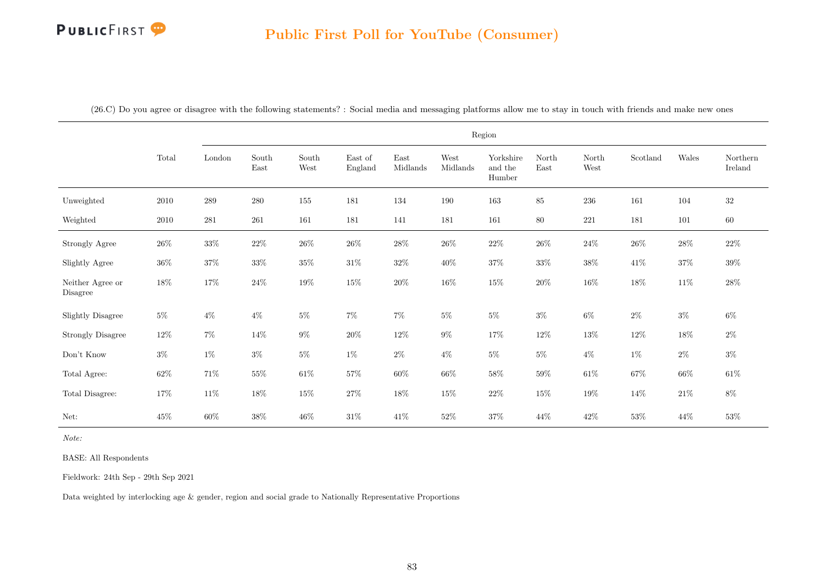|  |  |  |  |  |  |  |  | (26.C) Do you agree or disagree with the following statements? : Social media and messaging platforms allow me to stay in touch with friends and make new ones |  |  |  |  |  |
|--|--|--|--|--|--|--|--|----------------------------------------------------------------------------------------------------------------------------------------------------------------|--|--|--|--|--|
|--|--|--|--|--|--|--|--|----------------------------------------------------------------------------------------------------------------------------------------------------------------|--|--|--|--|--|

|                              |        |         |               |               |                    |                  |                  | Region                         |               |               |          |        |                     |
|------------------------------|--------|---------|---------------|---------------|--------------------|------------------|------------------|--------------------------------|---------------|---------------|----------|--------|---------------------|
|                              | Total  | London  | South<br>East | South<br>West | East of<br>England | East<br>Midlands | West<br>Midlands | Yorkshire<br>and the<br>Humber | North<br>East | North<br>West | Scotland | Wales  | Northern<br>Ireland |
| Unweighted                   | 2010   | 289     | 280           | 155           | 181                | 134              | $190\,$          | $163\,$                        | 85            | $236\,$       | 161      | 104    | $32\,$              |
| Weighted                     | 2010   | $281\,$ | $261\,$       | 161           | 181                | 141              | 181              | 161                            | 80            | 221           | 181      | 101    | $60\,$              |
| Strongly Agree               | $26\%$ | $33\%$  | $22\%$        | $26\%$        | $26\%$             | $28\%$           | $26\%$           | $22\%$                         | $26\%$        | $24\%$        | $26\%$   | $28\%$ | $22\%$              |
| Slightly Agree               | $36\%$ | $37\%$  | $33\%$        | $35\%$        | $31\%$             | $32\%$           | $40\%$           | $37\%$                         | $33\%$        | $38\%$        | $41\%$   | $37\%$ | $39\%$              |
| Neither Agree or<br>Disagree | $18\%$ | $17\%$  | $24\%$        | $19\%$        | $15\%$             | $20\%$           | $16\%$           | $15\%$                         | $20\%$        | $16\%$        | $18\%$   | $11\%$ | $28\%$              |
| Slightly Disagree            | $5\%$  | $4\%$   | $4\%$         | $5\%$         | $7\%$              | $7\%$            | $5\%$            | $5\%$                          | $3\%$         | $6\%$         | $2\%$    | $3\%$  | $6\%$               |
| <b>Strongly Disagree</b>     | $12\%$ | $7\%$   | 14\%          | $9\%$         | $20\%$             | $12\%$           | $9\%$            | $17\%$                         | $12\%$        | $13\%$        | $12\%$   | $18\%$ | $2\%$               |
| Don't Know                   | $3\%$  | $1\%$   | $3\%$         | $5\%$         | $1\%$              | $2\%$            | $4\%$            | $5\%$                          | $5\%$         | $4\%$         | $1\%$    | $2\%$  | $3\%$               |
| Total Agree:                 | $62\%$ | $71\%$  | $55\%$        | $61\%$        | $57\%$             | $60\%$           | $66\%$           | $58\%$                         | $59\%$        | $61\%$        | $67\%$   | $66\%$ | $61\%$              |
| Total Disagree:              | $17\%$ | $11\%$  | $18\%$        | $15\%$        | $27\%$             | $18\%$           | $15\%$           | $22\%$                         | $15\%$        | $19\%$        | 14%      | $21\%$ | $8\%$               |
| Net:                         | $45\%$ | $60\%$  | $38\%$        | $46\%$        | $31\%$             | $41\%$           | $52\%$           | $37\%$                         | 44\%          | $42\%$        | $53\%$   | $44\%$ | $53\%$              |

Note:

BASE: All Respondents

Fieldwork: 24th Sep - 29th Sep 2021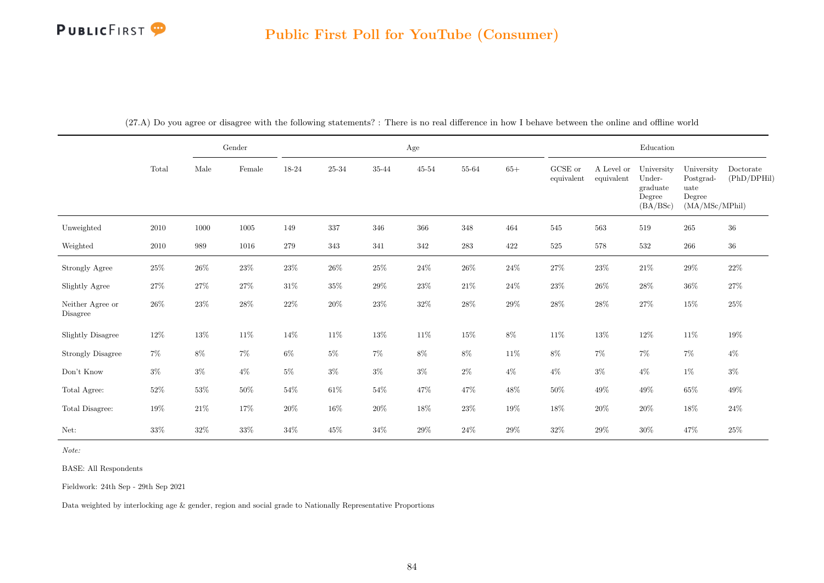|                              |        |        | Gender   |        |         |         | Age       |        |        |                       |                          | $\operatorname{Education}$                             |                                                             |                          |
|------------------------------|--------|--------|----------|--------|---------|---------|-----------|--------|--------|-----------------------|--------------------------|--------------------------------------------------------|-------------------------------------------------------------|--------------------------|
|                              | Total  | Male   | Female   | 18-24  | 25-34   | 35-44   | $45 - 54$ | 55-64  | $65+$  | GCSE or<br>equivalent | A Level or<br>equivalent | University<br>Under-<br>graduate<br>Degree<br>(BA/BSc) | University<br>Postgrad-<br>uate<br>Degree<br>(MA/MSc/MPhil) | Doctorate<br>(PhD/DPHil) |
| Unweighted                   | 2010   | 1000   | $1005\,$ | 149    | $337\,$ | $346\,$ | $366\,$   | 348    | 464    | 545                   | 563                      | 519                                                    | 265                                                         | $36\,$                   |
| Weighted                     | 2010   | 989    | 1016     | 279    | 343     | 341     | 342       | 283    | 422    | $525\,$               | 578                      | $532\,$                                                | 266                                                         | $36\,$                   |
| Strongly Agree               | $25\%$ | $26\%$ | $23\%$   | $23\%$ | $26\%$  | $25\%$  | $24\%$    | $26\%$ | $24\%$ | $27\%$                | 23\%                     | $21\%$                                                 | $29\%$                                                      | $22\%$                   |
| Slightly Agree               | $27\%$ | 27\%   | $27\%$   | $31\%$ | $35\%$  | $29\%$  | $23\%$    | $21\%$ | $24\%$ | $23\%$                | $26\%$                   | $28\%$                                                 | $36\%$                                                      | $27\%$                   |
| Neither Agree or<br>Disagree | $26\%$ | 23\%   | $28\%$   | $22\%$ | $20\%$  | $23\%$  | $32\%$    | $28\%$ | $29\%$ | $28\%$                | $28\%$                   | $27\%$                                                 | $15\%$                                                      | $25\%$                   |
| <b>Slightly Disagree</b>     | 12\%   | 13%    | 11\%     | $14\%$ | $11\%$  | $13\%$  | $11\%$    | $15\%$ | $8\%$  | $11\%$                | $13\%$                   | 12\%                                                   | 11\%                                                        | $19\%$                   |
| <b>Strongly Disagree</b>     | $7\%$  | $8\%$  | $7\%$    | $6\%$  | $5\%$   | $7\%$   | $8\%$     | $8\%$  | $11\%$ | $8\%$                 | $7\%$                    | $7\%$                                                  | $7\%$                                                       | $4\%$                    |
| Don't Know                   | $3\%$  | $3\%$  | $4\%$    | $5\%$  | $3\%$   | $3\%$   | $3\%$     | $2\%$  | $4\%$  | $4\%$                 | $3\%$                    | $4\%$                                                  | $1\%$                                                       | $3\%$                    |
| Total Agree:                 | $52\%$ | $53\%$ | $50\%$   | $54\%$ | $61\%$  | $54\%$  | 47%       | 47%    | 48%    | $50\%$                | 49%                      | 49\%                                                   | $65\%$                                                      | $49\%$                   |
| Total Disagree:              | 19%    | $21\%$ | $17\%$   | $20\%$ | $16\%$  | $20\%$  | $18\%$    | $23\%$ | $19\%$ | $18\%$                | $20\%$                   | $20\%$                                                 | $18\%$                                                      | $24\%$                   |
| Net:                         | $33\%$ | $32\%$ | $33\%$   | 34%    | $45\%$  | $34\%$  | $29\%$    | $24\%$ | 29%    | $32\%$                | 29%                      | $30\%$                                                 | 47%                                                         | $25\%$                   |

(27.A) Do you agree or disagree with the following statements? : There is no real difference in how I behave between the online and offline world

Note:

BASE: All Respondents

Fieldwork: 24th Sep - 29th Sep 2021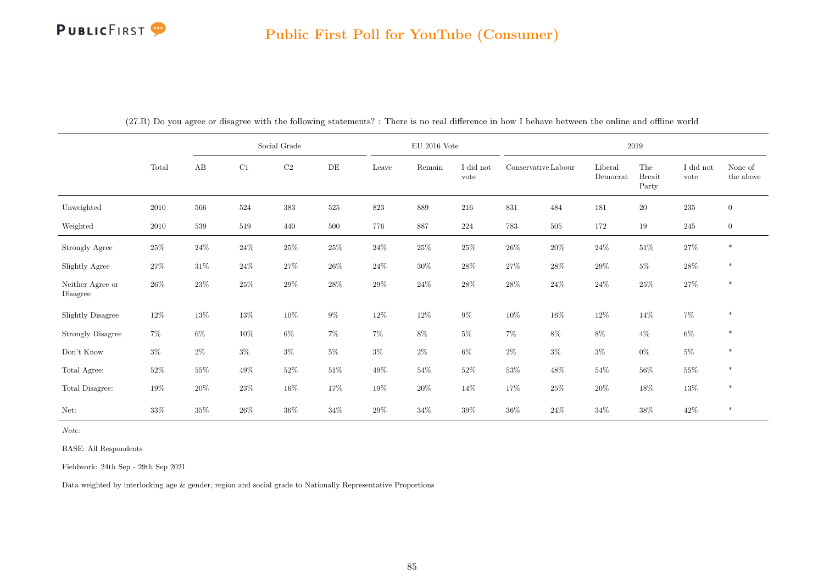|                              |        |        |        | Social Grade |        |         | $EU$ 2016 Vote |                   |                     |         |                     | $\,2019\,$                    |                   |                      |
|------------------------------|--------|--------|--------|--------------|--------|---------|----------------|-------------------|---------------------|---------|---------------------|-------------------------------|-------------------|----------------------|
|                              | Total  | AB     | C1     | $\rm C2$     | DE     | Leave   | Remain         | I did not<br>vote | Conservative Labour |         | Liberal<br>Democrat | The<br><b>Brexit</b><br>Party | I did not<br>vote | None of<br>the above |
| Unweighted                   | 2010   | 566    | 524    | 383          | 525    | $823\,$ | 889            | 216               | $831\,$             | 484     | 181                 | $20\,$                        | $\bf 235$         | $\boldsymbol{0}$     |
| Weighted                     | 2010   | 539    | 519    | 440          | 500    | 776     | 887            | 224               | 783                 | $505\,$ | 172                 | 19                            | $245\,$           | $\mathbf{0}$         |
| <b>Strongly Agree</b>        | $25\%$ | $24\%$ | $24\%$ | 25%          | $25\%$ | $24\%$  | $25\%$         | $25\%$            | $26\%$              | $20\%$  | 24\%                | $51\%$                        | $27\%$            | $\ast$               |
| Slightly Agree               | $27\%$ | $31\%$ | $24\%$ | $27\%$       | $26\%$ | $24\%$  | $30\%$         | $28\%$            | $27\%$              | $28\%$  | $29\%$              | $5\%$                         | $28\%$            | $\ast$               |
| Neither Agree or<br>Disagree | $26\%$ | $23\%$ | $25\%$ | $29\%$       | $28\%$ | $29\%$  | $24\%$         | $28\%$            | $28\%$              | $24\%$  | 24\%                | $25\%$                        | $27\%$            | $\ast$               |
| <b>Slightly Disagree</b>     | 12\%   | 13%    | $13\%$ | $10\%$       | $9\%$  | $12\%$  | $12\%$         | $9\%$             | $10\%$              | $16\%$  | $12\%$              | $14\%$                        | $7\%$             | $\ast$               |
| <b>Strongly Disagree</b>     | $7\%$  | 6%     | $10\%$ | $6\%$        | $7\%$  | $7\%$   | $8\%$          | $5\%$             | $7\%$               | $8\%$   | $8\%$               | $4\%$                         | $6\%$             | $\ast$               |
| Don't Know                   | $3\%$  | $2\%$  | $3\%$  | $3\%$        | $5\%$  | $3\%$   | $2\%$          | $6\%$             | $2\%$               | $3\%$   | $3\%$               | $0\%$                         | $5\%$             | $\ast$               |
| Total Agree:                 | $52\%$ | $55\%$ | 49%    | $52\%$       | $51\%$ | 49%     | $54\%$         | $52\%$            | $53\%$              | 48\%    | $54\%$              | $56\%$                        | $55\%$            | $\ast$               |
| Total Disagree:              | $19\%$ | $20\%$ | $23\%$ | $16\%$       | 17%    | $19\%$  | $20\%$         | 14\%              | $17\%$              | $25\%$  | $20\%$              | $18\%$                        | $13\%$            | $\ast$               |
| Net:                         | 33%    | $35\%$ | $26\%$ | $36\%$       | $34\%$ | $29\%$  | $34\%$         | $39\%$            | $36\%$              | $24\%$  | $34\%$              | $38\%$                        | $42\%$            | $\ast$               |

(27.B) Do you agree or disagree with the following statements? : There is no real difference in how I behave between the online and offline world

Note:

BASE: All Respondents

Fieldwork: 24th Sep - 29th Sep 2021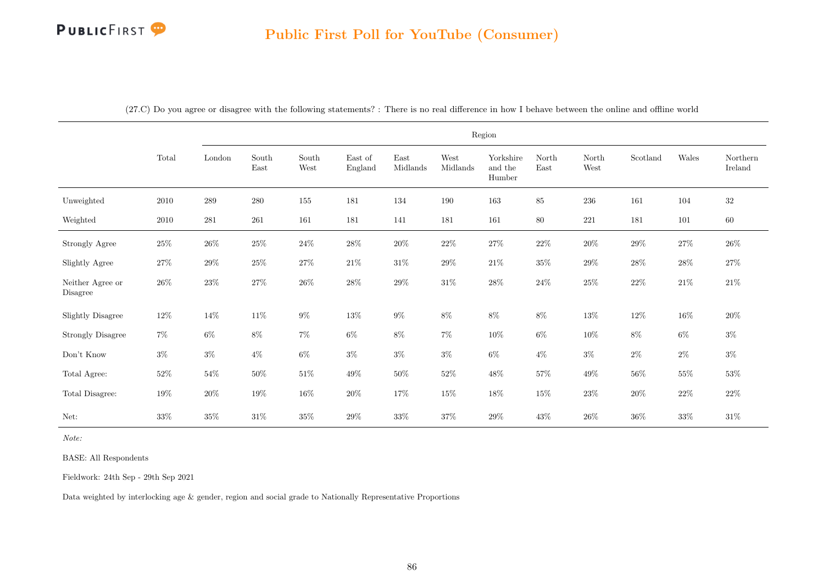|                              |        |         |                                                 |                                |                    |                  | Region           |                                |               |               |          |        |                     |
|------------------------------|--------|---------|-------------------------------------------------|--------------------------------|--------------------|------------------|------------------|--------------------------------|---------------|---------------|----------|--------|---------------------|
|                              | Total  | London  | $\operatorname{South}$<br>$\operatorname{East}$ | South<br>$\operatorname{West}$ | East of<br>England | East<br>Midlands | West<br>Midlands | Yorkshire<br>and the<br>Humber | North<br>East | North<br>West | Scotland | Wales  | Northern<br>Ireland |
| Unweighted                   | 2010   | $\,289$ | $280\,$                                         | 155                            | 181                | 134              | 190              | 163                            | $85\,$        | 236           | 161      | 104    | $32\,$              |
| Weighted                     | 2010   | 281     | 261                                             | 161                            | 181                | 141              | 181              | 161                            | $80\,$        | 221           | 181      | 101    | $60\,$              |
| Strongly Agree               | $25\%$ | $26\%$  | $25\%$                                          | $24\%$                         | $28\%$             | $20\%$           | $22\%$           | $27\%$                         | $22\%$        | $20\%$        | $29\%$   | $27\%$ | $26\%$              |
| Slightly Agree               | $27\%$ | $29\%$  | $25\%$                                          | $27\%$                         | $21\%$             | $31\%$           | $29\%$           | $21\%$                         | $35\%$        | $29\%$        | $28\%$   | $28\%$ | $27\%$              |
| Neither Agree or<br>Disagree | $26\%$ | $23\%$  | $27\%$                                          | $26\%$                         | $28\%$             | $29\%$           | $31\%$           | $28\%$                         | $24\%$        | $25\%$        | $22\%$   | $21\%$ | $21\%$              |
| <b>Slightly Disagree</b>     | $12\%$ | $14\%$  | $11\%$                                          | $9\%$                          | $13\%$             | $9\%$            | $8\%$            | $8\%$                          | $8\%$         | $13\%$        | $12\%$   | $16\%$ | $20\%$              |
| <b>Strongly Disagree</b>     | $7\%$  | $6\%$   | $8\%$                                           | $7\%$                          | $6\%$              | $8\%$            | $7\%$            | $10\%$                         | $6\%$         | $10\%$        | $8\%$    | $6\%$  | $3\%$               |
| Don't Know                   | $3\%$  | $3\%$   | $4\%$                                           | $6\%$                          | $3\%$              | $3\%$            | $3\%$            | $6\%$                          | $4\%$         | $3\%$         | $2\%$    | $2\%$  | $3\%$               |
| Total Agree:                 | $52\%$ | $54\%$  | $50\%$                                          | $51\%$                         | $49\%$             | $50\%$           | $52\%$           | $48\%$                         | $57\%$        | $49\%$        | $56\%$   | $55\%$ | $53\%$              |
| Total Disagree:              | $19\%$ | $20\%$  | $19\%$                                          | $16\%$                         | $20\%$             | $17\%$           | $15\%$           | $18\%$                         | $15\%$        | $23\%$        | $20\%$   | $22\%$ | $22\%$              |
| Net:                         | 33\%   | $35\%$  | $31\%$                                          | $35\%$                         | $29\%$             | $33\%$           | $37\%$           | $29\%$                         | $43\%$        | $26\%$        | $36\%$   | $33\%$ | $31\%$              |

(27.C) Do you agree or disagree with the following statements? : There is no real difference in how I behave between the online and offline world

Note:

BASE: All Respondents

Fieldwork: 24th Sep - 29th Sep 2021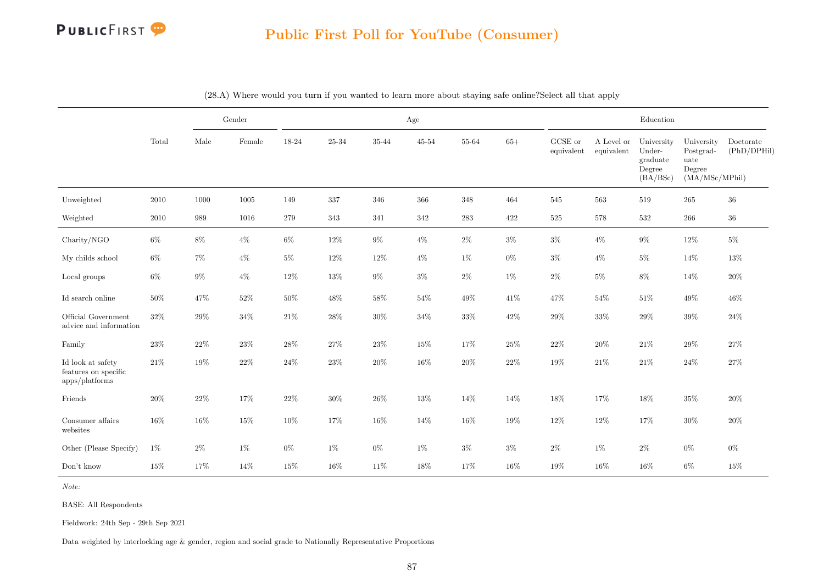# PUBLICFIRST<sup>9</sup>

## Public First Poll for YouTube (Consumer)

|                                                             |        |        | Gender |        |        |        | Age       |           |        |                       |                          | Education                                              |                                                             |                          |
|-------------------------------------------------------------|--------|--------|--------|--------|--------|--------|-----------|-----------|--------|-----------------------|--------------------------|--------------------------------------------------------|-------------------------------------------------------------|--------------------------|
|                                                             | Total  | Male   | Female | 18-24  | 25-34  | 35-44  | $45 - 54$ | 55-64     | $65+$  | GCSE or<br>equivalent | A Level or<br>equivalent | University<br>Under-<br>graduate<br>Degree<br>(BA/BSc) | University<br>Postgrad-<br>uate<br>Degree<br>(MA/MSc/MPhil) | Doctorate<br>(PhD/DPHil) |
| Unweighted                                                  | 2010   | 1000   | 1005   | 149    | 337    | 346    | 366       | 348       | 464    | 545                   | 563                      | 519                                                    | 265                                                         | $36\,$                   |
| Weighted                                                    | 2010   | 989    | 1016   | 279    | 343    | 341    | 342       | $\bf 283$ | 422    | $525\,$               | 578                      | 532                                                    | 266                                                         | $36\,$                   |
| Charity/NGO                                                 | $6\%$  | $8\%$  | $4\%$  | $6\%$  | $12\%$ | $9\%$  | $4\%$     | $2\%$     | $3\%$  | $3\%$                 | $4\%$                    | $9\%$                                                  | $12\%$                                                      | $5\%$                    |
| My childs school                                            | $6\%$  | $7\%$  | $4\%$  | $5\%$  | $12\%$ | $12\%$ | $4\%$     | $1\%$     | $0\%$  | $3\%$                 | $4\%$                    | $5\%$                                                  | 14%                                                         | 13%                      |
| Local groups                                                | $6\%$  | $9\%$  | $4\%$  | 12%    | 13%    | $9\%$  | $3\%$     | $2\%$     | $1\%$  | $2\%$                 | $5\%$                    | $8\%$                                                  | 14%                                                         | $20\%$                   |
| Id search online                                            | $50\%$ | 47\%   | $52\%$ | $50\%$ | $48\%$ | $58\%$ | $54\%$    | 49%       | 41\%   | 47\%                  | $54\%$                   | $51\%$                                                 | $49\%$                                                      | 46%                      |
| Official Government<br>advice and information               | $32\%$ | $29\%$ | $34\%$ | 21%    | $28\%$ | $30\%$ | $34\%$    | $33\%$    | $42\%$ | $29\%$                | $33\%$                   | $29\%$                                                 | $39\%$                                                      | $24\%$                   |
| Family                                                      | $23\%$ | $22\%$ | $23\%$ | $28\%$ | $27\%$ | $23\%$ | 15%       | 17%       | $25\%$ | $22\%$                | 20%                      | $21\%$                                                 | $29\%$                                                      | 27%                      |
| Id look at safety<br>features on specific<br>apps/platforms | $21\%$ | 19%    | $22\%$ | $24\%$ | $23\%$ | $20\%$ | 16%       | $20\%$    | $22\%$ | $19\%$                | 21\%                     | $21\%$                                                 | $24\%$                                                      | $27\%$                   |
| Friends                                                     | $20\%$ | 22%    | 17%    | $22\%$ | $30\%$ | $26\%$ | $13\%$    | 14%       | 14%    | $18\%$                | 17%                      | $18\%$                                                 | $35\%$                                                      | $20\%$                   |
| Consumer affairs<br>websites                                | 16%    | $16\%$ | $15\%$ | 10%    | 17%    | $16\%$ | 14%       | 16%       | $19\%$ | $12\%$                | 12%                      | 17%                                                    | $30\%$                                                      | $20\%$                   |
| Other (Please Specify)                                      | $1\%$  | $2\%$  | $1\%$  | $0\%$  | $1\%$  | $0\%$  | $1\%$     | $3\%$     | $3\%$  | $2\%$                 | $1\%$                    | $2\%$                                                  | $0\%$                                                       | $0\%$                    |
| Don't know                                                  | $15\%$ | 17%    | 14%    | $15\%$ | 16%    | 11\%   | 18%       | 17%       | $16\%$ | $19\%$                | 16%                      | 16%                                                    | $6\%$                                                       | 15%                      |

|  |  |  |  |  |  | (28.A) Where would you turn if you wanted to learn more about staying safe online?Select all that apply |  |
|--|--|--|--|--|--|---------------------------------------------------------------------------------------------------------|--|
|--|--|--|--|--|--|---------------------------------------------------------------------------------------------------------|--|

Note:

BASE: All Respondents

Fieldwork: 24th Sep - 29th Sep 2021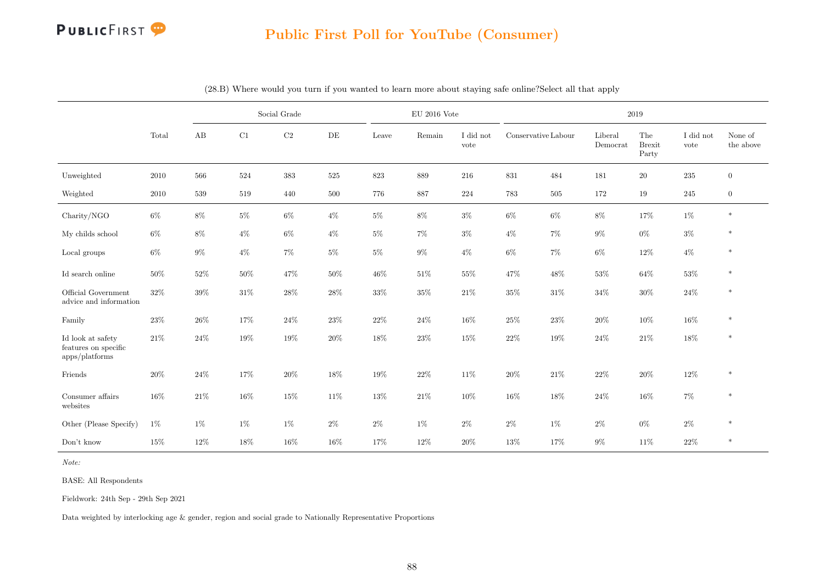

|                                                             |          |        |        | Social Grade |           |        | $EU$ 2016 Vote |                   |                     |        |                     | 2019                          |                   |                      |
|-------------------------------------------------------------|----------|--------|--------|--------------|-----------|--------|----------------|-------------------|---------------------|--------|---------------------|-------------------------------|-------------------|----------------------|
|                                                             | Total    | AB     | C1     | $\rm C2$     | $\rm{DE}$ | Leave  | Remain         | I did not<br>vote | Conservative Labour |        | Liberal<br>Democrat | The<br><b>Brexit</b><br>Party | I did not<br>vote | None of<br>the above |
| Unweighted                                                  | $2010\,$ | 566    | 524    | $383\,$      | $525\,$   | 823    | 889            | 216               | $831\,$             | 484    | 181                 | $20\,$                        | 235               | $\boldsymbol{0}$     |
| Weighted                                                    | $2010\,$ | 539    | 519    | 440          | 500       | 776    | 887            | 224               | 783                 | 505    | 172                 | 19                            | 245               | $\boldsymbol{0}$     |
| Charity/NGO                                                 | $6\%$    | $8\%$  | $5\%$  | $6\%$        | $4\%$     | $5\%$  | $8\%$          | $3\%$             | $6\%$               | $6\%$  | $8\%$               | 17%                           | $1\%$             | $\ast$               |
| My childs school                                            | $6\%$    | 8%     | $4\%$  | $6\%$        | $4\%$     | $5\%$  | $7\%$          | $3\%$             | $4\%$               | $7\%$  | $9\%$               | $0\%$                         | $3\%$             | $\ast$               |
| Local groups                                                | $6\%$    | $9\%$  | $4\%$  | $7\%$        | $5\%$     | $5\%$  | $9\%$          | $4\%$             | $6\%$               | $7\%$  | $6\%$               | 12%                           | $4\%$             | $\ast$               |
| Id search online                                            | $50\%$   | 52%    | $50\%$ | 47\%         | 50%       | $46\%$ | $51\%$         | 55%               | 47%                 | $48\%$ | 53%                 | $64\%$                        | $53\%$            | $\ast$               |
| Official Government<br>advice and information               | $32\%$   | 39%    | $31\%$ | $28\%$       | 28%       | $33\%$ | $35\%$         | 21%               | $35\%$              | $31\%$ | 34%                 | $30\%$                        | $24\%$            | $\ast$               |
| Family                                                      | 23\%     | $26\%$ | 17%    | $24\%$       | $23\%$    | $22\%$ | $24\%$         | 16%               | $25\%$              | $23\%$ | 20%                 | $10\%$                        | $16\%$            | $\ast$               |
| Id look at safety<br>features on specific<br>apps/platforms | 21\%     | $24\%$ | $19\%$ | $19\%$       | $20\%$    | 18%    | $23\%$         | 15%               | $22\%$              | $19\%$ | 24%                 | $21\%$                        | $18\%$            | $\ast$               |
| Friends                                                     | $20\%$   | 24%    | $17\%$ | $20\%$       | 18%       | $19\%$ | $22\%$         | 11%               | $20\%$              | $21\%$ | 22%                 | $20\%$                        | $12\%$            | $\ast$               |
| Consumer affairs<br>websites                                | 16%      | 21\%   | 16%    | 15%          | 11%       | 13%    | 21\%           | 10%               | 16%                 | 18%    | 24%                 | 16%                           | $7\%$             | $\ast$               |
| Other (Please Specify)                                      | $1\%$    | $1\%$  | 1%     | $1\%$        | $2\%$     | $2\%$  | $1\%$          | $2\%$             | $2\%$               | $1\%$  | $2\%$               | $0\%$                         | $2\%$             | $\ast$               |
| Don't know                                                  | 15%      | 12%    | 18%    | $16\%$       | 16%       | 17%    | $12\%$         | 20%               | 13%                 | 17%    | $9\%$               | 11%                           | $22\%$            | $\ast$               |

(28.B) Where would you turn if you wanted to learn more about staying safe online?Select all that apply

Note:

BASE: All Respondents

Fieldwork: 24th Sep - 29th Sep 2021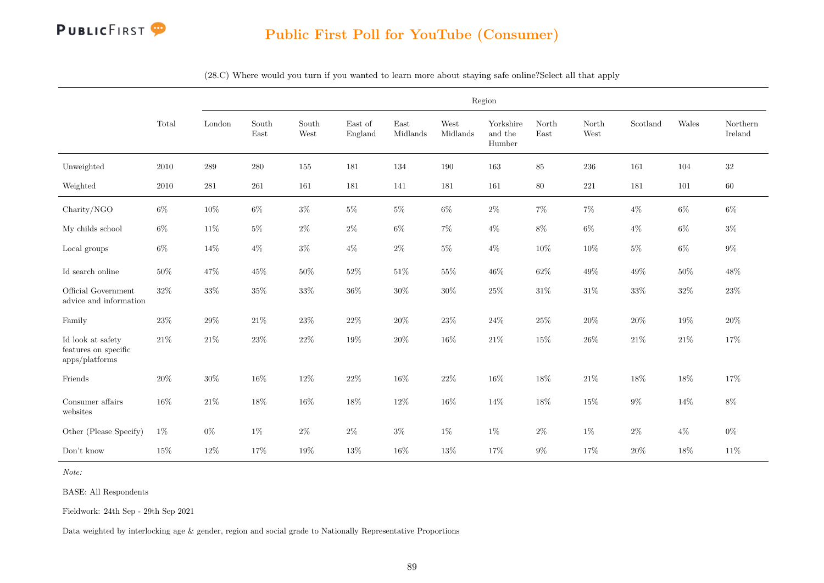

(28.C) Where would you turn if you wanted to learn more about staying safe online?Select all that apply

|                                                                |          |           |               |               |                                     |                  |                  | Region                         |                                |               |          |        |                     |
|----------------------------------------------------------------|----------|-----------|---------------|---------------|-------------------------------------|------------------|------------------|--------------------------------|--------------------------------|---------------|----------|--------|---------------------|
|                                                                | Total    | London    | South<br>East | South<br>West | $\operatorname{East}$ of<br>England | East<br>Midlands | West<br>Midlands | Yorkshire<br>and the<br>Humber | $\operatorname{North}$<br>East | North<br>West | Scotland | Wales  | Northern<br>Ireland |
| Unweighted                                                     | 2010     | $\,289$   | $280\,$       | $155\,$       | 181                                 | 134              | 190              | 163                            | $85\,$                         | $\,236$       | 161      | 104    | $32\,$              |
| Weighted                                                       | $2010\,$ | $\bf 281$ | $261\,$       | 161           | 181                                 | 141              | 181              | 161                            | $80\,$                         | $221\,$       | 181      | 101    | 60                  |
| Charity/NGO                                                    | $6\%$    | $10\%$    | $6\%$         | $3\%$         | $5\%$                               | $5\%$            | $6\%$            | $2\%$                          | $7\%$                          | $7\%$         | $4\%$    | $6\%$  | $6\%$               |
| My childs school                                               | $6\%$    | $11\%$    | $5\%$         | $2\%$         | $2\%$                               | $6\%$            | $7\%$            | $4\%$                          | $8\%$                          | $6\%$         | $4\%$    | $6\%$  | $3\%$               |
| Local groups                                                   | $6\%$    | $14\%$    | $4\%$         | $3\%$         | $4\%$                               | $2\%$            | $5\%$            | $4\%$                          | $10\%$                         | $10\%$        | $5\%$    | $6\%$  | $9\%$               |
| Id search online                                               | 50%      | 47%       | 45%           | $50\%$        | 52%                                 | $51\%$           | 55%              | 46%                            | 62%                            | $49\%$        | 49%      | $50\%$ | 48%                 |
| Official Government<br>advice and information                  | $32\%$   | $33\%$    | $35\%$        | $33\%$        | $36\%$                              | $30\%$           | $30\%$           | $25\%$                         | $31\%$                         | $31\%$        | $33\%$   | $32\%$ | $23\%$              |
| Family                                                         | $23\%$   | $29\%$    | $21\%$        | $23\%$        | $22\%$                              | $20\%$           | 23%              | $24\%$                         | $25\%$                         | $20\%$        | $20\%$   | $19\%$ | $20\%$              |
| Id look at safety<br>features on specific<br>$apps$ /platforms | $21\%$   | $21\%$    | $23\%$        | $22\%$        | 19%                                 | $20\%$           | 16%              | $21\%$                         | 15%                            | $26\%$        | $21\%$   | 21\%   | 17%                 |
| Friends                                                        | $20\%$   | $30\%$    | 16%           | $12\%$        | 22%                                 | $16\%$           | $22\%$           | 16%                            | 18%                            | $21\%$        | 18%      | $18\%$ | 17%                 |
| Consumer affairs<br>websites                                   | 16%      | $21\%$    | 18%           | $16\%$        | 18%                                 | $12\%$           | 16%              | 14%                            | 18%                            | 15%           | $9\%$    | 14%    | $8\%$               |
| Other (Please Specify)                                         | $1\%$    | $0\%$     | $1\%$         | $2\%$         | $2\%$                               | $3\%$            | $1\%$            | $1\%$                          | $2\%$                          | $1\%$         | $2\%$    | $4\%$  | $0\%$               |
| Don't know                                                     | 15%      | $12\%$    | 17%           | 19%           | 13%                                 | 16%              | 13%              | 17%                            | $9\%$                          | 17%           | $20\%$   | 18%    | 11\%                |

Note:

BASE: All Respondents

Fieldwork: 24th Sep - 29th Sep 2021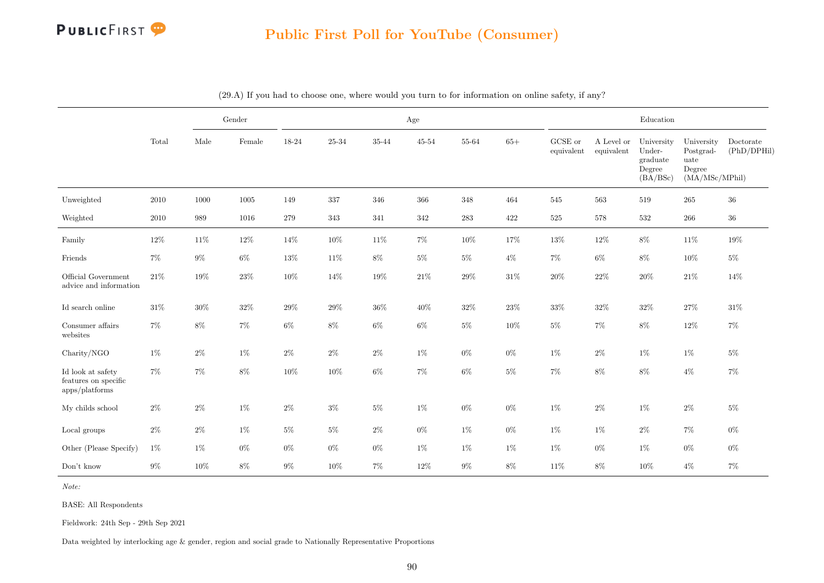

|                                                                |          |        | Gender   |        |        |         | Age            |           |        |                       |                          | Education                                              |                                                             |                          |
|----------------------------------------------------------------|----------|--------|----------|--------|--------|---------|----------------|-----------|--------|-----------------------|--------------------------|--------------------------------------------------------|-------------------------------------------------------------|--------------------------|
|                                                                | Total    | Male   | Female   | 18-24  | 25-34  | 35-44   | $45\hbox{-}54$ | 55-64     | $65+$  | GCSE or<br>equivalent | A Level or<br>equivalent | University<br>Under-<br>graduate<br>Degree<br>(BA/BSc) | University<br>Postgrad-<br>uate<br>Degree<br>(MA/MSc/MPhil) | Doctorate<br>(PhD/DPHil) |
| Unweighted                                                     | $2010\,$ | 1000   | $1005\,$ | 149    | 337    | $346\,$ | $366\,$        | $348\,$   | 464    | $545\,$               | 563                      | $519\,$                                                | $265\,$                                                     | $36\,$                   |
| Weighted                                                       | 2010     | 989    | 1016     | 279    | 343    | 341     | 342            | $\bf 283$ | 422    | $525\,$               | 578                      | 532                                                    | 266                                                         | $36\,$                   |
| Family                                                         | $12\%$   | $11\%$ | $12\%$   | 14%    | $10\%$ | $11\%$  | $7\%$          | 10%       | 17%    | 13%                   | 12%                      | $8\%$                                                  | 11\%                                                        | 19%                      |
| Friends                                                        | $7\%$    | $9\%$  | $6\%$    | 13%    | 11%    | $8\%$   | $5\%$          | $5\%$     | $4\%$  | $7\%$                 | $6\%$                    | $8\%$                                                  | $10\%$                                                      | $5\%$                    |
| Official Government<br>advice and information                  | $21\%$   | 19%    | $23\%$   | $10\%$ | $14\%$ | $19\%$  | $21\%$         | $29\%$    | $31\%$ | $20\%$                | $22\%$                   | $20\%$                                                 | $21\%$                                                      | 14%                      |
| Id search online                                               | $31\%$   | 30%    | $32\%$   | $29\%$ | $29\%$ | $36\%$  | 40%            | $32\%$    | $23\%$ | $33\%$                | $32\%$                   | $32\%$                                                 | $27\%$                                                      | $31\%$                   |
| Consumer affairs<br>websites                                   | $7\%$    | $8\%$  | $7\%$    | $6\%$  | $8\%$  | $6\%$   | $6\%$          | $5\%$     | $10\%$ | $5\%$                 | $7\%$                    | $8\%$                                                  | $12\%$                                                      | $7\%$                    |
| Charity/NGO                                                    | 1%       | $2\%$  | $1\%$    | $2\%$  | $2\%$  | $2\%$   | $1\%$          | 0%        | $0\%$  | $1\%$                 | $2\%$                    | $1\%$                                                  | $1\%$                                                       | $5\%$                    |
| Id look at safety<br>features on specific<br>$apps$ /platforms | $7\%$    | $7\%$  | $8\%$    | $10\%$ | $10\%$ | $6\%$   | $7\%$          | $6\%$     | $5\%$  | $7\%$                 | $8\%$                    | $8\%$                                                  | $4\%$                                                       | $7\%$                    |
| My childs school                                               | $2\%$    | $2\%$  | $1\%$    | $2\%$  | $3\%$  | $5\%$   | $1\%$          | $0\%$     | $0\%$  | $1\%$                 | $2\%$                    | $1\%$                                                  | $2\%$                                                       | $5\%$                    |
| Local groups                                                   | $2\%$    | $2\%$  | $1\%$    | $5\%$  | $5\%$  | $2\%$   | $0\%$          | $1\%$     | $0\%$  | $1\%$                 | $1\%$                    | $2\%$                                                  | $7\%$                                                       | $0\%$                    |
| Other (Please Specify)                                         | 1%       | $1\%$  | $0\%$    | $0\%$  | $0\%$  | $0\%$   | $1\%$          | 1%        | $1\%$  | $1\%$                 | $0\%$                    | $1\%$                                                  | $0\%$                                                       | $0\%$                    |
| Don't know                                                     | $9\%$    | $10\%$ | $8\%$    | $9\%$  | $10\%$ | $7\%$   | 12%            | $9\%$     | $8\%$  | $11\%$                | $8\%$                    | $10\%$                                                 | $4\%$                                                       | $7\%$                    |

(29.A) If you had to choose one, where would you turn to for information on online safety, if any?

Note:

BASE: All Respondents

Fieldwork: 24th Sep - 29th Sep 2021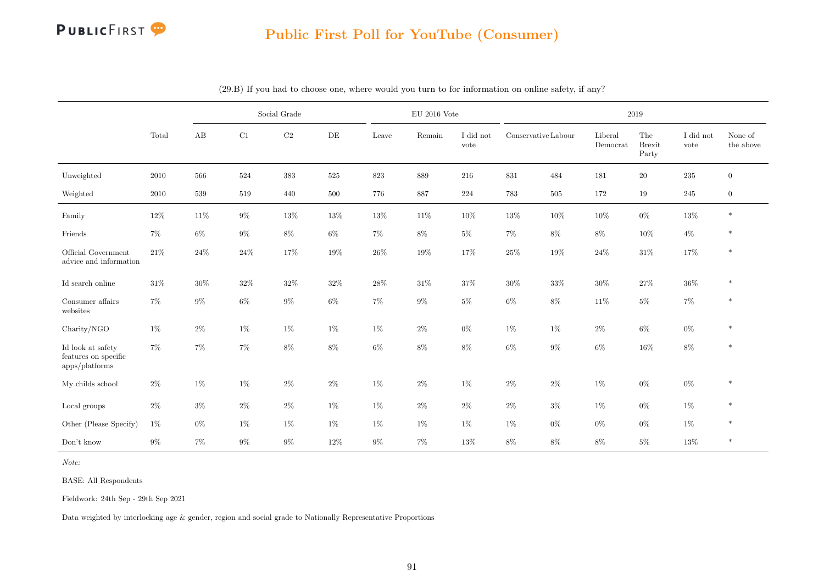

|                                                                |          |        |        | Social Grade |         |        | $\mathrm{EU}$ 2016 Vote |                   |                     |         |                     | 2019                          |                   |                      |
|----------------------------------------------------------------|----------|--------|--------|--------------|---------|--------|-------------------------|-------------------|---------------------|---------|---------------------|-------------------------------|-------------------|----------------------|
|                                                                | Total    | AB     | C1     | $\rm{C2}$    | DE      | Leave  | Remain                  | I did not<br>vote | Conservative Labour |         | Liberal<br>Democrat | The<br><b>Brexit</b><br>Party | I did not<br>vote | None of<br>the above |
| Unweighted                                                     | $2010\,$ | 566    | 524    | 383          | $525\,$ | 823    | 889                     | 216               | 831                 | 484     | $181\,$             | $20\,$                        | 235               | $\boldsymbol{0}$     |
| Weighted                                                       | $2010\,$ | 539    | 519    | 440          | 500     | 776    | 887                     | 224               | 783                 | $505\,$ | 172                 | 19                            | 245               | $\boldsymbol{0}$     |
| Family                                                         | 12%      | 11\%   | $9\%$  | 13%          | 13%     | $13\%$ | 11\%                    | 10%               | 13%                 | 10%     | 10%                 | $0\%$                         | $13\%$            | $\ast$               |
| Friends                                                        | $7\%$    | $6\%$  | $9\%$  | $8\%$        | $6\%$   | $7\%$  | $8\%$                   | $5\%$             | $7\%$               | $8\%$   | $8\%$               | $10\%$                        | $4\%$             | $\ast$               |
| Official Government<br>advice and information                  | $21\%$   | $24\%$ | $24\%$ | $17\%$       | 19%     | $26\%$ | $19\%$                  | 17%               | $25\%$              | $19\%$  | $24\%$              | $31\%$                        | $17\%$            | $\ast$               |
| Id search online                                               | $31\%$   | $30\%$ | $32\%$ | $32\%$       | $32\%$  | $28\%$ | $31\%$                  | $37\%$            | $30\%$              | $33\%$  | 30%                 | $27\%$                        | $36\%$            | $\ast$               |
| Consumer affairs<br>websites                                   | $7\%$    | $9\%$  | $6\%$  | $9\%$        | $6\%$   | 7%     | $9\%$                   | $5\%$             | $6\%$               | $8\%$   | 11%                 | $5\%$                         | $7\%$             | $\ast$               |
| Charity/NGO                                                    | $1\%$    | $2\%$  | $1\%$  | $1\%$        | $1\%$   | $1\%$  | $2\%$                   | $0\%$             | 1%                  | $1\%$   | $2\%$               | $6\%$                         | $0\%$             | $\ast$               |
| Id look at safety<br>features on specific<br>$apps$ /platforms | $7\%$    | $7\%$  | $7\%$  | $8\%$        | $8\%$   | $6\%$  | $8\%$                   | $8\%$             | $6\%$               | $9\%$   | $6\%$               | 16%                           | $8\%$             | $\ast$               |
| My childs school                                               | $2\%$    | 1%     | $1\%$  | $2\%$        | $2\%$   | $1\%$  | $2\%$                   | $1\%$             | $2\%$               | $2\%$   | $1\%$               | $0\%$                         | $0\%$             | $\ast$               |
| $\operatorname{Local}$ groups                                  | $2\%$    | $3\%$  | $2\%$  | $2\%$        | $1\%$   | 1%     | $2\%$                   | $2\%$             | $2\%$               | $3\%$   | $1\%$               | $0\%$                         | $1\%$             | $\ast$               |
| Other (Please Specify)                                         | $1\%$    | $0\%$  | $1\%$  | $1\%$        | $1\%$   | $1\%$  | $1\%$                   | $1\%$             | 1%                  | $0\%$   | $0\%$               | $0\%$                         | $1\%$             | $\ast$               |
| Don't know                                                     | $9\%$    | $7\%$  | $9\%$  | $9\%$        | $12\%$  | $9\%$  | $7\%$                   | 13%               | $8\%$               | $8\%$   | $8\%$               | $5\%$                         | $13\%$            | $\ast$               |

(29.B) If you had to choose one, where would you turn to for information on online safety, if any?

Note:

BASE: All Respondents

Fieldwork: 24th Sep - 29th Sep 2021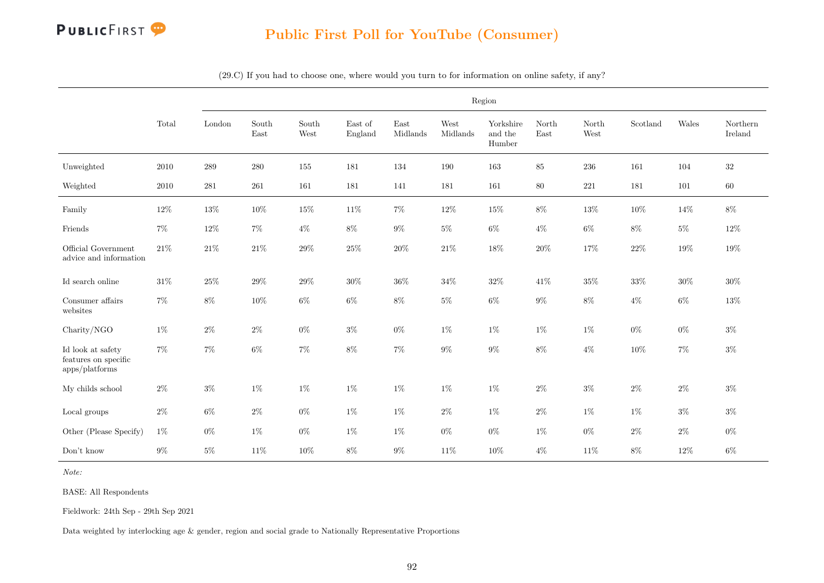

(29.C) If you had to choose one, where would you turn to for information on online safety, if any?

|                                                             |          |           |               |               |                                     |                  |                  | Region                         |               |               |                           |        |                     |
|-------------------------------------------------------------|----------|-----------|---------------|---------------|-------------------------------------|------------------|------------------|--------------------------------|---------------|---------------|---------------------------|--------|---------------------|
|                                                             | Total    | London    | South<br>East | South<br>West | $\operatorname{East}$ of<br>England | East<br>Midlands | West<br>Midlands | Yorkshire<br>and the<br>Humber | North<br>East | North<br>West | $\operatorname{Scotland}$ | Wales  | Northern<br>Ireland |
| Unweighted                                                  | $2010\,$ | $\,289$   | $280\,$       | 155           | 181                                 | 134              | 190              | 163                            | $85\,$        | $236\,$       | 161                       | 104    | $32\,$              |
| Weighted                                                    | $2010\,$ | $\bf 281$ | $261\,$       | 161           | 181                                 | 141              | 181              | 161                            | $80\,$        | $221\,$       | 181                       | 101    | $60\,$              |
| Family                                                      | $12\%$   | $13\%$    | $10\%$        | 15%           | $11\%$                              | $7\%$            | $12\%$           | $15\%$                         | $8\%$         | $13\%$        | 10%                       | 14%    | $8\%$               |
| Friends                                                     | $7\%$    | $12\%$    | $7\%$         | $4\%$         | $8\%$                               | $9\%$            | $5\%$            | $6\%$                          | $4\%$         | $6\%$         | $8\%$                     | $5\%$  | $12\%$              |
| Official Government<br>advice and information               | $21\%$   | $21\%$    | $21\%$        | $29\%$        | $25\%$                              | $20\%$           | $21\%$           | $18\%$                         | $20\%$        | $17\%$        | $22\%$                    | 19%    | $19\%$              |
| Id search online                                            | $31\%$   | $25\%$    | $29\%$        | $29\%$        | $30\%$                              | $36\%$           | $34\%$           | $32\%$                         | 41\%          | $35\%$        | $33\%$                    | $30\%$ | $30\%$              |
| Consumer affairs<br>websites                                | $7\%$    | $8\%$     | $10\%$        | $6\%$         | $6\%$                               | $8\%$            | $5\%$            | $6\%$                          | $9\%$         | $8\%$         | $4\%$                     | $6\%$  | $13\%$              |
| Charity/NGO                                                 | $1\%$    | $2\%$     | $2\%$         | $0\%$         | $3\%$                               | $0\%$            | $1\%$            | $1\%$                          | $1\%$         | $1\%$         | $0\%$                     | $0\%$  | $3\%$               |
| Id look at safety<br>features on specific<br>apps/platforms | $7\%$    | $7\%$     | $6\%$         | $7\%$         | $8\%$                               | $7\%$            | $9\%$            | $9\%$                          | $8\%$         | $4\%$         | 10%                       | $7\%$  | $3\%$               |
| My childs school                                            | $2\%$    | $3\%$     | $1\%$         | $1\%$         | $1\%$                               | $1\%$            | $1\%$            | $1\%$                          | $2\%$         | $3\%$         | $2\%$                     | $2\%$  | $3\%$               |
| $\operatorname{Local}$ groups                               | $2\%$    | $6\%$     | $2\%$         | $0\%$         | $1\%$                               | $1\%$            | $2\%$            | $1\%$                          | $2\%$         | $1\%$         | $1\%$                     | $3\%$  | $3\%$               |
| Other (Please Specify)                                      | $1\%$    | $0\%$     | $1\%$         | $0\%$         | $1\%$                               | $1\%$            | $0\%$            | $0\%$                          | $1\%$         | $0\%$         | $2\%$                     | $2\%$  | $0\%$               |
| Don't know                                                  | $9\%$    | $5\%$     | 11\%          | $10\%$        | $8\%$                               | $9\%$            | 11%              | $10\%$                         | $4\%$         | $11\%$        | $8\%$                     | $12\%$ | $6\%$               |

Note:

BASE: All Respondents

Fieldwork: 24th Sep - 29th Sep 2021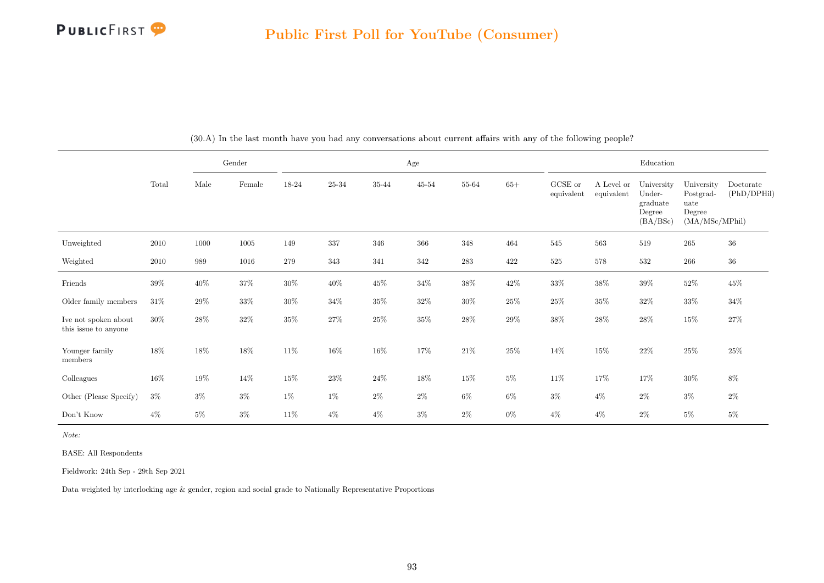

|                                              |        |        | Gender |        |        |        | Age       |        |        |                       |                          | Education                                              |                                                             |                          |
|----------------------------------------------|--------|--------|--------|--------|--------|--------|-----------|--------|--------|-----------------------|--------------------------|--------------------------------------------------------|-------------------------------------------------------------|--------------------------|
|                                              | Total  | Male   | Female | 18-24  | 25-34  | 35-44  | $45 - 54$ | 55-64  | $65+$  | GCSE or<br>equivalent | A Level or<br>equivalent | University<br>Under-<br>graduate<br>Degree<br>(BA/BSc) | University<br>Postgrad-<br>uate<br>Degree<br>(MA/MSc/MPhil) | Doctorate<br>(PhD/DPHil) |
| Unweighted                                   | 2010   | 1000   | 1005   | 149    | 337    | 346    | 366       | 348    | 464    | 545                   | 563                      | 519                                                    | $265\,$                                                     | $36\,$                   |
| Weighted                                     | 2010   | 989    | 1016   | 279    | 343    | 341    | 342       | 283    | 422    | $525\,$               | 578                      | 532                                                    | 266                                                         | $36\,$                   |
| Friends                                      | $39\%$ | $40\%$ | $37\%$ | $30\%$ | $40\%$ | $45\%$ | $34\%$    | $38\%$ | $42\%$ | $33\%$                | $38\%$                   | $39\%$                                                 | $52\%$                                                      | $45\%$                   |
| Older family members                         | $31\%$ | 29%    | $33\%$ | $30\%$ | $34\%$ | $35\%$ | $32\%$    | $30\%$ | $25\%$ | $25\%$                | $35\%$                   | $32\%$                                                 | $33\%$                                                      | $34\%$                   |
| Ive not spoken about<br>this issue to anyone | 30%    | $28\%$ | $32\%$ | $35\%$ | $27\%$ | $25\%$ | $35\%$    | $28\%$ | $29\%$ | $38\%$                | $28\%$                   | $28\%$                                                 | 15%                                                         | $27\%$                   |
| Younger family<br>members                    | $18\%$ | 18%    | $18\%$ | $11\%$ | 16%    | 16\%   | $17\%$    | $21\%$ | $25\%$ | $14\%$                | $15\%$                   | $22\%$                                                 | $25\%$                                                      | $25\%$                   |
| Colleagues                                   | $16\%$ | $19\%$ | 14\%   | $15\%$ | 23\%   | $24\%$ | 18%       | 15%    | $5\%$  | 11\%                  | 17%                      | 17%                                                    | $30\%$                                                      | $8\%$                    |
| Other (Please Specify)                       | $3\%$  | $3\%$  | $3\%$  | $1\%$  | $1\%$  | $2\%$  | $2\%$     | $6\%$  | 6%     | $3\%$                 | $4\%$                    | $2\%$                                                  | $3\%$                                                       | $2\%$                    |
| Don't Know                                   | $4\%$  | $5\%$  | $3\%$  | 11\%   | $4\%$  | $4\%$  | $3\%$     | $2\%$  | $0\%$  | $4\%$                 | $4\%$                    | $2\%$                                                  | $5\%$                                                       | $5\%$                    |

(30.A) In the last month have you had any conversations about current affairs with any of the following people?

Note:

BASE: All Respondents

Fieldwork: 24th Sep - 29th Sep 2021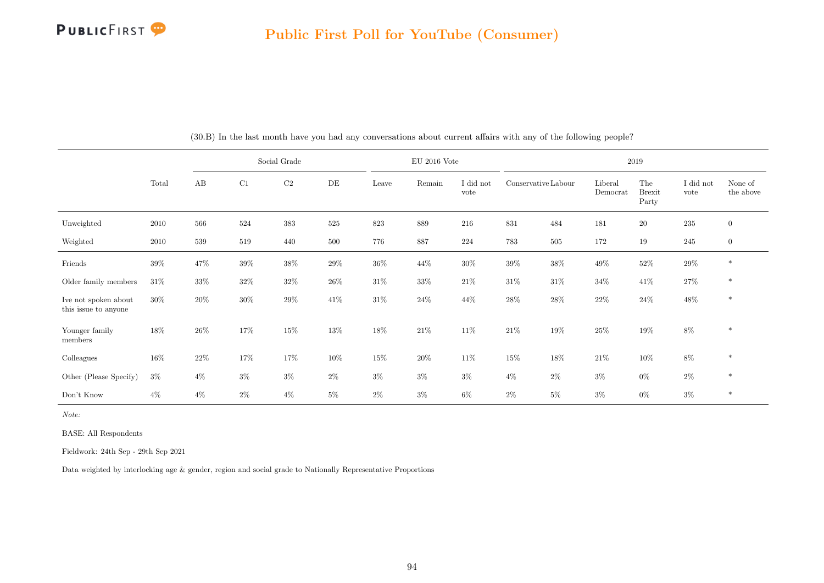

|                                              |        |        |        | Social Grade |        |        | $EU$ 2016 Vote |                   |                     |        |                     | 2019                          |                   |                      |
|----------------------------------------------|--------|--------|--------|--------------|--------|--------|----------------|-------------------|---------------------|--------|---------------------|-------------------------------|-------------------|----------------------|
|                                              | Total  | AB     | C1     | $\rm C2$     | DE     | Leave  | Remain         | I did not<br>vote | Conservative Labour |        | Liberal<br>Democrat | The<br><b>Brexit</b><br>Party | I did not<br>vote | None of<br>the above |
| Unweighted                                   | 2010   | 566    | 524    | 383          | 525    | 823    | 889            | 216               | 831                 | 484    | 181                 | $20\,$                        | $\bf 235$         | $\boldsymbol{0}$     |
| Weighted                                     | 2010   | 539    | 519    | 440          | 500    | 776    | 887            | 224               | 783                 | 505    | 172                 | 19                            | $245\,$           | $\mathbf{0}$         |
| Friends                                      | 39%    | 47\%   | 39%    | 38%          | $29\%$ | $36\%$ | $44\%$         | $30\%$            | $39\%$              | $38\%$ | $49\%$              | $52\%$                        | $29\%$            | $\ast$               |
| Older family members                         | 31\%   | 33%    | $32\%$ | $32\%$       | $26\%$ | $31\%$ | $33\%$         | $21\%$            | $31\%$              | $31\%$ | $34\%$              | $41\%$                        | $27\%$            | $\ast$               |
| Ive not spoken about<br>this issue to anyone | 30%    | 20%    | 30%    | $29\%$       | 41\%   | $31\%$ | $24\%$         | 44%               | $28\%$              | $28\%$ | 22%                 | $24\%$                        | $48\%$            | $\ast$               |
| Younger family<br>members                    | $18\%$ | 26\%   | 17%    | $15\%$       | 13%    | 18%    | $21\%$         | 11%               | $21\%$              | 19%    | 25%                 | $19\%$                        | $8\%$             | $\ast$               |
| Colleagues                                   | $16\%$ | $22\%$ | 17%    | 17%          | 10%    | $15\%$ | $20\%$         | 11\%              | $15\%$              | 18%    | 21\%                | $10\%$                        | $8\%$             | $\ast$               |
| Other (Please Specify)                       | $3\%$  | $4\%$  | $3\%$  | $3\%$        | $2\%$  | $3\%$  | $3\%$          | $3\%$             | $4\%$               | $2\%$  | $3\%$               | $0\%$                         | $2\%$             | $*$                  |
| Don't Know                                   | $4\%$  | $4\%$  | $2\%$  | $4\%$        | $5\%$  | $2\%$  | $3\%$          | $6\%$             | $2\%$               | $5\%$  | $3\%$               | $0\%$                         | $3\%$             | $\ast$               |

(30.B) In the last month have you had any conversations about current affairs with any of the following people?

Note:

BASE: All Respondents

Fieldwork: 24th Sep - 29th Sep 2021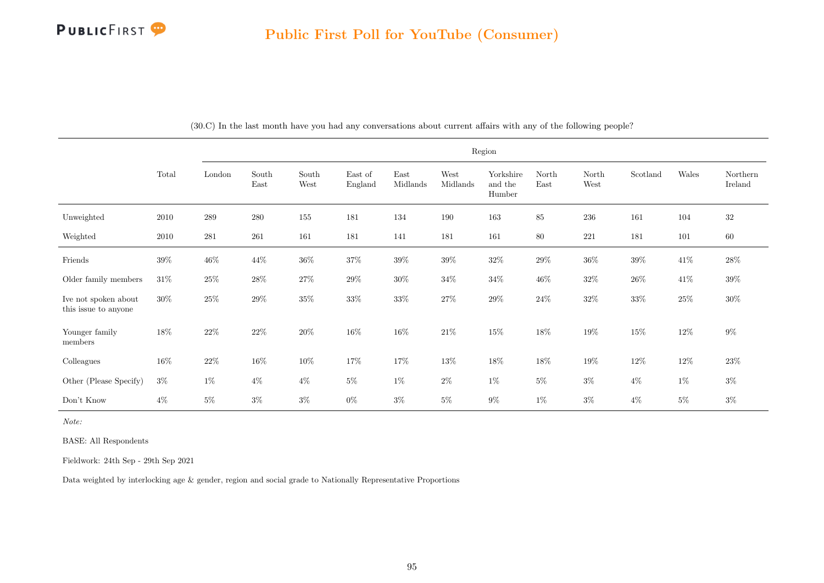|                                              |        |           |               |               |                    |                  |                  | Region                         |               |               |          |        |                     |
|----------------------------------------------|--------|-----------|---------------|---------------|--------------------|------------------|------------------|--------------------------------|---------------|---------------|----------|--------|---------------------|
|                                              | Total  | London    | South<br>East | South<br>West | East of<br>England | East<br>Midlands | West<br>Midlands | Yorkshire<br>and the<br>Humber | North<br>East | North<br>West | Scotland | Wales  | Northern<br>Ireland |
| Unweighted                                   | 2010   | 289       | 280           | 155           | 181                | 134              | 190              | 163                            | 85            | 236           | 161      | 104    | 32                  |
| Weighted                                     | 2010   | $\bf 281$ | 261           | 161           | 181                | 141              | 181              | 161                            | 80            | 221           | 181      | 101    | 60                  |
| Friends                                      | $39\%$ | $46\%$    | $44\%$        | $36\%$        | $37\%$             | $39\%$           | $39\%$           | $32\%$                         | $29\%$        | $36\%$        | $39\%$   | $41\%$ | $28\%$              |
| Older family members                         | $31\%$ | $25\%$    | $28\%$        | $27\%$        | $29\%$             | $30\%$           | $34\%$           | $34\%$                         | $46\%$        | $32\%$        | $26\%$   | $41\%$ | $39\%$              |
| Ive not spoken about<br>this issue to anyone | $30\%$ | $25\%$    | $29\%$        | $35\%$        | $33\%$             | $33\%$           | $27\%$           | $29\%$                         | $24\%$        | $32\%$        | $33\%$   | $25\%$ | $30\%$              |
| Younger family<br>members                    | $18\%$ | $22\%$    | $22\%$        | $20\%$        | 16%                | $16\%$           | $21\%$           | $15\%$                         | 18%           | $19\%$        | $15\%$   | $12\%$ | $9\%$               |
| Colleagues                                   | $16\%$ | $22\%$    | $16\%$        | $10\%$        | $17\%$             | 17%              | $13\%$           | $18\%$                         | $18\%$        | $19\%$        | $12\%$   | $12\%$ | $23\%$              |
| Other (Please Specify)                       | $3\%$  | $1\%$     | $4\%$         | $4\%$         | $5\%$              | $1\%$            | $2\%$            | $1\%$                          | $5\%$         | $3\%$         | $4\%$    | $1\%$  | $3\%$               |
| Don't Know                                   | $4\%$  | $5\%$     | $3\%$         | $3\%$         | $0\%$              | $3\%$            | $5\%$            | $9\%$                          | $1\%$         | $3\%$         | $4\%$    | $5\%$  | $3\%$               |

(30.C) In the last month have you had any conversations about current affairs with any of the following people?

Note:

BASE: All Respondents

Fieldwork: 24th Sep - 29th Sep 2021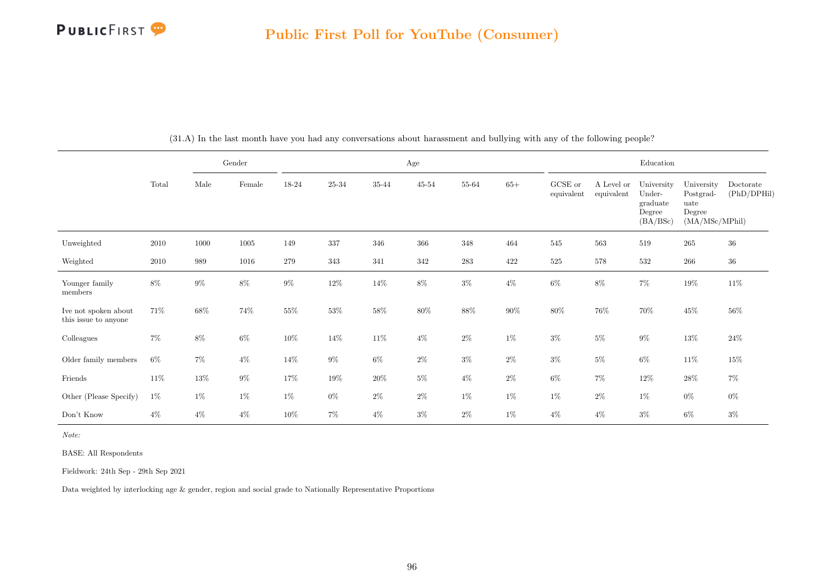

|                                              |        |       | Gender   |        |           |           | Age       |           |        |                       |                          | Education                                              |                                                             |                          |
|----------------------------------------------|--------|-------|----------|--------|-----------|-----------|-----------|-----------|--------|-----------------------|--------------------------|--------------------------------------------------------|-------------------------------------------------------------|--------------------------|
|                                              | Total  | Male  | Female   | 18-24  | $25 - 34$ | $35 - 44$ | $45 - 54$ | 55-64     | $65+$  | GCSE or<br>equivalent | A Level or<br>equivalent | University<br>Under-<br>graduate<br>Degree<br>(BA/BSc) | University<br>Postgrad-<br>uate<br>Degree<br>(MA/MSc/MPhil) | Doctorate<br>(PhD/DPHil) |
| Unweighted                                   | 2010   | 1000  | $1005\,$ | 149    | 337       | 346       | $366\,$   | 348       | 464    | $545\,$               | 563                      | 519                                                    | $265\,$                                                     | $36\,$                   |
| Weighted                                     | 2010   | 989   | 1016     | 279    | 343       | 341       | 342       | $\bf 283$ | 422    | $525\,$               | $578\,$                  | 532                                                    | $266\,$                                                     | $36\,$                   |
| Younger family<br>members                    | $8\%$  | $9\%$ | $8\%$    | $9\%$  | $12\%$    | $14\%$    | $8\%$     | $3\%$     | $4\%$  | $6\%$                 | $8\%$                    | $7\%$                                                  | $19\%$                                                      | $11\%$                   |
| Ive not spoken about<br>this issue to anyone | 71%    | 68%   | 74%      | $55\%$ | $53\%$    | 58%       | $80\%$    | $88\%$    | $90\%$ | $80\%$                | 76%                      | 70%                                                    | $45\%$                                                      | $56\%$                   |
| Colleagues                                   | $7\%$  | $8\%$ | $6\%$    | $10\%$ | $14\%$    | $11\%$    | $4\%$     | $2\%$     | $1\%$  | $3\%$                 | $5\%$                    | $9\%$                                                  | $13\%$                                                      | $24\%$                   |
| Older family members                         | $6\%$  | $7\%$ | $4\%$    | $14\%$ | $9\%$     | $6\%$     | $2\%$     | $3\%$     | $2\%$  | $3\%$                 | $5\%$                    | $6\%$                                                  | $11\%$                                                      | $15\%$                   |
| Friends                                      | $11\%$ | 13%   | $9\%$    | 17%    | 19%       | $20\%$    | $5\%$     | $4\%$     | $2\%$  | $6\%$                 | $7\%$                    | 12\%                                                   | $28\%$                                                      | $7\%$                    |
| Other (Please Specify)                       | $1\%$  | $1\%$ | $1\%$    | $1\%$  | $0\%$     | $2\%$     | $2\%$     | $1\%$     | $1\%$  | $1\%$                 | $2\%$                    | $1\%$                                                  | $0\%$                                                       | $0\%$                    |
| Don't Know                                   | $4\%$  | $4\%$ | $4\%$    | $10\%$ | 7%        | $4\%$     | $3\%$     | $2\%$     | $1\%$  | $4\%$                 | $4\%$                    | $3\%$                                                  | 6%                                                          | $3\%$                    |

(31.A) In the last month have you had any conversations about harassment and bullying with any of the following people?

Note:

BASE: All Respondents

Fieldwork: 24th Sep - 29th Sep 2021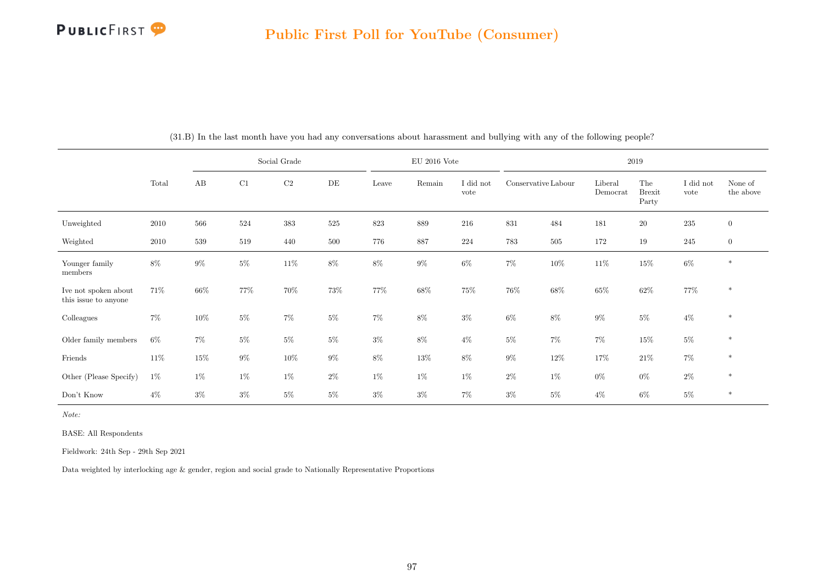

|                                              |       |         |        | Social Grade |       |        | $EU$ 2016 Vote |                   |                     |         |                     | 2019                          |                   |                      |
|----------------------------------------------|-------|---------|--------|--------------|-------|--------|----------------|-------------------|---------------------|---------|---------------------|-------------------------------|-------------------|----------------------|
|                                              | Total | AB      | C1     | $\rm C2$     | DE    | Leave  | Remain         | I did not<br>vote | Conservative Labour |         | Liberal<br>Democrat | The<br><b>Brexit</b><br>Party | I did not<br>vote | None of<br>the above |
| Unweighted                                   | 2010  | 566     | 524    | 383          | 525   | 823    | 889            | 216               | $831\,$             | 484     | 181                 | $20\,$                        | $\bf 235$         | $\boldsymbol{0}$     |
| Weighted                                     | 2010  | $539\,$ | 519    | 440          | 500   | 776    | 887            | 224               | 783                 | $505\,$ | 172                 | 19                            | $245\,$           | $\overline{0}$       |
| Younger family<br>members                    | $8\%$ | $9\%$   | $5\%$  | $11\%$       | $8\%$ | $8\%$  | $9\%$          | $6\%$             | $7\%$               | $10\%$  | $11\%$              | $15\%$                        | $6\%$             | $*$                  |
| Ive not spoken about<br>this issue to anyone | 71%   | 66%     | $77\%$ | 70%          | 73%   | $77\%$ | 68\%           | $75\%$            | $76\%$              | $68\%$  | 65%                 | $62\%$                        | $77\%$            | $\ast$               |
| Colleagues                                   | $7\%$ | $10\%$  | $5\%$  | $7\%$        | $5\%$ | $7\%$  | $8\%$          | $3\%$             | $6\%$               | $8\%$   | $9\%$               | $5\%$                         | $4\%$             | $\ast$               |
| Older family members                         | $6\%$ | 7%      | $5\%$  | $5\%$        | $5\%$ | $3\%$  | $8\%$          | $4\%$             | $5\%$               | $7\%$   | $7\%$               | $15\%$                        | $5\%$             | $\ast$               |
| Friends                                      | 11\%  | $15\%$  | $9\%$  | $10\%$       | $9\%$ | $8\%$  | $13\%$         | $8\%$             | $9\%$               | $12\%$  | 17%                 | $21\%$                        | $7\%$             | $\ast$               |
| Other (Please Specify)                       | $1\%$ | $1\%$   | $1\%$  | $1\%$        | $2\%$ | $1\%$  | $1\%$          | $1\%$             | $2\%$               | $1\%$   | $0\%$               | $0\%$                         | $2\%$             | $\ast$               |
| Don't Know                                   | $4\%$ | $3\%$   | $3\%$  | $5\%$        | $5\%$ | $3\%$  | $3\%$          | $7\%$             | $3\%$               | $5\%$   | $4\%$               | $6\%$                         | $5\%$             | $*$                  |

(31.B) In the last month have you had any conversations about harassment and bullying with any of the following people?

Note:

BASE: All Respondents

Fieldwork: 24th Sep - 29th Sep 2021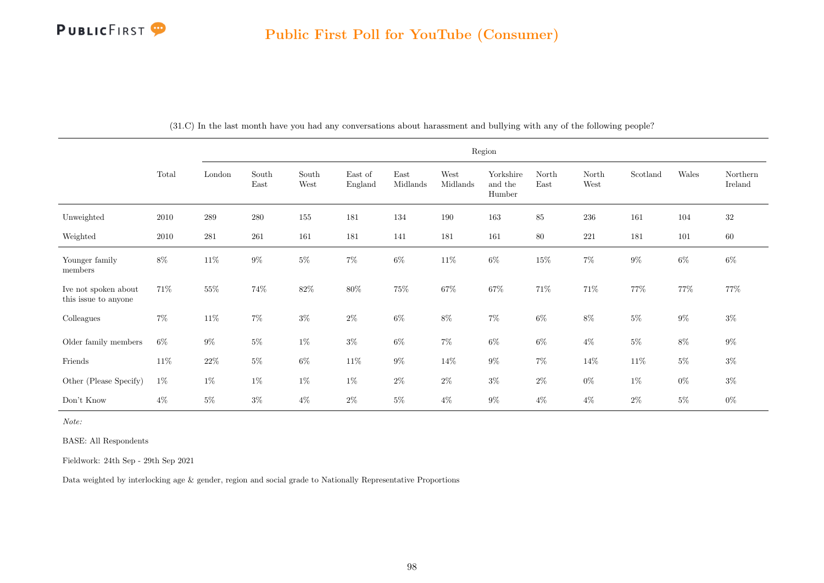|                                              |          |        |               |               |                    |                  |                  | Region                         |               |               |                           |        |                     |
|----------------------------------------------|----------|--------|---------------|---------------|--------------------|------------------|------------------|--------------------------------|---------------|---------------|---------------------------|--------|---------------------|
|                                              | Total    | London | South<br>East | South<br>West | East of<br>England | East<br>Midlands | West<br>Midlands | Yorkshire<br>and the<br>Humber | North<br>East | North<br>West | $\operatorname{Scotland}$ | Wales  | Northern<br>Ireland |
| Unweighted                                   | $2010\,$ | 289    | 280           | 155           | 181                | 134              | 190              | 163                            | 85            | $\,236$       | 161                       | 104    | 32                  |
| Weighted                                     | 2010     | 281    | $261\,$       | 161           | 181                | 141              | 181              | 161                            | $80\,$        | $221\,$       | 181                       | 101    | $60\,$              |
| Younger family<br>members                    | $8\%$    | $11\%$ | $9\%$         | $5\%$         | $7\%$              | $6\%$            | $11\%$           | $6\%$                          | $15\%$        | $7\%$         | $9\%$                     | $6\%$  | $6\%$               |
| Ive not spoken about<br>this issue to anyone | 71\%     | 55%    | 74%           | $82\%$        | 80%                | $75\%$           | 67%              | $67\%$                         | $71\%$        | $71\%$        | 77%                       | $77\%$ | 77%                 |
| Colleagues                                   | $7\%$    | $11\%$ | 7%            | $3\%$         | $2\%$              | $6\%$            | 8%               | $7\%$                          | $6\%$         | $8\%$         | $5\%$                     | $9\%$  | $3\%$               |
| Older family members                         | $6\%$    | $9\%$  | $5\%$         | $1\%$         | $3\%$              | $6\%$            | $7\%$            | $6\%$                          | $6\%$         | $4\%$         | $5\%$                     | $8\%$  | $9\%$               |
| Friends                                      | $11\%$   | $22\%$ | $5\%$         | $6\%$         | $11\%$             | $9\%$            | $14\%$           | $9\%$                          | $7\%$         | $14\%$        | $11\%$                    | $5\%$  | $3\%$               |
| Other (Please Specify)                       | $1\%$    | $1\%$  | $1\%$         | $1\%$         | $1\%$              | $2\%$            | $2\%$            | $3\%$                          | $2\%$         | $0\%$         | $1\%$                     | $0\%$  | $3\%$               |
| Don't Know                                   | $4\%$    | $5\%$  | $3\%$         | $4\%$         | $2\%$              | $5\%$            | $4\%$            | $9\%$                          | $4\%$         | $4\%$         | $2\%$                     | $5\%$  | $0\%$               |

(31.C) In the last month have you had any conversations about harassment and bullying with any of the following people?

Note:

BASE: All Respondents

Fieldwork: 24th Sep - 29th Sep 2021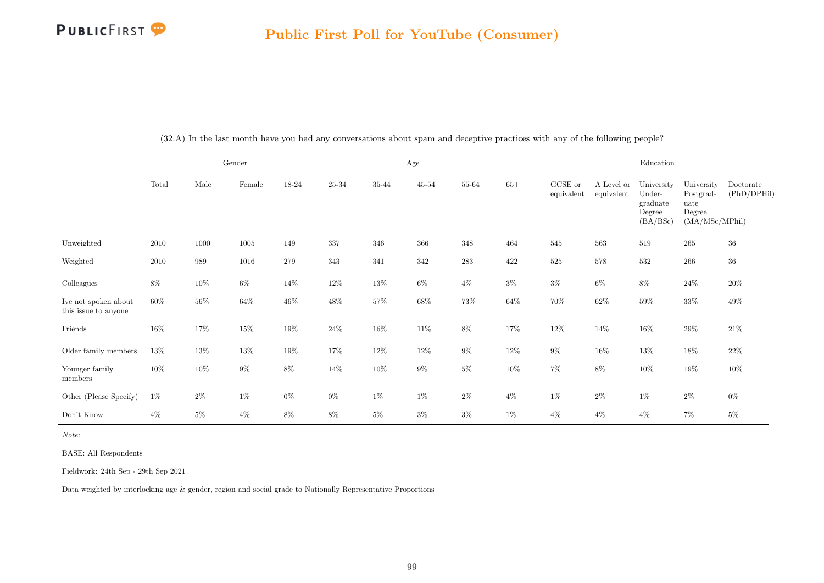

|                                              |          |        | Gender          |        |           |           | Age    |           |        |                       |                          | Education                                              |                                                             |                          |
|----------------------------------------------|----------|--------|-----------------|--------|-----------|-----------|--------|-----------|--------|-----------------------|--------------------------|--------------------------------------------------------|-------------------------------------------------------------|--------------------------|
|                                              | Total    | Male   | $\mbox{Female}$ | 18-24  | $25 - 34$ | $35 - 44$ | 45-54  | 55-64     | $65+$  | GCSE or<br>equivalent | A Level or<br>equivalent | University<br>Under-<br>graduate<br>Degree<br>(BA/BSc) | University<br>Postgrad-<br>uate<br>Degree<br>(MA/MSc/MPhil) | Doctorate<br>(PhD/DPHil) |
| Unweighted                                   | $2010\,$ | 1000   | $1005\,$        | 149    | 337       | 346       | 366    | 348       | 464    | 545                   | 563                      | 519                                                    | $265\,$                                                     | $36\,$                   |
| Weighted                                     | 2010     | 989    | 1016            | 279    | 343       | 341       | 342    | $\bf 283$ | 422    | $525\,$               | $578\,$                  | 532                                                    | 266                                                         | $36\,$                   |
| Colleagues                                   | $8\%$    | 10%    | $6\%$           | $14\%$ | 12\%      | 13%       | $6\%$  | $4\%$     | $3\%$  | $3\%$                 | $6\%$                    | $8\%$                                                  | $24\%$                                                      | $20\%$                   |
| Ive not spoken about<br>this issue to anyone | $60\%$   | $56\%$ | $64\%$          | $46\%$ | 48\%      | $57\%$    | $68\%$ | 73%       | $64\%$ | 70%                   | $62\%$                   | $59\%$                                                 | $33\%$                                                      | $49\%$                   |
| Friends                                      | 16%      | 17%    | $15\%$          | 19%    | $24\%$    | $16\%$    | 11\%   | $8\%$     | 17%    | $12\%$                | $14\%$                   | $16\%$                                                 | $29\%$                                                      | $21\%$                   |
| Older family members                         | 13%      | $13\%$ | $13\%$          | $19\%$ | $17\%$    | $12\%$    | $12\%$ | $9\%$     | $12\%$ | $9\%$                 | $16\%$                   | $13\%$                                                 | $18\%$                                                      | $22\%$                   |
| Younger family<br>members                    | $10\%$   | $10\%$ | $9\%$           | $8\%$  | 14\%      | $10\%$    | $9\%$  | $5\%$     | $10\%$ | $7\%$                 | $8\%$                    | $10\%$                                                 | $19\%$                                                      | $10\%$                   |
| Other (Please Specify)                       | $1\%$    | $2\%$  | $1\%$           | $0\%$  | $0\%$     | $1\%$     | $1\%$  | $2\%$     | $4\%$  | $1\%$                 | $2\%$                    | $1\%$                                                  | $2\%$                                                       | $0\%$                    |
| Don't Know                                   | $4\%$    | $5\%$  | $4\%$           | $8\%$  | $8\%$     | $5\%$     | $3\%$  | $3\%$     | $1\%$  | $4\%$                 | $4\%$                    | $4\%$                                                  | $7\%$                                                       | $5\%$                    |

(32.A) In the last month have you had any conversations about spam and deceptive practices with any of the following people?

Note:

BASE: All Respondents

Fieldwork: 24th Sep - 29th Sep 2021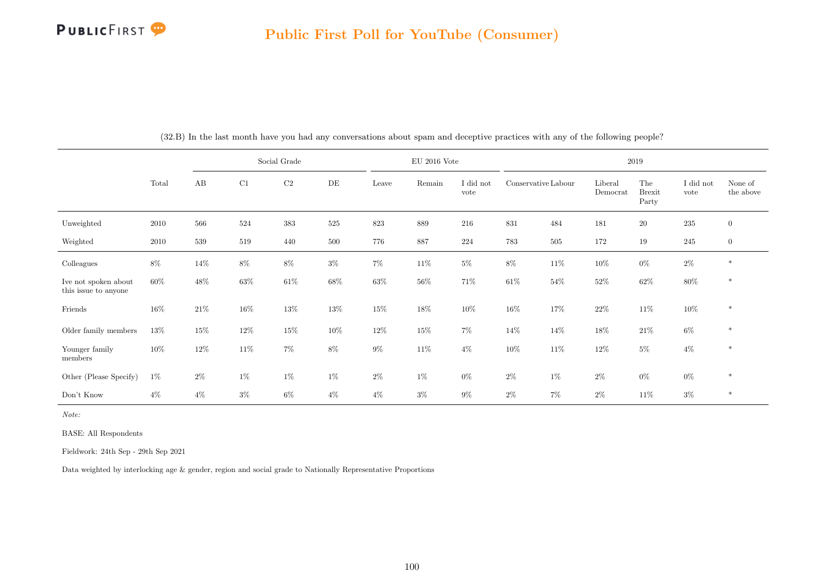

|                                              |        |        |        | Social Grade |        |        | $\rm EU$ 2016 Vote |                   |                     |        |                     | 2019                          |                   |                      |
|----------------------------------------------|--------|--------|--------|--------------|--------|--------|--------------------|-------------------|---------------------|--------|---------------------|-------------------------------|-------------------|----------------------|
|                                              | Total  | AB     | C1     | $\rm C2$     | DE     | Leave  | Remain             | I did not<br>vote | Conservative Labour |        | Liberal<br>Democrat | The<br><b>Brexit</b><br>Party | I did not<br>vote | None of<br>the above |
| Unweighted                                   | 2010   | 566    | 524    | 383          | 525    | 823    | 889                | 216               | 831                 | 484    | 181                 | $20\,$                        | 235               | $\overline{0}$       |
| Weighted                                     | 2010   | 539    | 519    | 440          | 500    | 776    | 887                | 224               | 783                 | 505    | 172                 | 19                            | $245\,$           | $\overline{0}$       |
| Colleagues                                   | $8\%$  | 14\%   | $8\%$  | $8\%$        | $3\%$  | $7\%$  | $11\%$             | $5\%$             | $8\%$               | 11\%   | $10\%$              | $0\%$                         | $2\%$             | $\ast$               |
| Ive not spoken about<br>this issue to anyone | $60\%$ | 48%    | $63\%$ | $61\%$       | $68\%$ | $63\%$ | $56\%$             | 71%               | $61\%$              | $54\%$ | $52\%$              | $62\%$                        | $80\%$            | $\ast$               |
| Friends                                      | $16\%$ | $21\%$ | $16\%$ | $13\%$       | $13\%$ | $15\%$ | 18%                | 10%               | $16\%$              | $17\%$ | $22\%$              | $11\%$                        | $10\%$            | $\ast$               |
| Older family members                         | 13%    | 15%    | $12\%$ | $15\%$       | $10\%$ | $12\%$ | $15\%$             | $7\%$             | $14\%$              | 14\%   | 18%                 | $21\%$                        | $6\%$             | $\ast$               |
| Younger family<br>members                    | $10\%$ | 12%    | $11\%$ | 7%           | $8\%$  | $9\%$  | $11\%$             | $4\%$             | $10\%$              | 11\%   | 12%                 | $5\%$                         | $4\%$             | $\ast$               |
| Other (Please Specify)                       | $1\%$  | $2\%$  | $1\%$  | $1\%$        | $1\%$  | $2\%$  | $1\%$              | $0\%$             | $2\%$               | $1\%$  | $2\%$               | $0\%$                         | $0\%$             | $\ast$               |
| Don't Know                                   | $4\%$  | $4\%$  | $3\%$  | $6\%$        | $4\%$  | $4\%$  | $3\%$              | $9\%$             | $2\%$               | $7\%$  | $2\%$               | $11\%$                        | $3\%$             | $\ast$               |

(32.B) In the last month have you had any conversations about spam and deceptive practices with any of the following people?

Note:

BASE: All Respondents

Fieldwork: 24th Sep - 29th Sep 2021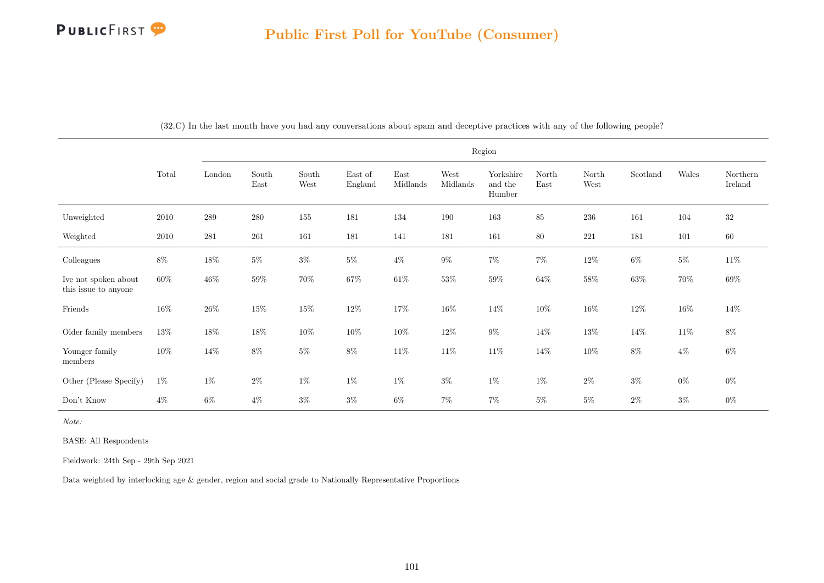|                                              |        |         |               |               |                    |                  |                  | Region                         |               |               |          |        |                     |
|----------------------------------------------|--------|---------|---------------|---------------|--------------------|------------------|------------------|--------------------------------|---------------|---------------|----------|--------|---------------------|
|                                              | Total  | London  | South<br>East | South<br>West | East of<br>England | East<br>Midlands | West<br>Midlands | Yorkshire<br>and the<br>Humber | North<br>East | North<br>West | Scotland | Wales  | Northern<br>Ireland |
| Unweighted                                   | 2010   | $\,289$ | $280\,$       | $155\,$       | 181                | 134              | 190              | 163                            | 85            | 236           | 161      | 104    | $32\,$              |
| Weighted                                     | 2010   | 281     | $261\,$       | 161           | 181                | 141              | 181              | 161                            | $80\,$        | $221\,$       | 181      | 101    | $60\,$              |
| Colleagues                                   | 8%     | $18\%$  | $5\%$         | $3\%$         | $5\%$              | $4\%$            | $9\%$            | $7\%$                          | $7\%$         | $12\%$        | $6\%$    | $5\%$  | $11\%$              |
| Ive not spoken about<br>this issue to anyone | 60%    | $46\%$  | $59\%$        | $70\%$        | 67%                | $61\%$           | $53\%$           | $59\%$                         | $64\%$        | $58\%$        | $63\%$   | $70\%$ | $69\%$              |
| Friends                                      | $16\%$ | $26\%$  | $15\%$        | $15\%$        | $12\%$             | $17\%$           | $16\%$           | $14\%$                         | $10\%$        | $16\%$        | $12\%$   | $16\%$ | 14\%                |
| Older family members                         | $13\%$ | $18\%$  | $18\%$        | $10\%$        | $10\%$             | $10\%$           | $12\%$           | $9\%$                          | $14\%$        | $13\%$        | $14\%$   | $11\%$ | $8\%$               |
| Younger family<br>members                    | $10\%$ | $14\%$  | $8\%$         | $5\%$         | 8%                 | $11\%$           | 11\%             | $11\%$                         | $14\%$        | $10\%$        | $8\%$    | $4\%$  | $6\%$               |
| Other (Please Specify)                       | $1\%$  | $1\%$   | $2\%$         | $1\%$         | $1\%$              | $1\%$            | $3\%$            | $1\%$                          | $1\%$         | $2\%$         | $3\%$    | $0\%$  | $0\%$               |
| Don't Know                                   | $4\%$  | $6\%$   | $4\%$         | $3\%$         | $3\%$              | $6\%$            | $7\%$            | $7\%$                          | $5\%$         | $5\%$         | $2\%$    | $3\%$  | $0\%$               |

(32.C) In the last month have you had any conversations about spam and deceptive practices with any of the following people?

Note:

BASE: All Respondents

Fieldwork: 24th Sep - 29th Sep 2021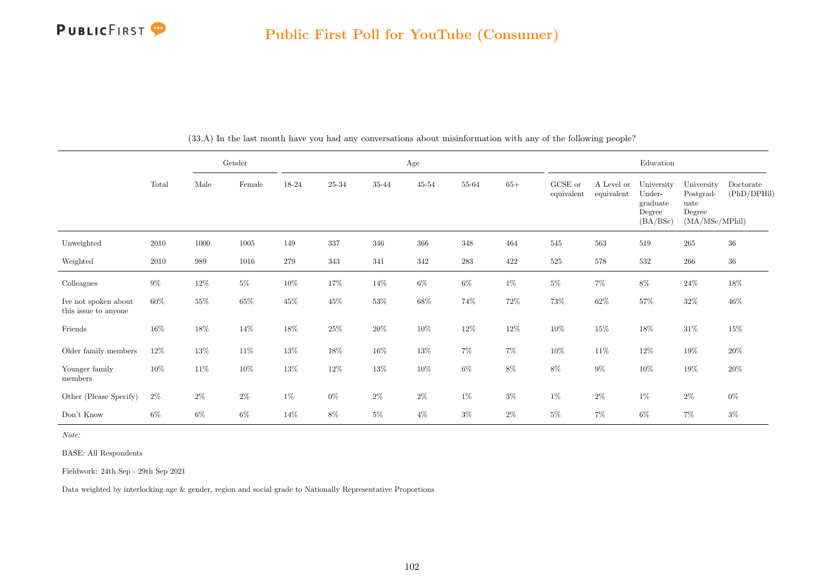

|                                              |        |        | Gender |        |        |        | Age       |           |        |                       |                          | Education                                              |                                                             |                          |
|----------------------------------------------|--------|--------|--------|--------|--------|--------|-----------|-----------|--------|-----------------------|--------------------------|--------------------------------------------------------|-------------------------------------------------------------|--------------------------|
|                                              | Total  | Male   | Female | 18-24  | 25-34  | 35-44  | $45 - 54$ | 55-64     | $65+$  | GCSE or<br>equivalent | A Level or<br>equivalent | University<br>Under-<br>graduate<br>Degree<br>(BA/BSc) | University<br>Postgrad-<br>uate<br>Degree<br>(MA/MSc/MPhil) | Doctorate<br>(PhD/DPHil) |
| Unweighted                                   | 2010   | 1000   | 1005   | 149    | 337    | 346    | 366       | 348       | 464    | 545                   | 563                      | 519                                                    | $265\,$                                                     | $36\,$                   |
| Weighted                                     | 2010   | 989    | 1016   | 279    | 343    | 341    | 342       | $\bf 283$ | 422    | $525\,$               | 578                      | 532                                                    | $266\,$                                                     | $36\,$                   |
| Colleagues                                   | $9\%$  | 12%    | $5\%$  | $10\%$ | 17%    | $14\%$ | $6\%$     | $6\%$     | $1\%$  | $5\%$                 | $7\%$                    | $8\%$                                                  | $24\%$                                                      | $18\%$                   |
| Ive not spoken about<br>this issue to anyone | $60\%$ | $55\%$ | $65\%$ | 45\%   | $45\%$ | $53\%$ | $68\%$    | $74\%$    | $72\%$ | $73\%$                | $62\%$                   | $57\%$                                                 | $32\%$                                                      | $46\%$                   |
| Friends                                      | $16\%$ | 18%    | $14\%$ | $18\%$ | $25\%$ | $20\%$ | 10%       | $12\%$    | $12\%$ | $10\%$                | $15\%$                   | $18\%$                                                 | $31\%$                                                      | $15\%$                   |
| Older family members                         | $12\%$ | 13%    | $11\%$ | $13\%$ | 18%    | $16\%$ | $13\%$    | $7\%$     | $7\%$  | $10\%$                | $11\%$                   | $12\%$                                                 | $19\%$                                                      | $20\%$                   |
| Younger family<br>members                    | $10\%$ | $11\%$ | $10\%$ | $13\%$ | $12\%$ | $13\%$ | $10\%$    | $6\%$     | $8\%$  | $8\%$                 | $9\%$                    | $10\%$                                                 | $19\%$                                                      | $20\%$                   |
| Other (Please Specify)                       | $2\%$  | $2\%$  | $2\%$  | $1\%$  | $0\%$  | $2\%$  | $2\%$     | $1\%$     | $3\%$  | $1\%$                 | $2\%$                    | $1\%$                                                  | $2\%$                                                       | $0\%$                    |
| Don't Know                                   | $6\%$  | $6\%$  | $6\%$  | 14\%   | $8\%$  | $5\%$  | $4\%$     | $3\%$     | $2\%$  | $5\%$                 | $7\%$                    | $6\%$                                                  | $7\%$                                                       | $3\%$                    |

(33.A) In the last month have you had any conversations about misinformation with any of the following people?

Note:

BASE: All Respondents

Fieldwork: 24th Sep - 29th Sep 2021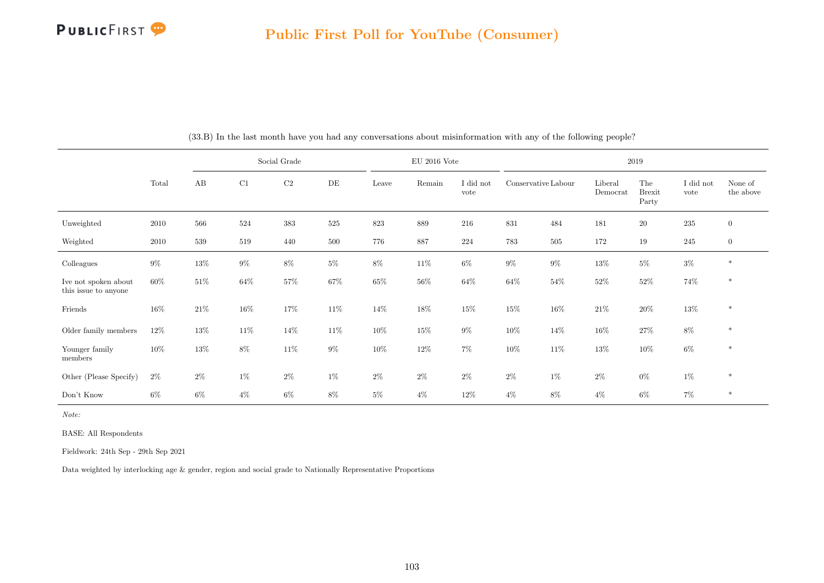

|                                              |        |        |        | Social Grade |        |        | $EU$ 2016 Vote |                   |                     |        | 2019                |                               |                   |                      |
|----------------------------------------------|--------|--------|--------|--------------|--------|--------|----------------|-------------------|---------------------|--------|---------------------|-------------------------------|-------------------|----------------------|
|                                              | Total  | AB     | C1     | C2           | DE     | Leave  | Remain         | I did not<br>vote | Conservative Labour |        | Liberal<br>Democrat | The<br><b>Brexit</b><br>Party | I did not<br>vote | None of<br>the above |
| Unweighted                                   | 2010   | 566    | 524    | 383          | 525    | 823    | 889            | 216               | 831                 | 484    | 181                 | 20                            | $235\,$           | $\mathbf{0}$         |
| Weighted                                     | 2010   | 539    | 519    | 440          | 500    | 776    | 887            | 224               | 783                 | 505    | 172                 | 19                            | 245               | $\overline{0}$       |
| Colleagues                                   | $9\%$  | $13\%$ | $9\%$  | $8\%$        | $5\%$  | $8\%$  | $11\%$         | $6\%$             | $9\%$               | $9\%$  | $13\%$              | $5\%$                         | $3\%$             | $\ast$               |
| Ive not spoken about<br>this issue to anyone | 60%    | 51%    | $64\%$ | $57\%$       | 67%    | $65\%$ | $56\%$         | $64\%$            | $64\%$              | 54%    | $52\%$              | $52\%$                        | 74%               | $\ast$               |
| Friends                                      | $16\%$ | 21\%   | $16\%$ | 17%          | $11\%$ | 14%    | 18%            | 15%               | $15\%$              | $16\%$ | $21\%$              | $20\%$                        | $13\%$            | $\ast$               |
| Older family members                         | 12%    | $13\%$ | $11\%$ | 14\%         | 11\%   | $10\%$ | $15\%$         | $9\%$             | $10\%$              | 14\%   | $16\%$              | $27\%$                        | $8\%$             | $\ast$               |
| Younger family<br>members                    | $10\%$ | 13%    | $8\%$  | 11\%         | $9\%$  | $10\%$ | $12\%$         | $7\%$             | $10\%$              | 11\%   | 13%                 | $10\%$                        | $6\%$             | $\ast$               |
| Other (Please Specify)                       | $2\%$  | $2\%$  | $1\%$  | $2\%$        | $1\%$  | 2%     | $2\%$          | $2\%$             | $2\%$               | $1\%$  | $2\%$               | $0\%$                         | $1\%$             | $\ast$               |
| Don't Know                                   | $6\%$  | $6\%$  | $4\%$  | $6\%$        | 8%     | $5\%$  | $4\%$          | $12\%$            | $4\%$               | $8\%$  | $4\%$               | $6\%$                         | $7\%$             | $\ast$               |

(33.B) In the last month have you had any conversations about misinformation with any of the following people?

Note:

BASE: All Respondents

Fieldwork: 24th Sep - 29th Sep 2021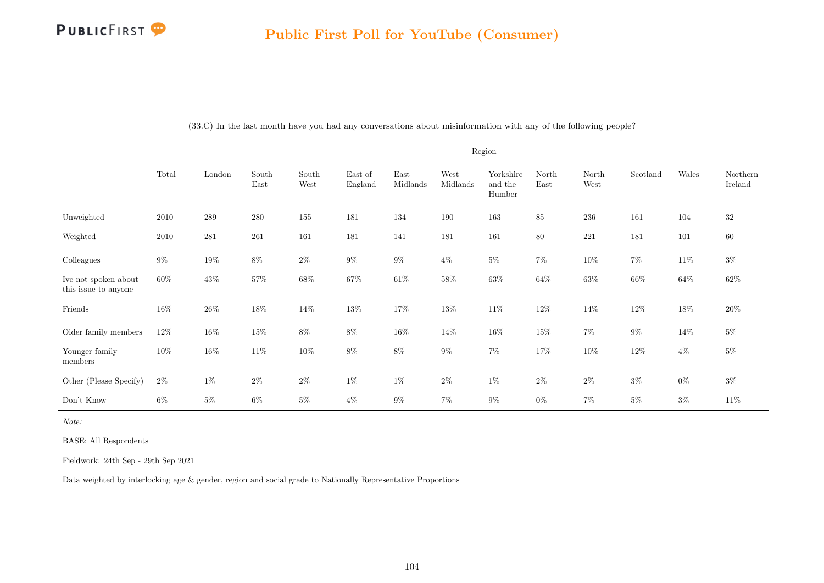|                                              |        |           |               |               |                    |                  |                  | Region                         |               |               |          |         |                     |
|----------------------------------------------|--------|-----------|---------------|---------------|--------------------|------------------|------------------|--------------------------------|---------------|---------------|----------|---------|---------------------|
|                                              | Total  | London    | South<br>East | South<br>West | East of<br>England | East<br>Midlands | West<br>Midlands | Yorkshire<br>and the<br>Humber | North<br>East | North<br>West | Scotland | Wales   | Northern<br>Ireland |
| Unweighted                                   | 2010   | $\,289$   | 280           | 155           | 181                | 134              | 190              | 163                            | 85            | $\,236$       | 161      | 104     | $32\,$              |
| Weighted                                     | 2010   | $\bf 281$ | $261\,$       | 161           | 181                | 141              | 181              | $161\,$                        | 80            | $221\,$       | 181      | $101\,$ | $60\,$              |
| Colleagues                                   | $9\%$  | $19\%$    | $8\%$         | $2\%$         | $9\%$              | $9\%$            | $4\%$            | $5\%$                          | $7\%$         | $10\%$        | $7\%$    | $11\%$  | $3\%$               |
| Ive not spoken about<br>this issue to anyone | 60%    | $43\%$    | 57%           | $68\%$        | $67\%$             | $61\%$           | $58\%$           | $63\%$                         | $64\%$        | $63\%$        | $66\%$   | 64\%    | $62\%$              |
| Friends                                      | $16\%$ | $26\%$    | $18\%$        | $14\%$        | 13%                | $17\%$           | $13\%$           | $11\%$                         | $12\%$        | $14\%$        | $12\%$   | $18\%$  | $20\%$              |
| Older family members                         | 12\%   | $16\%$    | $15\%$        | $8\%$         | $8\%$              | $16\%$           | $14\%$           | $16\%$                         | $15\%$        | $7\%$         | $9\%$    | $14\%$  | $5\%$               |
| Younger family<br>members                    | $10\%$ | $16\%$    | $11\%$        | $10\%$        | $8\%$              | $8\%$            | $9\%$            | $7\%$                          | $17\%$        | $10\%$        | $12\%$   | $4\%$   | $5\%$               |
| Other (Please Specify)                       | $2\%$  | $1\%$     | $2\%$         | $2\%$         | $1\%$              | $1\%$            | $2\%$            | $1\%$                          | $2\%$         | $2\%$         | $3\%$    | $0\%$   | $3\%$               |
| Don't Know                                   | 6%     | $5\%$     | $6\%$         | $5\%$         | $4\%$              | $9\%$            | $7\%$            | $9\%$                          | $0\%$         | $7\%$         | $5\%$    | $3\%$   | $11\%$              |

(33.C) In the last month have you had any conversations about misinformation with any of the following people?

Note:

BASE: All Respondents

Fieldwork: 24th Sep - 29th Sep 2021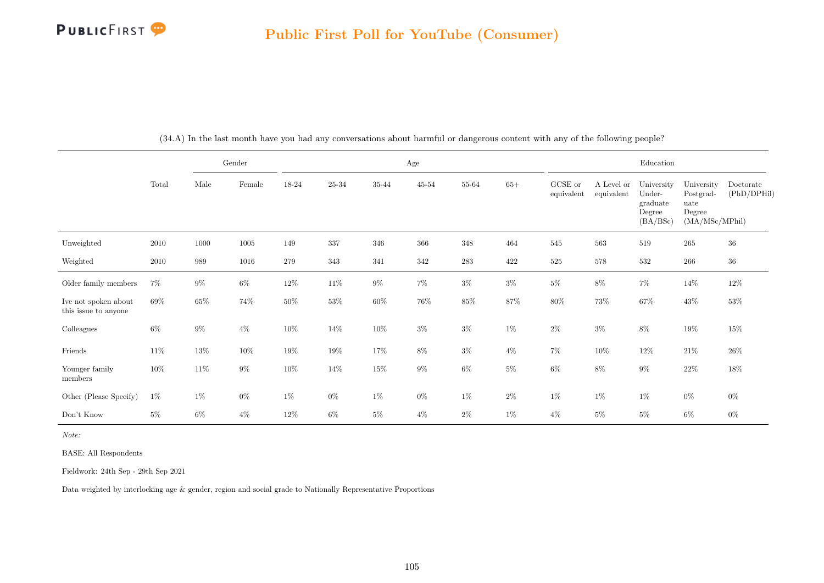

|                                              |        |        | Gender          | Age    |        |           |           |           |        | Education             |                          |                                                        |                                                             |                          |
|----------------------------------------------|--------|--------|-----------------|--------|--------|-----------|-----------|-----------|--------|-----------------------|--------------------------|--------------------------------------------------------|-------------------------------------------------------------|--------------------------|
|                                              | Total  | Male   | $\mbox{Female}$ | 18-24  | 25-34  | $35 - 44$ | $45 - 54$ | 55-64     | $65+$  | GCSE or<br>equivalent | A Level or<br>equivalent | University<br>Under-<br>graduate<br>Degree<br>(BA/BSc) | University<br>Postgrad-<br>uate<br>Degree<br>(MA/MSc/MPhil) | Doctorate<br>(PhD/DPHil) |
| Unweighted                                   | 2010   | 1000   | $1005\,$        | 149    | 337    | 346       | 366       | 348       | 464    | 545                   | $563\,$                  | 519                                                    | $265\,$                                                     | $36\,$                   |
| Weighted                                     | 2010   | 989    | 1016            | 279    | 343    | 341       | 342       | $\bf 283$ | 422    | $525\,$               | $578\,$                  | 532                                                    | 266                                                         | $36\,$                   |
| Older family members                         | $7\%$  | $9\%$  | $6\%$           | $12\%$ | 11\%   | $9\%$     | $7\%$     | $3\%$     | $3\%$  | $5\%$                 | $8\%$                    | $7\%$                                                  | 14\%                                                        | $12\%$                   |
| Ive not spoken about<br>this issue to anyone | 69%    | $65\%$ | $74\%$          | $50\%$ | $53\%$ | $60\%$    | $76\%$    | $85\%$    | $87\%$ | $80\%$                | 73%                      | $67\%$                                                 | 43\%                                                        | $53\%$                   |
| Colleagues                                   | $6\%$  | $9\%$  | $4\%$           | $10\%$ | 14\%   | $10\%$    | $3\%$     | $3\%$     | $1\%$  | $2\%$                 | $3\%$                    | $8\%$                                                  | 19%                                                         | $15\%$                   |
| Friends                                      | $11\%$ | $13\%$ | $10\%$          | $19\%$ | $19\%$ | $17\%$    | $8\%$     | $3\%$     | $4\%$  | $7\%$                 | $10\%$                   | $12\%$                                                 | $21\%$                                                      | $26\%$                   |
| Younger family<br>members                    | $10\%$ | 11\%   | $9\%$           | $10\%$ | 14%    | $15\%$    | $9\%$     | $6\%$     | $5\%$  | $6\%$                 | $8\%$                    | $9\%$                                                  | $22\%$                                                      | $18\%$                   |
| Other (Please Specify)                       | $1\%$  | $1\%$  | $0\%$           | $1\%$  | $0\%$  | $1\%$     | $0\%$     | $1\%$     | $2\%$  | $1\%$                 | $1\%$                    | $1\%$                                                  | $0\%$                                                       | $0\%$                    |
| Don't Know                                   | $5\%$  | $6\%$  | $4\%$           | 12\%   | 6%     | $5\%$     | $4\%$     | $2\%$     | $1\%$  | $4\%$                 | $5\%$                    | $5\%$                                                  | $6\%$                                                       | $0\%$                    |

(34.A) In the last month have you had any conversations about harmful or dangerous content with any of the following people?

Note:

BASE: All Respondents

Fieldwork: 24th Sep - 29th Sep 2021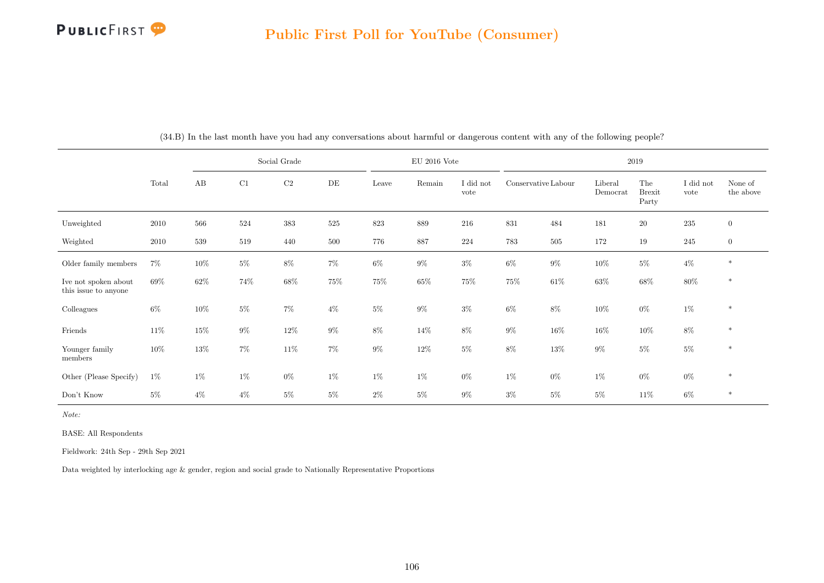

|                                              |        | Social Grade |        |          |           |        | $EU$ 2016 Vote |                   | 2019                |         |                     |                               |                   |                      |  |
|----------------------------------------------|--------|--------------|--------|----------|-----------|--------|----------------|-------------------|---------------------|---------|---------------------|-------------------------------|-------------------|----------------------|--|
|                                              | Total  | AB           | C1     | $\rm C2$ | $\rm{DE}$ | Leave  | Remain         | I did not<br>vote | Conservative Labour |         | Liberal<br>Democrat | The<br><b>Brexit</b><br>Party | I did not<br>vote | None of<br>the above |  |
| Unweighted                                   | 2010   | 566          | 524    | 383      | 525       | 823    | 889            | 216               | 831                 | 484     | 181                 | $20\,$                        | $235\,$           | $\overline{0}$       |  |
| Weighted                                     | 2010   | 539          | 519    | 440      | 500       | 776    | 887            | 224               | 783                 | $505\,$ | 172                 | 19                            | 245               | $\overline{0}$       |  |
| Older family members                         | $7\%$  | $10\%$       | $5\%$  | $8\%$    | $7\%$     | $6\%$  | $9\%$          | $3\%$             | $6\%$               | $9\%$   | $10\%$              | $5\%$                         | $4\%$             | $\ast$               |  |
| Ive not spoken about<br>this issue to anyone | 69%    | 62%          | $74\%$ | 68%      | $75\%$    | $75\%$ | $65\%$         | 75%               | $75\%$              | $61\%$  | $63\%$              | $68\%$                        | $80\%$            | $\ast$               |  |
| Colleagues                                   | $6\%$  | 10%          | $5\%$  | $7\%$    | $4\%$     | $5\%$  | $9\%$          | $3\%$             | $6\%$               | $8\%$   | $10\%$              | $0\%$                         | $1\%$             | $\ast$               |  |
| Friends                                      | $11\%$ | 15%          | $9\%$  | $12\%$   | $9\%$     | $8\%$  | 14%            | $8\%$             | $9\%$               | $16\%$  | $16\%$              | $10\%$                        | $8\%$             | $\ast$               |  |
| Younger family<br>members                    | $10\%$ | $13\%$       | $7\%$  | $11\%$   | $7\%$     | $9\%$  | $12\%$         | $5\%$             | $8\%$               | $13\%$  | $9\%$               | $5\%$                         | $5\%$             | $\ast$               |  |
| Other (Please Specify)                       | $1\%$  | $1\%$        | $1\%$  | $0\%$    | $1\%$     | $1\%$  | $1\%$          | $0\%$             | $1\%$               | $0\%$   | $1\%$               | $0\%$                         | $0\%$             | $\ast$               |  |
| Don't Know                                   | $5\%$  | $4\%$        | $4\%$  | $5\%$    | $5\%$     | $2\%$  | $5\%$          | $9\%$             | $3\%$               | 5%      | $5\%$               | $11\%$                        | $6\%$             | $\ast$               |  |

(34.B) In the last month have you had any conversations about harmful or dangerous content with any of the following people?

Note:

BASE: All Respondents

Fieldwork: 24th Sep - 29th Sep 2021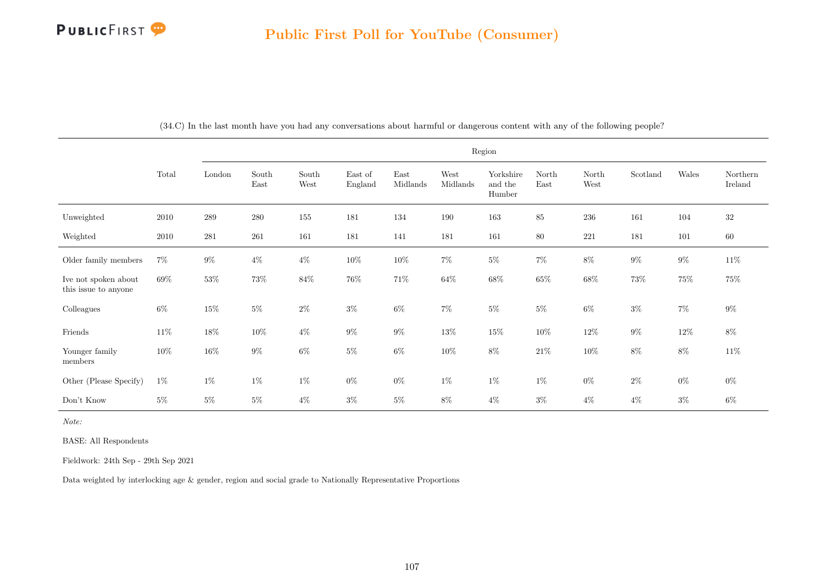|                                              |        | Region |               |               |                    |                  |                  |                                |               |               |          |         |                     |
|----------------------------------------------|--------|--------|---------------|---------------|--------------------|------------------|------------------|--------------------------------|---------------|---------------|----------|---------|---------------------|
|                                              | Total  | London | South<br>East | South<br>West | East of<br>England | East<br>Midlands | West<br>Midlands | Yorkshire<br>and the<br>Humber | North<br>East | North<br>West | Scotland | Wales   | Northern<br>Ireland |
| Unweighted                                   | 2010   | 289    | $280\,$       | 155           | 181                | 134              | 190              | 163                            | 85            | 236           | 161      | 104     | 32                  |
| Weighted                                     | 2010   | 281    | 261           | 161           | 181                | 141              | 181              | 161                            | $80\,$        | $221\,$       | 181      | $101\,$ | $60\,$              |
| Older family members                         | $7\%$  | $9\%$  | $4\%$         | $4\%$         | $10\%$             | $10\%$           | $7\%$            | $5\%$                          | $7\%$         | $8\%$         | $9\%$    | $9\%$   | $11\%$              |
| Ive not spoken about<br>this issue to anyone | 69%    | $53\%$ | 73%           | $84\%$        | $76\%$             | $71\%$           | $64\%$           | $68\%$                         | $65\%$        | $68\%$        | $73\%$   | $75\%$  | $75\%$              |
| Colleagues                                   | $6\%$  | $15\%$ | $5\%$         | $2\%$         | $3\%$              | $6\%$            | $7\%$            | $5\%$                          | $5\%$         | $6\%$         | $3\%$    | $7\%$   | $9\%$               |
| Friends                                      | $11\%$ | $18\%$ | $10\%$        | $4\%$         | $9\%$              | $9\%$            | $13\%$           | $15\%$                         | $10\%$        | $12\%$        | $9\%$    | $12\%$  | $8\%$               |
| Younger family<br>members                    | 10%    | $16\%$ | $9\%$         | $6\%$         | $5\%$              | $6\%$            | $10\%$           | $8\%$                          | $21\%$        | $10\%$        | $8\%$    | $8\%$   | $11\%$              |
| Other (Please Specify)                       | $1\%$  | $1\%$  | $1\%$         | $1\%$         | $0\%$              | $0\%$            | $1\%$            | $1\%$                          | $1\%$         | $0\%$         | $2\%$    | $0\%$   | $0\%$               |
| Don't Know                                   | $5\%$  | $5\%$  | $5\%$         | $4\%$         | $3\%$              | $5\%$            | 8%               | $4\%$                          | $3\%$         | $4\%$         | $4\%$    | $3\%$   | $6\%$               |

(34.C) In the last month have you had any conversations about harmful or dangerous content with any of the following people?

Note:

BASE: All Respondents

Fieldwork: 24th Sep - 29th Sep 2021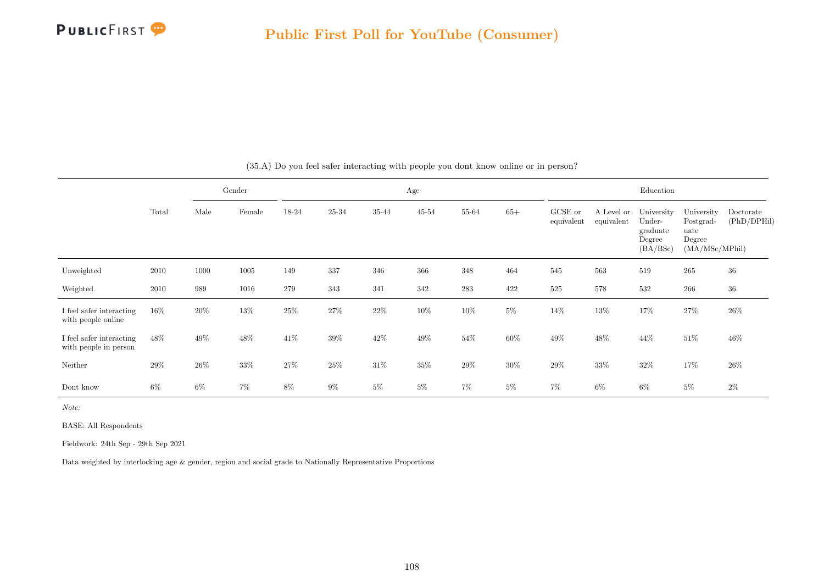

|                                                   |        |       | Gender |        |           |        | Age       |        |        |                       |                          | Education                                              |                                                             |                          |
|---------------------------------------------------|--------|-------|--------|--------|-----------|--------|-----------|--------|--------|-----------------------|--------------------------|--------------------------------------------------------|-------------------------------------------------------------|--------------------------|
|                                                   | Total  | Male  | Female | 18-24  | $25 - 34$ | 35-44  | $45 - 54$ | 55-64  | $65+$  | GCSE or<br>equivalent | A Level or<br>equivalent | University<br>Under-<br>graduate<br>Degree<br>(BA/BSc) | University<br>Postgrad-<br>uate<br>Degree<br>(MA/MSc/MPhil) | Doctorate<br>(PhD/DPHil) |
| Unweighted                                        | 2010   | 1000  | 1005   | 149    | 337       | 346    | 366       | 348    | 464    | 545                   | 563                      | 519                                                    | $265\,$                                                     | 36                       |
| Weighted                                          | 2010   | 989   | 1016   | 279    | 343       | 341    | 342       | 283    | 422    | 525                   | 578                      | 532                                                    | 266                                                         | $36\,$                   |
| I feel safer interacting<br>with people online    | $16\%$ | 20%   | 13%    | $25\%$ | $27\%$    | $22\%$ | 10%       | $10\%$ | $5\%$  | 14\%                  | $13\%$                   | 17%                                                    | $27\%$                                                      | $26\%$                   |
| I feel safer interacting<br>with people in person | 48%    | 49%   | 48%    | 41\%   | $39\%$    | 42\%   | $49\%$    | $54\%$ | $60\%$ | $49\%$                | $48\%$                   | 44\%                                                   | $51\%$                                                      | $46\%$                   |
| Neither                                           | 29%    | 26%   | $33\%$ | $27\%$ | 25%       | 31\%   | $35\%$    | 29%    | $30\%$ | $29\%$                | $33\%$                   | $32\%$                                                 | 17%                                                         | 26%                      |
| Dont know                                         | $6\%$  | $6\%$ | $7\%$  | $8\%$  | $9\%$     | $5\%$  | $5\%$     | 7%     | $5\%$  | $7\%$                 | $6\%$                    | $6\%$                                                  | $5\%$                                                       | $2\%$                    |

(35.A) Do you feel safer interacting with people you dont know online or in person?

Note:

BASE: All Respondents

Fieldwork: 24th Sep - 29th Sep 2021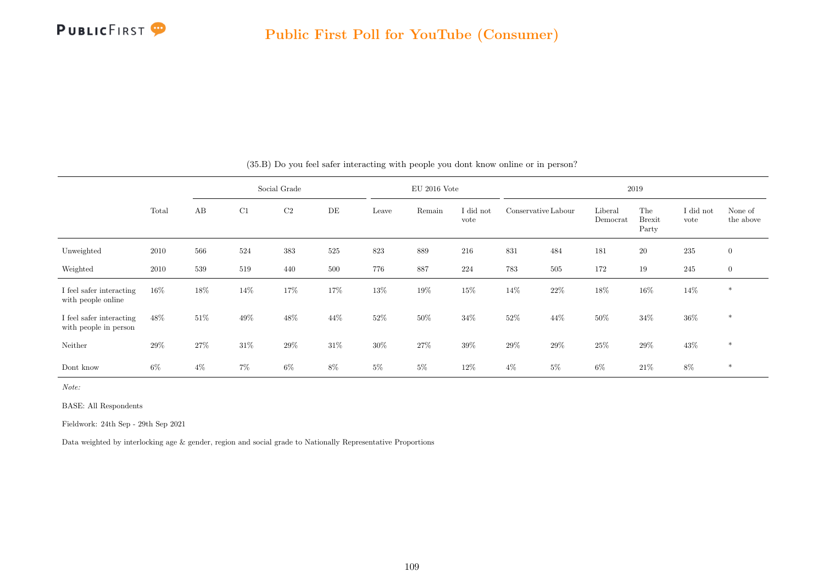

|                                                   |        |        |        | Social Grade |      |        | $EU$ 2016 Vote |                   |       |                     |                     | 2019                          |                   |                      |
|---------------------------------------------------|--------|--------|--------|--------------|------|--------|----------------|-------------------|-------|---------------------|---------------------|-------------------------------|-------------------|----------------------|
|                                                   | Total  | AB     | C1     | C2           | DE   | Leave  | Remain         | I did not<br>vote |       | Conservative Labour | Liberal<br>Democrat | The<br><b>Brexit</b><br>Party | I did not<br>vote | None of<br>the above |
| Unweighted                                        | 2010   | 566    | 524    | 383          | 525  | 823    | 889            | 216               | 831   | 484                 | 181                 | $20\,$                        | $235\,$           | $\overline{0}$       |
| Weighted                                          | 2010   | 539    | 519    | 440          | 500  | 776    | 887            | 224               | 783   | 505                 | 172                 | 19                            | 245               | $\boldsymbol{0}$     |
| I feel safer interacting<br>with people online    | $16\%$ | 18%    | 14%    | 17%          | 17%  | 13%    | 19%            | 15%               | 14%   | 22%                 | 18%                 | $16\%$                        | 14\%              | $\ast$               |
| I feel safer interacting<br>with people in person | 48%    | $51\%$ | 49%    | 48%          | 44%  | $52\%$ | 50%            | 34%               | 52%   | 44\%                | 50%                 | $34\%$                        | $36\%$            | $\ast$               |
| Neither                                           | $29\%$ | 27%    | $31\%$ | $29\%$       | 31\% | $30\%$ | $27\%$         | 39%               | 29%   | 29%                 | 25%                 | $29\%$                        | $43\%$            | $*$                  |
| Dont know                                         | 6%     | $4\%$  | $7\%$  | $6\%$        | 8%   | $5\%$  | $5\%$          | $12\%$            | $4\%$ | $5\%$               | $6\%$               | $21\%$                        | $8\%$             | $\ast$               |

(35.B) Do you feel safer interacting with people you dont know online or in person?

Note:

BASE: All Respondents

Fieldwork: 24th Sep - 29th Sep 2021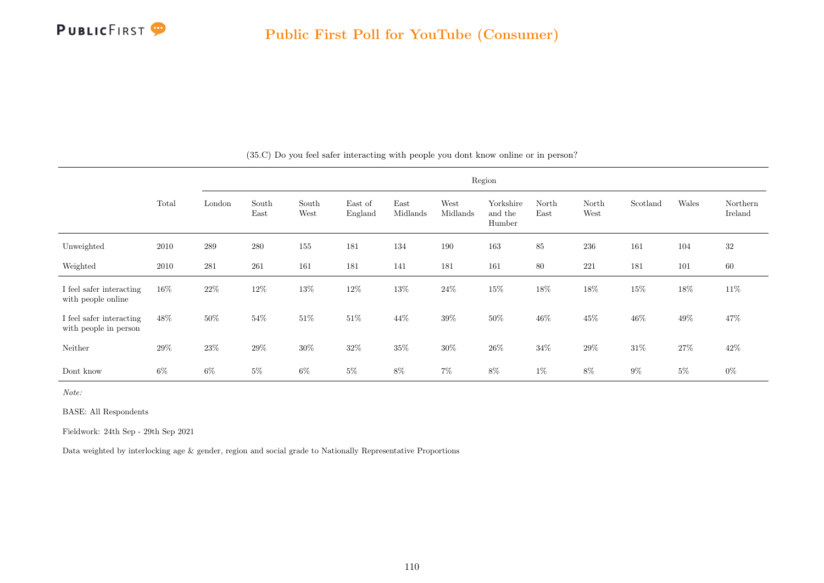

|                                                   |        |        |               |               |                    |                  |                  | Region                         |               |               |          |         |                     |
|---------------------------------------------------|--------|--------|---------------|---------------|--------------------|------------------|------------------|--------------------------------|---------------|---------------|----------|---------|---------------------|
|                                                   | Total  | London | South<br>East | South<br>West | East of<br>England | East<br>Midlands | West<br>Midlands | Yorkshire<br>and the<br>Humber | North<br>East | North<br>West | Scotland | Wales   | Northern<br>Ireland |
| Unweighted                                        | 2010   | 289    | 280           | 155           | 181                | 134              | 190              | 163                            | 85            | 236           | 161      | 104     | 32                  |
| Weighted                                          | 2010   | 281    | 261           | 161           | 181                | 141              | 181              | 161                            | 80            | 221           | 181      | $101\,$ | 60                  |
| I feel safer interacting<br>with people online    | $16\%$ | 22\%   | 12%           | 13%           | 12%                | 13%              | $24\%$           | $15\%$                         | 18%           | $18\%$        | 15%      | $18\%$  | 11\%                |
| I feel safer interacting<br>with people in person | 48%    | 50%    | 54%           | $51\%$        | 51\%               | 44\%             | $39\%$           | $50\%$                         | 46%           | $45\%$        | $46\%$   | 49%     | 47%                 |
| Neither                                           | 29%    | $23\%$ | 29%           | $30\%$        | 32%                | 35%              | $30\%$           | $26\%$                         | 34%           | $29\%$        | $31\%$   | $27\%$  | $42\%$              |
| Dont know                                         | 6%     | 6%     | $5\%$         | $6\%$         | $5\%$              | 8%               | $7\%$            | $8\%$                          | $1\%$         | $8\%$         | $9\%$    | $5\%$   | $0\%$               |

(35.C) Do you feel safer interacting with people you dont know online or in person?

Note:

BASE: All Respondents

Fieldwork: 24th Sep - 29th Sep 2021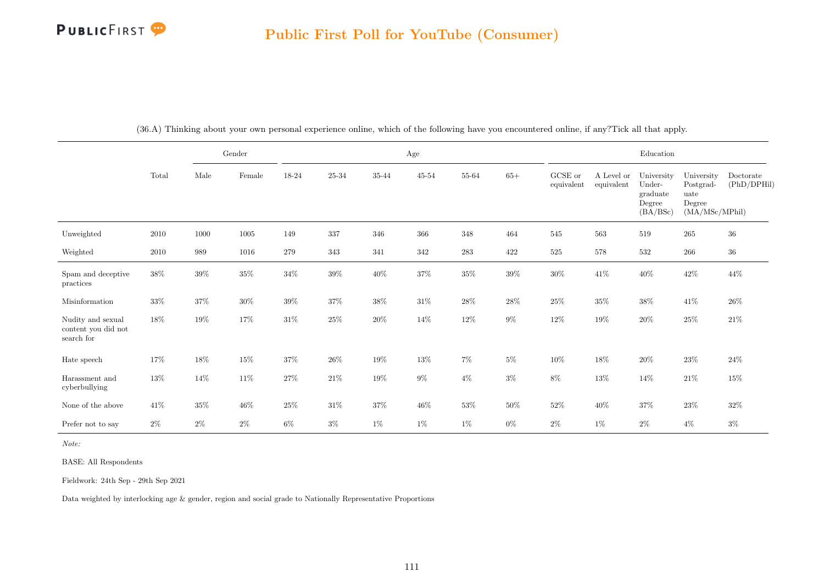

|                                                        |          |        | Gender |        |        |         | $\rm Age$ |           |        |                       |                          | Education                                              |                                                             |                          |
|--------------------------------------------------------|----------|--------|--------|--------|--------|---------|-----------|-----------|--------|-----------------------|--------------------------|--------------------------------------------------------|-------------------------------------------------------------|--------------------------|
|                                                        | Total    | Male   | Female | 18-24  | 25-34  | 35-44   | $45 - 54$ | 55-64     | $65+$  | GCSE or<br>equivalent | A Level or<br>equivalent | University<br>Under-<br>graduate<br>Degree<br>(BA/BSc) | University<br>Postgrad-<br>uate<br>Degree<br>(MA/MSc/MPhil) | Doctorate<br>(PhD/DPHil) |
| Unweighted                                             | $2010\,$ | 1000   | 1005   | 149    | 337    | $346\,$ | 366       | $348\,$   | 464    | $545\,$               | 563                      | 519                                                    | $265\,$                                                     | $36\,$                   |
| Weighted                                               | 2010     | 989    | 1016   | 279    | 343    | 341     | 342       | $\bf 283$ | 422    | $525\,$               | $578\,$                  | $532\,$                                                | $266\,$                                                     | $36\,$                   |
| Spam and deceptive<br>practices                        | 38%      | $39\%$ | $35\%$ | $34\%$ | $39\%$ | $40\%$  | $37\%$    | $35\%$    | $39\%$ | $30\%$                | $41\%$                   | $40\%$                                                 | $42\%$                                                      | $44\%$                   |
| Misinformation                                         | $33\%$   | $37\%$ | $30\%$ | $39\%$ | $37\%$ | $38\%$  | $31\%$    | $28\%$    | $28\%$ | $25\%$                | $35\%$                   | $38\%$                                                 | $41\%$                                                      | $26\%$                   |
| Nudity and sexual<br>content you did not<br>search for | 18%      | $19\%$ | 17%    | $31\%$ | $25\%$ | $20\%$  | 14\%      | 12\%      | $9\%$  | $12\%$                | 19%                      | $20\%$                                                 | $25\%$                                                      | $21\%$                   |
| Hate speech                                            | 17%      | $18\%$ | $15\%$ | $37\%$ | $26\%$ | $19\%$  | $13\%$    | $7\%$     | $5\%$  | $10\%$                | 18%                      | $20\%$                                                 | $23\%$                                                      | $24\%$                   |
| Harassment and<br>cyberbullying                        | $13\%$   | $14\%$ | $11\%$ | $27\%$ | $21\%$ | $19\%$  | $9\%$     | $4\%$     | $3\%$  | $8\%$                 | $13\%$                   | 14%                                                    | $21\%$                                                      | $15\%$                   |
| None of the above                                      | $41\%$   | $35\%$ | $46\%$ | $25\%$ | $31\%$ | 37%     | $46\%$    | $53\%$    | $50\%$ | $52\%$                | $40\%$                   | $37\%$                                                 | $23\%$                                                      | $32\%$                   |
| Prefer not to say                                      | $2\%$    | $2\%$  | $2\%$  | $6\%$  | $3\%$  | 1%      | $1\%$     | $1\%$     | $0\%$  | $2\%$                 | $1\%$                    | $2\%$                                                  | $4\%$                                                       | $3\%$                    |

(36.A) Thinking about your own personal experience online, which of the following have you encountered online, if any?Tick all that apply.

Note:

BASE: All Respondents

Fieldwork: 24th Sep - 29th Sep 2021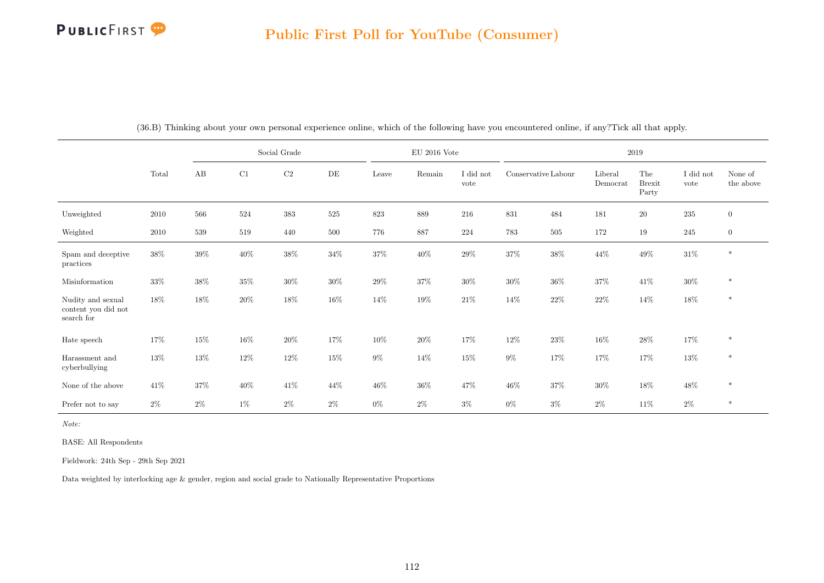

|                                                        |        |        |        | Social Grade |        |        | EU 2016 Vote |                   |                     |         |                                               | 2019                          |                   |                      |
|--------------------------------------------------------|--------|--------|--------|--------------|--------|--------|--------------|-------------------|---------------------|---------|-----------------------------------------------|-------------------------------|-------------------|----------------------|
|                                                        | Total  | AB     | C1     | $\rm C2$     | DE     | Leave  | Remain       | I did not<br>vote | Conservative Labour |         | Liberal<br>$\label{eq:emocr} {\rm Demonorat}$ | The<br><b>Brexit</b><br>Party | I did not<br>vote | None of<br>the above |
| Unweighted                                             | 2010   | 566    | 524    | 383          | 525    | 823    | 889          | 216               | 831                 | 484     | 181                                           | $20\,$                        | $235\,$           | $\overline{0}$       |
| Weighted                                               | 2010   | 539    | 519    | 440          | 500    | 776    | 887          | 224               | 783                 | $505\,$ | 172                                           | $19\,$                        | $245\,$           | $\overline{0}$       |
| Spam and deceptive<br>practices                        | $38\%$ | $39\%$ | $40\%$ | $38\%$       | $34\%$ | $37\%$ | $40\%$       | $29\%$            | $37\%$              | $38\%$  | $44\%$                                        | $49\%$                        | $31\%$            | $\ast$               |
| Misinformation                                         | $33\%$ | $38\%$ | $35\%$ | $30\%$       | $30\%$ | $29\%$ | $37\%$       | $30\%$            | $30\%$              | $36\%$  | $37\%$                                        | $41\%$                        | $30\%$            | $\ast$               |
| Nudity and sexual<br>content you did not<br>search for | 18%    | 18%    | $20\%$ | $18\%$       | 16%    | $14\%$ | $19\%$       | $21\%$            | $14\%$              | $22\%$  | $22\%$                                        | $14\%$                        | $18\%$            | $\ast$               |
| Hate speech                                            | 17%    | 15%    | $16\%$ | $20\%$       | 17%    | $10\%$ | $20\%$       | 17%               | $12\%$              | $23\%$  | $16\%$                                        | 28\%                          | $17\%$            | $\ast$               |
| Harassment and<br>cyberbullying                        | $13\%$ | $13\%$ | $12\%$ | $12\%$       | $15\%$ | $9\%$  | 14\%         | $15\%$            | $9\%$               | 17%     | 17%                                           | 17%                           | $13\%$            | $\ast$               |
| None of the above                                      | 41\%   | $37\%$ | $40\%$ | $41\%$       | 44%    | $46\%$ | $36\%$       | 47\%              | $46\%$              | $37\%$  | $30\%$                                        | $18\%$                        | $48\%$            | $\ast$               |
| Prefer not to say                                      | $2\%$  | $2\%$  | $1\%$  | $2\%$        | $2\%$  | $0\%$  | $2\%$        | $3\%$             | $0\%$               | $3\%$   | $2\%$                                         | $11\%$                        | $2\%$             | $\ast$               |

(36.B) Thinking about your own personal experience online, which of the following have you encountered online, if any?Tick all that apply.

Note:

BASE: All Respondents

Fieldwork: 24th Sep - 29th Sep 2021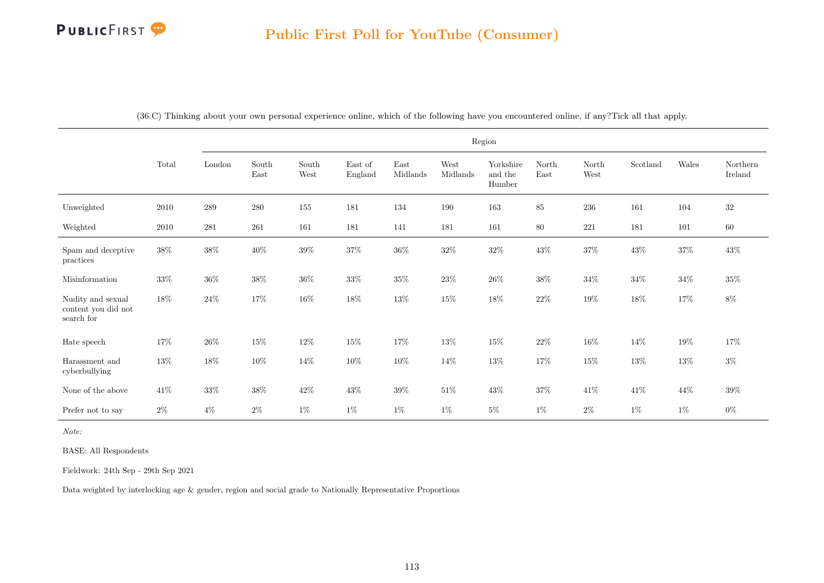

|                                                        |          |         |                                |                                |                    |                                   |                  | Region                         |               |               |          |             |                     |
|--------------------------------------------------------|----------|---------|--------------------------------|--------------------------------|--------------------|-----------------------------------|------------------|--------------------------------|---------------|---------------|----------|-------------|---------------------|
|                                                        | Total    | London  | $\operatorname{South}$<br>East | $\operatorname{South}$<br>West | East of<br>England | $\operatorname{East}$<br>Midlands | West<br>Midlands | Yorkshire<br>and the<br>Humber | North<br>East | North<br>West | Scotland | $\rm Wales$ | Northern<br>Ireland |
| Unweighted                                             | 2010     | $\,289$ | $280\,$                        | 155                            | 181                | 134                               | 190              | 163                            | $85\,$        | $236\,$       | 161      | 104         | $32\,$              |
| Weighted                                               | $2010\,$ | 281     | 261                            | 161                            | 181                | 141                               | 181              | 161                            | $80\,$        | 221           | 181      | 101         | $60\,$              |
| Spam and deceptive<br>practices                        | 38%      | $38\%$  | $40\%$                         | $39\%$                         | $37\%$             | $36\%$                            | $32\%$           | $32\%$                         | $43\%$        | $37\%$        | $43\%$   | $37\%$      | $43\%$              |
| Misinformation                                         | $33\%$   | $36\%$  | $38\%$                         | $36\%$                         | $33\%$             | $35\%$                            | $23\%$           | $26\%$                         | $38\%$        | $34\%$        | $34\%$   | $34\%$      | $35\%$              |
| Nudity and sexual<br>content you did not<br>search for | $18\%$   | $24\%$  | $17\%$                         | $16\%$                         | $18\%$             | $13\%$                            | $15\%$           | $18\%$                         | $22\%$        | $19\%$        | $18\%$   | $17\%$      | $8\%$               |
| Hate speech                                            | $17\%$   | $26\%$  | $15\%$                         | $12\%$                         | 15%                | 17%                               | 13%              | $15\%$                         | $22\%$        | $16\%$        | 14%      | $19\%$      | $17\%$              |
| Harassment and<br>cyberbullying                        | $13\%$   | $18\%$  | 10%                            | 14\%                           | 10%                | $10\%$                            | 14%              | $13\%$                         | $17\%$        | $15\%$        | 13%      | 13%         | $3\%$               |
| None of the above                                      | $41\%$   | $33\%$  | $38\%$                         | $42\%$                         | $43\%$             | $39\%$                            | $51\%$           | $43\%$                         | $37\%$        | $41\%$        | $41\%$   | 44\%        | $39\%$              |
| Prefer not to say                                      | $2\%$    | $4\%$   | $2\%$                          | $1\%$                          | $1\%$              | $1\%$                             | $1\%$            | $5\%$                          | $1\%$         | $2\%$         | $1\%$    | $1\%$       | $0\%$               |

(36.C) Thinking about your own personal experience online, which of the following have you encountered online, if any?Tick all that apply.

Note:

BASE: All Respondents

Fieldwork: 24th Sep - 29th Sep 2021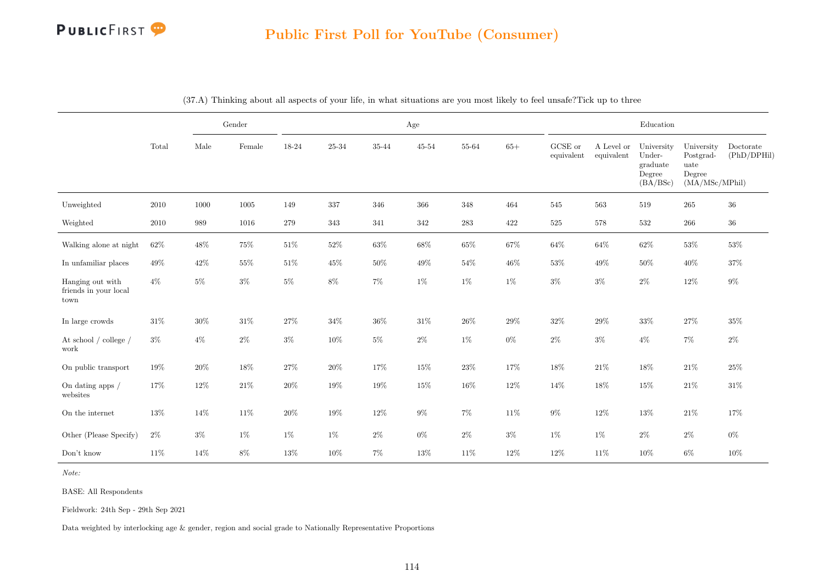|                                                                    |          |        | Gender |        |         |        | Age    |        |        |                       |                          | Education                                              |                                                             |                          |
|--------------------------------------------------------------------|----------|--------|--------|--------|---------|--------|--------|--------|--------|-----------------------|--------------------------|--------------------------------------------------------|-------------------------------------------------------------|--------------------------|
|                                                                    | Total    | Male   | Female | 18-24  | 25-34   | 35-44  | 45-54  | 55-64  | $65+$  | GCSE or<br>equivalent | A Level or<br>equivalent | University<br>Under-<br>graduate<br>Degree<br>(BA/BSc) | University<br>Postgrad-<br>uate<br>Degree<br>(MA/MSc/MPhil) | Doctorate<br>(PhD/DPHil) |
| Unweighted                                                         | $2010\,$ | 1000   | 1005   | 149    | $337\,$ | 346    | 366    | 348    | 464    | 545                   | 563                      | 519                                                    | 265                                                         | $36\,$                   |
| Weighted                                                           | 2010     | 989    | 1016   | 279    | 343     | 341    | 342    | 283    | 422    | $525\,$               | 578                      | 532                                                    | 266                                                         | $36\,$                   |
| Walking alone at night                                             | $62\%$   | $48\%$ | $75\%$ | $51\%$ | $52\%$  | $63\%$ | $68\%$ | $65\%$ | $67\%$ | $64\%$                | $64\%$                   | $62\%$                                                 | $53\%$                                                      | 53%                      |
| In unfamiliar places                                               | $49\%$   | $42\%$ | 55%    | $51\%$ | 45%     | $50\%$ | $49\%$ | 54%    | $46\%$ | $53\%$                | 49%                      | $50\%$                                                 | $40\%$                                                      | 37%                      |
| Hanging out with<br>$\operatorname{friends}$ in your local<br>town | $4\%$    | $5\%$  | $3\%$  | $5\%$  | $8\%$   | $7\%$  | $1\%$  | $1\%$  | $1\%$  | $3\%$                 | $3\%$                    | $2\%$                                                  | $12\%$                                                      | $9\%$                    |
| In large crowds                                                    | $31\%$   | $30\%$ | $31\%$ | $27\%$ | 34%     | $36\%$ | $31\%$ | $26\%$ | $29\%$ | $32\%$                | $29\%$                   | $33\%$                                                 | $27\%$                                                      | $35\%$                   |
| At school $/$ college $/$<br>work                                  | $3\%$    | $4\%$  | $2\%$  | $3\%$  | $10\%$  | $5\%$  | $2\%$  | $1\%$  | $0\%$  | $2\%$                 | $3\%$                    | $4\%$                                                  | $7\%$                                                       | $2\%$                    |
| On public transport                                                | 19%      | 20%    | $18\%$ | $27\%$ | 20%     | $17\%$ | $15\%$ | $23\%$ | $17\%$ | $18\%$                | $21\%$                   | 18%                                                    | $21\%$                                                      | 25%                      |
| On dating apps $\slash$<br>websites                                | 17%      | $12\%$ | $21\%$ | $20\%$ | $19\%$  | $19\%$ | $15\%$ | 16%    | $12\%$ | 14%                   | 18%                      | 15%                                                    | $21\%$                                                      | $31\%$                   |
| On the internet                                                    | $13\%$   | 14%    | $11\%$ | $20\%$ | 19%     | $12\%$ | $9\%$  | $7\%$  | $11\%$ | $9\%$                 | $12\%$                   | $13\%$                                                 | $21\%$                                                      | 17%                      |
| Other (Please Specify)                                             | $2\%$    | $3\%$  | $1\%$  | $1\%$  | $1\%$   | $2\%$  | $0\%$  | $2\%$  | $3\%$  | $1\%$                 | $1\%$                    | $2\%$                                                  | $2\%$                                                       | $0\%$                    |
| Don't know                                                         | $11\%$   | 14%    | $8\%$  | $13\%$ | $10\%$  | $7\%$  | $13\%$ | 11%    | $12\%$ | $12\%$                | 11\%                     | 10%                                                    | $6\%$                                                       | 10%                      |

(37.A) Thinking about all aspects of your life, in what situations are you most likely to feel unsafe?Tick up to three

Note:

BASE: All Respondents

Fieldwork: 24th Sep - 29th Sep 2021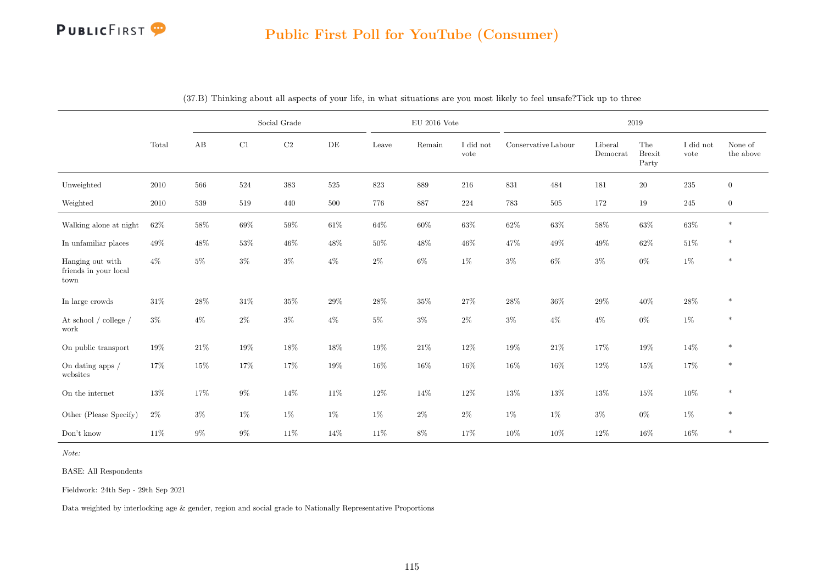

### Public First Poll for YouTube (Consumer)

|                                                   |        |        |        | Social Grade |           |        | $\mathrm{EU}$ 2016 Vote |                   |                     |         |                     | 2019                          |                   |                      |
|---------------------------------------------------|--------|--------|--------|--------------|-----------|--------|-------------------------|-------------------|---------------------|---------|---------------------|-------------------------------|-------------------|----------------------|
|                                                   | Total  | AB     | C1     | $\rm{C2}$    | $\rm{DE}$ | Leave  | Remain                  | I did not<br>vote | Conservative Labour |         | Liberal<br>Democrat | The<br><b>Brexit</b><br>Party | I did not<br>vote | None of<br>the above |
| Unweighted                                        | 2010   | 566    | 524    | $383\,$      | 525       | 823    | $889\,$                 | 216               | 831                 | 484     | 181                 | $20\,$                        | $235\,$           | $\overline{0}$       |
| Weighted                                          | 2010   | 539    | 519    | 440          | 500       | 776    | 887                     | 224               | 783                 | $505\,$ | 172                 | 19                            | $245\,$           | $\overline{0}$       |
| Walking alone at night                            | 62%    | $58\%$ | $69\%$ | $59\%$       | $61\%$    | $64\%$ | $60\%$                  | $63\%$            | $62\%$              | $63\%$  | $58\%$              | $63\%$                        | $63\%$            | $\ast$               |
| In unfamiliar places                              | $49\%$ | 48%    | 53%    | $46\%$       | 48%       | 50%    | 48%                     | 46%               | 47%                 | 49%     | 49%                 | 62%                           | $51\%$            | $\ast$               |
| Hanging out with<br>friends in your local<br>town | $4\%$  | $5\%$  | $3\%$  | $3\%$        | $4\%$     | $2\%$  | $6\%$                   | $1\%$             | $3\%$               | $6\%$   | $3\%$               | $0\%$                         | $1\%$             | $\ast$               |
| In large crowds                                   | $31\%$ | 28%    | $31\%$ | 35%          | 29%       | $28\%$ | 35%                     | 27%               | $28\%$              | 36%     | 29%                 | $40\%$                        | $28\%$            | $\ast$               |
| At school $/$ college $/$<br>work                 | $3\%$  | $4\%$  | $2\%$  | $3\%$        | $4\%$     | $5\%$  | $3\%$                   | $2\%$             | $3\%$               | $4\%$   | $4\%$               | $0\%$                         | $1\%$             | $\ast$               |
| On public transport                               | 19%    | $21\%$ | 19%    | 18%          | $18\%$    | $19\%$ | $21\%$                  | $12\%$            | $19\%$              | $21\%$  | 17%                 | $19\%$                        | $14\%$            | $\ast$               |
| On dating apps $\big/$<br>websites                | 17%    | 15%    | 17%    | 17%          | 19%       | $16\%$ | 16%                     | 16%               | $16\%$              | 16%     | $12\%$              | $15\%$                        | 17%               | $\ast$               |
| On the internet                                   | $13\%$ | 17%    | $9\%$  | 14%          | 11\%      | 12%    | 14%                     | 12%               | 13%                 | 13%     | 13%                 | $15\%$                        | $10\%$            | $\ast$               |
| Other (Please Specify)                            | $2\%$  | $3\%$  | $1\%$  | $1\%$        | $1\%$     | $1\%$  | $2\%$                   | $2\%$             | $1\%$               | $1\%$   | $3\%$               | $0\%$                         | $1\%$             | $\ast$               |
| Don't know                                        | $11\%$ | $9\%$  | $9\%$  | 11%          | 14%       | 11%    | $8\%$                   | 17%               | 10%                 | 10%     | 12%                 | 16%                           | $16\%$            | $\ast$               |

(37.B) Thinking about all aspects of your life, in what situations are you most likely to feel unsafe?Tick up to three

Note:

BASE: All Respondents

Fieldwork: 24th Sep - 29th Sep 2021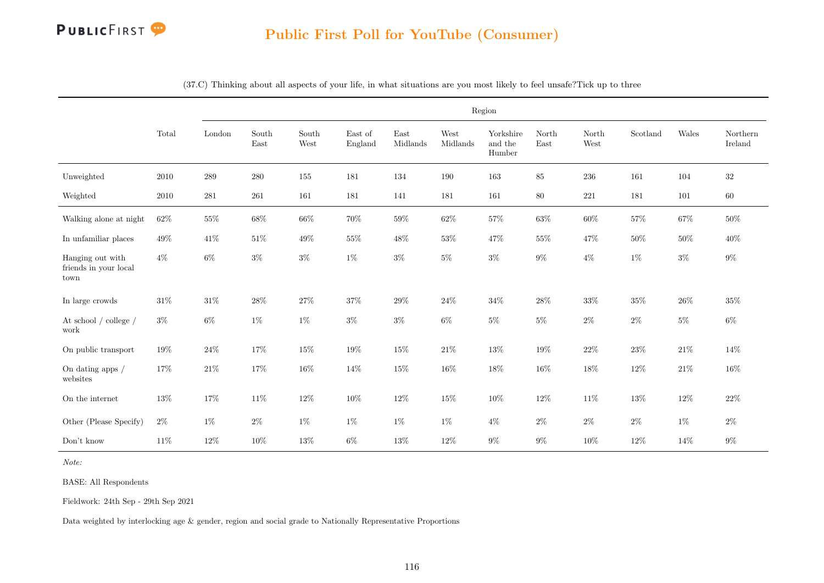

### Public First Poll for YouTube (Consumer)

|                                                   |          |         |               |               |                    |                  |                  | Region                         |               |               |          |        |                     |
|---------------------------------------------------|----------|---------|---------------|---------------|--------------------|------------------|------------------|--------------------------------|---------------|---------------|----------|--------|---------------------|
|                                                   | Total    | London  | South<br>East | South<br>West | East of<br>England | East<br>Midlands | West<br>Midlands | Yorkshire<br>and the<br>Humber | North<br>East | North<br>West | Scotland | Wales  | Northern<br>Ireland |
| Unweighted                                        | 2010     | 289     | 280           | $155\,$       | 181                | 134              | 190              | 163                            | 85            | 236           | 161      | 104    | 32                  |
| Weighted                                          | $2010\,$ | $281\,$ | $261\,$       | $161\,$       | 181                | 141              | 181              | 161                            | $80\,$        | $221\,$       | 181      | 101    | $60\,$              |
| Walking alone at night                            | $62\%$   | $55\%$  | $68\%$        | 66%           | $70\%$             | $59\%$           | $62\%$           | $57\%$                         | $63\%$        | $60\%$        | $57\%$   | $67\%$ | $50\%$              |
| In unfamiliar places                              | 49%      | 41\%    | 51%           | 49%           | $55\%$             | 48%              | $53\%$           | 47%                            | 55%           | 47%           | $50\%$   | $50\%$ | 40%                 |
| Hanging out with<br>friends in your local<br>town | $4\%$    | $6\%$   | $3\%$         | $3\%$         | $1\%$              | $3\%$            | $5\%$            | $3\%$                          | $9\%$         | $4\%$         | $1\%$    | $3\%$  | $9\%$               |
| In large crowds                                   | $31\%$   | $31\%$  | $28\%$        | $27\%$        | $37\%$             | $29\%$           | 24%              | $34\%$                         | $28\%$        | $33\%$        | $35\%$   | $26\%$ | $35\%$              |
| At school $/$ college $/$<br>work                 | $3\%$    | $6\%$   | $1\%$         | $1\%$         | $3\%$              | $3\%$            | $6\%$            | $5\%$                          | $5\%$         | $2\%$         | $2\%$    | $5\%$  | $6\%$               |
| On public transport                               | $19\%$   | $24\%$  | 17%           | $15\%$        | 19%                | $15\%$           | $21\%$           | $13\%$                         | $19\%$        | $22\%$        | $23\%$   | $21\%$ | $14\%$              |
| On dating apps /<br>websites                      | 17%      | $21\%$  | 17%           | $16\%$        | 14%                | 15%              | 16%              | $18\%$                         | 16%           | 18%           | 12%      | $21\%$ | 16%                 |
| On the internet                                   | 13%      | 17%     | 11%           | $12\%$        | 10%                | $12\%$           | 15%              | $10\%$                         | 12%           | 11%           | $13\%$   | $12\%$ | $22\%$              |
| Other (Please Specify)                            | $2\%$    | $1\%$   | $2\%$         | $1\%$         | $1\%$              | $1\%$            | $1\%$            | $4\%$                          | $2\%$         | $2\%$         | $2\%$    | $1\%$  | $2\%$               |
| $\mathrm{Don't}$ know                             | 11%      | $12\%$  | 10%           | $13\%$        | $6\%$              | $13\%$           | $12\%$           | $9\%$                          | $9\%$         | $10\%$        | $12\%$   | 14%    | $9\%$               |

(37.C) Thinking about all aspects of your life, in what situations are you most likely to feel unsafe?Tick up to three

Note:

BASE: All Respondents

Fieldwork: 24th Sep - 29th Sep 2021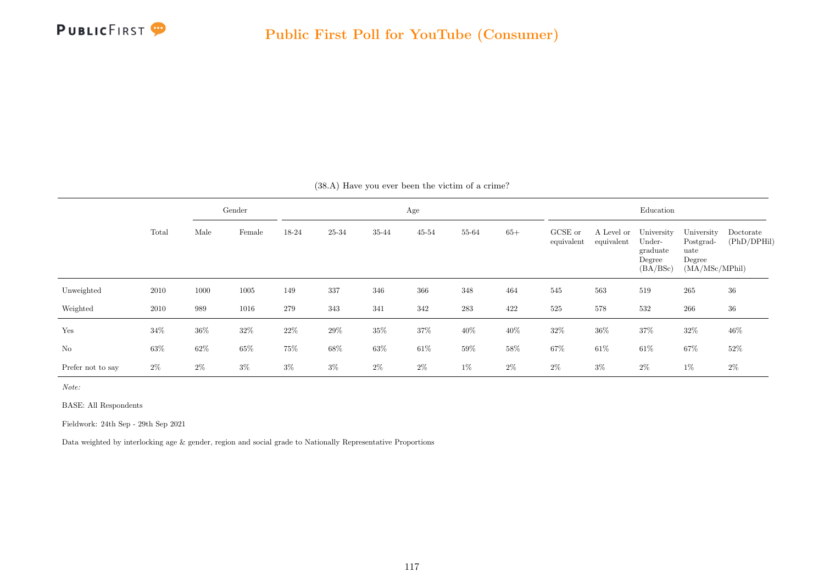

|                   |        |        | Gender |        |        |        | Age       |         |       |                       |                          | Education                                              |                                                             |                          |
|-------------------|--------|--------|--------|--------|--------|--------|-----------|---------|-------|-----------------------|--------------------------|--------------------------------------------------------|-------------------------------------------------------------|--------------------------|
|                   | Total  | Male   | Female | 18-24  | 25-34  | 35-44  | $45 - 54$ | 55-64   | $65+$ | GCSE or<br>equivalent | A Level or<br>equivalent | University<br>Under-<br>graduate<br>Degree<br>(BA/BSc) | University<br>Postgrad-<br>uate<br>Degree<br>(MA/MSc/MPhil) | Doctorate<br>(PhD/DPHil) |
| Unweighted        | 2010   | 1000   | 1005   | 149    | 337    | 346    | 366       | 348     | 464   | 545                   | 563                      | 519                                                    | 265                                                         | 36                       |
| Weighted          | 2010   | 989    | 1016   | 279    | 343    | 341    | 342       | $\,283$ | 422   | 525                   | 578                      | 532                                                    | 266                                                         | 36                       |
| Yes               | $34\%$ | $36\%$ | $32\%$ | $22\%$ | $29\%$ | $35\%$ | $37\%$    | 40\%    | 40%   | $32\%$                | $36\%$                   | $37\%$                                                 | $32\%$                                                      | 46%                      |
| N <sub>o</sub>    | 63%    | 62%    | 65%    | 75%    | $68\%$ | $63\%$ | $61\%$    | $59\%$  | 58%   | 67%                   | $61\%$                   | $61\%$                                                 | $67\%$                                                      | 52%                      |
| Prefer not to say | $2\%$  | $2\%$  | $3\%$  | $3\%$  | $3\%$  | $2\%$  | $2\%$     | $1\%$   | $2\%$ | $2\%$                 | $3\%$                    | $2\%$                                                  | $1\%$                                                       | $2\%$                    |

(38.A) Have you ever been the victim of a crime?

Note:

BASE: All Respondents

Fieldwork: 24th Sep - 29th Sep 2021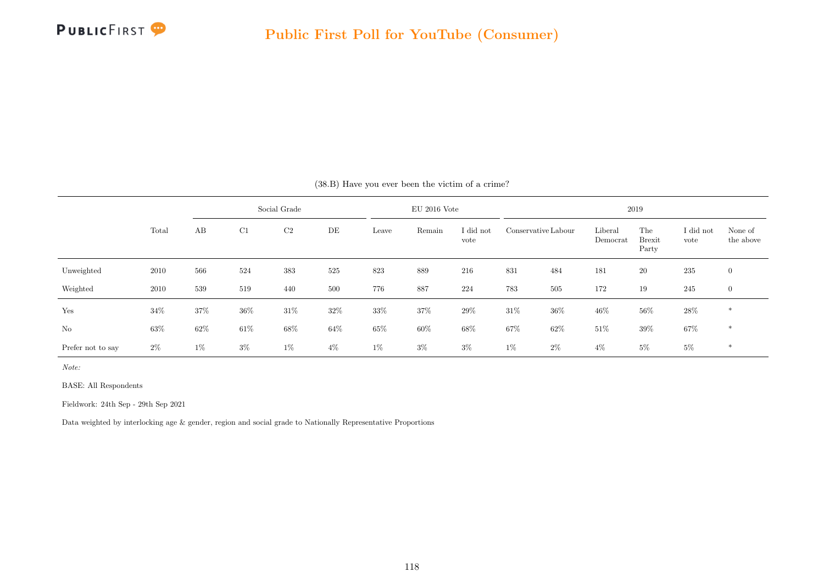

|                   |       |        |        | Social Grade   |        |        | $EU$ 2016 Vote |                   |        |                     |                     | 2019                          |                   |                      |
|-------------------|-------|--------|--------|----------------|--------|--------|----------------|-------------------|--------|---------------------|---------------------|-------------------------------|-------------------|----------------------|
|                   | Total | AB     | C1     | C <sub>2</sub> | DE     | Leave  | Remain         | I did not<br>vote |        | Conservative Labour | Liberal<br>Democrat | The<br><b>Brexit</b><br>Party | I did not<br>vote | None of<br>the above |
| Unweighted        | 2010  | 566    | 524    | 383            | 525    | 823    | 889            | 216               | 831    | 484                 | 181                 | $20\,$                        | 235               | $\overline{0}$       |
| Weighted          | 2010  | 539    | 519    | 440            | 500    | 776    | 887            | 224               | 783    | 505                 | 172                 | 19                            | 245               | $\overline{0}$       |
| Yes               | 34%   | $37\%$ | $36\%$ | $31\%$         | $32\%$ | $33\%$ | $37\%$         | $29\%$            | $31\%$ | $36\%$              | $46\%$              | $56\%$                        | $28\%$            | $\ast$               |
| No                | 63%   | 62\%   | $61\%$ | 68%            | 64%    | $65\%$ | 60%            | 68%               | 67%    | 62%                 | $51\%$              | $39\%$                        | $67\%$            | $*$                  |
| Prefer not to say | $2\%$ | $1\%$  | $3\%$  | $1\%$          | $4\%$  | $1\%$  | $3\%$          | $3\%$             | $1\%$  | $2\%$               | $4\%$               | $5\%$                         | $5\%$             | $\ast$               |

#### (38.B) Have you ever been the victim of a crime?

Note:

BASE: All Respondents

Fieldwork: 24th Sep - 29th Sep 2021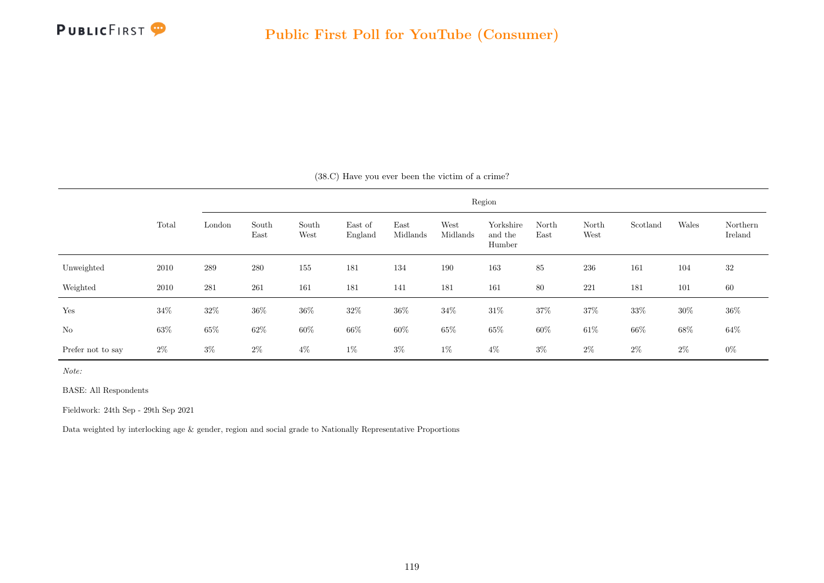

|                   |        |        |               |               |                    |                  |                  | Region                         |               |               |          |        |                     |
|-------------------|--------|--------|---------------|---------------|--------------------|------------------|------------------|--------------------------------|---------------|---------------|----------|--------|---------------------|
|                   | Total  | London | South<br>East | South<br>West | East of<br>England | East<br>Midlands | West<br>Midlands | Yorkshire<br>and the<br>Humber | North<br>East | North<br>West | Scotland | Wales  | Northern<br>Ireland |
| Unweighted        | 2010   | 289    | 280           | 155           | 181                | 134              | 190              | 163                            | 85            | 236           | 161      | 104    | 32                  |
| Weighted          | 2010   | 281    | 261           | 161           | 181                | 141              | 181              | 161                            | 80            | 221           | 181      | 101    | 60                  |
| Yes               | 34\%   | $32\%$ | $36\%$        | $36\%$        | $32\%$             | $36\%$           | $34\%$           | $31\%$                         | $37\%$        | 37%           | $33\%$   | $30\%$ | $36\%$              |
| $\rm No$          | $63\%$ | $65\%$ | $62\%$        | $60\%$        | $66\%$             | $60\%$           | $65\%$           | $65\%$                         | $60\%$        | $61\%$        | $66\%$   | $68\%$ | $64\%$              |
| Prefer not to say | $2\%$  | $3\%$  | $2\%$         | $4\%$         | $1\%$              | $3\%$            | $1\%$            | $4\%$                          | $3\%$         | $2\%$         | $2\%$    | $2\%$  | $0\%$               |

(38.C) Have you ever been the victim of a crime?

Note:

BASE: All Respondents

Fieldwork: 24th Sep - 29th Sep 2021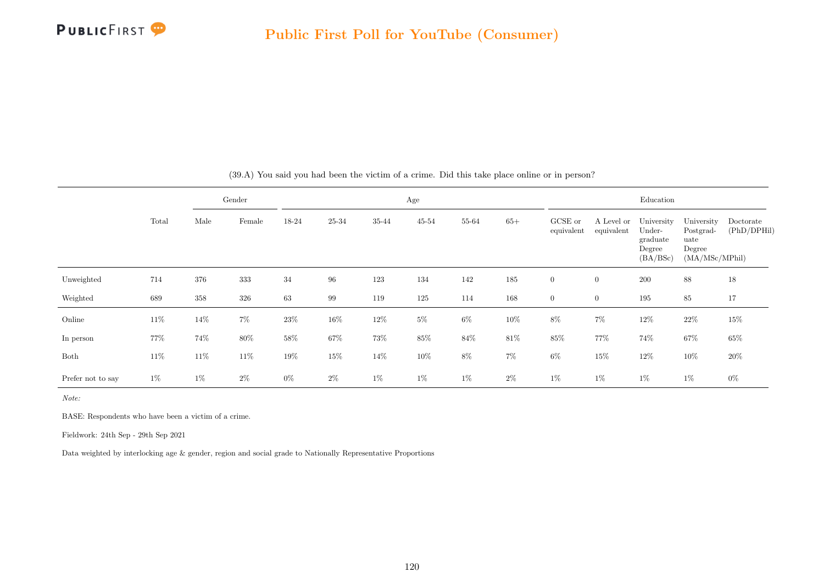

|                   |       |        | Gender |        |        |        | Age       |        |        |                       |                          | Education                                              |                                                             |                          |
|-------------------|-------|--------|--------|--------|--------|--------|-----------|--------|--------|-----------------------|--------------------------|--------------------------------------------------------|-------------------------------------------------------------|--------------------------|
|                   | Total | Male   | Female | 18-24  | 25-34  | 35-44  | $45 - 54$ | 55-64  | $65+$  | GCSE or<br>equivalent | A Level or<br>equivalent | University<br>Under-<br>graduate<br>Degree<br>(BA/BSc) | University<br>Postgrad-<br>uate<br>Degree<br>(MA/MSc/MPhil) | Doctorate<br>(PhD/DPHil) |
| Unweighted        | 714   | 376    | 333    | 34     | 96     | 123    | 134       | 142    | 185    | $\overline{0}$        | $\boldsymbol{0}$         | 200                                                    | 88                                                          | $18\,$                   |
| Weighted          | 689   | 358    | 326    | 63     | 99     | 119    | 125       | 114    | 168    | $\overline{0}$        | $\boldsymbol{0}$         | 195                                                    | 85                                                          | 17                       |
| Online            | 11\%  | $14\%$ | $7\%$  | 23%    | $16\%$ | $12\%$ | $5\%$     | $6\%$  | $10\%$ | $8\%$                 | $7\%$                    | 12\%                                                   | $22\%$                                                      | 15%                      |
| In person         | 77%   | 74%    | $80\%$ | $58\%$ | $67\%$ | $73\%$ | $85\%$    | $84\%$ | $81\%$ | $85\%$                | 77%                      | 74%                                                    | $67\%$                                                      | $65\%$                   |
| Both              | 11\%  | $11\%$ | 11\%   | 19%    | 15%    | 14\%   | 10%       | $8\%$  | $7\%$  | $6\%$                 | $15\%$                   | 12\%                                                   | $10\%$                                                      | 20%                      |
| Prefer not to say | $1\%$ | $1\%$  | $2\%$  | $0\%$  | $2\%$  | $1\%$  | $1\%$     | $1\%$  | $2\%$  | $1\%$                 | $1\%$                    | $1\%$                                                  | 1%                                                          | $0\%$                    |

(39.A) You said you had been the victim of a crime. Did this take place online or in person?

Note:

BASE: Respondents who have been a victim of a crime.

Fieldwork: 24th Sep - 29th Sep 2021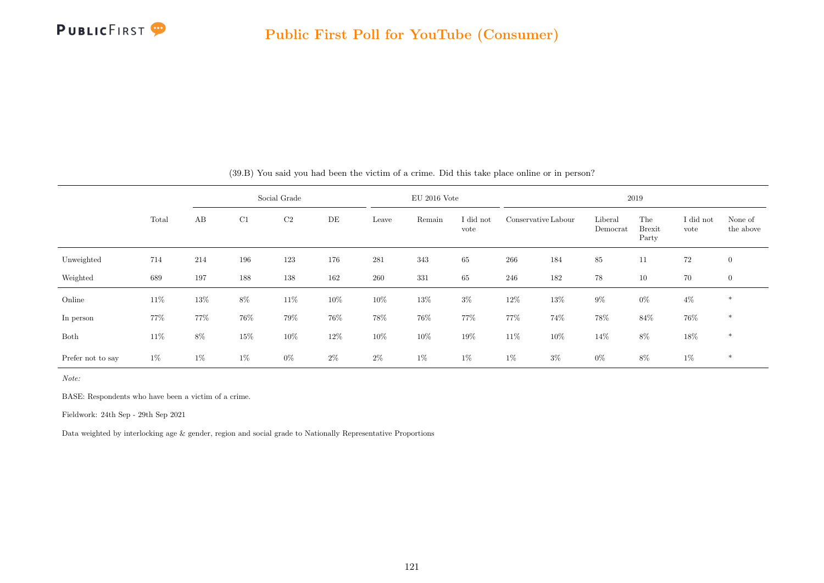

|                   |       |        |        | Social Grade |        |        | $EU$ 2016 Vote |                   |        |                     |                     | 2019                          |                   |                      |
|-------------------|-------|--------|--------|--------------|--------|--------|----------------|-------------------|--------|---------------------|---------------------|-------------------------------|-------------------|----------------------|
|                   | Total | AB     | C1     | $\rm{C2}$    | DE     | Leave  | Remain         | I did not<br>vote |        | Conservative Labour | Liberal<br>Democrat | The<br><b>Brexit</b><br>Party | I did not<br>vote | None of<br>the above |
| Unweighted        | 714   | 214    | 196    | 123          | 176    | 281    | 343            | 65                | 266    | 184                 | $85\,$              | 11                            | 72                | $\boldsymbol{0}$     |
| Weighted          | 689   | 197    | 188    | 138          | 162    | 260    | $331\,$        | 65                | 246    | 182                 | 78                  | 10                            | 70                | $\overline{0}$       |
| Online            | 11\%  | $13\%$ | $8\%$  | 11\%         | $10\%$ | $10\%$ | $13\%$         | $3\%$             | $12\%$ | $13\%$              | $9\%$               | $0\%$                         | $4\%$             | $\ast$               |
| In person         | 77%   | 77%    | 76%    | 79%          | 76%    | $78\%$ | $76\%$         | 77%               | 77%    | 74%                 | 78%                 | 84%                           | 76%               | $\ast$               |
| Both              | 11\%  | $8\%$  | $15\%$ | $10\%$       | 12\%   | $10\%$ | $10\%$         | 19%               | $11\%$ | $10\%$              | 14\%                | $8\%$                         | 18%               | *                    |
| Prefer not to say | $1\%$ | $1\%$  | $1\%$  | $0\%$        | $2\%$  | $2\%$  | $1\%$          | $1\%$             | $1\%$  | $3\%$               | $0\%$               | $8\%$                         | 1%                | $\ast$               |

(39.B) You said you had been the victim of a crime. Did this take place online or in person?

Note:

BASE: Respondents who have been a victim of a crime.

Fieldwork: 24th Sep - 29th Sep 2021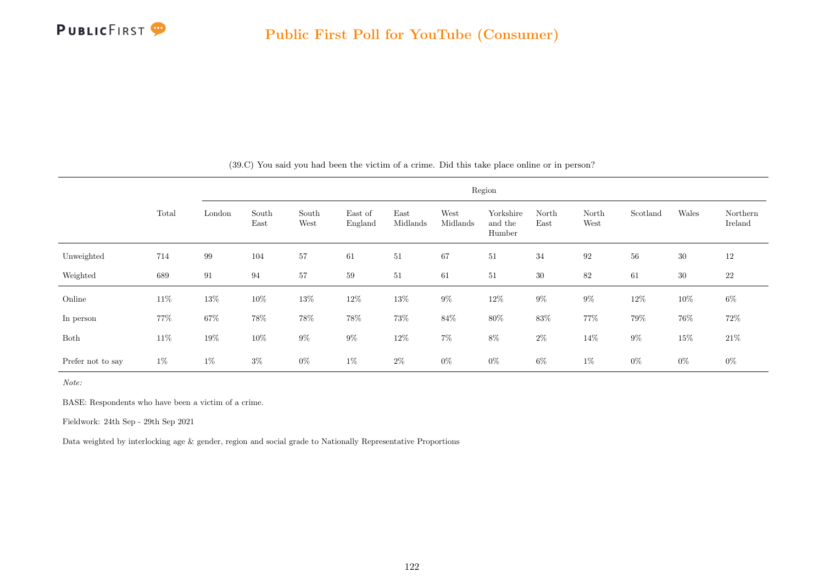

|                   |       |        |               |               |                    |                  |                  | Region                         |               |                   |          |        |                     |
|-------------------|-------|--------|---------------|---------------|--------------------|------------------|------------------|--------------------------------|---------------|-------------------|----------|--------|---------------------|
|                   | Total | London | South<br>East | South<br>West | East of<br>England | East<br>Midlands | West<br>Midlands | Yorkshire<br>and the<br>Humber | North<br>East | North<br>West     | Scotland | Wales  | Northern<br>Ireland |
| Unweighted        | 714   | 99     | 104           | 57            | 61                 | 51               | 67               | 51                             | 34            | $\boldsymbol{92}$ | 56       | $30\,$ | 12                  |
| Weighted          | 689   | 91     | 94            | 57            | 59                 | 51               | 61               | 51                             | 30            | $82\,$            | 61       | $30\,$ | $22\,$              |
| Online            | 11\%  | $13\%$ | $10\%$        | $13\%$        | $12\%$             | $13\%$           | $9\%$            | $12\%$                         | $9\%$         | $9\%$             | $12\%$   | $10\%$ | $6\%$               |
| In person         | 77%   | $67\%$ | 78\%          | $78\%$        | $78\%$             | 73%              | $84\%$           | $80\%$                         | $83\%$        | 77%               | $79\%$   | 76%    | $72\%$              |
| Both              | 11\%  | 19%    | $10\%$        | $9\%$         | $9\%$              | $12\%$           | $7\%$            | $8\%$                          | $2\%$         | 14\%              | $9\%$    | $15\%$ | $21\%$              |
| Prefer not to say | $1\%$ | $1\%$  | $3\%$         | $0\%$         | $1\%$              | $2\%$            | $0\%$            | $0\%$                          | 6%            | $1\%$             | $0\%$    | $0\%$  | $0\%$               |

(39.C) You said you had been the victim of a crime. Did this take place online or in person?

Note:

BASE: Respondents who have been a victim of a crime.

Fieldwork: 24th Sep - 29th Sep 2021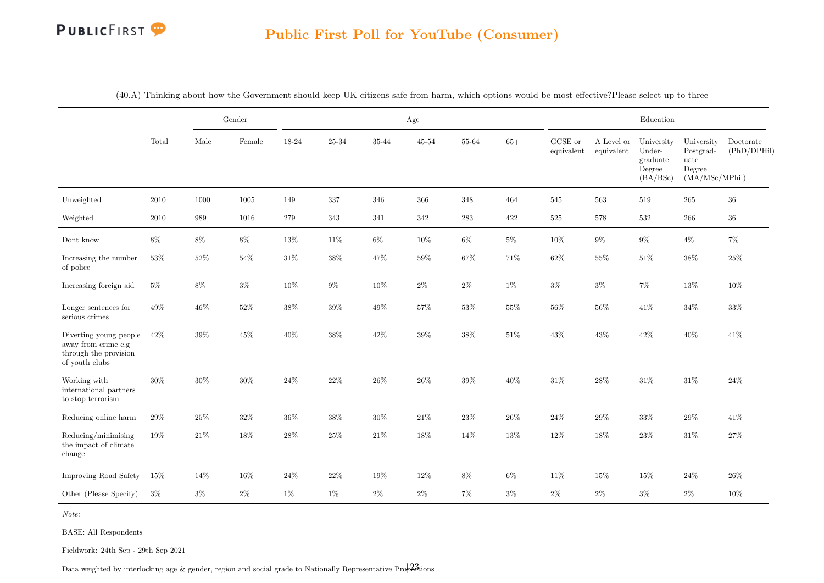### Public First Poll for YouTube (Consumer)

|                                                                                          |          |        | Gender   |        |                |         | Age            |           |         |                       |                          | Education                                              |                                                             |                          |
|------------------------------------------------------------------------------------------|----------|--------|----------|--------|----------------|---------|----------------|-----------|---------|-----------------------|--------------------------|--------------------------------------------------------|-------------------------------------------------------------|--------------------------|
|                                                                                          | Total    | Male   | Female   | 18-24  | $25\hbox{-}34$ | 35-44   | $45\hbox{-}54$ | $55 - 64$ | $65+$   | GCSE or<br>equivalent | A Level or<br>equivalent | University<br>Under-<br>graduate<br>Degree<br>(BA/BSc) | University<br>Postgrad-<br>uate<br>Degree<br>(MA/MSc/MPhil) | Doctorate<br>(PhD/DPHil) |
| Unweighted                                                                               | 2010     | 1000   | $1005\,$ | 149    | 337            | $346\,$ | $366\,$        | 348       | 464     | 545                   | 563                      | $519\,$                                                | 265                                                         | $36\,$                   |
| Weighted                                                                                 | $2010\,$ | 989    | 1016     | 279    | $343\,$        | 341     | $342\,$        | $\bf 283$ | $422\,$ | $525\,$               | 578                      | 532                                                    | $266\,$                                                     | $36\,$                   |
| Dont know                                                                                | $8\%$    | $8\%$  | $8\%$    | $13\%$ | $11\%$         | $6\%$   | $10\%$         | $6\%$     | $5\%$   | $10\%$                | $9\%$                    | $9\%$                                                  | $4\%$                                                       | $7\%$                    |
| Increasing the number<br>of police                                                       | $53\%$   | $52\%$ | $54\%$   | $31\%$ | $38\%$         | 47%     | $59\%$         | $67\%$    | 71%     | $62\%$                | 55%                      | $51\%$                                                 | $38\%$                                                      | $25\%$                   |
| Increasing foreign aid                                                                   | $5\%$    | $8\%$  | $3\%$    | $10\%$ | $9\%$          | $10\%$  | $2\%$          | $2\%$     | $1\%$   | $3\%$                 | $3\%$                    | $7\%$                                                  | $13\%$                                                      | 10%                      |
| Longer sentences for<br>serious crimes                                                   | $49\%$   | 46\%   | $52\%$   | $38\%$ | $39\%$         | $49\%$  | $57\%$         | $53\%$    | $55\%$  | $56\%$                | 56%                      | $41\%$                                                 | $34\%$                                                      | $33\%$                   |
| Diverting young people<br>away from crime e.g<br>through the provision<br>of youth clubs | 42\%     | 39%    | $45\%$   | $40\%$ | $38\%$         | $42\%$  | $39\%$         | $38\%$    | $51\%$  | $43\%$                | $43\%$                   | $42\%$                                                 | $40\%$                                                      | 41\%                     |
| Working with<br>international partners<br>to stop terrorism                              | $30\%$   | $30\%$ | $30\%$   | $24\%$ | $22\%$         | $26\%$  | $26\%$         | $39\%$    | $40\%$  | $31\%$                | $28\%$                   | $31\%$                                                 | $31\%$                                                      | $24\%$                   |
| Reducing online harm                                                                     | 29%      | $25\%$ | $32\%$   | $36\%$ | $38\%$         | $30\%$  | $21\%$         | $23\%$    | $26\%$  | $24\%$                | $29\%$                   | $33\%$                                                 | $29\%$                                                      | 41%                      |
| Reducing/minimising<br>the impact of climate<br>change                                   | 19%      | 21\%   | $18\%$   | 28%    | $25\%$         | $21\%$  | 18%            | 14%       | $13\%$  | 12%                   | 18%                      | 23%                                                    | 31%                                                         | $27\%$                   |
| Improving Road Safety                                                                    | $15\%$   | 14%    | $16\%$   | $24\%$ | $22\%$         | $19\%$  | $12\%$         | $8\%$     | $6\%$   | $11\%$                | 15%                      | $15\%$                                                 | $24\%$                                                      | 26%                      |
| Other (Please Specify)                                                                   | $3\%$    | $3\%$  | $2\%$    | $1\%$  | $1\%$          | $2\%$   | $2\%$          | $7\%$     | $3\%$   | $2\%$                 | $2\%$                    | $3\%$                                                  | $2\%$                                                       | 10%                      |

(40.A) Thinking about how the Government should keep UK citizens safe from harm, which options would be most effective?Please select up to three

Note:

BASE: All Respondents

Fieldwork: 24th Sep - 29th Sep 2021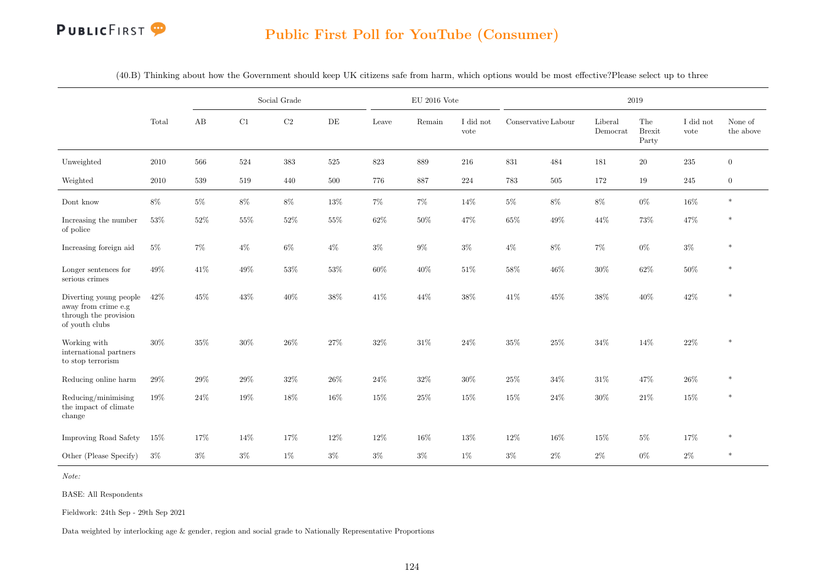### Public First Poll for YouTube (Consumer)

|                                                                                          |        |        |        | Social Grade |        |        | $EU$ 2016 Vote |                   |                     |         |                     | 2019                          |                   |                      |
|------------------------------------------------------------------------------------------|--------|--------|--------|--------------|--------|--------|----------------|-------------------|---------------------|---------|---------------------|-------------------------------|-------------------|----------------------|
|                                                                                          | Total  | AB     | C1     | $\rm C2$     | DE     | Leave  | Remain         | I did not<br>vote | Conservative Labour |         | Liberal<br>Democrat | The<br><b>Brexit</b><br>Party | I did not<br>vote | None of<br>the above |
| Unweighted                                                                               | 2010   | 566    | 524    | 383          | 525    | 823    | 889            | 216               | 831                 | 484     | 181                 | $20\,$                        | 235               | $\theta$             |
| Weighted                                                                                 | 2010   | 539    | 519    | 440          | 500    | 776    | 887            | 224               | 783                 | $505\,$ | 172                 | 19                            | 245               | $\boldsymbol{0}$     |
| Dont know                                                                                | $8\%$  | $5\%$  | $8\%$  | $8\%$        | $13\%$ | $7\%$  | $7\%$          | 14%               | $5\%$               | $8\%$   | $8\%$               | $0\%$                         | $16\%$            | $\ast$               |
| Increasing the number<br>$% \left\vert \cdot \right\rangle _{0}$ of police               | $53\%$ | $52\%$ | $55\%$ | $52\%$       | $55\%$ | $62\%$ | $50\%$         | 47%               | $65\%$              | $49\%$  | 44%                 | $73\%$                        | $47\%$            | $\ast$               |
| Increasing foreign aid                                                                   | $5\%$  | $7\%$  | $4\%$  | $6\%$        | $4\%$  | $3\%$  | $9\%$          | $3\%$             | $4\%$               | $8\%$   | 7%                  | $0\%$                         | $3\%$             | $\ast$               |
| Longer sentences for<br>serious crimes                                                   | $49\%$ | $41\%$ | $49\%$ | $53\%$       | $53\%$ | $60\%$ | $40\%$         | $51\%$            | $58\%$              | $46\%$  | $30\%$              | $62\%$                        | $50\%$            | $\ast$               |
| Diverting young people<br>away from crime e.g<br>through the provision<br>of youth clubs | 42\%   | $45\%$ | $43\%$ | $40\%$       | $38\%$ | 41\%   | 44\%           | $38\%$            | $41\%$              | $45\%$  | 38%                 | $40\%$                        | $42\%$            | $\ast$               |
| Working with<br>international partners<br>to stop terrorism                              | $30\%$ | $35\%$ | $30\%$ | $26\%$       | $27\%$ | $32\%$ | $31\%$         | $24\%$            | $35\%$              | $25\%$  | $34\%$              | 14%                           | $22\%$            | $\ast$               |
| Reducing online harm                                                                     | $29\%$ | $29\%$ | $29\%$ | $32\%$       | $26\%$ | $24\%$ | $32\%$         | $30\%$            | $25\%$              | $34\%$  | $31\%$              | $47\%$                        | $26\%$            | $\ast$               |
| Reducing/minimising<br>the impact of climate<br>change                                   | 19%    | 24\%   | 19%    | 18%          | 16%    | 15%    | 25%            | 15%               | 15%                 | 24\%    | 30%                 | $21\%$                        | 15%               | $\ast$               |
| Improving Road Safety                                                                    | $15\%$ | 17%    | 14%    | 17%          | 12%    | 12%    | 16%            | 13%               | 12%                 | $16\%$  | 15%                 | $5\%$                         | 17%               | $\ast$               |
| Other (Please Specify)                                                                   | $3\%$  | $3\%$  | $3\%$  | $1\%$        | $3\%$  | $3\%$  | $3\%$          | $1\%$             | $3\%$               | $2\%$   | $2\%$               | $0\%$                         | $2\%$             | $\ast$               |

(40.B) Thinking about how the Government should keep UK citizens safe from harm, which options would be most effective?Please select up to three

Note:

BASE: All Respondents

Fieldwork: 24th Sep - 29th Sep 2021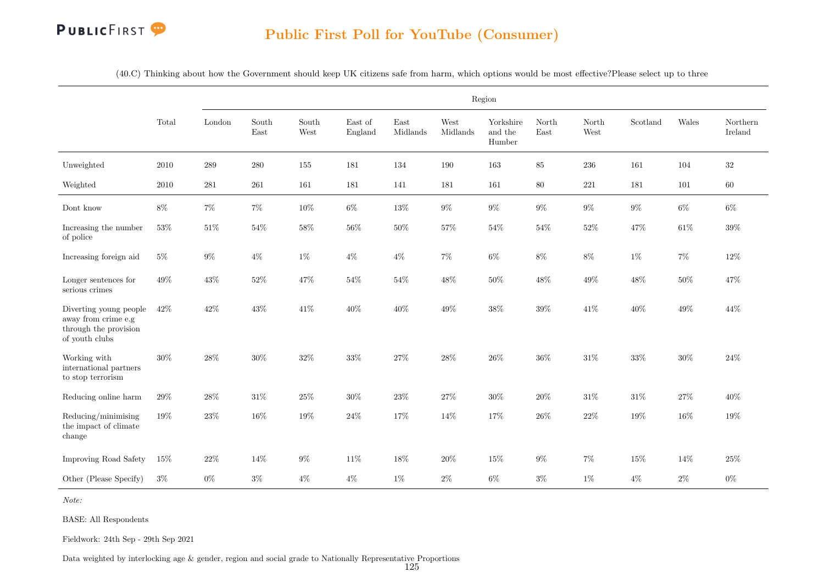(40.C) Thinking about how the Government should keep UK citizens safe from harm, which options would be most effective?Please select up to three

|                                                                                          |          |           |               |               |                    |                  |                  | Region                         |               |               |          |        |                     |
|------------------------------------------------------------------------------------------|----------|-----------|---------------|---------------|--------------------|------------------|------------------|--------------------------------|---------------|---------------|----------|--------|---------------------|
|                                                                                          | Total    | London    | South<br>East | South<br>West | East of<br>England | East<br>Midlands | West<br>Midlands | Yorkshire<br>and the<br>Humber | North<br>East | North<br>West | Scotland | Wales  | Northern<br>Ireland |
| Unweighted                                                                               | $2010\,$ | 289       | 280           | 155           | 181                | 134              | 190              | 163                            | 85            | $\,236$       | 161      | 104    | $32\,$              |
| Weighted                                                                                 | $2010\,$ | $\bf 281$ | $261\,$       | 161           | 181                | 141              | 181              | 161                            | $80\,$        | $221\,$       | 181      | 101    | $60\,$              |
| Dont know                                                                                | $8\%$    | $7\%$     | $7\%$         | $10\%$        | $6\%$              | $13\%$           | $9\%$            | $9\%$                          | $9\%$         | $9\%$         | $9\%$    | $6\%$  | $6\%$               |
| Increasing the number<br>of police                                                       | $53\%$   | $51\%$    | $54\%$        | $58\%$        | $56\%$             | $50\%$           | $57\%$           | $54\%$                         | $54\%$        | $52\%$        | 47%      | $61\%$ | $39\%$              |
| Increasing foreign aid                                                                   | $5\%$    | $9\%$     | $4\%$         | $1\%$         | $4\%$              | $4\%$            | $7\%$            | $6\%$                          | $8\%$         | $8\%$         | $1\%$    | $7\%$  | $12\%$              |
| Longer sentences for<br>serious crimes                                                   | $49\%$   | $43\%$    | $52\%$        | $47\%$        | $54\%$             | $54\%$           | $48\%$           | $50\%$                         | 48%           | $49\%$        | 48%      | $50\%$ | 47%                 |
| Diverting young people<br>away from crime e.g<br>through the provision<br>of youth clubs | 42\%     | $42\%$    | $43\%$        | $41\%$        | $40\%$             | $40\%$           | $49\%$           | $38\%$                         | $39\%$        | 41\%          | 40%      | $49\%$ | 44\%                |
| Working with<br>international partners<br>to stop terrorism                              | $30\%$   | $28\%$    | $30\%$        | $32\%$        | $33\%$             | $27\%$           | 28%              | $26\%$                         | 36%           | $31\%$        | $33\%$   | $30\%$ | $24\%$              |
| Reducing online harm                                                                     | $29\%$   | $28\%$    | $31\%$        | $25\%$        | $30\%$             | $23\%$           | $27\%$           | $30\%$                         | $20\%$        | $31\%$        | 31%      | $27\%$ | 40%                 |
| Reducing/minimising<br>the impact of climate<br>change                                   | 19%      | $23\%$    | 16%           | 19%           | $24\%$             | 17%              | 14%              | 17%                            | 26%           | $22\%$        | 19%      | 16%    | 19%                 |
| Improving Road Safety                                                                    | 15%      | $22\%$    | 14%           | $9\%$         | $11\%$             | 18%              | $20\%$           | $15\%$                         | $9\%$         | $7\%$         | 15%      | $14\%$ | $25\%$              |
| Other (Please Specify)                                                                   | $3\%$    | $0\%$     | $3\%$         | $4\%$         | $4\%$              | $1\%$            | $2\%$            | $6\%$                          | $3\%$         | $1\%$         | $4\%$    | $2\%$  | $0\%$               |

Note:

BASE: All Respondents

Fieldwork: 24th Sep - 29th Sep 2021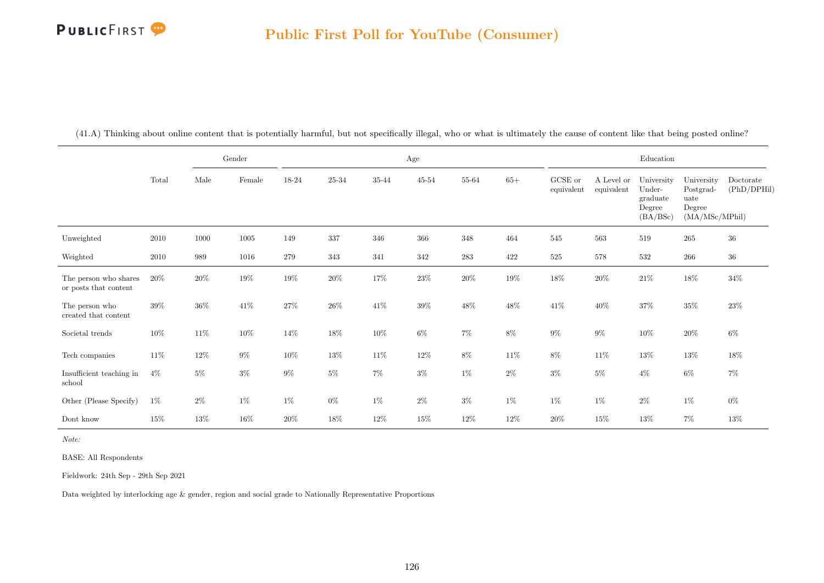|                                                |          |        | Gender   |        |           |         | $\rm Age$ |         |        |                       |                          | Education                                              |                                                                              |                          |
|------------------------------------------------|----------|--------|----------|--------|-----------|---------|-----------|---------|--------|-----------------------|--------------------------|--------------------------------------------------------|------------------------------------------------------------------------------|--------------------------|
|                                                | Total    | Male   | Female   | 18-24  | $25 - 34$ | 35-44   | $45 - 54$ | 55-64   | $65+$  | GCSE or<br>equivalent | A Level or<br>equivalent | University<br>Under-<br>graduate<br>Degree<br>(BA/BSc) | University<br>$\operatorname{Postgrad-}$<br>uate<br>Degree<br>(MA/MSc/MPhil) | Doctorate<br>(PhD/DPHil) |
| Unweighted                                     | $2010\,$ | 1000   | $1005\,$ | 149    | 337       | $346\,$ | 366       | $348\,$ | 464    | $545\,$               | 563                      | 519                                                    | 265                                                                          | $36\,$                   |
| Weighted                                       | 2010     | 989    | 1016     | 279    | 343       | 341     | 342       | $\,283$ | 422    | $525\,$               | 578                      | 532                                                    | 266                                                                          | $36\,$                   |
| The person who shares<br>or posts that content | 20%      | $20\%$ | $19\%$   | $19\%$ | $20\%$    | $17\%$  | $23\%$    | $20\%$  | $19\%$ | $18\%$                | $20\%$                   | $21\%$                                                 | $18\%$                                                                       | $34\%$                   |
| The person who<br>created that content         | $39\%$   | $36\%$ | $41\%$   | $27\%$ | $26\%$    | $41\%$  | $39\%$    | 48\%    | $48\%$ | 41\%                  | $40\%$                   | $37\%$                                                 | $35\%$                                                                       | $23\%$                   |
| Societal trends                                | $10\%$   | 11\%   | $10\%$   | 14\%   | 18%       | $10\%$  | $6\%$     | $7\%$   | 8%     | $9\%$                 | $9\%$                    | $10\%$                                                 | $20\%$                                                                       | $6\%$                    |
| Tech companies                                 | 11\%     | $12\%$ | $9\%$    | $10\%$ | $13\%$    | $11\%$  | 12\%      | $8\%$   | 11\%   | $8\%$                 | $11\%$                   | $13\%$                                                 | $13\%$                                                                       | $18\%$                   |
| Insufficient teaching in<br>school             | $4\%$    | $5\%$  | $3\%$    | $9\%$  | $5\%$     | $7\%$   | $3\%$     | 1%      | $2\%$  | $3\%$                 | $5\%$                    | $4\%$                                                  | $6\%$                                                                        | $7\%$                    |
| Other (Please Specify)                         | $1\%$    | $2\%$  | $1\%$    | $1\%$  | $0\%$     | $1\%$   | $2\%$     | $3\%$   | $1\%$  | $1\%$                 | $1\%$                    | $2\%$                                                  | $1\%$                                                                        | $0\%$                    |
| Dont know                                      | $15\%$   | $13\%$ | $16\%$   | $20\%$ | 18%       | $12\%$  | $15\%$    | $12\%$  | $12\%$ | $20\%$                | $15\%$                   | 13%                                                    | $7\%$                                                                        | $13\%$                   |

(41.A) Thinking about online content that is potentially harmful, but not specifically illegal, who or what is ultimately the cause of content like that being posted online?

Note:

BASE: All Respondents

Fieldwork: 24th Sep - 29th Sep 2021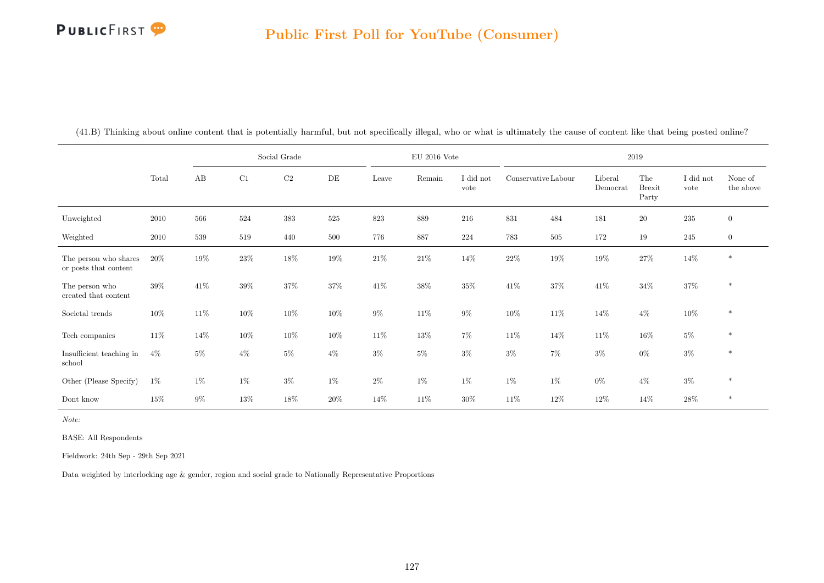|                                                |        |       |        | Social Grade |       |        | $\mathrm{EU}$ 2016 Vote |                   |                     |        |                     | 2019                          |                   |                      |
|------------------------------------------------|--------|-------|--------|--------------|-------|--------|-------------------------|-------------------|---------------------|--------|---------------------|-------------------------------|-------------------|----------------------|
|                                                | Total  | AB    | C1     | $\rm C2$     | DE    | Leave  | Remain                  | I did not<br>vote | Conservative Labour |        | Liberal<br>Democrat | The<br><b>Brexit</b><br>Party | I did not<br>vote | None of<br>the above |
| Unweighted                                     | 2010   | 566   | 524    | 383          | 525   | 823    | $889\,$                 | 216               | 831                 | 484    | 181                 | $20\,$                        | 235               | $\overline{0}$       |
| Weighted                                       | 2010   | 539   | 519    | 440          | 500   | 776    | 887                     | $224\,$           | 783                 | 505    | 172                 | 19                            | 245               | $\boldsymbol{0}$     |
| The person who shares<br>or posts that content | 20%    | 19%   | $23\%$ | 18%          | 19%   | $21\%$ | $21\%$                  | 14%               | $22\%$              | 19%    | $19\%$              | $27\%$                        | $14\%$            | $\ast$               |
| The person who<br>created that content         | $39\%$ | 41\%  | $39\%$ | $37\%$       | 37%   | $41\%$ | $38\%$                  | 35%               | $41\%$              | $37\%$ | 41\%                | $34\%$                        | $37\%$            | $\ast$               |
| Societal trends                                | $10\%$ | 11\%  | 10%    | $10\%$       | 10%   | $9\%$  | 11\%                    | $9\%$             | $10\%$              | $11\%$ | 14%                 | $4\%$                         | $10\%$            | $\ast$               |
| Tech companies                                 | 11\%   | 14%   | 10%    | $10\%$       | 10%   | $11\%$ | $13\%$                  | 7%                | $11\%$              | 14%    | 11\%                | 16%                           | $5\%$             | $\ast$               |
| Insufficient teaching in<br>school             | $4\%$  | $5\%$ | $4\%$  | $5\%$        | $4\%$ | $3\%$  | $5\%$                   | $3\%$             | $3\%$               | $7\%$  | $3\%$               | $0\%$                         | $3\%$             | $\ast$               |
| Other (Please Specify)                         | $1\%$  | $1\%$ | $1\%$  | $3\%$        | $1\%$ | $2\%$  | $1\%$                   | $1\%$             | $1\%$               | $1\%$  | $0\%$               | $4\%$                         | $3\%$             | $\ast$               |
| Dont know                                      | $15\%$ | $9\%$ | 13%    | 18%          | 20%   | 14%    | $11\%$                  | 30%               | $11\%$              | 12%    | 12%                 | 14\%                          | $28\%$            | $\ast$               |

(41.B) Thinking about online content that is potentially harmful, but not specifically illegal, who or what is ultimately the cause of content like that being posted online?

Note:

BASE: All Respondents

Fieldwork: 24th Sep - 29th Sep 2021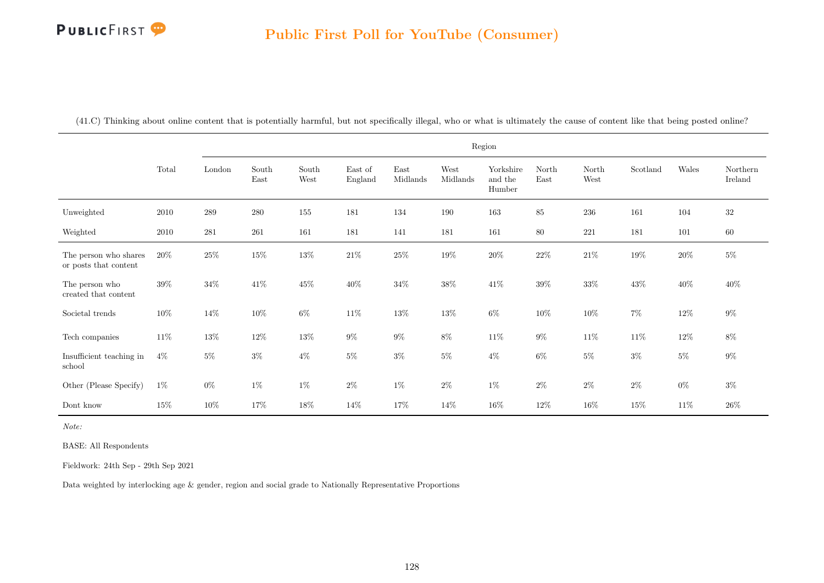(41.C) Thinking about online content that is potentially harmful, but not specifically illegal, who or what is ultimately the cause of content like that being posted online?

|                                                |        |         |               |               |                    |                  |                  | Region                         |               |               |          |        |                     |
|------------------------------------------------|--------|---------|---------------|---------------|--------------------|------------------|------------------|--------------------------------|---------------|---------------|----------|--------|---------------------|
|                                                | Total  | London  | South<br>East | South<br>West | East of<br>England | East<br>Midlands | West<br>Midlands | Yorkshire<br>and the<br>Humber | North<br>East | North<br>West | Scotland | Wales  | Northern<br>Ireland |
| Unweighted                                     | 2010   | 289     | $280\,$       | 155           | 181                | 134              | 190              | 163                            | 85            | 236           | 161      | 104    | $32\,$              |
| Weighted                                       | 2010   | $281\,$ | 261           | 161           | 181                | 141              | 181              | 161                            | $80\,$        | 221           | 181      | 101    | $60\,$              |
| The person who shares<br>or posts that content | $20\%$ | $25\%$  | $15\%$        | $13\%$        | $21\%$             | $25\%$           | $19\%$           | $20\%$                         | $22\%$        | $21\%$        | $19\%$   | $20\%$ | $5\%$               |
| The person who<br>created that content         | 39%    | $34\%$  | 41\%          | $45\%$        | $40\%$             | $34\%$           | $38\%$           | $41\%$                         | $39\%$        | $33\%$        | $43\%$   | $40\%$ | $40\%$              |
| Societal trends                                | $10\%$ | 14%     | $10\%$        | $6\%$         | $11\%$             | $13\%$           | $13\%$           | $6\%$                          | $10\%$        | $10\%$        | $7\%$    | $12\%$ | $9\%$               |
| Tech companies                                 | $11\%$ | $13\%$  | $12\%$        | $13\%$        | $9\%$              | $9\%$            | $8\%$            | $11\%$                         | $9\%$         | $11\%$        | $11\%$   | $12\%$ | $8\%$               |
| Insufficient teaching in<br>school             | $4\%$  | $5\%$   | $3\%$         | $4\%$         | $5\%$              | $3\%$            | $5\%$            | $4\%$                          | $6\%$         | $5\%$         | $3\%$    | $5\%$  | $9\%$               |
| Other (Please Specify)                         | $1\%$  | $0\%$   | $1\%$         | $1\%$         | $2\%$              | $1\%$            | $2\%$            | $1\%$                          | $2\%$         | $2\%$         | $2\%$    | $0\%$  | $3\%$               |
| Dont know                                      | $15\%$ | $10\%$  | 17%           | $18\%$        | 14%                | $17\%$           | 14%              | $16\%$                         | $12\%$        | 16%           | $15\%$   | 11\%   | $26\%$              |

Note:

BASE: All Respondents

Fieldwork: 24th Sep - 29th Sep 2021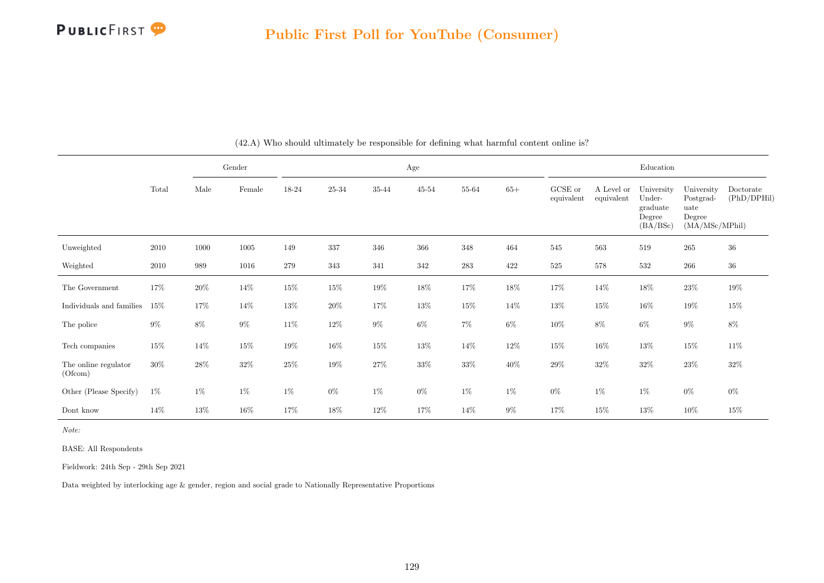

|                                 |        |        | Gender |        |        |        | Age    |           |        |                       |                          | Education                                              |                                                             |                          |
|---------------------------------|--------|--------|--------|--------|--------|--------|--------|-----------|--------|-----------------------|--------------------------|--------------------------------------------------------|-------------------------------------------------------------|--------------------------|
|                                 | Total  | Male   | Female | 18-24  | 25-34  | 35-44  | 45-54  | 55-64     | $65+$  | GCSE or<br>equivalent | A Level or<br>equivalent | University<br>Under-<br>graduate<br>Degree<br>(BA/BSc) | University<br>Postgrad-<br>uate<br>Degree<br>(MA/MSc/MPhil) | Doctorate<br>(PhD/DPHil) |
| Unweighted                      | 2010   | 1000   | 1005   | 149    | 337    | 346    | 366    | 348       | 464    | 545                   | 563                      | 519                                                    | $265\,$                                                     | $36\,$                   |
| Weighted                        | 2010   | 989    | 1016   | 279    | 343    | 341    | 342    | $\bf 283$ | 422    | $525\,$               | 578                      | 532                                                    | $266\,$                                                     | $36\,$                   |
| The Government                  | 17%    | $20\%$ | $14\%$ | $15\%$ | $15\%$ | 19%    | 18%    | 17%       | $18\%$ | 17%                   | $14\%$                   | 18%                                                    | $23\%$                                                      | $19\%$                   |
| Individuals and families        | 15%    | 17%    | $14\%$ | $13\%$ | $20\%$ | 17%    | $13\%$ | $15\%$    | $14\%$ | $13\%$                | $15\%$                   | $16\%$                                                 | $19\%$                                                      | 15%                      |
| The police                      | $9\%$  | $8\%$  | $9\%$  | $11\%$ | $12\%$ | $9\%$  | $6\%$  | $7\%$     | $6\%$  | $10\%$                | $8\%$                    | $6\%$                                                  | $9\%$                                                       | $8\%$                    |
| Tech companies                  | $15\%$ | $14\%$ | $15\%$ | $19\%$ | 16%    | 15%    | $13\%$ | 14\%      | $12\%$ | $15\%$                | 16\%                     | $13\%$                                                 | $15\%$                                                      | 11\%                     |
| The online regulator<br>(Ofcom) | $30\%$ | $28\%$ | $32\%$ | $25\%$ | $19\%$ | $27\%$ | $33\%$ | $33\%$    | $40\%$ | $29\%$                | $32\%$                   | $32\%$                                                 | $23\%$                                                      | $32\%$                   |
| Other (Please Specify)          | $1\%$  | $1\%$  | $1\%$  | $1\%$  | $0\%$  | $1\%$  | $0\%$  | $1\%$     | $1\%$  | $0\%$                 | $1\%$                    | $1\%$                                                  | $0\%$                                                       | $0\%$                    |
| Dont know                       | 14%    | 13%    | $16\%$ | 17%    | $18\%$ | $12\%$ | 17%    | 14\%      | $9\%$  | 17%                   | $15\%$                   | 13%                                                    | 10%                                                         | $15\%$                   |

(42.A) Who should ultimately be responsible for defining what harmful content online is?

Note:

BASE: All Respondents

Fieldwork: 24th Sep - 29th Sep 2021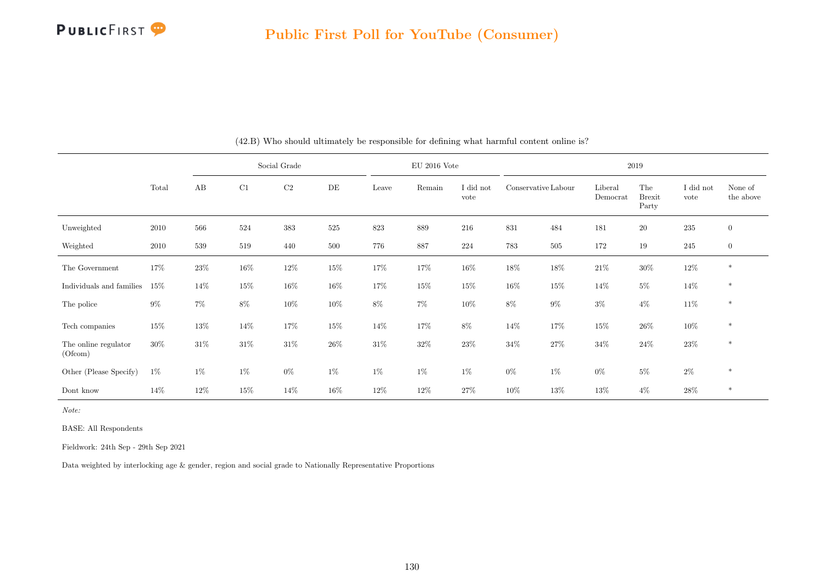

|                                 |        |        |        | Social Grade |        |        | $EU$ 2016 Vote |                   |                     |        |                     | 2019                          |                   |                      |
|---------------------------------|--------|--------|--------|--------------|--------|--------|----------------|-------------------|---------------------|--------|---------------------|-------------------------------|-------------------|----------------------|
|                                 | Total  | AB     | C1     | C2           | DE     | Leave  | Remain         | I did not<br>vote | Conservative Labour |        | Liberal<br>Democrat | The<br><b>Brexit</b><br>Party | I did not<br>vote | None of<br>the above |
| Unweighted                      | 2010   | 566    | 524    | 383          | 525    | 823    | 889            | 216               | 831                 | 484    | 181                 | $20\,$                        | $\bf 235$         | $\overline{0}$       |
| Weighted                        | 2010   | 539    | 519    | 440          | 500    | 776    | 887            | 224               | 783                 | 505    | 172                 | 19                            | 245               | $\overline{0}$       |
| The Government                  | 17%    | $23\%$ | $16\%$ | $12\%$       | $15\%$ | $17\%$ | $17\%$         | $16\%$            | $18\%$              | $18\%$ | $21\%$              | $30\%$                        | $12\%$            | $\ast$               |
| Individuals and families        | 15%    | 14%    | $15\%$ | $16\%$       | $16\%$ | 17%    | $15\%$         | 15%               | $16\%$              | $15\%$ | 14%                 | $5\%$                         | 14%               | $\ast$               |
| The police                      | $9\%$  | $7\%$  | $8\%$  | $10\%$       | $10\%$ | $8\%$  | $7\%$          | $10\%$            | $8\%$               | $9\%$  | $3\%$               | $4\%$                         | 11\%              | $\ast$               |
| Tech companies                  | 15%    | 13%    | 14\%   | 17%          | 15%    | 14\%   | 17%            | 8%                | 14\%                | 17%    | $15\%$              | $26\%$                        | $10\%$            | $\ast$               |
| The online regulator<br>(Ofcom) | $30\%$ | 31\%   | $31\%$ | $31\%$       | 26\%   | $31\%$ | $32\%$         | $23\%$            | $34\%$              | $27\%$ | $34\%$              | $24\%$                        | $23\%$            | $\ast$               |
| Other (Please Specify)          | $1\%$  | $1\%$  | $1\%$  | $0\%$        | $1\%$  | $1\%$  | $1\%$          | $1\%$             | $0\%$               | $1\%$  | $0\%$               | $5\%$                         | $2\%$             | $\ast$               |
| Dont know                       | 14%    | 12%    | $15\%$ | 14\%         | 16%    | 12%    | $12\%$         | 27\%              | $10\%$              | 13%    | 13%                 | $4\%$                         | $28\%$            | $\ast$               |

(42.B) Who should ultimately be responsible for defining what harmful content online is?

Note:

BASE: All Respondents

Fieldwork: 24th Sep - 29th Sep 2021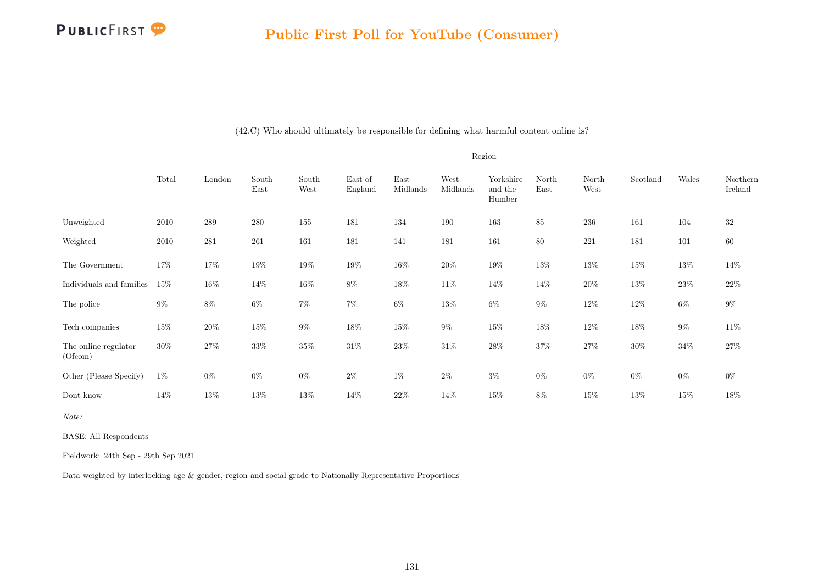

|                                 |        |        |               |               |                    |                  |                  | Region                         |               |               |          |        |                     |
|---------------------------------|--------|--------|---------------|---------------|--------------------|------------------|------------------|--------------------------------|---------------|---------------|----------|--------|---------------------|
|                                 | Total  | London | South<br>East | South<br>West | East of<br>England | East<br>Midlands | West<br>Midlands | Yorkshire<br>and the<br>Humber | North<br>East | North<br>West | Scotland | Wales  | Northern<br>Ireland |
| Unweighted                      | 2010   | 289    | 280           | 155           | 181                | 134              | 190              | 163                            | 85            | $\,236$       | 161      | 104    | $32\,$              |
| Weighted                        | 2010   | 281    | 261           | 161           | 181                | 141              | 181              | 161                            | $80\,$        | $221\,$       | 181      | 101    | $60\,$              |
| The Government                  | 17%    | $17\%$ | $19\%$        | $19\%$        | $19\%$             | $16\%$           | $20\%$           | $19\%$                         | $13\%$        | $13\%$        | $15\%$   | $13\%$ | $14\%$              |
| Individuals and families        | 15%    | $16\%$ | 14\%          | $16\%$        | 8%                 | $18\%$           | $11\%$           | 14%                            | $14\%$        | $20\%$        | $13\%$   | $23\%$ | $22\%$              |
| The police                      | $9\%$  | $8\%$  | $6\%$         | $7\%$         | $7\%$              | $6\%$            | $13\%$           | $6\%$                          | $9\%$         | $12\%$        | $12\%$   | $6\%$  | $9\%$               |
| Tech companies                  | $15\%$ | $20\%$ | $15\%$        | $9\%$         | $18\%$             | $15\%$           | $9\%$            | $15\%$                         | $18\%$        | $12\%$        | $18\%$   | $9\%$  | $11\%$              |
| The online regulator<br>(Ofcom) | $30\%$ | $27\%$ | $33\%$        | $35\%$        | $31\%$             | $23\%$           | $31\%$           | $28\%$                         | $37\%$        | $27\%$        | $30\%$   | $34\%$ | $27\%$              |
| Other (Please Specify)          | $1\%$  | $0\%$  | $0\%$         | $0\%$         | $2\%$              | $1\%$            | $2\%$            | $3\%$                          | $0\%$         | $0\%$         | $0\%$    | $0\%$  | $0\%$               |
| Dont know                       | 14%    | $13\%$ | 13%           | $13\%$        | 14%                | $22\%$           | 14%              | $15\%$                         | $8\%$         | $15\%$        | 13%      | $15\%$ | 18%                 |

(42.C) Who should ultimately be responsible for defining what harmful content online is?

Note:

BASE: All Respondents

Fieldwork: 24th Sep - 29th Sep 2021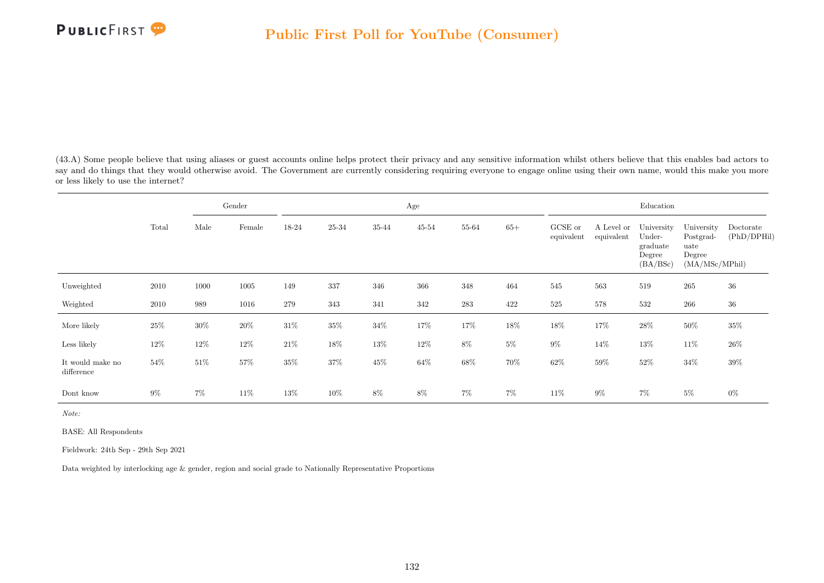

(43.A) Some people believe that using aliases or guest accounts online helps protect their privacy and any sensitive information whilst others believe that this enables bad actors to say and do things that they would otherwise avoid. The Government are currently considering requiring everyone to engage online using their own name, would this make you more or less likely to use the internet?

|                                |        |        | Gender |         |        |        | Age       |           |        |                       |                          | Education                                              |                                                             |                          |
|--------------------------------|--------|--------|--------|---------|--------|--------|-----------|-----------|--------|-----------------------|--------------------------|--------------------------------------------------------|-------------------------------------------------------------|--------------------------|
|                                | Total  | Male   | Female | 18-24   | 25-34  | 35-44  | $45 - 54$ | 55-64     | $65+$  | GCSE or<br>equivalent | A Level or<br>equivalent | University<br>Under-<br>graduate<br>Degree<br>(BA/BSc) | University<br>Postgrad-<br>uate<br>Degree<br>(MA/MSc/MPhil) | Doctorate<br>(PhD/DPHil) |
| Unweighted                     | 2010   | 1000   | 1005   | 149     | 337    | 346    | 366       | 348       | 464    | 545                   | 563                      | 519                                                    | 265                                                         | 36                       |
| Weighted                       | 2010   | 989    | 1016   | $279\,$ | 343    | 341    | 342       | $\bf 283$ | 422    | $525\,$               | 578                      | 532                                                    | $266\,$                                                     | $36\,$                   |
| More likely                    | 25%    | $30\%$ | $20\%$ | $31\%$  | $35\%$ | $34\%$ | 17%       | 17%       | 18%    | $18\%$                | 17%                      | $28\%$                                                 | $50\%$                                                      | $35\%$                   |
| Less likely                    | 12%    | 12%    | 12%    | $21\%$  | 18%    | $13\%$ | $12\%$    | $8\%$     | $5\%$  | $9\%$                 | 14\%                     | 13%                                                    | $11\%$                                                      | $26\%$                   |
| It would make no<br>difference | $54\%$ | $51\%$ | $57\%$ | $35\%$  | $37\%$ | $45\%$ | $64\%$    | $68\%$    | $70\%$ | $62\%$                | $59\%$                   | $52\%$                                                 | $34\%$                                                      | $39\%$                   |
| Dont know                      | $9\%$  | $7\%$  | 11\%   | 13%     | $10\%$ | $8\%$  | 8%        | $7\%$     | $7\%$  | 11\%                  | $9\%$                    | 7%                                                     | $5\%$                                                       | $0\%$                    |

Note:

BASE: All Respondents

Fieldwork: 24th Sep - 29th Sep 2021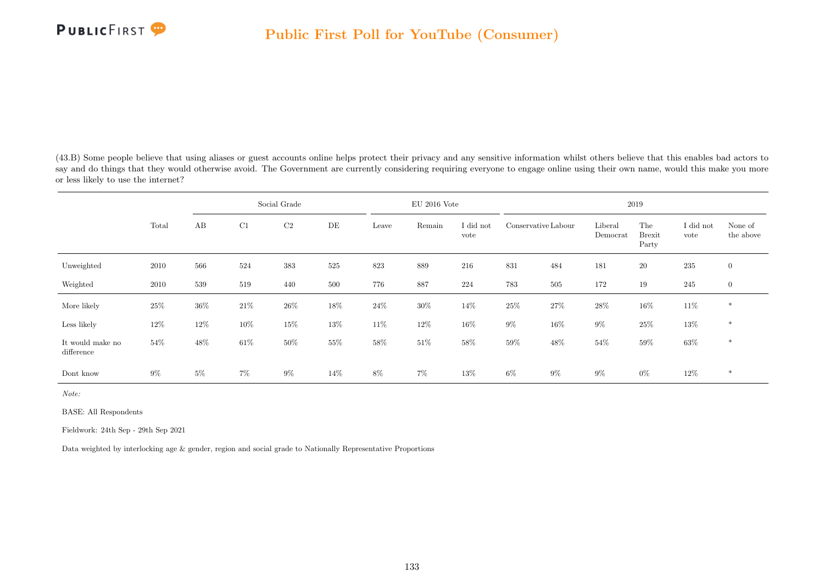

(43.B) Some people believe that using aliases or guest accounts online helps protect their privacy and any sensitive information whilst others believe that this enables bad actors to say and do things that they would otherwise avoid. The Government are currently considering requiring everyone to engage online using their own name, would this make you more or less likely to use the internet?

|                                |        |       |        | Social Grade   |     |        | $EU$ 2016 Vote |                   |                     |        |                     | 2019                          |                   |                      |
|--------------------------------|--------|-------|--------|----------------|-----|--------|----------------|-------------------|---------------------|--------|---------------------|-------------------------------|-------------------|----------------------|
|                                | Total  | AB    | C1     | C <sub>2</sub> | DE  | Leave  | Remain         | I did not<br>vote | Conservative Labour |        | Liberal<br>Democrat | The<br><b>Brexit</b><br>Party | I did not<br>vote | None of<br>the above |
| Unweighted                     | 2010   | 566   | 524    | 383            | 525 | 823    | 889            | 216               | 831                 | 484    | 181                 | <b>20</b>                     | 235               | $\overline{0}$       |
| Weighted                       | 2010   | 539   | 519    | 440            | 500 | 776    | 887            | 224               | 783                 | 505    | 172                 | 19                            | 245               | $\overline{0}$       |
| More likely                    | $25\%$ | 36%   | $21\%$ | $26\%$         | 18% | $24\%$ | $30\%$         | 14%               | $25\%$              | $27\%$ | $28\%$              | $16\%$                        | $11\%$            | $*$                  |
| Less likely                    | $12\%$ | 12%   | $10\%$ | 15%            | 13% | $11\%$ | $12\%$         | 16%               | $9\%$               | 16%    | 9%                  | $25\%$                        | 13%               | $*$                  |
| It would make no<br>difference | $54\%$ | 48%   | $61\%$ | $50\%$         | 55% | $58\%$ | $51\%$         | $58\%$            | $59\%$              | $48\%$ | $54\%$              | $59\%$                        | $63\%$            | $\ast$               |
| Dont know                      | $9\%$  | $5\%$ | $7\%$  | $9\%$          | 14% | 8%     | $7\%$          | 13%               | $6\%$               | $9\%$  | $9\%$               | $0\%$                         | 12%               | $\ast$               |

Note:

BASE: All Respondents

Fieldwork: 24th Sep - 29th Sep 2021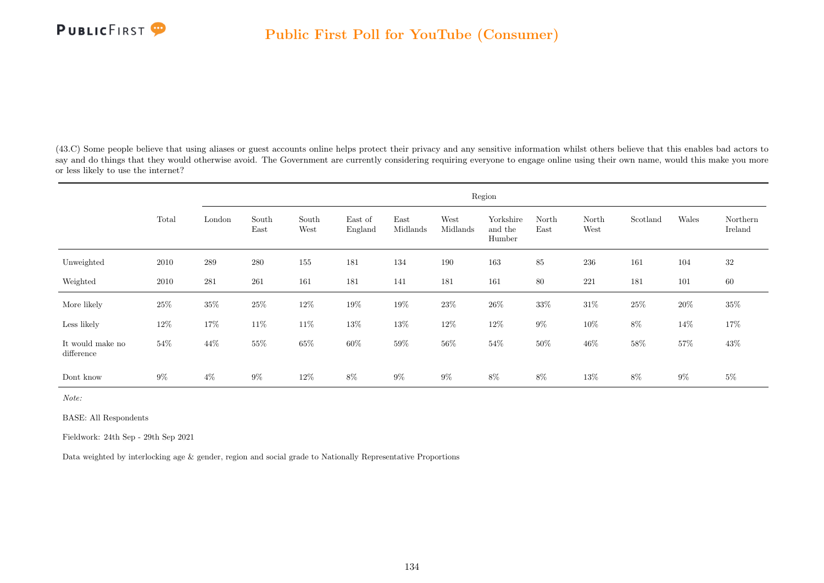

(43.C) Some people believe that using aliases or guest accounts online helps protect their privacy and any sensitive information whilst others believe that this enables bad actors to say and do things that they would otherwise avoid. The Government are currently considering requiring everyone to engage online using their own name, would this make you more or less likely to use the internet?

|                                |        |         |               |               |                    |                  |                  | Region                         |               |               |          |        |                     |
|--------------------------------|--------|---------|---------------|---------------|--------------------|------------------|------------------|--------------------------------|---------------|---------------|----------|--------|---------------------|
|                                | Total  | London  | South<br>East | South<br>West | East of<br>England | East<br>Midlands | West<br>Midlands | Yorkshire<br>and the<br>Humber | North<br>East | North<br>West | Scotland | Wales  | Northern<br>Ireland |
| Unweighted                     | 2010   | $\,289$ | 280           | $155\,$       | 181                | 134              | 190              | 163                            | $85\,$        | $\,236$       | 161      | 104    | 32                  |
| Weighted                       | 2010   | 281     | 261           | 161           | 181                | 141              | 181              | 161                            | 80            | 221           | 181      | 101    | 60                  |
| More likely                    | $25\%$ | $35\%$  | $25\%$        | $12\%$        | 19%                | $19\%$           | $23\%$           | $26\%$                         | 33%           | $31\%$        | 25%      | 20%    | $35\%$              |
| Less likely                    | $12\%$ | $17\%$  | $11\%$        | $11\%$        | $13\%$             | $13\%$           | $12\%$           | $12\%$                         | $9\%$         | $10\%$        | $8\%$    | $14\%$ | 17%                 |
| It would make no<br>difference | 54\%   | $44\%$  | $55\%$        | $65\%$        | $60\%$             | $59\%$           | $56\%$           | $54\%$                         | $50\%$        | $46\%$        | $58\%$   | $57\%$ | $43\%$              |
| Dont know                      | $9\%$  | $4\%$   | $9\%$         | 12\%          | 8%                 | $9\%$            | $9\%$            | 8%                             | 8%            | 13%           | 8%       | $9\%$  | $5\%$               |

Note:

BASE: All Respondents

Fieldwork: 24th Sep - 29th Sep 2021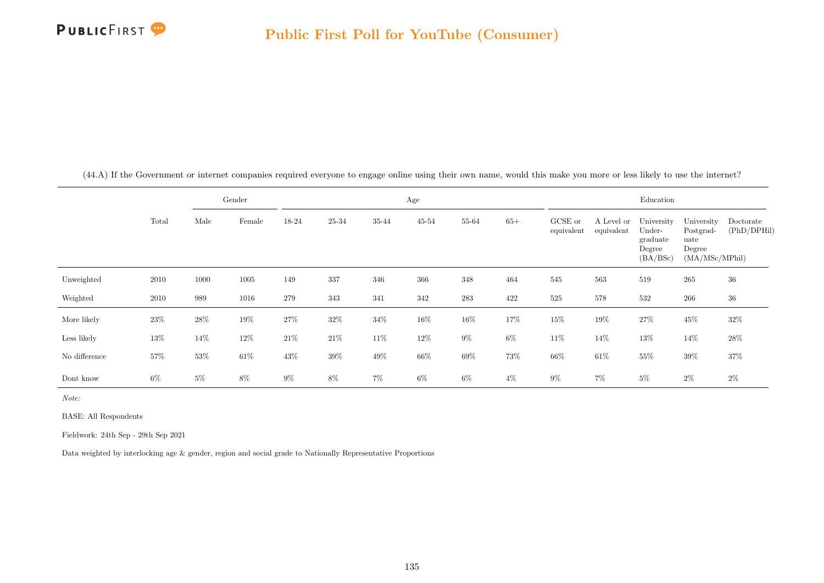

(44.A) If the Government or internet companies required everyone to engage online using their own name, would this make you more or less likely to use the internet?

|               |        |        | Gender |        |        |        | Age       |           |       |                       |                          | Education                                              |                                                             |                          |
|---------------|--------|--------|--------|--------|--------|--------|-----------|-----------|-------|-----------------------|--------------------------|--------------------------------------------------------|-------------------------------------------------------------|--------------------------|
|               | Total  | Male   | Female | 18-24  | 25-34  | 35-44  | $45 - 54$ | 55-64     | $65+$ | GCSE or<br>equivalent | A Level or<br>equivalent | University<br>Under-<br>graduate<br>Degree<br>(BA/BSc) | University<br>Postgrad-<br>uate<br>Degree<br>(MA/MSc/MPhil) | Doctorate<br>(PhD/DPHil) |
| Unweighted    | 2010   | 1000   | 1005   | 149    | 337    | 346    | 366       | 348       | 464   | 545                   | 563                      | 519                                                    | 265                                                         | 36                       |
| Weighted      | 2010   | 989    | 1016   | 279    | 343    | 341    | 342       | $\bf 283$ | 422   | 525                   | 578                      | 532                                                    | $266\,$                                                     | $36\,$                   |
| More likely   | 23\%   | $28\%$ | 19%    | 27%    | $32\%$ | $34\%$ | 16%       | $16\%$    | 17%   | $15\%$                | 19%                      | $27\%$                                                 | $45\%$                                                      | 32%                      |
| Less likely   | $13\%$ | 14\%   | 12\%   | $21\%$ | $21\%$ | 11\%   | $12\%$    | $9\%$     | $6\%$ | 11\%                  | 14%                      | 13%                                                    | $14\%$                                                      | $28\%$                   |
| No difference | 57%    | 53%    | $61\%$ | 43%    | 39%    | $49\%$ | $66\%$    | $69\%$    | 73%   | 66%                   | $61\%$                   | $55\%$                                                 | 39%                                                         | 37%                      |
| Dont know     | $6\%$  | $5\%$  | $8\%$  | $9\%$  | $8\%$  | $7\%$  | $6\%$     | $6\%$     | $4\%$ | $9\%$                 | 7%                       | $5\%$                                                  | $2\%$                                                       | $2\%$                    |

Note:

BASE: All Respondents

Fieldwork: 24th Sep - 29th Sep 2021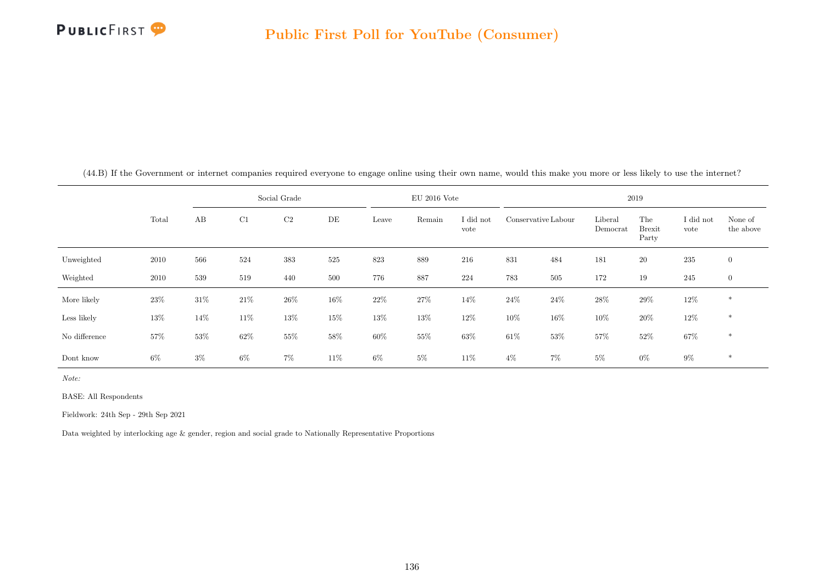

|               |       |        |        | Social Grade   |        |        | $EU$ 2016 Vote |                   |        |                     |                     | 2019                          |                   |                      |
|---------------|-------|--------|--------|----------------|--------|--------|----------------|-------------------|--------|---------------------|---------------------|-------------------------------|-------------------|----------------------|
|               | Total | AB     | C1     | C <sub>2</sub> | DE     | Leave  | Remain         | I did not<br>vote |        | Conservative Labour | Liberal<br>Democrat | The<br><b>Brexit</b><br>Party | I did not<br>vote | None of<br>the above |
| Unweighted    | 2010  | 566    | 524    | $383\,$        | 525    | 823    | 889            | 216               | 831    | 484                 | 181                 | 20                            | 235               | $\overline{0}$       |
| Weighted      | 2010  | 539    | 519    | 440            | 500    | 776    | 887            | 224               | 783    | 505                 | 172                 | 19                            | 245               | $\boldsymbol{0}$     |
| More likely   | 23\%  | 31\%   | $21\%$ | $26\%$         | 16%    | $22\%$ | 27%            | 14%               | $24\%$ | 24%                 | 28\%                | 29%                           | $12\%$            | $\ast$               |
| Less likely   | 13%   | $14\%$ | 11\%   | 13%            | $15\%$ | $13\%$ | 13%            | $12\%$            | $10\%$ | 16%                 | 10%                 | $20\%$                        | $12\%$            | $\ast$               |
| No difference | 57%   | 53%    | $62\%$ | 55%            | 58%    | $60\%$ | $55\%$         | 63%               | $61\%$ | $53\%$              | 57%                 | $52\%$                        | $67\%$            | $\ast$               |
| Dont know     | $6\%$ | $3\%$  | $6\%$  | $7\%$          | 11\%   | $6\%$  | $5\%$          | 11\%              | $4\%$  | $7\%$               | $5\%$               | $0\%$                         | $9\%$             | $\ast$               |

(44.B) If the Government or internet companies required everyone to engage online using their own name, would this make you more or less likely to use the internet?

Note:

BASE: All Respondents

Fieldwork: 24th Sep - 29th Sep 2021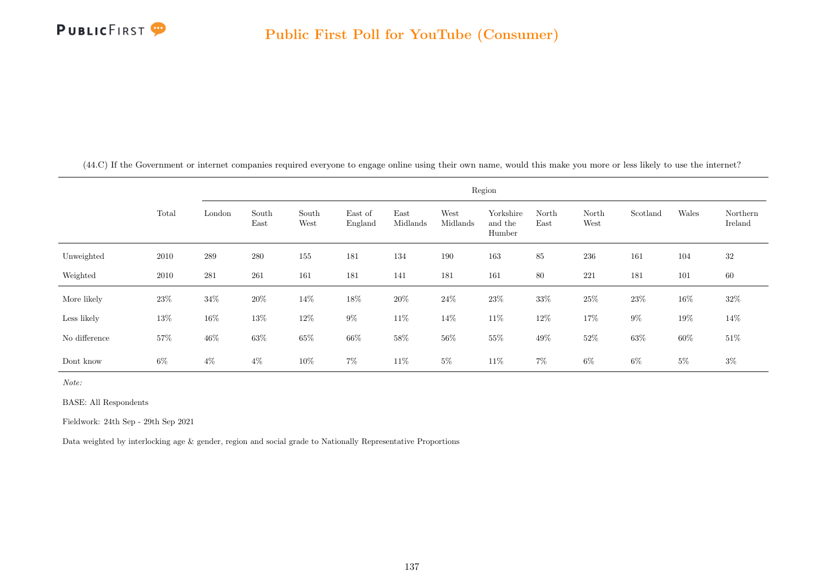

(44.C) If the Government or internet companies required everyone to engage online using their own name, would this make you more or less likely to use the internet?

|               |       |        |               |               |                    |                  |                  | Region                         |               |               |          |        |                     |
|---------------|-------|--------|---------------|---------------|--------------------|------------------|------------------|--------------------------------|---------------|---------------|----------|--------|---------------------|
|               | Total | London | South<br>East | South<br>West | East of<br>England | East<br>Midlands | West<br>Midlands | Yorkshire<br>and the<br>Humber | North<br>East | North<br>West | Scotland | Wales  | Northern<br>Ireland |
| Unweighted    | 2010  | 289    | 280           | 155           | 181                | 134              | 190              | 163                            | 85            | 236           | 161      | 104    | 32                  |
| Weighted      | 2010  | 281    | $261\,$       | 161           | 181                | 141              | 181              | 161                            | $80\,$        | 221           | 181      | 101    | $60\,$              |
| More likely   | 23\%  | $34\%$ | $20\%$        | 14%           | $18\%$             | $20\%$           | $24\%$           | $23\%$                         | $33\%$        | $25\%$        | 23%      | $16\%$ | $32\%$              |
| Less likely   | 13%   | $16\%$ | 13%           | $12\%$        | $9\%$              | $11\%$           | $14\%$           | $11\%$                         | 12%           | $17\%$        | $9\%$    | $19\%$ | 14%                 |
| No difference | 57%   | $46\%$ | $63\%$        | $65\%$        | $66\%$             | $58\%$           | $56\%$           | $55\%$                         | $49\%$        | $52\%$        | 63%      | $60\%$ | $51\%$              |
| Dont know     | 6%    | $4\%$  | $4\%$         | 10%           | $7\%$              | 11\%             | $5\%$            | 11\%                           | $7\%$         | $6\%$         | $6\%$    | $5\%$  | $3\%$               |

Note:

BASE: All Respondents

Fieldwork: 24th Sep - 29th Sep 2021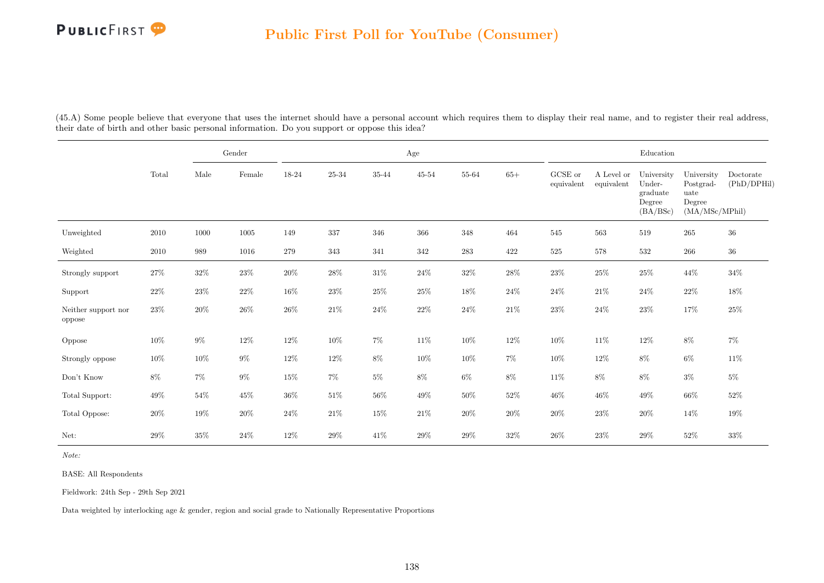

(45.A) Some people believe that everyone that uses the internet should have a personal account which requires them to display their real name, and to register their real address, their date of birth and other basic personal information. Do you support or oppose this idea?

|                               |        |        | Gender          |        |        |        | Age       |           |        |                       |                          | $\operatorname{Education}$                             |                                                             |                          |
|-------------------------------|--------|--------|-----------------|--------|--------|--------|-----------|-----------|--------|-----------------------|--------------------------|--------------------------------------------------------|-------------------------------------------------------------|--------------------------|
|                               | Total  | Male   | $\mbox{Female}$ | 18-24  | 25-34  | 35-44  | $45 - 54$ | 55-64     | $65+$  | GCSE or<br>equivalent | A Level or<br>equivalent | University<br>Under-<br>graduate<br>Degree<br>(BA/BSc) | University<br>Postgrad-<br>uate<br>Degree<br>(MA/MSc/MPhil) | Doctorate<br>(PhD/DPHil) |
| Unweighted                    | 2010   | 1000   | 1005            | 149    | 337    | 346    | 366       | 348       | 464    | 545                   | 563                      | 519                                                    | 265                                                         | $36\,$                   |
| Weighted                      | 2010   | 989    | 1016            | 279    | 343    | 341    | 342       | $\bf 283$ | 422    | $525\,$               | 578                      | 532                                                    | $266\,$                                                     | $36\,$                   |
| Strongly support              | $27\%$ | $32\%$ | $23\%$          | $20\%$ | $28\%$ | $31\%$ | $24\%$    | $32\%$    | $28\%$ | $23\%$                | $25\%$                   | $25\%$                                                 | $44\%$                                                      | $34\%$                   |
| Support                       | $22\%$ | 23\%   | $22\%$          | $16\%$ | 23\%   | $25\%$ | 25%       | 18%       | $24\%$ | $24\%$                | $21\%$                   | $24\%$                                                 | $22\%$                                                      | 18%                      |
| Neither support nor<br>oppose | $23\%$ | $20\%$ | $26\%$          | $26\%$ | $21\%$ | $24\%$ | $22\%$    | $24\%$    | $21\%$ | $23\%$                | $24\%$                   | $23\%$                                                 | 17%                                                         | $25\%$                   |
| Oppose                        | $10\%$ | $9\%$  | $12\%$          | $12\%$ | $10\%$ | $7\%$  | $11\%$    | $10\%$    | $12\%$ | $10\%$                | $11\%$                   | $12\%$                                                 | $8\%$                                                       | $7\%$                    |
| Strongly oppose               | $10\%$ | $10\%$ | $9\%$           | $12\%$ | $12\%$ | $8\%$  | 10%       | $10\%$    | $7\%$  | $10\%$                | $12\%$                   | $8\%$                                                  | $6\%$                                                       | $11\%$                   |
| Don't Know                    | $8\%$  | $7\%$  | $9\%$           | $15\%$ | $7\%$  | $5\%$  | $8\%$     | $6\%$     | $8\%$  | $11\%$                | $8\%$                    | $8\%$                                                  | $3\%$                                                       | $5\%$                    |
| Total Support:                | 49%    | $54\%$ | $45\%$          | $36\%$ | $51\%$ | $56\%$ | $49\%$    | $50\%$    | $52\%$ | $46\%$                | $46\%$                   | $49\%$                                                 | $66\%$                                                      | $52\%$                   |
| Total Oppose:                 | $20\%$ | 19%    | $20\%$          | $24\%$ | $21\%$ | $15\%$ | $21\%$    | $20\%$    | $20\%$ | $20\%$                | $23\%$                   | $20\%$                                                 | $14\%$                                                      | $19\%$                   |
| Net:                          | 29%    | $35\%$ | $24\%$          | 12\%   | $29\%$ | $41\%$ | $29\%$    | $29\%$    | $32\%$ | $26\%$                | $23\%$                   | $29\%$                                                 | $52\%$                                                      | $33\%$                   |

Note:

BASE: All Respondents

Fieldwork: 24th Sep - 29th Sep 2021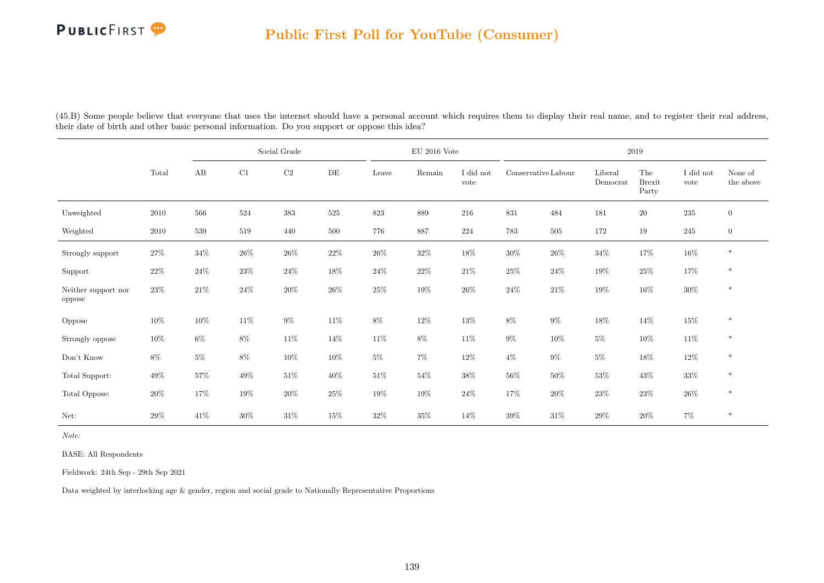(45.B) Some people believe that everyone that uses the internet should have a personal account which requires them to display their real name, and to register their real address, their date of birth and other basic personal information. Do you support or oppose this idea?

|                               |          |        |        | Social Grade |        |         | EU 2016 Vote |                   |                     |        |                     | 2019                          |                   |                      |
|-------------------------------|----------|--------|--------|--------------|--------|---------|--------------|-------------------|---------------------|--------|---------------------|-------------------------------|-------------------|----------------------|
|                               | Total    | AB     | C1     | C2           | DE     | Leave   | Remain       | I did not<br>vote | Conservative Labour |        | Liberal<br>Democrat | The<br><b>Brexit</b><br>Party | I did not<br>vote | None of<br>the above |
| Unweighted                    | $2010\,$ | 566    | 524    | $383\,$      | 525    | $823\,$ | 889          | 216               | $831\,$             | 484    | 181                 | $20\,$                        | $235\,$           | $\overline{0}$       |
| Weighted                      | 2010     | 539    | 519    | 440          | 500    | 776     | 887          | 224               | 783                 | 505    | 172                 | 19                            | 245               | $\overline{0}$       |
| Strongly support              | $27\%$   | $34\%$ | $26\%$ | $26\%$       | 22%    | $26\%$  | $32\%$       | $18\%$            | $30\%$              | $26\%$ | $34\%$              | $17\%$                        | $16\%$            | $\ast$               |
| Support                       | $22\%$   | $24\%$ | $23\%$ | $24\%$       | $18\%$ | $24\%$  | $22\%$       | $21\%$            | $25\%$              | $24\%$ | $19\%$              | $25\%$                        | 17%               | $\ast$               |
| Neither support nor<br>oppose | $23\%$   | $21\%$ | $24\%$ | $20\%$       | $26\%$ | $25\%$  | 19%          | $26\%$            | $24\%$              | $21\%$ | 19%                 | $16\%$                        | $30\%$            | $\ast$               |
| Oppose                        | $10\%$   | $10\%$ | $11\%$ | $9\%$        | $11\%$ | $8\%$   | $12\%$       | $13\%$            | $8\%$               | $9\%$  | 18%                 | $14\%$                        | $15\%$            | $\ast$               |
| Strongly oppose               | $10\%$   | $6\%$  | $8\%$  | $11\%$       | $14\%$ | $11\%$  | $8\%$        | $11\%$            | $9\%$               | $10\%$ | $5\%$               | $10\%$                        | $11\%$            | $\ast$               |
| Don't Know                    | $8\%$    | $5\%$  | $8\%$  | $10\%$       | 10%    | $5\%$   | $7\%$        | $12\%$            | $4\%$               | $9\%$  | $5\%$               | $18\%$                        | $12\%$            | $\ast$               |
| Total Support:                | 49\%     | 57%    | $49\%$ | $51\%$       | $40\%$ | $51\%$  | $54\%$       | 38%               | $56\%$              | $50\%$ | $53\%$              | $43\%$                        | $33\%$            | $\ast$               |
| Total Oppose:                 | $20\%$   | $17\%$ | $19\%$ | $20\%$       | 25%    | $19\%$  | $19\%$       | $24\%$            | $17\%$              | $20\%$ | $23\%$              | $23\%$                        | $26\%$            | $\ast$               |
| Net:                          | 29%      | $41\%$ | $30\%$ | $31\%$       | 15%    | $32\%$  | $35\%$       | $14\%$            | $39\%$              | $31\%$ | 29%                 | $20\%$                        | $7\%$             | $\ast$               |

Note:

BASE: All Respondents

Fieldwork: 24th Sep - 29th Sep 2021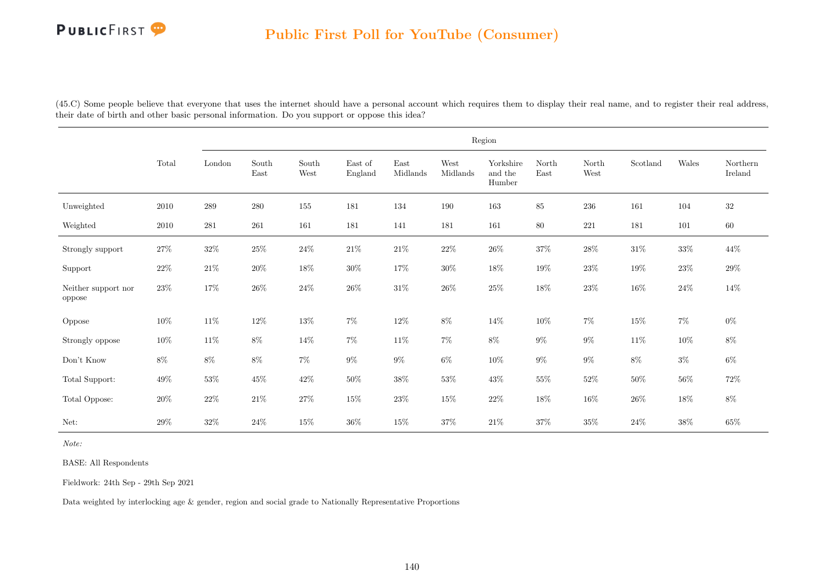(45.C) Some people believe that everyone that uses the internet should have a personal account which requires them to display their real name, and to register their real address, their date of birth and other basic personal information. Do you support or oppose this idea?

|                               |          |           |                                |               |                    |                                   |                  | Region                         |               |               |          |        |                     |
|-------------------------------|----------|-----------|--------------------------------|---------------|--------------------|-----------------------------------|------------------|--------------------------------|---------------|---------------|----------|--------|---------------------|
|                               | Total    | London    | $\operatorname{South}$<br>East | South<br>West | East of<br>England | $\operatorname{East}$<br>Midlands | West<br>Midlands | Yorkshire<br>and the<br>Humber | North<br>East | North<br>West | Scotland | Wales  | Northern<br>Ireland |
| Unweighted                    | 2010     | 289       | 280                            | 155           | $181\,$            | 134                               | $190\,$          | $163\,$                        | 85            | $\,236$       | $161\,$  | 104    | $32\,$              |
| Weighted                      | $2010\,$ | $\bf 281$ | 261                            | 161           | 181                | 141                               | 181              | 161                            | 80            | 221           | 181      | 101    | 60                  |
| Strongly support              | 27%      | $32\%$    | $25\%$                         | $24\%$        | $21\%$             | $21\%$                            | $22\%$           | $26\%$                         | $37\%$        | $28\%$        | $31\%$   | $33\%$ | $44\%$              |
| Support                       | $22\%$   | $21\%$    | $20\%$                         | $18\%$        | $30\%$             | $17\%$                            | $30\%$           | $18\%$                         | $19\%$        | $23\%$        | $19\%$   | $23\%$ | $29\%$              |
| Neither support nor<br>oppose | $23\%$   | $17\%$    | $26\%$                         | $24\%$        | $26\%$             | $31\%$                            | $26\%$           | $25\%$                         | $18\%$        | $23\%$        | $16\%$   | $24\%$ | 14\%                |
| Oppose                        | $10\%$   | $11\%$    | $12\%$                         | $13\%$        | $7\%$              | $12\%$                            | $8\%$            | $14\%$                         | $10\%$        | $7\%$         | $15\%$   | $7\%$  | $0\%$               |
| Strongly oppose               | $10\%$   | $11\%$    | $8\%$                          | $14\%$        | $7\%$              | $11\%$                            | $7\%$            | $8\%$                          | $9\%$         | $9\%$         | $11\%$   | $10\%$ | $8\%$               |
| Don't Know                    | $8\%$    | $8\%$     | $8\%$                          | $7\%$         | $9\%$              | $9\%$                             | $6\%$            | $10\%$                         | $9\%$         | $9\%$         | $8\%$    | $3\%$  | $6\%$               |
| Total Support:                | $49\%$   | $53\%$    | $45\%$                         | $42\%$        | $50\%$             | $38\%$                            | $53\%$           | $43\%$                         | $55\%$        | $52\%$        | $50\%$   | $56\%$ | $72\%$              |
| Total Oppose:                 | $20\%$   | $22\%$    | $21\%$                         | $27\%$        | $15\%$             | $23\%$                            | $15\%$           | $22\%$                         | $18\%$        | $16\%$        | $26\%$   | $18\%$ | $8\%$               |
| Net:                          | 29%      | $32\%$    | $24\%$                         | $15\%$        | $36\%$             | $15\%$                            | $37\%$           | $21\%$                         | 37%           | $35\%$        | $24\%$   | $38\%$ | $65\%$              |

Note:

BASE: All Respondents

Fieldwork: 24th Sep - 29th Sep 2021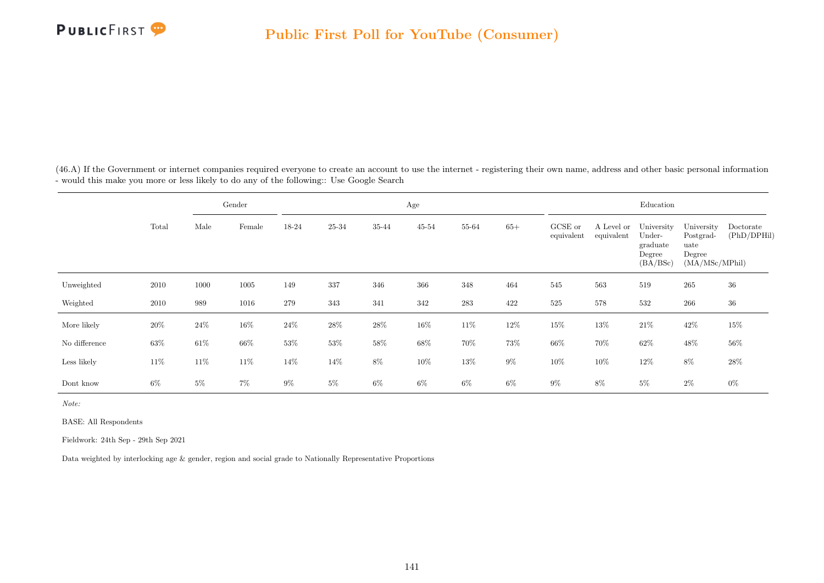

(46.A) If the Government or internet companies required everyone to create an account to use the internet - registering their own name, address and other basic personal information - would this make you more or less likely to do any of the following:: Use Google Search

|               |        |        | Gender |        |           |        | Age    |           |       |                       |                          | Education                                              |                                                             |                          |
|---------------|--------|--------|--------|--------|-----------|--------|--------|-----------|-------|-----------------------|--------------------------|--------------------------------------------------------|-------------------------------------------------------------|--------------------------|
|               | Total  | Male   | Female | 18-24  | $25 - 34$ | 35-44  | 45-54  | 55-64     | $65+$ | GCSE or<br>equivalent | A Level or<br>equivalent | University<br>Under-<br>graduate<br>Degree<br>(BA/BSc) | University<br>Postgrad-<br>uate<br>Degree<br>(MA/MSc/MPhil) | Doctorate<br>(PhD/DPHil) |
| Unweighted    | 2010   | 1000   | 1005   | 149    | 337       | 346    | 366    | 348       | 464   | 545                   | 563                      | 519                                                    | 265                                                         | 36                       |
| Weighted      | 2010   | 989    | 1016   | 279    | 343       | 341    | 342    | $\bf 283$ | 422   | $525\,$               | 578                      | 532                                                    | 266                                                         | $36\,$                   |
| More likely   | $20\%$ | $24\%$ | $16\%$ | 24\%   | $28\%$    | $28\%$ | 16%    | 11\%      | 12\%  | $15\%$                | $13\%$                   | $21\%$                                                 | 42\%                                                        | 15%                      |
| No difference | 63%    | $61\%$ | $66\%$ | $53\%$ | $53\%$    | $58\%$ | $68\%$ | 70%       | 73%   | $66\%$                | 70%                      | $62\%$                                                 | 48\%                                                        | 56%                      |
| Less likely   | $11\%$ | 11\%   | 11\%   | 14%    | 14%       | $8\%$  | 10%    | $13\%$    | $9\%$ | 10%                   | $10\%$                   | 12\%                                                   | $8\%$                                                       | $28\%$                   |
| Dont know     | $6\%$  | $5\%$  | $7\%$  | $9\%$  | $5\%$     | $6\%$  | $6\%$  | $6\%$     | $6\%$ | $9\%$                 | $8\%$                    | $5\%$                                                  | $2\%$                                                       | $0\%$                    |

Note:

BASE: All Respondents

Fieldwork: 24th Sep - 29th Sep 2021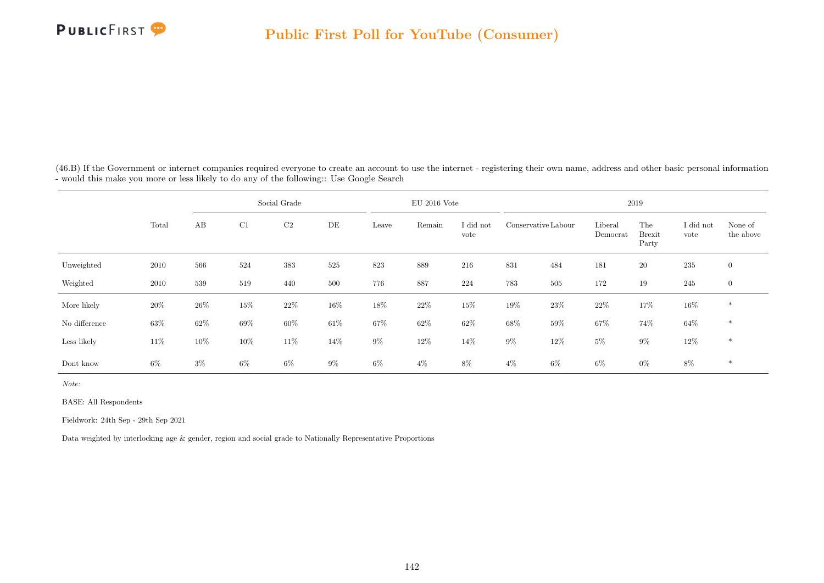

(46.B) If the Government or internet companies required everyone to create an account to use the internet - registering their own name, address and other basic personal information - would this make you more or less likely to do any of the following:: Use Google Search

|               |       |       |        | Social Grade   |       |       | $EU$ 2016 Vote |                   |                     |        |                     | 2019                          |                   |                      |
|---------------|-------|-------|--------|----------------|-------|-------|----------------|-------------------|---------------------|--------|---------------------|-------------------------------|-------------------|----------------------|
|               | Total | AB    | C1     | C <sub>2</sub> | DE    | Leave | Remain         | I did not<br>vote | Conservative Labour |        | Liberal<br>Democrat | The<br><b>Brexit</b><br>Party | I did not<br>vote | None of<br>the above |
| Unweighted    | 2010  | 566   | 524    | 383            | 525   | 823   | 889            | 216               | 831                 | 484    | 181                 | $20\,$                        | 235               | $\overline{0}$       |
| Weighted      | 2010  | 539   | 519    | 440            | 500   | 776   | 887            | 224               | 783                 | 505    | 172                 | 19                            | 245               | $\overline{0}$       |
| More likely   | 20%   | 26%   | $15\%$ | 22%            | 16%   | 18%   | $22\%$         | 15%               | $19\%$              | $23\%$ | $22\%$              | 17%                           | $16\%$            | $*$                  |
| No difference | 63%   | 62%   | 69%    | $60\%$         | 61\%  | 67%   | $62\%$         | $62\%$            | $68\%$              | $59\%$ | $67\%$              | 74\%                          | $64\%$            | $*$                  |
| Less likely   | 11\%  | 10%   | $10\%$ | $11\%$         | 14%   | $9\%$ | $12\%$         | 14\%              | $9\%$               | 12%    | $5\%$               | $9\%$                         | $12\%$            | $*$                  |
| Dont know     | $6\%$ | $3\%$ | $6\%$  | $6\%$          | $9\%$ | $6\%$ | $4\%$          | $8\%$             | $4\%$               | $6\%$  | $6\%$               | $0\%$                         | $8\%$             | $\ast$               |

Note:

BASE: All Respondents

Fieldwork: 24th Sep - 29th Sep 2021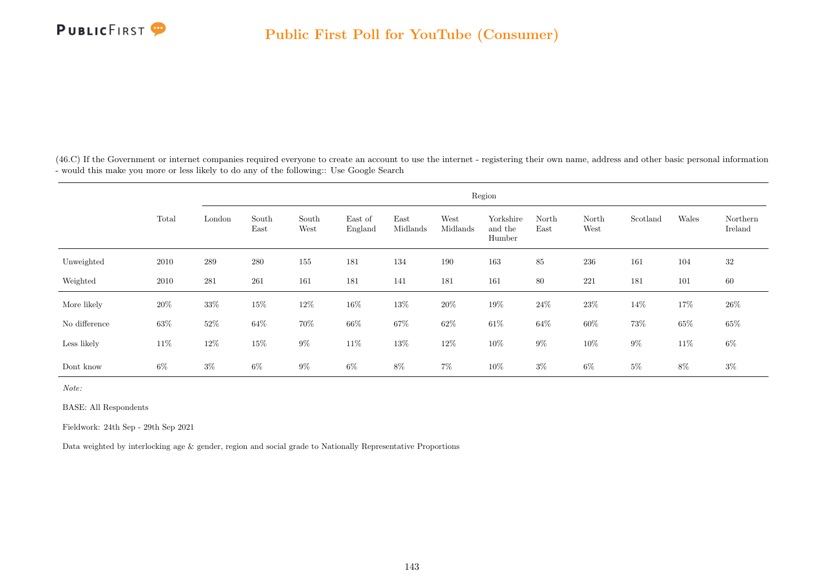

(46.C) If the Government or internet companies required everyone to create an account to use the internet - registering their own name, address and other basic personal information - would this make you more or less likely to do any of the following:: Use Google Search

|               |        |        |               |               |                    |                  |                  | Region                         |               |               |          |        |                     |
|---------------|--------|--------|---------------|---------------|--------------------|------------------|------------------|--------------------------------|---------------|---------------|----------|--------|---------------------|
|               | Total  | London | South<br>East | South<br>West | East of<br>England | East<br>Midlands | West<br>Midlands | Yorkshire<br>and the<br>Humber | North<br>East | North<br>West | Scotland | Wales  | Northern<br>Ireland |
| Unweighted    | 2010   | 289    | 280           | 155           | 181                | 134              | 190              | 163                            | 85            | 236           | 161      | 104    | 32                  |
| Weighted      | 2010   | 281    | 261           | 161           | 181                | 141              | 181              | 161                            | 80            | 221           | 181      | 101    | 60                  |
| More likely   | $20\%$ | $33\%$ | 15%           | $12\%$        | $16\%$             | $13\%$           | $20\%$           | $19\%$                         | 24\%          | $23\%$        | 14%      | $17\%$ | $26\%$              |
| No difference | $63\%$ | $52\%$ | $64\%$        | $70\%$        | $66\%$             | $67\%$           | $62\%$           | $61\%$                         | $64\%$        | $60\%$        | $73\%$   | $65\%$ | $65\%$              |
| Less likely   | $11\%$ | $12\%$ | 15%           | $9\%$         | $11\%$             | $13\%$           | $12\%$           | $10\%$                         | $9\%$         | $10\%$        | $9\%$    | $11\%$ | $6\%$               |
| Dont know     | $6\%$  | $3\%$  | $6\%$         | $9\%$         | $6\%$              | $8\%$            | $7\%$            | $10\%$                         | $3\%$         | $6\%$         | $5\%$    | $8\%$  | $3\%$               |

Note:

BASE: All Respondents

Fieldwork: 24th Sep - 29th Sep 2021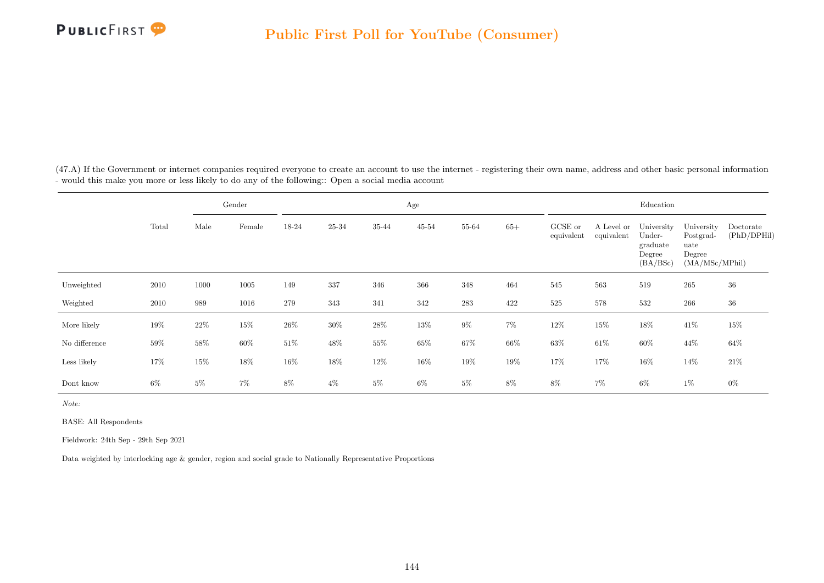

(47.A) If the Government or internet companies required everyone to create an account to use the internet - registering their own name, address and other basic personal information - would this make you more or less likely to do any of the following:: Open a social media account

|               |       |        | Gender |        |        |        | Age       |           |        |                       |                          | Education                                              |                                                             |                          |
|---------------|-------|--------|--------|--------|--------|--------|-----------|-----------|--------|-----------------------|--------------------------|--------------------------------------------------------|-------------------------------------------------------------|--------------------------|
|               | Total | Male   | Female | 18-24  | 25-34  | 35-44  | $45 - 54$ | 55-64     | $65+$  | GCSE or<br>equivalent | A Level or<br>equivalent | University<br>Under-<br>graduate<br>Degree<br>(BA/BSc) | University<br>Postgrad-<br>uate<br>Degree<br>(MA/MSc/MPhil) | Doctorate<br>(PhD/DPHil) |
| Unweighted    | 2010  | 1000   | 1005   | 149    | 337    | 346    | 366       | 348       | 464    | 545                   | 563                      | 519                                                    | 265                                                         | 36                       |
| Weighted      | 2010  | 989    | 1016   | 279    | 343    | 341    | 342       | $\bf 283$ | 422    | 525                   | 578                      | 532                                                    | 266                                                         | $36\,$                   |
| More likely   | 19%   | $22\%$ | $15\%$ | $26\%$ | $30\%$ | $28\%$ | 13%       | $9\%$     | $7\%$  | 12\%                  | $15\%$                   | $18\%$                                                 | 41\%                                                        | 15%                      |
| No difference | 59%   | $58\%$ | 60%    | $51\%$ | 48\%   | $55\%$ | $65\%$    | $67\%$    | $66\%$ | $63\%$                | $61\%$                   | $60\%$                                                 | 44\%                                                        | 64%                      |
| Less likely   | 17%   | $15\%$ | $18\%$ | $16\%$ | 18%    | $12\%$ | 16%       | 19%       | 19%    | 17%                   | 17%                      | $16\%$                                                 | 14%                                                         | $21\%$                   |
| Dont know     | $6\%$ | $5\%$  | $7\%$  | $8\%$  | $4\%$  | $5\%$  | $6\%$     | 5%        | 8%     | $8\%$                 | $7\%$                    | $6\%$                                                  | $1\%$                                                       | $0\%$                    |

Note:

BASE: All Respondents

Fieldwork: 24th Sep - 29th Sep 2021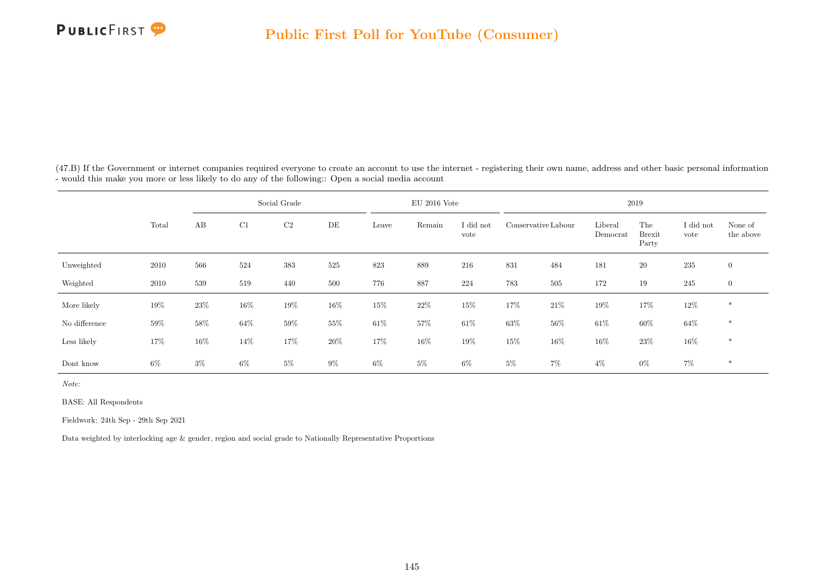

(47.B) If the Government or internet companies required everyone to create an account to use the internet - registering their own name, address and other basic personal information - would this make you more or less likely to do any of the following:: Open a social media account

|               |        |       |        | Social Grade   |       |        | $EU$ 2016 Vote |                   |                     |        |                     | 2019                          |                   |                      |
|---------------|--------|-------|--------|----------------|-------|--------|----------------|-------------------|---------------------|--------|---------------------|-------------------------------|-------------------|----------------------|
|               | Total  | AB    | C1     | C <sub>2</sub> | DE    | Leave  | Remain         | I did not<br>vote | Conservative Labour |        | Liberal<br>Democrat | The<br><b>Brexit</b><br>Party | I did not<br>vote | None of<br>the above |
| Unweighted    | 2010   | 566   | 524    | 383            | 525   | 823    | 889            | 216               | 831                 | 484    | 181                 | $20\,$                        | 235               | $\overline{0}$       |
| Weighted      | 2010   | 539   | 519    | 440            | 500   | 776    | 887            | 224               | 783                 | 505    | 172                 | 19                            | 245               | $\overline{0}$       |
| More likely   | $19\%$ | 23%   | $16\%$ | $19\%$         | 16%   | 15%    | $22\%$         | 15%               | 17%                 | $21\%$ | 19%                 | 17%                           | $12\%$            | $*$                  |
| No difference | 59%    | 58%   | $64\%$ | 59%            | 55%   | $61\%$ | $57\%$         | $61\%$            | $63\%$              | $56\%$ | $61\%$              | $60\%$                        | $64\%$            | $*$                  |
| Less likely   | 17%    | 16%   | 14\%   | 17%            | 20%   | 17%    | $16\%$         | 19%               | $15\%$              | $16\%$ | $16\%$              | 23\%                          | $16\%$            | $*$                  |
| Dont know     | $6\%$  | $3\%$ | $6\%$  | $5\%$          | $9\%$ | $6\%$  | $5\%$          | $6\%$             | $5\%$               | $7\%$  | $4\%$               | $0\%$                         | $7\%$             | $*$                  |

Note:

BASE: All Respondents

Fieldwork: 24th Sep - 29th Sep 2021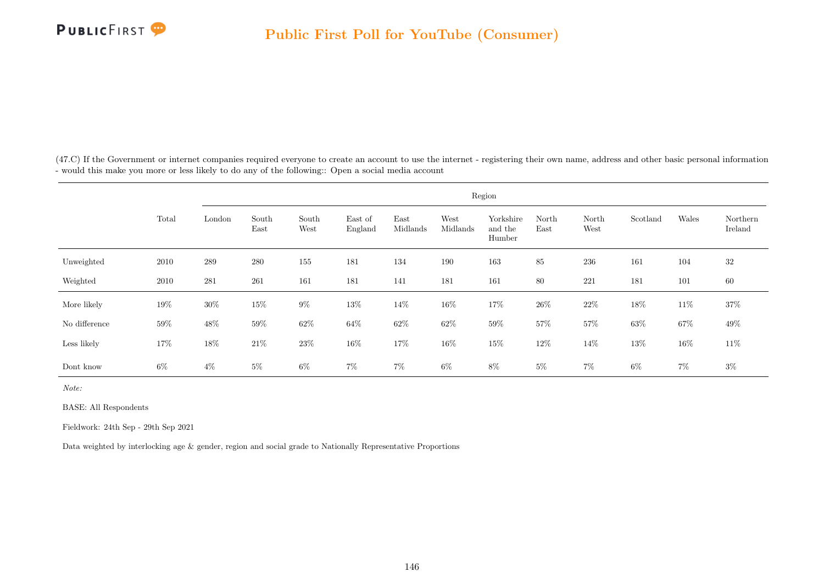

(47.C) If the Government or internet companies required everyone to create an account to use the internet - registering their own name, address and other basic personal information - would this make you more or less likely to do any of the following:: Open a social media account

|               |        |         |               |               |                    |                  |                  | Region                         |               |               |          |        |                     |
|---------------|--------|---------|---------------|---------------|--------------------|------------------|------------------|--------------------------------|---------------|---------------|----------|--------|---------------------|
|               | Total  | London  | South<br>East | South<br>West | East of<br>England | East<br>Midlands | West<br>Midlands | Yorkshire<br>and the<br>Humber | North<br>East | North<br>West | Scotland | Wales  | Northern<br>Ireland |
| Unweighted    | 2010   | $\,289$ | 280           | 155           | 181                | 134              | 190              | 163                            | 85            | 236           | 161      | 104    | $32\,$              |
| Weighted      | 2010   | 281     | 261           | 161           | 181                | 141              | 181              | 161                            | 80            | 221           | 181      | 101    | 60                  |
| More likely   | 19%    | $30\%$  | 15%           | $9\%$         | 13%                | 14\%             | 16%              | 17%                            | $26\%$        | $22\%$        | 18%      | $11\%$ | 37%                 |
| No difference | $59\%$ | $48\%$  | $59\%$        | $62\%$        | $64\%$             | $62\%$           | $62\%$           | $59\%$                         | $57\%$        | $57\%$        | $63\%$   | $67\%$ | $49\%$              |
| Less likely   | 17%    | $18\%$  | $21\%$        | $23\%$        | 16%                | $17\%$           | 16%              | $15\%$                         | $12\%$        | $14\%$        | 13%      | $16\%$ | $11\%$              |
| Dont know     | $6\%$  | $4\%$   | $5\%$         | $6\%$         | $7\%$              | $7\%$            | $6\%$            | 8%                             | $5\%$         | $7\%$         | $6\%$    | $7\%$  | $3\%$               |

Note:

BASE: All Respondents

Fieldwork: 24th Sep - 29th Sep 2021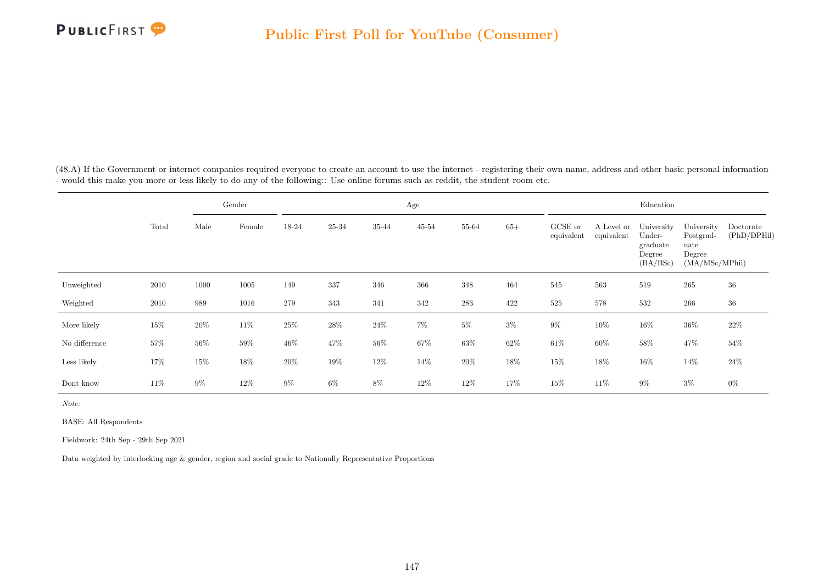

(48.A) If the Government or internet companies required everyone to create an account to use the internet - registering their own name, address and other basic personal information - would this make you more or less likely to do any of the following:: Use online forums such as reddit, the student room etc.

|               |        |        | Gender |        |        |        | Age       |        |        |                       |                          | Education                                              |                                                             |                          |
|---------------|--------|--------|--------|--------|--------|--------|-----------|--------|--------|-----------------------|--------------------------|--------------------------------------------------------|-------------------------------------------------------------|--------------------------|
|               | Total  | Male   | Female | 18-24  | 25-34  | 35-44  | $45 - 54$ | 55-64  | $65+$  | GCSE or<br>equivalent | A Level or<br>equivalent | University<br>Under-<br>graduate<br>Degree<br>(BA/BSc) | University<br>Postgrad-<br>uate<br>Degree<br>(MA/MSc/MPhil) | Doctorate<br>(PhD/DPHil) |
| Unweighted    | 2010   | 1000   | 1005   | 149    | 337    | 346    | 366       | 348    | 464    | 545                   | 563                      | 519                                                    | 265                                                         | 36                       |
| Weighted      | 2010   | 989    | 1016   | 279    | 343    | 341    | 342       | 283    | 422    | 525                   | 578                      | 532                                                    | 266                                                         | $36\,$                   |
| More likely   | 15%    | $20\%$ | $11\%$ | 25%    | $28\%$ | $24\%$ | $7\%$     | $5\%$  | $3\%$  | $9\%$                 | $10\%$                   | $16\%$                                                 | $36\%$                                                      | 22%                      |
| No difference | $57\%$ | $56\%$ | $59\%$ | 46\%   | 47%    | $56\%$ | $67\%$    | $63\%$ | $62\%$ | $61\%$                | $60\%$                   | $58\%$                                                 | 47%                                                         | 54%                      |
| Less likely   | 17%    | $15\%$ | $18\%$ | $20\%$ | 19%    | 12\%   | $14\%$    | $20\%$ | 18%    | 15%                   | 18%                      | $16\%$                                                 | 14\%                                                        | 24%                      |
| Dont know     | 11\%   | $9\%$  | $12\%$ | $9\%$  | $6\%$  | 8%     | 12%       | 12%    | 17%    | 15%                   | 11%                      | $9\%$                                                  | $3\%$                                                       | $0\%$                    |

Note:

BASE: All Respondents

Fieldwork: 24th Sep - 29th Sep 2021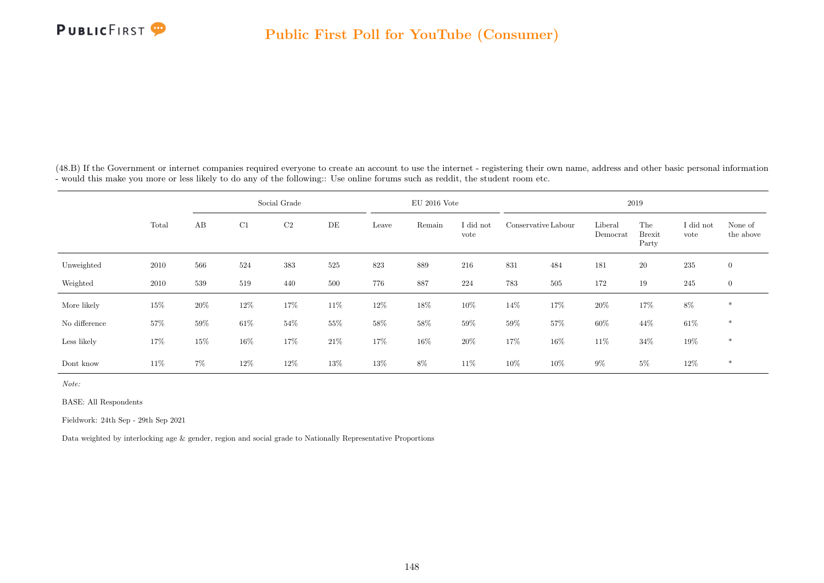

(48.B) If the Government or internet companies required everyone to create an account to use the internet - registering their own name, address and other basic personal information - would this make you more or less likely to do any of the following:: Use online forums such as reddit, the student room etc.

|               |       |       |        | Social Grade   |        |        | $EU$ 2016 Vote |                   |                     |     |                     | 2019                          |                   |                      |
|---------------|-------|-------|--------|----------------|--------|--------|----------------|-------------------|---------------------|-----|---------------------|-------------------------------|-------------------|----------------------|
|               | Total | AB    | C1     | C <sub>2</sub> | DE     | Leave  | Remain         | I did not<br>vote | Conservative Labour |     | Liberal<br>Democrat | The<br><b>Brexit</b><br>Party | I did not<br>vote | None of<br>the above |
| Unweighted    | 2010  | 566   | 524    | 383            | 525    | 823    | 889            | 216               | 831                 | 484 | 181                 | $20\,$                        | 235               | $\overline{0}$       |
| Weighted      | 2010  | 539   | 519    | 440            | 500    | 776    | 887            | 224               | 783                 | 505 | 172                 | 19                            | 245               | $\overline{0}$       |
| More likely   | 15%   | 20%   | $12\%$ | 17%            | $11\%$ | $12\%$ | $18\%$         | 10%               | 14\%                | 17% | $20\%$              | 17%                           | $8\%$             | $\ast$               |
| No difference | 57%   | 59%   | $61\%$ | $54\%$         | 55%    | $58\%$ | $58\%$         | $59\%$            | $59\%$              | 57% | $60\%$              | 44\%                          | $61\%$            | $\ast$               |
| Less likely   | 17%   | 15%   | $16\%$ | 17%            | 21%    | 17%    | $16\%$         | 20%               | 17%                 | 16% | 11\%                | $34\%$                        | $19\%$            | $*$                  |
| Dont know     | 11\%  | $7\%$ | $12\%$ | 12%            | 13%    | $13\%$ | $8\%$          | 11\%              | 10%                 | 10% | $9\%$               | $5\%$                         | $12\%$            | $*$                  |

Note:

BASE: All Respondents

Fieldwork: 24th Sep - 29th Sep 2021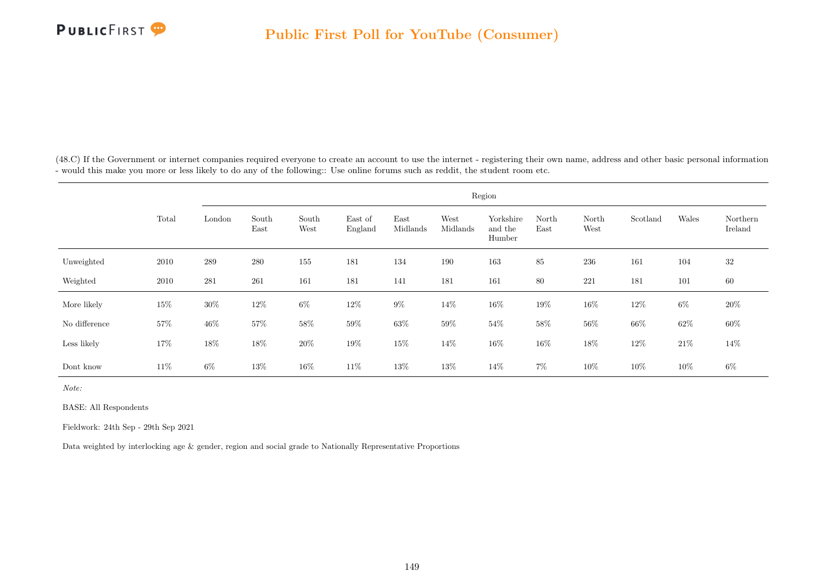

(48.C) If the Government or internet companies required everyone to create an account to use the internet - registering their own name, address and other basic personal information - would this make you more or less likely to do any of the following:: Use online forums such as reddit, the student room etc.

|               |       |         |               |               |                    |                  |                  | Region                         |               |               |          |        |                     |
|---------------|-------|---------|---------------|---------------|--------------------|------------------|------------------|--------------------------------|---------------|---------------|----------|--------|---------------------|
|               | Total | London  | South<br>East | South<br>West | East of<br>England | East<br>Midlands | West<br>Midlands | Yorkshire<br>and the<br>Humber | North<br>East | North<br>West | Scotland | Wales  | Northern<br>Ireland |
| Unweighted    | 2010  | $\,289$ | $280\,$       | 155           | 181                | 134              | 190              | 163                            | 85            | $\,236$       | 161      | 104    | 32                  |
| Weighted      | 2010  | 281     | 261           | 161           | 181                | 141              | 181              | 161                            | 80            | $221\,$       | 181      | 101    | 60                  |
| More likely   | 15%   | $30\%$  | 12\%          | $6\%$         | 12\%               | $9\%$            | $14\%$           | $16\%$                         | 19%           | $16\%$        | 12\%     | $6\%$  | 20%                 |
| No difference | 57%   | $46\%$  | $57\%$        | $58\%$        | $59\%$             | $63\%$           | $59\%$           | $54\%$                         | $58\%$        | $56\%$        | $66\%$   | $62\%$ | $60\%$              |
| Less likely   | 17%   | $18\%$  | $18\%$        | $20\%$        | $19\%$             | $15\%$           | $14\%$           | $16\%$                         | $16\%$        | $18\%$        | 12%      | $21\%$ | $14\%$              |
| Dont know     | 11\%  | $6\%$   | $13\%$        | 16\%          | 11\%               | 13%              | 13%              | 14\%                           | $7\%$         | $10\%$        | 10%      | $10\%$ | $6\%$               |

Note:

BASE: All Respondents

Fieldwork: 24th Sep - 29th Sep 2021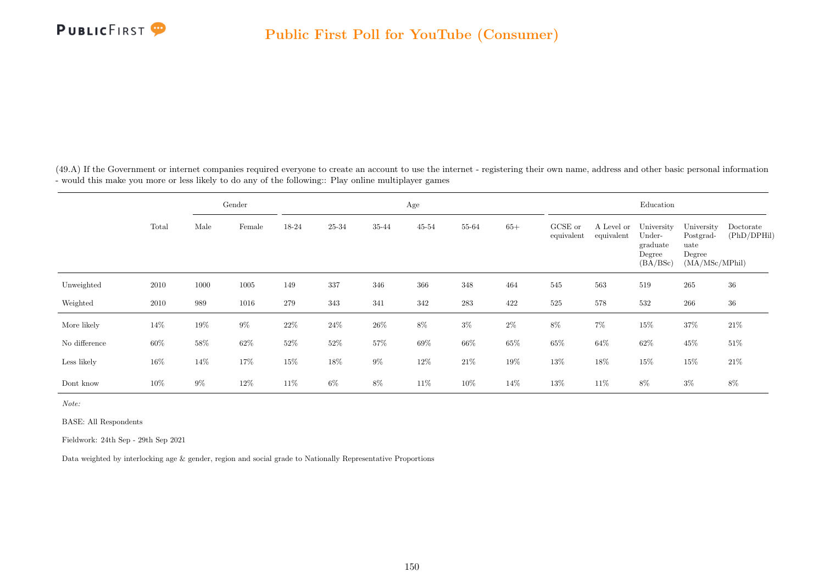

(49.A) If the Government or internet companies required everyone to create an account to use the internet - registering their own name, address and other basic personal information - would this make you more or less likely to do any of the following:: Play online multiplayer games

|               |        |       | Gender |        |        |        | Age       |        |        |                       |                          | Education                                              |                                                             |                          |
|---------------|--------|-------|--------|--------|--------|--------|-----------|--------|--------|-----------------------|--------------------------|--------------------------------------------------------|-------------------------------------------------------------|--------------------------|
|               | Total  | Male  | Female | 18-24  | 25-34  | 35-44  | $45 - 54$ | 55-64  | $65+$  | GCSE or<br>equivalent | A Level or<br>equivalent | University<br>Under-<br>graduate<br>Degree<br>(BA/BSc) | University<br>Postgrad-<br>uate<br>Degree<br>(MA/MSc/MPhil) | Doctorate<br>(PhD/DPHil) |
| Unweighted    | 2010   | 1000  | 1005   | 149    | 337    | 346    | 366       | 348    | 464    | 545                   | 563                      | 519                                                    | 265                                                         | 36                       |
| Weighted      | 2010   | 989   | 1016   | 279    | 343    | 341    | 342       | 283    | 422    | 525                   | 578                      | 532                                                    | 266                                                         | $36\,$                   |
| More likely   | 14\%   | 19%   | $9\%$  | $22\%$ | $24\%$ | $26\%$ | $8\%$     | $3\%$  | $2\%$  | $8\%$                 | $7\%$                    | $15\%$                                                 | $37\%$                                                      | 21\%                     |
| No difference | $60\%$ | 58%   | $62\%$ | $52\%$ | 52%    | 57%    | 69%       | 66%    | $65\%$ | $65\%$                | $64\%$                   | $62\%$                                                 | $45\%$                                                      | 51%                      |
| Less likely   | $16\%$ | 14\%  | 17%    | 15%    | 18%    | $9\%$  | 12\%      | $21\%$ | 19%    | $13\%$                | 18%                      | $15\%$                                                 | $15\%$                                                      | $21\%$                   |
| Dont know     | 10%    | $9\%$ | $12\%$ | 11\%   | $6\%$  | 8%     | 11%       | 10%    | $14\%$ | 13%                   | 11%                      | 8%                                                     | $3\%$                                                       | 8%                       |

Note:

BASE: All Respondents

Fieldwork: 24th Sep - 29th Sep 2021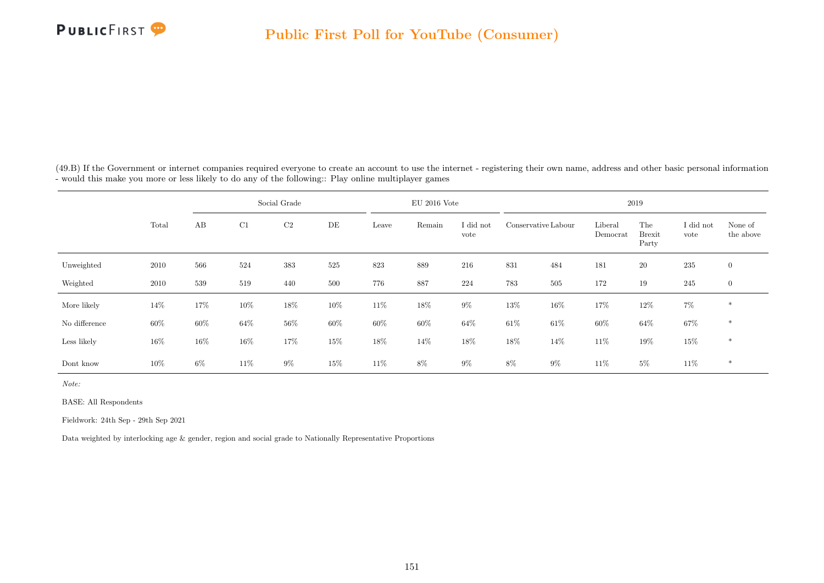

(49.B) If the Government or internet companies required everyone to create an account to use the internet - registering their own name, address and other basic personal information - would this make you more or less likely to do any of the following:: Play online multiplayer games

|               |        |       |        | Social Grade   |     |        | $EU$ 2016 Vote |                   |                     |        |                     | 2019                          |                   |                      |
|---------------|--------|-------|--------|----------------|-----|--------|----------------|-------------------|---------------------|--------|---------------------|-------------------------------|-------------------|----------------------|
|               | Total  | AB    | C1     | C <sub>2</sub> | DE  | Leave  | Remain         | I did not<br>vote | Conservative Labour |        | Liberal<br>Democrat | The<br><b>Brexit</b><br>Party | I did not<br>vote | None of<br>the above |
| Unweighted    | 2010   | 566   | 524    | 383            | 525 | 823    | 889            | 216               | 831                 | 484    | 181                 | $20\,$                        | 235               | $\overline{0}$       |
| Weighted      | 2010   | 539   | 519    | 440            | 500 | 776    | 887            | 224               | 783                 | 505    | 172                 | 19                            | 245               | $\overline{0}$       |
| More likely   | 14%    | 17%   | $10\%$ | 18%            | 10% | 11\%   | 18%            | $9\%$             | 13%                 | $16\%$ | 17%                 | $12\%$                        | $7\%$             | $*$                  |
| No difference | 60%    | 60%   | $64\%$ | $56\%$         | 60% | $60\%$ | 60%            | 64\%              | $61\%$              | $61\%$ | $60\%$              | $64\%$                        | 67%               | $*$                  |
| Less likely   | $16\%$ | 16%   | $16\%$ | 17%            | 15% | 18%    | 14%            | 18%               | 18%                 | 14%    | 11%                 | 19%                           | 15%               | $\ast$               |
| Dont know     | 10%    | $6\%$ | 11\%   | $9\%$          | 15% | 11%    | 8%             | $9\%$             | $8\%$               | $9\%$  | 11\%                | $5\%$                         | $11\%$            | $*$                  |

Note:

BASE: All Respondents

Fieldwork: 24th Sep - 29th Sep 2021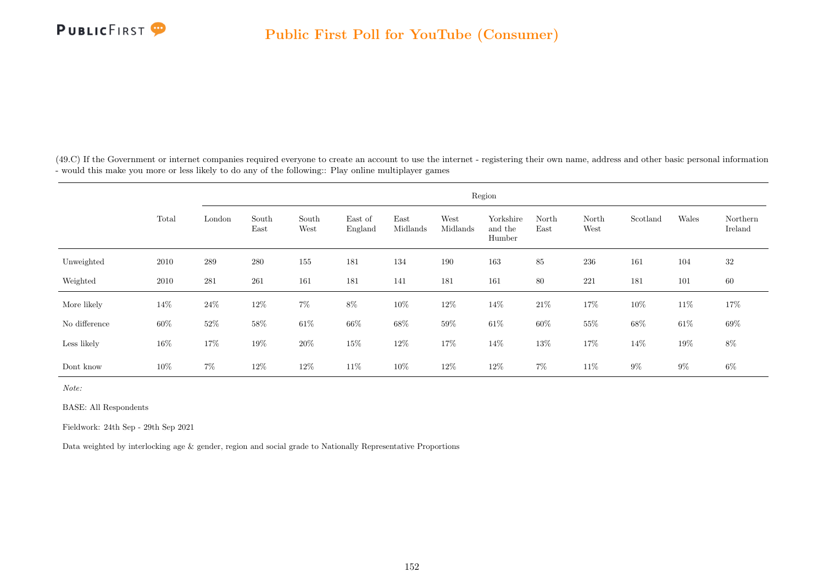

(49.C) If the Government or internet companies required everyone to create an account to use the internet - registering their own name, address and other basic personal information - would this make you more or less likely to do any of the following:: Play online multiplayer games

|               |        |         |               |               |                    |                  |                  | Region                         |               |               |          |        |                     |
|---------------|--------|---------|---------------|---------------|--------------------|------------------|------------------|--------------------------------|---------------|---------------|----------|--------|---------------------|
|               | Total  | London  | South<br>East | South<br>West | East of<br>England | East<br>Midlands | West<br>Midlands | Yorkshire<br>and the<br>Humber | North<br>East | North<br>West | Scotland | Wales  | Northern<br>Ireland |
| Unweighted    | 2010   | $\,289$ | 280           | 155           | 181                | 134              | 190              | 163                            | 85            | 236           | 161      | 104    | $32\,$              |
| Weighted      | 2010   | 281     | 261           | 161           | 181                | 141              | 181              | 161                            | 80            | 221           | 181      | 101    | 60                  |
| More likely   | 14%    | $24\%$  | 12\%          | $7\%$         | $8\%$              | $10\%$           | 12\%             | 14%                            | $21\%$        | $17\%$        | 10%      | $11\%$ | 17%                 |
| No difference | $60\%$ | $52\%$  | $58\%$        | $61\%$        | $66\%$             | $68\%$           | $59\%$           | $61\%$                         | $60\%$        | $55\%$        | $68\%$   | $61\%$ | $69\%$              |
| Less likely   | 16%    | $17\%$  | $19\%$        | $20\%$        | $15\%$             | $12\%$           | $17\%$           | 14\%                           | $13\%$        | $17\%$        | 14%      | $19\%$ | $8\%$               |
| Dont know     | 10%    | $7\%$   | 12\%          | 12\%          | 11\%               | 10%              | 12\%             | 12\%                           | $7\%$         | 11\%          | $9\%$    | $9\%$  | $6\%$               |

Note:

BASE: All Respondents

Fieldwork: 24th Sep - 29th Sep 2021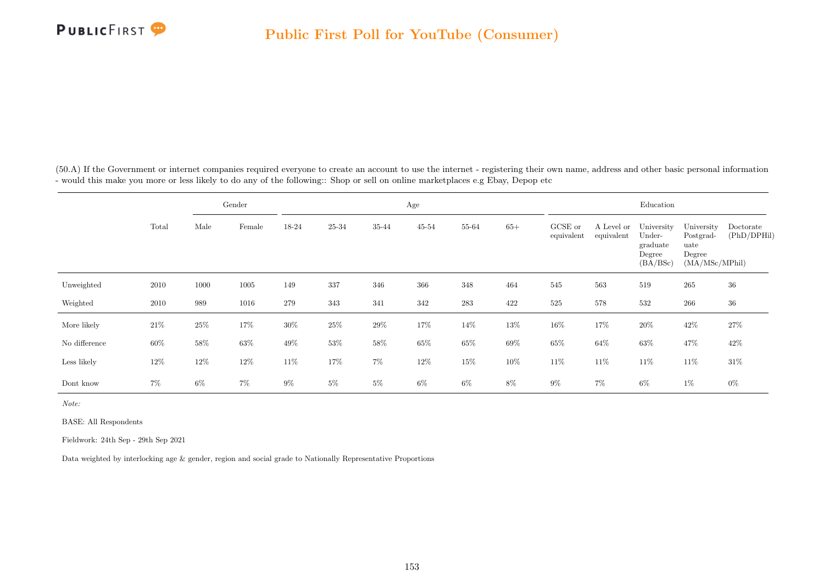

(50.A) If the Government or internet companies required everyone to create an account to use the internet - registering their own name, address and other basic personal information - would this make you more or less likely to do any of the following:: Shop or sell on online marketplaces e.g Ebay, Depop etc

|               |        |        | Gender |        |        |        | Age       |        |        |                       |                          | Education                                              |                                                             |                          |
|---------------|--------|--------|--------|--------|--------|--------|-----------|--------|--------|-----------------------|--------------------------|--------------------------------------------------------|-------------------------------------------------------------|--------------------------|
|               | Total  | Male   | Female | 18-24  | 25-34  | 35-44  | $45 - 54$ | 55-64  | $65+$  | GCSE or<br>equivalent | A Level or<br>equivalent | University<br>Under-<br>graduate<br>Degree<br>(BA/BSc) | University<br>Postgrad-<br>uate<br>Degree<br>(MA/MSc/MPhil) | Doctorate<br>(PhD/DPHil) |
| Unweighted    | 2010   | 1000   | 1005   | 149    | 337    | 346    | 366       | 348    | 464    | 545                   | 563                      | 519                                                    | 265                                                         | 36                       |
| Weighted      | 2010   | 989    | 1016   | 279    | 343    | 341    | 342       | 283    | 422    | 525                   | 578                      | 532                                                    | 266                                                         | $36\,$                   |
| More likely   | $21\%$ | $25\%$ | $17\%$ | $30\%$ | $25\%$ | $29\%$ | 17%       | 14\%   | $13\%$ | $16\%$                | 17%                      | $20\%$                                                 | 42\%                                                        | $27\%$                   |
| No difference | $60\%$ | $58\%$ | $63\%$ | 49\%   | 53%    | $58\%$ | $65\%$    | $65\%$ | $69\%$ | $65\%$                | $64\%$                   | $63\%$                                                 | 47%                                                         | 42\%                     |
| Less likely   | 12%    | $12\%$ | $12\%$ | 11\%   | 17%    | $7\%$  | $12\%$    | $15\%$ | 10%    | 11\%                  | 11\%                     | $11\%$                                                 | 11\%                                                        | $31\%$                   |
| Dont know     | $7\%$  | $6\%$  | $7\%$  | $9\%$  | $5\%$  | $5\%$  | $6\%$     | $6\%$  | 8%     | $9\%$                 | $7\%$                    | $6\%$                                                  | $1\%$                                                       | $0\%$                    |

Note:

BASE: All Respondents

Fieldwork: 24th Sep - 29th Sep 2021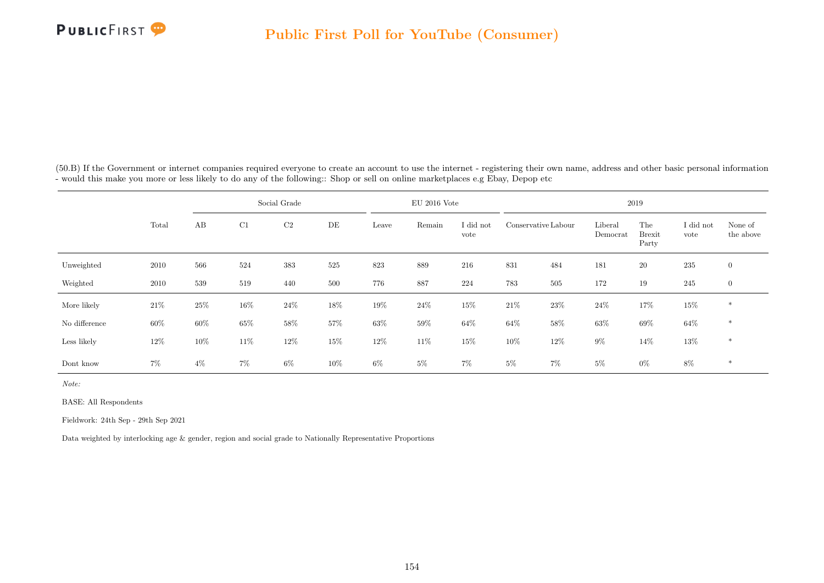

(50.B) If the Government or internet companies required everyone to create an account to use the internet - registering their own name, address and other basic personal information - would this make you more or less likely to do any of the following:: Shop or sell on online marketplaces e.g Ebay, Depop etc

|               |       |       |        | Social Grade |     |        | $EU$ 2016 Vote |                   |                     |        |                     | 2019                          |                   |                      |
|---------------|-------|-------|--------|--------------|-----|--------|----------------|-------------------|---------------------|--------|---------------------|-------------------------------|-------------------|----------------------|
|               | Total | AB    | C1     | $\rm{C2}$    | DE  | Leave  | Remain         | I did not<br>vote | Conservative Labour |        | Liberal<br>Democrat | The<br><b>Brexit</b><br>Party | I did not<br>vote | None of<br>the above |
| Unweighted    | 2010  | 566   | 524    | 383          | 525 | 823    | 889            | 216               | 831                 | 484    | 181                 | $20\,$                        | 235               | $\overline{0}$       |
| Weighted      | 2010  | 539   | 519    | 440          | 500 | 776    | 887            | 224               | 783                 | 505    | 172                 | 19                            | 245               | $\overline{0}$       |
| More likely   | 21\%  | 25%   | $16\%$ | $24\%$       | 18% | 19%    | $24\%$         | 15%               | $21\%$              | $23\%$ | $24\%$              | 17%                           | $15\%$            | $*$                  |
| No difference | 60%   | 60%   | $65\%$ | 58%          | 57% | $63\%$ | 59%            | $64\%$            | $64\%$              | $58\%$ | 63%                 | 69%                           | 64%               | $*$                  |
| Less likely   | 12%   | 10%   | 11\%   | 12%          | 15% | 12%    | 11%            | 15%               | 10%                 | 12%    | $9\%$               | $14\%$                        | 13%               | $\ast$               |
| Dont know     | $7\%$ | $4\%$ | $7\%$  | $6\%$        | 10% | $6\%$  | $5\%$          | $7\%$             | $5\%$               | $7\%$  | $5\%$               | $0\%$                         | $8\%$             | $\ast$               |

Note:

BASE: All Respondents

Fieldwork: 24th Sep - 29th Sep 2021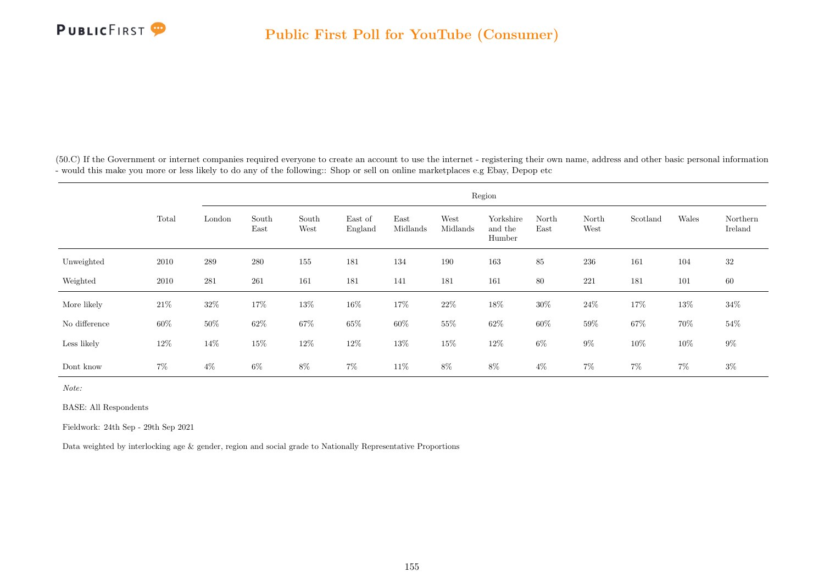

(50.C) If the Government or internet companies required everyone to create an account to use the internet - registering their own name, address and other basic personal information - would this make you more or less likely to do any of the following:: Shop or sell on online marketplaces e.g Ebay, Depop etc

|               |        |           |               |               |                    |                  |                  | Region                         |               |               |          |        |                     |
|---------------|--------|-----------|---------------|---------------|--------------------|------------------|------------------|--------------------------------|---------------|---------------|----------|--------|---------------------|
|               | Total  | London    | South<br>East | South<br>West | East of<br>England | East<br>Midlands | West<br>Midlands | Yorkshire<br>and the<br>Humber | North<br>East | North<br>West | Scotland | Wales  | Northern<br>Ireland |
| Unweighted    | 2010   | 289       | 280           | 155           | 181                | 134              | 190              | 163                            | 85            | 236           | 161      | 104    | 32                  |
| Weighted      | 2010   | $\bf 281$ | 261           | 161           | 181                | 141              | 181              | 161                            | 80            | $221\,$       | 181      | 101    | 60                  |
| More likely   | $21\%$ | $32\%$    | $17\%$        | $13\%$        | $16\%$             | $17\%$           | $22\%$           | $18\%$                         | $30\%$        | $24\%$        | 17%      | $13\%$ | $34\%$              |
| No difference | $60\%$ | $50\%$    | $62\%$        | $67\%$        | $65\%$             | $60\%$           | $55\%$           | $62\%$                         | $60\%$        | $59\%$        | $67\%$   | $70\%$ | $54\%$              |
| Less likely   | $12\%$ | 14\%      | $15\%$        | $12\%$        | $12\%$             | $13\%$           | 15%              | $12\%$                         | $6\%$         | $9\%$         | $10\%$   | $10\%$ | $9\%$               |
| Dont know     | $7\%$  | $4\%$     | $6\%$         | $8\%$         | $7\%$              | $11\%$           | $8\%$            | $8\%$                          | $4\%$         | $7\%$         | $7\%$    | $7\%$  | $3\%$               |

Note:

BASE: All Respondents

Fieldwork: 24th Sep - 29th Sep 2021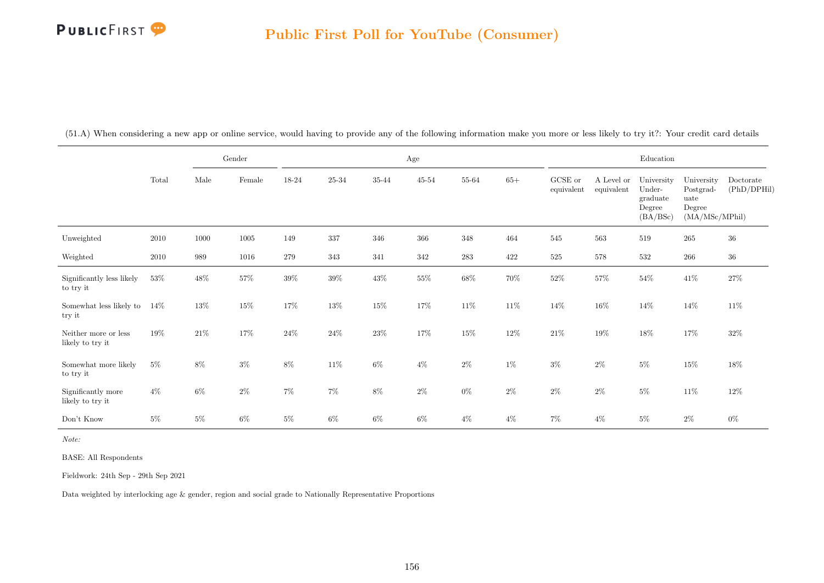|                                          |          |        | Gender   |         |           |        | Age       |        |        |                       |                          | $\operatorname{Education}$                             |                                                             |                          |
|------------------------------------------|----------|--------|----------|---------|-----------|--------|-----------|--------|--------|-----------------------|--------------------------|--------------------------------------------------------|-------------------------------------------------------------|--------------------------|
|                                          | Total    | Male   | Female   | 18-24   | $25 - 34$ | 35-44  | $45 - 54$ | 55-64  | $65+$  | GCSE or<br>equivalent | A Level or<br>equivalent | University<br>Under-<br>graduate<br>Degree<br>(BA/BSc) | University<br>Postgrad-<br>uate<br>Degree<br>(MA/MSc/MPhil) | Doctorate<br>(PhD/DPHil) |
| Unweighted                               | $2010\,$ | 1000   | $1005\,$ | 149     | 337       | 346    | 366       | 348    | 464    | 545                   | 563                      | 519                                                    | $265\,$                                                     | $36\,$                   |
| Weighted                                 | $2010\,$ | 989    | 1016     | $279\,$ | 343       | 341    | 342       | 283    | 422    | $525\,$               | 578                      | 532                                                    | $266\,$                                                     | $36\,$                   |
| Significantly less likely<br>to try it   | $53\%$   | 48\%   | $57\%$   | $39\%$  | $39\%$    | $43\%$ | $55\%$    | $68\%$ | $70\%$ | $52\%$                | $57\%$                   | $54\%$                                                 | $41\%$                                                      | $27\%$                   |
| Somewhat less likely to<br>try it        | $14\%$   | $13\%$ | $15\%$   | 17%     | $13\%$    | $15\%$ | $17\%$    | $11\%$ | $11\%$ | $14\%$                | $16\%$                   | $14\%$                                                 | $14\%$                                                      | $11\%$                   |
| Neither more or less<br>likely to try it | 19%      | $21\%$ | $17\%$   | $24\%$  | $24\%$    | $23\%$ | $17\%$    | $15\%$ | $12\%$ | $21\%$                | $19\%$                   | $18\%$                                                 | $17\%$                                                      | $32\%$                   |
| Somewhat more likely<br>to try it        | $5\%$    | 8%     | $3\%$    | $8\%$   | $11\%$    | $6\%$  | $4\%$     | $2\%$  | $1\%$  | $3\%$                 | $2\%$                    | $5\%$                                                  | $15\%$                                                      | $18\%$                   |
| Significantly more<br>likely to try it   | $4\%$    | $6\%$  | $2\%$    | $7\%$   | $7\%$     | $8\%$  | $2\%$     | $0\%$  | $2\%$  | $2\%$                 | $2\%$                    | $5\%$                                                  | 11\%                                                        | $12\%$                   |
| Don't Know                               | $5\%$    | $5\%$  | $6\%$    | $5\%$   | $6\%$     | $6\%$  | $6\%$     | $4\%$  | $4\%$  | $7\%$                 | $4\%$                    | $5\%$                                                  | $2\%$                                                       | $0\%$                    |

(51.A) When considering a new app or online service, would having to provide any of the following information make you more or less likely to try it?: Your credit card details

Note:

BASE: All Respondents

Fieldwork: 24th Sep - 29th Sep 2021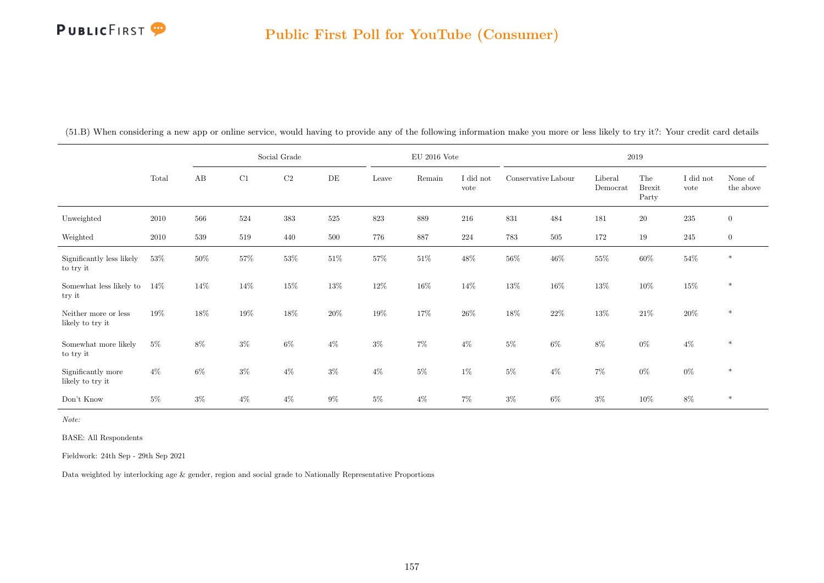|                                          |        |        |        | Social Grade   |        |        | $\rm EU$ 2016 Vote |                   |                     |         |                     | 2019                          |                   |                      |
|------------------------------------------|--------|--------|--------|----------------|--------|--------|--------------------|-------------------|---------------------|---------|---------------------|-------------------------------|-------------------|----------------------|
|                                          | Total  | AB     | C1     | C <sub>2</sub> | DE     | Leave  | Remain             | I did not<br>vote | Conservative Labour |         | Liberal<br>Democrat | The<br><b>Brexit</b><br>Party | I did not<br>vote | None of<br>the above |
| Unweighted                               | 2010   | 566    | 524    | $383\,$        | 525    | 823    | 889                | 216               | 831                 | 484     | 181                 | $20\,$                        | $235\,$           | $\overline{0}$       |
| Weighted                                 | 2010   | 539    | 519    | 440            | 500    | 776    | 887                | 224               | 783                 | $505\,$ | 172                 | 19                            | 245               | $\overline{0}$       |
| Significantly less likely<br>to try it   | $53\%$ | $50\%$ | 57%    | $53\%$         | $51\%$ | $57\%$ | $51\%$             | 48\%              | $56\%$              | $46\%$  | $55\%$              | $60\%$                        | $54\%$            | $\ast$               |
| Somewhat less likely to<br>try it        | 14%    | 14\%   | 14\%   | $15\%$         | $13\%$ | $12\%$ | $16\%$             | 14\%              | $13\%$              | $16\%$  | $13\%$              | $10\%$                        | $15\%$            | $\ast$               |
| Neither more or less<br>likely to try it | $19\%$ | 18%    | $19\%$ | $18\%$         | $20\%$ | 19%    | $17\%$             | $26\%$            | $18\%$              | $22\%$  | $13\%$              | $21\%$                        | $20\%$            | $\ast$               |
| Somewhat more likely<br>to try it        | $5\%$  | $8\%$  | $3\%$  | $6\%$          | $4\%$  | $3\%$  | $7\%$              | $4\%$             | $5\%$               | $6\%$   | $8\%$               | $0\%$                         | $4\%$             | $\ast$               |
| Significantly more<br>likely to try it   | $4\%$  | $6\%$  | $3\%$  | $4\%$          | $3\%$  | $4\%$  | $5\%$              | $1\%$             | $5\%$               | $4\%$   | $7\%$               | $0\%$                         | $0\%$             | $\ast$               |
| Don't Know                               | $5\%$  | $3\%$  | $4\%$  | $4\%$          | $9\%$  | $5\%$  | $4\%$              | $7\%$             | $3\%$               | $6\%$   | $3\%$               | 10%                           | $8\%$             | $\ast$               |

(51.B) When considering a new app or online service, would having to provide any of the following information make you more or less likely to try it?: Your credit card details

Note:

BASE: All Respondents

Fieldwork: 24th Sep - 29th Sep 2021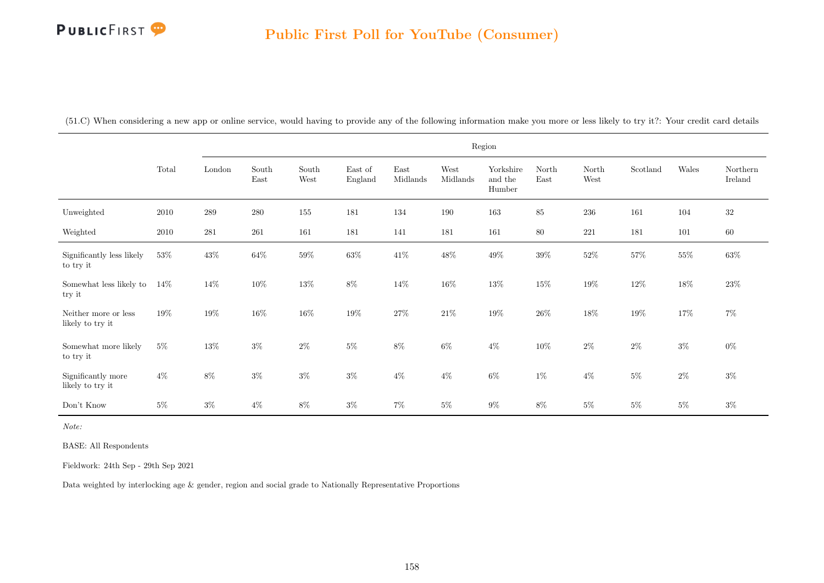(51.C) When considering a new app or online service, would having to provide any of the following information make you more or less likely to try it?: Your credit card details

|                                          |        |           |               |               |                    |                  |                  | Region                         |               |               |          |         |                     |
|------------------------------------------|--------|-----------|---------------|---------------|--------------------|------------------|------------------|--------------------------------|---------------|---------------|----------|---------|---------------------|
|                                          | Total  | London    | South<br>East | South<br>West | East of<br>England | East<br>Midlands | West<br>Midlands | Yorkshire<br>and the<br>Humber | North<br>East | North<br>West | Scotland | Wales   | Northern<br>Ireland |
| Unweighted                               | 2010   | $\,289$   | $280\,$       | 155           | 181                | 134              | 190              | 163                            | 85            | $236\,$       | 161      | 104     | $32\,$              |
| Weighted                                 | 2010   | $\bf 281$ | $261\,$       | 161           | 181                | 141              | 181              | 161                            | $80\,$        | 221           | 181      | $101\,$ | $60\,$              |
| Significantly less likely<br>to try it   | 53%    | $43\%$    | $64\%$        | $59\%$        | $63\%$             | $41\%$           | $48\%$           | $49\%$                         | $39\%$        | $52\%$        | $57\%$   | $55\%$  | $63\%$              |
| Somewhat less likely to<br>try it        | $14\%$ | $14\%$    | $10\%$        | $13\%$        | $8\%$              | $14\%$           | $16\%$           | $13\%$                         | $15\%$        | $19\%$        | $12\%$   | $18\%$  | 23\%                |
| Neither more or less<br>likely to try it | 19%    | $19\%$    | $16\%$        | $16\%$        | $19\%$             | $27\%$           | $21\%$           | $19\%$                         | $26\%$        | $18\%$        | $19\%$   | $17\%$  | $7\%$               |
| Somewhat more likely<br>to try it        | $5\%$  | $13\%$    | $3\%$         | $2\%$         | $5\%$              | $8\%$            | $6\%$            | $4\%$                          | 10%           | $2\%$         | $2\%$    | $3\%$   | $0\%$               |
| Significantly more<br>likely to try it   | $4\%$  | $8\%$     | $3\%$         | $3\%$         | $3\%$              | $4\%$            | $4\%$            | $6\%$                          | $1\%$         | $4\%$         | $5\%$    | $2\%$   | $3\%$               |
| Don't Know                               | $5\%$  | $3\%$     | $4\%$         | $8\%$         | $3\%$              | $7\%$            | $5\%$            | $9\%$                          | 8%            | $5\%$         | $5\%$    | $5\%$   | $3\%$               |

Note:

BASE: All Respondents

Fieldwork: 24th Sep - 29th Sep 2021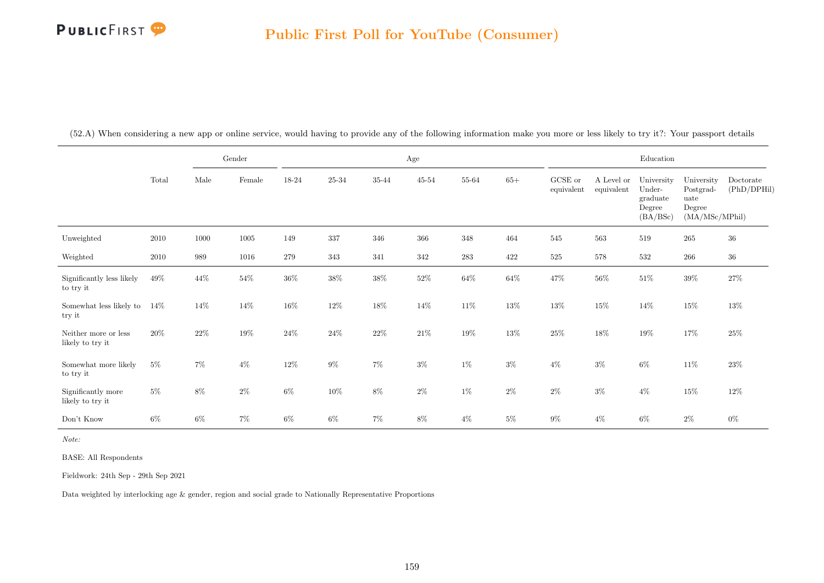|                                          |        |        | Gender |        |           |        | Age       |        |        |                       |                          | Education                                              |                                                             |                          |
|------------------------------------------|--------|--------|--------|--------|-----------|--------|-----------|--------|--------|-----------------------|--------------------------|--------------------------------------------------------|-------------------------------------------------------------|--------------------------|
|                                          | Total  | Male   | Female | 18-24  | $25 - 34$ | 35-44  | $45 - 54$ | 55-64  | $65+$  | GCSE or<br>equivalent | A Level or<br>equivalent | University<br>Under-<br>graduate<br>Degree<br>(BA/BSc) | University<br>Postgrad-<br>uate<br>Degree<br>(MA/MSc/MPhil) | Doctorate<br>(PhD/DPHil) |
| Unweighted                               | 2010   | 1000   | 1005   | 149    | 337       | 346    | 366       | 348    | 464    | 545                   | 563                      | 519                                                    | $265\,$                                                     | 36                       |
| Weighted                                 | 2010   | 989    | 1016   | 279    | 343       | 341    | 342       | 283    | 422    | $525\,$               | 578                      | 532                                                    | 266                                                         | $36\,$                   |
| Significantly less likely<br>to try it   | 49%    | $44\%$ | $54\%$ | $36\%$ | $38\%$    | $38\%$ | $52\%$    | $64\%$ | $64\%$ | $47\%$                | $56\%$                   | $51\%$                                                 | $39\%$                                                      | $27\%$                   |
| Somewhat less likely to<br>try it        | 14%    | 14%    | $14\%$ | $16\%$ | 12\%      | $18\%$ | 14\%      | $11\%$ | $13\%$ | $13\%$                | 15%                      | $14\%$                                                 | $15\%$                                                      | $13\%$                   |
| Neither more or less<br>likely to try it | $20\%$ | $22\%$ | $19\%$ | $24\%$ | $24\%$    | $22\%$ | $21\%$    | $19\%$ | $13\%$ | $25\%$                | $18\%$                   | $19\%$                                                 | $17\%$                                                      | $25\%$                   |
| Somewhat more likely<br>to try it        | $5\%$  | $7\%$  | $4\%$  | $12\%$ | $9\%$     | $7\%$  | $3\%$     | $1\%$  | $3\%$  | $4\%$                 | $3\%$                    | $6\%$                                                  | $11\%$                                                      | $23\%$                   |
| Significantly more<br>likely to try it   | $5\%$  | $8\%$  | $2\%$  | $6\%$  | $10\%$    | $8\%$  | $2\%$     | $1\%$  | $2\%$  | $2\%$                 | $3\%$                    | $4\%$                                                  | $15\%$                                                      | $12\%$                   |
| Don't Know                               | 6%     | $6\%$  | $7\%$  | $6\%$  | $6\%$     | $7\%$  | $8\%$     | $4\%$  | $5\%$  | $9\%$                 | $4\%$                    | $6\%$                                                  | $2\%$                                                       | $0\%$                    |

(52.A) When considering a new app or online service, would having to provide any of the following information make you more or less likely to try it?: Your passport details

Note:

BASE: All Respondents

Fieldwork: 24th Sep - 29th Sep 2021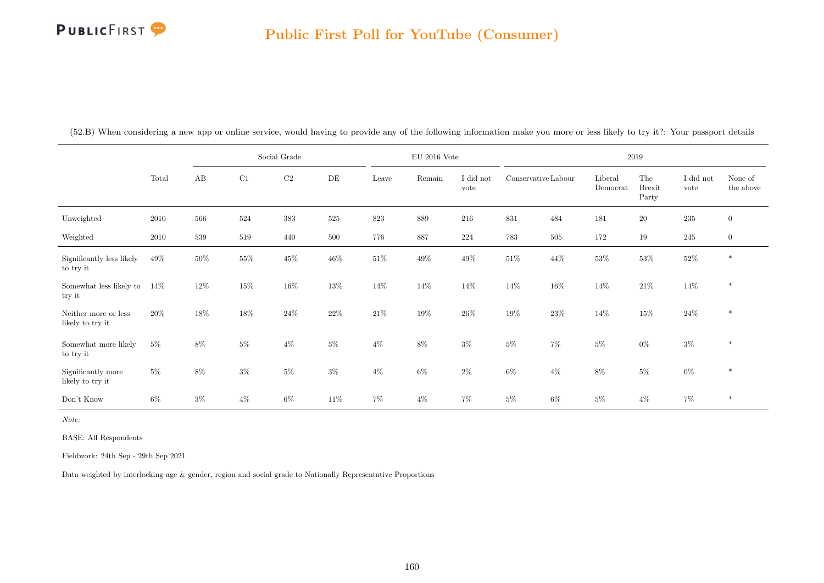|                                          |        |        |        | Social Grade |           |        | $\mathrm{EU}$ 2016 Vote |                   |                     |         |                     | 2019                          |                               |                      |
|------------------------------------------|--------|--------|--------|--------------|-----------|--------|-------------------------|-------------------|---------------------|---------|---------------------|-------------------------------|-------------------------------|----------------------|
|                                          | Total  | AB     | C1     | $\rm C2$     | $\rm{DE}$ | Leave  | Remain                  | I did not<br>vote | Conservative Labour |         | Liberal<br>Democrat | The<br><b>Brexit</b><br>Party | $\rm I$ did $\rm not$<br>vote | None of<br>the above |
| Unweighted                               | 2010   | 566    | 524    | $383\,$      | $525\,$   | 823    | 889                     | 216               | 831                 | 484     | 181                 | $20\,$                        | $\bf 235$                     | $\overline{0}$       |
| Weighted                                 | 2010   | 539    | 519    | 440          | 500       | 776    | 887                     | 224               | $783\,$             | $505\,$ | 172                 | 19                            | 245                           | $\overline{0}$       |
| Significantly less likely<br>to try it   | $49\%$ | $50\%$ | $55\%$ | $45\%$       | $46\%$    | $51\%$ | $49\%$                  | $49\%$            | $51\%$              | $44\%$  | $53\%$              | $53\%$                        | $52\%$                        | $\ast$               |
| Somewhat less likely to<br>try it        | $14\%$ | 12%    | $15\%$ | $16\%$       | $13\%$    | $14\%$ | $14\%$                  | $14\%$            | $14\%$              | $16\%$  | $14\%$              | $21\%$                        | $14\%$                        | $\ast$               |
| Neither more or less<br>likely to try it | $20\%$ | 18%    | 18%    | $24\%$       | $22\%$    | $21\%$ | $19\%$                  | $26\%$            | $19\%$              | $23\%$  | 14\%                | $15\%$                        | $24\%$                        | $\ast$               |
| Somewhat more likely<br>to try it        | $5\%$  | $8\%$  | $5\%$  | $4\%$        | $5\%$     | $4\%$  | $8\%$                   | $3\%$             | $5\%$               | $7\%$   | $5\%$               | $0\%$                         | $3\%$                         | $\ast$               |
| Significantly more<br>likely to try it   | $5\%$  | $8\%$  | $3\%$  | $5\%$        | $3\%$     | $4\%$  | $6\%$                   | $2\%$             | $6\%$               | $4\%$   | $8\%$               | $5\%$                         | $0\%$                         | $\ast$               |
| Don't Know                               | $6\%$  | $3\%$  | $4\%$  | $6\%$        | 11\%      | $7\%$  | $4\%$                   | $7\%$             | $5\%$               | $6\%$   | $5\%$               | $4\%$                         | $7\%$                         | $*$                  |

(52.B) When considering a new app or online service, would having to provide any of the following information make you more or less likely to try it?: Your passport details

Note:

BASE: All Respondents

Fieldwork: 24th Sep - 29th Sep 2021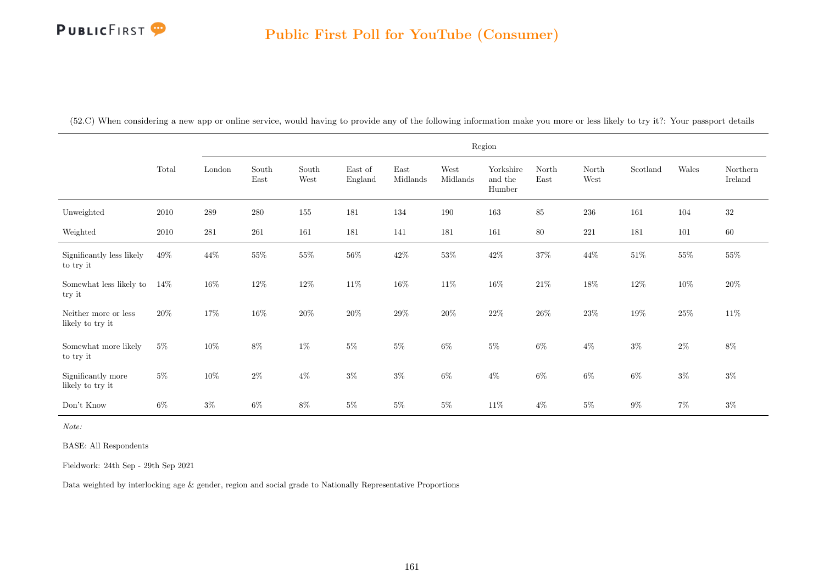(52.C) When considering a new app or online service, would having to provide any of the following information make you more or less likely to try it?: Your passport details

|                                          |        |         |               |               |                    |                  |                  | Region                         |               |               |          |        |                     |
|------------------------------------------|--------|---------|---------------|---------------|--------------------|------------------|------------------|--------------------------------|---------------|---------------|----------|--------|---------------------|
|                                          | Total  | London  | South<br>East | South<br>West | East of<br>England | East<br>Midlands | West<br>Midlands | Yorkshire<br>and the<br>Humber | North<br>East | North<br>West | Scotland | Wales  | Northern<br>Ireland |
| Unweighted                               | 2010   | $\,289$ | $280\,$       | 155           | 181                | 134              | 190              | 163                            | $85\,$        | $236\,$       | 161      | 104    | $32\,$              |
| Weighted                                 | 2010   | 281     | 261           | 161           | 181                | 141              | 181              | 161                            | 80            | 221           | 181      | 101    | $60\,$              |
| Significantly less likely<br>to try it   | 49%    | 44\%    | $55\%$        | $55\%$        | $56\%$             | $42\%$           | $53\%$           | $42\%$                         | $37\%$        | $44\%$        | $51\%$   | $55\%$ | $55\%$              |
| Somewhat less likely to<br>try it        | $14\%$ | $16\%$  | $12\%$        | $12\%$        | $11\%$             | $16\%$           | $11\%$           | $16\%$                         | $21\%$        | $18\%$        | $12\%$   | $10\%$ | $20\%$              |
| Neither more or less<br>likely to try it | $20\%$ | 17%     | $16\%$        | $20\%$        | $20\%$             | $29\%$           | $20\%$           | $22\%$                         | $26\%$        | $23\%$        | $19\%$   | $25\%$ | $11\%$              |
| Somewhat more likely<br>to try it        | $5\%$  | $10\%$  | $8\%$         | $1\%$         | $5\%$              | $5\%$            | $6\%$            | $5\%$                          | $6\%$         | $4\%$         | $3\%$    | $2\%$  | 8%                  |
| Significantly more<br>likely to try it   | $5\%$  | $10\%$  | $2\%$         | $4\%$         | $3\%$              | $3\%$            | $6\%$            | $4\%$                          | $6\%$         | $6\%$         | $6\%$    | $3\%$  | $3\%$               |
| Don't Know                               | $6\%$  | $3\%$   | $6\%$         | $8\%$         | $5\%$              | $5\%$            | $5\%$            | 11\%                           | $4\%$         | $5\%$         | $9\%$    | $7\%$  | $3\%$               |

Note:

BASE: All Respondents

Fieldwork: 24th Sep - 29th Sep 2021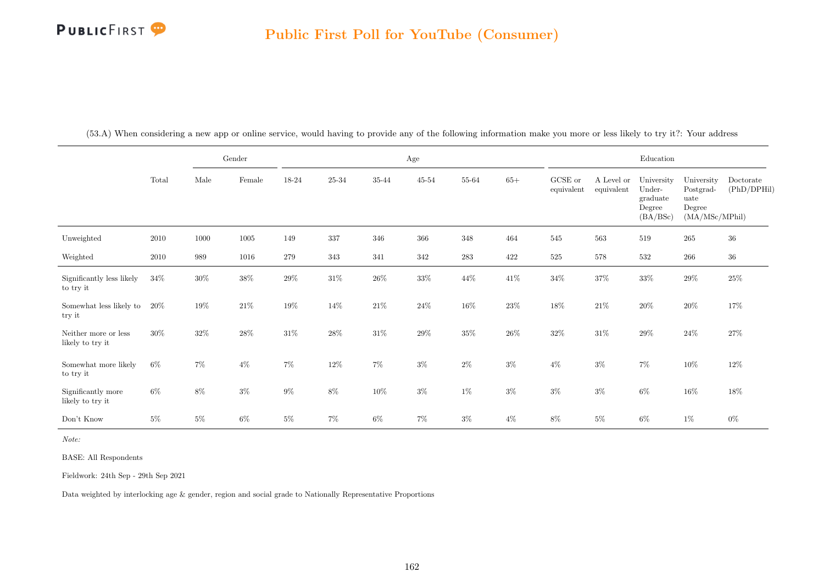|                                          |        |        | Gender   |         |           |        | Age       |        |        |                       |                          | Education                                              |                                                             |                          |
|------------------------------------------|--------|--------|----------|---------|-----------|--------|-----------|--------|--------|-----------------------|--------------------------|--------------------------------------------------------|-------------------------------------------------------------|--------------------------|
|                                          | Total  | Male   | Female   | 18-24   | $25 - 34$ | 35-44  | $45 - 54$ | 55-64  | $65+$  | GCSE or<br>equivalent | A Level or<br>equivalent | University<br>Under-<br>graduate<br>Degree<br>(BA/BSc) | University<br>Postgrad-<br>uate<br>Degree<br>(MA/MSc/MPhil) | Doctorate<br>(PhD/DPHil) |
| Unweighted                               | 2010   | 1000   | $1005\,$ | 149     | 337       | 346    | 366       | 348    | 464    | 545                   | 563                      | 519                                                    | $265\,$                                                     | 36                       |
| Weighted                                 | 2010   | 989    | 1016     | $279\,$ | $343\,$   | 341    | 342       | 283    | 422    | $525\,$               | 578                      | 532                                                    | $266\,$                                                     | $36\,$                   |
| Significantly less likely<br>to try it   | $34\%$ | $30\%$ | $38\%$   | $29\%$  | $31\%$    | $26\%$ | $33\%$    | $44\%$ | $41\%$ | $34\%$                | $37\%$                   | $33\%$                                                 | $29\%$                                                      | $25\%$                   |
| Somewhat less likely to<br>try it        | 20%    | 19%    | $21\%$   | $19\%$  | $14\%$    | $21\%$ | $24\%$    | $16\%$ | $23\%$ | $18\%$                | $21\%$                   | $20\%$                                                 | $20\%$                                                      | 17%                      |
| Neither more or less<br>likely to try it | 30%    | $32\%$ | $28\%$   | $31\%$  | $28\%$    | $31\%$ | $29\%$    | $35\%$ | $26\%$ | $32\%$                | $31\%$                   | $29\%$                                                 | $24\%$                                                      | $27\%$                   |
| Somewhat more likely<br>to try it        | $6\%$  | $7\%$  | $4\%$    | $7\%$   | $12\%$    | $7\%$  | $3\%$     | $2\%$  | $3\%$  | $4\%$                 | $3\%$                    | $7\%$                                                  | $10\%$                                                      | $12\%$                   |
| Significantly more<br>likely to try it   | $6\%$  | $8\%$  | $3\%$    | $9\%$   | $8\%$     | $10\%$ | $3\%$     | $1\%$  | $3\%$  | $3\%$                 | $3\%$                    | $6\%$                                                  | $16\%$                                                      | $18\%$                   |
| Don't Know                               | $5\%$  | $5\%$  | $6\%$    | $5\%$   | $7\%$     | $6\%$  | $7\%$     | $3\%$  | $4\%$  | $8\%$                 | $5\%$                    | $6\%$                                                  | $1\%$                                                       | $0\%$                    |

(53.A) When considering a new app or online service, would having to provide any of the following information make you more or less likely to try it?: Your address

Note:

BASE: All Respondents

Fieldwork: 24th Sep - 29th Sep 2021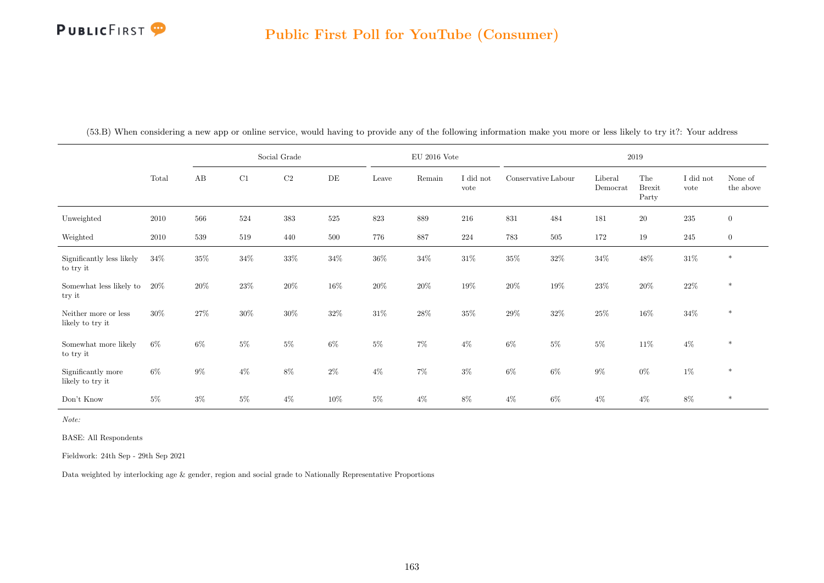|                                          |        |       |        | Social Grade |        |        | $EU$ 2016 Vote |                   |                     |        |                     | 2019                          |                   |                      |
|------------------------------------------|--------|-------|--------|--------------|--------|--------|----------------|-------------------|---------------------|--------|---------------------|-------------------------------|-------------------|----------------------|
|                                          | Total  | AB    | C1     | $\rm C2$     | DE     | Leave  | Remain         | I did not<br>vote | Conservative Labour |        | Liberal<br>Democrat | The<br><b>Brexit</b><br>Party | I did not<br>vote | None of<br>the above |
| Unweighted                               | 2010   | 566   | 524    | $383\,$      | 525    | 823    | $889\,$        | 216               | 831                 | 484    | 181                 | $20\,$                        | 235               | $\overline{0}$       |
| Weighted                                 | 2010   | 539   | 519    | 440          | 500    | 776    | 887            | 224               | 783                 | 505    | 172                 | 19                            | 245               | $\boldsymbol{0}$     |
| Significantly less likely<br>to try it   | $34\%$ | 35%   | $34\%$ | $33\%$       | $34\%$ | $36\%$ | $34\%$         | $31\%$            | $35\%$              | $32\%$ | $34\%$              | $48\%$                        | $31\%$            | $\ast$               |
| Somewhat less likely to<br>try it        | 20%    | 20%   | $23\%$ | $20\%$       | $16\%$ | $20\%$ | $20\%$         | 19%               | $20\%$              | 19%    | $23\%$              | $20\%$                        | $22\%$            | $\ast$               |
| Neither more or less<br>likely to try it | 30%    | 27%   | $30\%$ | $30\%$       | 32%    | $31\%$ | $28\%$         | 35%               | 29%                 | $32\%$ | 25%                 | $16\%$                        | $34\%$            | $\ast$               |
| Somewhat more likely<br>to try it        | $6\%$  | $6\%$ | $5\%$  | $5\%$        | $6\%$  | $5\%$  | $7\%$          | $4\%$             | $6\%$               | $5\%$  | $5\%$               | $11\%$                        | $4\%$             | $\ast$               |
| Significantly more<br>likely to try it   | $6\%$  | $9\%$ | $4\%$  | $8\%$        | $2\%$  | $4\%$  | $7\%$          | $3\%$             | $6\%$               | $6\%$  | $9\%$               | $0\%$                         | $1\%$             | $\ast$               |
| Don't Know                               | $5\%$  | $3\%$ | $5\%$  | $4\%$        | 10%    | $5\%$  | $4\%$          | 8%                | $4\%$               | 6%     | $4\%$               | $4\%$                         | $8\%$             | $\ast$               |

(53.B) When considering a new app or online service, would having to provide any of the following information make you more or less likely to try it?: Your address

Note:

BASE: All Respondents

Fieldwork: 24th Sep - 29th Sep 2021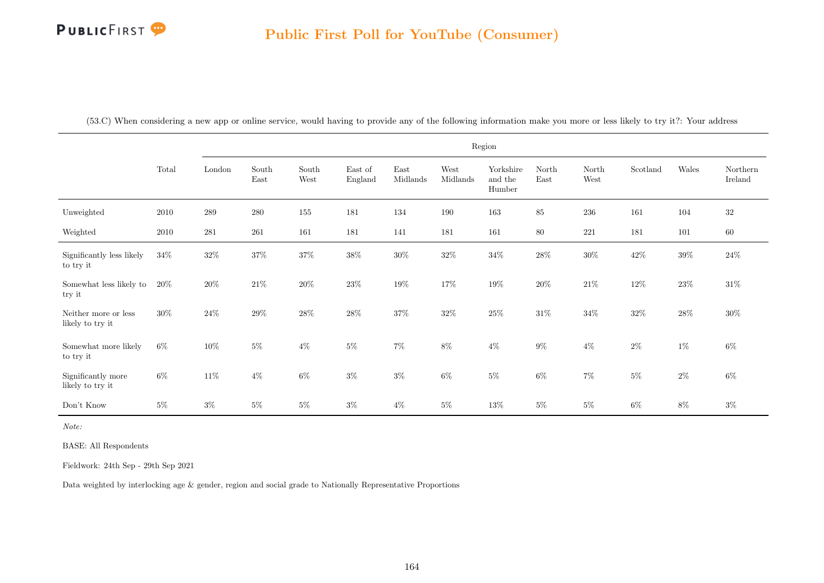|  |  |  |  | (53.C) When considering a new app or online service, would having to provide any of the following information make you more or less likely to try it?: Your address |
|--|--|--|--|---------------------------------------------------------------------------------------------------------------------------------------------------------------------|
|  |  |  |  |                                                                                                                                                                     |

|                                          |        |         |               |               |                    |                  |                  | Region                         |               |               |          |         |                     |
|------------------------------------------|--------|---------|---------------|---------------|--------------------|------------------|------------------|--------------------------------|---------------|---------------|----------|---------|---------------------|
|                                          | Total  | London  | South<br>East | South<br>West | East of<br>England | East<br>Midlands | West<br>Midlands | Yorkshire<br>and the<br>Humber | North<br>East | North<br>West | Scotland | Wales   | Northern<br>Ireland |
| Unweighted                               | 2010   | $\,289$ | 280           | $155\,$       | 181                | 134              | 190              | 163                            | 85            | $\,236$       | 161      | $104\,$ | $32\,$              |
| Weighted                                 | 2010   | 281     | 261           | 161           | 181                | 141              | 181              | 161                            | $80\,$        | 221           | 181      | 101     | $60\,$              |
| Significantly less likely<br>to try it   | $34\%$ | $32\%$  | $37\%$        | $37\%$        | $38\%$             | $30\%$           | $32\%$           | $34\%$                         | $28\%$        | $30\%$        | $42\%$   | $39\%$  | $24\%$              |
| Somewhat less likely to<br>try it        | $20\%$ | $20\%$  | $21\%$        | $20\%$        | $23\%$             | $19\%$           | $17\%$           | $19\%$                         | $20\%$        | $21\%$        | $12\%$   | $23\%$  | $31\%$              |
| Neither more or less<br>likely to try it | $30\%$ | $24\%$  | $29\%$        | $28\%$        | $28\%$             | $37\%$           | $32\%$           | $25\%$                         | $31\%$        | $34\%$        | $32\%$   | $28\%$  | $30\%$              |
| Somewhat more likely<br>to try it        | $6\%$  | $10\%$  | $5\%$         | $4\%$         | $5\%$              | $7\%$            | $8\%$            | $4\%$                          | $9\%$         | $4\%$         | $2\%$    | $1\%$   | $6\%$               |
| Significantly more<br>likely to try it   | $6\%$  | $11\%$  | $4\%$         | $6\%$         | $3\%$              | $3\%$            | $6\%$            | $5\%$                          | $6\%$         | $7\%$         | $5\%$    | $2\%$   | $6\%$               |
| Don't Know                               | $5\%$  | $3\%$   | $5\%$         | $5\%$         | $3\%$              | $4\%$            | $5\%$            | $13\%$                         | $5\%$         | $5\%$         | $6\%$    | $8\%$   | $3\%$               |

Note:

BASE: All Respondents

Fieldwork: 24th Sep - 29th Sep 2021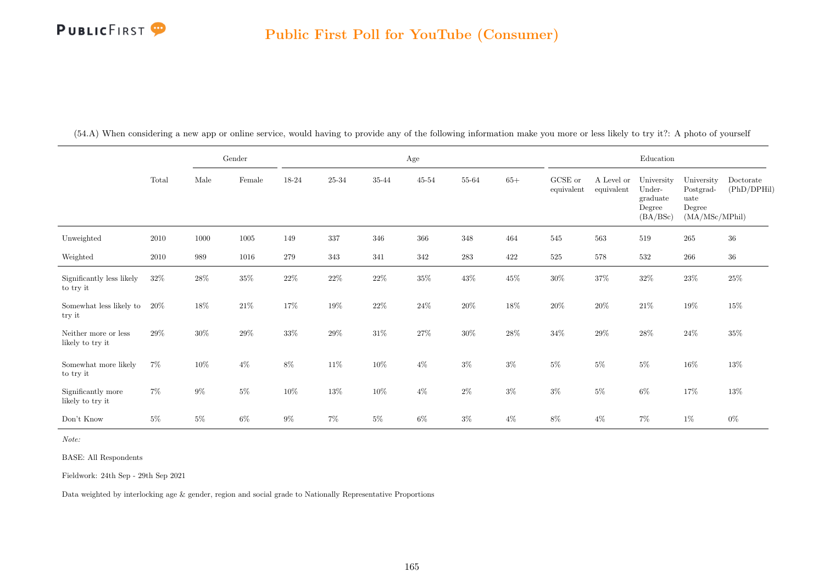|                                          |        |        | Gender   |        |           |        | $\rm Age$ |           |        |                       |                          | Education                                              |                                                             |                          |
|------------------------------------------|--------|--------|----------|--------|-----------|--------|-----------|-----------|--------|-----------------------|--------------------------|--------------------------------------------------------|-------------------------------------------------------------|--------------------------|
|                                          | Total  | Male   | Female   | 18-24  | $25 - 34$ | 35-44  | $45 - 54$ | $55 - 64$ | $65+$  | GCSE or<br>equivalent | A Level or<br>equivalent | University<br>Under-<br>graduate<br>Degree<br>(BA/BSc) | University<br>Postgrad-<br>uate<br>Degree<br>(MA/MSc/MPhil) | Doctorate<br>(PhD/DPHil) |
| Unweighted                               | 2010   | 1000   | $1005\,$ | 149    | 337       | 346    | 366       | 348       | 464    | 545                   | 563                      | 519                                                    | 265                                                         | $36\,$                   |
| Weighted                                 | 2010   | 989    | 1016     | 279    | 343       | 341    | 342       | $\bf 283$ | 422    | $525\,$               | 578                      | 532                                                    | 266                                                         | $36\,$                   |
| Significantly less likely<br>to try it   | 32\%   | $28\%$ | $35\%$   | $22\%$ | $22\%$    | $22\%$ | $35\%$    | $43\%$    | $45\%$ | $30\%$                | $37\%$                   | $32\%$                                                 | $23\%$                                                      | $25\%$                   |
| Somewhat less likely to<br>try it        | 20%    | 18%    | $21\%$   | $17\%$ | $19\%$    | $22\%$ | $24\%$    | $20\%$    | $18\%$ | $20\%$                | $20\%$                   | $21\%$                                                 | $19\%$                                                      | $15\%$                   |
| Neither more or less<br>likely to try it | $29\%$ | $30\%$ | 29%      | $33\%$ | $29\%$    | $31\%$ | $27\%$    | $30\%$    | $28\%$ | $34\%$                | $29\%$                   | $28\%$                                                 | $24\%$                                                      | $35\%$                   |
| Somewhat more likely<br>to try it        | $7\%$  | $10\%$ | $4\%$    | $8\%$  | $11\%$    | $10\%$ | $4\%$     | $3\%$     | $3\%$  | $5\%$                 | $5\%$                    | $5\%$                                                  | $16\%$                                                      | $13\%$                   |
| Significantly more<br>likely to try it   | $7\%$  | $9\%$  | $5\%$    | $10\%$ | $13\%$    | $10\%$ | $4\%$     | $2\%$     | $3\%$  | $3\%$                 | $5\%$                    | $6\%$                                                  | $17\%$                                                      | $13\%$                   |
| Don't Know                               | $5\%$  | $5\%$  | $6\%$    | $9\%$  | $7\%$     | $5\%$  | $6\%$     | $3\%$     | $4\%$  | $8\%$                 | $4\%$                    | $7\%$                                                  | $1\%$                                                       | $0\%$                    |

(54.A) When considering a new app or online service, would having to provide any of the following information make you more or less likely to try it?: A photo of yourself

Note:

BASE: All Respondents

Fieldwork: 24th Sep - 29th Sep 2021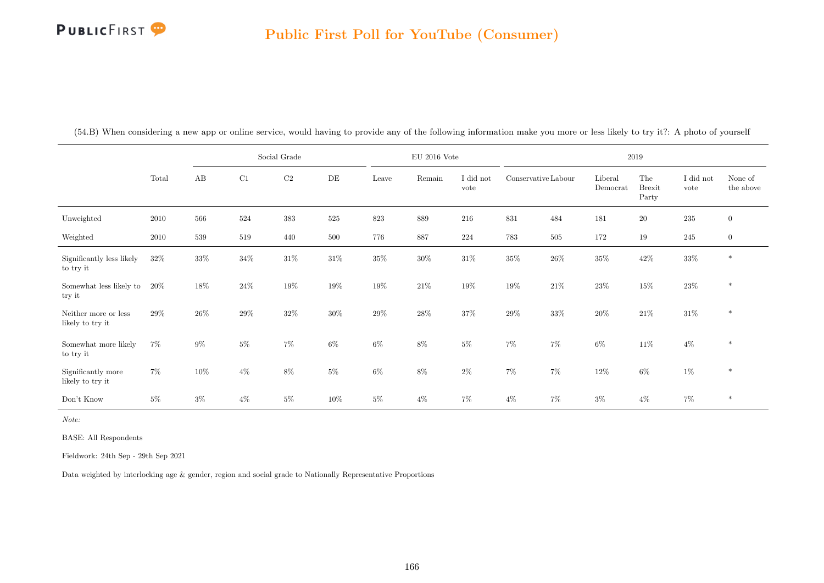|                                          |        |        |        | Social Grade |           |        | $\mathrm{EU}$ 2016 Vote |                   |                     |         |                     | 2019                          |                   |                      |
|------------------------------------------|--------|--------|--------|--------------|-----------|--------|-------------------------|-------------------|---------------------|---------|---------------------|-------------------------------|-------------------|----------------------|
|                                          | Total  | AB     | C1     | C2           | $\rm{DE}$ | Leave  | Remain                  | I did not<br>vote | Conservative Labour |         | Liberal<br>Democrat | The<br><b>Brexit</b><br>Party | I did not<br>vote | None of<br>the above |
| Unweighted                               | 2010   | 566    | 524    | $383\,$      | 525       | 823    | 889                     | 216               | 831                 | 484     | 181                 | $20\,$                        | $235\,$           | $\overline{0}$       |
| Weighted                                 | 2010   | 539    | 519    | 440          | 500       | 776    | 887                     | $224\,$           | 783                 | $505\,$ | 172                 | 19                            | 245               | $\overline{0}$       |
| Significantly less likely<br>to try it   | $32\%$ | $33\%$ | $34\%$ | $31\%$       | $31\%$    | $35\%$ | $30\%$                  | $31\%$            | $35\%$              | $26\%$  | $35\%$              | $42\%$                        | $33\%$            | $\ast$               |
| Somewhat less likely to<br>try it        | $20\%$ | 18%    | $24\%$ | $19\%$       | 19%       | $19\%$ | $21\%$                  | 19%               | $19\%$              | $21\%$  | $23\%$              | $15\%$                        | $23\%$            | $\ast$               |
| Neither more or less<br>likely to try it | 29%    | $26\%$ | $29\%$ | $32\%$       | $30\%$    | $29\%$ | $28\%$                  | $37\%$            | $29\%$              | $33\%$  | $20\%$              | $21\%$                        | $31\%$            | $\ast$               |
| Somewhat more likely<br>to try it        | $7\%$  | $9\%$  | $5\%$  | $7\%$        | $6\%$     | $6\%$  | $8\%$                   | $5\%$             | $7\%$               | $7\%$   | $6\%$               | $11\%$                        | $4\%$             | $\ast$               |
| Significantly more<br>likely to try it   | $7\%$  | $10\%$ | $4\%$  | $8\%$        | $5\%$     | $6\%$  | $8\%$                   | $2\%$             | $7\%$               | $7\%$   | $12\%$              | $6\%$                         | $1\%$             | $\ast$               |
| Don't Know                               | $5\%$  | $3\%$  | $4\%$  | $5\%$        | $10\%$    | $5\%$  | $4\%$                   | $7\%$             | $4\%$               | $7\%$   | $3\%$               | $4\%$                         | $7\%$             | $*$                  |

(54.B) When considering a new app or online service, would having to provide any of the following information make you more or less likely to try it?: A photo of yourself

Note:

BASE: All Respondents

Fieldwork: 24th Sep - 29th Sep 2021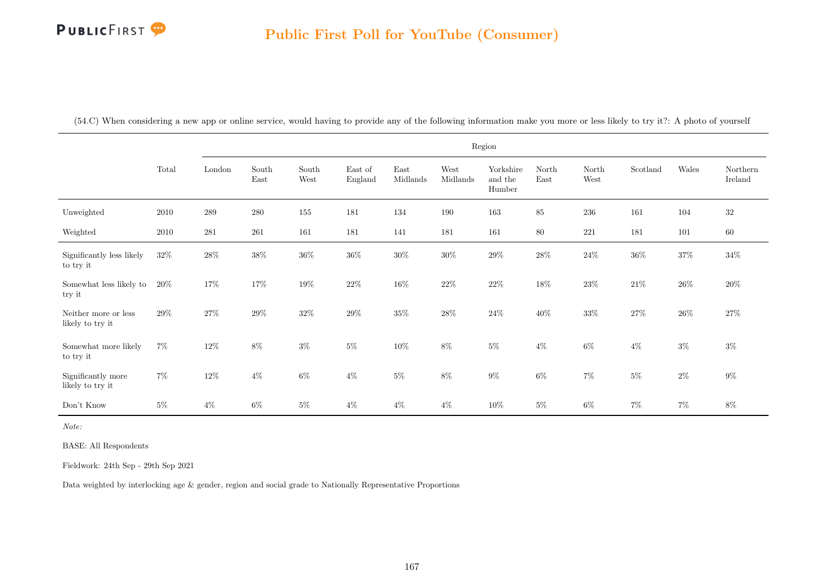(54.C) When considering a new app or online service, would having to provide any of the following information make you more or less likely to try it?: A photo of yourself

|                                          |        |           |               |               |                    |                  |                  | Region                         |               |               |          |        |                     |
|------------------------------------------|--------|-----------|---------------|---------------|--------------------|------------------|------------------|--------------------------------|---------------|---------------|----------|--------|---------------------|
|                                          | Total  | London    | South<br>East | South<br>West | East of<br>England | East<br>Midlands | West<br>Midlands | Yorkshire<br>and the<br>Humber | North<br>East | North<br>West | Scotland | Wales  | Northern<br>Ireland |
| Unweighted                               | 2010   | 289       | 280           | 155           | 181                | 134              | 190              | 163                            | 85            | $236\,$       | 161      | 104    | $32\,$              |
| Weighted                                 | 2010   | $\bf 281$ | $261\,$       | 161           | 181                | 141              | 181              | 161                            | $80\,$        | 221           | 181      | 101    | $60\,$              |
| Significantly less likely<br>to try it   | 32%    | $28\%$    | $38\%$        | $36\%$        | $36\%$             | $30\%$           | $30\%$           | $29\%$                         | $28\%$        | $24\%$        | $36\%$   | $37\%$ | $34\%$              |
| Somewhat less likely to<br>try it        | $20\%$ | 17%       | $17\%$        | $19\%$        | $22\%$             | $16\%$           | $22\%$           | $22\%$                         | $18\%$        | $23\%$        | $21\%$   | $26\%$ | $20\%$              |
| Neither more or less<br>likely to try it | 29%    | $27\%$    | $29\%$        | $32\%$        | $29\%$             | $35\%$           | $28\%$           | $24\%$                         | $40\%$        | $33\%$        | $27\%$   | $26\%$ | $27\%$              |
| Somewhat more likely<br>to try it        | $7\%$  | $12\%$    | $8\%$         | $3\%$         | $5\%$              | $10\%$           | $8\%$            | $5\%$                          | $4\%$         | $6\%$         | $4\%$    | $3\%$  | $3\%$               |
| Significantly more<br>likely to try it   | $7\%$  | $12\%$    | $4\%$         | $6\%$         | $4\%$              | $5\%$            | $8\%$            | $9\%$                          | $6\%$         | $7\%$         | $5\%$    | $2\%$  | $9\%$               |
| Don't Know                               | $5\%$  | $4\%$     | $6\%$         | $5\%$         | $4\%$              | $4\%$            | $4\%$            | 10%                            | $5\%$         | $6\%$         | $7\%$    | $7\%$  | $8\%$               |

Note:

BASE: All Respondents

Fieldwork: 24th Sep - 29th Sep 2021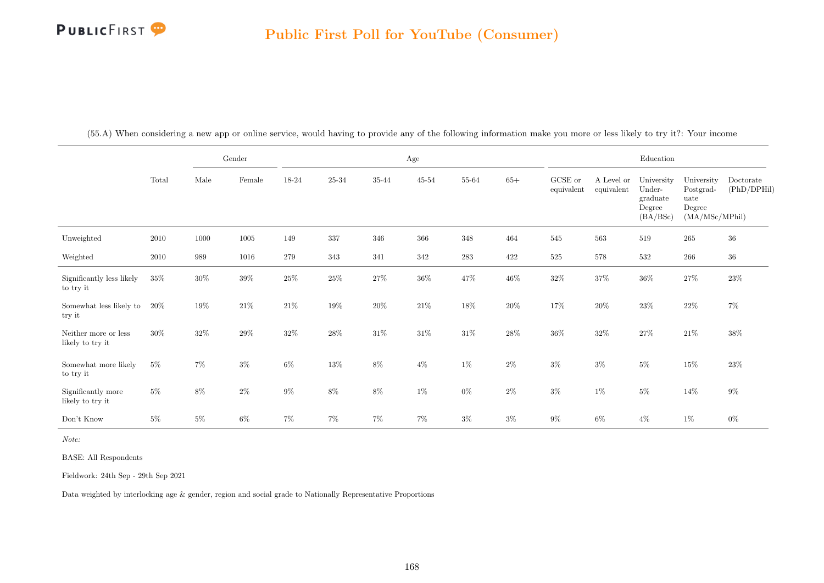|                                          |        |        | Gender   |        |         |        | $\rm Age$ |         |        |                       |                          | Education                                              |                                                             |                          |
|------------------------------------------|--------|--------|----------|--------|---------|--------|-----------|---------|--------|-----------------------|--------------------------|--------------------------------------------------------|-------------------------------------------------------------|--------------------------|
|                                          | Total  | Male   | Female   | 18-24  | 25-34   | 35-44  | $45 - 54$ | 55-64   | $65+$  | GCSE or<br>equivalent | A Level or<br>equivalent | University<br>Under-<br>graduate<br>Degree<br>(BA/BSc) | University<br>Postgrad-<br>uate<br>Degree<br>(MA/MSc/MPhil) | Doctorate<br>(PhD/DPHil) |
| Unweighted                               | 2010   | 1000   | $1005\,$ | 149    | $337\,$ | 346    | 366       | 348     | 464    | $545\,$               | 563                      | 519                                                    | 265                                                         | $36\,$                   |
| Weighted                                 | 2010   | 989    | 1016     | 279    | 343     | 341    | 342       | $\,283$ | 422    | $525\,$               | 578                      | 532                                                    | 266                                                         | $36\,$                   |
| Significantly less likely<br>to try it   | 35%    | $30\%$ | $39\%$   | $25\%$ | $25\%$  | $27\%$ | $36\%$    | $47\%$  | $46\%$ | $32\%$                | $37\%$                   | $36\%$                                                 | $27\%$                                                      | $23\%$                   |
| Somewhat less likely to<br>try it        | 20%    | $19\%$ | $21\%$   | $21\%$ | $19\%$  | $20\%$ | $21\%$    | $18\%$  | $20\%$ | $17\%$                | $20\%$                   | $23\%$                                                 | $22\%$                                                      | $7\%$                    |
| Neither more or less<br>likely to try it | $30\%$ | $32\%$ | $29\%$   | $32\%$ | $28\%$  | $31\%$ | $31\%$    | $31\%$  | $28\%$ | $36\%$                | $32\%$                   | $27\%$                                                 | $21\%$                                                      | $38\%$                   |
| Somewhat more likely<br>to try it        | $5\%$  | $7\%$  | $3\%$    | $6\%$  | $13\%$  | $8\%$  | $4\%$     | $1\%$   | $2\%$  | $3\%$                 | $3\%$                    | $5\%$                                                  | $15\%$                                                      | $23\%$                   |
| Significantly more<br>likely to try it   | $5\%$  | $8\%$  | $2\%$    | $9\%$  | $8\%$   | $8\%$  | $1\%$     | $0\%$   | $2\%$  | $3\%$                 | $1\%$                    | $5\%$                                                  | $14\%$                                                      | $9\%$                    |
| Don't Know                               | $5\%$  | $5\%$  | $6\%$    | $7\%$  | $7\%$   | $7\%$  | $7\%$     | $3\%$   | $3\%$  | $9\%$                 | $6\%$                    | $4\%$                                                  | $1\%$                                                       | $0\%$                    |

(55.A) When considering a new app or online service, would having to provide any of the following information make you more or less likely to try it?: Your income

Note:

BASE: All Respondents

Fieldwork: 24th Sep - 29th Sep 2021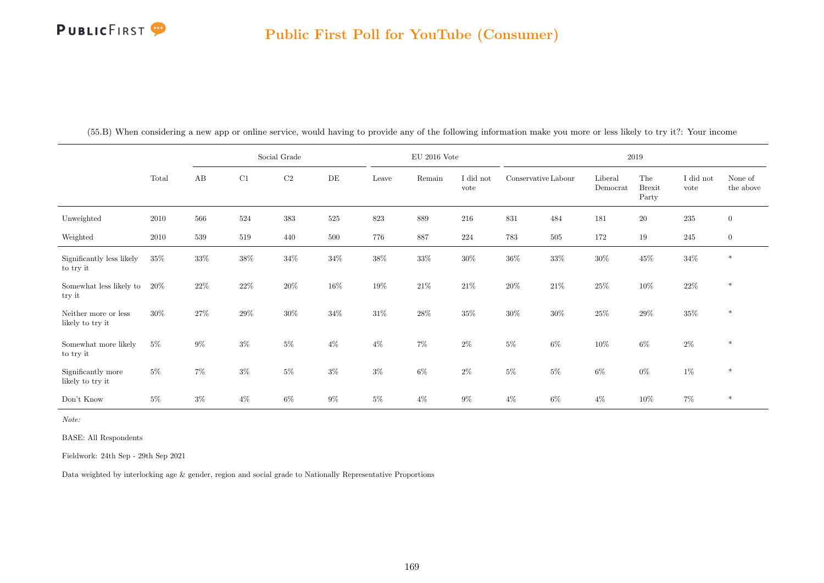|                                          |        | Social Grade |        |          |        | $\rm{EU}$ 2016 Vote |         |                   |                     |        | 2019                |                               |                   |                      |
|------------------------------------------|--------|--------------|--------|----------|--------|---------------------|---------|-------------------|---------------------|--------|---------------------|-------------------------------|-------------------|----------------------|
|                                          | Total  | AB           | C1     | $\rm C2$ | DE     | Leave               | Remain  | I did not<br>vote | Conservative Labour |        | Liberal<br>Democrat | The<br><b>Brexit</b><br>Party | I did not<br>vote | None of<br>the above |
| Unweighted                               | 2010   | 566          | 524    | $383\,$  | 525    | 823                 | $889\,$ | 216               | 831                 | 484    | 181                 | $20\,$                        | 235               | $\overline{0}$       |
| Weighted                                 | 2010   | 539          | 519    | 440      | 500    | 776                 | 887     | $224\,$           | 783                 | 505    | 172                 | 19                            | 245               | $\boldsymbol{0}$     |
| Significantly less likely<br>to try it   | $35\%$ | $33\%$       | $38\%$ | $34\%$   | $34\%$ | $38\%$              | $33\%$  | $30\%$            | $36\%$              | $33\%$ | $30\%$              | $45\%$                        | $34\%$            | $\ast$               |
| Somewhat less likely to<br>try it        | 20%    | 22\%         | $22\%$ | $20\%$   | $16\%$ | $19\%$              | $21\%$  | 21\%              | $20\%$              | $21\%$ | $25\%$              | $10\%$                        | $22\%$            | $\ast$               |
| Neither more or less<br>likely to try it | $30\%$ | 27%          | $29\%$ | $30\%$   | 34%    | $31\%$              | $28\%$  | $35\%$            | $30\%$              | $30\%$ | $25\%$              | $29\%$                        | $35\%$            | $\ast$               |
| Somewhat more likely<br>to try it        | $5\%$  | $9\%$        | $3\%$  | $5\%$    | $4\%$  | $4\%$               | $7\%$   | $2\%$             | $5\%$               | $6\%$  | 10%                 | $6\%$                         | $2\%$             | $\ast$               |
| Significantly more<br>likely to try it   | $5\%$  | $7\%$        | $3\%$  | $5\%$    | $3\%$  | $3\%$               | $6\%$   | $2\%$             | $5\%$               | $5\%$  | $6\%$               | $0\%$                         | $1\%$             | $\ast$               |
| Don't Know                               | $5\%$  | $3\%$        | $4\%$  | $6\%$    | $9\%$  | $5\%$               | $4\%$   | $9\%$             | $4\%$               | 6%     | $4\%$               | $10\%$                        | $7\%$             | $\ast$               |

(55.B) When considering a new app or online service, would having to provide any of the following information make you more or less likely to try it?: Your income

Note:

BASE: All Respondents

Fieldwork: 24th Sep - 29th Sep 2021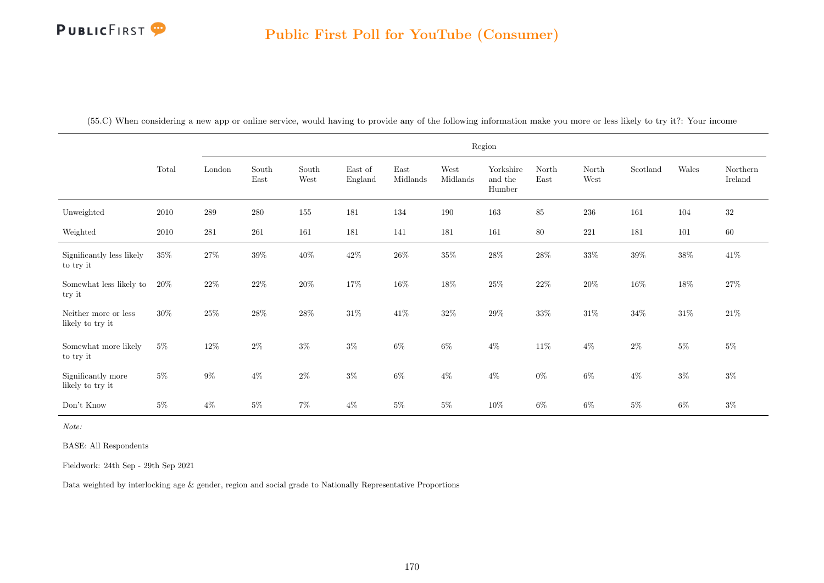| (55.C) When considering a new app or online service, would having to provide any of the following information make you more or less likely to try it?: Your income |  |  |  |  |
|--------------------------------------------------------------------------------------------------------------------------------------------------------------------|--|--|--|--|
|--------------------------------------------------------------------------------------------------------------------------------------------------------------------|--|--|--|--|

|                                          |        |           |               |               |                    |                  |                  | Region                         |               |               |          |        |                     |
|------------------------------------------|--------|-----------|---------------|---------------|--------------------|------------------|------------------|--------------------------------|---------------|---------------|----------|--------|---------------------|
|                                          | Total  | London    | South<br>East | South<br>West | East of<br>England | East<br>Midlands | West<br>Midlands | Yorkshire<br>and the<br>Humber | North<br>East | North<br>West | Scotland | Wales  | Northern<br>Ireland |
| Unweighted                               | 2010   | 289       | $280\,$       | 155           | 181                | 134              | 190              | 163                            | 85            | 236           | 161      | 104    | $32\,$              |
| Weighted                                 | 2010   | $\bf 281$ | 261           | 161           | 181                | 141              | 181              | 161                            | $80\,$        | $221\,$       | 181      | 101    | $60\,$              |
| Significantly less likely<br>to try it   | $35\%$ | $27\%$    | $39\%$        | $40\%$        | $42\%$             | $26\%$           | $35\%$           | $28\%$                         | $28\%$        | $33\%$        | $39\%$   | $38\%$ | $41\%$              |
| Somewhat less likely to<br>try it        | 20%    | $22\%$    | $22\%$        | $20\%$        | $17\%$             | $16\%$           | $18\%$           | $25\%$                         | $22\%$        | $20\%$        | $16\%$   | $18\%$ | $27\%$              |
| Neither more or less<br>likely to try it | $30\%$ | $25\%$    | $28\%$        | $28\%$        | $31\%$             | $41\%$           | $32\%$           | $29\%$                         | 33%           | $31\%$        | $34\%$   | $31\%$ | $21\%$              |
| Somewhat more likely<br>to try it        | $5\%$  | $12\%$    | $2\%$         | $3\%$         | $3\%$              | $6\%$            | $6\%$            | $4\%$                          | $11\%$        | $4\%$         | $2\%$    | $5\%$  | $5\%$               |
| Significantly more<br>likely to try it   | $5\%$  | $9\%$     | $4\%$         | $2\%$         | $3\%$              | $6\%$            | $4\%$            | $4\%$                          | $0\%$         | $6\%$         | $4\%$    | $3\%$  | $3\%$               |
| Don't Know                               | $5\%$  | $4\%$     | $5\%$         | $7\%$         | $4\%$              | $5\%$            | $5\%$            | $10\%$                         | $6\%$         | $6\%$         | $5\%$    | $6\%$  | $3\%$               |

Note:

BASE: All Respondents

Fieldwork: 24th Sep - 29th Sep 2021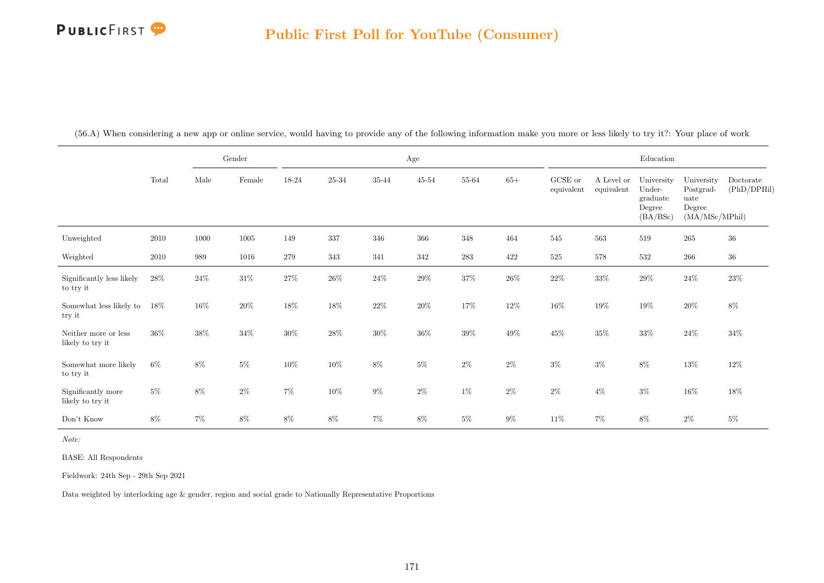|                                          |        |        | Gender   |        |           |        | $\rm Age$ |        |        |                       |                          | Education                                              |                                                             |                          |
|------------------------------------------|--------|--------|----------|--------|-----------|--------|-----------|--------|--------|-----------------------|--------------------------|--------------------------------------------------------|-------------------------------------------------------------|--------------------------|
|                                          | Total  | Male   | Female   | 18-24  | $25 - 34$ | 35-44  | $45 - 54$ | 55-64  | $65+$  | GCSE or<br>equivalent | A Level or<br>equivalent | University<br>Under-<br>graduate<br>Degree<br>(BA/BSc) | University<br>Postgrad-<br>uate<br>Degree<br>(MA/MSc/MPhil) | Doctorate<br>(PhD/DPHil) |
| Unweighted                               | 2010   | 1000   | $1005\,$ | 149    | 337       | 346    | 366       | 348    | 464    | 545                   | 563                      | 519                                                    | $265\,$                                                     | 36                       |
| Weighted                                 | 2010   | 989    | 1016     | 279    | 343       | 341    | 342       | 283    | 422    | $525\,$               | $578\,$                  | 532                                                    | $266\,$                                                     | $36\,$                   |
| Significantly less likely<br>to try it   | $28\%$ | $24\%$ | $31\%$   | $27\%$ | $26\%$    | $24\%$ | $29\%$    | $37\%$ | $26\%$ | $22\%$                | $33\%$                   | $29\%$                                                 | $24\%$                                                      | $23\%$                   |
| Somewhat less likely to<br>try it        | 18%    | $16\%$ | $20\%$   | $18\%$ | $18\%$    | $22\%$ | $20\%$    | $17\%$ | $12\%$ | $16\%$                | 19%                      | $19\%$                                                 | $20\%$                                                      | $8\%$                    |
| Neither more or less<br>likely to try it | $36\%$ | $38\%$ | $34\%$   | $30\%$ | $28\%$    | $30\%$ | $36\%$    | $39\%$ | $49\%$ | 45\%                  | $35\%$                   | $33\%$                                                 | $24\%$                                                      | $34\%$                   |
| Somewhat more likely<br>to try it        | $6\%$  | $8\%$  | $5\%$    | $10\%$ | $10\%$    | $8\%$  | $5\%$     | $2\%$  | $2\%$  | $3\%$                 | $3\%$                    | $8\%$                                                  | $13\%$                                                      | $12\%$                   |
| Significantly more<br>likely to try it   | $5\%$  | $8\%$  | $2\%$    | $7\%$  | $10\%$    | $9\%$  | $2\%$     | $1\%$  | $2\%$  | $2\%$                 | $4\%$                    | $3\%$                                                  | $16\%$                                                      | $18\%$                   |
| Don't Know                               | $8\%$  | $7\%$  | $8\%$    | $8\%$  | $8\%$     | $7\%$  | $8\%$     | $5\%$  | $9\%$  | 11\%                  | $7\%$                    | $8\%$                                                  | $2\%$                                                       | $5\%$                    |

(56.A) When considering a new app or online service, would having to provide any of the following information make you more or less likely to try it?: Your place of work

Note:

BASE: All Respondents

Fieldwork: 24th Sep - 29th Sep 2021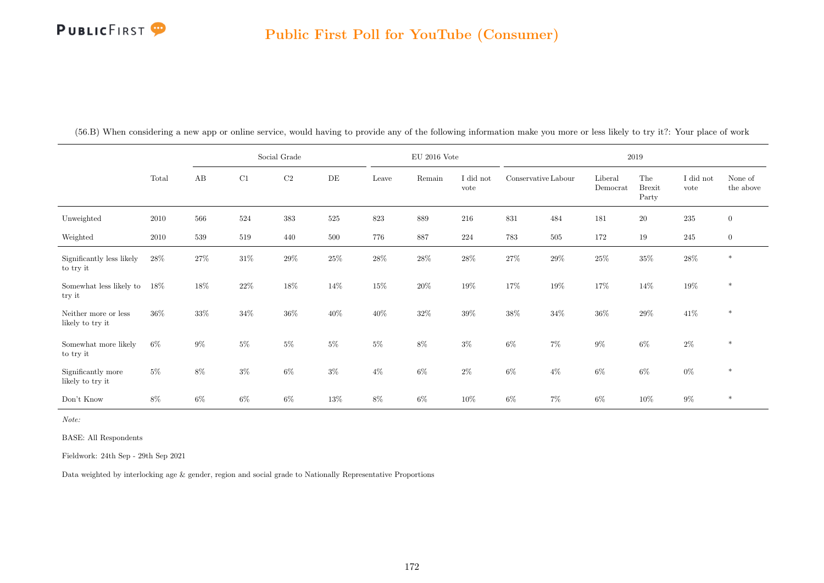|                                          |        | Social Grade |        |          |           |        | $\mathrm{EU}$ 2016 Vote |                   |                     |         | 2019                         |                               |                   |                      |
|------------------------------------------|--------|--------------|--------|----------|-----------|--------|-------------------------|-------------------|---------------------|---------|------------------------------|-------------------------------|-------------------|----------------------|
|                                          | Total  | AB           | C1     | $\rm C2$ | $\rm{DE}$ | Leave  | Remain                  | I did not<br>vote | Conservative Labour |         | Liberal<br>${\rm Demoncrat}$ | The<br><b>Brexit</b><br>Party | I did not<br>vote | None of<br>the above |
| Unweighted                               | 2010   | 566          | 524    | 383      | 525       | 823    | 889                     | 216               | 831                 | 484     | 181                          | $20\,$                        | $235\,$           | $\mathbf{0}$         |
| Weighted                                 | 2010   | 539          | 519    | 440      | 500       | 776    | 887                     | 224               | 783                 | $505\,$ | 172                          | 19                            | 245               | $\boldsymbol{0}$     |
| Significantly less likely<br>to try it   | 28\%   | 27%          | $31\%$ | $29\%$   | $25\%$    | $28\%$ | $28\%$                  | $28\%$            | $27\%$              | $29\%$  | $25\%$                       | $35\%$                        | $28\%$            | $\ast$               |
| Somewhat less likely to<br>try it        | 18%    | 18%          | $22\%$ | $18\%$   | $14\%$    | $15\%$ | $20\%$                  | $19\%$            | $17\%$              | $19\%$  | 17%                          | $14\%$                        | $19\%$            | $\ast$               |
| Neither more or less<br>likely to try it | $36\%$ | $33\%$       | $34\%$ | $36\%$   | 40%       | $40\%$ | $32\%$                  | $39\%$            | $38\%$              | $34\%$  | 36%                          | 29%                           | $41\%$            | $\ast$               |
| Somewhat more likely<br>to try it        | 6%     | $9\%$        | $5\%$  | $5\%$    | $5\%$     | $5\%$  | $8\%$                   | $3\%$             | $6\%$               | $7\%$   | $9\%$                        | $6\%$                         | $2\%$             | $\ast$               |
| Significantly more<br>likely to try it   | $5\%$  | $8\%$        | $3\%$  | $6\%$    | $3\%$     | $4\%$  | $6\%$                   | $2\%$             | $6\%$               | $4\%$   | $6\%$                        | $6\%$                         | $0\%$             | $\ast$               |
| Don't Know                               | 8%     | $6\%$        | $6\%$  | $6\%$    | 13%       | $8\%$  | $6\%$                   | 10%               | $6\%$               | $7\%$   | $6\%$                        | $10\%$                        | $9\%$             | $\ast$               |

(56.B) When considering a new app or online service, would having to provide any of the following information make you more or less likely to try it?: Your place of work

Note:

BASE: All Respondents

Fieldwork: 24th Sep - 29th Sep 2021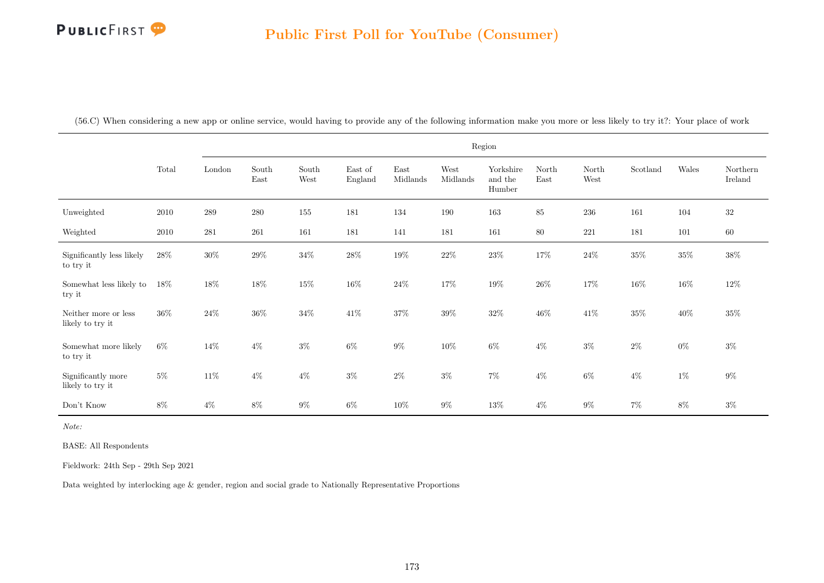(56.C) When considering a new app or online service, would having to provide any of the following information make you more or less likely to try it?: Your place of work

|                                          |        |         |               |               |                    |                  |                  | Region                         |               |               |          |        |                     |
|------------------------------------------|--------|---------|---------------|---------------|--------------------|------------------|------------------|--------------------------------|---------------|---------------|----------|--------|---------------------|
|                                          | Total  | London  | South<br>East | South<br>West | East of<br>England | East<br>Midlands | West<br>Midlands | Yorkshire<br>and the<br>Humber | North<br>East | North<br>West | Scotland | Wales  | Northern<br>Ireland |
| Unweighted                               | 2010   | $\,289$ | $280\,$       | 155           | 181                | 134              | 190              | 163                            | 85            | $\,236$       | 161      | 104    | $32\,$              |
| Weighted                                 | 2010   | 281     | $261\,$       | 161           | 181                | 141              | 181              | 161                            | 80            | 221           | 181      | 101    | 60                  |
| Significantly less likely<br>to try it   | $28\%$ | $30\%$  | $29\%$        | $34\%$        | $28\%$             | $19\%$           | $22\%$           | $23\%$                         | $17\%$        | $24\%$        | $35\%$   | $35\%$ | $38\%$              |
| Somewhat less likely to<br>try it        | 18%    | $18\%$  | $18\%$        | $15\%$        | $16\%$             | $24\%$           | $17\%$           | $19\%$                         | $26\%$        | 17%           | $16\%$   | $16\%$ | $12\%$              |
| Neither more or less<br>likely to try it | $36\%$ | $24\%$  | $36\%$        | $34\%$        | $41\%$             | $37\%$           | $39\%$           | $32\%$                         | $46\%$        | $41\%$        | $35\%$   | $40\%$ | $35\%$              |
| Somewhat more likely<br>to try it        | $6\%$  | $14\%$  | $4\%$         | $3\%$         | $6\%$              | $9\%$            | 10%              | $6\%$                          | $4\%$         | $3\%$         | $2\%$    | $0\%$  | $3\%$               |
| Significantly more<br>likely to try it   | $5\%$  | $11\%$  | $4\%$         | $4\%$         | $3\%$              | $2\%$            | $3\%$            | $7\%$                          | $4\%$         | $6\%$         | $4\%$    | $1\%$  | $9\%$               |
| Don't Know                               | 8%     | $4\%$   | $8\%$         | $9\%$         | $6\%$              | $10\%$           | $9\%$            | $13\%$                         | $4\%$         | $9\%$         | $7\%$    | 8%     | $3\%$               |

Note:

BASE: All Respondents

Fieldwork: 24th Sep - 29th Sep 2021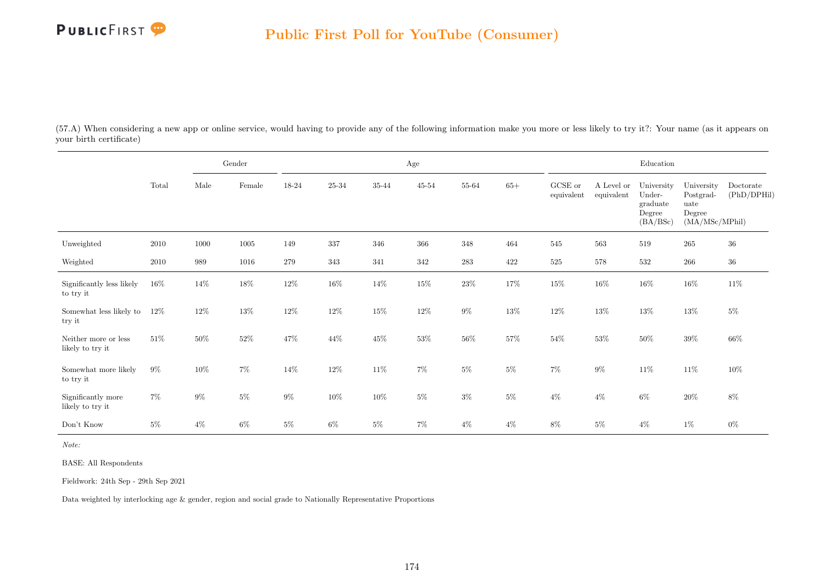

(57.A) When considering a new app or online service, would having to provide any of the following information make you more or less likely to try it?: Your name (as it appears on your birth certificate)

|                                          |        |        | Gender          |         |        |           | Age       |           |         |                       |                          | Education                                              |                                                             |                          |
|------------------------------------------|--------|--------|-----------------|---------|--------|-----------|-----------|-----------|---------|-----------------------|--------------------------|--------------------------------------------------------|-------------------------------------------------------------|--------------------------|
|                                          | Total  | Male   | $\mbox{Female}$ | 18-24   | 25-34  | $35 - 44$ | $45 - 54$ | 55-64     | $65+$   | GCSE or<br>equivalent | A Level or<br>equivalent | University<br>Under-<br>graduate<br>Degree<br>(BA/BSc) | University<br>Postgrad-<br>uate<br>Degree<br>(MA/MSc/MPhil) | Doctorate<br>(PhD/DPHil) |
| Unweighted                               | 2010   | 1000   | 1005            | 149     | 337    | 346       | 366       | 348       | 464     | 545                   | 563                      | 519                                                    | 265                                                         | $36\,$                   |
| Weighted                                 | 2010   | 989    | 1016            | $279\,$ | 343    | 341       | 342       | $\bf 283$ | $422\,$ | $525\,$               | $578\,$                  | 532                                                    | $266\,$                                                     | $36\,$                   |
| Significantly less likely<br>to try it   | $16\%$ | 14\%   | $18\%$          | $12\%$  | $16\%$ | $14\%$    | $15\%$    | $23\%$    | $17\%$  | $15\%$                | $16\%$                   | $16\%$                                                 | $16\%$                                                      | $11\%$                   |
| Somewhat less likely to<br>try it        | $12\%$ | 12\%   | $13\%$          | $12\%$  | 12%    | $15\%$    | $12\%$    | $9\%$     | $13\%$  | $12\%$                | $13\%$                   | $13\%$                                                 | 13%                                                         | $5\%$                    |
| Neither more or less<br>likely to try it | $51\%$ | $50\%$ | $52\%$          | 47\%    | 44\%   | $45\%$    | $53\%$    | $56\%$    | $57\%$  | $54\%$                | $53\%$                   | $50\%$                                                 | $39\%$                                                      | $66\%$                   |
| Somewhat more likely<br>to try it        | $9\%$  | $10\%$ | $7\%$           | 14%     | $12\%$ | $11\%$    | $7\%$     | $5\%$     | $5\%$   | $7\%$                 | $9\%$                    | $11\%$                                                 | 11\%                                                        | $10\%$                   |
| Significantly more<br>likely to try it   | $7\%$  | $9\%$  | $5\%$           | $9\%$   | $10\%$ | $10\%$    | $5\%$     | $3\%$     | $5\%$   | $4\%$                 | $4\%$                    | $6\%$                                                  | $20\%$                                                      | $8\%$                    |
| Don't Know                               | $5\%$  | $4\%$  | $6\%$           | $5\%$   | $6\%$  | $5\%$     | $7\%$     | $4\%$     | $4\%$   | $8\%$                 | $5\%$                    | $4\%$                                                  | $1\%$                                                       | $0\%$                    |

Note:

BASE: All Respondents

Fieldwork: 24th Sep - 29th Sep 2021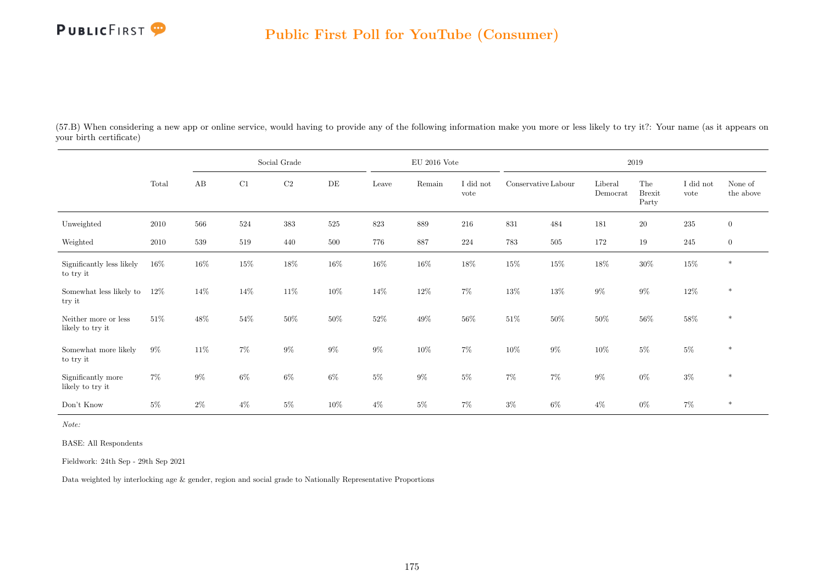

(57.B) When considering a new app or online service, would having to provide any of the following information make you more or less likely to try it?: Your name (as it appears on your birth certificate)

|                                          |        | Social Grade |        |          |        |         | $\rm EU$ 2016 Vote |                   |                     |         |                     | 2019                          |                   |                      |
|------------------------------------------|--------|--------------|--------|----------|--------|---------|--------------------|-------------------|---------------------|---------|---------------------|-------------------------------|-------------------|----------------------|
|                                          | Total  | AB           | C1     | $\rm C2$ | DE     | Leave   | Remain             | I did not<br>vote | Conservative Labour |         | Liberal<br>Democrat | The<br><b>Brexit</b><br>Party | I did not<br>vote | None of<br>the above |
| Unweighted                               | 2010   | 566          | 524    | $383\,$  | 525    | $823\,$ | 889                | 216               | $831\,$             | 484     | 181                 | $20\,$                        | $235\,$           | $\overline{0}$       |
| Weighted                                 | 2010   | $539\,$      | 519    | 440      | 500    | 776     | 887                | 224               | 783                 | $505\,$ | 172                 | 19                            | 245               | $\overline{0}$       |
| Significantly less likely<br>to try it   | $16\%$ | 16%          | $15\%$ | $18\%$   | $16\%$ | $16\%$  | $16\%$             | $18\%$            | $15\%$              | $15\%$  | $18\%$              | $30\%$                        | $15\%$            | $\ast$               |
| Somewhat less likely to<br>try it        | $12\%$ | 14\%         | $14\%$ | 11\%     | $10\%$ | $14\%$  | $12\%$             | $7\%$             | $13\%$              | $13\%$  | $9\%$               | $9\%$                         | $12\%$            | $\ast$               |
| Neither more or less<br>likely to try it | $51\%$ | 48%          | $54\%$ | $50\%$   | 50%    | $52\%$  | $49\%$             | $56\%$            | $51\%$              | $50\%$  | $50\%$              | $56\%$                        | $58\%$            | $\ast$               |
| Somewhat more likely<br>to try it        | $9\%$  | $11\%$       | $7\%$  | $9\%$    | $9\%$  | $9\%$   | $10\%$             | $7\%$             | $10\%$              | $9\%$   | 10%                 | $5\%$                         | $5\%$             | $\ast$               |
| Significantly more<br>likely to try it   | $7\%$  | $9\%$        | $6\%$  | $6\%$    | $6\%$  | $5\%$   | $9\%$              | $5\%$             | $7\%$               | $7\%$   | $9\%$               | $0\%$                         | $3\%$             | $\ast$               |
| Don't Know                               | $5\%$  | $2\%$        | $4\%$  | $5\%$    | 10%    | $4\%$   | $5\%$              | 7%                | $3\%$               | $6\%$   | $4\%$               | $0\%$                         | $7\%$             | $\ast$               |

Note:

BASE: All Respondents

Fieldwork: 24th Sep - 29th Sep 2021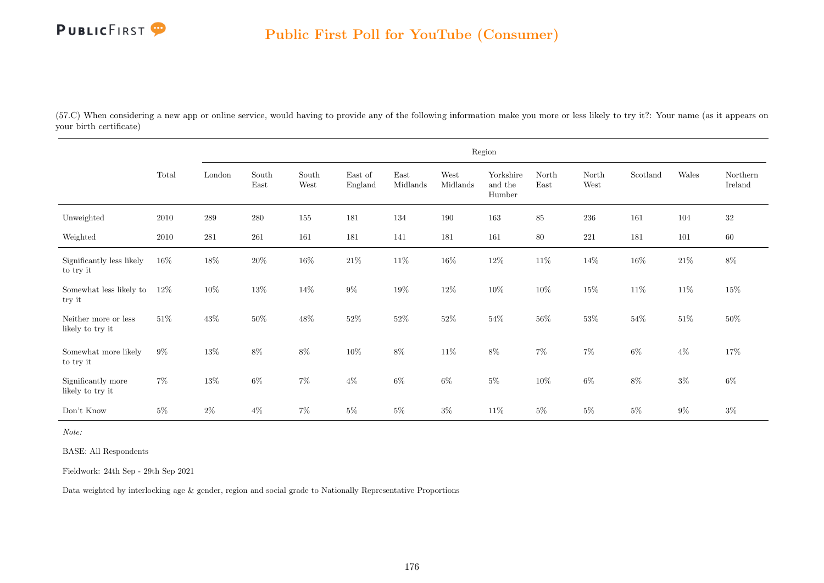(57.C) When considering a new app or online service, would having to provide any of the following information make you more or less likely to try it?: Your name (as it appears on your birth certificate)

|                                          |        |        |               |               |                    |                  |                  | Region                         |               |               |          |        |                     |
|------------------------------------------|--------|--------|---------------|---------------|--------------------|------------------|------------------|--------------------------------|---------------|---------------|----------|--------|---------------------|
|                                          | Total  | London | South<br>East | South<br>West | East of<br>England | East<br>Midlands | West<br>Midlands | Yorkshire<br>and the<br>Humber | North<br>East | North<br>West | Scotland | Wales  | Northern<br>Ireland |
| Unweighted                               | 2010   | 289    | 280           | 155           | 181                | 134              | 190              | 163                            | 85            | 236           | 161      | 104    | 32                  |
| Weighted                                 | 2010   | 281    | 261           | 161           | 181                | 141              | 181              | 161                            | 80            | 221           | 181      | 101    | $60\,$              |
| Significantly less likely<br>to try it   | $16\%$ | $18\%$ | $20\%$        | $16\%$        | $21\%$             | $11\%$           | $16\%$           | $12\%$                         | $11\%$        | $14\%$        | $16\%$   | $21\%$ | $8\%$               |
| Somewhat less likely to<br>try it        | $12\%$ | $10\%$ | $13\%$        | 14\%          | $9\%$              | $19\%$           | $12\%$           | $10\%$                         | $10\%$        | $15\%$        | $11\%$   | $11\%$ | $15\%$              |
| Neither more or less<br>likely to try it | $51\%$ | $43\%$ | $50\%$        | $48\%$        | $52\%$             | $52\%$           | $52\%$           | $54\%$                         | $56\%$        | $53\%$        | $54\%$   | $51\%$ | $50\%$              |
| Somewhat more likely<br>to try it        | $9\%$  | $13\%$ | $8\%$         | $8\%$         | $10\%$             | $8\%$            | $11\%$           | $8\%$                          | $7\%$         | $7\%$         | $6\%$    | $4\%$  | 17%                 |
| Significantly more<br>likely to try it   | $7\%$  | $13\%$ | $6\%$         | $7\%$         | $4\%$              | $6\%$            | $6\%$            | $5\%$                          | $10\%$        | $6\%$         | 8%       | $3\%$  | $6\%$               |
| Don't Know                               | $5\%$  | $2\%$  | $4\%$         | $7\%$         | $5\%$              | $5\%$            | $3\%$            | $11\%$                         | $5\%$         | 5%            | $5\%$    | $9\%$  | $3\%$               |

Note:

BASE: All Respondents

Fieldwork: 24th Sep - 29th Sep 2021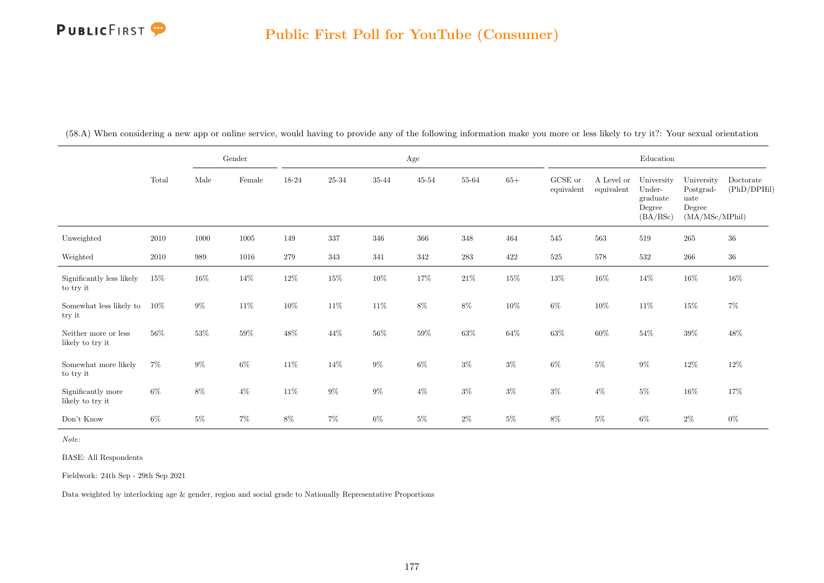|                                          |        |        | Gender   |        |           |        | $\rm Age$ |           |        |                       |                          | Education                                              |                                                             |                          |
|------------------------------------------|--------|--------|----------|--------|-----------|--------|-----------|-----------|--------|-----------------------|--------------------------|--------------------------------------------------------|-------------------------------------------------------------|--------------------------|
|                                          | Total  | Male   | Female   | 18-24  | $25 - 34$ | 35-44  | $45 - 54$ | 55-64     | $65+$  | GCSE or<br>equivalent | A Level or<br>equivalent | University<br>Under-<br>graduate<br>Degree<br>(BA/BSc) | University<br>Postgrad-<br>uate<br>Degree<br>(MA/MSc/MPhil) | Doctorate<br>(PhD/DPHil) |
| Unweighted                               | 2010   | 1000   | $1005\,$ | 149    | 337       | 346    | 366       | 348       | 464    | 545                   | 563                      | 519                                                    | 265                                                         | $36\,$                   |
| Weighted                                 | 2010   | 989    | 1016     | 279    | 343       | 341    | 342       | $\bf 283$ | 422    | $525\,$               | 578                      | 532                                                    | 266                                                         | $36\,$                   |
| Significantly less likely<br>to try it   | 15%    | $16\%$ | $14\%$   | $12\%$ | $15\%$    | $10\%$ | $17\%$    | $21\%$    | $15\%$ | $13\%$                | $16\%$                   | $14\%$                                                 | $16\%$                                                      | $16\%$                   |
| Somewhat less likely to<br>try it        | 10%    | $9\%$  | $11\%$   | $10\%$ | $11\%$    | $11\%$ | $8\%$     | $8\%$     | $10\%$ | $6\%$                 | 10%                      | $11\%$                                                 | $15\%$                                                      | $7\%$                    |
| Neither more or less<br>likely to try it | $56\%$ | $53\%$ | $59\%$   | $48\%$ | 44%       | $56\%$ | $59\%$    | $63\%$    | $64\%$ | $63\%$                | $60\%$                   | $54\%$                                                 | 39%                                                         | $48\%$                   |
| Somewhat more likely<br>to try it        | $7\%$  | $9\%$  | 6%       | $11\%$ | $14\%$    | $9\%$  | $6\%$     | $3\%$     | $3\%$  | $6\%$                 | $5\%$                    | $9\%$                                                  | $12\%$                                                      | $12\%$                   |
| Significantly more<br>likely to try it   | $6\%$  | $8\%$  | $4\%$    | $11\%$ | $9\%$     | $9\%$  | $4\%$     | $3\%$     | $3\%$  | $3\%$                 | $4\%$                    | $5\%$                                                  | $16\%$                                                      | 17%                      |
| Don't Know                               | $6\%$  | $5\%$  | $7\%$    | $8\%$  | $7\%$     | $6\%$  | $5\%$     | $2\%$     | $5\%$  | $8\%$                 | $5\%$                    | $6\%$                                                  | $2\%$                                                       | $0\%$                    |

(58.A) When considering a new app or online service, would having to provide any of the following information make you more or less likely to try it?: Your sexual orientation

Note:

BASE: All Respondents

Fieldwork: 24th Sep - 29th Sep 2021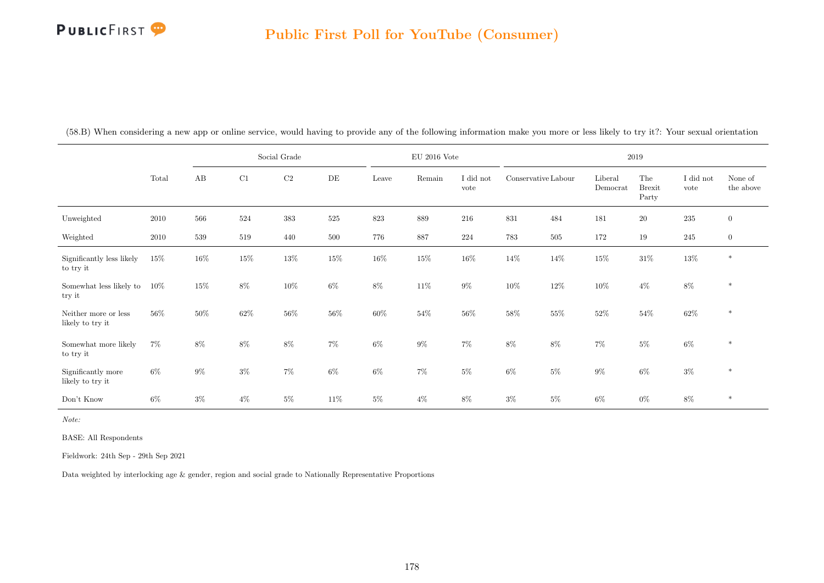|                                          |        | Social Grade |        |          |           | $\rm EU$ 2016 Vote |        |                   | 2019                |         |                     |                               |                   |                      |  |
|------------------------------------------|--------|--------------|--------|----------|-----------|--------------------|--------|-------------------|---------------------|---------|---------------------|-------------------------------|-------------------|----------------------|--|
|                                          | Total  | AB           | C1     | $\rm C2$ | $\rm{DE}$ | Leave              | Remain | I did not<br>vote | Conservative Labour |         | Liberal<br>Democrat | The<br><b>Brexit</b><br>Party | I did not<br>vote | None of<br>the above |  |
| Unweighted                               | 2010   | 566          | 524    | $383\,$  | $525\,$   | 823                | 889    | 216               | 831                 | 484     | 181                 | $20\,$                        | $\bf 235$         | $\overline{0}$       |  |
| Weighted                                 | 2010   | 539          | 519    | 440      | 500       | 776                | 887    | 224               | 783                 | $505\,$ | 172                 | 19                            | $245\,$           | $\overline{0}$       |  |
| Significantly less likely<br>to try it   | $15\%$ | $16\%$       | $15\%$ | $13\%$   | $15\%$    | $16\%$             | $15\%$ | $16\%$            | $14\%$              | $14\%$  | $15\%$              | $31\%$                        | $13\%$            | $*$                  |  |
| Somewhat less likely to<br>try it        | 10%    | $15\%$       | $8\%$  | $10\%$   | $6\%$     | $8\%$              | $11\%$ | $9\%$             | $10\%$              | $12\%$  | $10\%$              | $4\%$                         | $8\%$             | $\ast$               |  |
| Neither more or less<br>likely to try it | $56\%$ | 50%          | $62\%$ | $56\%$   | $56\%$    | $60\%$             | $54\%$ | $56\%$            | $58\%$              | $55\%$  | $52\%$              | $54\%$                        | $62\%$            | $\ast$               |  |
| Somewhat more likely<br>to try it        | $7\%$  | $8\%$        | $8\%$  | $8\%$    | $7\%$     | $6\%$              | $9\%$  | $7\%$             | $8\%$               | $8\%$   | $7\%$               | $5\%$                         | $6\%$             | $\ast$               |  |
| Significantly more<br>likely to try it   | $6\%$  | $9\%$        | $3\%$  | $7\%$    | $6\%$     | $6\%$              | $7\%$  | $5\%$             | $6\%$               | $5\%$   | $9\%$               | $6\%$                         | $3\%$             | $\ast$               |  |
| Don't Know                               | $6\%$  | $3\%$        | $4\%$  | $5\%$    | $11\%$    | $5\%$              | $4\%$  | $8\%$             | $3\%$               | $5\%$   | $6\%$               | $0\%$                         | $8\%$             | $\ast$               |  |

(58.B) When considering a new app or online service, would having to provide any of the following information make you more or less likely to try it?: Your sexual orientation

Note:

BASE: All Respondents

Fieldwork: 24th Sep - 29th Sep 2021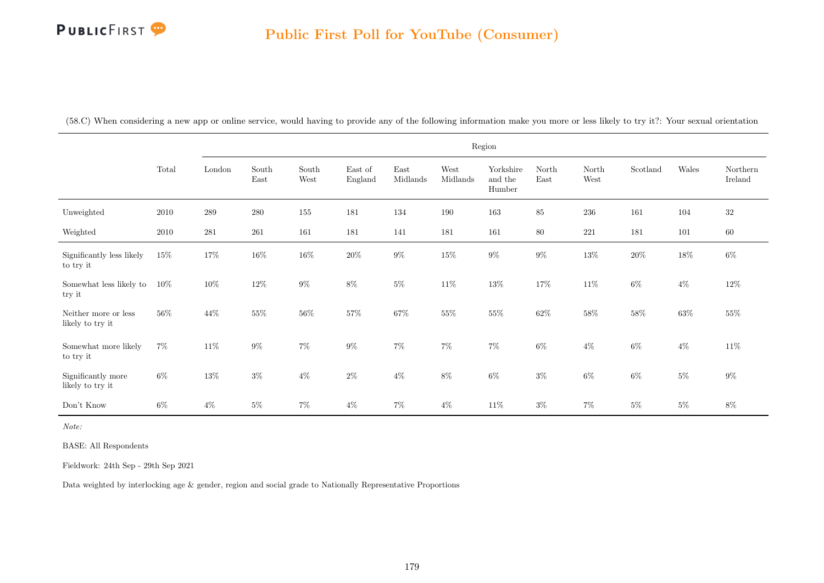(58.C) When considering a new app or online service, would having to provide any of the following information make you more or less likely to try it?: Your sexual orientation

|                                          |        | Region  |               |               |                    |                  |                  |                                |               |               |          |        |                     |
|------------------------------------------|--------|---------|---------------|---------------|--------------------|------------------|------------------|--------------------------------|---------------|---------------|----------|--------|---------------------|
|                                          | Total  | London  | South<br>East | South<br>West | East of<br>England | East<br>Midlands | West<br>Midlands | Yorkshire<br>and the<br>Humber | North<br>East | North<br>West | Scotland | Wales  | Northern<br>Ireland |
| Unweighted                               | 2010   | $\,289$ | 280           | 155           | 181                | 134              | 190              | 163                            | 85            | 236           | 161      | 104    | $32\,$              |
| Weighted                                 | 2010   | 281     | $261\,$       | 161           | 181                | 141              | 181              | $161\,$                        | $80\,$        | $221\,$       | 181      | 101    | $60\,$              |
| Significantly less likely<br>to try it   | $15\%$ | $17\%$  | $16\%$        | $16\%$        | $20\%$             | $9\%$            | $15\%$           | $9\%$                          | $9\%$         | $13\%$        | $20\%$   | $18\%$ | $6\%$               |
| Somewhat less likely to<br>try it        | 10%    | $10\%$  | $12\%$        | $9\%$         | $8\%$              | $5\%$            | $11\%$           | $13\%$                         | 17%           | $11\%$        | $6\%$    | $4\%$  | $12\%$              |
| Neither more or less<br>likely to try it | 56%    | 44\%    | $55\%$        | $56\%$        | $57\%$             | $67\%$           | $55\%$           | $55\%$                         | $62\%$        | $58\%$        | $58\%$   | $63\%$ | $55\%$              |
| Somewhat more likely<br>to try it        | $7\%$  | $11\%$  | $9\%$         | $7\%$         | $9\%$              | $7\%$            | $7\%$            | $7\%$                          | $6\%$         | $4\%$         | 6%       | $4\%$  | $11\%$              |
| Significantly more<br>likely to try it   | $6\%$  | $13\%$  | $3\%$         | $4\%$         | $2\%$              | $4\%$            | $8\%$            | $6\%$                          | $3\%$         | $6\%$         | 6%       | $5\%$  | $9\%$               |
| Don't Know                               | $6\%$  | $4\%$   | $5\%$         | $7\%$         | $4\%$              | $7\%$            | $4\%$            | $11\%$                         | $3\%$         | 7%            | $5\%$    | $5\%$  | 8%                  |

Note:

BASE: All Respondents

Fieldwork: 24th Sep - 29th Sep 2021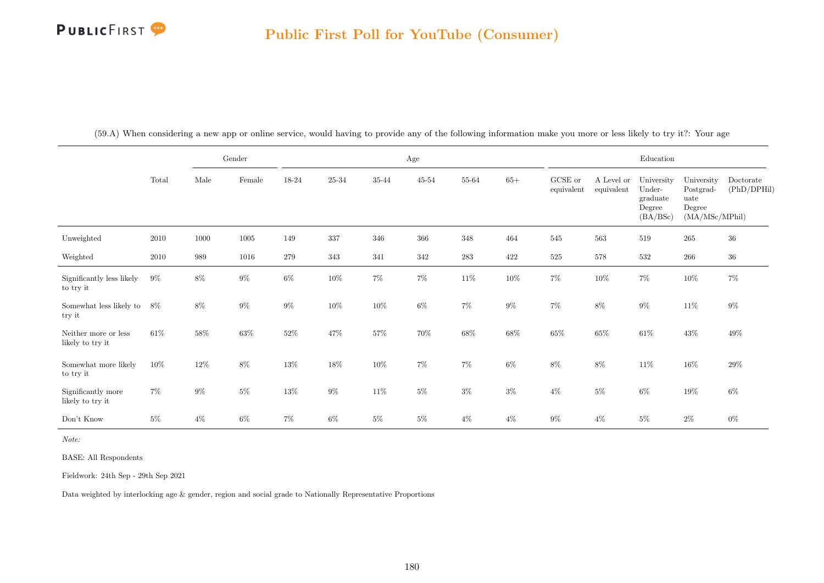|                                          |        |        | Gender   |        |         |        | $\rm Age$ |         |        |                       |                          | Education                                              |                                                             |                          |
|------------------------------------------|--------|--------|----------|--------|---------|--------|-----------|---------|--------|-----------------------|--------------------------|--------------------------------------------------------|-------------------------------------------------------------|--------------------------|
|                                          | Total  | Male   | Female   | 18-24  | 25-34   | 35-44  | $45 - 54$ | 55-64   | $65+$  | GCSE or<br>equivalent | A Level or<br>equivalent | University<br>Under-<br>graduate<br>Degree<br>(BA/BSc) | University<br>Postgrad-<br>uate<br>Degree<br>(MA/MSc/MPhil) | Doctorate<br>(PhD/DPHil) |
| Unweighted                               | 2010   | 1000   | $1005\,$ | 149    | $337\,$ | 346    | $366\,$   | 348     | 464    | $545\,$               | 563                      | 519                                                    | 265                                                         | $36\,$                   |
| Weighted                                 | 2010   | 989    | 1016     | 279    | 343     | 341    | 342       | $\,283$ | 422    | $525\,$               | 578                      | 532                                                    | 266                                                         | $36\,$                   |
| Significantly less likely<br>to try it   | $9\%$  | $8\%$  | $9\%$    | $6\%$  | $10\%$  | $7\%$  | $7\%$     | $11\%$  | $10\%$ | $7\%$                 | $10\%$                   | $7\%$                                                  | $10\%$                                                      | $7\%$                    |
| Somewhat less likely to<br>try it        | 8%     | $8\%$  | $9\%$    | $9\%$  | $10\%$  | $10\%$ | $6\%$     | $7\%$   | $9\%$  | $7\%$                 | $8\%$                    | $9\%$                                                  | $11\%$                                                      | $9\%$                    |
| Neither more or less<br>likely to try it | $61\%$ | $58\%$ | $63\%$   | $52\%$ | 47%     | $57\%$ | 70%       | $68\%$  | $68\%$ | $65\%$                | $65\%$                   | $61\%$                                                 | $43\%$                                                      | $49\%$                   |
| Somewhat more likely<br>to try it        | $10\%$ | $12\%$ | $8\%$    | $13\%$ | $18\%$  | $10\%$ | $7\%$     | $7\%$   | $6\%$  | $8\%$                 | $8\%$                    | $11\%$                                                 | $16\%$                                                      | $29\%$                   |
| Significantly more<br>likely to try it   | $7\%$  | $9\%$  | $5\%$    | $13\%$ | $9\%$   | $11\%$ | $5\%$     | $3\%$   | $3\%$  | $4\%$                 | $5\%$                    | $6\%$                                                  | $19\%$                                                      | $6\%$                    |
| Don't Know                               | $5\%$  | $4\%$  | $6\%$    | $7\%$  | $6\%$   | $5\%$  | $5\%$     | $4\%$   | $4\%$  | $9\%$                 | $4\%$                    | $5\%$                                                  | $2\%$                                                       | $0\%$                    |

(59.A) When considering a new app or online service, would having to provide any of the following information make you more or less likely to try it?: Your age

Note:

BASE: All Respondents

Fieldwork: 24th Sep - 29th Sep 2021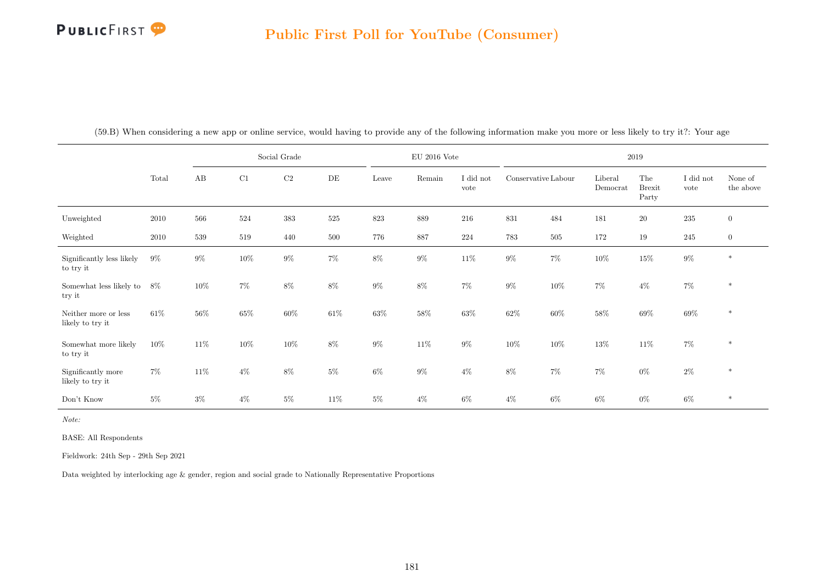

|                                          |        |        |        | Social Grade |        |        | $\mathrm{EU}$ 2016 Vote |                   |                     |        |                     | 2019                          |                   |                      |
|------------------------------------------|--------|--------|--------|--------------|--------|--------|-------------------------|-------------------|---------------------|--------|---------------------|-------------------------------|-------------------|----------------------|
|                                          | Total  | AB     | C1     | C2           | DE     | Leave  | Remain                  | I did not<br>vote | Conservative Labour |        | Liberal<br>Democrat | The<br><b>Brexit</b><br>Party | I did not<br>vote | None of<br>the above |
| Unweighted                               | 2010   | 566    | 524    | $383\,$      | 525    | 823    | 889                     | 216               | 831                 | 484    | 181                 | $20\,$                        | $235\,$           | $\overline{0}$       |
| Weighted                                 | 2010   | 539    | 519    | 440          | 500    | 776    | 887                     | $224\,$           | 783                 | 505    | 172                 | 19                            | 245               | $\mathbf{0}$         |
| Significantly less likely<br>to try it   | $9\%$  | $9\%$  | $10\%$ | $9\%$        | $7\%$  | $8\%$  | $9\%$                   | $11\%$            | $9\%$               | $7\%$  | $10\%$              | $15\%$                        | $9\%$             | $\ast$               |
| Somewhat less likely to<br>try it        | $8\%$  | $10\%$ | $7\%$  | $8\%$        | $8\%$  | $9\%$  | $8\%$                   | $7\%$             | $9\%$               | $10\%$ | $7\%$               | $4\%$                         | $7\%$             | $\ast$               |
| Neither more or less<br>likely to try it | $61\%$ | $56\%$ | $65\%$ | $60\%$       | $61\%$ | $63\%$ | 58%                     | $63\%$            | $62\%$              | $60\%$ | $58\%$              | $69\%$                        | $69\%$            | $\ast$               |
| Somewhat more likely<br>to try it        | $10\%$ | $11\%$ | $10\%$ | $10\%$       | $8\%$  | $9\%$  | $11\%$                  | $9\%$             | $10\%$              | $10\%$ | $13\%$              | $11\%$                        | $7\%$             | $\ast$               |
| Significantly more<br>likely to try it   | $7\%$  | 11\%   | $4\%$  | $8\%$        | $5\%$  | $6\%$  | $9\%$                   | $4\%$             | $8\%$               | $7\%$  | $7\%$               | $0\%$                         | $2\%$             | $\ast$               |
| Don't Know                               | $5\%$  | $3\%$  | $4\%$  | $5\%$        | 11\%   | $5\%$  | $4\%$                   | $6\%$             | $4\%$               | $6\%$  | $6\%$               | $0\%$                         | $6\%$             | $\ast$               |

(59.B) When considering a new app or online service, would having to provide any of the following information make you more or less likely to try it?: Your age

Note:

BASE: All Respondents

Fieldwork: 24th Sep - 29th Sep 2021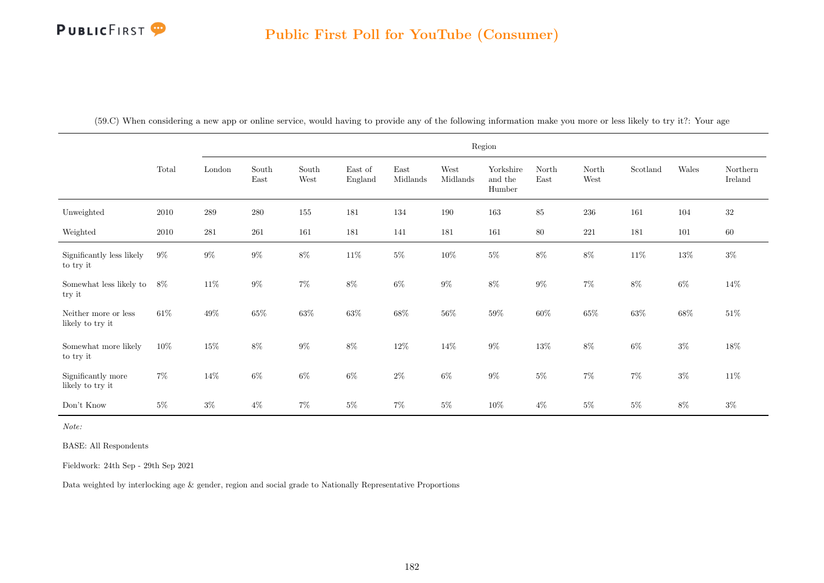| (59.C) When considering a new app or online service, would having to provide any of the following information make you more or less likely to try it?: Your age |
|-----------------------------------------------------------------------------------------------------------------------------------------------------------------|
|-----------------------------------------------------------------------------------------------------------------------------------------------------------------|

|                                          |        |         |                                |                                |                    |                                   |                  | Region                         |               |               |          |        |                     |
|------------------------------------------|--------|---------|--------------------------------|--------------------------------|--------------------|-----------------------------------|------------------|--------------------------------|---------------|---------------|----------|--------|---------------------|
|                                          | Total  | London  | $\operatorname{South}$<br>East | South<br>$\operatorname{West}$ | East of<br>England | $\operatorname{East}$<br>Midlands | West<br>Midlands | Yorkshire<br>and the<br>Humber | North<br>East | North<br>West | Scotland | Wales  | Northern<br>Ireland |
| Unweighted                               | 2010   | $\,289$ | 280                            | 155                            | 181                | 134                               | 190              | 163                            | 85            | $236\,$       | 161      | 104    | $32\,$              |
| Weighted                                 | 2010   | 281     | 261                            | 161                            | 181                | 141                               | 181              | 161                            | $80\,$        | 221           | 181      | 101    | $60\,$              |
| Significantly less likely<br>to try it   | $9\%$  | $9\%$   | $9\%$                          | $8\%$                          | $11\%$             | $5\%$                             | $10\%$           | $5\%$                          | $8\%$         | $8\%$         | $11\%$   | $13\%$ | $3\%$               |
| Somewhat less likely to<br>try it        | 8%     | $11\%$  | $9\%$                          | $7\%$                          | $8\%$              | $6\%$                             | $9\%$            | $8\%$                          | $9\%$         | $7\%$         | $8\%$    | $6\%$  | 14\%                |
| Neither more or less<br>likely to try it | $61\%$ | $49\%$  | 65%                            | $63\%$                         | $63\%$             | $68\%$                            | $56\%$           | $59\%$                         | $60\%$        | $65\%$        | $63\%$   | $68\%$ | $51\%$              |
| Somewhat more likely<br>to try it        | $10\%$ | $15\%$  | $8\%$                          | $9\%$                          | $8\%$              | $12\%$                            | $14\%$           | $9\%$                          | $13\%$        | $8\%$         | 6%       | $3\%$  | $18\%$              |
| Significantly more<br>likely to try it   | $7\%$  | $14\%$  | $6\%$                          | $6\%$                          | $6\%$              | $2\%$                             | $6\%$            | $9\%$                          | $5\%$         | $7\%$         | $7\%$    | $3\%$  | $11\%$              |
| Don't Know                               | $5\%$  | $3\%$   | $4\%$                          | $7\%$                          | $5\%$              | $7\%$                             | $5\%$            | $10\%$                         | $4\%$         | $5\%$         | $5\%$    | $8\%$  | $3\%$               |

Note:

BASE: All Respondents

Fieldwork: 24th Sep - 29th Sep 2021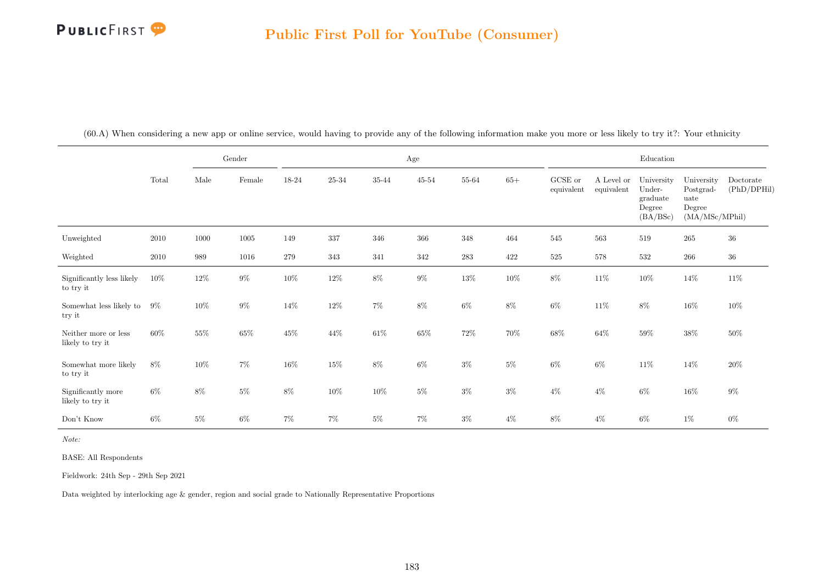|                                          |       |        | Gender   |         |                | Age    |           |        |        |                       |                          | Education                                              |                                                             |                          |
|------------------------------------------|-------|--------|----------|---------|----------------|--------|-----------|--------|--------|-----------------------|--------------------------|--------------------------------------------------------|-------------------------------------------------------------|--------------------------|
|                                          | Total | Male   | Female   | 18-24   | $25\hbox{-}34$ | 35-44  | $45 - 54$ | 55-64  | $65+$  | GCSE or<br>equivalent | A Level or<br>equivalent | University<br>Under-<br>graduate<br>Degree<br>(BA/BSc) | University<br>Postgrad-<br>uate<br>Degree<br>(MA/MSc/MPhil) | Doctorate<br>(PhD/DPHil) |
| Unweighted                               | 2010  | 1000   | $1005\,$ | 149     | 337            | 346    | 366       | 348    | 464    | 545                   | 563                      | 519                                                    | $265\,$                                                     | 36                       |
| Weighted                                 | 2010  | 989    | 1016     | $279\,$ | $343\,$        | 341    | 342       | 283    | 422    | $525\,$               | 578                      | 532                                                    | $266\,$                                                     | $36\,$                   |
| Significantly less likely<br>to try it   | 10%   | $12\%$ | $9\%$    | $10\%$  | $12\%$         | $8\%$  | $9\%$     | $13\%$ | $10\%$ | $8\%$                 | $11\%$                   | $10\%$                                                 | $14\%$                                                      | $11\%$                   |
| Somewhat less likely to<br>try it        | $9\%$ | $10\%$ | $9\%$    | $14\%$  | $12\%$         | $7\%$  | $8\%$     | $6\%$  | $8\%$  | $6\%$                 | $11\%$                   | $8\%$                                                  | $16\%$                                                      | $10\%$                   |
| Neither more or less<br>likely to try it | 60%   | $55\%$ | $65\%$   | $45\%$  | $44\%$         | $61\%$ | $65\%$    | $72\%$ | $70\%$ | $68\%$                | $64\%$                   | $59\%$                                                 | $38\%$                                                      | $50\%$                   |
| Somewhat more likely<br>to try it        | $8\%$ | $10\%$ | $7\%$    | $16\%$  | $15\%$         | $8\%$  | $6\%$     | $3\%$  | $5\%$  | $6\%$                 | $6\%$                    | $11\%$                                                 | $14\%$                                                      | $20\%$                   |
| Significantly more<br>likely to try it   | $6\%$ | $8\%$  | $5\%$    | $8\%$   | $10\%$         | $10\%$ | $5\%$     | $3\%$  | $3\%$  | $4\%$                 | $4\%$                    | $6\%$                                                  | $16\%$                                                      | $9\%$                    |
| Don't Know                               | $6\%$ | $5\%$  | $6\%$    | $7\%$   | $7\%$          | $5\%$  | $7\%$     | $3\%$  | $4\%$  | $8\%$                 | $4\%$                    | $6\%$                                                  | $1\%$                                                       | $0\%$                    |

(60.A) When considering a new app or online service, would having to provide any of the following information make you more or less likely to try it?: Your ethnicity

Note:

BASE: All Respondents

Fieldwork: 24th Sep - 29th Sep 2021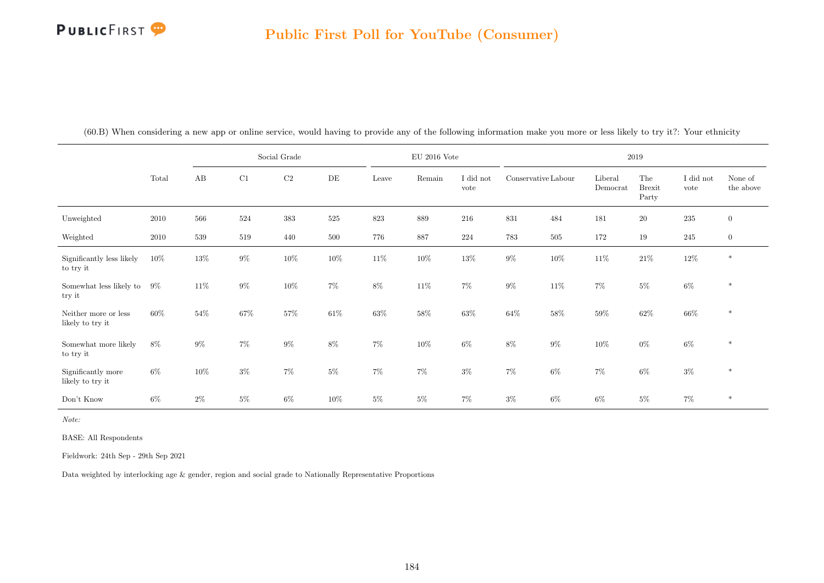|                                          |        |        |        | Social Grade |           |        | EU $2016$ Vote |                   |                     |        |                     | 2019                          |                   |                      |
|------------------------------------------|--------|--------|--------|--------------|-----------|--------|----------------|-------------------|---------------------|--------|---------------------|-------------------------------|-------------------|----------------------|
|                                          | Total  | AB     | C1     | $\rm C2$     | $\rm{DE}$ | Leave  | Remain         | I did not<br>vote | Conservative Labour |        | Liberal<br>Democrat | The<br><b>Brexit</b><br>Party | I did not<br>vote | None of<br>the above |
| Unweighted                               | 2010   | 566    | 524    | $383\,$      | $525\,$   | 823    | 889            | 216               | 831                 | 484    | 181                 | $20\,$                        | $235\,$           | $\overline{0}$       |
| Weighted                                 | 2010   | 539    | 519    | 440          | 500       | 776    | 887            | 224               | 783                 | 505    | 172                 | 19                            | 245               | $\boldsymbol{0}$     |
| Significantly less likely<br>to try it   | $10\%$ | $13\%$ | $9\%$  | $10\%$       | 10%       | $11\%$ | $10\%$         | 13%               | $9\%$               | $10\%$ | 11\%                | $21\%$                        | $12\%$            | $\ast$               |
| Somewhat less likely to<br>try it        | $9\%$  | 11\%   | $9\%$  | $10\%$       | $7\%$     | $8\%$  | $11\%$         | $7\%$             | $9\%$               | $11\%$ | $7\%$               | $5\%$                         | $6\%$             | $\ast$               |
| Neither more or less<br>likely to try it | 60%    | 54%    | $67\%$ | $57\%$       | 61\%      | $63\%$ | $58\%$         | 63%               | $64\%$              | 58%    | 59%                 | $62\%$                        | $66\%$            | $\ast$               |
| Somewhat more likely<br>to try it        | $8\%$  | $9\%$  | $7\%$  | $9\%$        | $8\%$     | $7\%$  | $10\%$         | $6\%$             | $8\%$               | $9\%$  | $10\%$              | $0\%$                         | $6\%$             | $\ast$               |
| Significantly more<br>likely to try it   | $6\%$  | $10\%$ | $3\%$  | $7\%$        | $5\%$     | $7\%$  | $7\%$          | $3\%$             | $7\%$               | $6\%$  | $7\%$               | $6\%$                         | $3\%$             | $\ast$               |
| Don't Know                               | $6\%$  | $2\%$  | $5\%$  | $6\%$        | $10\%$    | $5\%$  | $5\%$          | $7\%$             | $3\%$               | 6%     | $6\%$               | $5\%$                         | $7\%$             | $\ast$               |

(60.B) When considering a new app or online service, would having to provide any of the following information make you more or less likely to try it?: Your ethnicity

Note:

BASE: All Respondents

Fieldwork: 24th Sep - 29th Sep 2021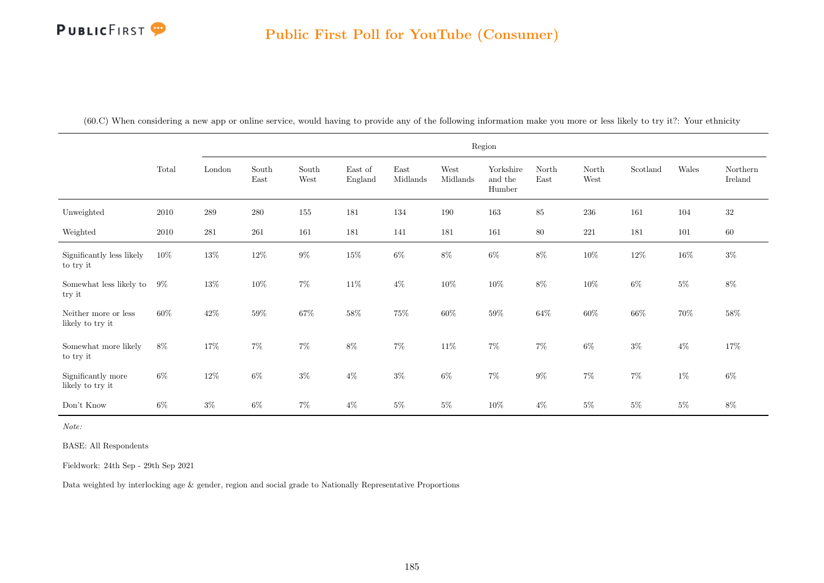|  |  |  |  |  |  |  | (60.C) When considering a new app or online service, would having to provide any of the following information make you more or less likely to try it?: Your ethnicity |  |  |  |
|--|--|--|--|--|--|--|-----------------------------------------------------------------------------------------------------------------------------------------------------------------------|--|--|--|
|--|--|--|--|--|--|--|-----------------------------------------------------------------------------------------------------------------------------------------------------------------------|--|--|--|

|                                          |          |         |                                |               |                    |                  |                  | Region                         |               |               |          |        |                     |
|------------------------------------------|----------|---------|--------------------------------|---------------|--------------------|------------------|------------------|--------------------------------|---------------|---------------|----------|--------|---------------------|
|                                          | Total    | London  | $\operatorname{South}$<br>East | South<br>West | East of<br>England | East<br>Midlands | West<br>Midlands | Yorkshire<br>and the<br>Humber | North<br>East | North<br>West | Scotland | Wales  | Northern<br>Ireland |
| Unweighted                               | $2010\,$ | $\,289$ | $280\,$                        | 155           | 181                | 134              | 190              | $163\,$                        | 85            | 236           | 161      | 104    | $32\,$              |
| Weighted                                 | 2010     | 281     | $261\,$                        | 161           | 181                | 141              | 181              | 161                            | $80\,$        | 221           | 181      | 101    | $60\,$              |
| Significantly less likely<br>to try it   | $10\%$   | $13\%$  | $12\%$                         | $9\%$         | $15\%$             | $6\%$            | $8\%$            | $6\%$                          | $8\%$         | $10\%$        | $12\%$   | $16\%$ | $3\%$               |
| Somewhat less likely to<br>try it        | $9\%$    | $13\%$  | $10\%$                         | $7\%$         | $11\%$             | $4\%$            | $10\%$           | $10\%$                         | 8%            | $10\%$        | $6\%$    | $5\%$  | $8\%$               |
| Neither more or less<br>likely to try it | 60%      | $42\%$  | 59%                            | $67\%$        | $58\%$             | $75\%$           | $60\%$           | $59\%$                         | 64%           | $60\%$        | $66\%$   | $70\%$ | $58\%$              |
| Somewhat more likely<br>to try it        | $8\%$    | 17%     | $7\%$                          | $7\%$         | $8\%$              | $7\%$            | 11%              | $7\%$                          | $7\%$         | $6\%$         | $3\%$    | $4\%$  | $17\%$              |
| Significantly more<br>likely to try it   | $6\%$    | $12\%$  | $6\%$                          | $3\%$         | $4\%$              | $3\%$            | $6\%$            | $7\%$                          | $9\%$         | $7\%$         | $7\%$    | $1\%$  | $6\%$               |
| Don't Know                               | $6\%$    | $3\%$   | $6\%$                          | $7\%$         | $4\%$              | $5\%$            | $5\%$            | $10\%$                         | $4\%$         | $5\%$         | $5\%$    | $5\%$  | $8\%$               |

Note:

BASE: All Respondents

Fieldwork: 24th Sep - 29th Sep 2021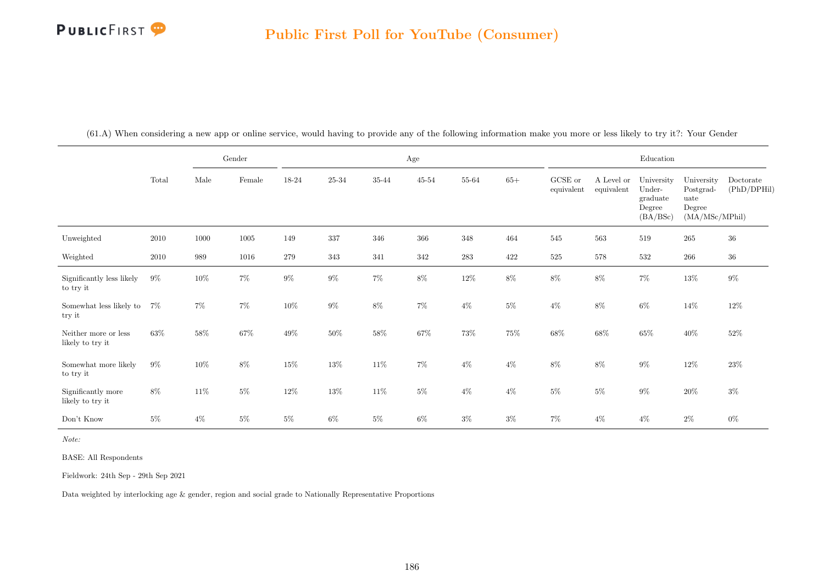|                                          |        |        | Gender   |        |         |        | $\rm Age$ |           |        |                       |                          | Education                                              |                                                             |                          |
|------------------------------------------|--------|--------|----------|--------|---------|--------|-----------|-----------|--------|-----------------------|--------------------------|--------------------------------------------------------|-------------------------------------------------------------|--------------------------|
|                                          | Total  | Male   | Female   | 18-24  | 25-34   | 35-44  | $45 - 54$ | 55-64     | $65+$  | GCSE or<br>equivalent | A Level or<br>equivalent | University<br>Under-<br>graduate<br>Degree<br>(BA/BSc) | University<br>Postgrad-<br>uate<br>Degree<br>(MA/MSc/MPhil) | Doctorate<br>(PhD/DPHil) |
| Unweighted                               | 2010   | 1000   | $1005\,$ | 149    | 337     | 346    | 366       | 348       | 464    | 545                   | 563                      | 519                                                    | 265                                                         | 36                       |
| Weighted                                 | 2010   | 989    | 1016     | 279    | $343\,$ | 341    | 342       | $\bf 283$ | 422    | $525\,$               | $578\,$                  | 532                                                    | $266\,$                                                     | $36\,$                   |
| Significantly less likely<br>to try it   | $9\%$  | $10\%$ | $7\%$    | $9\%$  | $9\%$   | $7\%$  | $8\%$     | $12\%$    | $8\%$  | $8\%$                 | $8\%$                    | $7\%$                                                  | 13%                                                         | $9\%$                    |
| Somewhat less likely to<br>try it        | 7%     | $7\%$  | $7\%$    | $10\%$ | $9\%$   | $8\%$  | $7\%$     | $4\%$     | $5\%$  | $4\%$                 | $8\%$                    | $6\%$                                                  | $14\%$                                                      | $12\%$                   |
| Neither more or less<br>likely to try it | $63\%$ | $58\%$ | $67\%$   | $49\%$ | $50\%$  | $58\%$ | $67\%$    | 73%       | $75\%$ | $68\%$                | $68\%$                   | $65\%$                                                 | $40\%$                                                      | $52\%$                   |
| Somewhat more likely<br>to try it        | $9\%$  | $10\%$ | $8\%$    | $15\%$ | $13\%$  | $11\%$ | $7\%$     | $4\%$     | $4\%$  | $8\%$                 | $8\%$                    | $9\%$                                                  | $12\%$                                                      | $23\%$                   |
| Significantly more<br>likely to try it   | $8\%$  | $11\%$ | $5\%$    | $12\%$ | $13\%$  | $11\%$ | $5\%$     | $4\%$     | $4\%$  | $5\%$                 | $5\%$                    | $9\%$                                                  | $20\%$                                                      | $3\%$                    |
| Don't Know                               | $5\%$  | $4\%$  | $5\%$    | $5\%$  | $6\%$   | $5\%$  | $6\%$     | $3\%$     | $3\%$  | $7\%$                 | $4\%$                    | $4\%$                                                  | $2\%$                                                       | $0\%$                    |

(61.A) When considering a new app or online service, would having to provide any of the following information make you more or less likely to try it?: Your Gender

Note:

BASE: All Respondents

Fieldwork: 24th Sep - 29th Sep 2021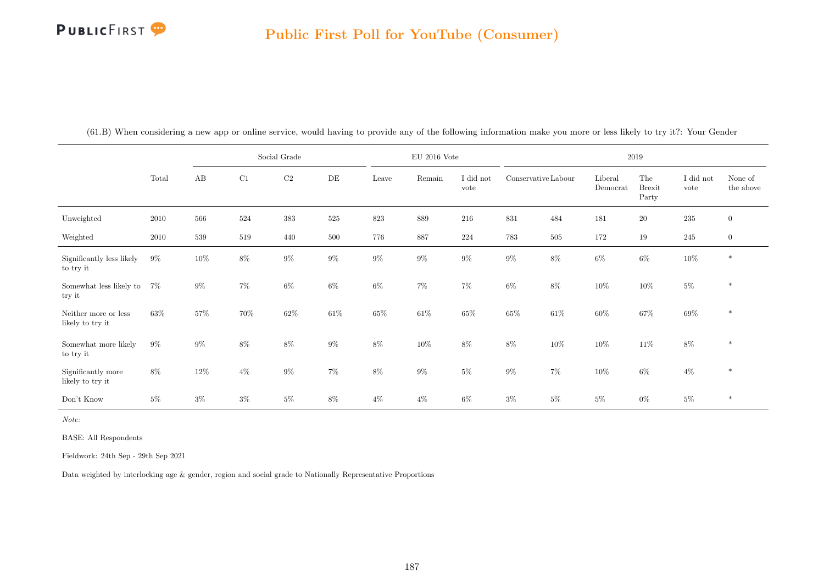|                                          |       |        |       | Social Grade |        |        | $\rm{EU}$ 2016 Vote |                   |                     |        | 2019                |                               |                   |                      |
|------------------------------------------|-------|--------|-------|--------------|--------|--------|---------------------|-------------------|---------------------|--------|---------------------|-------------------------------|-------------------|----------------------|
|                                          | Total | AB     | C1    | $\rm C2$     | DE     | Leave  | Remain              | I did not<br>vote | Conservative Labour |        | Liberal<br>Democrat | The<br><b>Brexit</b><br>Party | I did not<br>vote | None of<br>the above |
| Unweighted                               | 2010  | 566    | 524   | $383\,$      | 525    | 823    | $889\,$             | 216               | 831                 | 484    | 181                 | $20\,$                        | 235               | $\overline{0}$       |
| Weighted                                 | 2010  | 539    | 519   | 440          | 500    | 776    | 887                 | $224\,$           | 783                 | 505    | 172                 | 19                            | 245               | $\boldsymbol{0}$     |
| Significantly less likely<br>to try it   | $9\%$ | $10\%$ | $8\%$ | $9\%$        | $9\%$  | $9\%$  | $9\%$               | $9\%$             | $9\%$               | $8\%$  | $6\%$               | $6\%$                         | $10\%$            | $\ast$               |
| Somewhat less likely to<br>try it        | $7\%$ | $9\%$  | $7\%$ | $6\%$        | $6\%$  | $6\%$  | $7\%$               | $7\%$             | $6\%$               | $8\%$  | $10\%$              | $10\%$                        | $5\%$             | $\ast$               |
| Neither more or less<br>likely to try it | 63%   | 57%    | 70%   | $62\%$       | $61\%$ | $65\%$ | $61\%$              | 65%               | $65\%$              | $61\%$ | $60\%$              | $67\%$                        | $69\%$            | $\ast$               |
| Somewhat more likely<br>to try it        | $9\%$ | $9\%$  | $8\%$ | $8\%$        | $9\%$  | $8\%$  | $10\%$              | $8\%$             | $8\%$               | $10\%$ | 10%                 | $11\%$                        | $8\%$             | $\ast$               |
| Significantly more<br>likely to try it   | $8\%$ | $12\%$ | $4\%$ | $9\%$        | $7\%$  | $8\%$  | $9\%$               | $5\%$             | $9\%$               | $7\%$  | 10%                 | $6\%$                         | $4\%$             | $\ast$               |
| Don't Know                               | $5\%$ | $3\%$  | $3\%$ | $5\%$        | 8%     | $4\%$  | $4\%$               | 6%                | $3\%$               | $5\%$  | $5\%$               | $0\%$                         | $5\%$             | $\ast$               |

(61.B) When considering a new app or online service, would having to provide any of the following information make you more or less likely to try it?: Your Gender

Note:

BASE: All Respondents

Fieldwork: 24th Sep - 29th Sep 2021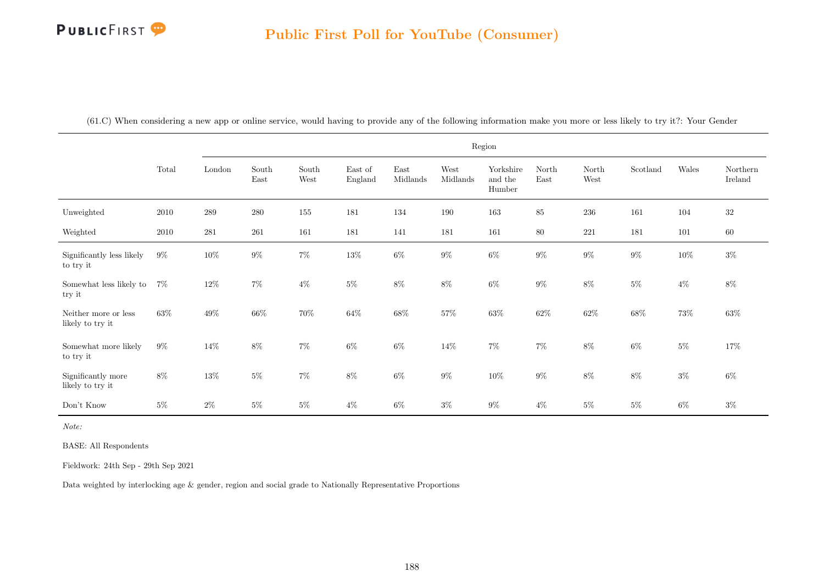|                                          |       |         |               |               |                                     |                                   |                  | Region                         |               |               |          |        |                     |
|------------------------------------------|-------|---------|---------------|---------------|-------------------------------------|-----------------------------------|------------------|--------------------------------|---------------|---------------|----------|--------|---------------------|
|                                          | Total | London  | South<br>East | South<br>West | $\operatorname{East}$ of<br>England | $\operatorname{East}$<br>Midlands | West<br>Midlands | Yorkshire<br>and the<br>Humber | North<br>East | North<br>West | Scotland | Wales  | Northern<br>Ireland |
| Unweighted                               | 2010  | $\,289$ | $280\,$       | 155           | 181                                 | 134                               | 190              | 163                            | $85\,$        | $236\,$       | 161      | 104    | $32\,$              |
| Weighted                                 | 2010  | 281     | 261           | 161           | 181                                 | 141                               | 181              | 161                            | $80\,$        | 221           | 181      | 101    | $60\,$              |
| Significantly less likely<br>to try it   | $9\%$ | $10\%$  | $9\%$         | $7\%$         | $13\%$                              | $6\%$                             | $9\%$            | $6\%$                          | $9\%$         | $9\%$         | $9\%$    | $10\%$ | $3\%$               |
| Somewhat less likely to<br>try it        | $7\%$ | $12\%$  | $7\%$         | $4\%$         | $5\%$                               | $8\%$                             | $8\%$            | $6\%$                          | $9\%$         | $8\%$         | $5\%$    | $4\%$  | $8\%$               |
| Neither more or less<br>likely to try it | 63%   | $49\%$  | $66\%$        | $70\%$        | $64\%$                              | $68\%$                            | $57\%$           | $63\%$                         | $62\%$        | $62\%$        | $68\%$   | $73\%$ | $63\%$              |
| Somewhat more likely<br>to try it        | $9\%$ | $14\%$  | $8\%$         | $7\%$         | $6\%$                               | $6\%$                             | 14%              | $7\%$                          | $7\%$         | $8\%$         | $6\%$    | $5\%$  | 17%                 |
| Significantly more<br>likely to try it   | 8%    | $13\%$  | $5\%$         | $7\%$         | 8%                                  | $6\%$                             | $9\%$            | $10\%$                         | $9\%$         | $8\%$         | $8\%$    | $3\%$  | $6\%$               |
| Don't Know                               | 5%    | $2\%$   | $5\%$         | $5\%$         | $4\%$                               | $6\%$                             | $3\%$            | $9\%$                          | $4\%$         | $5\%$         | $5\%$    | $6\%$  | $3\%$               |

(61.C) When considering a new app or online service, would having to provide any of the following information make you more or less likely to try it?: Your Gender

Note:

BASE: All Respondents

Fieldwork: 24th Sep - 29th Sep 2021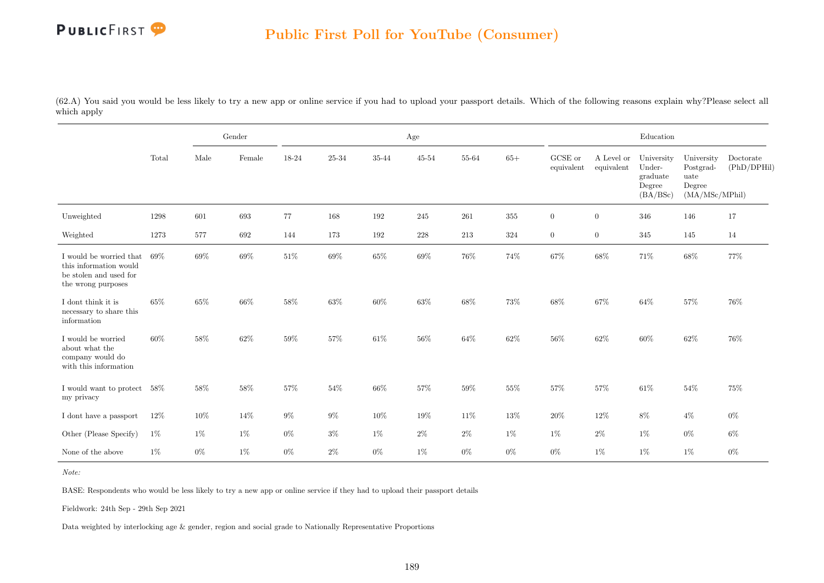(62.A) You said you would be less likely to try a new app or online service if you had to upload your passport details. Which of the following reasons explain why?Please select all which apply

|                                                                                                   |       |       | Gender |        |        |        | Age       |        |        |                       |                          | Education                                              |                                                             |                          |
|---------------------------------------------------------------------------------------------------|-------|-------|--------|--------|--------|--------|-----------|--------|--------|-----------------------|--------------------------|--------------------------------------------------------|-------------------------------------------------------------|--------------------------|
|                                                                                                   | Total | Male  | Female | 18-24  | 25-34  | 35-44  | $45 - 54$ | 55-64  | $65+$  | GCSE or<br>equivalent | A Level or<br>equivalent | University<br>Under-<br>graduate<br>Degree<br>(BA/BSc) | University<br>Postgrad-<br>uate<br>Degree<br>(MA/MSc/MPhil) | Doctorate<br>(PhD/DPHil) |
| Unweighted                                                                                        | 1298  | 601   | 693    | 77     | 168    | 192    | 245       | 261    | 355    | $\boldsymbol{0}$      | $\overline{0}$           | 346                                                    | 146                                                         | 17                       |
| Weighted                                                                                          | 1273  | 577   | 692    | 144    | 173    | 192    | 228       | 213    | 324    | $\boldsymbol{0}$      | $\overline{0}$           | 345                                                    | 145                                                         | 14                       |
| I would be worried that<br>this information would<br>be stolen and used for<br>the wrong purposes | 69%   | 69%   | $69\%$ | $51\%$ | $69\%$ | $65\%$ | $69\%$    | $76\%$ | 74%    | $67\%$                | 68%                      | 71%                                                    | $68\%$                                                      | 77%                      |
| I dont think it is<br>necessary to share this<br>information                                      | 65%   | 65%   | 66\%   | $58\%$ | 63%    | 60%    | $63\%$    | 68%    | $73\%$ | 68%                   | 67%                      | 64%                                                    | $57\%$                                                      | 76%                      |
| I would be worried<br>about what the<br>company would do<br>with this information                 | 60%   | 58%   | 62%    | 59%    | 57%    | 61\%   | 56%       | 64%    | 62%    | 56%                   | 62%                      | 60%                                                    | 62%                                                         | 76%                      |
| I would want to protect 58%<br>my privacy                                                         |       | 58%   | 58%    | $57\%$ | 54%    | 66%    | $57\%$    | 59%    | $55\%$ | $57\%$                | 57%                      | 61\%                                                   | $54\%$                                                      | 75%                      |
| I dont have a passport                                                                            | 12%   | 10%   | 14%    | $9\%$  | $9\%$  | 10%    | 19%       | 11\%   | 13%    | $20\%$                | 12%                      | 8%                                                     | $4\%$                                                       | $0\%$                    |
| Other (Please Specify)                                                                            | $1\%$ | 1%    | $1\%$  | $0\%$  | $3\%$  | $1\%$  | $2\%$     | $2\%$  | 1%     | $1\%$                 | $2\%$                    | $1\%$                                                  | $0\%$                                                       | $6\%$                    |
| None of the above                                                                                 | $1\%$ | $0\%$ | $1\%$  | $0\%$  | $2\%$  | $0\%$  | $1\%$     | $0\%$  | $0\%$  | $0\%$                 | $1\%$                    | $1\%$                                                  | $1\%$                                                       | $0\%$                    |

Note:

BASE: Respondents who would be less likely to try a new app or online service if they had to upload their passport details

Fieldwork: 24th Sep - 29th Sep 2021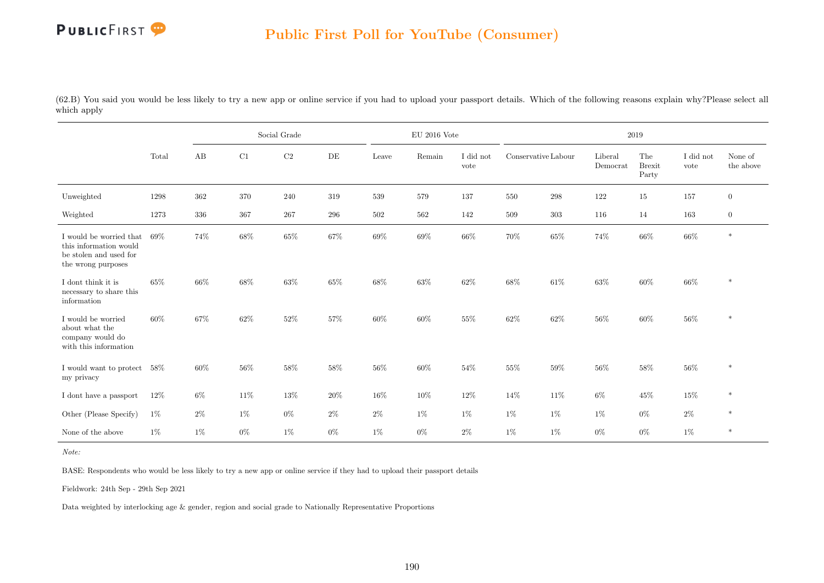

(62.B) You said you would be less likely to try a new app or online service if you had to upload your passport details. Which of the following reasons explain why?Please select all which apply

|                                                                                                   |        |       |        | Social Grade |       |        | $\mathrm{EU}$ 2016 Vote |                   |                     |         |                     | 2019                          |                   |                      |
|---------------------------------------------------------------------------------------------------|--------|-------|--------|--------------|-------|--------|-------------------------|-------------------|---------------------|---------|---------------------|-------------------------------|-------------------|----------------------|
|                                                                                                   | Total  | AB    | C1     | $\rm C2$     | DE    | Leave  | Remain                  | I did not<br>vote | Conservative Labour |         | Liberal<br>Democrat | The<br><b>Brexit</b><br>Party | I did not<br>vote | None of<br>the above |
| Unweighted                                                                                        | 1298   | 362   | 370    | 240          | 319   | 539    | 579                     | 137               | 550                 | $\,298$ | 122                 | 15                            | 157               | $\mathbf{0}$         |
| Weighted                                                                                          | 1273   | 336   | 367    | 267          | 296   | 502    | 562                     | 142               | 509                 | 303     | 116                 | 14                            | 163               | $\mathbf{0}$         |
| I would be worried that<br>this information would<br>be stolen and used for<br>the wrong purposes | 69%    | 74%   | 68%    | 65%          | 67%   | 69%    | 69%                     | 66%               | 70%                 | 65%     | 74%                 | $66\%$                        | $66\%$            | $\ast$               |
| I dont think it is<br>necessary to share this<br>information                                      | 65%    | 66%   | $68\%$ | $63\%$       | 65%   | $68\%$ | $63\%$                  | 62%               | $68\%$              | $61\%$  | 63%                 | $60\%$                        | $66\%$            | $\ast$               |
| I would be worried<br>about what the<br>company would do<br>with this information                 | 60%    | 67%   | 62%    | 52%          | 57%   | 60%    | 60%                     | 55%               | $62\%$              | 62%     | 56%                 | $60\%$                        | $56\%$            | $\ast$               |
| I would want to protect<br>my privacy                                                             | $58\%$ | 60%   | 56%    | 58%          | 58%   | $56\%$ | 60%                     | 54%               | 55%                 | 59%     | 56%                 | 58%                           | 56%               | $\ast$               |
| I dont have a passport                                                                            | $12\%$ | $6\%$ | 11\%   | $13\%$       | 20%   | 16%    | $10\%$                  | 12%               | 14%                 | $11\%$  | $6\%$               | 45%                           | $15\%$            | $\ast$               |
| Other (Please Specify)                                                                            | $1\%$  | $2\%$ | $1\%$  | $0\%$        | $2\%$ | $2\%$  | $1\%$                   | $1\%$             | $1\%$               | $1\%$   | $1\%$               | $0\%$                         | $2\%$             | $\ast$               |
| None of the above                                                                                 | 1%     | $1\%$ | $0\%$  | $1\%$        | $0\%$ | $1\%$  | $0\%$                   | $2\%$             | 1%                  | $1\%$   | $0\%$               | $0\%$                         | $1\%$             | $\ast$               |

Note:

BASE: Respondents who would be less likely to try a new app or online service if they had to upload their passport details

Fieldwork: 24th Sep - 29th Sep 2021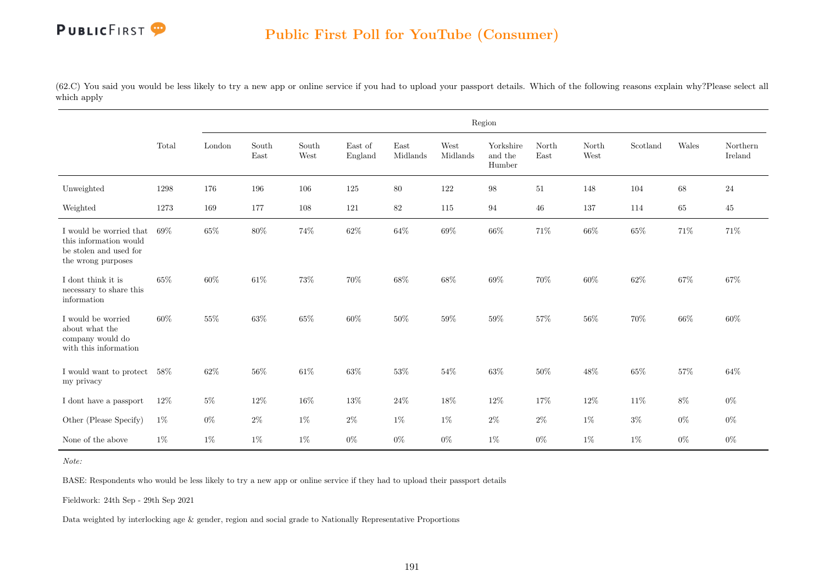(62.C) You said you would be less likely to try a new app or online service if you had to upload your passport details. Which of the following reasons explain why?Please select all which apply

|                                                                                                   |        |        |               |               |                    |                  |                  | Region                         |               |               |          |        |                     |
|---------------------------------------------------------------------------------------------------|--------|--------|---------------|---------------|--------------------|------------------|------------------|--------------------------------|---------------|---------------|----------|--------|---------------------|
|                                                                                                   | Total  | London | South<br>East | South<br>West | East of<br>England | East<br>Midlands | West<br>Midlands | Yorkshire<br>and the<br>Humber | North<br>East | North<br>West | Scotland | Wales  | Northern<br>Ireland |
| Unweighted                                                                                        | 1298   | 176    | 196           | 106           | 125                | $80\,$           | 122              | $98\,$                         | $51\,$        | 148           | 104      | 68     | 24                  |
| Weighted                                                                                          | 1273   | 169    | 177           | 108           | 121                | $82\,$           | 115              | 94                             | 46            | 137           | 114      | 65     | 45                  |
| I would be worried that<br>this information would<br>be stolen and used for<br>the wrong purposes | 69%    | 65%    | 80%           | 74%           | 62%                | 64%              | 69%              | 66%                            | 71%           | 66%           | 65%      | 71%    | 71%                 |
| I dont think it is<br>necessary to share this<br>information                                      | $65\%$ | 60%    | 61\%          | 73%           | 70%                | 68%              | 68%              | 69%                            | 70%           | 60%           | 62%      | 67%    | $67\%$              |
| I would be worried<br>about what the<br>company would do<br>with this information                 | 60%    | $55\%$ | 63%           | 65%           | $60\%$             | $50\%$           | 59%              | 59%                            | 57%           | 56%           | 70%      | 66%    | 60%                 |
| I would want to protect<br>my privacy                                                             | $58\%$ | 62%    | $56\%$        | $61\%$        | $63\%$             | $53\%$           | 54%              | $63\%$                         | 50%           | 48%           | 65%      | $57\%$ | 64%                 |
| I dont have a passport                                                                            | 12%    | $5\%$  | 12%           | 16%           | 13%                | $24\%$           | 18%              | 12%                            | 17%           | 12%           | 11%      | $8\%$  | $0\%$               |
| Other (Please Specify)                                                                            | $1\%$  | $0\%$  | $2\%$         | $1\%$         | $2\%$              | $1\%$            | $1\%$            | $2\%$                          | $2\%$         | $1\%$         | $3\%$    | $0\%$  | $0\%$               |
| None of the above                                                                                 | $1\%$  | $1\%$  | $1\%$         | $1\%$         | $0\%$              | $0\%$            | $0\%$            | $1\%$                          | $0\%$         | $1\%$         | $1\%$    | $0\%$  | $0\%$               |

Note:

BASE: Respondents who would be less likely to try a new app or online service if they had to upload their passport details

Fieldwork: 24th Sep - 29th Sep 2021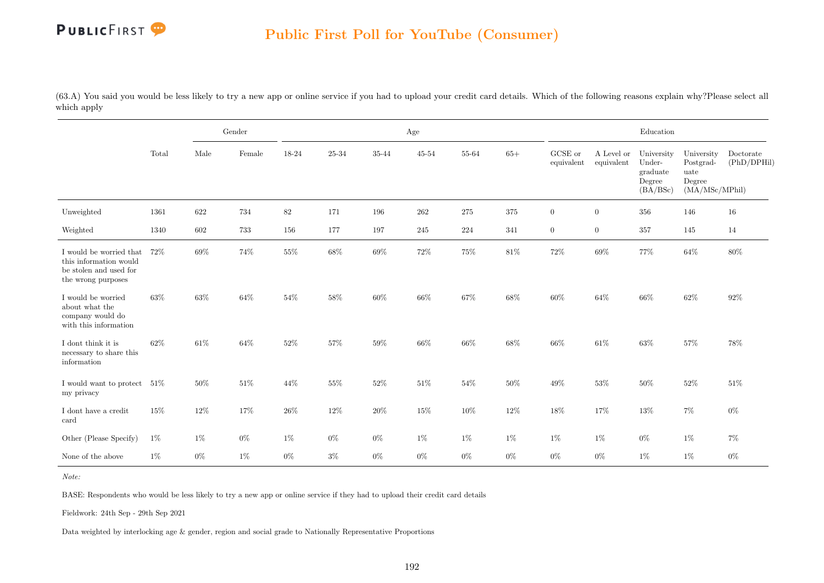(63.A) You said you would be less likely to try a new app or online service if you had to upload your credit card details. Which of the following reasons explain why?Please select all which apply

|                                                                                                   |        |        | Gender |        |        |        | Age       |         |         |                       |                          | Education                                              |                                                             |                          |
|---------------------------------------------------------------------------------------------------|--------|--------|--------|--------|--------|--------|-----------|---------|---------|-----------------------|--------------------------|--------------------------------------------------------|-------------------------------------------------------------|--------------------------|
|                                                                                                   | Total  | Male   | Female | 18-24  | 25-34  | 35-44  | $45 - 54$ | 55-64   | $65+$   | GCSE or<br>equivalent | A Level or<br>equivalent | University<br>Under-<br>graduate<br>Degree<br>(BA/BSc) | University<br>Postgrad-<br>uate<br>Degree<br>(MA/MSc/MPhil) | Doctorate<br>(PhD/DPHil) |
| Unweighted                                                                                        | 1361   | 622    | 734    | $82\,$ | 171    | 196    | $262\,$   | $275\,$ | $375\,$ | $\overline{0}$        | $\overline{0}$           | $356\,$                                                | 146                                                         | 16                       |
| Weighted                                                                                          | 1340   | 602    | 733    | 156    | 177    | 197    | 245       | 224     | 341     | $\overline{0}$        | $\overline{0}$           | 357                                                    | 145                                                         | 14                       |
| I would be worried that<br>this information would<br>be stolen and used for<br>the wrong purposes | 72%    | 69%    | 74%    | $55\%$ | $68\%$ | $69\%$ | $72\%$    | $75\%$  | $81\%$  | $72\%$                | 69%                      | $77\%$                                                 | $64\%$                                                      | $80\%$                   |
| I would be worried<br>about what the<br>company would do<br>with this information                 | 63%    | $63\%$ | 64%    | $54\%$ | $58\%$ | $60\%$ | 66\%      | $67\%$  | 68%     | $60\%$                | 64%                      | 66\%                                                   | $62\%$                                                      | 92%                      |
| I dont think it is<br>necessary to share this<br>information                                      | $62\%$ | 61\%   | $64\%$ | $52\%$ | 57%    | $59\%$ | $66\%$    | 66%     | $68\%$  | $66\%$                | 61\%                     | $63\%$                                                 | $57\%$                                                      | 78%                      |
| I would want to protect<br>my privacy                                                             | $51\%$ | 50%    | $51\%$ | $44\%$ | 55%    | $52\%$ | $51\%$    | $54\%$  | $50\%$  | $49\%$                | $53\%$                   | $50\%$                                                 | $52\%$                                                      | 51%                      |
| I dont have a credit<br>card                                                                      | 15%    | 12%    | 17%    | $26\%$ | 12%    | $20\%$ | 15%       | 10%     | 12%     | $18\%$                | 17%                      | 13%                                                    | 7%                                                          | $0\%$                    |
| Other (Please Specify)                                                                            | $1\%$  | 1%     | $0\%$  | $1\%$  | $0\%$  | $0\%$  | $1\%$     | $1\%$   | $1\%$   | $1\%$                 | $1\%$                    | $0\%$                                                  | $1\%$                                                       | $7\%$                    |
| None of the above                                                                                 | $1\%$  | $0\%$  | $1\%$  | $0\%$  | $3\%$  | $0\%$  | $0\%$     | $0\%$   | $0\%$   | $0\%$                 | $0\%$                    | $1\%$                                                  | 1%                                                          | $0\%$                    |

Note:

BASE: Respondents who would be less likely to try a new app or online service if they had to upload their credit card details

Fieldwork: 24th Sep - 29th Sep 2021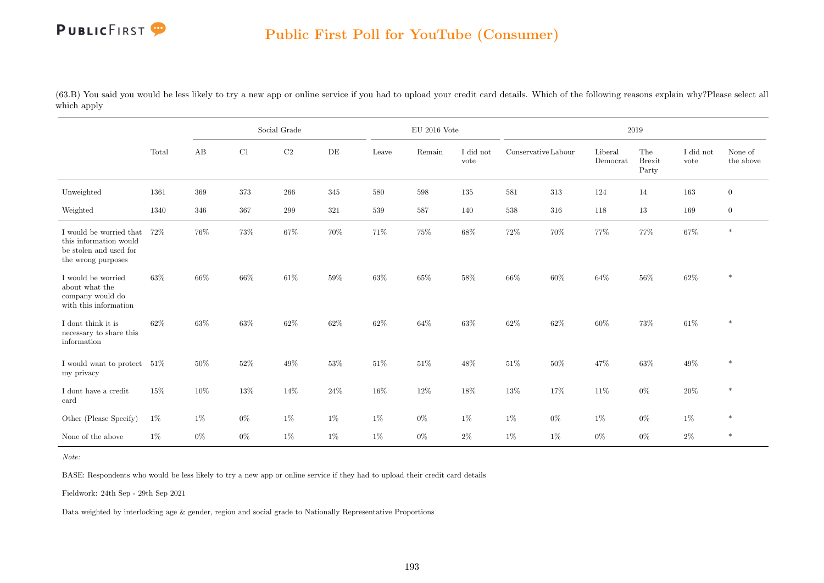(63.B) You said you would be less likely to try a new app or online service if you had to upload your credit card details. Which of the following reasons explain why?Please select all which apply

|                                                                                                   |        |         |         | Social Grade |        |         | $\mathrm{EU}$ 2016 Vote |                   |                     |         |                     | 2019                          |                   |                      |
|---------------------------------------------------------------------------------------------------|--------|---------|---------|--------------|--------|---------|-------------------------|-------------------|---------------------|---------|---------------------|-------------------------------|-------------------|----------------------|
|                                                                                                   | Total  | AB      | C1      | C2           | DE     | Leave   | Remain                  | I did not<br>vote | Conservative Labour |         | Liberal<br>Democrat | The<br><b>Brexit</b><br>Party | I did not<br>vote | None of<br>the above |
| Unweighted                                                                                        | 1361   | $369\,$ | $373\,$ | $266\,$      | 345    | $580\,$ | $598\,$                 | 135               | $581\,$             | $313\,$ | 124                 | 14                            | 163               | $\overline{0}$       |
| Weighted                                                                                          | 1340   | 346     | 367     | 299          | 321    | 539     | $587\,$                 | 140               | 538                 | 316     | 118                 | 13                            | 169               | $\overline{0}$       |
| I would be worried that<br>this information would<br>be stolen and used for<br>the wrong purposes | 72%    | 76%     | 73%     | $67\%$       | 70%    | 71%     | 75%                     | 68%               | 72%                 | 70%     | 77%                 | 77%                           | $67\%$            | $\ast$               |
| I would be worried<br>about what the<br>company would do<br>with this information                 | 63%    | 66%     | 66%     | $61\%$       | 59%    | $63\%$  | $65\%$                  | $58\%$            | 66\%                | $60\%$  | $64\%$              | $56\%$                        | $62\%$            | $\ast$               |
| I dont think it is<br>necessary to share this<br>information                                      | $62\%$ | 63%     | $63\%$  | $62\%$       | $62\%$ | $62\%$  | 64\%                    | $63\%$            | $62\%$              | $62\%$  | $60\%$              | $73\%$                        | $61\%$            | $\ast$               |
| I would want to protect<br>my privacy                                                             | 51%    | 50%     | 52%     | $49\%$       | 53%    | $51\%$  | 51%                     | 48%               | $51\%$              | 50%     | 47%                 | 63%                           | $49\%$            | $\ast$               |
| I dont have a credit<br>card                                                                      | 15%    | 10%     | $13\%$  | 14%          | $24\%$ | 16%     | $12\%$                  | 18%               | 13%                 | 17%     | 11%                 | $0\%$                         | $20\%$            | $\ast$               |
| Other (Please Specify)                                                                            | $1\%$  | $1\%$   | $0\%$   | $1\%$        | $1\%$  | $1\%$   | $0\%$                   | $1\%$             | $1\%$               | $0\%$   | $1\%$               | $0\%$                         | $1\%$             | $\ast$               |
| None of the above                                                                                 | $1\%$  | $0\%$   | $0\%$   | $1\%$        | 1%     | $1\%$   | $0\%$                   | $2\%$             | $1\%$               | $1\%$   | $0\%$               | $0\%$                         | $2\%$             | $*$                  |

Note:

BASE: Respondents who would be less likely to try a new app or online service if they had to upload their credit card details

Fieldwork: 24th Sep - 29th Sep 2021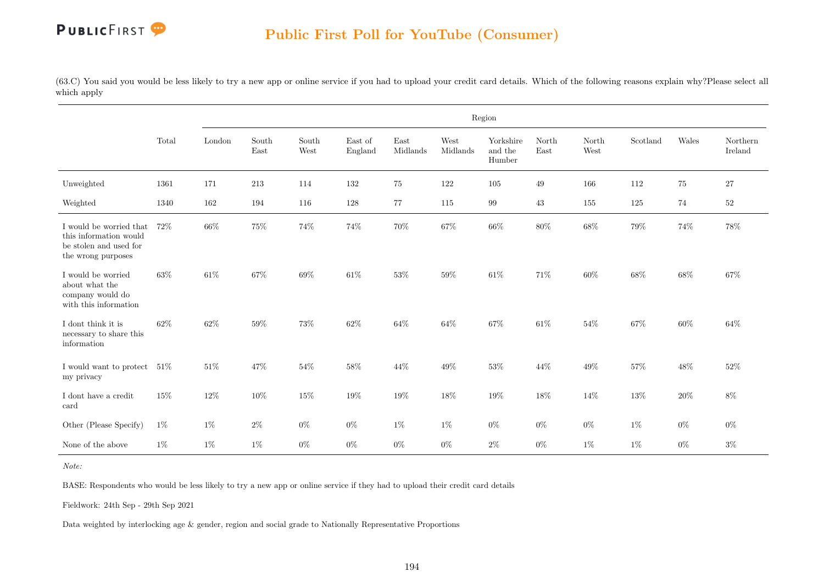(63.C) You said you would be less likely to try a new app or online service if you had to upload your credit card details. Which of the following reasons explain why?Please select all which apply

|                                                                                                   |        |        |               |               |                    |                  |                  | Region                         |               |               |          |        |                     |
|---------------------------------------------------------------------------------------------------|--------|--------|---------------|---------------|--------------------|------------------|------------------|--------------------------------|---------------|---------------|----------|--------|---------------------|
|                                                                                                   | Total  | London | South<br>East | South<br>West | East of<br>England | East<br>Midlands | West<br>Midlands | Yorkshire<br>and the<br>Humber | North<br>East | North<br>West | Scotland | Wales  | Northern<br>Ireland |
| Unweighted                                                                                        | 1361   | 171    | $213\,$       | 114           | 132                | 75               | 122              | 105                            | 49            | 166           | 112      | 75     | $27\,$              |
| Weighted                                                                                          | 1340   | 162    | 194           | 116           | 128                | 77               | 115              | 99                             | 43            | 155           | 125      | 74     | 52                  |
| I would be worried that<br>this information would<br>be stolen and used for<br>the wrong purposes | 72%    | 66%    | $75\%$        | 74%           | 74%                | $70\%$           | 67%              | 66%                            | 80%           | $68\%$        | $79\%$   | $74\%$ | $78\%$              |
| I would be worried<br>about what the<br>company would do<br>with this information                 | 63%    | $61\%$ | 67%           | 69%           | 61\%               | $53\%$           | 59%              | $61\%$                         | 71%           | 60%           | 68%      | $68\%$ | 67%                 |
| I dont think it is<br>necessary to share this<br>information                                      | 62%    | 62%    | 59%           | 73%           | $62\%$             | 64%              | 64%              | 67%                            | $61\%$        | 54%           | 67%      | 60%    | 64%                 |
| I would want to protect<br>my privacy                                                             | $51\%$ | $51\%$ | 47%           | 54%           | 58%                | 44%              | 49%              | $53\%$                         | 44%           | 49%           | 57%      | $48\%$ | 52%                 |
| I dont have a credit<br>card                                                                      | 15%    | 12%    | 10%           | 15%           | 19%                | 19%              | 18%              | 19%                            | 18%           | 14%           | 13%      | $20\%$ | $8\%$               |
| Other (Please Specify)                                                                            | $1\%$  | $1\%$  | $2\%$         | $0\%$         | $0\%$              | $1\%$            | $1\%$            | $0\%$                          | $0\%$         | $0\%$         | $1\%$    | $0\%$  | $0\%$               |
| None of the above                                                                                 | $1\%$  | $1\%$  | $1\%$         | $0\%$         | $0\%$              | $0\%$            | $0\%$            | $2\%$                          | $0\%$         | $1\%$         | $1\%$    | $0\%$  | $3\%$               |

Note:

BASE: Respondents who would be less likely to try a new app or online service if they had to upload their credit card details

Fieldwork: 24th Sep - 29th Sep 2021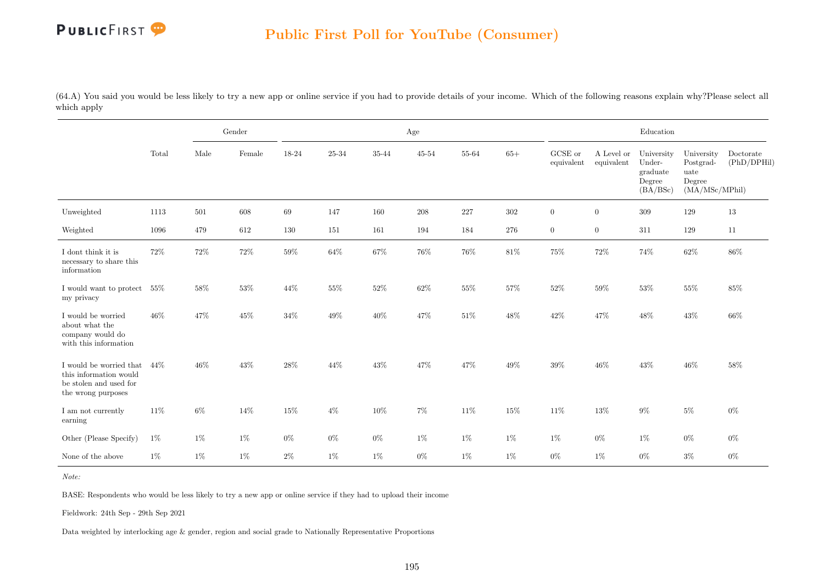(64.A) You said you would be less likely to try a new app or online service if you had to provide details of your income. Which of the following reasons explain why?Please select all which apply

|                                                                                                   |        |       | Gender |        |        |        | Age       |         |        |                       |                          | Education                                              |                                                             |                          |
|---------------------------------------------------------------------------------------------------|--------|-------|--------|--------|--------|--------|-----------|---------|--------|-----------------------|--------------------------|--------------------------------------------------------|-------------------------------------------------------------|--------------------------|
|                                                                                                   | Total  | Male  | Female | 18-24  | 25-34  | 35-44  | $45 - 54$ | 55-64   | $65+$  | GCSE or<br>equivalent | A Level or<br>equivalent | University<br>Under-<br>graduate<br>Degree<br>(BA/BSc) | University<br>Postgrad-<br>uate<br>Degree<br>(MA/MSc/MPhil) | Doctorate<br>(PhD/DPHil) |
| Unweighted                                                                                        | 1113   | 501   | 608    | 69     | 147    | 160    | $208\,$   | $227\,$ | 302    | $\boldsymbol{0}$      | $\overline{0}$           | 309                                                    | 129                                                         | 13                       |
| Weighted                                                                                          | 1096   | 479   | 612    | 130    | 151    | 161    | 194       | 184     | 276    | $\overline{0}$        | $\overline{0}$           | 311                                                    | 129                                                         | 11                       |
| I dont think it is<br>necessary to share this<br>information                                      | 72%    | 72%   | 72%    | $59\%$ | $64\%$ | $67\%$ | $76\%$    | $76\%$  | $81\%$ | $75\%$                | 72%                      | 74%                                                    | 62%                                                         | 86%                      |
| I would want to protect<br>my privacy                                                             | $55\%$ | 58%   | 53%    | 44%    | $55\%$ | $52\%$ | $62\%$    | $55\%$  | $57\%$ | $52\%$                | 59%                      | $53\%$                                                 | $55\%$                                                      | 85%                      |
| I would be worried<br>about what the<br>company would do<br>with this information                 | $46\%$ | 47%   | 45%    | $34\%$ | 49%    | $40\%$ | $47\%$    | 51%     | $48\%$ | $42\%$                | 47%                      | $48\%$                                                 | $43\%$                                                      | 66\%                     |
| I would be worried that<br>this information would<br>be stolen and used for<br>the wrong purposes | 44\%   | 46%   | 43%    | $28\%$ | 44%    | 43%    | 47%       | 47%     | $49\%$ | $39\%$                | 46%                      | 43%                                                    | $46\%$                                                      | 58%                      |
| I am not currently<br>earning                                                                     | 11\%   | $6\%$ | 14%    | 15%    | $4\%$  | 10%    | $7\%$     | 11%     | $15\%$ | $11\%$                | 13%                      | $9\%$                                                  | $5\%$                                                       | $0\%$                    |
| Other (Please Specify)                                                                            | 1%     | 1%    | $1\%$  | $0\%$  | $0\%$  | $0\%$  | 1%        | 1%      | 1%     | $1\%$                 | $0\%$                    | $1\%$                                                  | $0\%$                                                       | $0\%$                    |
| None of the above                                                                                 | $1\%$  | $1\%$ | $1\%$  | $2\%$  | 1%     | 1%     | $0\%$     | $1\%$   | $1\%$  | $0\%$                 | $1\%$                    | $0\%$                                                  | $3\%$                                                       | $0\%$                    |

Note:

BASE: Respondents who would be less likely to try a new app or online service if they had to upload their income

Fieldwork: 24th Sep - 29th Sep 2021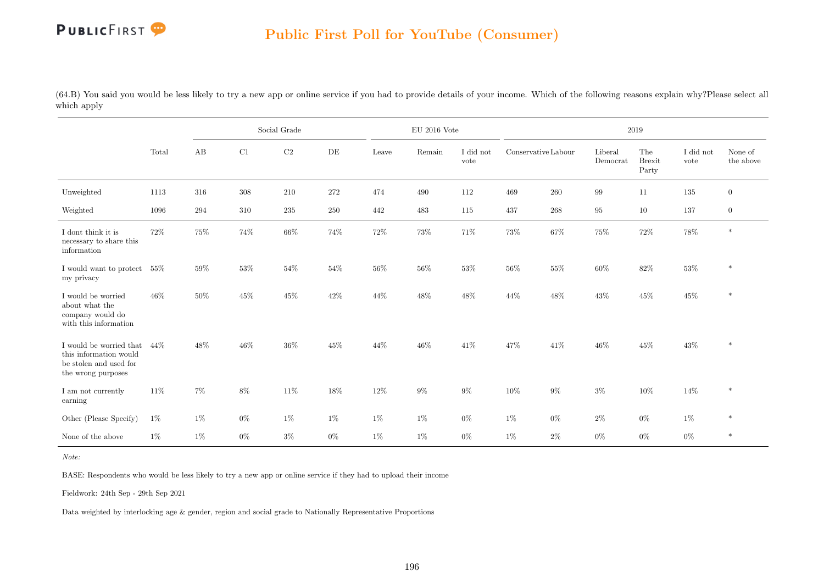(64.B) You said you would be less likely to try a new app or online service if you had to provide details of your income. Which of the following reasons explain why?Please select all which apply

|                                                                                                   |        |       |        | Social Grade |       |        | $\mathrm{EU}$ 2016 Vote |                   |                     |         |                     | 2019                          |                   |                      |
|---------------------------------------------------------------------------------------------------|--------|-------|--------|--------------|-------|--------|-------------------------|-------------------|---------------------|---------|---------------------|-------------------------------|-------------------|----------------------|
|                                                                                                   | Total  | AB    | C1     | C2           | DE    | Leave  | Remain                  | I did not<br>vote | Conservative Labour |         | Liberal<br>Democrat | The<br><b>Brexit</b><br>Party | I did not<br>vote | None of<br>the above |
| Unweighted                                                                                        | 1113   | 316   | 308    | $210\,$      | 272   | 474    | 490                     | 112               | 469                 | $260\,$ | 99                  | 11                            | 135               | $\overline{0}$       |
| Weighted                                                                                          | 1096   | 294   | 310    | $235\,$      | 250   | 442    | 483                     | 115               | 437                 | $268\,$ | 95                  | 10                            | 137               | $\overline{0}$       |
| I dont think it is<br>necessary to share this<br>information                                      | 72%    | 75%   | 74%    | $66\%$       | 74%   | $72\%$ | 73%                     | 71%               | 73%                 | $67\%$  | $75\%$              | $72\%$                        | $78\%$            | $\ast$               |
| I would want to protect<br>my privacy                                                             | $55\%$ | 59%   | 53%    | $54\%$       | 54%   | $56\%$ | $56\%$                  | 53%               | $56\%$              | 55%     | 60%                 | $82\%$                        | $53\%$            | $\ast$               |
| I would be worried<br>about what the<br>company would do<br>with this information                 | 46%    | 50%   | $45\%$ | $45\%$       | 42%   | 44%    | 48%                     | 48%               | 44%                 | 48%     | 43%                 | $45\%$                        | $45\%$            | $\ast$               |
| I would be worried that<br>this information would<br>be stolen and used for<br>the wrong purposes | 44\%   | 48%   | $46\%$ | $36\%$       | 45%   | 44%    | 46%                     | 41\%              | 47%                 | $41\%$  | $46\%$              | $45\%$                        | $43\%$            | $\ast$               |
| I am not currently<br>earning                                                                     | 11\%   | $7\%$ | $8\%$  | $11\%$       | 18%   | $12\%$ | $9\%$                   | $9\%$             | 10%                 | $9\%$   | $3\%$               | $10\%$                        | $14\%$            | $\ast$               |
| Other (Please Specify)                                                                            | $1\%$  | $1\%$ | $0\%$  | $1\%$        | $1\%$ | $1\%$  | $1\%$                   | $0\%$             | $1\%$               | $0\%$   | $2\%$               | $0\%$                         | $1\%$             | $\ast$               |
| None of the above                                                                                 | $1\%$  | $1\%$ | $0\%$  | $3\%$        | $0\%$ | $1\%$  | 1%                      | $0\%$             | $1\%$               | $2\%$   | $0\%$               | $0\%$                         | $0\%$             | $*$                  |

Note:

BASE: Respondents who would be less likely to try a new app or online service if they had to upload their income

Fieldwork: 24th Sep - 29th Sep 2021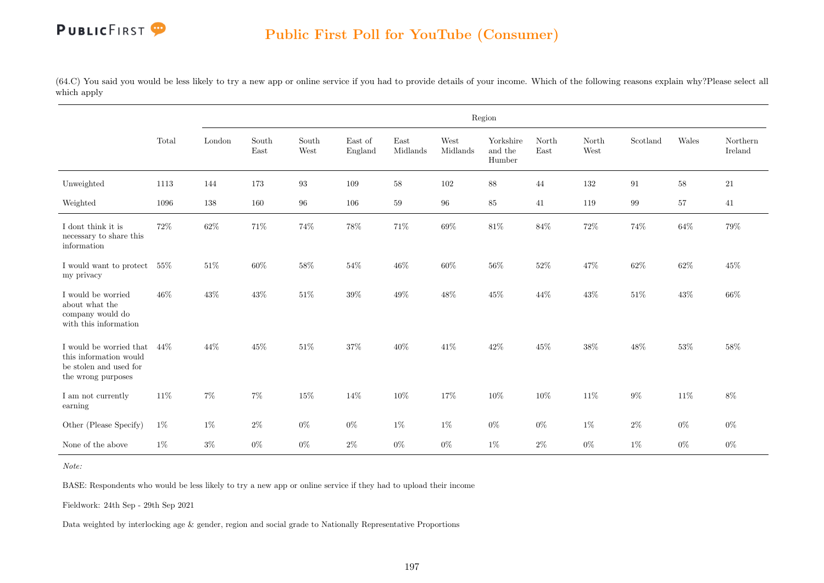(64.C) You said you would be less likely to try a new app or online service if you had to provide details of your income. Which of the following reasons explain why?Please select all which apply

|                                                                                                   |        |        |               |                                |                    |                  |                  | Region                         |               |               |          |        |                     |
|---------------------------------------------------------------------------------------------------|--------|--------|---------------|--------------------------------|--------------------|------------------|------------------|--------------------------------|---------------|---------------|----------|--------|---------------------|
|                                                                                                   | Total  | London | South<br>East | $\operatorname{South}$<br>West | East of<br>England | East<br>Midlands | West<br>Midlands | Yorkshire<br>and the<br>Humber | North<br>East | North<br>West | Scotland | Wales  | Northern<br>Ireland |
| Unweighted                                                                                        | 1113   | 144    | 173           | 93                             | 109                | 58               | 102              | $88\,$                         | 44            | 132           | 91       | $58\,$ | 21                  |
| Weighted                                                                                          | 1096   | 138    | 160           | 96                             | 106                | 59               | 96               | $85\,$                         | 41            | 119           | 99       | 57     | 41                  |
| I dont think it is<br>necessary to share this<br>information                                      | 72%    | 62%    | 71%           | 74%                            | 78%                | $71\%$           | 69%              | $81\%$                         | 84%           | $72\%$        | 74%      | $64\%$ | $79\%$              |
| I would want to protect<br>my privacy                                                             | $55\%$ | $51\%$ | 60%           | $58\%$                         | 54%                | $46\%$           | 60%              | $56\%$                         | 52%           | $47\%$        | 62%      | $62\%$ | 45%                 |
| I would be worried<br>about what the<br>company would do<br>with this information                 | 46%    | $43\%$ | $43\%$        | $51\%$                         | 39%                | $49\%$           | 48%              | $45\%$                         | 44%           | $43\%$        | $51\%$   | $43\%$ | $66\%$              |
| I would be worried that<br>this information would<br>be stolen and used for<br>the wrong purposes | 44%    | 44%    | $45\%$        | $51\%$                         | 37%                | $40\%$           | 41\%             | $42\%$                         | $45\%$        | $38\%$        | $48\%$   | $53\%$ | 58%                 |
| I am not currently<br>earning                                                                     | 11%    | $7\%$  | $7\%$         | $15\%$                         | 14%                | $10\%$           | 17%              | $10\%$                         | $10\%$        | $11\%$        | $9\%$    | $11\%$ | $8\%$               |
| Other (Please Specify)                                                                            | $1\%$  | $1\%$  | $2\%$         | $0\%$                          | $0\%$              | $1\%$            | $1\%$            | $0\%$                          | $0\%$         | $1\%$         | $2\%$    | $0\%$  | $0\%$               |
| None of the above                                                                                 | $1\%$  | $3\%$  | $0\%$         | $0\%$                          | $2\%$              | $0\%$            | $0\%$            | $1\%$                          | $2\%$         | $0\%$         | $1\%$    | $0\%$  | $0\%$               |

Note:

BASE: Respondents who would be less likely to try a new app or online service if they had to upload their income

Fieldwork: 24th Sep - 29th Sep 2021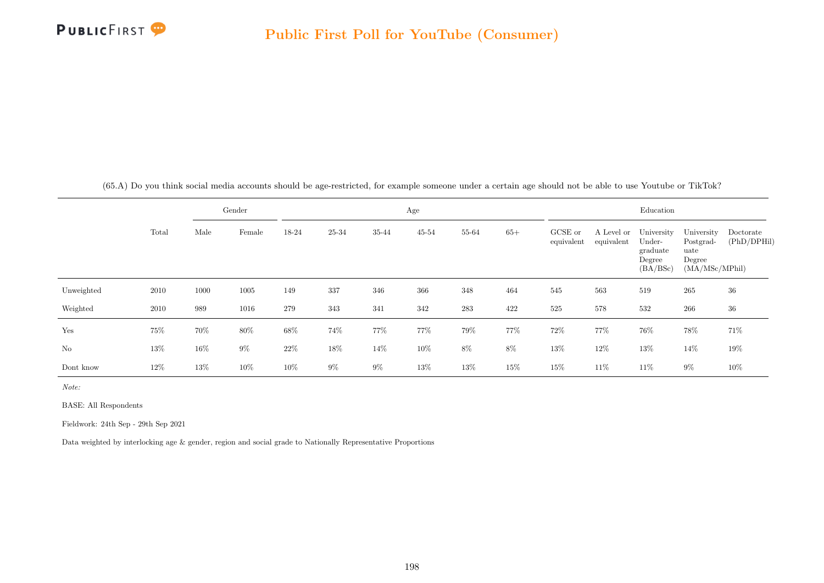

(65.A) Do you think social media accounts should be age-restricted, for example someone under a certain age should not be able to use Youtube or TikTok?

|            |       |        | Gender |        |       |       | Age       |       |        |                       |                          | Education                                              |                                                             |                          |
|------------|-------|--------|--------|--------|-------|-------|-----------|-------|--------|-----------------------|--------------------------|--------------------------------------------------------|-------------------------------------------------------------|--------------------------|
|            | Total | Male   | Female | 18-24  | 25-34 | 35-44 | $45 - 54$ | 55-64 | $65+$  | GCSE or<br>equivalent | A Level or<br>equivalent | University<br>Under-<br>graduate<br>Degree<br>(BA/BSc) | University<br>Postgrad-<br>uate<br>Degree<br>(MA/MSc/MPhil) | Doctorate<br>(PhD/DPHil) |
| Unweighted | 2010  | 1000   | 1005   | 149    | 337   | 346   | 366       | 348   | 464    | 545                   | 563                      | 519                                                    | 265                                                         | 36                       |
| Weighted   | 2010  | 989    | 1016   | 279    | 343   | 341   | 342       | 283   | 422    | 525                   | 578                      | 532                                                    | 266                                                         | 36                       |
| Yes        | 75%   | 70%    | $80\%$ | $68\%$ | 74%   | 77%   | 77%       | 79%   | 77%    | $72\%$                | 77%                      | 76%                                                    | 78%                                                         | 71%                      |
| $\rm No$   | 13%   | $16\%$ | $9\%$  | 22%    | 18%   | 14\%  | $10\%$    | $8\%$ | $8\%$  | $13\%$                | $12\%$                   | $13\%$                                                 | 14\%                                                        | 19%                      |
| Dont know  | 12%   | 13%    | $10\%$ | 10%    | $9\%$ | $9\%$ | 13%       | 13%   | $15\%$ | 15%                   | 11%                      | 11\%                                                   | $9\%$                                                       | 10%                      |

Note:

BASE: All Respondents

Fieldwork: 24th Sep - 29th Sep 2021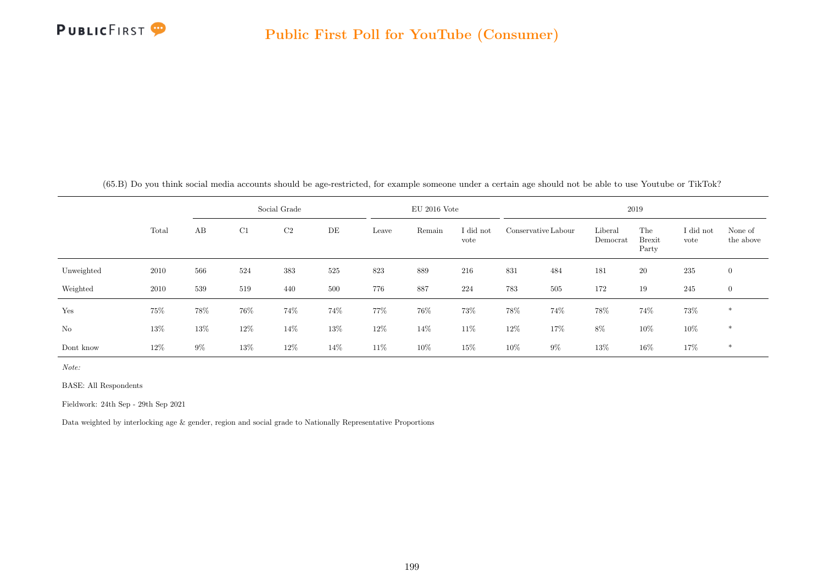

(65.B) Do you think social media accounts should be age-restricted, for example someone under a certain age should not be able to use Youtube or TikTok?

|            |        |       |        | Social Grade   |        |        | $EU$ 2016 Vote |                   |        |                     |                     | 2019                          |                   |                      |
|------------|--------|-------|--------|----------------|--------|--------|----------------|-------------------|--------|---------------------|---------------------|-------------------------------|-------------------|----------------------|
|            | Total  | AB    | C1     | C <sub>2</sub> | DE     | Leave  | Remain         | I did not<br>vote |        | Conservative Labour | Liberal<br>Democrat | The<br><b>Brexit</b><br>Party | I did not<br>vote | None of<br>the above |
| Unweighted | 2010   | 566   | 524    | 383            | 525    | 823    | 889            | 216               | 831    | 484                 | 181                 | <b>20</b>                     | $235\,$           | $\overline{0}$       |
| Weighted   | 2010   | 539   | 519    | 440            | 500    | 776    | 887            | 224               | 783    | 505                 | 172                 | 19                            | 245               | $\overline{0}$       |
| Yes        | 75%    | 78%   | $76\%$ | 74%            | 74%    | 77%    | $76\%$         | $73\%$            | 78%    | 74%                 | 78%                 | 74%                           | 73%               | $*$                  |
| No         | 13%    | 13%   | $12\%$ | 14%            | $13\%$ | $12\%$ | 14\%           | $11\%$            | $12\%$ | 17%                 | $8\%$               | $10\%$                        | $10\%$            | $*$                  |
| Dont know  | $12\%$ | $9\%$ | $13\%$ | 12%            | 14%    | 11\%   | 10%            | 15%               | 10%    | $9\%$               | $13\%$              | 16%                           | 17%               | *                    |

Note:

BASE: All Respondents

Fieldwork: 24th Sep - 29th Sep 2021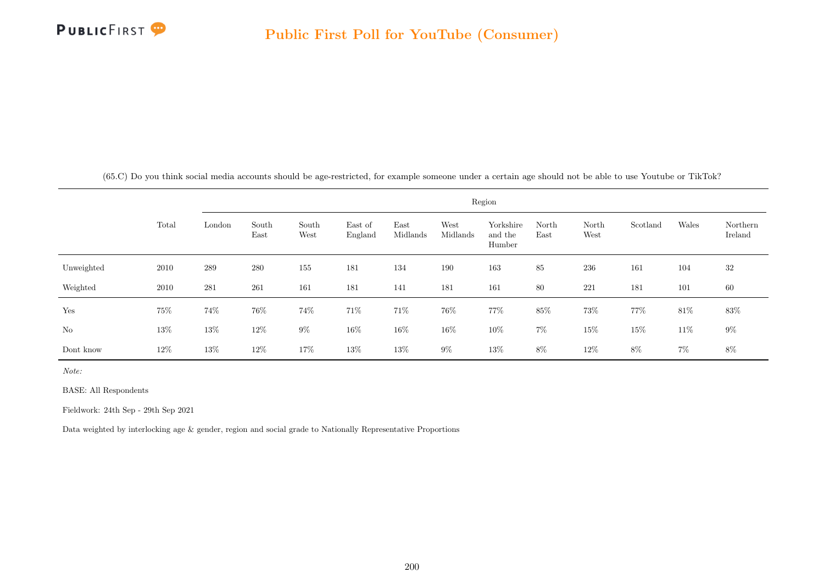

(65.C) Do you think social media accounts should be age-restricted, for example someone under a certain age should not be able to use Youtube or TikTok?

|            |        |         |               |               |                    |                  |                  | Region                         |               |               |          |        |                     |
|------------|--------|---------|---------------|---------------|--------------------|------------------|------------------|--------------------------------|---------------|---------------|----------|--------|---------------------|
|            | Total  | London  | South<br>East | South<br>West | East of<br>England | East<br>Midlands | West<br>Midlands | Yorkshire<br>and the<br>Humber | North<br>East | North<br>West | Scotland | Wales  | Northern<br>Ireland |
| Unweighted | 2010   | $\,289$ | $280\,$       | 155           | 181                | 134              | 190              | 163                            | $85\,$        | 236           | 161      | 104    | 32                  |
| Weighted   | 2010   | 281     | 261           | 161           | 181                | 141              | 181              | 161                            | 80            | 221           | 181      | 101    | 60                  |
| Yes        | 75%    | $74\%$  | 76%           | 74%           | 71\%               | 71\%             | 76%              | 77%                            | $85\%$        | 73%           | 77%      | $81\%$ | 83\%                |
| $\rm No$   | $13\%$ | 13%     | 12\%          | $9\%$         | 16\%               | 16\%             | 16%              | $10\%$                         | $7\%$         | $15\%$        | 15%      | 11\%   | $9\%$               |
| Dont know  | 12\%   | $13\%$  | 12\%          | $17\%$        | $13\%$             | $13\%$           | $9\%$            | $13\%$                         | $8\%$         | 12\%          | $8\%$    | $7\%$  | 8%                  |

Note:

BASE: All Respondents

Fieldwork: 24th Sep - 29th Sep 2021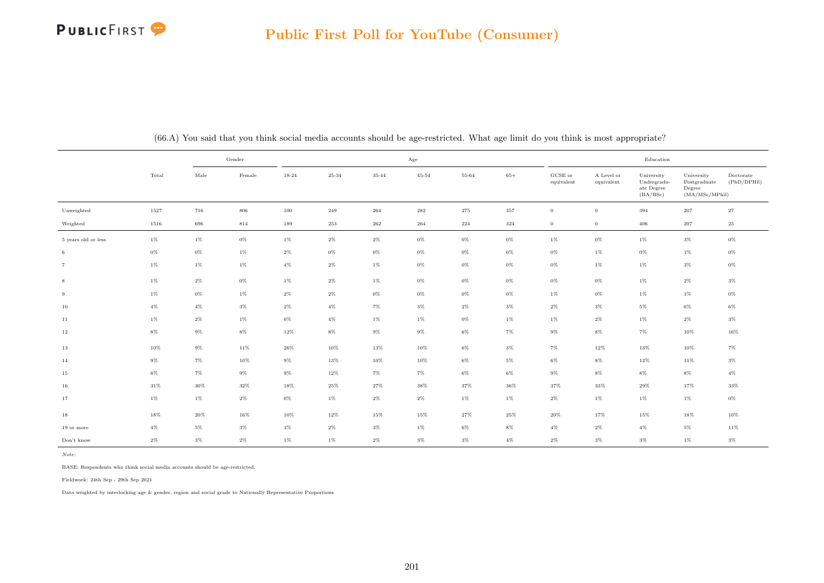

|                     |        |        | Gender |           |        |        | Age       |              |        |                                |                          | Education                                           |                                                         |                          |
|---------------------|--------|--------|--------|-----------|--------|--------|-----------|--------------|--------|--------------------------------|--------------------------|-----------------------------------------------------|---------------------------------------------------------|--------------------------|
|                     | Total  | Male   | Female | $18 - 24$ | 25-34  | 35-44  | $45 - 54$ | 55-64        | $65+$  | $_{\rm GCSE~or}$<br>equivalent | A Level or<br>equivalent | University<br>Undergradu-<br>ate Degree<br>(BA/BSc) | University<br>Postgraduate<br>Degree<br>(MA/MSc/MPhill) | Doctorate<br>(PhD/DPHil) |
| Unweighted          | 1527   | 716    | 806    | $100\,$   | 249    | 264    | $\bf 282$ | $\sqrt{275}$ | 357    | $\overline{0}$                 | $\overline{0}$           | 394                                                 | $\sqrt{207}$                                            | $\sqrt{27}$              |
| Weighted            | 1516   | 696    | 814    | 189       | 253    | 262    | 264       | 224          | 324    | $\overline{0}$                 | $\overline{0}$           | 406                                                 | 207                                                     | 25                       |
| 5 years old or less | $1\%$  | $1\%$  | $0\%$  | $1\%$     | $2\%$  | $2\%$  | $0\%$     | $0\%$        | $0\%$  | $1\%$                          | $0\%$                    | $1\%$                                               | $3\%$                                                   | $0\%$                    |
| 6                   | $0\%$  | $0\%$  | $1\%$  | $2\%$     | $0\%$  | $0\%$  | $0\%$     | $0\%$        | $0\%$  | $0\%$                          | $1\%$                    | $0\%$                                               | $1\%$                                                   | $0\%$                    |
| $\overline{7}$      | $1\%$  | $1\%$  | $1\%$  | $4\%$     | $2\%$  | $1\%$  | $0\%$     | $0\%$        | $0\%$  | $0\%$                          | $1\%$                    | $1\%$                                               | $3\%$                                                   | $0\%$                    |
| $\,$ 8 $\,$         | $1\%$  | $2\%$  | $0\%$  | $1\%$     | $2\%$  | $1\%$  | $0\%$     | $0\%$        | $0\%$  | $0\%$                          | $0\%$                    | $1\%$                                               | $2\%$                                                   | $3\%$                    |
| 9                   | $1\%$  | $0\%$  | $1\%$  | $2\%$     | $2\%$  | $0\%$  | $0\%$     | 0%           | $0\%$  | $1\%$                          | $0\%$                    | 1%                                                  | $1\%$                                                   | $0\%$                    |
| 10                  | $4\%$  | $4\%$  | $3\%$  | $2\%$     | $4\%$  | $7\%$  | $3\%$     | $2\%$        | $3\%$  | $2\%$                          | $3\%$                    | $5\%$                                               | $6\%$                                                   | $6\%$                    |
| 11                  | $1\%$  | $2\%$  | $1\%$  | $0\%$     | $4\%$  | $1\%$  | $1\%$     | $0\%$        | $1\%$  | $1\%$                          | $2\%$                    | $1\%$                                               | $2\%$                                                   | $3\%$                    |
| 12                  | $8\%$  | $9\%$  | $8\%$  | $12\%$    | $8\%$  | $9\%$  | $9\%$     | $6\%$        | $7\%$  | $9\%$                          | $8\%$                    | $7\%$                                               | $10\%$                                                  | 16%                      |
| 13                  | $10\%$ | $9\%$  | $11\%$ | $26\%$    | $10\%$ | $13\%$ | $10\%$    | $6\%$        | $3\%$  | $7\%$                          | $12\%$                   | $13\%$                                              | $10\%$                                                  | $7\%$                    |
| 14                  | $9\%$  | $7\%$  | 10%    | $9\%$     | 13%    | 10%    | $10\%$    | $6\%$        | $5\%$  | $6\%$                          | $8\%$                    | 12%                                                 | 11%                                                     | $3\%$                    |
| 15                  | $8\%$  | $7\%$  | $9\%$  | $9\%$     | 12%    | $7\%$  | $7\%$     | $6\%$        | $6\%$  | $9\%$                          | $8\%$                    | $8\%$                                               | $8\%$                                                   | $4\%$                    |
| 16                  | $31\%$ | $30\%$ | $32\%$ | $18\%$    | 25%    | 27%    | $38\%$    | 37%          | $36\%$ | 37%                            | $33\%$                   | $29\%$                                              | 17%                                                     | $33\%$                   |
| 17                  | $1\%$  | $1\%$  | $2\%$  | $0\%$     | $1\%$  | $2\%$  | $2\%$     | $1\%$        | $1\%$  | $2\%$                          | 1%                       | 1%                                                  | $1\%$                                                   | $0\%$                    |
| 18                  | $18\%$ | 20%    | $16\%$ | $10\%$    | $12\%$ | 15%    | $15\%$    | $27\%$       | 25%    | $20\%$                         | 17%                      | 15%                                                 | $18\%$                                                  | 10%                      |
| 19 or more          | $4\%$  | $5\%$  | $3\%$  | $3\%$     | $2\%$  | $3\%$  | $1\%$     | 6%           | $8\%$  | $4\%$                          | $2\%$                    | $4\%$                                               | $5\%$                                                   | 11%                      |
| Don't know          | $2\%$  | $3\%$  | $2\%$  | $1\%$     | $1\%$  | $2\%$  | $3\%$     | $3\%$        | $4\%$  | $2\%$                          | $3\%$                    | $3\%$                                               | $1\%$                                                   | $3\%$                    |

(66.A) You said that you think social media accounts should be age-restricted. What age limit do you think is most appropriate?

Note:

BASE: Respondents who think social media accounts should be age-restricted.

Fieldwork: 24th Sep - 29th Sep 2021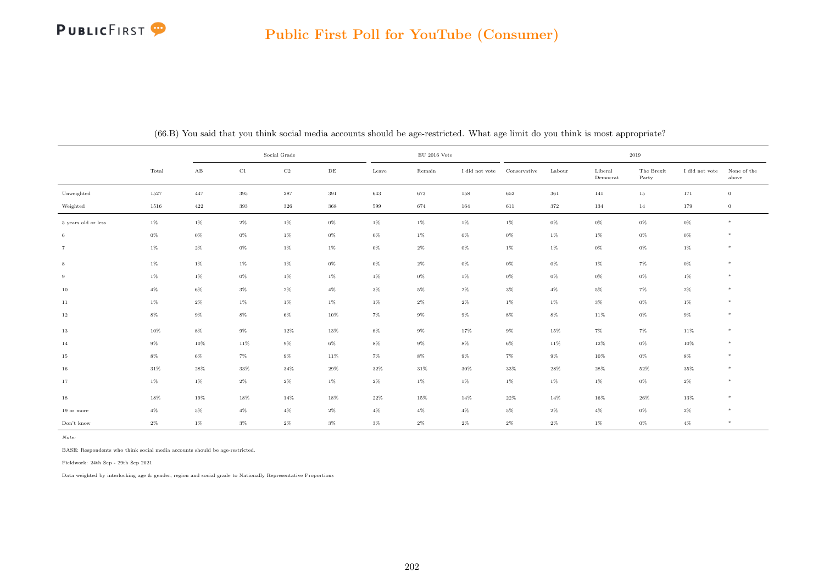|                     |        |                        |          | Social Grade |           |        | $\rm EU$ 2016 Vote |                |              |         |                     | 2019                |                |                      |
|---------------------|--------|------------------------|----------|--------------|-----------|--------|--------------------|----------------|--------------|---------|---------------------|---------------------|----------------|----------------------|
|                     | Total  | $\mathbf{A}\mathbf{B}$ | $\rm C1$ | $_{\rm C2}$  | $\rm{DE}$ | Leave  | Remain             | I did not vote | Conservative | Labour  | Liberal<br>Democrat | The Brexit<br>Party | I did not vote | None of the<br>above |
| Unweighted          | 1527   | 447                    | $395\,$  | 287          | 391       | 643    | 673                | $158\,$        | 652          | $361\,$ | 141                 | $15\,$              | 171            | $\overline{0}$       |
| Weighted            | 1516   | 422                    | 393      | 326          | 368       | 599    | 674                | 164            | 611          | 372     | 134                 | 14                  | 179            | $\,0\,$              |
| 5 years old or less | $1\%$  | $1\%$                  | $2\%$    | $1\%$        | $0\%$     | 1%     | $1\%$              | $1\%$          | $1\%$        | $0\%$   | $0\%$               | $0\%$               | $0\%$          | $*$                  |
| 6                   | $0\%$  | $0\%$                  | $0\%$    | $1\%$        | $0\%$     | $0\%$  | $1\%$              | $0\%$          | $0\%$        | $1\%$   | $1\%$               | $0\%$               | $0\%$          | $*$                  |
|                     | $1\%$  | $2\%$                  | $0\%$    | $1\%$        | $1\%$     | $0\%$  | $2\%$              | $0\%$          | $1\%$        | $1\%$   | $0\%$               | $0\%$               | $1\%$          | $\ast$               |
| 8                   | $1\%$  | $1\%$                  | $1\%$    | $1\%$        | $0\%$     | $0\%$  | $2\%$              | 0%             | $0\%$        | $0\%$   | $1\%$               | $7\%$               | $0\%$          | $*$                  |
| 9                   | $1\%$  | $1\%$                  | $0\%$    | $1\%$        | $1\%$     | $1\%$  | $0\%$              | 1%             | $0\%$        | $0\%$   | $0\%$               | $0\%$               | $1\%$          | $*$                  |
| 10                  | $4\%$  | $6\%$                  | $3\%$    | $2\%$        | $4\%$     | $3\%$  | $5\%$              | $2\%$          | $3\%$        | $4\%$   | $5\%$               | $7\%$               | $2\%$          | $*$                  |
| 11                  | $1\%$  | $2\%$                  | $1\%$    | $1\%$        | $1\%$     | $1\%$  | $2\%$              | $2\%$          | $1\%$        | $1\%$   | $3\%$               | $0\%$               | $1\%$          | $\ast$               |
| $12\,$              | $8\%$  | $9\%$                  | $8\%$    | $6\%$        | 10%       | $7\%$  | $9\%$              | $9\%$          | $8\%$        | $8\%$   | $11\%$              | $0\%$               | $9\%$          | $*$                  |
| $13\,$              | 10%    | $8\%$                  | $9\%$    | $12\%$       | $13\%$    | $8\%$  | $9\%$              | $17\%$         | $9\%$        | $15\%$  | $7\%$               | $7\%$               | 11%            | $*$                  |
| 14                  | $9\%$  | 10%                    | 11%      | $9\%$        | $6\%$     | $8\%$  | $9\%$              | $8\%$          | 6%           | $11\%$  | 12%                 | $0\%$               | 10%            | $*$                  |
| 15                  | $8\%$  | 6%                     | $7\%$    | $9\%$        | 11%       | $7\%$  | $8\%$              | 9%             | 7%           | $9\%$   | 10%                 | $0\%$               | $8\%$          | $*$                  |
| 16                  | $31\%$ | $28\%$                 | $33\%$   | $34\%$       | $29\%$    | $32\%$ | $31\%$             | 30%            | $33\%$       | $28\%$  | 28%                 | $52\%$              | $35\%$         | $*$                  |
| 17                  | $1\%$  | $1\%$                  | $2\%$    | $2\%$        | $1\%$     | $2\%$  | $1\%$              | $1\%$          | $1\%$        | $1\%$   | 1%                  | $0\%$               | $2\%$          | $*$                  |
| $18\,$              | 18%    | 19%                    | $18\%$   | $14\%$       | 18%       | $22\%$ | 15%                | 14%            | $22\%$       | $14\%$  | 16%                 | 26%                 | 13%            | $\ast$               |
| 19 or more          | $4\%$  | $5\%$                  | $4\%$    | $4\%$        | $2\%$     | $4\%$  | $4\%$              | $4\%$          | $5\%$        | $2\%$   | $4\%$               | $0\%$               | $2\%$          | $*$                  |
| Don't know          | $2\%$  | 1%                     | $3\%$    | $2\%$        | $3\%$     | $3\%$  | $2\%$              | $2\%$          | $2\%$        | $2\%$   | $1\%$               | $0\%$               | $4\%$          | $*$                  |

(66.B) You said that you think social media accounts should be age-restricted. What age limit do you think is most appropriate?

Note:

BASE: Respondents who think social media accounts should be age-restricted.

Fieldwork: 24th Sep - 29th Sep 2021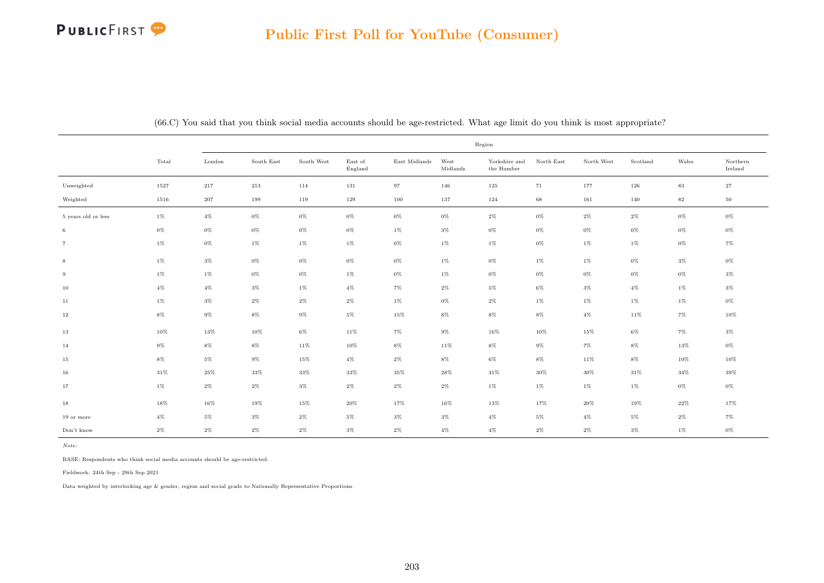|                     |        |         |            |            |                    |               |                  | Region                      |            |            |          |          |                     |
|---------------------|--------|---------|------------|------------|--------------------|---------------|------------------|-----------------------------|------------|------------|----------|----------|---------------------|
|                     | Total  | London  | South East | South West | East of<br>England | East Midlands | West<br>Midlands | Yorkshire and<br>the Humber | North East | North West | Scotland | Wales    | Northern<br>Ireland |
| Unweighted          | 1527   | 217     | 213        | 114        | 131                | 97            | 146              | 125                         | 71         | 177        | 126      | $\bf 83$ | $\sqrt{27}$         |
| Weighted            | 1516   | $207\,$ | 199        | 119        | 129                | 100           | 137              | 124                         | 68         | 161        | 140      | $\bf 82$ | $50\,$              |
| 5 years old or less | $1\%$  | $4\%$   | $0\%$      | 0%         | 0%                 | $0\%$         | $0\%$            | $2\%$                       | $0\%$      | $2\%$      | $2\%$    | $0\%$    | $0\%$               |
| 6                   | $0\%$  | $0\%$   | $0\%$      | $0\%$      | $0\%$              | $1\%$         | $3\%$            | $0\%$                       | $0\%$      | $0\%$      | $0\%$    | $0\%$    | $0\%$               |
| $\overline{7}$      | $1\%$  | $0\%$   | $1\%$      | $1\%$      | $1\%$              | $0\%$         | 1%               | $1\%$                       | $0\%$      | $1\%$      | $1\%$    | $0\%$    | 7%                  |
| 8                   | $1\%$  | $3\%$   | $0\%$      | 0%         | $0\%$              | $0\%$         | 1%               | $0\%$                       | $1\%$      | $1\%$      | $0\%$    | $3\%$    | $0\%$               |
| 9                   | $1\%$  | 1%      | 0%         | $0\%$      | $1\%$              | $0\%$         | $1\%$            | $0\%$                       | $0\%$      | $0\%$      | $0\%$    | $0\%$    | $3\%$               |
| 10                  | $4\%$  | $4\%$   | $3\%$      | 1%         | $4\%$              | 7%            | $2\%$            | 5%                          | 6%         | $3\%$      | $4\%$    | $1\%$    | $3\%$               |
| 11                  | $1\%$  | $3\%$   | $2\%$      | 2%         | 2%                 | $1\%$         | 0%               | $2\%$                       | $1\%$      | $1\%$      | $1\%$    | $1\%$    | 0%                  |
| $12\,$              | $8\%$  | $9\%$   | $8\%$      | $9\%$      | $5\%$              | 15%           | $8\%$            | $8\%$                       | $8\%$      | $4\%$      | 11%      | 7%       | 10%                 |
| 13                  | 10%    | 13%     | 10%        | 6%         | 11%                | 7%            | $9\%$            | 16%                         | 10%        | 15%        | $6\%$    | $7\%$    | $3\%$               |
| 14                  | $9\%$  | $8\%$   | $8\%$      | 11%        | 10%                | $8\%$         | 11%              | $8\%$                       | $9\%$      | $7\%$      | $8\%$    | 13%      | $0\%$               |
| 15                  | $8\%$  | $5\%$   | $9\%$      | 15%        | $4\%$              | $2\%$         | $8\%$            | $6\%$                       | $8\%$      | 11%        | $8\%$    | 10%      | 10%                 |
| 16                  | $31\%$ | $25\%$  | 33%        | 33%        | 33%                | 35%           | 28%              | $31\%$                      | 30%        | 30%        | $31\%$   | $34\%$   | 39%                 |
| 17                  | $1\%$  | $2\%$   | $2\%$      | $3\%$      | $2\%$              | $2\%$         | $2\%$            | $1\%$                       | $1\%$      | $1\%$      | $1\%$    | $0\%$    | $0\%$               |
| 18                  | 18%    | $16\%$  | 19%        | 15%        | $20\%$             | 17%           | $16\%$           | 13%                         | 17%        | $20\%$     | 19%      | $22\%$   | 17%                 |
| 19 or more          | $4\%$  | $5\%$   | $3\%$      | $2\%$      | $5\%$              | $3\%$         | $3\%$            | $4\%$                       | $5\%$      | $4\%$      | $5\%$    | $2\%$    | $7\%$               |
| Don't know          | $2\%$  | $2\%$   | $2\%$      | $2\%$      | $3\%$              | $2\%$         | $4\%$            | $4\%$                       | $2\%$      | $2\%$      | $3\%$    | $1\%$    | $0\%$               |

(66.C) You said that you think social media accounts should be age-restricted. What age limit do you think is most appropriate?

Note:

BASE: Respondents who think social media accounts should be age-restricted.

Fieldwork: 24th Sep - 29th Sep 2021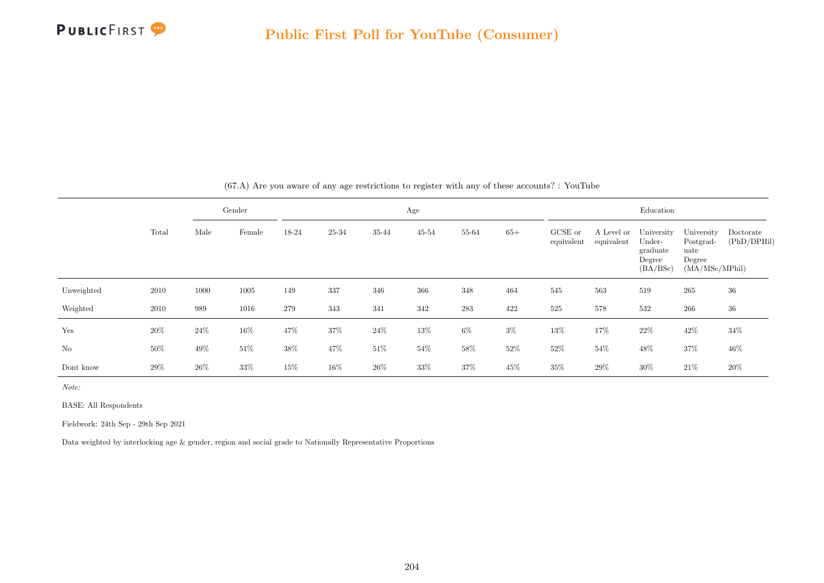

|                |        |      | Gender |       |           |        | Age       |         |       |                       |                          | Education                                              |                                                             |                          |
|----------------|--------|------|--------|-------|-----------|--------|-----------|---------|-------|-----------------------|--------------------------|--------------------------------------------------------|-------------------------------------------------------------|--------------------------|
|                | Total  | Male | Female | 18-24 | $25 - 34$ | 35-44  | $45 - 54$ | 55-64   | $65+$ | GCSE or<br>equivalent | A Level or<br>equivalent | University<br>Under-<br>graduate<br>Degree<br>(BA/BSc) | University<br>Postgrad-<br>uate<br>Degree<br>(MA/MSc/MPhil) | Doctorate<br>(PhD/DPHil) |
| Unweighted     | 2010   | 1000 | 1005   | 149   | 337       | 346    | 366       | 348     | 464   | 545                   | 563                      | 519                                                    | 265                                                         | 36                       |
| Weighted       | 2010   | 989  | 1016   | 279   | 343       | 341    | 342       | $\,283$ | 422   | 525                   | 578                      | 532                                                    | 266                                                         | 36                       |
| Yes            | 20%    | 24\% | 16%    | 47%   | $37\%$    | $24\%$ | $13\%$    | $6\%$   | $3\%$ | $13\%$                | 17%                      | $22\%$                                                 | $42\%$                                                      | 34%                      |
| N <sub>o</sub> | $50\%$ | 49%  | $51\%$ | 38%   | 47%       | $51\%$ | 54%       | $58\%$  | 52%   | 52%                   | $54\%$                   | 48\%                                                   | $37\%$                                                      | 46%                      |
| Dont know      | $29\%$ | 26%  | 33%    | 15%   | $16\%$    | $26\%$ | 33%       | 37%     | 45%   | 35%                   | 29%                      | $30\%$                                                 | 21\%                                                        | 20%                      |

(67.A) Are you aware of any age restrictions to register with any of these accounts? : YouTube

Note:

BASE: All Respondents

Fieldwork: 24th Sep - 29th Sep 2021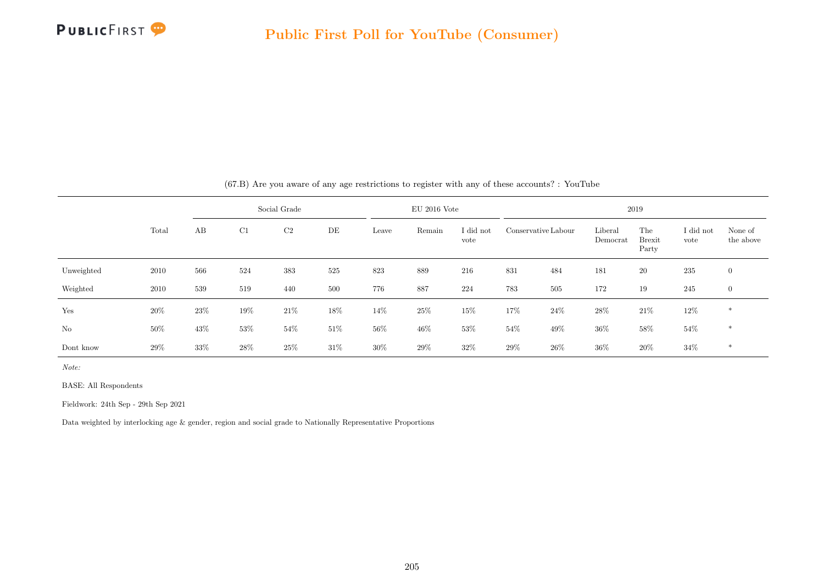

|            |       |     |     | Social Grade   |        |        | $EU$ 2016 Vote |                   |        |                     |                     | 2019                          |                   |                      |
|------------|-------|-----|-----|----------------|--------|--------|----------------|-------------------|--------|---------------------|---------------------|-------------------------------|-------------------|----------------------|
|            | Total | AB  | C1  | C <sub>2</sub> | DE     | Leave  | Remain         | I did not<br>vote |        | Conservative Labour | Liberal<br>Democrat | The<br><b>Brexit</b><br>Party | I did not<br>vote | None of<br>the above |
| Unweighted | 2010  | 566 | 524 | 383            | 525    | 823    | 889            | 216               | 831    | 484                 | 181                 | <b>20</b>                     | 235               | $\overline{0}$       |
| Weighted   | 2010  | 539 | 519 | 440            | 500    | 776    | 887            | 224               | 783    | 505                 | 172                 | 19                            | 245               | $\mathbf{0}$         |
| Yes        | 20%   | 23% | 19% | 21%            | 18%    | 14%    | $25\%$         | 15%               | 17%    | $24\%$              | 28%                 | $21\%$                        | $12\%$            | $\ast$               |
| No         | 50%   | 43% | 53% | $54\%$         | $51\%$ | $56\%$ | $46\%$         | $53\%$            | $54\%$ | $49\%$              | $36\%$              | 58%                           | $54\%$            | $\ast$               |
| Dont know  | 29%   | 33% | 28% | 25%            | $31\%$ | $30\%$ | 29%            | 32%               | 29%    | 26\%                | 36%                 | 20%                           | 34%               | $\ast$               |

(67.B) Are you aware of any age restrictions to register with any of these accounts? : YouTube

Note:

BASE: All Respondents

Fieldwork: 24th Sep - 29th Sep 2021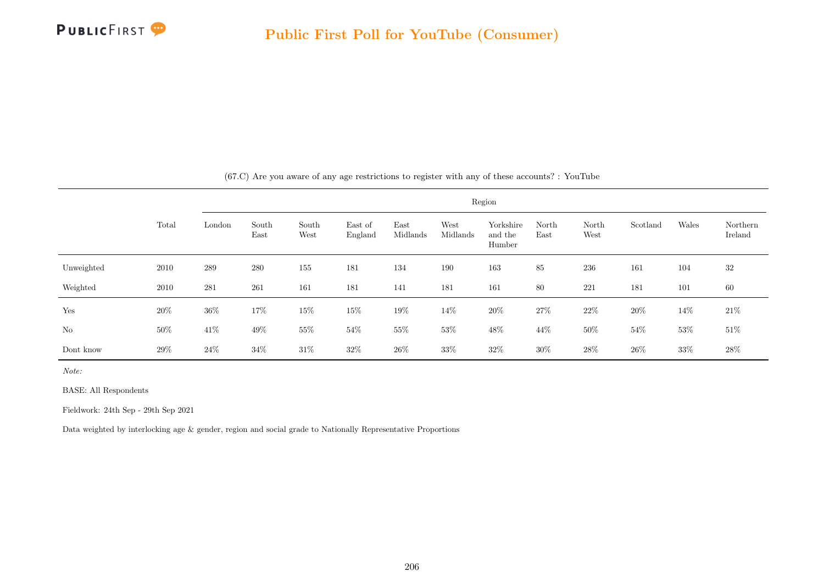

|            |        |        |               |               |                    |                  |                  | Region                         |               |               |          |        |                     |
|------------|--------|--------|---------------|---------------|--------------------|------------------|------------------|--------------------------------|---------------|---------------|----------|--------|---------------------|
|            | Total  | London | South<br>East | South<br>West | East of<br>England | East<br>Midlands | West<br>Midlands | Yorkshire<br>and the<br>Humber | North<br>East | North<br>West | Scotland | Wales  | Northern<br>Ireland |
| Unweighted | 2010   | 289    | 280           | 155           | 181                | 134              | 190              | 163                            | 85            | 236           | 161      | 104    | 32                  |
| Weighted   | 2010   | 281    | 261           | 161           | 181                | 141              | 181              | 161                            | 80            | 221           | 181      | 101    | 60                  |
| Yes        | $20\%$ | $36\%$ | 17%           | $15\%$        | $15\%$             | $19\%$           | 14%              | $20\%$                         | $27\%$        | $22\%$        | $20\%$   | $14\%$ | $21\%$              |
| $\rm No$   | $50\%$ | $41\%$ | $49\%$        | $55\%$        | $54\%$             | $55\%$           | $53\%$           | $48\%$                         | $44\%$        | $50\%$        | $54\%$   | $53\%$ | $51\%$              |
| Dont know  | $29\%$ | $24\%$ | 34%           | $31\%$        | $32\%$             | $26\%$           | $33\%$           | 32%                            | $30\%$        | 28\%          | $26\%$   | $33\%$ | 28\%                |

(67.C) Are you aware of any age restrictions to register with any of these accounts? : YouTube

Note:

BASE: All Respondents

Fieldwork: 24th Sep - 29th Sep 2021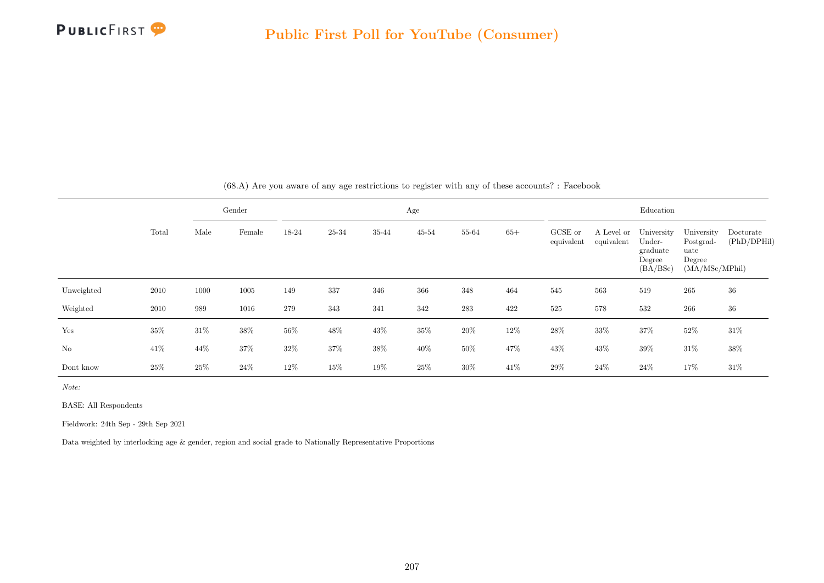

|            |        |        | Gender |        |        |        | Age       |        |       |                       |                          | Education                                              |                                                             |                          |
|------------|--------|--------|--------|--------|--------|--------|-----------|--------|-------|-----------------------|--------------------------|--------------------------------------------------------|-------------------------------------------------------------|--------------------------|
|            | Total  | Male   | Female | 18-24  | 25-34  | 35-44  | $45 - 54$ | 55-64  | $65+$ | GCSE or<br>equivalent | A Level or<br>equivalent | University<br>Under-<br>graduate<br>Degree<br>(BA/BSc) | University<br>Postgrad-<br>uate<br>Degree<br>(MA/MSc/MPhil) | Doctorate<br>(PhD/DPHil) |
| Unweighted | 2010   | 1000   | 1005   | 149    | 337    | 346    | 366       | 348    | 464   | 545                   | 563                      | 519                                                    | 265                                                         | 36                       |
| Weighted   | 2010   | 989    | 1016   | 279    | 343    | 341    | 342       | 283    | 422   | 525                   | 578                      | 532                                                    | 266                                                         | 36                       |
| Yes        | $35\%$ | $31\%$ | $38\%$ | 56%    | 48\%   | 43\%   | $35\%$    | $20\%$ | 12%   | $28\%$                | $33\%$                   | $37\%$                                                 | $52\%$                                                      | 31\%                     |
| No         | 41\%   | 44%    | $37\%$ | $32\%$ | $37\%$ | $38\%$ | 40%       | $50\%$ | 47%   | $43\%$                | $43\%$                   | $39\%$                                                 | $31\%$                                                      | 38%                      |
| Dont know  | $25\%$ | 25%    | 24%    | 12%    | $15\%$ | 19%    | 25%       | $30\%$ | 41\%  | 29%                   | $24\%$                   | 24%                                                    | 17%                                                         | $31\%$                   |

(68.A) Are you aware of any age restrictions to register with any of these accounts? : Facebook

Note:

BASE: All Respondents

Fieldwork: 24th Sep - 29th Sep 2021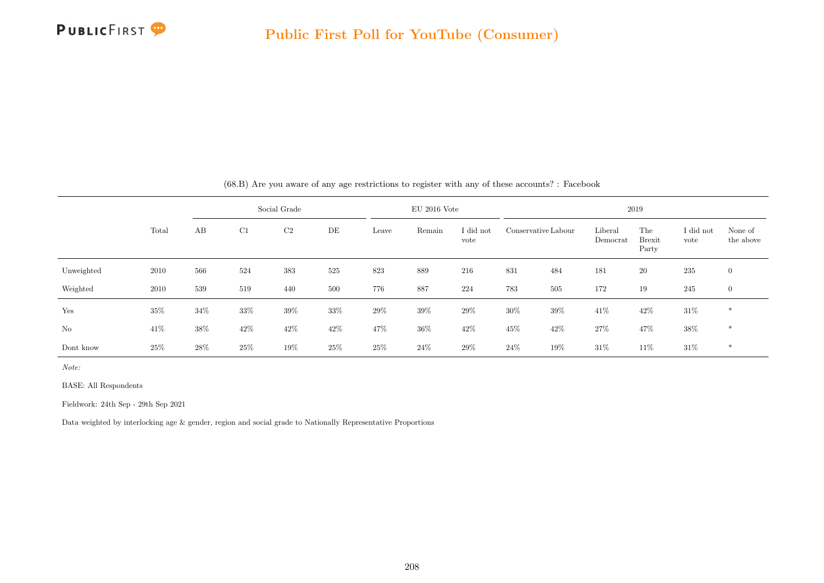

|            |       |        |        | Social Grade   |        |        | $EU$ 2016 Vote |                   |        |                     |                     | 2019                          |                   |                      |
|------------|-------|--------|--------|----------------|--------|--------|----------------|-------------------|--------|---------------------|---------------------|-------------------------------|-------------------|----------------------|
|            | Total | AB     | C1     | C <sub>2</sub> | DE     | Leave  | Remain         | I did not<br>vote |        | Conservative Labour | Liberal<br>Democrat | The<br><b>Brexit</b><br>Party | I did not<br>vote | None of<br>the above |
| Unweighted | 2010  | 566    | 524    | 383            | 525    | 823    | 889            | 216               | 831    | 484                 | 181                 | 20                            | 235               | $\mathbf{0}$         |
| Weighted   | 2010  | 539    | 519    | 440            | 500    | 776    | 887            | 224               | 783    | 505                 | 172                 | 19                            | 245               | $\mathbf{0}$         |
| Yes        | 35%   | 34%    | $33\%$ | $39\%$         | 33%    | $29\%$ | $39\%$         | 29%               | $30\%$ | 39%                 | 41\%                | 42\%                          | $31\%$            | $\ast$               |
| No         | 41\%  | $38\%$ | 42\%   | 42%            | $42\%$ | 47%    | $36\%$         | 42%               | 45%    | 42\%                | $27\%$              | 47%                           | $38\%$            | $*$                  |
| Dont know  | 25\%  | 28\%   | 25%    | 19%            | 25\%   | $25\%$ | 24%            | 29\%              | 24%    | 19%                 | 31%                 | 11\%                          | $31\%$            | $\ast$               |

(68.B) Are you aware of any age restrictions to register with any of these accounts? : Facebook

Note:

BASE: All Respondents

Fieldwork: 24th Sep - 29th Sep 2021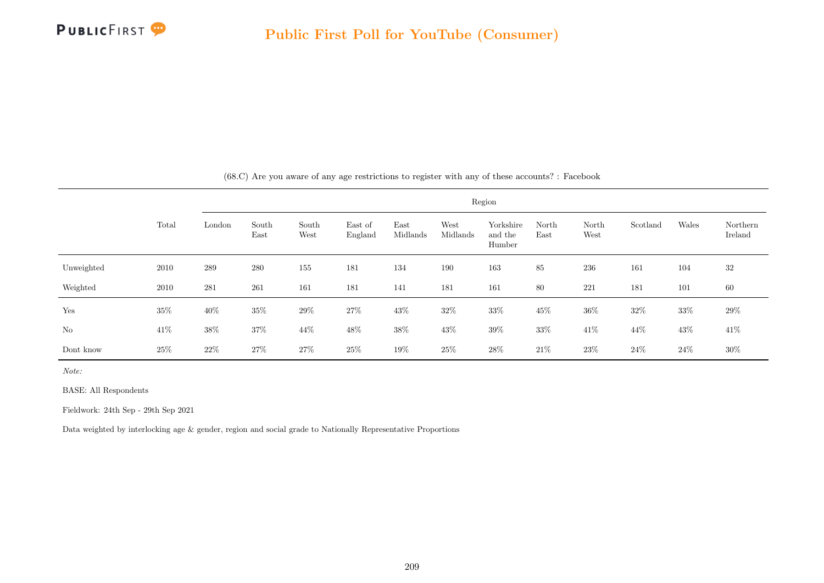

|            |        |        |               |               |                    |                  |                  | Region                         |               |               |          |        |                     |
|------------|--------|--------|---------------|---------------|--------------------|------------------|------------------|--------------------------------|---------------|---------------|----------|--------|---------------------|
|            | Total  | London | South<br>East | South<br>West | East of<br>England | East<br>Midlands | West<br>Midlands | Yorkshire<br>and the<br>Humber | North<br>East | North<br>West | Scotland | Wales  | Northern<br>Ireland |
| Unweighted | 2010   | 289    | 280           | 155           | 181                | 134              | 190              | 163                            | 85            | 236           | 161      | 104    | 32                  |
| Weighted   | 2010   | 281    | 261           | 161           | 181                | 141              | 181              | 161                            | 80            | 221           | 181      | 101    | 60                  |
| Yes        | $35\%$ | 40%    | $35\%$        | 29%           | 27\%               | 43\%             | $32\%$           | $33\%$                         | 45%           | $36\%$        | 32%      | $33\%$ | 29%                 |
| $\rm No$   | 41%    | $38\%$ | 37%           | $44\%$        | $48\%$             | $38\%$           | $43\%$           | $39\%$                         | $33\%$        | $41\%$        | 44%      | 43%    | $41\%$              |
| Dont know  | $25\%$ | $22\%$ | 27%           | 27\%          | $25\%$             | 19%              | $25\%$           | $28\%$                         | $21\%$        | $23\%$        | $24\%$   | $24\%$ | 30%                 |

(68.C) Are you aware of any age restrictions to register with any of these accounts? : Facebook

Note:

BASE: All Respondents

Fieldwork: 24th Sep - 29th Sep 2021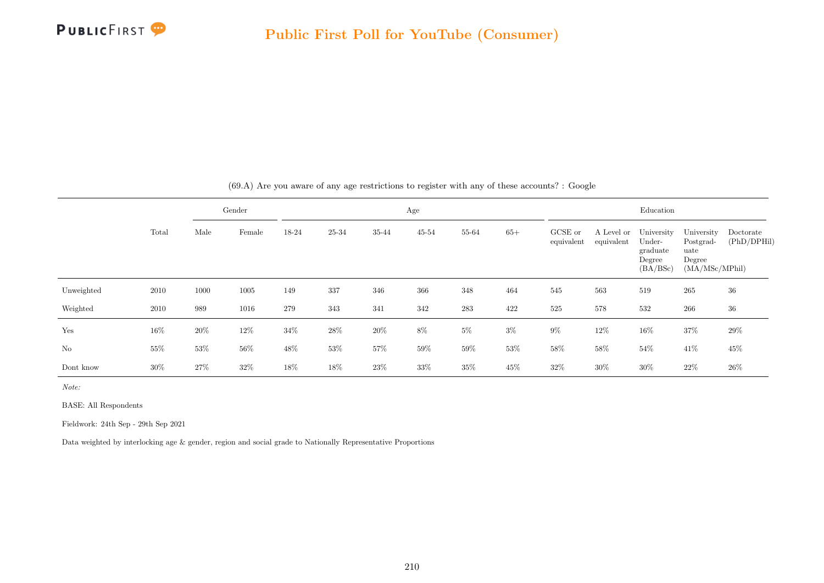

|                |        |      | Gender |        |        |        | Age       |        |        |                       |                          | Education                                              |                                                             |                          |
|----------------|--------|------|--------|--------|--------|--------|-----------|--------|--------|-----------------------|--------------------------|--------------------------------------------------------|-------------------------------------------------------------|--------------------------|
|                | Total  | Male | Female | 18-24  | 25-34  | 35-44  | $45 - 54$ | 55-64  | $65+$  | GCSE or<br>equivalent | A Level or<br>equivalent | University<br>Under-<br>graduate<br>Degree<br>(BA/BSc) | University<br>Postgrad-<br>uate<br>Degree<br>(MA/MSc/MPhil) | Doctorate<br>(PhD/DPHil) |
| Unweighted     | 2010   | 1000 | 1005   | 149    | 337    | 346    | 366       | 348    | 464    | 545                   | 563                      | 519                                                    | 265                                                         | 36                       |
| Weighted       | 2010   | 989  | 1016   | 279    | 343    | 341    | 342       | 283    | 422    | 525                   | 578                      | 532                                                    | 266                                                         | 36                       |
| Yes            | 16%    | 20%  | $12\%$ | $34\%$ | 28\%   | $20\%$ | $8\%$     | $5\%$  | $3\%$  | $9\%$                 | $12\%$                   | $16\%$                                                 | $37\%$                                                      | $29\%$                   |
| N <sub>o</sub> | $55\%$ | 53%  | $56\%$ | $48\%$ | $53\%$ | $57\%$ | 59%       | $59\%$ | $53\%$ | 58%                   | $58\%$                   | $54\%$                                                 | $41\%$                                                      | 45%                      |
| Dont know      | $30\%$ | 27%  | 32%    | 18%    | 18%    | 23\%   | 33%       | 35%    | 45%    | 32%                   | 30%                      | $30\%$                                                 | 22%                                                         | 26%                      |

(69.A) Are you aware of any age restrictions to register with any of these accounts? : Google

Note:

BASE: All Respondents

Fieldwork: 24th Sep - 29th Sep 2021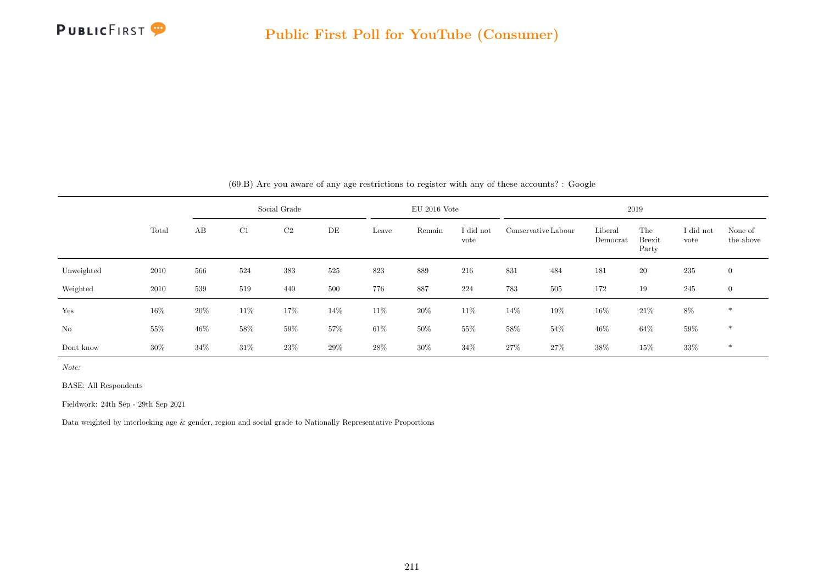

|            |        |        |        | Social Grade   |     |        | $EU$ 2016 Vote |                   |     |                     |                     | 2019                          |                   |                      |
|------------|--------|--------|--------|----------------|-----|--------|----------------|-------------------|-----|---------------------|---------------------|-------------------------------|-------------------|----------------------|
|            | Total  | AB     | C1     | C <sub>2</sub> | DE  | Leave  | Remain         | I did not<br>vote |     | Conservative Labour | Liberal<br>Democrat | The<br><b>Brexit</b><br>Party | I did not<br>vote | None of<br>the above |
| Unweighted | 2010   | 566    | 524    | 383            | 525 | 823    | 889            | 216               | 831 | 484                 | 181                 | 20                            | 235               | $\mathbf{0}$         |
| Weighted   | 2010   | 539    | 519    | 440            | 500 | 776    | 887            | 224               | 783 | 505                 | 172                 | 19                            | 245               | $\mathbf{0}$         |
| Yes        | 16%    | $20\%$ | $11\%$ | 17%            | 14% | 11\%   | $20\%$         | 11%               | 14% | 19%                 | 16%                 | $21\%$                        | $8\%$             | $\ast$               |
| No         | 55%    | 46%    | 58%    | $59\%$         | 57% | $61\%$ | $50\%$         | 55%               | 58% | $54\%$              | 46%                 | $64\%$                        | $59\%$            | $*$                  |
| Dont know  | $30\%$ | $34\%$ | $31\%$ | 23\%           | 29% | $28\%$ | $30\%$         | $34\%$            | 27% | 27%                 | 38%                 | 15%                           | 33%               | $\ast$               |

(69.B) Are you aware of any age restrictions to register with any of these accounts? : Google

Note:

BASE: All Respondents

Fieldwork: 24th Sep - 29th Sep 2021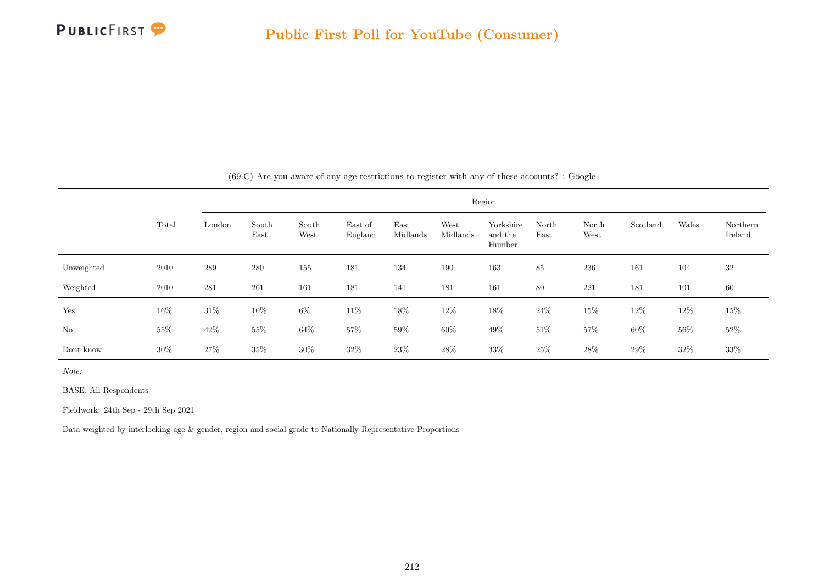

|            |        |        |               |               |                    |                  |                  | Region                         |               |               |          |        |                     |
|------------|--------|--------|---------------|---------------|--------------------|------------------|------------------|--------------------------------|---------------|---------------|----------|--------|---------------------|
|            | Total  | London | South<br>East | South<br>West | East of<br>England | East<br>Midlands | West<br>Midlands | Yorkshire<br>and the<br>Humber | North<br>East | North<br>West | Scotland | Wales  | Northern<br>Ireland |
| Unweighted | 2010   | 289    | 280           | 155           | 181                | 134              | 190              | 163                            | 85            | 236           | 161      | 104    | 32                  |
| Weighted   | 2010   | 281    | 261           | 161           | 181                | 141              | 181              | 161                            | 80            | 221           | 181      | 101    | 60                  |
| Yes        | 16\%   | $31\%$ | $10\%$        | $6\%$         | 11\%               | 18%              | $12\%$           | $18\%$                         | $24\%$        | $15\%$        | $12\%$   | 12\%   | $15\%$              |
| No         | $55\%$ | $42\%$ | $55\%$        | $64\%$        | 57%                | $59\%$           | $60\%$           | 49\%                           | 51\%          | $57\%$        | $60\%$   | $56\%$ | $52\%$              |
| Dont know  | 30%    | 27\%   | 35%           | $30\%$        | $32\%$             | 23\%             | $28\%$           | 33%                            | $25\%$        | $28\%$        | 29%      | $32\%$ | 33%                 |

(69.C) Are you aware of any age restrictions to register with any of these accounts? : Google

Note:

BASE: All Respondents

Fieldwork: 24th Sep - 29th Sep 2021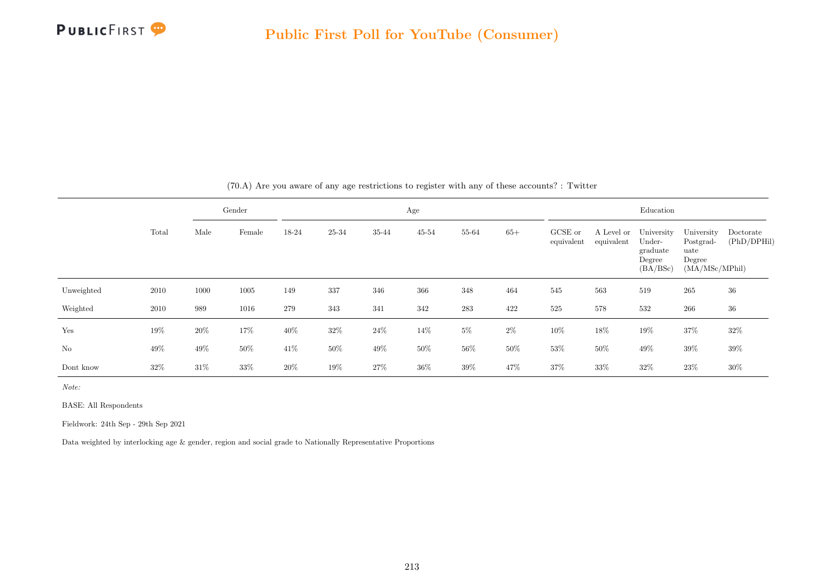

|            |       |        | Gender |        |        |        | Age       |        |        |                       |                          | Education                                              |                                                             |                          |
|------------|-------|--------|--------|--------|--------|--------|-----------|--------|--------|-----------------------|--------------------------|--------------------------------------------------------|-------------------------------------------------------------|--------------------------|
|            | Total | Male   | Female | 18-24  | 25-34  | 35-44  | $45 - 54$ | 55-64  | $65+$  | GCSE or<br>equivalent | A Level or<br>equivalent | University<br>Under-<br>graduate<br>Degree<br>(BA/BSc) | University<br>Postgrad-<br>uate<br>Degree<br>(MA/MSc/MPhil) | Doctorate<br>(PhD/DPHil) |
| Unweighted | 2010  | 1000   | 1005   | 149    | 337    | 346    | 366       | 348    | 464    | 545                   | 563                      | 519                                                    | 265                                                         | 36                       |
| Weighted   | 2010  | 989    | 1016   | 279    | 343    | 341    | 342       | 283    | 422    | 525                   | 578                      | 532                                                    | 266                                                         | 36                       |
| Yes        | 19%   | $20\%$ | 17%    | $40\%$ | $32\%$ | $24\%$ | 14%       | $5\%$  | $2\%$  | $10\%$                | $18\%$                   | 19%                                                    | $37\%$                                                      | 32%                      |
| No         | 49%   | 49\%   | $50\%$ | 41\%   | $50\%$ | $49\%$ | 50%       | $56\%$ | $50\%$ | $53\%$                | $50\%$                   | 49\%                                                   | $39\%$                                                      | 39%                      |
| Dont know  | 32\%  | $31\%$ | 33%    | 20%    | 19%    | 27%    | $36\%$    | $39\%$ | 47%    | 37%                   | 33%                      | 32%                                                    | 23%                                                         | $30\%$                   |

(70.A) Are you aware of any age restrictions to register with any of these accounts? : Twitter

Note:

BASE: All Respondents

Fieldwork: 24th Sep - 29th Sep 2021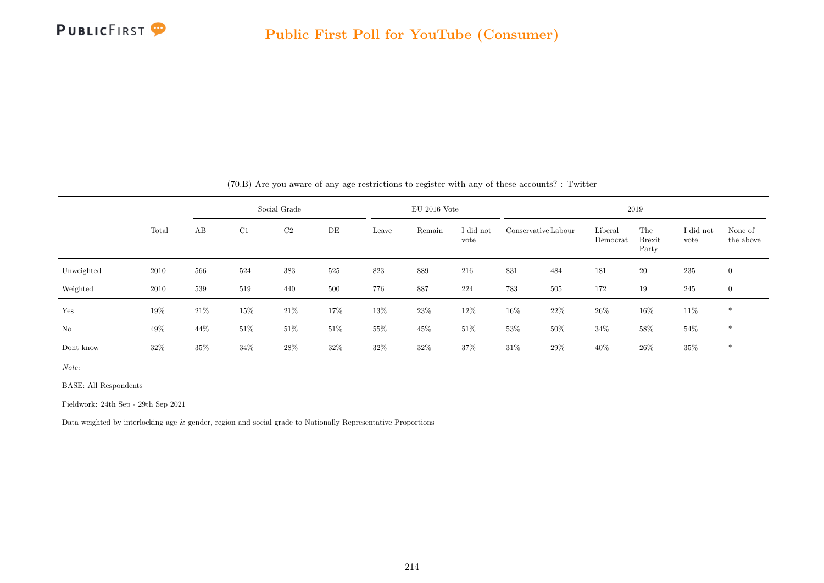

|            |        |      | Social Grade |                |        |        | $EU$ 2016 Vote |                   |                     | 2019   |                     |                               |                   |                      |  |  |
|------------|--------|------|--------------|----------------|--------|--------|----------------|-------------------|---------------------|--------|---------------------|-------------------------------|-------------------|----------------------|--|--|
|            | Total  | AB   | C1           | C <sub>2</sub> | DE     | Leave  | Remain         | I did not<br>vote | Conservative Labour |        | Liberal<br>Democrat | The<br><b>Brexit</b><br>Party | I did not<br>vote | None of<br>the above |  |  |
| Unweighted | 2010   | 566  | 524          | 383            | 525    | 823    | 889            | 216               | 831                 | 484    | 181                 | 20                            | 235               | $\overline{0}$       |  |  |
| Weighted   | 2010   | 539  | 519          | 440            | 500    | 776    | 887            | 224               | 783                 | 505    | 172                 | 19                            | 245               | $\overline{0}$       |  |  |
| Yes        | 19%    | 21\% | $15\%$       | $21\%$         | 17%    | 13%    | 23%            | 12\%              | $16\%$              | 22\%   | 26%                 | $16\%$                        | 11\%              | $\ast$               |  |  |
| No         | 49%    | 44%  | $51\%$       | 51%            | $51\%$ | 55%    | 45%            | $51\%$            | $53\%$              | $50\%$ | 34%                 | 58%                           | $54\%$            | $\ast$               |  |  |
| Dont know  | $32\%$ | 35%  | $34\%$       | 28%            | $32\%$ | $32\%$ | $32\%$         | 37%               | $31\%$              | 29\%   | 40\%                | $26\%$                        | 35%               | $\ast$               |  |  |

(70.B) Are you aware of any age restrictions to register with any of these accounts? : Twitter

Note:

BASE: All Respondents

Fieldwork: 24th Sep - 29th Sep 2021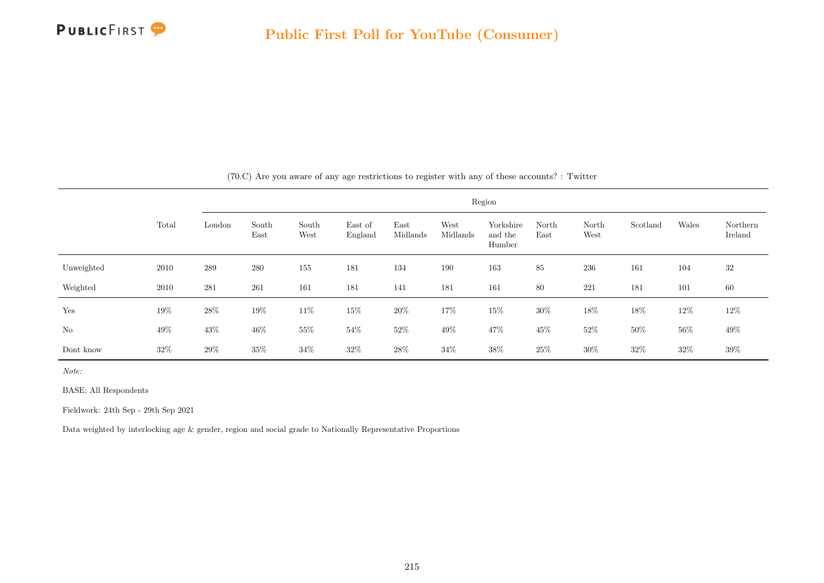

|            |       | Region |               |               |                    |                  |                  |                                |               |               |          |        |                     |
|------------|-------|--------|---------------|---------------|--------------------|------------------|------------------|--------------------------------|---------------|---------------|----------|--------|---------------------|
|            | Total | London | South<br>East | South<br>West | East of<br>England | East<br>Midlands | West<br>Midlands | Yorkshire<br>and the<br>Humber | North<br>East | North<br>West | Scotland | Wales  | Northern<br>Ireland |
| Unweighted | 2010  | 289    | 280           | 155           | 181                | 134              | 190              | 163                            | 85            | 236           | 161      | 104    | 32                  |
| Weighted   | 2010  | 281    | 261           | 161           | 181                | 141              | 181              | 161                            | 80            | 221           | 181      | 101    | 60                  |
| Yes        | 19%   | 28\%   | 19%           | 11\%          | 15%                | $20\%$           | 17%              | 15%                            | $30\%$        | 18%           | 18%      | 12\%   | 12\%                |
| No         | 49\%  | $43\%$ | 46%           | 55%           | 54%                | $52\%$           | $49\%$           | 47%                            | 45%           | $52\%$        | 50%      | $56\%$ | 49\%                |
| Dont know  | 32%   | 29%    | 35%           | $34\%$        | $32\%$             | $28\%$           | $34\%$           | $38\%$                         | $25\%$        | $30\%$        | 32%      | $32\%$ | 39%                 |

(70.C) Are you aware of any age restrictions to register with any of these accounts? : Twitter

Note:

BASE: All Respondents

Fieldwork: 24th Sep - 29th Sep 2021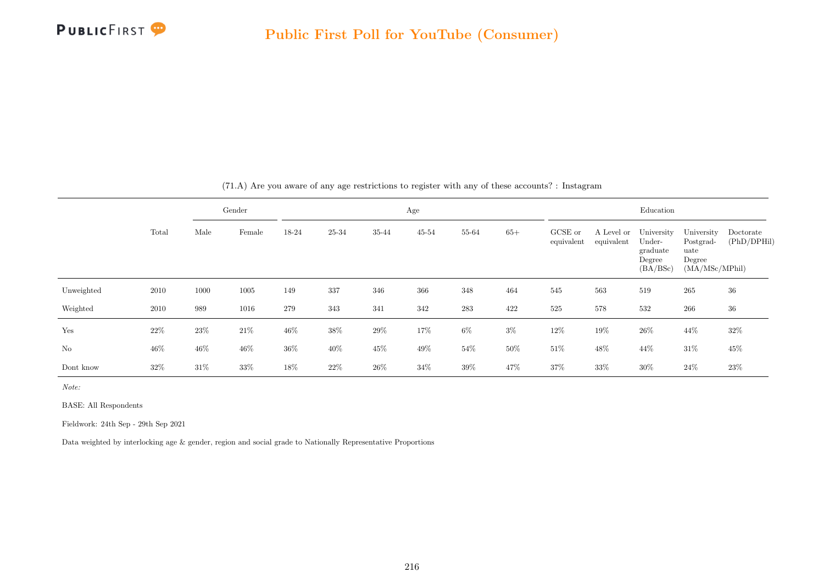

|            |        |        | Gender |        |        |        | Age    |        |        |                       |                          | Education                                              |                                                             |                          |
|------------|--------|--------|--------|--------|--------|--------|--------|--------|--------|-----------------------|--------------------------|--------------------------------------------------------|-------------------------------------------------------------|--------------------------|
|            | Total  | Male   | Female | 18-24  | 25-34  | 35-44  | 45-54  | 55-64  | $65+$  | GCSE or<br>equivalent | A Level or<br>equivalent | University<br>Under-<br>graduate<br>Degree<br>(BA/BSc) | University<br>Postgrad-<br>uate<br>Degree<br>(MA/MSc/MPhil) | Doctorate<br>(PhD/DPHil) |
| Unweighted | 2010   | 1000   | 1005   | 149    | 337    | 346    | 366    | 348    | 464    | 545                   | 563                      | 519                                                    | 265                                                         | 36                       |
| Weighted   | 2010   | 989    | 1016   | 279    | 343    | 341    | 342    | 283    | 422    | 525                   | 578                      | 532                                                    | 266                                                         | 36                       |
| Yes        | 22%    | $23\%$ | $21\%$ | 46%    | $38\%$ | $29\%$ | 17%    | $6\%$  | $3\%$  | $12\%$                | $19\%$                   | $26\%$                                                 | $44\%$                                                      | 32%                      |
| $\rm No$   | $46\%$ | $46\%$ | $46\%$ | $36\%$ | $40\%$ | 45\%   | 49%    | $54\%$ | $50\%$ | $51\%$                | $48\%$                   | 44\%                                                   | $31\%$                                                      | 45%                      |
| Dont know  | 32%    | 31\%   | 33%    | 18%    | 22%    | $26\%$ | $34\%$ | $39\%$ | 47%    | 37%                   | 33%                      | $30\%$                                                 | $24\%$                                                      | 23%                      |

(71.A) Are you aware of any age restrictions to register with any of these accounts? : Instagram

Note:

BASE: All Respondents

Fieldwork: 24th Sep - 29th Sep 2021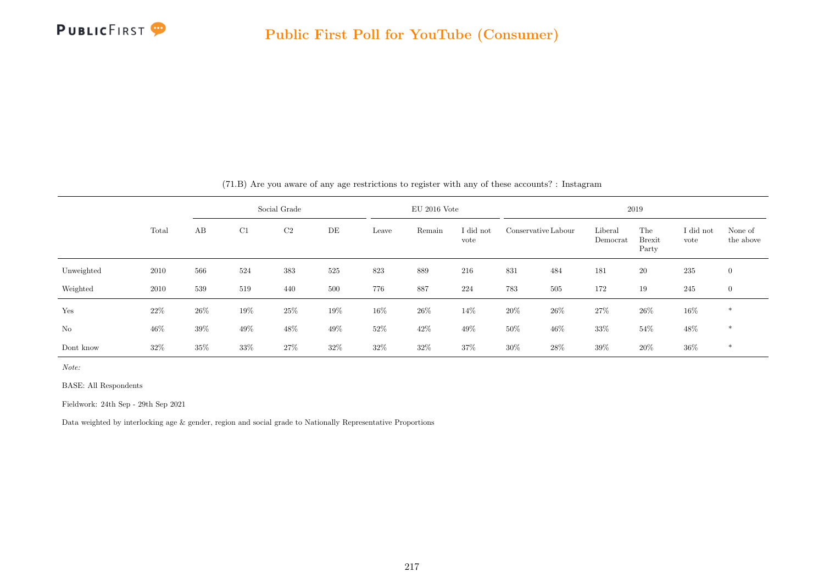

|            |        |        |     | Social Grade   |      |        | $EU$ 2016 Vote |                   |        |                     |                     | 2019                          |                   |                      |
|------------|--------|--------|-----|----------------|------|--------|----------------|-------------------|--------|---------------------|---------------------|-------------------------------|-------------------|----------------------|
|            | Total  | AB     | C1  | C <sub>2</sub> | DE   | Leave  | Remain         | I did not<br>vote |        | Conservative Labour | Liberal<br>Democrat | The<br><b>Brexit</b><br>Party | I did not<br>vote | None of<br>the above |
| Unweighted | 2010   | 566    | 524 | 383            | 525  | 823    | 889            | 216               | 831    | 484                 | 181                 | 20                            | 235               | $\overline{0}$       |
| Weighted   | 2010   | 539    | 519 | 440            | 500  | 776    | 887            | 224               | 783    | 505                 | 172                 | 19                            | 245               | $\overline{0}$       |
| Yes        | 22\%   | $26\%$ | 19% | 25%            | 19%  | $16\%$ | 26\%           | 14\%              | $20\%$ | $26\%$              | $27\%$              | $26\%$                        | 16\%              | $\ast$               |
| No         | 46%    | 39%    | 49% | 48%            | 49%  | $52\%$ | 42\%           | 49%               | $50\%$ | $46\%$              | 33%                 | 54%                           | 48%               | $\ast$               |
| Dont know  | $32\%$ | 35%    | 33% | 27%            | 32\% | $32\%$ | $32\%$         | 37%               | $30\%$ | 28\%                | 39%                 | 20%                           | $36\%$            | $\ast$               |

(71.B) Are you aware of any age restrictions to register with any of these accounts? : Instagram

Note:

BASE: All Respondents

Fieldwork: 24th Sep - 29th Sep 2021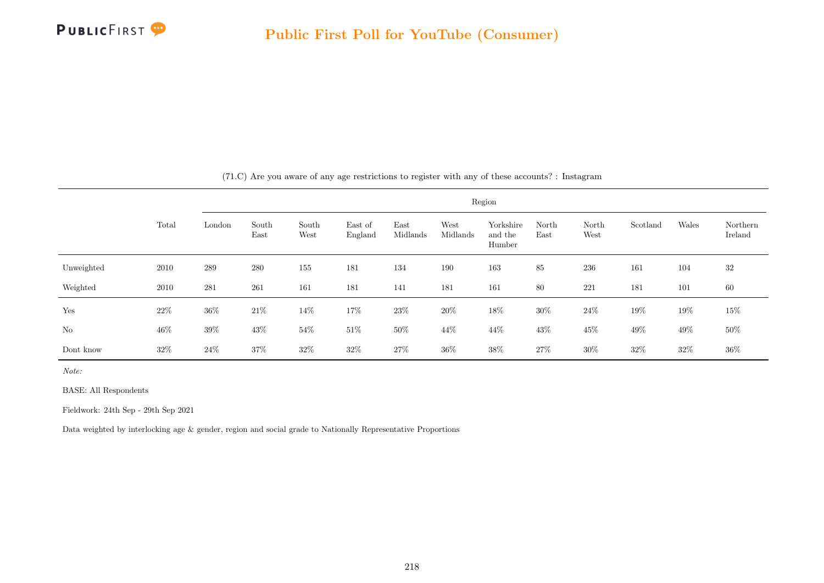

|            |        |        |               |               |                    |                  |                  | Region                         |               |               |          |        |                     |
|------------|--------|--------|---------------|---------------|--------------------|------------------|------------------|--------------------------------|---------------|---------------|----------|--------|---------------------|
|            | Total  | London | South<br>East | South<br>West | East of<br>England | East<br>Midlands | West<br>Midlands | Yorkshire<br>and the<br>Humber | North<br>East | North<br>West | Scotland | Wales  | Northern<br>Ireland |
| Unweighted | 2010   | 289    | 280           | 155           | 181                | 134              | 190              | 163                            | 85            | 236           | 161      | 104    | 32                  |
| Weighted   | 2010   | 281    | 261           | 161           | 181                | 141              | 181              | 161                            | 80            | 221           | 181      | 101    | 60                  |
| Yes        | $22\%$ | $36\%$ | $21\%$        | 14\%          | 17%                | 23\%             | 20%              | $18\%$                         | $30\%$        | $24\%$        | 19%      | 19%    | $15\%$              |
| No         | $46\%$ | $39\%$ | $43\%$        | $54\%$        | $51\%$             | $50\%$           | $44\%$           | $44\%$                         | 43%           | 45\%          | 49%      | 49%    | $50\%$              |
| Dont know  | 32%    | $24\%$ | 37%           | $32\%$        | $32\%$             | 27%              | 36%              | $38\%$                         | $27\%$        | $30\%$        | 32%      | $32\%$ | $36\%$              |

(71.C) Are you aware of any age restrictions to register with any of these accounts? : Instagram

Note:

BASE: All Respondents

Fieldwork: 24th Sep - 29th Sep 2021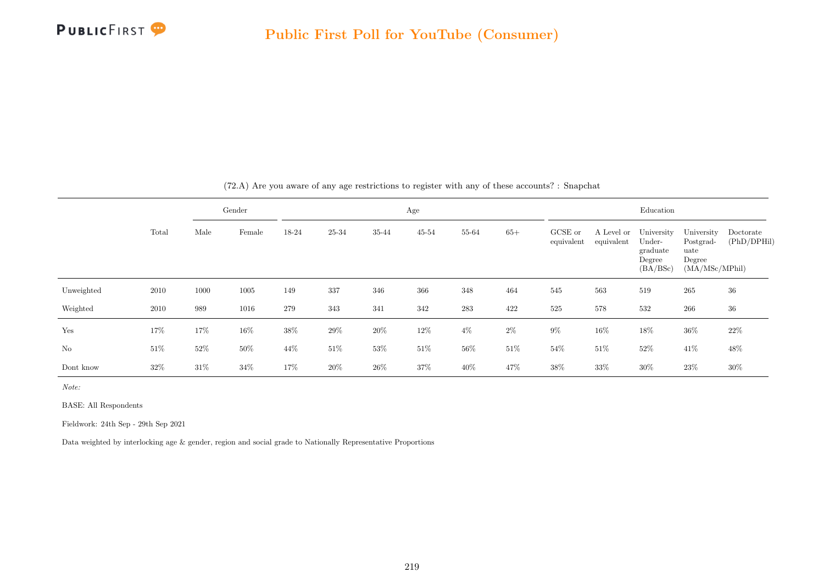

|            |        |        | Gender |        |        |        | Age       |           |        |                       |                          | Education                                              |                                                             |                          |
|------------|--------|--------|--------|--------|--------|--------|-----------|-----------|--------|-----------------------|--------------------------|--------------------------------------------------------|-------------------------------------------------------------|--------------------------|
|            | Total  | Male   | Female | 18-24  | 25-34  | 35-44  | $45 - 54$ | 55-64     | $65+$  | GCSE or<br>equivalent | A Level or<br>equivalent | University<br>Under-<br>graduate<br>Degree<br>(BA/BSc) | University<br>Postgrad-<br>uate<br>Degree<br>(MA/MSc/MPhil) | Doctorate<br>(PhD/DPHil) |
| Unweighted | 2010   | 1000   | 1005   | 149    | 337    | 346    | 366       | 348       | 464    | 545                   | 563                      | 519                                                    | 265                                                         | 36                       |
| Weighted   | 2010   | 989    | 1016   | 279    | 343    | 341    | 342       | $\bf 283$ | 422    | 525                   | 578                      | 532                                                    | 266                                                         | 36                       |
| Yes        | 17%    | 17%    | 16%    | $38\%$ | $29\%$ | $20\%$ | $12\%$    | $4\%$     | $2\%$  | $9\%$                 | $16\%$                   | 18%                                                    | $36\%$                                                      | $22\%$                   |
| No         | $51\%$ | $52\%$ | $50\%$ | 44\%   | $51\%$ | $53\%$ | $51\%$    | $56\%$    | $51\%$ | 54%                   | $51\%$                   | $52\%$                                                 | 41%                                                         | 48\%                     |
| Dont know  | 32\%   | $31\%$ | 34%    | 17%    | 20%    | 26%    | 37%       | 40\%      | 47%    | 38%                   | 33%                      | $30\%$                                                 | 23%                                                         | 30%                      |

(72.A) Are you aware of any age restrictions to register with any of these accounts? : Snapchat

Note:

BASE: All Respondents

Fieldwork: 24th Sep - 29th Sep 2021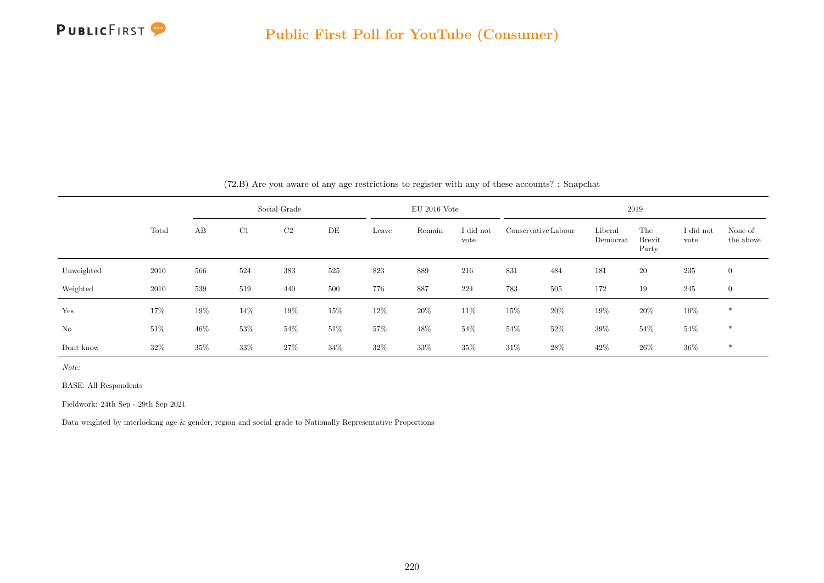

|            |       |        |        | Social Grade   |        |        | $EU$ 2016 Vote |                   |        |                     |                     | 2019                          |                   |                      |
|------------|-------|--------|--------|----------------|--------|--------|----------------|-------------------|--------|---------------------|---------------------|-------------------------------|-------------------|----------------------|
|            | Total | AB     | C1     | C <sub>2</sub> | DE     | Leave  | Remain         | I did not<br>vote |        | Conservative Labour | Liberal<br>Democrat | The<br><b>Brexit</b><br>Party | I did not<br>vote | None of<br>the above |
| Unweighted | 2010  | 566    | 524    | 383            | 525    | 823    | 889            | 216               | 831    | 484                 | 181                 | 20                            | 235               | $\mathbf{0}$         |
| Weighted   | 2010  | 539    | 519    | 440            | 500    | 776    | 887            | 224               | 783    | 505                 | 172                 | 19                            | 245               | $\mathbf{0}$         |
| Yes        | 17%   | 19%    | 14\%   | $19\%$         | 15%    | $12\%$ | $20\%$         | 11%               | $15\%$ | 20%                 | 19%                 | $20\%$                        | $10\%$            | $\ast$               |
| No         | 51\%  | $46\%$ | $53\%$ | $54\%$         | $51\%$ | 57%    | $48\%$         | $54\%$            | 54%    | 52%                 | 39%                 | $54\%$                        | $54\%$            | $*$                  |
| Dont know  | 32\%  | $35\%$ | $33\%$ | 27%            | 34\%   | 32%    | $33\%$         | 35%               | 31\%   | 28\%                | 42%                 | $26\%$                        | $36\%$            | $\ast$               |

(72.B) Are you aware of any age restrictions to register with any of these accounts? : Snapchat

Note:

BASE: All Respondents

Fieldwork: 24th Sep - 29th Sep 2021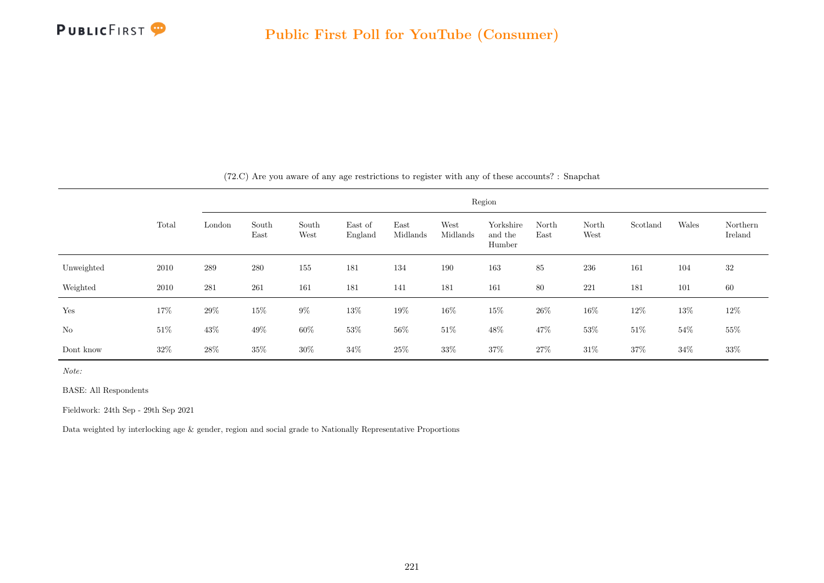

|            |        |        |               |               |                    |                  |                  | Region                         |               |               |          |        |                     |
|------------|--------|--------|---------------|---------------|--------------------|------------------|------------------|--------------------------------|---------------|---------------|----------|--------|---------------------|
|            | Total  | London | South<br>East | South<br>West | East of<br>England | East<br>Midlands | West<br>Midlands | Yorkshire<br>and the<br>Humber | North<br>East | North<br>West | Scotland | Wales  | Northern<br>Ireland |
| Unweighted | 2010   | 289    | 280           | 155           | 181                | 134              | 190              | 163                            | 85            | $\,236$       | 161      | 104    | 32                  |
| Weighted   | 2010   | 281    | 261           | 161           | 181                | 141              | 181              | 161                            | 80            | 221           | 181      | 101    | 60                  |
| Yes        | 17%    | $29\%$ | $15\%$        | $9\%$         | $13\%$             | $19\%$           | 16\%             | $15\%$                         | $26\%$        | $16\%$        | 12%      | $13\%$ | 12\%                |
| No         | $51\%$ | $43\%$ | $49\%$        | $60\%$        | $53\%$             | $56\%$           | $51\%$           | $48\%$                         | $47\%$        | $53\%$        | $51\%$   | 54\%   | $55\%$              |
| Dont know  | $32\%$ | 28\%   | 35%           | $30\%$        | $34\%$             | $25\%$           | $33\%$           | 37%                            | $27\%$        | $31\%$        | $37\%$   | $34\%$ | 33\%                |

(72.C) Are you aware of any age restrictions to register with any of these accounts? : Snapchat

Note:

BASE: All Respondents

Fieldwork: 24th Sep - 29th Sep 2021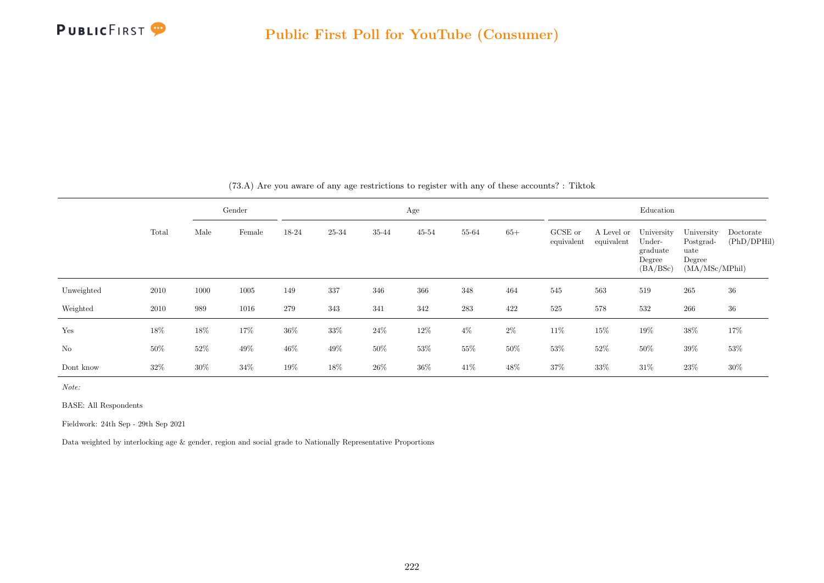

|                |        |        | Gender |        |        |        | Age       |        |        |                       |                          | Education                                              |                                                             |                          |
|----------------|--------|--------|--------|--------|--------|--------|-----------|--------|--------|-----------------------|--------------------------|--------------------------------------------------------|-------------------------------------------------------------|--------------------------|
|                | Total  | Male   | Female | 18-24  | 25-34  | 35-44  | $45 - 54$ | 55-64  | $65+$  | GCSE or<br>equivalent | A Level or<br>equivalent | University<br>Under-<br>graduate<br>Degree<br>(BA/BSc) | University<br>Postgrad-<br>uate<br>Degree<br>(MA/MSc/MPhil) | Doctorate<br>(PhD/DPHil) |
| Unweighted     | 2010   | 1000   | 1005   | 149    | 337    | 346    | 366       | 348    | 464    | 545                   | 563                      | 519                                                    | 265                                                         | 36                       |
| Weighted       | 2010   | 989    | 1016   | 279    | 343    | 341    | 342       | 283    | 422    | 525                   | 578                      | 532                                                    | 266                                                         | 36                       |
| Yes            | 18%    | 18%    | $17\%$ | 36%    | 33%    | $24\%$ | $12\%$    | $4\%$  | $2\%$  | $11\%$                | 15%                      | 19%                                                    | 38%                                                         | 17%                      |
| N <sub>o</sub> | $50\%$ | $52\%$ | $49\%$ | $46\%$ | $49\%$ | $50\%$ | $53\%$    | $55\%$ | $50\%$ | 53%                   | $52\%$                   | $50\%$                                                 | $39\%$                                                      | $53\%$                   |
| Dont know      | 32\%   | 30%    | 34%    | 19%    | 18%    | $26\%$ | 36%       | 41\%   | 48%    | 37%                   | 33%                      | 31%                                                    | $23\%$                                                      | 30%                      |

(73.A) Are you aware of any age restrictions to register with any of these accounts? : Tiktok

Note:

BASE: All Respondents

Fieldwork: 24th Sep - 29th Sep 2021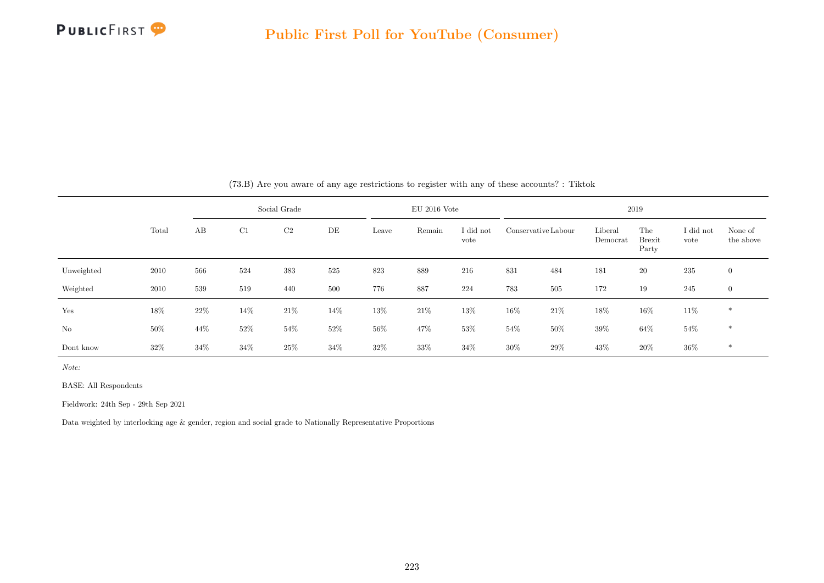

|            |       |        |        | Social Grade   |      |        | $EU$ 2016 Vote |                   |     |                     |                     | 2019                          |                   |                      |
|------------|-------|--------|--------|----------------|------|--------|----------------|-------------------|-----|---------------------|---------------------|-------------------------------|-------------------|----------------------|
|            | Total | AB     | C1     | C <sub>2</sub> | DE   | Leave  | Remain         | I did not<br>vote |     | Conservative Labour | Liberal<br>Democrat | The<br><b>Brexit</b><br>Party | I did not<br>vote | None of<br>the above |
| Unweighted | 2010  | 566    | 524    | 383            | 525  | 823    | 889            | 216               | 831 | 484                 | 181                 | 20                            | 235               | $\mathbf{0}$         |
| Weighted   | 2010  | 539    | 519    | 440            | 500  | 776    | 887            | 224               | 783 | 505                 | 172                 | 19                            | 245               | $\mathbf{0}$         |
| Yes        | 18%   | $22\%$ | 14\%   | $21\%$         | 14%  | $13\%$ | $21\%$         | $13\%$            | 16% | $21\%$              | 18%                 | $16\%$                        | 11\%              | $\ast$               |
| No         | 50%   | 44%    | $52\%$ | $54\%$         | 52%  | 56%    | 47\%           | 53%               | 54% | 50%                 | 39%                 | $64\%$                        | $54\%$            | $*$                  |
| Dont know  | 32\%  | $34\%$ | 34%    | 25\%           | 34\% | 32%    | $33\%$         | 34%               | 30% | 29%                 | 43%                 | 20%                           | $36\%$            | $\ast$               |

(73.B) Are you aware of any age restrictions to register with any of these accounts? : Tiktok

Note:

BASE: All Respondents

Fieldwork: 24th Sep - 29th Sep 2021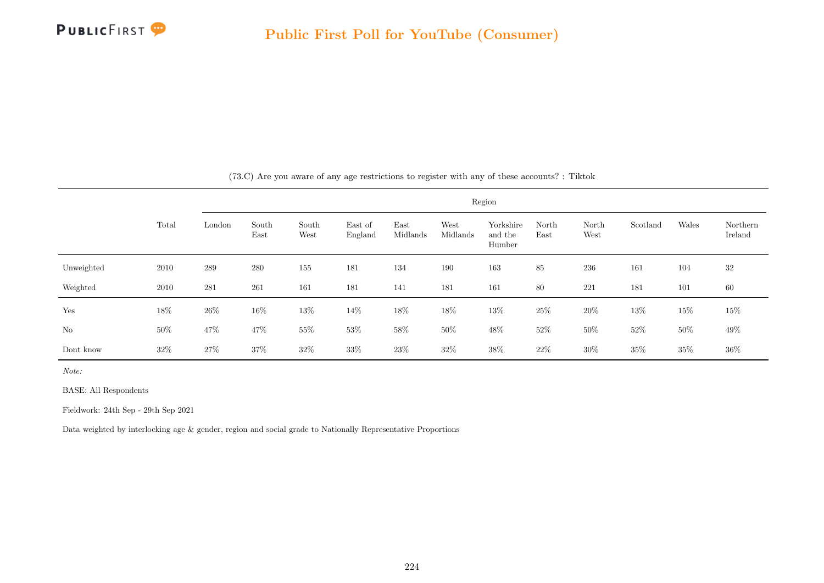

|            |        |        |               |               |                    |                  |                  | Region                         |               |               |          |        |                     |
|------------|--------|--------|---------------|---------------|--------------------|------------------|------------------|--------------------------------|---------------|---------------|----------|--------|---------------------|
|            | Total  | London | South<br>East | South<br>West | East of<br>England | East<br>Midlands | West<br>Midlands | Yorkshire<br>and the<br>Humber | North<br>East | North<br>West | Scotland | Wales  | Northern<br>Ireland |
| Unweighted | 2010   | 289    | 280           | 155           | 181                | 134              | 190              | 163                            | 85            | 236           | 161      | 104    | 32                  |
| Weighted   | 2010   | 281    | 261           | 161           | 181                | 141              | 181              | 161                            | 80            | 221           | 181      | 101    | 60                  |
| Yes        | 18%    | $26\%$ | 16\%          | 13%           | 14%                | 18%              | 18%              | $13\%$                         | $25\%$        | $20\%$        | 13%      | 15%    | $15\%$              |
| No         | $50\%$ | $47\%$ | 47%           | 55%           | 53%                | $58\%$           | $50\%$           | $48\%$                         | 52%           | $50\%$        | 52%      | 50%    | 49\%                |
| Dont know  | 32%    | 27\%   | 37%           | $32\%$        | 33%                | 23\%             | $32\%$           | $38\%$                         | 22%           | $30\%$        | 35%      | $35\%$ | $36\%$              |

(73.C) Are you aware of any age restrictions to register with any of these accounts? : Tiktok

Note:

BASE: All Respondents

Fieldwork: 24th Sep - 29th Sep 2021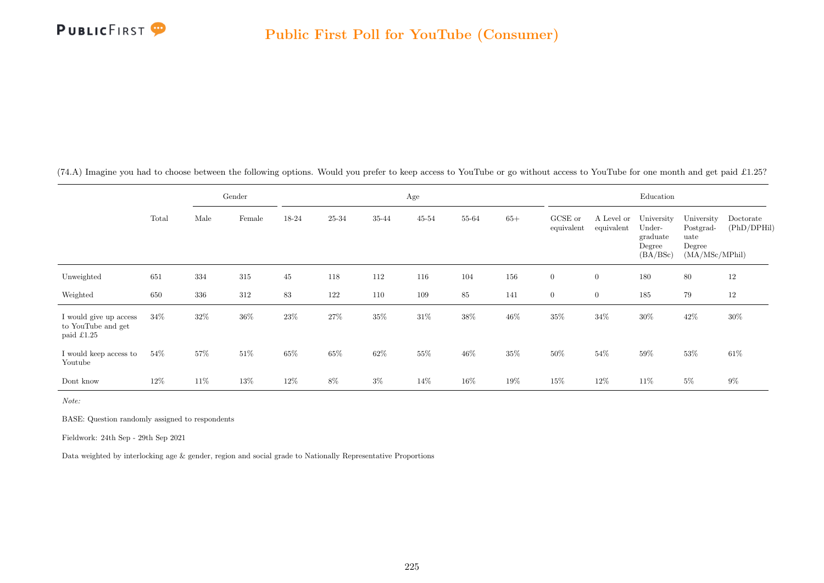

(74.A) Imagine you had to choose between the following options. Would you prefer to keep access to YouTube or go without access to YouTube for one month and get paid £1.25?

|                                                                    |        |      | Gender |        |       |        | Age       |        |        |                       |                          | Education                                              |                                                             |                          |
|--------------------------------------------------------------------|--------|------|--------|--------|-------|--------|-----------|--------|--------|-----------------------|--------------------------|--------------------------------------------------------|-------------------------------------------------------------|--------------------------|
|                                                                    | Total  | Male | Female | 18-24  | 25-34 | 35-44  | $45 - 54$ | 55-64  | $65+$  | GCSE or<br>equivalent | A Level or<br>equivalent | University<br>Under-<br>graduate<br>Degree<br>(BA/BSc) | University<br>Postgrad-<br>uate<br>Degree<br>(MA/MSc/MPhil) | Doctorate<br>(PhD/DPHil) |
| Unweighted                                                         | 651    | 334  | 315    | 45     | 118   | 112    | 116       | 104    | 156    | $\overline{0}$        | $\overline{0}$           | 180                                                    | 80                                                          | 12                       |
| Weighted                                                           | 650    | 336  | 312    | 83     | 122   | 110    | 109       | 85     | 141    | $\overline{0}$        | $\overline{0}$           | 185                                                    | 79                                                          | 12                       |
| I would give up access<br>to YouTube and get<br>paid $\pounds1.25$ | $34\%$ | 32\% | 36%    | $23\%$ | 27\%  | $35\%$ | $31\%$    | $38\%$ | $46\%$ | $35\%$                | $34\%$                   | $30\%$                                                 | $42\%$                                                      | 30%                      |
| I would keep access to<br>Youtube                                  | $54\%$ | 57%  | 51\%   | $65\%$ | 65%   | $62\%$ | 55%       | 46\%   | 35%    | $50\%$                | $54\%$                   | $59\%$                                                 | 53%                                                         | $61\%$                   |
| Dont know                                                          | $12\%$ | 11\% | $13\%$ | 12\%   | $8\%$ | $3\%$  | 14\%      | 16%    | 19%    | 15%                   | 12%                      | 11\%                                                   | $5\%$                                                       | $9\%$                    |

Note:

BASE: Question randomly assigned to respondents

Fieldwork: 24th Sep - 29th Sep 2021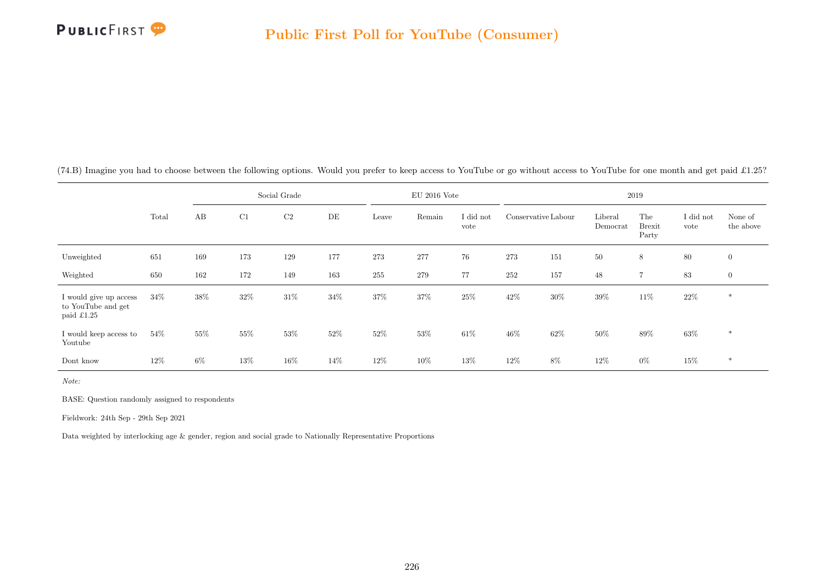

|                                                            |       |       |     | Social Grade   |     |       | $EU$ 2016 Vote |                   |                     |     |                     | 2019                          |                   |                      |
|------------------------------------------------------------|-------|-------|-----|----------------|-----|-------|----------------|-------------------|---------------------|-----|---------------------|-------------------------------|-------------------|----------------------|
|                                                            | Total | AB    | C1  | C <sub>2</sub> | DE  | Leave | Remain         | I did not<br>vote | Conservative Labour |     | Liberal<br>Democrat | The<br><b>Brexit</b><br>Party | I did not<br>vote | None of<br>the above |
| Unweighted                                                 | 651   | 169   | 173 | 129            | 177 | 273   | 277            | 76                | 273                 | 151 | 50                  | 8                             | 80                | $\mathbf{0}$         |
| Weighted                                                   | 650   | 162   | 172 | 149            | 163 | 255   | 279            | 77                | 252                 | 157 | 48                  | $\overline{7}$                | 83                | $\mathbf{0}$         |
| I would give up access<br>to YouTube and get<br>paid £1.25 | 34\%  | 38%   | 32% | 31\%           | 34% | 37%   | 37%            | 25%               | 42\%                | 30% | 39%                 | $11\%$                        | 22\%              | $\ast$               |
| I would keep access to<br>Youtube                          | 54%   | 55%   | 55% | 53%            | 52% | 52%   | $53\%$         | 61\%              | $46\%$              | 62% | 50%                 | 89%                           | 63%               | $\ast$               |
| Dont know                                                  | 12%   | $6\%$ | 13% | $16\%$         | 14% | 12%   | 10%            | 13%               | 12%                 | 8%  | 12%                 | $0\%$                         | 15%               | $\ast$               |

 $(74.B)$  Imagine you had to choose between the following options. Would you prefer to keep access to YouTube or go without access to YouTube for one month and get paid £1.25?

Note:

BASE: Question randomly assigned to respondents

Fieldwork: 24th Sep - 29th Sep 2021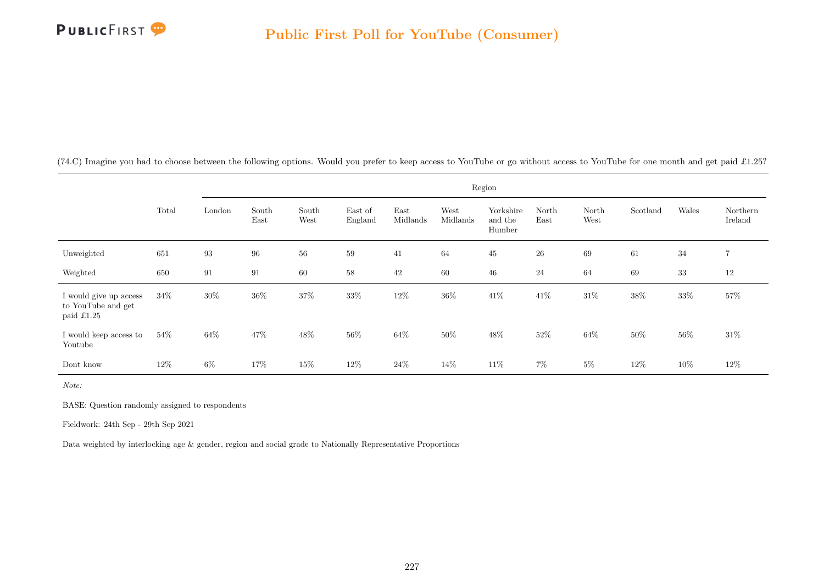

 $(74.C)$  Imagine you had to choose between the following options. Would you prefer to keep access to YouTube or go without access to YouTube for one month and get paid £1.25?

|                                                            |       |        |               |               |                    |                  |                  | Region                         |               |               |          |        |                     |
|------------------------------------------------------------|-------|--------|---------------|---------------|--------------------|------------------|------------------|--------------------------------|---------------|---------------|----------|--------|---------------------|
|                                                            | Total | London | South<br>East | South<br>West | East of<br>England | East<br>Midlands | West<br>Midlands | Yorkshire<br>and the<br>Humber | North<br>East | North<br>West | Scotland | Wales  | Northern<br>Ireland |
| Unweighted                                                 | 651   | 93     | 96            | $56\,$        | 59                 | 41               | 64               | $45\,$                         | $26\,$        | 69            | 61       | 34     | $\overline{7}$      |
| Weighted                                                   | 650   | 91     | 91            | 60            | 58                 | 42               | 60               | 46                             | $24\,$        | 64            | 69       | $33\,$ | 12                  |
| I would give up access<br>to YouTube and get<br>paid £1.25 | 34%   | $30\%$ | 36%           | $37\%$        | 33%                | $12\%$           | $36\%$           | $41\%$                         | 41\%          | $31\%$        | $38\%$   | $33\%$ | 57%                 |
| I would keep access to<br>Youtube                          | 54\%  | 64%    | 47%           | $48\%$        | 56%                | $64\%$           | 50%              | $48\%$                         | 52\%          | $64\%$        | $50\%$   | $56\%$ | $31\%$              |
| Dont know                                                  | 12\%  | $6\%$  | 17%           | 15%           | 12\%               | $24\%$           | 14%              | 11\%                           | $7\%$         | $5\%$         | $12\%$   | $10\%$ | $12\%$              |

Note:

BASE: Question randomly assigned to respondents

Fieldwork: 24th Sep - 29th Sep 2021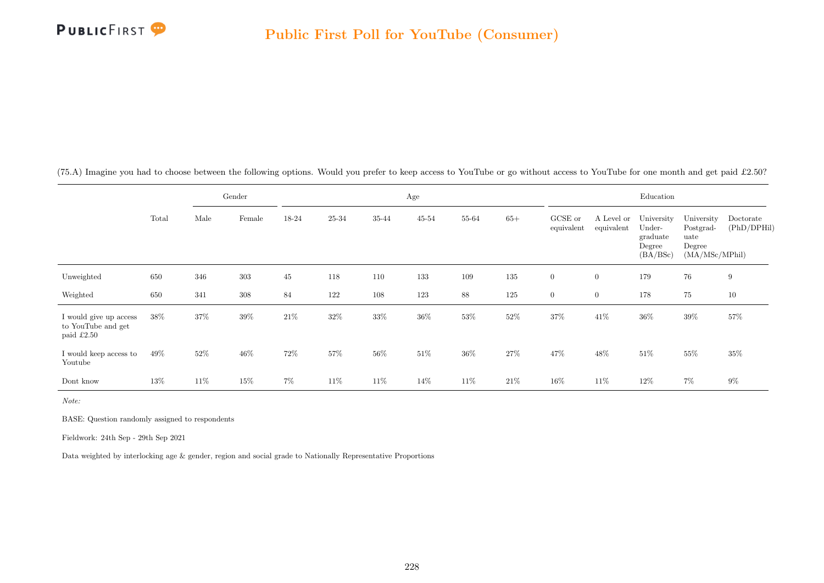

(75.A) Imagine you had to choose between the following options. Would you prefer to keep access to YouTube or go without access to YouTube for one month and get paid £2.50?

|                                                            |        |      | Gender  |        |       |        | Age       |        |        |                       |                          | Education                                              |                                                             |                          |
|------------------------------------------------------------|--------|------|---------|--------|-------|--------|-----------|--------|--------|-----------------------|--------------------------|--------------------------------------------------------|-------------------------------------------------------------|--------------------------|
|                                                            | Total  | Male | Female  | 18-24  | 25-34 | 35-44  | $45 - 54$ | 55-64  | $65+$  | GCSE or<br>equivalent | A Level or<br>equivalent | University<br>Under-<br>graduate<br>Degree<br>(BA/BSc) | University<br>Postgrad-<br>uate<br>Degree<br>(MA/MSc/MPhil) | Doctorate<br>(PhD/DPHil) |
| Unweighted                                                 | 650    | 346  | 303     | 45     | 118   | 110    | 133       | 109    | 135    | $\overline{0}$        | $\overline{0}$           | 179                                                    | 76                                                          | 9                        |
| Weighted                                                   | 650    | 341  | $308\,$ | 84     | 122   | 108    | 123       | 88     | 125    | $\overline{0}$        | $\overline{0}$           | 178                                                    | $75\,$                                                      | $10\,$                   |
| I would give up access<br>to YouTube and get<br>paid £2.50 | $38\%$ | 37%  | 39%     | $21\%$ | 32%   | $33\%$ | $36\%$    | 53%    | $52\%$ | $37\%$                | $41\%$                   | $36\%$                                                 | $39\%$                                                      | $57\%$                   |
| I would keep access to<br>Youtube                          | 49%    | 52%  | $46\%$  | 72\%   | 57%   | 56%    | $51\%$    | $36\%$ | 27%    | 47\%                  | 48%                      | $51\%$                                                 | $55\%$                                                      | $35\%$                   |
| Dont know                                                  | 13%    | 11\% | $15\%$  | $7\%$  | 11\%  | 11\%   | 14\%      | 11\%   | $21\%$ | 16%                   | 11\%                     | 12%                                                    | 7%                                                          | $9\%$                    |

Note:

BASE: Question randomly assigned to respondents

Fieldwork: 24th Sep - 29th Sep 2021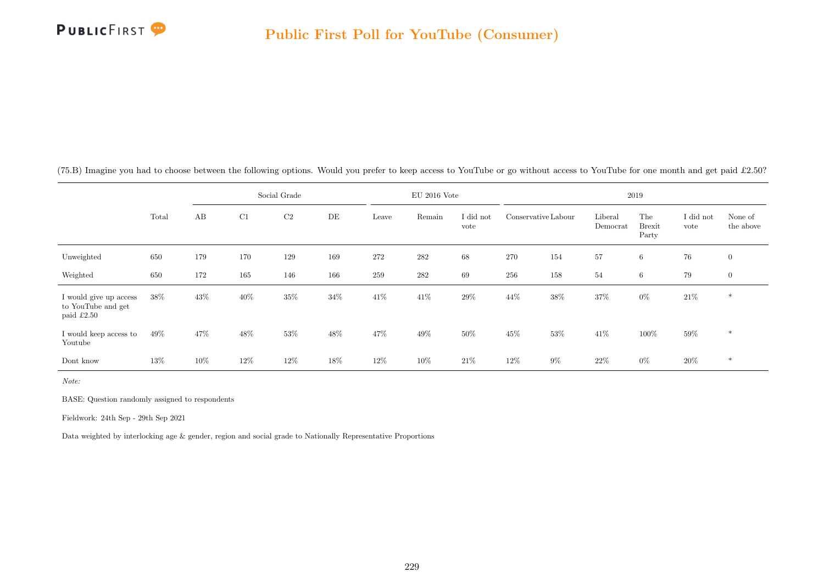

|                                                            |        |     |     | Social Grade   |     |       | $EU$ 2016 Vote |                   |                     |        |                     | 2019                          |                   |                      |
|------------------------------------------------------------|--------|-----|-----|----------------|-----|-------|----------------|-------------------|---------------------|--------|---------------------|-------------------------------|-------------------|----------------------|
|                                                            | Total  | AB  | C1  | C <sub>2</sub> | DE  | Leave | Remain         | I did not<br>vote | Conservative Labour |        | Liberal<br>Democrat | The<br><b>Brexit</b><br>Party | I did not<br>vote | None of<br>the above |
| Unweighted                                                 | 650    | 179 | 170 | 129            | 169 | 272   | 282            | 68                | 270                 | 154    | 57                  | $6\overline{6}$               | 76                | $\overline{0}$       |
| Weighted                                                   | 650    | 172 | 165 | 146            | 166 | 259   | 282            | 69                | 256                 | 158    | 54                  | 6                             | 79                | $\overline{0}$       |
| I would give up access<br>to YouTube and get<br>paid £2.50 | 38%    | 43% | 40% | $35\%$         | 34% | 41%   | 41\%           | 29%               | 44\%                | $38\%$ | 37%                 | $0\%$                         | $21\%$            | $\ast$               |
| I would keep access to<br>Youtube                          | $49\%$ | 47% | 48% | 53%            | 48% | 47%   | 49\%           | 50%               | $45\%$              | 53%    | 41\%                | 100%                          | $59\%$            | $\ast$               |
| Dont know                                                  | 13%    | 10% | 12% | 12\%           | 18% | 12%   | 10%            | $21\%$            | 12\%                | $9\%$  | 22%                 | $0\%$                         | $20\%$            | $\ast$               |

(75.B) Imagine you had to choose between the following options. Would you prefer to keep access to YouTube or go without access to YouTube for one month and get paid £2.50?

Note:

BASE: Question randomly assigned to respondents

Fieldwork: 24th Sep - 29th Sep 2021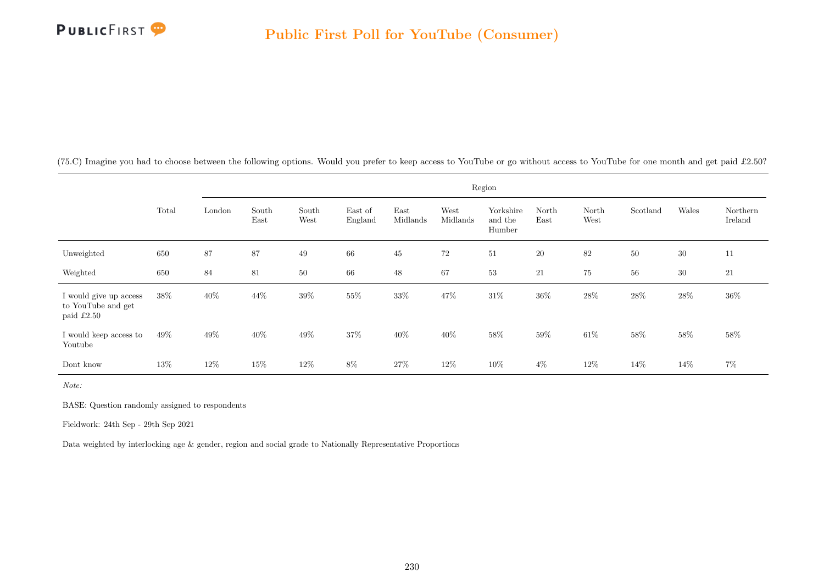

(75.C) Imagine you had to choose between the following options. Would you prefer to keep access to YouTube or go without access to YouTube for one month and get paid £2.50?

|                                                            |       |        |               |               |                    |                  |                  | Region                         |               |               |          |        |                     |
|------------------------------------------------------------|-------|--------|---------------|---------------|--------------------|------------------|------------------|--------------------------------|---------------|---------------|----------|--------|---------------------|
|                                                            | Total | London | South<br>East | South<br>West | East of<br>England | East<br>Midlands | West<br>Midlands | Yorkshire<br>and the<br>Humber | North<br>East | North<br>West | Scotland | Wales  | Northern<br>Ireland |
| Unweighted                                                 | 650   | 87     | 87            | 49            | 66                 | 45               | $72\,$           | $51\,$                         | <b>20</b>     | 82            | $50\,$   | $30\,$ | 11                  |
| Weighted                                                   | 650   | 84     | 81            | 50            | 66                 | $48\,$           | 67               | $53\,$                         | 21            | 75            | 56       | $30\,$ | 21                  |
| I would give up access<br>to YouTube and get<br>paid £2.50 | 38%   | $40\%$ | 44%           | $39\%$        | $55\%$             | $33\%$           | 47%              | $31\%$                         | $36\%$        | $28\%$        | $28\%$   | $28\%$ | $36\%$              |
| I would keep access to<br>Youtube                          | 49%   | 49%    | 40%           | 49%           | 37%                | 40%              | 40%              | $58\%$                         | 59%           | $61\%$        | 58%      | $58\%$ | $58\%$              |
| Dont know                                                  | 13%   | 12%    | 15%           | $12\%$        | $8\%$              | 27%              | $12\%$           | $10\%$                         | $4\%$         | $12\%$        | 14\%     | $14\%$ | $7\%$               |

Note:

BASE: Question randomly assigned to respondents

Fieldwork: 24th Sep - 29th Sep 2021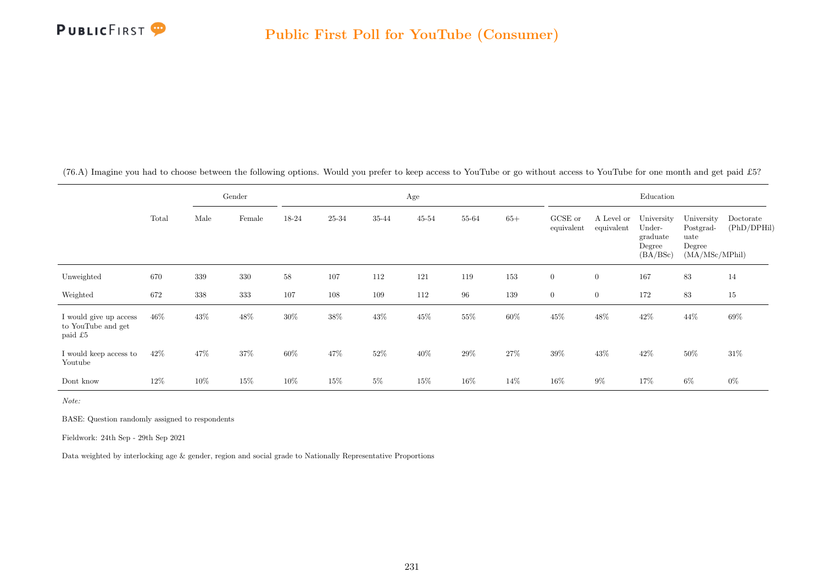

(76.A) Imagine you had to choose between the following options. Would you prefer to keep access to YouTube or go without access to YouTube for one month and get paid £5?

|                                                         |       |      | Gender |        |           |        | Age       |        |        |                       |                          | Education                                              |                                                             |                          |
|---------------------------------------------------------|-------|------|--------|--------|-----------|--------|-----------|--------|--------|-----------------------|--------------------------|--------------------------------------------------------|-------------------------------------------------------------|--------------------------|
|                                                         | Total | Male | Female | 18-24  | $25 - 34$ | 35-44  | $45 - 54$ | 55-64  | $65+$  | GCSE or<br>equivalent | A Level or<br>equivalent | University<br>Under-<br>graduate<br>Degree<br>(BA/BSc) | University<br>Postgrad-<br>uate<br>Degree<br>(MA/MSc/MPhil) | Doctorate<br>(PhD/DPHil) |
| Unweighted                                              | 670   | 339  | 330    | $58\,$ | 107       | 112    | 121       | 119    | 153    | $\boldsymbol{0}$      | $\boldsymbol{0}$         | 167                                                    | 83                                                          | 14                       |
| Weighted                                                | 672   | 338  | 333    | 107    | 108       | 109    | 112       | $96\,$ | 139    | $\overline{0}$        | $\overline{0}$           | 172                                                    | 83                                                          | 15                       |
| I would give up access<br>to YouTube and get<br>paid £5 | 46\%  | 43\% | $48\%$ | $30\%$ | $38\%$    | $43\%$ | $45\%$    | 55%    | $60\%$ | 45\%                  | 48%                      | $42\%$                                                 | 44\%                                                        | 69%                      |
| I would keep access to<br>Youtube                       | 42\%  | 47%  | 37%    | 60%    | 47%       | $52\%$ | 40%       | $29\%$ | $27\%$ | $39\%$                | 43\%                     | $42\%$                                                 | $50\%$                                                      | $31\%$                   |
| Dont know                                               | 12%   | 10%  | 15%    | 10%    | 15%       | $5\%$  | 15%       | 16%    | $14\%$ | 16%                   | $9\%$                    | 17%                                                    | $6\%$                                                       | $0\%$                    |

Note:

BASE: Question randomly assigned to respondents

Fieldwork: 24th Sep - 29th Sep 2021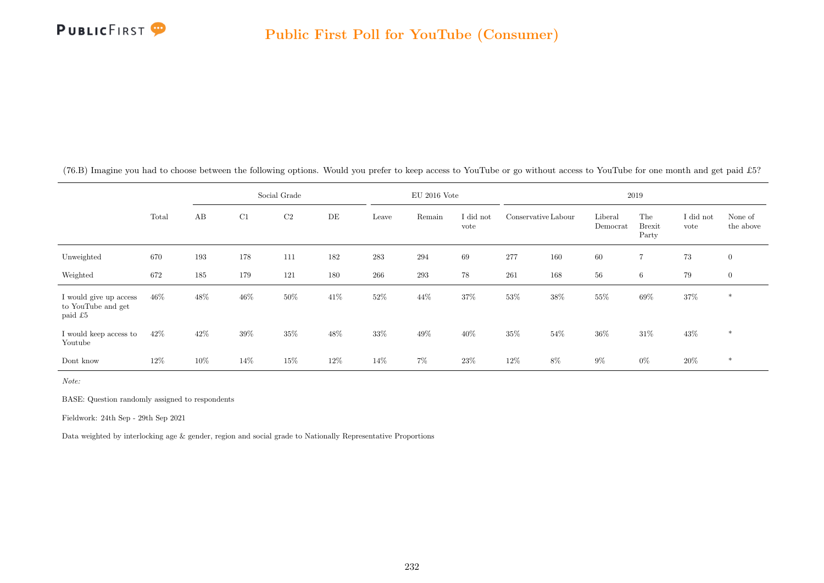

|                                                         |       |      |     | Social Grade   |      |        | $EU$ 2016 Vote |                   |                     |        |                     | 2019                          |                   |                      |
|---------------------------------------------------------|-------|------|-----|----------------|------|--------|----------------|-------------------|---------------------|--------|---------------------|-------------------------------|-------------------|----------------------|
|                                                         | Total | AB   | C1  | C <sub>2</sub> | DE   | Leave  | Remain         | I did not<br>vote | Conservative Labour |        | Liberal<br>Democrat | The<br><b>Brexit</b><br>Party | I did not<br>vote | None of<br>the above |
| Unweighted                                              | 670   | 193  | 178 | 111            | 182  | 283    | 294            | 69                | 277                 | 160    | 60                  | $\overline{7}$                | 73                | $\overline{0}$       |
| Weighted                                                | 672   | 185  | 179 | 121            | 180  | 266    | 293            | 78                | 261                 | 168    | 56                  | 6                             | 79                | $\overline{0}$       |
| I would give up access<br>to YouTube and get<br>paid £5 | 46\%  | 48%  | 46% | $50\%$         | 41\% | $52\%$ | 44%            | 37%               | $53\%$              | 38%    | 55%                 | $69\%$                        | $37\%$            | $\ast$               |
| I would keep access to<br>Youtube                       | 42\%  | 42\% | 39% | $35\%$         | 48%  | $33\%$ | 49%            | 40%               | $35\%$              | $54\%$ | 36%                 | $31\%$                        | $43\%$            | $\ast$               |
| Dont know                                               | 12%   | 10%  | 14% | $15\%$         | 12%  | 14%    | 7%             | 23\%              | 12%                 | 8%     | 9%                  | $0\%$                         | $20\%$            | $\ast$               |

(76.B) Imagine you had to choose between the following options. Would you prefer to keep access to YouTube or go without access to YouTube for one month and get paid £5?

Note:

BASE: Question randomly assigned to respondents

Fieldwork: 24th Sep - 29th Sep 2021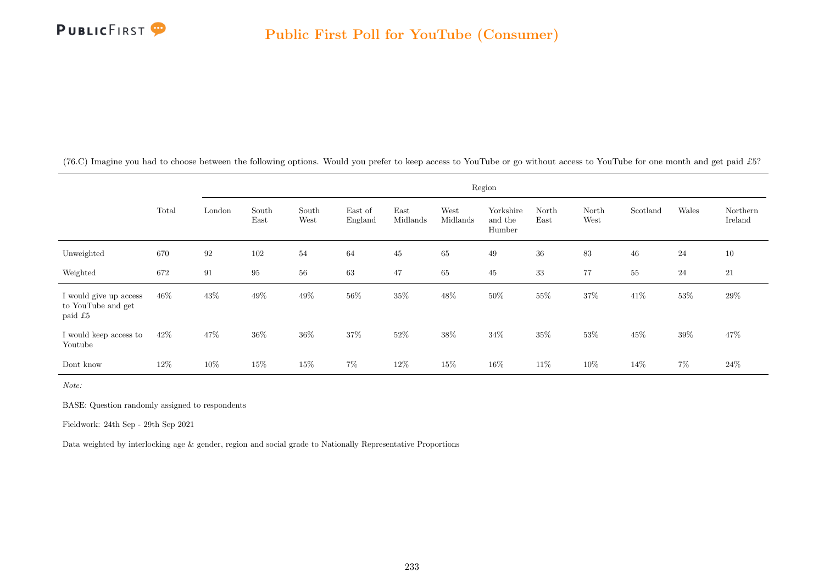

(76.C) Imagine you had to choose between the following options. Would you prefer to keep access to YouTube or go without access to YouTube for one month and get paid £5?

|                                                         |       |        |               |               |                    |                  |                  | Region                         |               |               |          |        |                     |
|---------------------------------------------------------|-------|--------|---------------|---------------|--------------------|------------------|------------------|--------------------------------|---------------|---------------|----------|--------|---------------------|
|                                                         | Total | London | South<br>East | South<br>West | East of<br>England | East<br>Midlands | West<br>Midlands | Yorkshire<br>and the<br>Humber | North<br>East | North<br>West | Scotland | Wales  | Northern<br>Ireland |
| Unweighted                                              | 670   | 92     | 102           | 54            | 64                 | 45               | 65               | 49                             | $36\,$        | 83            | $46\,$   | 24     | 10                  |
| Weighted                                                | 672   | 91     | 95            | 56            | 63                 | 47               | 65               | 45                             | 33            | 77            | 55       | 24     | 21                  |
| I would give up access<br>to YouTube and get<br>paid £5 | 46%   | $43\%$ | 49%           | $49\%$        | 56%                | $35\%$           | 48\%             | 50%                            | 55%           | $37\%$        | 41\%     | $53\%$ | 29%                 |
| I would keep access to<br>Youtube                       | 42\%  | 47%    | 36\%          | 36%           | 37%                | 52%              | 38%              | $34\%$                         | 35%           | 53%           | 45%      | $39\%$ | 47%                 |
| Dont know                                               | 12%   | 10%    | 15%           | $15\%$        | $7\%$              | 12%              | 15%              | $16\%$                         | 11\%          | $10\%$        | 14%      | $7\%$  | $24\%$              |

Note:

BASE: Question randomly assigned to respondents

Fieldwork: 24th Sep - 29th Sep 2021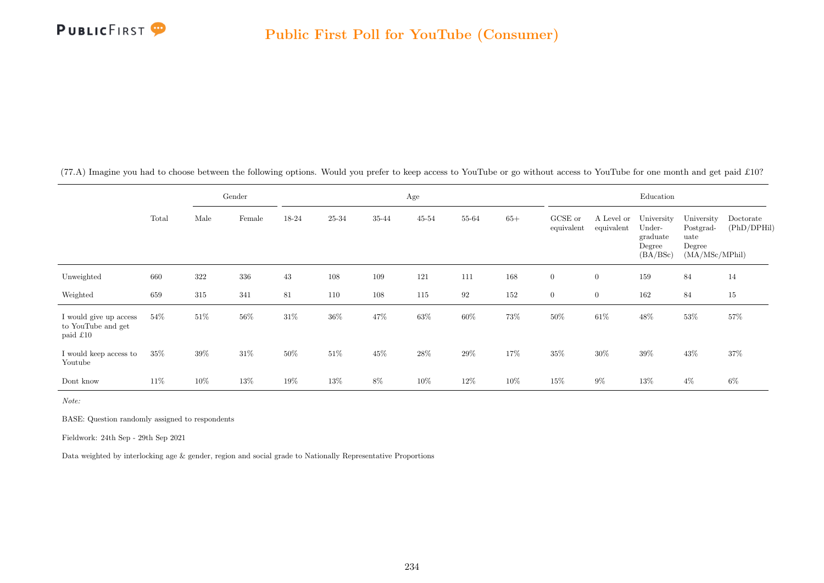

(77.A) Imagine you had to choose between the following options. Would you prefer to keep access to YouTube or go without access to YouTube for one month and get paid £10?

|                                                          |       |      | Gender |        |        |        | Age       |                   |        |                       |                          | Education                                              |                                                             |                          |
|----------------------------------------------------------|-------|------|--------|--------|--------|--------|-----------|-------------------|--------|-----------------------|--------------------------|--------------------------------------------------------|-------------------------------------------------------------|--------------------------|
|                                                          | Total | Male | Female | 18-24  | 25-34  | 35-44  | $45 - 54$ | 55-64             | $65+$  | GCSE or<br>equivalent | A Level or<br>equivalent | University<br>Under-<br>graduate<br>Degree<br>(BA/BSc) | University<br>Postgrad-<br>uate<br>Degree<br>(MA/MSc/MPhil) | Doctorate<br>(PhD/DPHil) |
| Unweighted                                               | 660   | 322  | 336    | 43     | 108    | 109    | 121       | 111               | 168    | $\overline{0}$        | $\overline{0}$           | 159                                                    | 84                                                          | 14                       |
| Weighted                                                 | 659   | 315  | 341    | 81     | 110    | 108    | 115       | $\boldsymbol{92}$ | 152    | $\overline{0}$        | $\overline{0}$           | 162                                                    | 84                                                          | 15                       |
| I would give up access<br>to YouTube and get<br>paid £10 | 54%   | 51\% | $56\%$ | $31\%$ | $36\%$ | 47%    | $63\%$    | $60\%$            | 73%    | $50\%$                | $61\%$                   | $48\%$                                                 | $53\%$                                                      | $57\%$                   |
| I would keep access to<br>Youtube                        | 35%   | 39%  | $31\%$ | $50\%$ | $51\%$ | $45\%$ | $28\%$    | $29\%$            | 17%    | $35\%$                | $30\%$                   | $39\%$                                                 | $43\%$                                                      | 37%                      |
| Dont know                                                | 11%   | 10%  | 13%    | 19%    | $13\%$ | 8%     | 10%       | 12%               | $10\%$ | 15%                   | $9\%$                    | 13%                                                    | $4\%$                                                       | $6\%$                    |

Note:

BASE: Question randomly assigned to respondents

Fieldwork: 24th Sep - 29th Sep 2021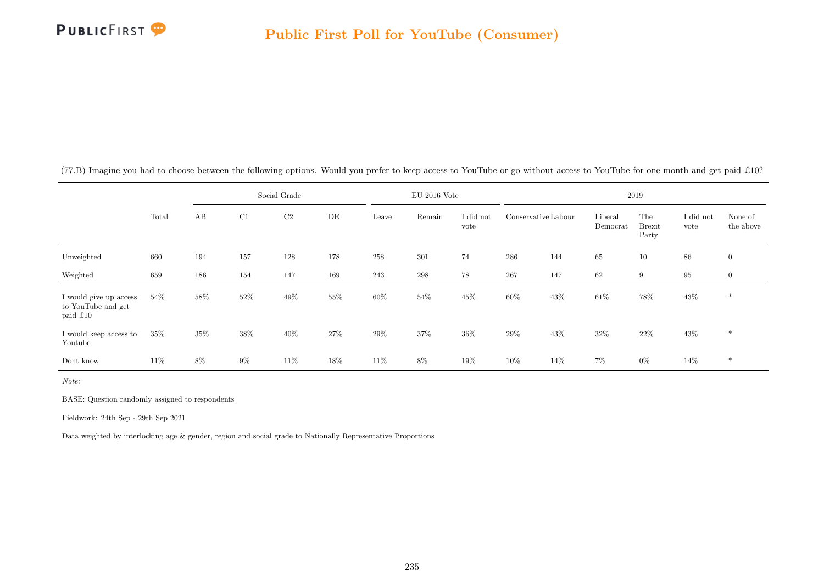

|                                                          |       |     | Social Grade |                |     |        | $EU$ 2016 Vote |                   |                     |      |                     | 2019                          |                   |                      |
|----------------------------------------------------------|-------|-----|--------------|----------------|-----|--------|----------------|-------------------|---------------------|------|---------------------|-------------------------------|-------------------|----------------------|
|                                                          | Total | AB  | C1           | C <sub>2</sub> | DE  | Leave  | Remain         | I did not<br>vote | Conservative Labour |      | Liberal<br>Democrat | The<br><b>Brexit</b><br>Party | I did not<br>vote | None of<br>the above |
| Unweighted                                               | 660   | 194 | 157          | 128            | 178 | 258    | 301            | 74                | 286                 | 144  | 65                  | 10                            | 86                | $\overline{0}$       |
| Weighted                                                 | 659   | 186 | 154          | 147            | 169 | 243    | $\,298$        | 78                | 267                 | 147  | 62                  | 9                             | 95                | $\overline{0}$       |
| I would give up access<br>to YouTube and get<br>paid £10 | 54%   | 58% | $52\%$       | 49%            | 55% | $60\%$ | $54\%$         | $45\%$            | $60\%$              | 43\% | $61\%$              | $78\%$                        | $43\%$            | $\ast$               |
| I would keep access to<br>Youtube                        | 35%   | 35% | $38\%$       | $40\%$         | 27% | $29\%$ | 37%            | 36%               | $29\%$              | 43\% | 32\%                | 22%                           | $43\%$            | $*$                  |
| Dont know                                                | 11\%  | 8%  | $9\%$        | 11\%           | 18% | 11\%   | $8\%$          | 19%               | $10\%$              | 14\% | 7%                  | $0\%$                         | 14\%              | $\ast$               |

(77.B) Imagine you had to choose between the following options. Would you prefer to keep access to YouTube or go without access to YouTube for one month and get paid £10?

Note:

BASE: Question randomly assigned to respondents

Fieldwork: 24th Sep - 29th Sep 2021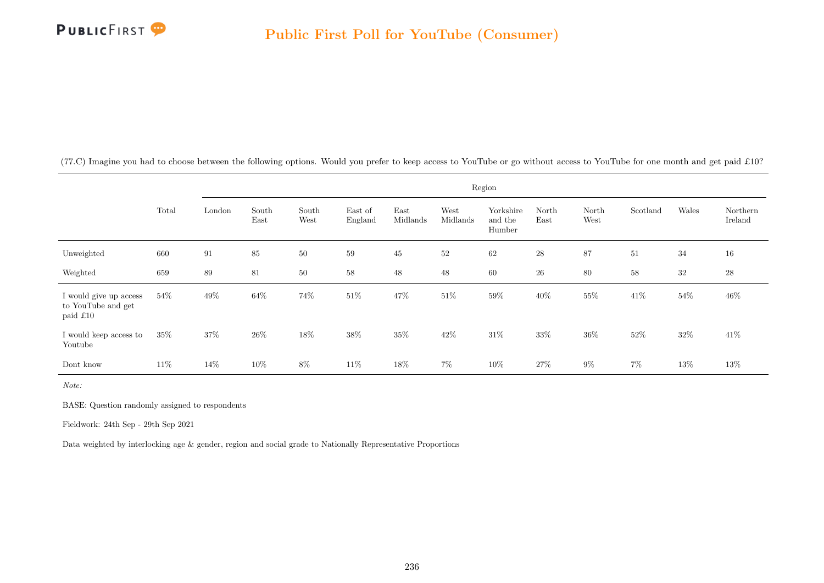

(77.C) Imagine you had to choose between the following options. Would you prefer to keep access to YouTube or go without access to YouTube for one month and get paid £10?

|                                                          |        |        |               |               |                    |                  |                  | Region                         |               |               |          |        |                     |
|----------------------------------------------------------|--------|--------|---------------|---------------|--------------------|------------------|------------------|--------------------------------|---------------|---------------|----------|--------|---------------------|
|                                                          | Total  | London | South<br>East | South<br>West | East of<br>England | East<br>Midlands | West<br>Midlands | Yorkshire<br>and the<br>Humber | North<br>East | North<br>West | Scotland | Wales  | Northern<br>Ireland |
| Unweighted                                               | 660    | 91     | 85            | 50            | 59                 | 45               | $52\,$           | 62                             | $\sqrt{28}$   | 87            | $51\,$   | 34     | 16                  |
| Weighted                                                 | 659    | 89     | 81            | 50            | $58\,$             | 48               | $48\,$           | 60                             | $26\,$        | $80\,$        | $58\,$   | $32\,$ | $\sqrt{28}$         |
| I would give up access<br>to YouTube and get<br>paid £10 | 54%    | $49\%$ | $64\%$        | $74\%$        | $51\%$             | $47\%$           | $51\%$           | $59\%$                         | $40\%$        | $55\%$        | $41\%$   | $54\%$ | $46\%$              |
| I would keep access to<br>Youtube                        | $35\%$ | 37%    | 26\%          | 18%           | 38%                | $35\%$           | 42\%             | $31\%$                         | 33%           | $36\%$        | 52%      | 32%    | $41\%$              |
| Dont know                                                | 11\%   | $14\%$ | 10%           | $8\%$         | 11%                | 18%              | $7\%$            | 10%                            | $27\%$        | $9\%$         | $7\%$    | $13\%$ | 13%                 |

Note:

BASE: Question randomly assigned to respondents

Fieldwork: 24th Sep - 29th Sep 2021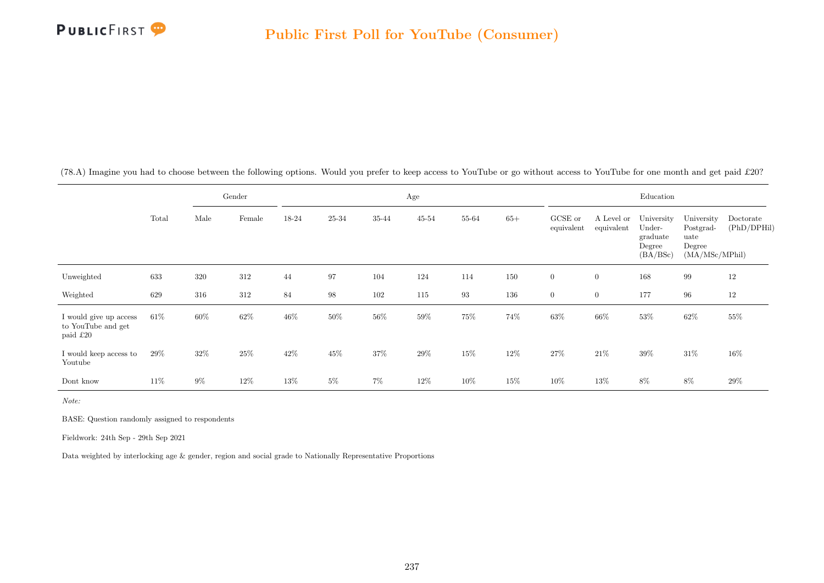

(78.A) Imagine you had to choose between the following options. Would you prefer to keep access to YouTube or go without access to YouTube for one month and get paid £20?

|                                                          |       |       | Gender |        |        |         | Age       |                   |       |                       |                          | Education                                              |                                                             |                          |
|----------------------------------------------------------|-------|-------|--------|--------|--------|---------|-----------|-------------------|-------|-----------------------|--------------------------|--------------------------------------------------------|-------------------------------------------------------------|--------------------------|
|                                                          | Total | Male  | Female | 18-24  | 25-34  | 35-44   | $45 - 54$ | 55-64             | $65+$ | GCSE or<br>equivalent | A Level or<br>equivalent | University<br>Under-<br>graduate<br>Degree<br>(BA/BSc) | University<br>Postgrad-<br>uate<br>Degree<br>(MA/MSc/MPhil) | Doctorate<br>(PhD/DPHil) |
| Unweighted                                               | 633   | 320   | 312    | 44     | 97     | 104     | 124       | 114               | 150   | $\overline{0}$        | $\overline{0}$           | 168                                                    | 99                                                          | 12                       |
| Weighted                                                 | 629   | 316   | 312    | 84     | $98\,$ | $102\,$ | 115       | $\boldsymbol{93}$ | 136   | $\overline{0}$        | $\overline{0}$           | 177                                                    | 96                                                          | 12                       |
| I would give up access<br>to YouTube and get<br>paid £20 | 61\%  | 60%   | $62\%$ | $46\%$ | $50\%$ | $56\%$  | $59\%$    | 75%               | 74%   | $63\%$                | $66\%$                   | $53\%$                                                 | $62\%$                                                      | 55%                      |
| I would keep access to<br>Youtube                        | 29%   | 32\%  | $25\%$ | 42\%   | $45\%$ | $37\%$  | $29\%$    | 15%               | 12\%  | $27\%$                | $21\%$                   | $39\%$                                                 | $31\%$                                                      | $16\%$                   |
| Dont know                                                | 11\%  | $9\%$ | 12%    | 13%    | $5\%$  | $7\%$   | 12%       | 10%               | 15%   | $10\%$                | 13%                      | 8%                                                     | $8\%$                                                       | 29%                      |

Note:

BASE: Question randomly assigned to respondents

Fieldwork: 24th Sep - 29th Sep 2021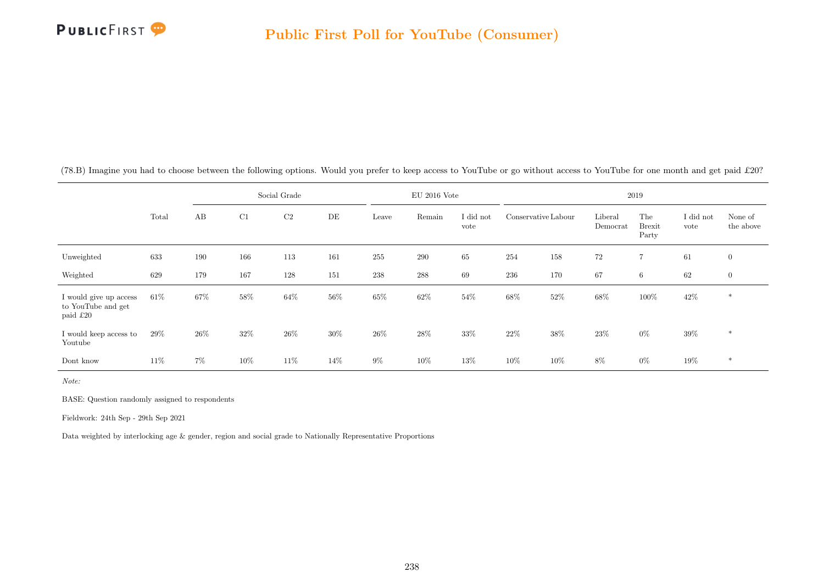

|                                                          |       |      |        | Social Grade   |      |        | $EU$ 2016 Vote |                   |                     |        |                     | 2019                          |                   |                      |
|----------------------------------------------------------|-------|------|--------|----------------|------|--------|----------------|-------------------|---------------------|--------|---------------------|-------------------------------|-------------------|----------------------|
|                                                          | Total | AB   | C1     | C <sub>2</sub> | DE   | Leave  | Remain         | I did not<br>vote | Conservative Labour |        | Liberal<br>Democrat | The<br><b>Brexit</b><br>Party | I did not<br>vote | None of<br>the above |
| Unweighted                                               | 633   | 190  | 166    | 113            | 161  | 255    | 290            | 65                | 254                 | 158    | 72                  | $\overline{7}$                | 61                | $\overline{0}$       |
| Weighted                                                 | 629   | 179  | 167    | 128            | 151  | 238    | 288            | 69                | 236                 | 170    | 67                  | 6                             | 62                | $\mathbf{0}$         |
| I would give up access<br>to YouTube and get<br>paid £20 | 61\%  | 67%  | 58%    | 64%            | 56%  | 65%    | 62\%           | 54%               | $68\%$              | $52\%$ | 68%                 | 100%                          | 42\%              | $\ast$               |
| I would keep access to<br>Youtube                        | 29%   | 26\% | 32\%   | $26\%$         | 30%  | $26\%$ | $28\%$         | 33%               | $22\%$              | $38\%$ | 23%                 | $0\%$                         | $39\%$            | $\ast$               |
| Dont know                                                | 11%   | 7%   | $10\%$ | 11%            | 14\% | $9\%$  | 10%            | 13%               | 10%                 | $10\%$ | 8%                  | $0\%$                         | $19\%$            | $\ast$               |

(78.B) Imagine you had to choose between the following options. Would you prefer to keep access to YouTube or go without access to YouTube for one month and get paid £20?

Note:

BASE: Question randomly assigned to respondents

Fieldwork: 24th Sep - 29th Sep 2021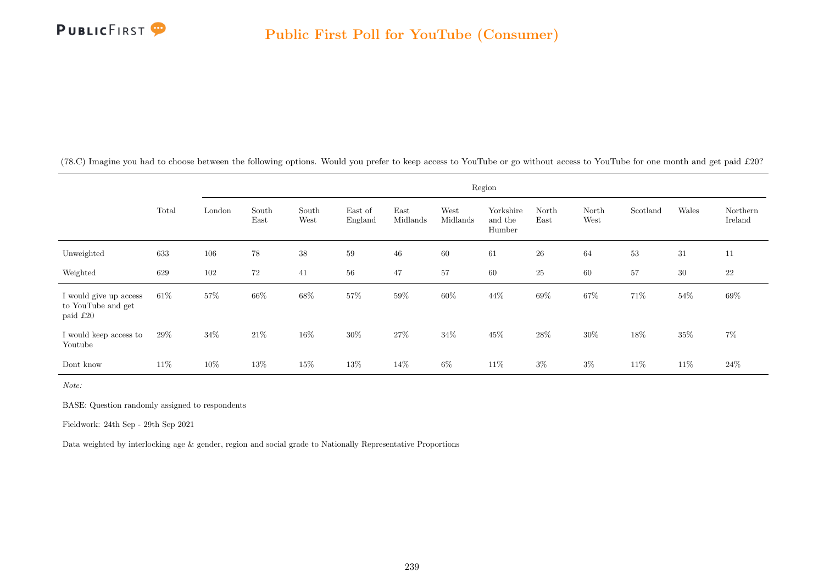

(78.C) Imagine you had to choose between the following options. Would you prefer to keep access to YouTube or go without access to YouTube for one month and get paid £20?

|                                                          |        |        |               |               |                    |                  |                  | Region                         |               |               |          |        |                     |
|----------------------------------------------------------|--------|--------|---------------|---------------|--------------------|------------------|------------------|--------------------------------|---------------|---------------|----------|--------|---------------------|
|                                                          | Total  | London | South<br>East | South<br>West | East of<br>England | East<br>Midlands | West<br>Midlands | Yorkshire<br>and the<br>Humber | North<br>East | North<br>West | Scotland | Wales  | Northern<br>Ireland |
| Unweighted                                               | 633    | 106    | 78            | $38\,$        | 59                 | 46               | 60               | 61                             | $26\,$        | 64            | $53\,$   | 31     | 11                  |
| Weighted                                                 | 629    | 102    | 72            | 41            | $56\,$             | 47               | $57\,$           | 60                             | $25\,$        | 60            | 57       | 30     | $22\,$              |
| I would give up access<br>to YouTube and get<br>paid £20 | $61\%$ | $57\%$ | $66\%$        | $68\%$        | 57%                | $59\%$           | 60%              | 44\%                           | $69\%$        | $67\%$        | 71%      | $54\%$ | $69\%$              |
| I would keep access to<br>Youtube                        | 29%    | 34\%   | 21\%          | 16%           | 30%                | $27\%$           | 34%              | 45%                            | 28\%          | $30\%$        | 18%      | $35\%$ | $7\%$               |
| Dont know                                                | 11%    | 10%    | 13%           | 15%           | $13\%$             | 14%              | $6\%$            | $11\%$                         | $3\%$         | $3\%$         | 11\%     | 11\%   | $24\%$              |

Note:

BASE: Question randomly assigned to respondents

Fieldwork: 24th Sep - 29th Sep 2021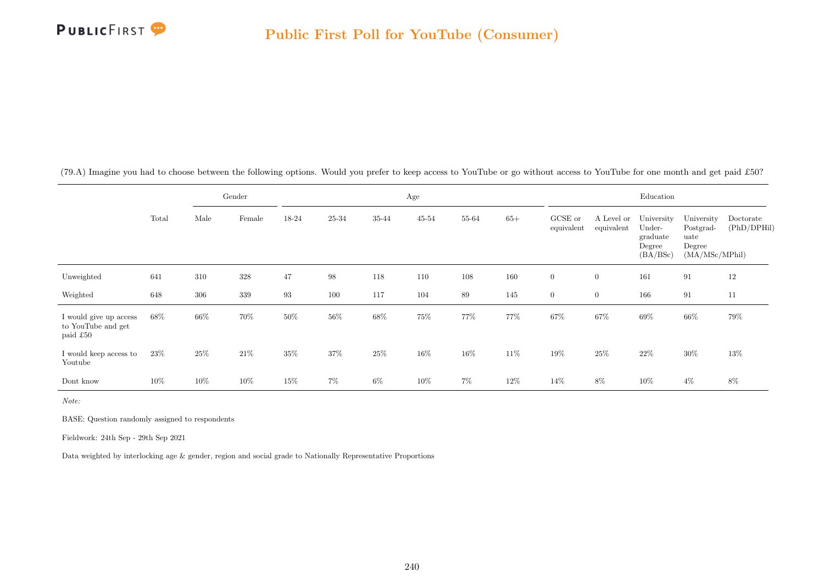

(79.A) Imagine you had to choose between the following options. Would you prefer to keep access to YouTube or go without access to YouTube for one month and get paid £50?

|                                                          |       |      | Gender |        |        |        | Age       |        |       |                       |                          | Education                                              |                                                             |                          |
|----------------------------------------------------------|-------|------|--------|--------|--------|--------|-----------|--------|-------|-----------------------|--------------------------|--------------------------------------------------------|-------------------------------------------------------------|--------------------------|
|                                                          | Total | Male | Female | 18-24  | 25-34  | 35-44  | $45 - 54$ | 55-64  | $65+$ | GCSE or<br>equivalent | A Level or<br>equivalent | University<br>Under-<br>graduate<br>Degree<br>(BA/BSc) | University<br>Postgrad-<br>uate<br>Degree<br>(MA/MSc/MPhil) | Doctorate<br>(PhD/DPHil) |
| Unweighted                                               | 641   | 310  | 328    | 47     | $98\,$ | 118    | 110       | 108    | 160   | $\overline{0}$        | $\overline{0}$           | 161                                                    | 91                                                          | 12                       |
| Weighted                                                 | 648   | 306  | 339    | 93     | 100    | 117    | 104       | 89     | 145   | $\overline{0}$        | $\overline{0}$           | 166                                                    | 91                                                          | 11                       |
| I would give up access<br>to YouTube and get<br>paid £50 | 68%   | 66%  | 70%    | $50\%$ | $56\%$ | $68\%$ | 75%       | 77%    | 77%   | $67\%$                | 67%                      | $69\%$                                                 | $66\%$                                                      | 79%                      |
| I would keep access to<br>Youtube                        | 23%   | 25\% | $21\%$ | $35\%$ | $37\%$ | $25\%$ | 16%       | $16\%$ | 11\%  | $19\%$                | $25\%$                   | $22\%$                                                 | $30\%$                                                      | 13%                      |
| Dont know                                                | 10%   | 10%  | 10%    | 15%    | 7%     | 6%     | 10%       | $7\%$  | 12\%  | 14%                   | $8\%$                    | 10%                                                    | $4\%$                                                       | $8\%$                    |

Note:

BASE: Question randomly assigned to respondents

Fieldwork: 24th Sep - 29th Sep 2021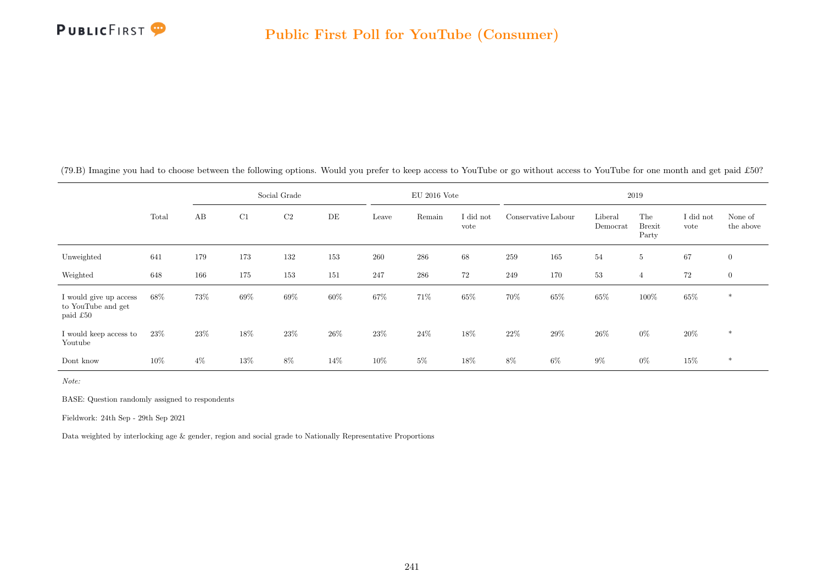

|                                                          |       |       |        | Social Grade   |      |        | $EU$ 2016 Vote |                   |                     |        |                     | 2019                          |                   |                      |
|----------------------------------------------------------|-------|-------|--------|----------------|------|--------|----------------|-------------------|---------------------|--------|---------------------|-------------------------------|-------------------|----------------------|
|                                                          | Total | AB    | C1     | C <sub>2</sub> | DE   | Leave  | Remain         | I did not<br>vote | Conservative Labour |        | Liberal<br>Democrat | The<br><b>Brexit</b><br>Party | I did not<br>vote | None of<br>the above |
| Unweighted                                               | 641   | 179   | 173    | 132            | 153  | 260    | 286            | 68                | 259                 | 165    | 54                  | $5\phantom{.0}$               | 67                | $\overline{0}$       |
| Weighted                                                 | 648   | 166   | 175    | 153            | 151  | 247    | 286            | 72                | 249                 | 170    | 53                  | $\overline{4}$                | $72\,$            | $\overline{0}$       |
| I would give up access<br>to YouTube and get<br>paid £50 | 68%   | 73%   | 69%    | 69%            | 60%  | 67%    | 71\%           | 65%               | 70%                 | 65%    | 65%                 | 100%                          | $65\%$            | $\ast$               |
| I would keep access to<br>Youtube                        | 23\%  | 23\%  | 18%    | $23\%$         | 26\% | $23\%$ | $24\%$         | 18%               | $22\%$              | $29\%$ | $26\%$              | $0\%$                         | $20\%$            | $\ast$               |
| Dont know                                                | 10%   | $4\%$ | $13\%$ | $8\%$          | 14%  | 10%    | $5\%$          | 18%               | $8\%$               | $6\%$  | $9\%$               | $0\%$                         | 15%               | $\ast$               |

(79.B) Imagine you had to choose between the following options. Would you prefer to keep access to YouTube or go without access to YouTube for one month and get paid £50?

Note:

BASE: Question randomly assigned to respondents

Fieldwork: 24th Sep - 29th Sep 2021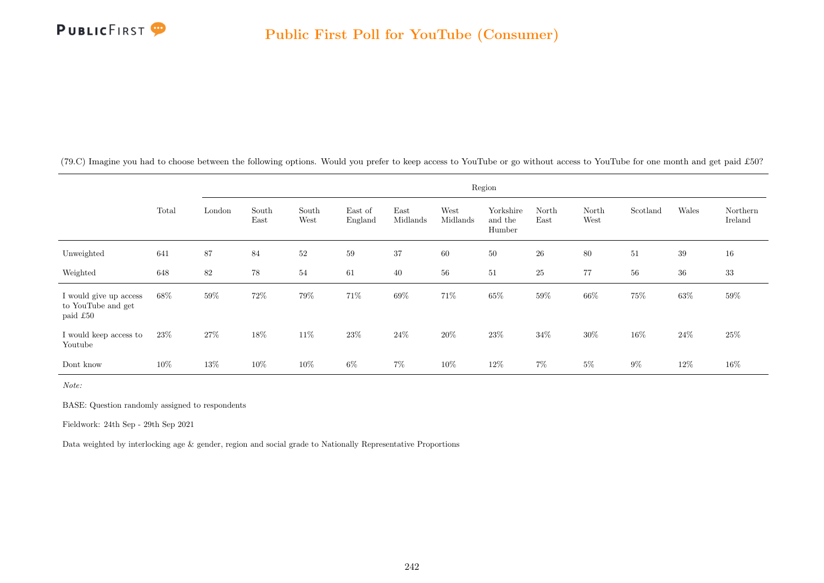

(79.C) Imagine you had to choose between the following options. Would you prefer to keep access to YouTube or go without access to YouTube for one month and get paid £50?

|                                                          |        |        |               |               |                    |                  |                  | Region                         |               |               |          |        |                     |
|----------------------------------------------------------|--------|--------|---------------|---------------|--------------------|------------------|------------------|--------------------------------|---------------|---------------|----------|--------|---------------------|
|                                                          | Total  | London | South<br>East | South<br>West | East of<br>England | East<br>Midlands | West<br>Midlands | Yorkshire<br>and the<br>Humber | North<br>East | North<br>West | Scotland | Wales  | Northern<br>Ireland |
| Unweighted                                               | 641    | 87     | 84            | $52\,$        | 59                 | 37               | 60               | $50\,$                         | $26\,$        | $80\,$        | 51       | $39\,$ | 16                  |
| Weighted                                                 | 648    | 82     | $78\,$        | 54            | 61                 | 40               | $56\,$           | 51                             | $25\,$        | 77            | $56\,$   | $36\,$ | $33\,$              |
| I would give up access<br>to YouTube and get<br>paid £50 | 68%    | $59\%$ | $72\%$        | $79\%$        | $71\%$             | $69\%$           | $71\%$           | $65\%$                         | $59\%$        | $66\%$        | 75%      | $63\%$ | $59\%$              |
| I would keep access to<br>Youtube                        | 23\%   | 27%    | 18%           | 11%           | 23\%               | $24\%$           | 20%              | 23\%                           | 34%           | 30%           | 16%      | 24%    | $25\%$              |
| Dont know                                                | $10\%$ | 13%    | 10%           | $10\%$        | $6\%$              | $7\%$            | 10%              | $12\%$                         | $7\%$         | $5\%$         | $9\%$    | $12\%$ | $16\%$              |

Note:

BASE: Question randomly assigned to respondents

Fieldwork: 24th Sep - 29th Sep 2021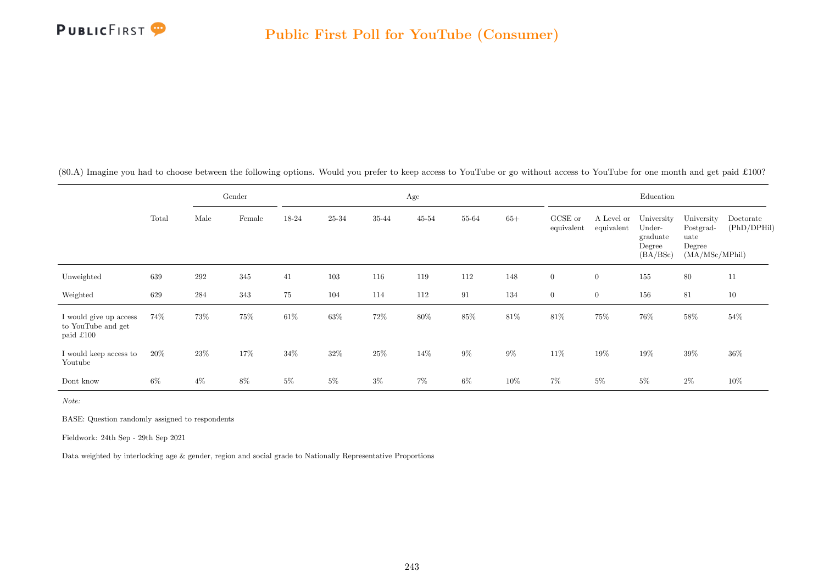

(80.A) Imagine you had to choose between the following options. Would you prefer to keep access to YouTube or go without access to YouTube for one month and get paid £100?

|                                                           |        |       | Gender |        |        |        | Age       |        |        |                       |                          | Education                                              |                                                             |                          |
|-----------------------------------------------------------|--------|-------|--------|--------|--------|--------|-----------|--------|--------|-----------------------|--------------------------|--------------------------------------------------------|-------------------------------------------------------------|--------------------------|
|                                                           | Total  | Male  | Female | 18-24  | 25-34  | 35-44  | $45 - 54$ | 55-64  | $65+$  | GCSE or<br>equivalent | A Level or<br>equivalent | University<br>Under-<br>graduate<br>Degree<br>(BA/BSc) | University<br>Postgrad-<br>uate<br>Degree<br>(MA/MSc/MPhil) | Doctorate<br>(PhD/DPHil) |
| Unweighted                                                | 639    | 292   | 345    | 41     | 103    | 116    | 119       | 112    | 148    | $\overline{0}$        | $\overline{0}$           | 155                                                    | 80                                                          | 11                       |
| Weighted                                                  | 629    | 284   | 343    | 75     | 104    | 114    | 112       | 91     | 134    | $\overline{0}$        | $\overline{0}$           | 156                                                    | 81                                                          | 10                       |
| I would give up access<br>to YouTube and get<br>paid £100 | 74%    | 73%   | 75%    | $61\%$ | 63%    | 72%    | $80\%$    | $85\%$ | $81\%$ | $81\%$                | 75%                      | $76\%$                                                 | $58\%$                                                      | $54\%$                   |
| I would keep access to<br>Youtube                         | $20\%$ | 23\%  | 17%    | $34\%$ | $32\%$ | $25\%$ | 14\%      | $9\%$  | $9\%$  | 11%                   | 19%                      | 19%                                                    | $39\%$                                                      | 36%                      |
| Dont know                                                 | $6\%$  | $4\%$ | $8\%$  | $5\%$  | $5\%$  | $3\%$  | $7\%$     | $6\%$  | $10\%$ | $7\%$                 | $5\%$                    | $5\%$                                                  | $2\%$                                                       | $10\%$                   |

Note:

BASE: Question randomly assigned to respondents

Fieldwork: 24th Sep - 29th Sep 2021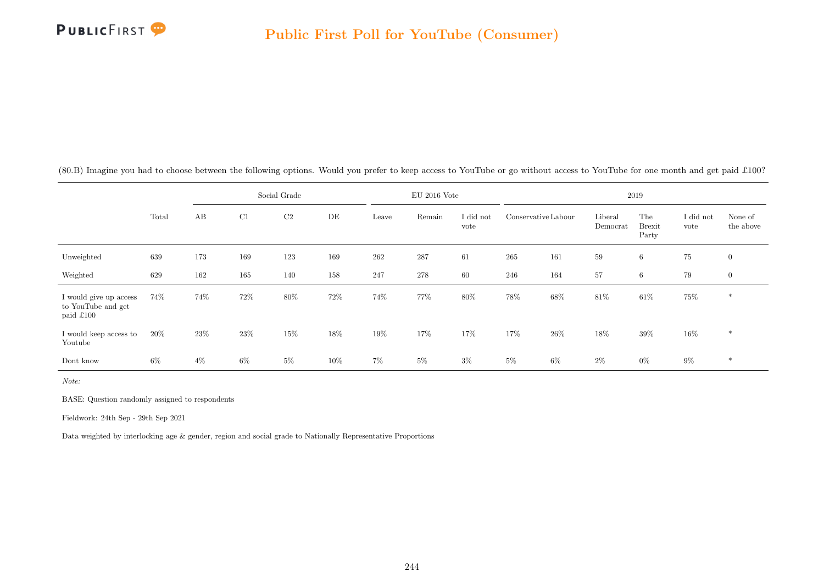

|                                                           |        |       |        | Social Grade   |     |       | $EU$ 2016 Vote |                   |                     |        |                     | 2019                          |                   |                      |
|-----------------------------------------------------------|--------|-------|--------|----------------|-----|-------|----------------|-------------------|---------------------|--------|---------------------|-------------------------------|-------------------|----------------------|
|                                                           | Total  | AB    | C1     | C <sub>2</sub> | DE  | Leave | Remain         | I did not<br>vote | Conservative Labour |        | Liberal<br>Democrat | The<br><b>Brexit</b><br>Party | I did not<br>vote | None of<br>the above |
| Unweighted                                                | 639    | 173   | 169    | 123            | 169 | 262   | 287            | 61                | 265                 | 161    | 59                  | $\,6\,$                       | 75                | $\overline{0}$       |
| Weighted                                                  | 629    | 162   | 165    | 140            | 158 | 247   | 278            | 60                | 246                 | 164    | 57                  | 6                             | 79                | $\overline{0}$       |
| I would give up access<br>to YouTube and get<br>paid £100 | 74%    | 74%   | 72%    | 80\%           | 72% | 74%   | 77%            | 80%               | $78\%$              | $68\%$ | $81\%$              | $61\%$                        | 75%               | $\ast$               |
| I would keep access to<br>Youtube                         | $20\%$ | 23\%  | $23\%$ | $15\%$         | 18% | 19%   | 17%            | 17%               | 17%                 | $26\%$ | 18%                 | $39\%$                        | $16\%$            | $\ast$               |
| Dont know                                                 | $6\%$  | $4\%$ | 6%     | $5\%$          | 10% | 7%    | $5\%$          | $3\%$             | $5\%$               | $6\%$  | $2\%$               | $0\%$                         | $9\%$             | $\ast$               |

(80.B) Imagine you had to choose between the following options. Would you prefer to keep access to YouTube or go without access to YouTube for one month and get paid £100?

Note:

BASE: Question randomly assigned to respondents

Fieldwork: 24th Sep - 29th Sep 2021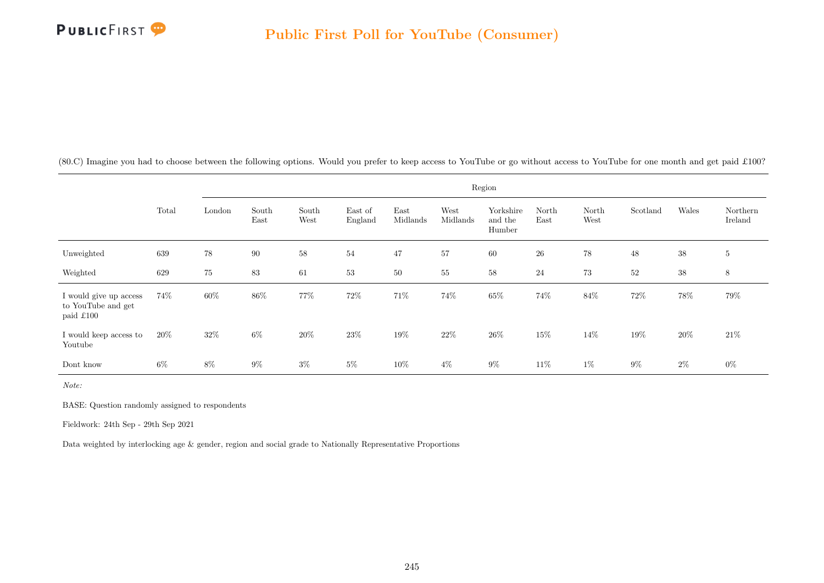

(80.C) Imagine you had to choose between the following options. Would you prefer to keep access to YouTube or go without access to YouTube for one month and get paid £100?

|                                                           |       |        |               |               |                    |                  |                  | Region                         |               |               |          |        |                     |
|-----------------------------------------------------------|-------|--------|---------------|---------------|--------------------|------------------|------------------|--------------------------------|---------------|---------------|----------|--------|---------------------|
|                                                           | Total | London | South<br>East | South<br>West | East of<br>England | East<br>Midlands | West<br>Midlands | Yorkshire<br>and the<br>Humber | North<br>East | North<br>West | Scotland | Wales  | Northern<br>Ireland |
| Unweighted                                                | 639   | $78\,$ | 90            | 58            | 54                 | 47               | 57               | 60                             | ${\bf 26}$    | 78            | $48\,$   | $38\,$ | $5\phantom{.0}$     |
| Weighted                                                  | 629   | 75     | 83            | 61            | 53                 | 50               | $55\,$           | 58                             | 24            | 73            | 52       | $38\,$ | $\,8\,$             |
| I would give up access<br>to YouTube and get<br>paid £100 | 74%   | $60\%$ | $86\%$        | 77%           | $72\%$             | 71%              | $74\%$           | $65\%$                         | $74\%$        | $84\%$        | $72\%$   | 78%    | 79%                 |
| I would keep access to<br>Youtube                         | 20%   | $32\%$ | $6\%$         | $20\%$        | $23\%$             | $19\%$           | $22\%$           | $26\%$                         | 15%           | 14%           | 19%      | $20\%$ | $21\%$              |
| Dont know                                                 | $6\%$ | $8\%$  | $9\%$         | $3\%$         | $5\%$              | $10\%$           | $4\%$            | $9\%$                          | 11\%          | $1\%$         | $9\%$    | $2\%$  | $0\%$               |

Note:

BASE: Question randomly assigned to respondents

Fieldwork: 24th Sep - 29th Sep 2021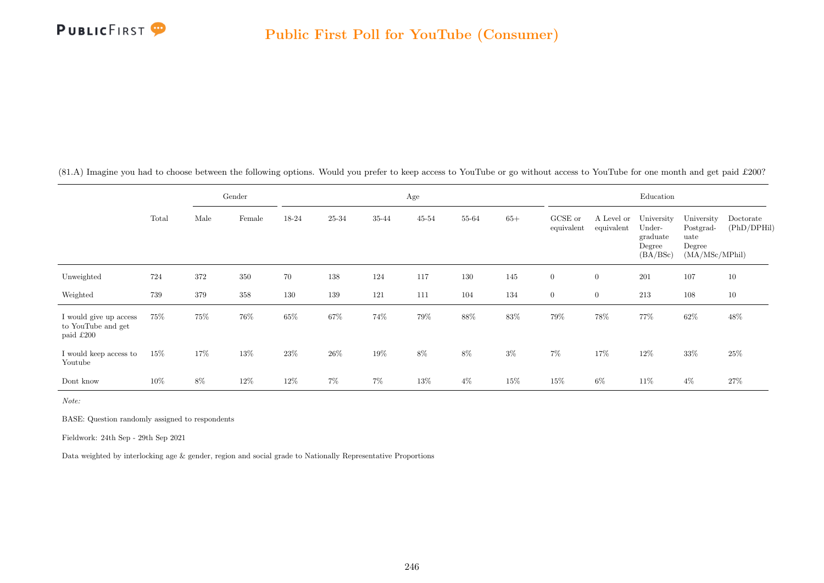

(81.A) Imagine you had to choose between the following options. Would you prefer to keep access to YouTube or go without access to YouTube for one month and get paid £200?

|                                                           |        |      | Gender |        |        |        | Age       |        |       |                       |                          | Education                                              |                                                             |                          |
|-----------------------------------------------------------|--------|------|--------|--------|--------|--------|-----------|--------|-------|-----------------------|--------------------------|--------------------------------------------------------|-------------------------------------------------------------|--------------------------|
|                                                           | Total  | Male | Female | 18-24  | 25-34  | 35-44  | $45 - 54$ | 55-64  | $65+$ | GCSE or<br>equivalent | A Level or<br>equivalent | University<br>Under-<br>graduate<br>Degree<br>(BA/BSc) | University<br>Postgrad-<br>uate<br>Degree<br>(MA/MSc/MPhil) | Doctorate<br>(PhD/DPHil) |
| Unweighted                                                | 724    | 372  | 350    | 70     | 138    | 124    | 117       | 130    | 145   | $\overline{0}$        | $\overline{0}$           | 201                                                    | 107                                                         | 10                       |
| Weighted                                                  | 739    | 379  | 358    | 130    | 139    | 121    | 111       | 104    | 134   | $\overline{0}$        | $\overline{0}$           | 213                                                    | 108                                                         | 10                       |
| I would give up access<br>to YouTube and get<br>paid £200 | $75\%$ | 75%  | 76%    | $65\%$ | $67\%$ | 74%    | 79%       | $88\%$ | 83%   | $79\%$                | 78%                      | 77%                                                    | $62\%$                                                      | 48%                      |
| I would keep access to<br>Youtube                         | $15\%$ | 17%  | 13%    | $23\%$ | $26\%$ | $19\%$ | $8\%$     | $8\%$  | $3\%$ | $7\%$                 | 17%                      | 12%                                                    | $33\%$                                                      | $25\%$                   |
| Dont know                                                 | 10%    | 8%   | 12%    | 12%    | $7\%$  | $7\%$  | $13\%$    | $4\%$  | 15%   | 15%                   | $6\%$                    | 11%                                                    | $4\%$                                                       | 27%                      |

Note:

BASE: Question randomly assigned to respondents

Fieldwork: 24th Sep - 29th Sep 2021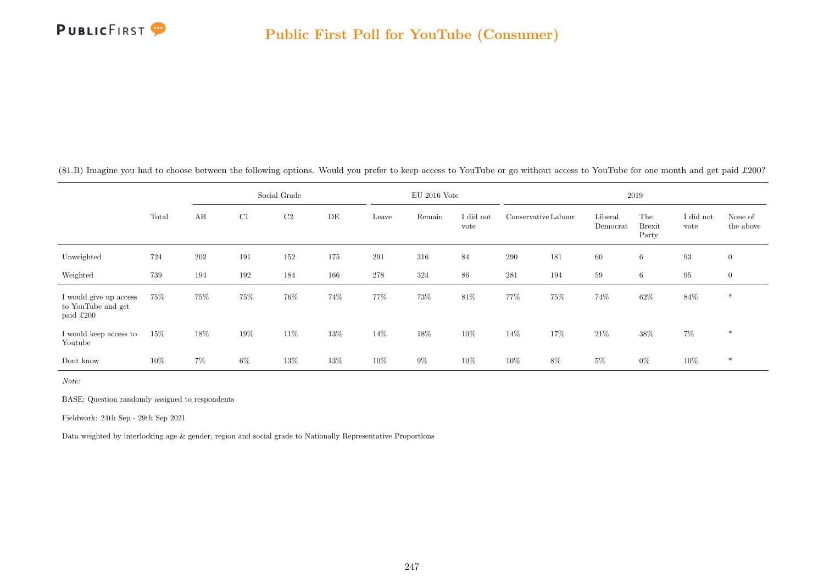

|                                                           |        |       |     | Social Grade   |     |         | $EU$ 2016 Vote |                   |                     |     |                     | 2019                          |                   |                      |
|-----------------------------------------------------------|--------|-------|-----|----------------|-----|---------|----------------|-------------------|---------------------|-----|---------------------|-------------------------------|-------------------|----------------------|
|                                                           | Total  | AB    | C1  | C <sub>2</sub> | DE  | Leave   | Remain         | I did not<br>vote | Conservative Labour |     | Liberal<br>Democrat | The<br><b>Brexit</b><br>Party | I did not<br>vote | None of<br>the above |
| Unweighted                                                | 724    | 202   | 191 | 152            | 175 | 291     | 316            | 84                | 290                 | 181 | 60                  | 6                             | $\boldsymbol{93}$ | $\overline{0}$       |
| Weighted                                                  | 739    | 194   | 192 | 184            | 166 | $278\,$ | 324            | 86                | 281                 | 194 | 59                  | 6                             | $\bf 95$          | $\overline{0}$       |
| I would give up access<br>to YouTube and get<br>paid £200 | 75%    | 75%   | 75% | 76%            | 74% | 77%     | 73%            | 81\%              | 77%                 | 75% | 74%                 | $62\%$                        | $84\%$            | $*$                  |
| I would keep access to<br>Youtube                         | $15\%$ | 18%   | 19% | $11\%$         | 13% | 14%     | 18%            | 10%               | 14\%                | 17% | 21\%                | 38%                           | $7\%$             | $\ast$               |
| Dont know                                                 | $10\%$ | $7\%$ | 6%  | 13%            | 13% | 10%     | $9\%$          | 10%               | $10\%$              | 8%  | $5\%$               | $0\%$                         | $10\%$            | $\ast$               |

(81.B) Imagine you had to choose between the following options. Would you prefer to keep access to YouTube or go without access to YouTube for one month and get paid £200?

Note:

BASE: Question randomly assigned to respondents

Fieldwork: 24th Sep - 29th Sep 2021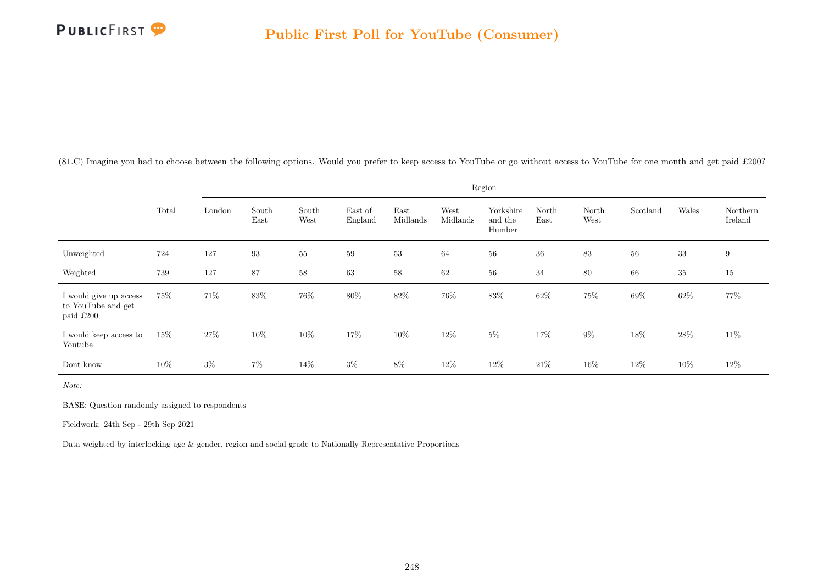

(81.C) Imagine you had to choose between the following options. Would you prefer to keep access to YouTube or go without access to YouTube for one month and get paid £200?

|                                                           |        |         |               |               |                    |                  |                  | Region                         |               |               |          |        |                     |
|-----------------------------------------------------------|--------|---------|---------------|---------------|--------------------|------------------|------------------|--------------------------------|---------------|---------------|----------|--------|---------------------|
|                                                           | Total  | London  | South<br>East | South<br>West | East of<br>England | East<br>Midlands | West<br>Midlands | Yorkshire<br>and the<br>Humber | North<br>East | North<br>West | Scotland | Wales  | Northern<br>Ireland |
| Unweighted                                                | 724    | $127\,$ | 93            | 55            | 59                 | 53               | 64               | $56\,$                         | $36\,$        | 83            | 56       | $33\,$ | 9                   |
| Weighted                                                  | 739    | 127     | 87            | 58            | 63                 | 58               | 62               | $56\,$                         | 34            | 80            | 66       | $35\,$ | 15                  |
| I would give up access<br>to YouTube and get<br>paid £200 | 75%    | $71\%$  | 83%           | $76\%$        | 80%                | $82\%$           | 76%              | $83\%$                         | 62%           | 75%           | $69\%$   | $62\%$ | 77%                 |
| I would keep access to<br>Youtube                         | 15%    | 27%     | 10%           | 10%           | 17%                | 10%              | 12%              | $5\%$                          | 17%           | $9\%$         | 18%      | $28\%$ | $11\%$              |
| Dont know                                                 | $10\%$ | $3\%$   | $7\%$         | 14\%          | $3\%$              | $8\%$            | 12\%             | $12\%$                         | $21\%$        | $16\%$        | $12\%$   | $10\%$ | $12\%$              |

Note:

BASE: Question randomly assigned to respondents

Fieldwork: 24th Sep - 29th Sep 2021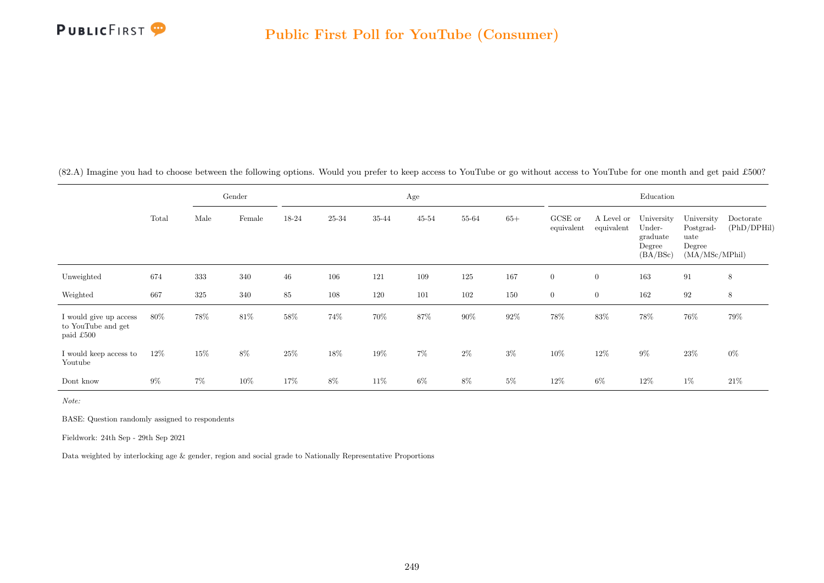

(82.A) Imagine you had to choose between the following options. Would you prefer to keep access to YouTube or go without access to YouTube for one month and get paid £500?

|                                                           |       |       | Gender |        |        |        | Age       |        |        |                       |                          | Education                                              |                                                             |                          |
|-----------------------------------------------------------|-------|-------|--------|--------|--------|--------|-----------|--------|--------|-----------------------|--------------------------|--------------------------------------------------------|-------------------------------------------------------------|--------------------------|
|                                                           | Total | Male  | Female | 18-24  | 25-34  | 35-44  | $45 - 54$ | 55-64  | $65+$  | GCSE or<br>equivalent | A Level or<br>equivalent | University<br>Under-<br>graduate<br>Degree<br>(BA/BSc) | University<br>Postgrad-<br>uate<br>Degree<br>(MA/MSc/MPhil) | Doctorate<br>(PhD/DPHil) |
| Unweighted                                                | 674   | 333   | 340    | 46     | 106    | 121    | 109       | 125    | 167    | $\overline{0}$        | $\overline{0}$           | 163                                                    | 91                                                          | 8                        |
| Weighted                                                  | 667   | 325   | 340    | 85     | 108    | 120    | 101       | 102    | 150    | $\overline{0}$        | $\overline{0}$           | 162                                                    | 92                                                          | 8                        |
| I would give up access<br>to YouTube and get<br>paid £500 | 80%   | 78%   | $81\%$ | $58\%$ | 74%    | $70\%$ | 87%       | $90\%$ | $92\%$ | $78\%$                | 83%                      | $78\%$                                                 | 76%                                                         | 79%                      |
| I would keep access to<br>Youtube                         | 12%   | 15%   | $8\%$  | $25\%$ | $18\%$ | $19\%$ | $7\%$     | $2\%$  | $3\%$  | $10\%$                | $12\%$                   | $9\%$                                                  | $23\%$                                                      | $0\%$                    |
| Dont know                                                 | $9\%$ | $7\%$ | 10%    | 17%    | $8\%$  | 11%    | $6\%$     | $8\%$  | $5\%$  | $12\%$                | $6\%$                    | 12%                                                    | $1\%$                                                       | 21\%                     |

Note:

BASE: Question randomly assigned to respondents

Fieldwork: 24th Sep - 29th Sep 2021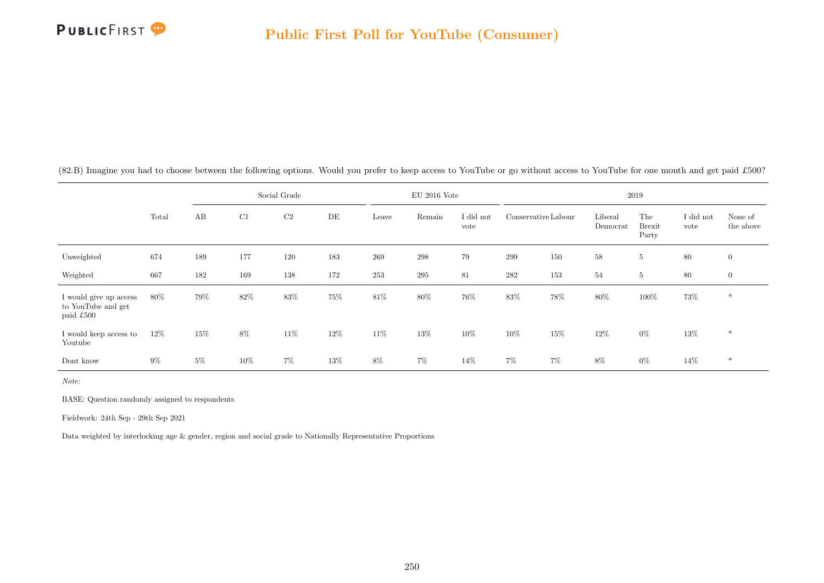

|                                                           |        |       |       | Social Grade   |        |       | $EU$ 2016 Vote |                   |                     |         |                     | 2019                          |                   |                      |
|-----------------------------------------------------------|--------|-------|-------|----------------|--------|-------|----------------|-------------------|---------------------|---------|---------------------|-------------------------------|-------------------|----------------------|
|                                                           | Total  | AB    | C1    | C <sub>2</sub> | DE     | Leave | Remain         | I did not<br>vote | Conservative Labour |         | Liberal<br>Democrat | The<br><b>Brexit</b><br>Party | I did not<br>vote | None of<br>the above |
| Unweighted                                                | 674    | 189   | 177   | 120            | 183    | 269   | 298            | 79                | 299                 | 150     | 58                  | $\overline{5}$                | 80                | $\overline{0}$       |
| Weighted                                                  | 667    | 182   | 169   | 138            | 172    | 253   | $\,295$        | 81                | 282                 | $153\,$ | 54                  | $\overline{5}$                | 80                | $\overline{0}$       |
| I would give up access<br>to YouTube and get<br>paid £500 | 80%    | 79%   | 82%   | 83%            | 75%    | 81\%  | 80%            | 76%               | 83%                 | $78\%$  | 80%                 | $100\%$                       | 73%               | $\ast$               |
| I would keep access to<br>Youtube                         | $12\%$ | 15%   | $8\%$ | 11\%           | $12\%$ | 11\%  | 13%            | 10%               | $10\%$              | 15%     | 12%                 | $0\%$                         | $13\%$            | $\ast$               |
| Dont know                                                 | $9\%$  | $5\%$ | 10%   | 7%             | 13%    | 8%    | 7%             | 14%               | $7\%$               | 7%      | 8%                  | $0\%$                         | 14%               | $\ast$               |

(82.B) Imagine you had to choose between the following options. Would you prefer to keep access to YouTube or go without access to YouTube for one month and get paid £500?

Note:

BASE: Question randomly assigned to respondents

Fieldwork: 24th Sep - 29th Sep 2021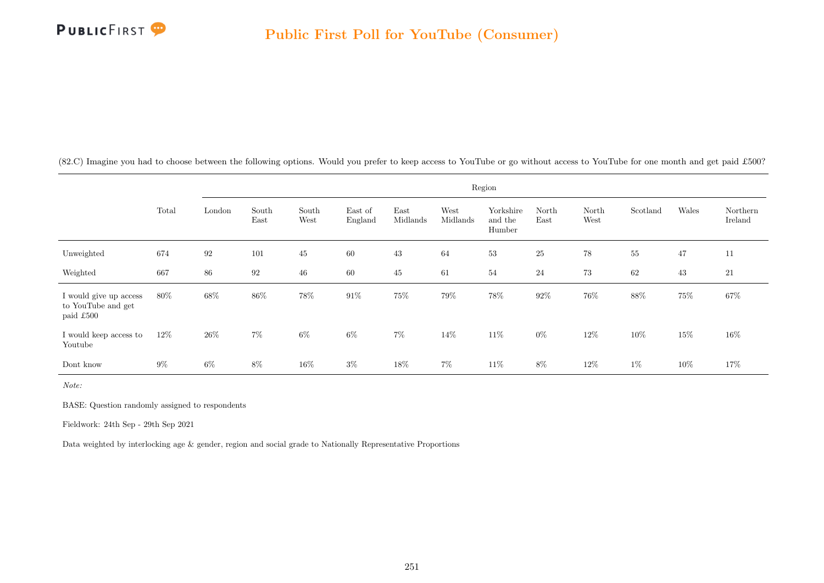

(82.C) Imagine you had to choose between the following options. Would you prefer to keep access to YouTube or go without access to YouTube for one month and get paid £500?

|                                                           |        |        |               |               |                    |                  |                  | Region                         |               |               |          |        |                     |
|-----------------------------------------------------------|--------|--------|---------------|---------------|--------------------|------------------|------------------|--------------------------------|---------------|---------------|----------|--------|---------------------|
|                                                           | Total  | London | South<br>East | South<br>West | East of<br>England | East<br>Midlands | West<br>Midlands | Yorkshire<br>and the<br>Humber | North<br>East | North<br>West | Scotland | Wales  | Northern<br>Ireland |
| Unweighted                                                | 674    | 92     | 101           | 45            | 60                 | 43               | 64               | $53\,$                         | 25            | 78            | $55\,$   | 47     | 11                  |
| Weighted                                                  | 667    | 86     | 92            | 46            | 60                 | 45               | 61               | $54\,$                         | $\sqrt{24}$   | 73            | 62       | 43     | 21                  |
| I would give up access<br>to YouTube and get<br>paid £500 | $80\%$ | $68\%$ | $86\%$        | $78\%$        | $91\%$             | 75%              | $79\%$           | $78\%$                         | $92\%$        | $76\%$        | $88\%$   | $75\%$ | $67\%$              |
| I would keep access to<br>Youtube                         | 12\%   | $26\%$ | $7\%$         | $6\%$         | $6\%$              | $7\%$            | 14%              | $11\%$                         | $0\%$         | $12\%$        | $10\%$   | $15\%$ | $16\%$              |
| Dont know                                                 | $9\%$  | $6\%$  | $8\%$         | $16\%$        | $3\%$              | 18%              | $7\%$            | $11\%$                         | $8\%$         | $12\%$        | $1\%$    | $10\%$ | 17%                 |

Note:

BASE: Question randomly assigned to respondents

Fieldwork: 24th Sep - 29th Sep 2021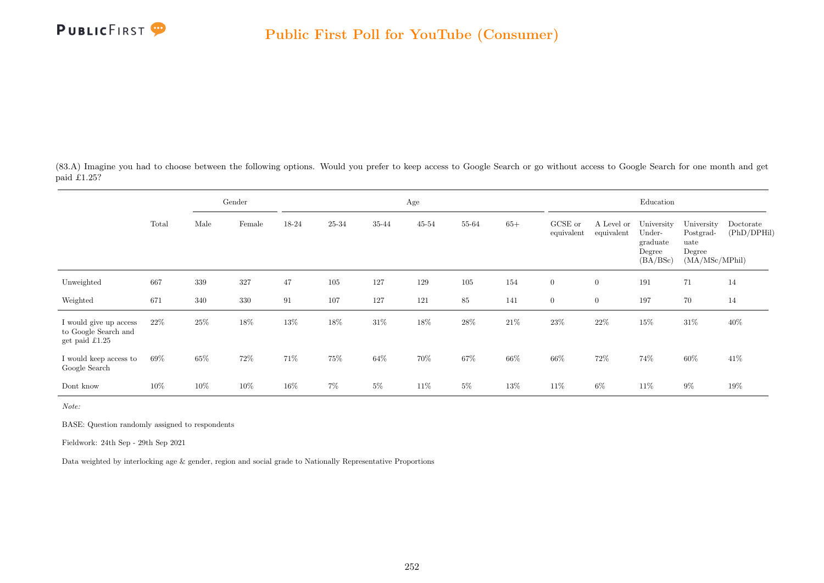

(83.A) Imagine you had to choose between the following options. Would you prefer to keep access to Google Search or go without access to Google Search for one month and get paid £1.25?

|                                                                          |        |         | Gender |        |       |        | Age       |        |        |                       |                          | Education                                              |                                                             |                          |
|--------------------------------------------------------------------------|--------|---------|--------|--------|-------|--------|-----------|--------|--------|-----------------------|--------------------------|--------------------------------------------------------|-------------------------------------------------------------|--------------------------|
|                                                                          | Total  | Male    | Female | 18-24  | 25-34 | 35-44  | $45 - 54$ | 55-64  | $65+$  | GCSE or<br>equivalent | A Level or<br>equivalent | University<br>Under-<br>graduate<br>Degree<br>(BA/BSc) | University<br>Postgrad-<br>uate<br>Degree<br>(MA/MSc/MPhil) | Doctorate<br>(PhD/DPHil) |
| Unweighted                                                               | 667    | $339\,$ | 327    | 47     | 105   | 127    | 129       | 105    | 154    | $\boldsymbol{0}$      | $\overline{0}$           | 191                                                    | 71                                                          | 14                       |
| Weighted                                                                 | 671    | 340     | 330    | 91     | 107   | 127    | 121       | 85     | 141    | $\overline{0}$        | $\overline{0}$           | 197                                                    | 70                                                          | 14                       |
| I would give up access<br>to Google Search and<br>get paid $\pounds1.25$ | $22\%$ | 25\%    | 18%    | 13%    | 18%   | $31\%$ | $18\%$    | $28\%$ | $21\%$ | $23\%$                | $22\%$                   | 15%                                                    | $31\%$                                                      | 40%                      |
| I would keep access to<br>Google Search                                  | 69%    | 65%     | 72%    | 71%    | 75%   | 64%    | 70%       | 67%    | 66%    | 66%                   | 72%                      | 74%                                                    | 60%                                                         | 41\%                     |
| Dont know                                                                | $10\%$ | 10%     | $10\%$ | $16\%$ | $7\%$ | $5\%$  | 11\%      | $5\%$  | 13%    | 11%                   | 6%                       | 11\%                                                   | $9\%$                                                       | 19%                      |

Note:

BASE: Question randomly assigned to respondents

Fieldwork: 24th Sep - 29th Sep 2021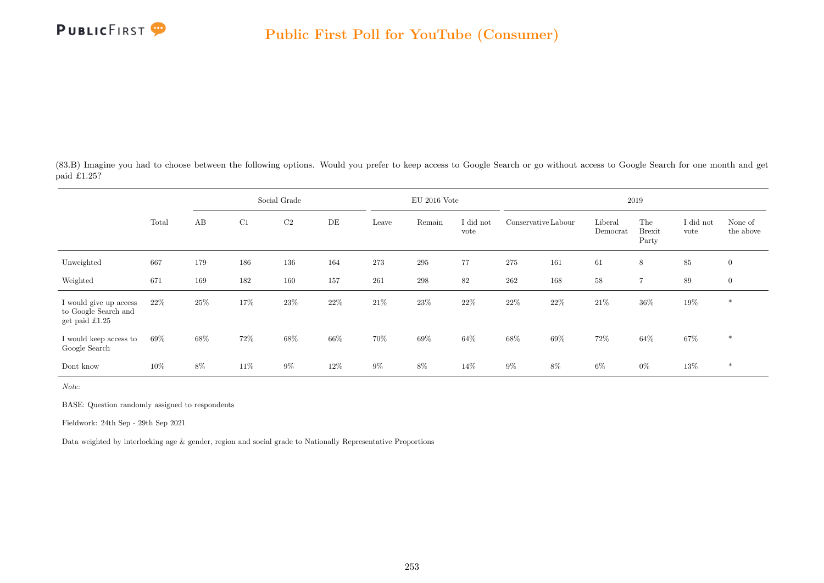

(83.B) Imagine you had to choose between the following options. Would you prefer to keep access to Google Search or go without access to Google Search for one month and get paid £1.25?

|                                                                          |       |     |     | Social Grade |      |        | $EU$ 2016 Vote |                   |                     |     |                     | 2019                          |                   |                      |
|--------------------------------------------------------------------------|-------|-----|-----|--------------|------|--------|----------------|-------------------|---------------------|-----|---------------------|-------------------------------|-------------------|----------------------|
|                                                                          | Total | AB  | C1  | C2           | DE   | Leave  | Remain         | I did not<br>vote | Conservative Labour |     | Liberal<br>Democrat | The<br><b>Brexit</b><br>Party | I did not<br>vote | None of<br>the above |
| Unweighted                                                               | 667   | 179 | 186 | 136          | 164  | 273    | $\,295$        | 77                | 275                 | 161 | 61                  | 8                             | $85\,$            | $\overline{0}$       |
| Weighted                                                                 | 671   | 169 | 182 | 160          | 157  | 261    | $\,298$        | 82                | 262                 | 168 | 58                  | 7                             | 89                | $\overline{0}$       |
| I would give up access<br>to Google Search and<br>get paid $\pounds1.25$ | 22\%  | 25% | 17% | 23%          | 22\% | $21\%$ | $23\%$         | 22%               | $22\%$              | 22% | 21\%                | $36\%$                        | 19%               | $\ast$               |
| I would keep access to<br>Google Search                                  | 69%   | 68% | 72% | 68%          | 66%  | 70%    | 69%            | 64\%              | 68\%                | 69% | 72%                 | 64%                           | $67\%$            | $\ast$               |
| Dont know                                                                | 10%   | 8%  | 11% | $9\%$        | 12\% | $9\%$  | 8%             | 14%               | $9\%$               | 8%  | $6\%$               | $0\%$                         | 13%               | $\ast$               |

Note:

BASE: Question randomly assigned to respondents

Fieldwork: 24th Sep - 29th Sep 2021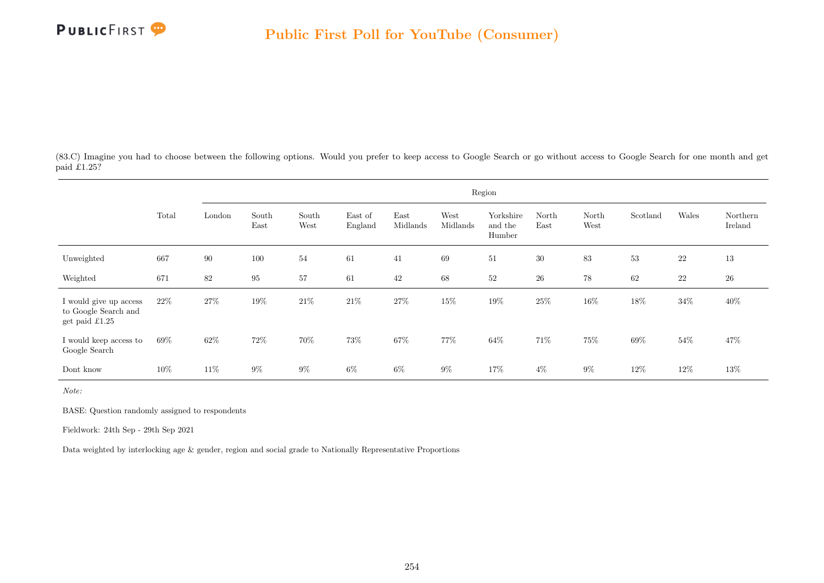

(83.C) Imagine you had to choose between the following options. Would you prefer to keep access to Google Search or go without access to Google Search for one month and get paid  $\hat{\pounds}1.25$ ?

|                                                                          |        |        |               |               |                    |                  |                  | Region                         |               |               |          |        |                     |
|--------------------------------------------------------------------------|--------|--------|---------------|---------------|--------------------|------------------|------------------|--------------------------------|---------------|---------------|----------|--------|---------------------|
|                                                                          | Total  | London | South<br>East | South<br>West | East of<br>England | East<br>Midlands | West<br>Midlands | Yorkshire<br>and the<br>Humber | North<br>East | North<br>West | Scotland | Wales  | Northern<br>Ireland |
| Unweighted                                                               | 667    | $90\,$ | 100           | 54            | 61                 | 41               | 69               | 51                             | 30            | 83            | 53       | $22\,$ | 13                  |
| Weighted                                                                 | 671    | 82     | $\rm 95$      | 57            | 61                 | 42               | 68               | 52                             | $26\,$        | 78            | 62       | 22     | $26\,$              |
| I would give up access<br>to Google Search and<br>get paid $\pounds1.25$ | 22%    | $27\%$ | $19\%$        | $21\%$        | $21\%$             | $27\%$           | 15%              | $19\%$                         | $25\%$        | $16\%$        | $18\%$   | $34\%$ | 40%                 |
| I would keep access to<br>Google Search                                  | 69%    | 62%    | 72\%          | 70%           | 73%                | 67%              | 77%              | 64\%                           | 71\%          | 75%           | 69%      | 54%    | 47\%                |
| Dont know                                                                | $10\%$ | 11\%   | $9\%$         | $9\%$         | $6\%$              | $6\%$            | $9\%$            | 17%                            | $4\%$         | $9\%$         | 12\%     | 12%    | $13\%$              |

Note:

BASE: Question randomly assigned to respondents

Fieldwork: 24th Sep - 29th Sep 2021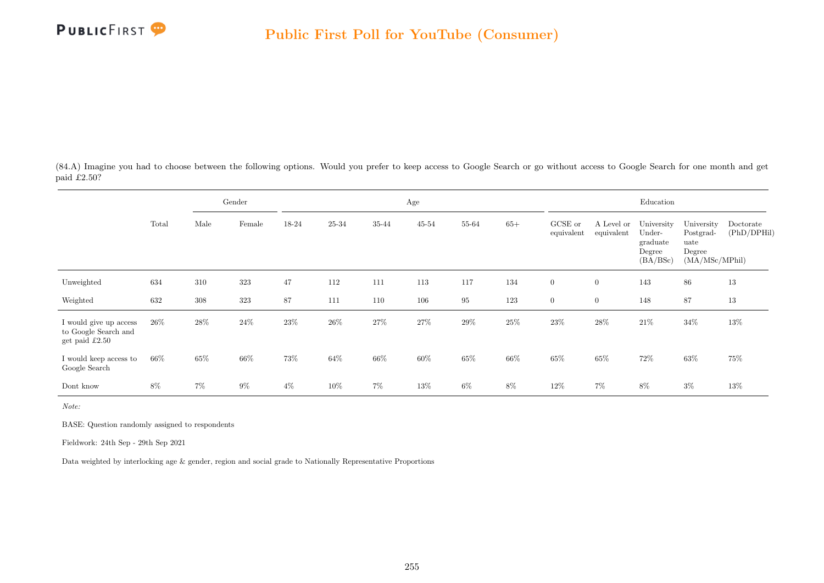

(84.A) Imagine you had to choose between the following options. Would you prefer to keep access to Google Search or go without access to Google Search for one month and get paid £2.50?

|                                                                    |        |       | Gender |        |       |       | Age       |          |        |                       |                          | Education                                              |                                                             |                          |
|--------------------------------------------------------------------|--------|-------|--------|--------|-------|-------|-----------|----------|--------|-----------------------|--------------------------|--------------------------------------------------------|-------------------------------------------------------------|--------------------------|
|                                                                    | Total  | Male  | Female | 18-24  | 25-34 | 35-44 | $45 - 54$ | 55-64    | $65+$  | GCSE or<br>equivalent | A Level or<br>equivalent | University<br>Under-<br>graduate<br>Degree<br>(BA/BSc) | University<br>Postgrad-<br>uate<br>Degree<br>(MA/MSc/MPhil) | Doctorate<br>(PhD/DPHil) |
| Unweighted                                                         | 634    | 310   | 323    | 47     | 112   | 111   | 113       | 117      | 134    | $\boldsymbol{0}$      | $\boldsymbol{0}$         | 143                                                    | 86                                                          | 13                       |
| Weighted                                                           | 632    | 308   | 323    | 87     | 111   | 110   | 106       | $\rm 95$ | 123    | $\overline{0}$        | $\boldsymbol{0}$         | 148                                                    | 87                                                          | 13                       |
| I would give up access<br>to Google Search and<br>get paid $£2.50$ | $26\%$ | 28\%  | 24\%   | 23%    | 26\%  | 27%   | $27\%$    | 29%      | $25\%$ | $23\%$                | 28%                      | $21\%$                                                 | $34\%$                                                      | 13%                      |
| I would keep access to<br>Google Search                            | 66%    | 65%   | 66%    | $73\%$ | 64%   | 66\%  | $60\%$    | $65\%$   | $66\%$ | $65\%$                | $65\%$                   | 72%                                                    | $63\%$                                                      | 75%                      |
| Dont know                                                          | 8%     | $7\%$ | $9\%$  | $4\%$  | 10%   | 7%    | 13%       | 6%       | 8%     | 12%                   | 7%                       | 8%                                                     | $3\%$                                                       | 13%                      |

Note:

BASE: Question randomly assigned to respondents

Fieldwork: 24th Sep - 29th Sep 2021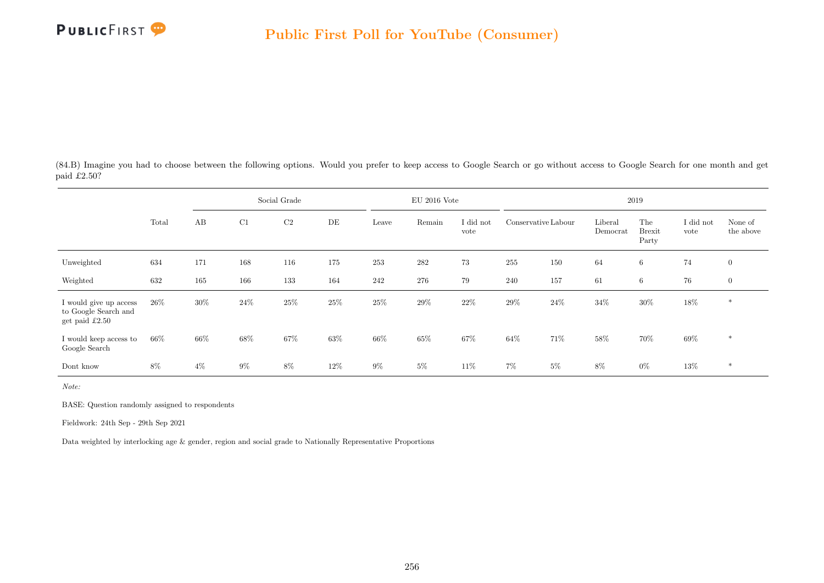

(84.B) Imagine you had to choose between the following options. Would you prefer to keep access to Google Search or go without access to Google Search for one month and get paid £2.50?

|                                                                  |        |       |        | Social Grade |      |        | $EU$ 2016 Vote |                   |                     |        |                     | 2019                          |                   |                      |
|------------------------------------------------------------------|--------|-------|--------|--------------|------|--------|----------------|-------------------|---------------------|--------|---------------------|-------------------------------|-------------------|----------------------|
|                                                                  | Total  | AB    | C1     | $\rm{C2}$    | DE   | Leave  | Remain         | I did not<br>vote | Conservative Labour |        | Liberal<br>Democrat | The<br><b>Brexit</b><br>Party | I did not<br>vote | None of<br>the above |
| Unweighted                                                       | 634    | 171   | 168    | 116          | 175  | 253    | $282\,$        | 73                | 255                 | 150    | 64                  | 6                             | $74\,$            | $\overline{0}$       |
| Weighted                                                         | 632    | 165   | 166    | 133          | 164  | 242    | 276            | 79                | 240                 | 157    | 61                  | $6\phantom{.}6$               | 76                | $\overline{0}$       |
| I would give up access<br>to Google Search and<br>get paid £2.50 | $26\%$ | 30%   | $24\%$ | $25\%$       | 25%  | $25\%$ | $29\%$         | 22\%              | 29%                 | $24\%$ | $34\%$              | $30\%$                        | $18\%$            | $\ast$               |
| I would keep access to<br>Google Search                          | 66%    | 66%   | 68%    | 67%          | 63%  | $66\%$ | 65%            | 67%               | $64\%$              | 71\%   | $58\%$              | 70%                           | 69%               | $\ast$               |
| Dont know                                                        | 8%     | $4\%$ | $9\%$  | 8%           | 12\% | $9\%$  | $5\%$          | 11\%              | 7%                  | $5\%$  | 8%                  | $0\%$                         | $13\%$            | $\ast$               |

Note:

BASE: Question randomly assigned to respondents

Fieldwork: 24th Sep - 29th Sep 2021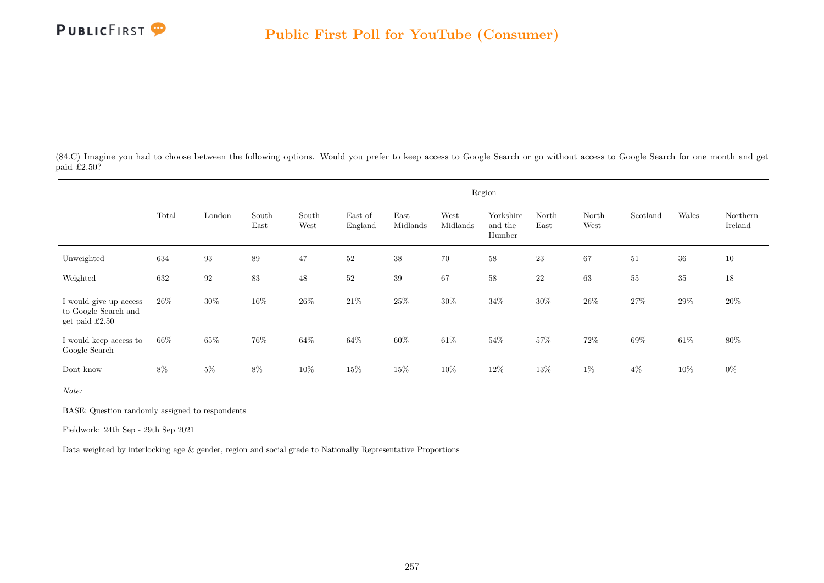

(84.C) Imagine you had to choose between the following options. Would you prefer to keep access to Google Search or go without access to Google Search for one month and get paid £2.50?

|                                                                    |       |        |               |               |                    |                  |                  | Region                         |               |               |          |        |                     |
|--------------------------------------------------------------------|-------|--------|---------------|---------------|--------------------|------------------|------------------|--------------------------------|---------------|---------------|----------|--------|---------------------|
|                                                                    | Total | London | South<br>East | South<br>West | East of<br>England | East<br>Midlands | West<br>Midlands | Yorkshire<br>and the<br>Humber | North<br>East | North<br>West | Scotland | Wales  | Northern<br>Ireland |
| Unweighted                                                         | 634   | 93     | 89            | 47            | 52                 | 38               | 70               | 58                             | 23            | 67            | 51       | 36     | 10                  |
| Weighted                                                           | 632   | 92     | $83\,$        | $48\,$        | $52\,$             | 39               | 67               | 58                             | $22\,$        | 63            | $55\,$   | $35\,$ | 18                  |
| I would give up access<br>to Google Search and<br>get paid $£2.50$ | 26\%  | $30\%$ | $16\%$        | $26\%$        | $21\%$             | $25\%$           | $30\%$           | $34\%$                         | $30\%$        | $26\%$        | 27%      | $29\%$ | $20\%$              |
| I would keep access to<br>Google Search                            | 66%   | 65%    | 76%           | 64%           | 64%                | 60%              | 61\%             | 54%                            | 57%           | 72\%          | 69%      | 61%    | 80%                 |
| Dont know                                                          | $8\%$ | $5\%$  | $8\%$         | $10\%$        | 15%                | $15\%$           | 10%              | $12\%$                         | 13%           | $1\%$         | $4\%$    | 10%    | $0\%$               |

Note:

BASE: Question randomly assigned to respondents

Fieldwork: 24th Sep - 29th Sep 2021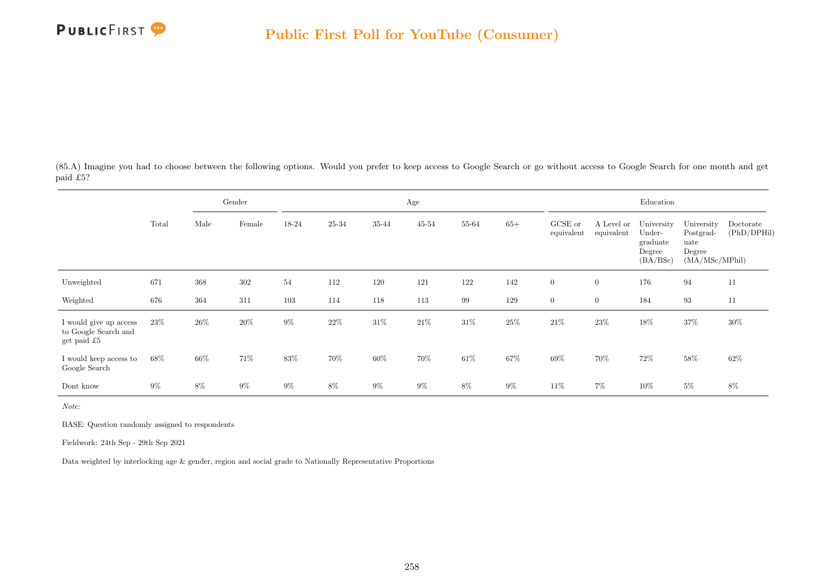

(85.A) Imagine you had to choose between the following options. Would you prefer to keep access to Google Search or go without access to Google Search for one month and get paid £5?

|                                                               |        |      | Gender |        |       |        | Age       |       |        |                       |                          | Education                                              |                                                             |                          |
|---------------------------------------------------------------|--------|------|--------|--------|-------|--------|-----------|-------|--------|-----------------------|--------------------------|--------------------------------------------------------|-------------------------------------------------------------|--------------------------|
|                                                               | Total  | Male | Female | 18-24  | 25-34 | 35-44  | $45 - 54$ | 55-64 | $65+$  | GCSE or<br>equivalent | A Level or<br>equivalent | University<br>Under-<br>graduate<br>Degree<br>(BA/BSc) | University<br>Postgrad-<br>uate<br>Degree<br>(MA/MSc/MPhil) | Doctorate<br>(PhD/DPHil) |
| Unweighted                                                    | 671    | 368  | 302    | 54     | 112   | 120    | 121       | 122   | 142    | $\boldsymbol{0}$      | $\boldsymbol{0}$         | 176                                                    | 94                                                          | 11                       |
| Weighted                                                      | 676    | 364  | 311    | 103    | 114   | 118    | 113       | 99    | 129    | $\overline{0}$        | $\boldsymbol{0}$         | 184                                                    | 93                                                          | 11                       |
| I would give up access<br>to Google Search and<br>get paid £5 | 23\%   | 26\% | 20%    | $9\%$  | 22\%  | 31%    | $21\%$    | 31\%  | $25\%$ | $21\%$                | 23\%                     | 18%                                                    | 37%                                                         | $30\%$                   |
| I would keep access to<br>Google Search                       | $68\%$ | 66%  | 71%    | $83\%$ | 70%   | $60\%$ | 70%       | 61\%  | $67\%$ | $69\%$                | 70%                      | 72%                                                    | $58\%$                                                      | 62%                      |
| Dont know                                                     | $9\%$  | 8%   | $9\%$  | $9\%$  | 8%    | 9%     | $9\%$     | $8\%$ | $9\%$  | 11%                   | 7%                       | 10%                                                    | $5\%$                                                       | 8%                       |

Note:

BASE: Question randomly assigned to respondents

Fieldwork: 24th Sep - 29th Sep 2021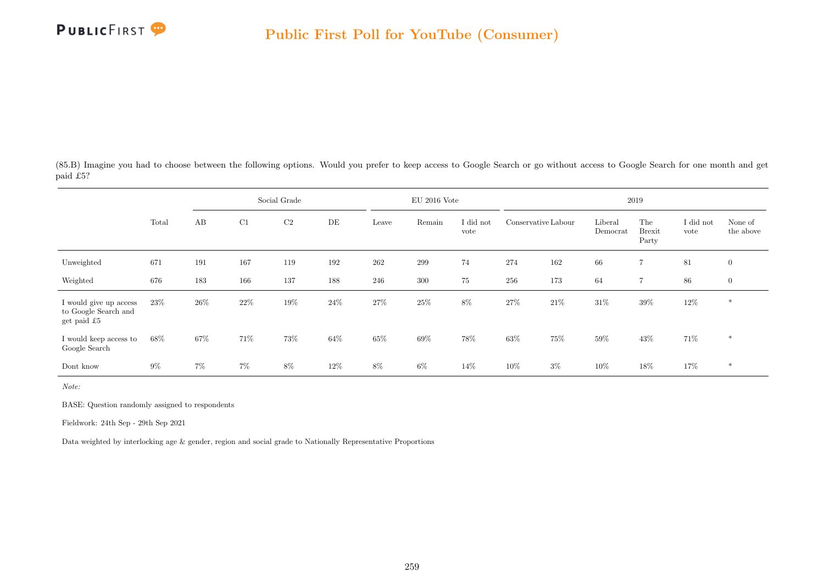

(85.B) Imagine you had to choose between the following options. Would you prefer to keep access to Google Search or go without access to Google Search for one month and get paid £5?

|                                                               |        |       |     | Social Grade |      |        | $EU$ 2016 Vote |                   |                     |       |                     | 2019                          |                   |                      |
|---------------------------------------------------------------|--------|-------|-----|--------------|------|--------|----------------|-------------------|---------------------|-------|---------------------|-------------------------------|-------------------|----------------------|
|                                                               | Total  | AB    | C1  | $\rm{C2}$    | DE   | Leave  | Remain         | I did not<br>vote | Conservative Labour |       | Liberal<br>Democrat | The<br><b>Brexit</b><br>Party | I did not<br>vote | None of<br>the above |
| Unweighted                                                    | 671    | 191   | 167 | 119          | 192  | 262    | 299            | 74                | 274                 | 162   | 66                  | $\overline{7}$                | 81                | $\overline{0}$       |
| Weighted                                                      | 676    | 183   | 166 | 137          | 188  | 246    | 300            | 75                | 256                 | 173   | 64                  | $\overline{7}$                | 86                | $\mathbf{0}$         |
| I would give up access<br>to Google Search and<br>get paid £5 | 23\%   | 26\%  | 22% | 19%          | 24\% | $27\%$ | 25%            | 8%                | 27%                 | 21\%  | 31%                 | $39\%$                        | 12\%              | $\ast$               |
| I would keep access to<br>Google Search                       | $68\%$ | 67%   | 71% | 73%          | 64\% | $65\%$ | $69\%$         | 78%               | 63%                 | 75%   | 59%                 | 43\%                          | 71%               | $*$                  |
| Dont know                                                     | $9\%$  | $7\%$ | 7%  | $8\%$        | 12%  | 8%     | $6\%$          | 14%               | 10%                 | $3\%$ | 10%                 | $18\%$                        | 17%               | $*$                  |

Note:

BASE: Question randomly assigned to respondents

Fieldwork: 24th Sep - 29th Sep 2021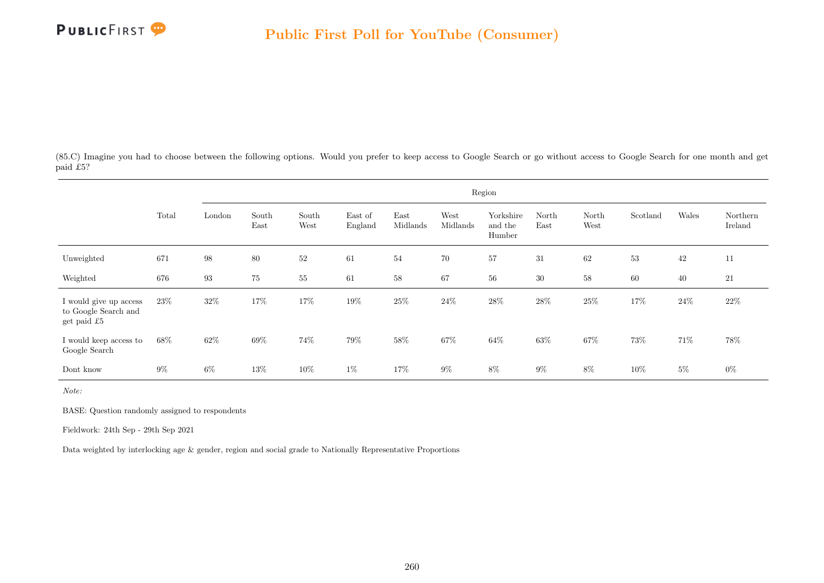

(85.C) Imagine you had to choose between the following options. Would you prefer to keep access to Google Search or go without access to Google Search for one month and get paid £5?

|                                                               |       |                   |               |               |                    |                  |                  | Region                         |               |               |          |        |                     |
|---------------------------------------------------------------|-------|-------------------|---------------|---------------|--------------------|------------------|------------------|--------------------------------|---------------|---------------|----------|--------|---------------------|
|                                                               | Total | London            | South<br>East | South<br>West | East of<br>England | East<br>Midlands | West<br>Midlands | Yorkshire<br>and the<br>Humber | North<br>East | North<br>West | Scotland | Wales  | Northern<br>Ireland |
| Unweighted                                                    | 671   | $\boldsymbol{98}$ | 80            | 52            | 61                 | 54               | 70               | 57                             | 31            | 62            | 53       | $42\,$ | 11                  |
| Weighted                                                      | 676   | $\boldsymbol{93}$ | $75\,$        | $55\,$        | 61                 | 58               | 67               | $56\,$                         | 30            | 58            | 60       | 40     | 21                  |
| I would give up access<br>to Google Search and<br>get paid £5 | 23\%  | $32\%$            | $17\%$        | $17\%$        | $19\%$             | $25\%$           | $24\%$           | $28\%$                         | $28\%$        | $25\%$        | $17\%$   | $24\%$ | $22\%$              |
| I would keep access to<br>Google Search                       | 68%   | 62%               | 69%           | 74%           | 79%                | 58%              | 67%              | 64\%                           | 63%           | 67%           | 73%      | 71\%   | 78%                 |
| Dont know                                                     | $9\%$ | $6\%$             | 13%           | $10\%$        | $1\%$              | 17%              | $9\%$            | 8%                             | $9\%$         | 8%            | 10%      | $5\%$  | $0\%$               |

Note:

BASE: Question randomly assigned to respondents

Fieldwork: 24th Sep - 29th Sep 2021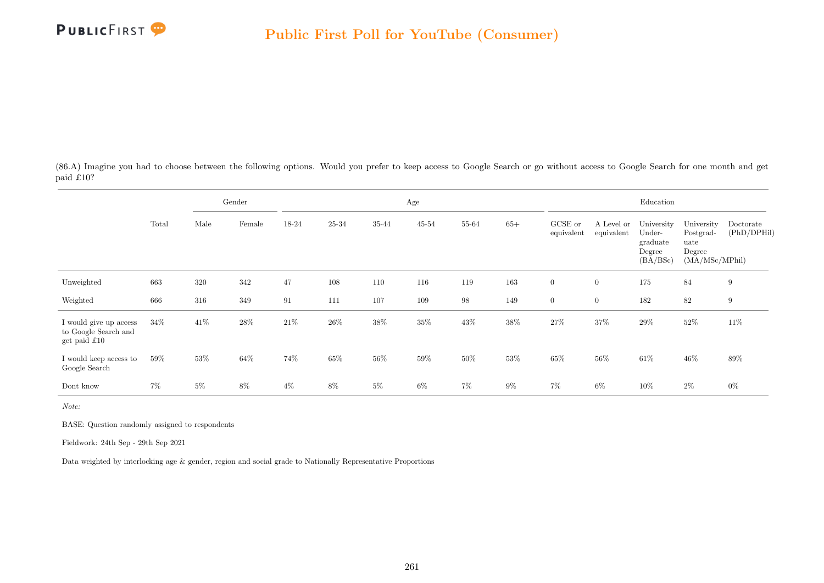

(86.A) Imagine you had to choose between the following options. Would you prefer to keep access to Google Search or go without access to Google Search for one month and get paid £10?

|                                                                  |        |       | Gender |        |       |       | Age       |       |        |                       |                          | Education                                              |                                                             |                          |
|------------------------------------------------------------------|--------|-------|--------|--------|-------|-------|-----------|-------|--------|-----------------------|--------------------------|--------------------------------------------------------|-------------------------------------------------------------|--------------------------|
|                                                                  | Total  | Male  | Female | 18-24  | 25-34 | 35-44 | $45 - 54$ | 55-64 | $65+$  | GCSE or<br>equivalent | A Level or<br>equivalent | University<br>Under-<br>graduate<br>Degree<br>(BA/BSc) | University<br>Postgrad-<br>uate<br>Degree<br>(MA/MSc/MPhil) | Doctorate<br>(PhD/DPHil) |
| Unweighted                                                       | 663    | 320   | 342    | 47     | 108   | 110   | 116       | 119   | 163    | $\boldsymbol{0}$      | $\boldsymbol{0}$         | 175                                                    | 84                                                          | $\boldsymbol{9}$         |
| Weighted                                                         | 666    | 316   | 349    | 91     | 111   | 107   | 109       | 98    | 149    | $\overline{0}$        | $\boldsymbol{0}$         | 182                                                    | 82                                                          | $\boldsymbol{9}$         |
| I would give up access<br>to Google Search and<br>get paid $£10$ | 34\%   | 41\%  | $28\%$ | $21\%$ | 26\%  | 38%   | $35\%$    | 43%   | $38\%$ | 27%                   | 37%                      | $29\%$                                                 | $52\%$                                                      | 11\%                     |
| I would keep access to<br>Google Search                          | $59\%$ | 53%   | 64%    | 74%    | 65%   | 56%   | $59\%$    | 50%   | $53\%$ | $65\%$                | $56\%$                   | $61\%$                                                 | $46\%$                                                      | 89%                      |
| Dont know                                                        | $7\%$  | $5\%$ | 8%     | $4\%$  | 8%    | 5%    | $6\%$     | $7\%$ | $9\%$  | $7\%$                 | 6%                       | 10%                                                    | $2\%$                                                       | $0\%$                    |

Note:

BASE: Question randomly assigned to respondents

Fieldwork: 24th Sep - 29th Sep 2021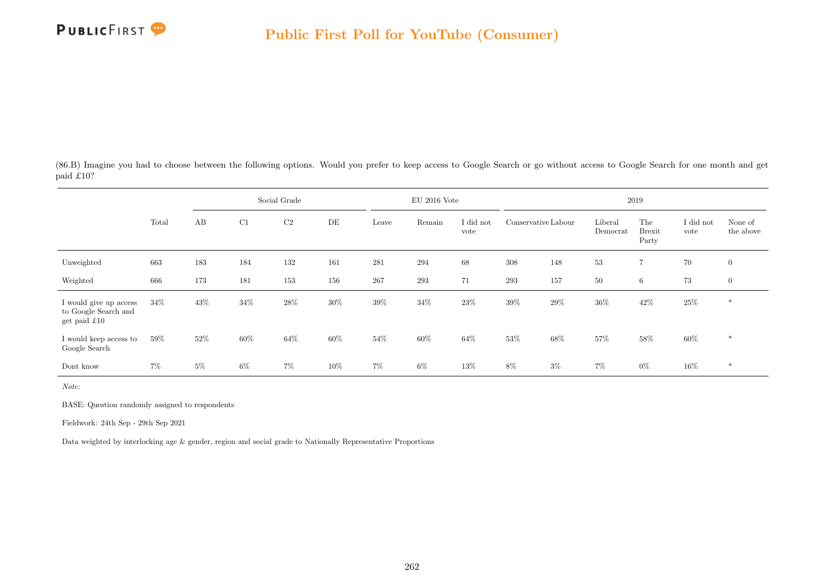

(86.B) Imagine you had to choose between the following options. Would you prefer to keep access to Google Search or go without access to Google Search for one month and get paid £10?

|                                                                        |        |       |        | Social Grade   |     |        | $EU$ 2016 Vote |                   |                     |        |                     | 2019                          |                   |                      |
|------------------------------------------------------------------------|--------|-------|--------|----------------|-----|--------|----------------|-------------------|---------------------|--------|---------------------|-------------------------------|-------------------|----------------------|
|                                                                        | Total  | AB    | C1     | C <sub>2</sub> | DE  | Leave  | Remain         | I did not<br>vote | Conservative Labour |        | Liberal<br>Democrat | The<br><b>Brexit</b><br>Party | I did not<br>vote | None of<br>the above |
| Unweighted                                                             | 663    | 183   | 184    | 132            | 161 | 281    | 294            | 68                | 308                 | 148    | 53                  | $\overline{7}$                | $70\,$            | $\mathbf{0}$         |
| Weighted                                                               | 666    | 173   | 181    | 153            | 156 | 267    | 293            | 71                | 293                 | 157    | 50                  | 6                             | 73                | $\mathbf{0}$         |
| I would give up access<br>to Google Search and<br>get paid $\pounds10$ | 34\%   | 43%   | $34\%$ | $28\%$         | 30% | $39\%$ | $34\%$         | 23%               | $39\%$              | $29\%$ | 36%                 | 42\%                          | $25\%$            | $\ast$               |
| I would keep access to<br>Google Search                                | $59\%$ | 52%   | 60%    | 64\%           | 60% | $54\%$ | $60\%$         | 64%               | 53%                 | 68%    | 57%                 | $58\%$                        | 60%               | $\ast$               |
| Dont know                                                              | 7%     | $5\%$ | $6\%$  | $7\%$          | 10% | 7%     | $6\%$          | 13%               | 8%                  | $3\%$  | 7%                  | $0\%$                         | $16\%$            | $*$                  |

Note:

BASE: Question randomly assigned to respondents

Fieldwork: 24th Sep - 29th Sep 2021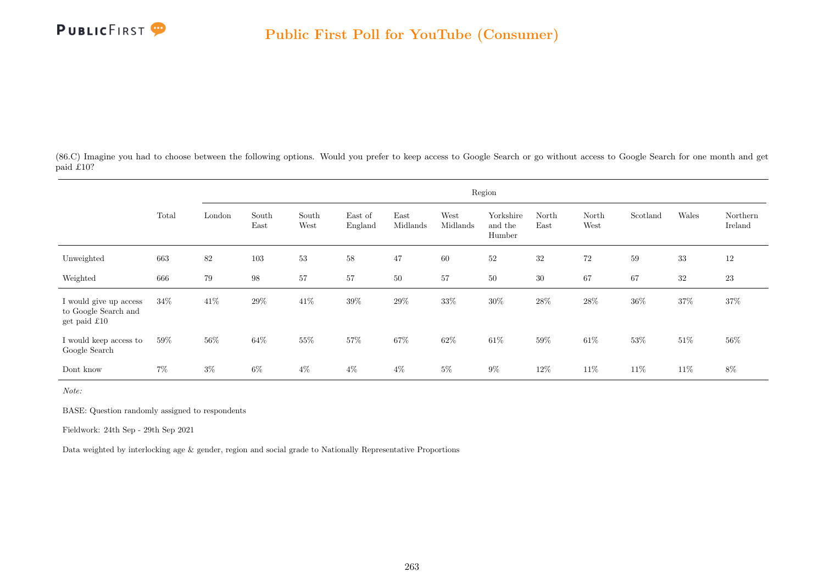

(86.C) Imagine you had to choose between the following options. Would you prefer to keep access to Google Search or go without access to Google Search for one month and get paid £10?

|                                                                |       |        |               |               |                    |                  |                  | Region                         |               |               |          |        |                     |
|----------------------------------------------------------------|-------|--------|---------------|---------------|--------------------|------------------|------------------|--------------------------------|---------------|---------------|----------|--------|---------------------|
|                                                                | Total | London | South<br>East | South<br>West | East of<br>England | East<br>Midlands | West<br>Midlands | Yorkshire<br>and the<br>Humber | North<br>East | North<br>West | Scotland | Wales  | Northern<br>Ireland |
| Unweighted                                                     | 663   | $82\,$ | 103           | $53\,$        | $58\,$             | 47               | 60               | $52\,$                         | $32\,$        | $72\,$        | 59       | $33\,$ | 12                  |
| Weighted                                                       | 666   | 79     | 98            | 57            | 57                 | 50               | 57               | 50                             | 30            | 67            | 67       | $32\,$ | 23                  |
| I would give up access<br>to Google Search and<br>get paid £10 | 34%   | $41\%$ | 29%           | $41\%$        | 39%                | $29\%$           | $33\%$           | $30\%$                         | $28\%$        | $28\%$        | $36\%$   | $37\%$ | $37\%$              |
| I would keep access to<br>Google Search                        | 59%   | 56%    | 64%           | 55%           | 57%                | $67\%$           | 62%              | 61\%                           | 59%           | $61\%$        | 53%      | $51\%$ | 56%                 |
| Dont know                                                      | $7\%$ | $3\%$  | $6\%$         | $4\%$         | $4\%$              | $4\%$            | $5\%$            | $9\%$                          | $12\%$        | 11\%          | 11\%     | $11\%$ | 8%                  |

Note:

BASE: Question randomly assigned to respondents

Fieldwork: 24th Sep - 29th Sep 2021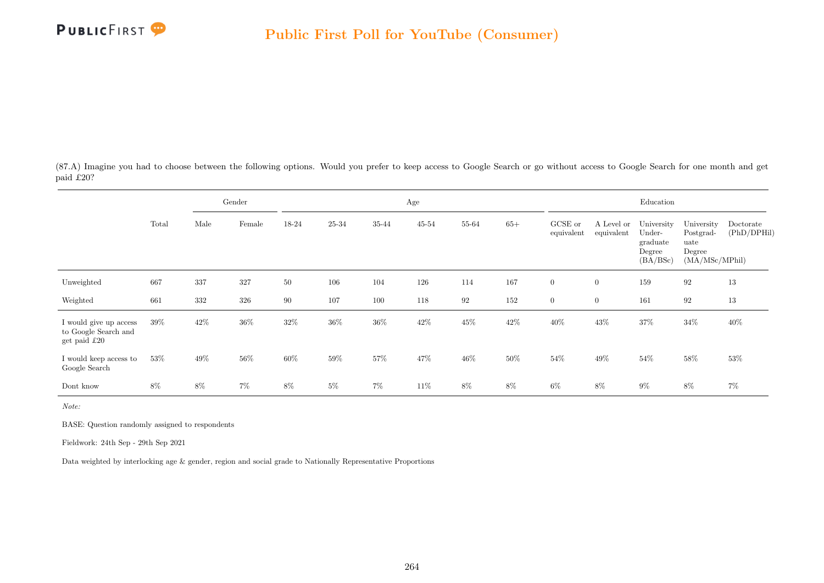

(87.A) Imagine you had to choose between the following options. Would you prefer to keep access to Google Search or go without access to Google Search for one month and get paid £20?

|                                                                |        |      | Gender |        |       |       | Age       |        |        |                       |                          | Education                                              |                                                             |                          |
|----------------------------------------------------------------|--------|------|--------|--------|-------|-------|-----------|--------|--------|-----------------------|--------------------------|--------------------------------------------------------|-------------------------------------------------------------|--------------------------|
|                                                                | Total  | Male | Female | 18-24  | 25-34 | 35-44 | $45 - 54$ | 55-64  | $65+$  | GCSE or<br>equivalent | A Level or<br>equivalent | University<br>Under-<br>graduate<br>Degree<br>(BA/BSc) | University<br>Postgrad-<br>uate<br>Degree<br>(MA/MSc/MPhil) | Doctorate<br>(PhD/DPHil) |
| Unweighted                                                     | 667    | 337  | 327    | $50\,$ | 106   | 104   | 126       | 114    | 167    | $\boldsymbol{0}$      | $\overline{0}$           | 159                                                    | 92                                                          | 13                       |
| Weighted                                                       | 661    | 332  | 326    | 90     | 107   | 100   | 118       | 92     | 152    | $\overline{0}$        | $\overline{0}$           | 161                                                    | 92                                                          | 13                       |
| I would give up access<br>to Google Search and<br>get paid £20 | $39\%$ | 42\% | 36%    | $32\%$ | 36%   | 36%   | $42\%$    | 45%    | $42\%$ | $40\%$                | 43%                      | $37\%$                                                 | $34\%$                                                      | 40%                      |
| I would keep access to<br>Google Search                        | 53%    | 49%  | 56%    | $60\%$ | 59%   | 57%   | 47%       | $46\%$ | $50\%$ | $54\%$                | $49\%$                   | $54\%$                                                 | $58\%$                                                      | 53%                      |
| Dont know                                                      | 8%     | 8%   | $7\%$  | $8\%$  | $5\%$ | $7\%$ | 11\%      | $8\%$  | 8%     | $6\%$                 | $8\%$                    | $9\%$                                                  | 8%                                                          | 7%                       |

Note:

BASE: Question randomly assigned to respondents

Fieldwork: 24th Sep - 29th Sep 2021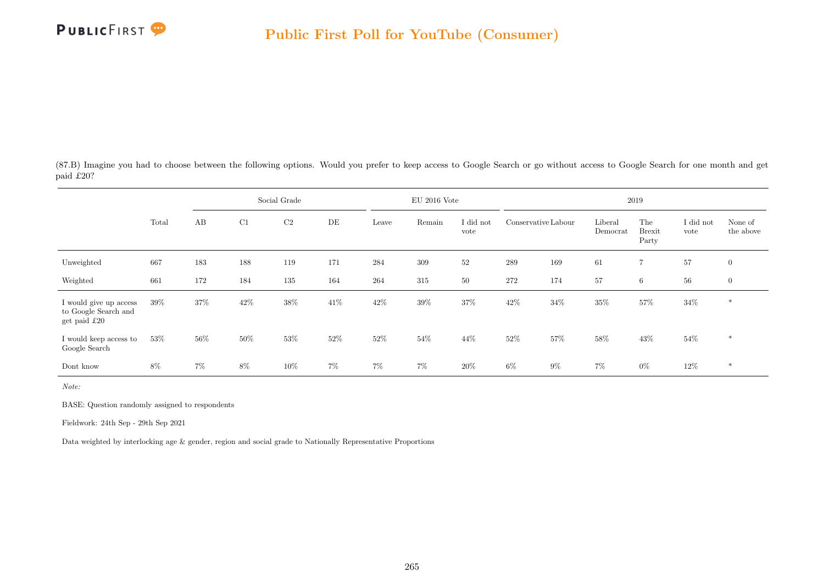

(87.B) Imagine you had to choose between the following options. Would you prefer to keep access to Google Search or go without access to Google Search for one month and get paid £20?

|                                                                         |        |       |        | Social Grade   |       |        | $EU$ 2016 Vote |                   |                     |        |                     | 2019                          |                   |                      |
|-------------------------------------------------------------------------|--------|-------|--------|----------------|-------|--------|----------------|-------------------|---------------------|--------|---------------------|-------------------------------|-------------------|----------------------|
|                                                                         | Total  | AB    | C1     | C <sub>2</sub> | DE    | Leave  | Remain         | I did not<br>vote | Conservative Labour |        | Liberal<br>Democrat | The<br><b>Brexit</b><br>Party | I did not<br>vote | None of<br>the above |
| Unweighted                                                              | 667    | 183   | 188    | 119            | 171   | 284    | 309            | 52                | $\,289$             | 169    | 61                  | $\overline{7}$                | 57                | $\overline{0}$       |
| Weighted                                                                | 661    | 172   | 184    | 135            | 164   | 264    | 315            | 50                | 272                 | 174    | 57                  | 6                             | 56                | $\mathbf{0}$         |
| I would give up access<br>to Google Search and<br>get paid $\pounds 20$ | 39%    | 37%   | $42\%$ | $38\%$         | 41\%  | $42\%$ | 39%            | 37%               | $42\%$              | $34\%$ | 35%                 | 57%                           | $34\%$            | $\ast$               |
| I would keep access to<br>Google Search                                 | $53\%$ | 56%   | $50\%$ | 53%            | 52%   | $52\%$ | 54\%           | 44%               | $52\%$              | 57%    | 58%                 | 43\%                          | $54\%$            | $\ast$               |
| Dont know                                                               | 8%     | $7\%$ | 8%     | 10%            | $7\%$ | 7%     | $7\%$          | 20%               | 6%                  | $9\%$  | 7%                  | $0\%$                         | $12\%$            | $*$                  |

Note:

BASE: Question randomly assigned to respondents

Fieldwork: 24th Sep - 29th Sep 2021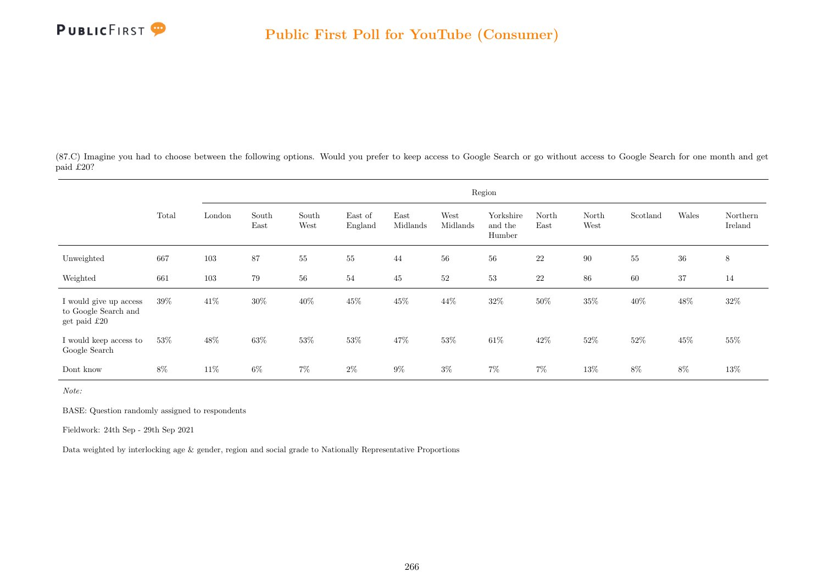

(87.C) Imagine you had to choose between the following options. Would you prefer to keep access to Google Search or go without access to Google Search for one month and get paid £20?

|                                                                |        |        |               |               |                    |                  |                  | Region                         |               |               |          |        |                     |
|----------------------------------------------------------------|--------|--------|---------------|---------------|--------------------|------------------|------------------|--------------------------------|---------------|---------------|----------|--------|---------------------|
|                                                                | Total  | London | South<br>East | South<br>West | East of<br>England | East<br>Midlands | West<br>Midlands | Yorkshire<br>and the<br>Humber | North<br>East | North<br>West | Scotland | Wales  | Northern<br>Ireland |
| Unweighted                                                     | 667    | 103    | 87            | 55            | 55                 | 44               | 56               | 56                             | $22\,$        | 90            | 55       | $36\,$ | $\,8\,$             |
| Weighted                                                       | 661    | 103    | 79            | 56            | 54                 | 45               | 52               | 53                             | $22\,$        | 86            | 60       | 37     | 14                  |
| I would give up access<br>to Google Search and<br>get paid £20 | $39\%$ | $41\%$ | 30%           | 40\%          | 45%                | $45\%$           | 44%              | $32\%$                         | 50%           | $35\%$        | 40%      | $48\%$ | $32\%$              |
| I would keep access to<br>Google Search                        | 53%    | 48%    | 63%           | 53%           | 53%                | 47%              | 53%              | $61\%$                         | 42\%          | 52\%          | 52%      | 45%    | 55%                 |
| Dont know                                                      | $8\%$  | 11\%   | $6\%$         | $7\%$         | $2\%$              | $9\%$            | $3\%$            | $7\%$                          | $7\%$         | 13%           | $8\%$    | $8\%$  | $13\%$              |

Note:

BASE: Question randomly assigned to respondents

Fieldwork: 24th Sep - 29th Sep 2021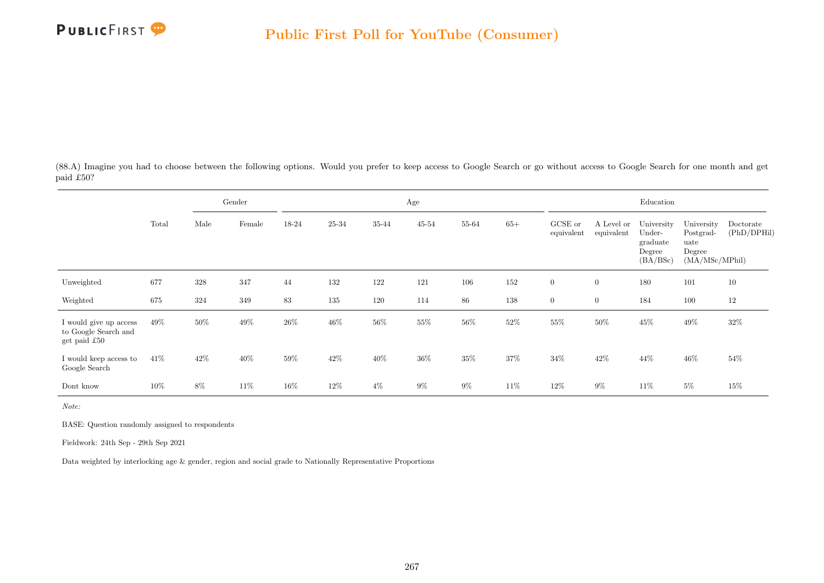

(88.A) Imagine you had to choose between the following options. Would you prefer to keep access to Google Search or go without access to Google Search for one month and get paid £50?

|                                                                |        |        | Gender |        |        |        | Age       |        |        |                       |                          | Education                                              |                                                             |                          |
|----------------------------------------------------------------|--------|--------|--------|--------|--------|--------|-----------|--------|--------|-----------------------|--------------------------|--------------------------------------------------------|-------------------------------------------------------------|--------------------------|
|                                                                | Total  | Male   | Female | 18-24  | 25-34  | 35-44  | $45 - 54$ | 55-64  | $65+$  | GCSE or<br>equivalent | A Level or<br>equivalent | University<br>Under-<br>graduate<br>Degree<br>(BA/BSc) | University<br>Postgrad-<br>uate<br>Degree<br>(MA/MSc/MPhil) | Doctorate<br>(PhD/DPHil) |
| Unweighted                                                     | 677    | 328    | 347    | 44     | 132    | 122    | 121       | 106    | 152    | $\boldsymbol{0}$      | $\overline{0}$           | 180                                                    | 101                                                         | 10                       |
| Weighted                                                       | 675    | 324    | 349    | 83     | 135    | 120    | 114       | 86     | 138    | $\overline{0}$        | $\overline{0}$           | 184                                                    | 100                                                         | 12                       |
| I would give up access<br>to Google Search and<br>get paid £50 | 49%    | $50\%$ | 49%    | $26\%$ | $46\%$ | $56\%$ | $55\%$    | $56\%$ | $52\%$ | $55\%$                | $50\%$                   | $45\%$                                                 | $49\%$                                                      | 32%                      |
| I would keep access to<br>Google Search                        | 41\%   | 42%    | $40\%$ | 59%    | 42\%   | 40%    | 36%       | $35\%$ | 37%    | 34%                   | 42\%                     | 44%                                                    | 46%                                                         | 54%                      |
| Dont know                                                      | $10\%$ | 8%     | 11\%   | $16\%$ | 12%    | $4\%$  | $9\%$     | $9\%$  | 11%    | 12%                   | $9\%$                    | 11\%                                                   | $5\%$                                                       | 15%                      |

Note:

BASE: Question randomly assigned to respondents

Fieldwork: 24th Sep - 29th Sep 2021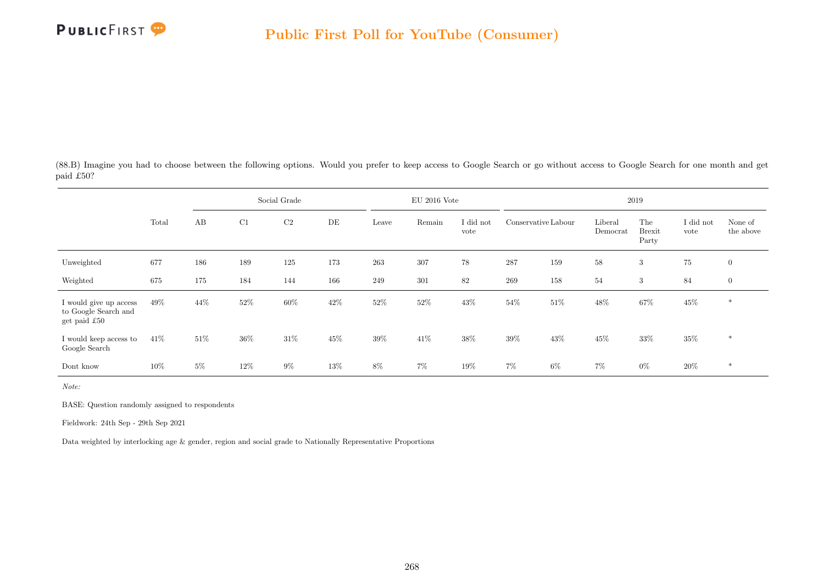

(88.B) Imagine you had to choose between the following options. Would you prefer to keep access to Google Search or go without access to Google Search for one month and get paid £50?

|                                                                         |       |       |        | Social Grade   |     |        | $EU$ 2016 Vote |                   |                     |        |                     | 2019                          |                   |                      |
|-------------------------------------------------------------------------|-------|-------|--------|----------------|-----|--------|----------------|-------------------|---------------------|--------|---------------------|-------------------------------|-------------------|----------------------|
|                                                                         | Total | AB    | C1     | C <sub>2</sub> | DE  | Leave  | Remain         | I did not<br>vote | Conservative Labour |        | Liberal<br>Democrat | The<br><b>Brexit</b><br>Party | I did not<br>vote | None of<br>the above |
| Unweighted                                                              | 677   | 186   | 189    | 125            | 173 | 263    | 307            | 78                | 287                 | 159    | 58                  | 3                             | $75\,$            | $\overline{0}$       |
| Weighted                                                                | 675   | 175   | 184    | 144            | 166 | 249    | 301            | 82                | 269                 | 158    | 54                  | 3                             | 84                | $\mathbf{0}$         |
| I would give up access<br>to Google Search and<br>get paid $\pounds 50$ | 49%   | 44\%  | $52\%$ | $60\%$         | 42% | $52\%$ | $52\%$         | 43%               | $54\%$              | $51\%$ | 48%                 | $67\%$                        | $45\%$            | $\ast$               |
| I would keep access to<br>Google Search                                 | 41%   | 51\%  | 36%    | 31\%           | 45% | 39%    | 41\%           | 38%               | 39%                 | 43\%   | 45%                 | 33%                           | 35%               | $\ast$               |
| Dont know                                                               | 10%   | $5\%$ | 12%    | $9\%$          | 13% | 8%     | $7\%$          | 19%               | 7%                  | $6\%$  | 7%                  | $0\%$                         | 20%               | $*$                  |

Note:

BASE: Question randomly assigned to respondents

Fieldwork: 24th Sep - 29th Sep 2021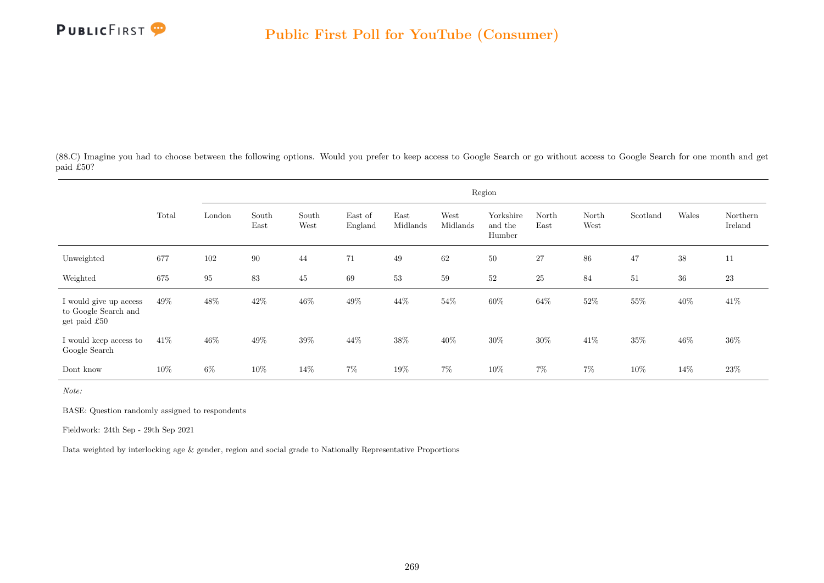

(88.C) Imagine you had to choose between the following options. Would you prefer to keep access to Google Search or go without access to Google Search for one month and get paid £50?

|                                                                |        |        |               |               |                    |                  |                  | Region                         |               |               |          |        |                     |
|----------------------------------------------------------------|--------|--------|---------------|---------------|--------------------|------------------|------------------|--------------------------------|---------------|---------------|----------|--------|---------------------|
|                                                                | Total  | London | South<br>East | South<br>West | East of<br>England | East<br>Midlands | West<br>Midlands | Yorkshire<br>and the<br>Humber | North<br>East | North<br>West | Scotland | Wales  | Northern<br>Ireland |
| Unweighted                                                     | 677    | 102    | $90\,$        | 44            | 71                 | 49               | 62               | 50                             | 27            | 86            | 47       | $38\,$ | 11                  |
| Weighted                                                       | 675    | 95     | 83            | 45            | 69                 | 53               | 59               | 52                             | 25            | 84            | 51       | $36\,$ | 23                  |
| I would give up access<br>to Google Search and<br>get paid £50 | 49%    | $48\%$ | 42\%          | $46\%$        | 49%                | $44\%$           | $54\%$           | $60\%$                         | 64%           | $52\%$        | 55%      | $40\%$ | 41\%                |
| I would keep access to<br>Google Search                        | 41\%   | 46%    | 49%           | $39\%$        | 44%                | 38%              | 40%              | 30%                            | 30%           | $41\%$        | 35%      | 46%    | $36\%$              |
| Dont know                                                      | $10\%$ | $6\%$  | 10%           | 14\%          | $7\%$              | 19%              | $7\%$            | 10%                            | $7\%$         | $7\%$         | 10%      | 14%    | 23\%                |

Note:

BASE: Question randomly assigned to respondents

Fieldwork: 24th Sep - 29th Sep 2021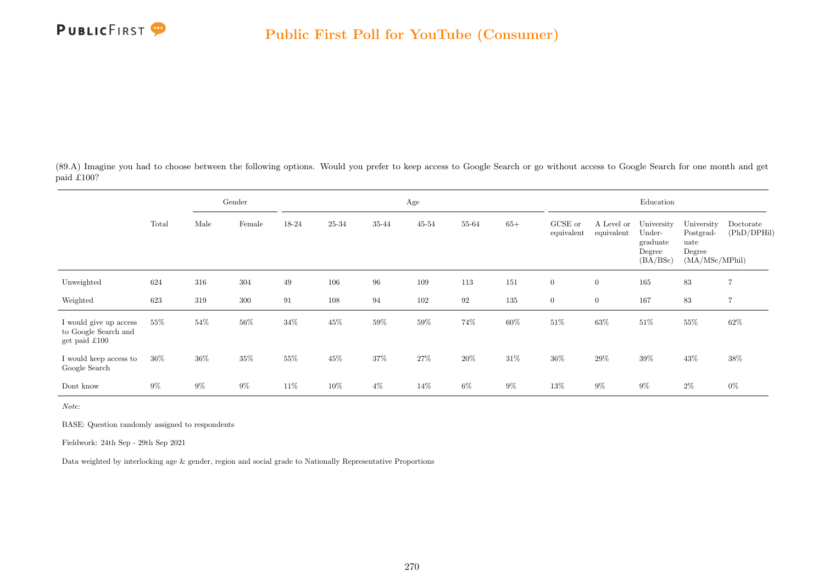

(89.A) Imagine you had to choose between the following options. Would you prefer to keep access to Google Search or go without access to Google Search for one month and get paid £100?

|                                                                         |        |       | Gender |        |        |        | Age       |        |        |                       |                          | Education                                              |                                                             |                          |
|-------------------------------------------------------------------------|--------|-------|--------|--------|--------|--------|-----------|--------|--------|-----------------------|--------------------------|--------------------------------------------------------|-------------------------------------------------------------|--------------------------|
|                                                                         | Total  | Male  | Female | 18-24  | 25-34  | 35-44  | $45 - 54$ | 55-64  | $65+$  | GCSE or<br>equivalent | A Level or<br>equivalent | University<br>Under-<br>graduate<br>Degree<br>(BA/BSc) | University<br>Postgrad-<br>uate<br>Degree<br>(MA/MSc/MPhil) | Doctorate<br>(PhD/DPHil) |
| Unweighted                                                              | 624    | 316   | 304    | 49     | 106    | 96     | 109       | 113    | 151    | $\overline{0}$        | $\overline{0}$           | 165                                                    | 83                                                          | $\overline{7}$           |
| Weighted                                                                | 623    | 319   | 300    | 91     | 108    | 94     | 102       | 92     | 135    | $\overline{0}$        | $\overline{0}$           | 167                                                    | 83                                                          | $\overline{7}$           |
| I would give up access<br>to Google Search and<br>get paid $\pounds100$ | 55%    | 54%   | $56\%$ | $34\%$ | 45%    | $59\%$ | $59\%$    | 74%    | $60\%$ | $51\%$                | $63\%$                   | $51\%$                                                 | $55\%$                                                      | $62\%$                   |
| I would keep access to<br>Google Search                                 | $36\%$ | 36%   | $35\%$ | $55\%$ | $45\%$ | $37\%$ | $27\%$    | $20\%$ | $31\%$ | $36\%$                | $29\%$                   | $39\%$                                                 | $43\%$                                                      | $38\%$                   |
| Dont know                                                               | $9\%$  | $9\%$ | $9\%$  | 11\%   | 10%    | $4\%$  | 14\%      | $6\%$  | $9\%$  | 13%                   | $9\%$                    | $9\%$                                                  | $2\%$                                                       | $0\%$                    |

Note:

BASE: Question randomly assigned to respondents

Fieldwork: 24th Sep - 29th Sep 2021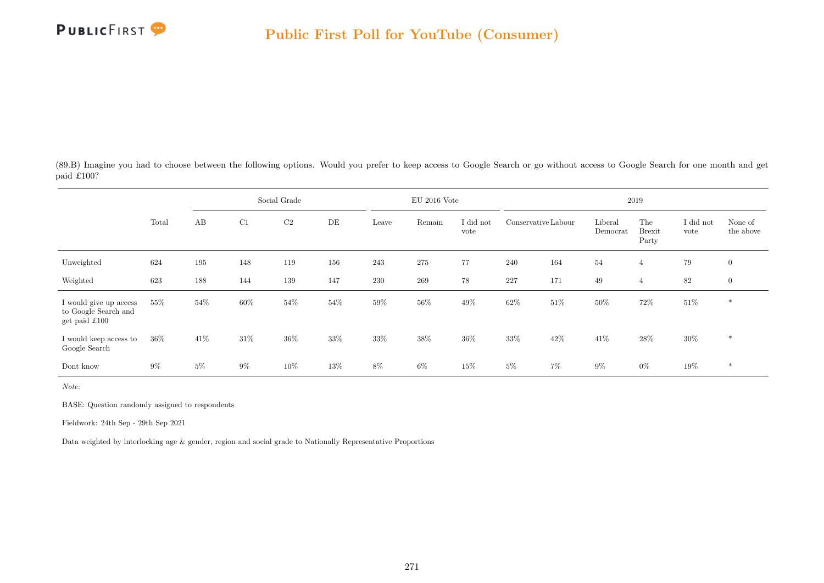

(89.B) Imagine you had to choose between the following options. Would you prefer to keep access to Google Search or go without access to Google Search for one month and get paid £100?

|                                                                         |        |       |        | Social Grade |        |        | $EU$ 2016 Vote |                   |                     |        |                     | 2019                          |                   |                      |
|-------------------------------------------------------------------------|--------|-------|--------|--------------|--------|--------|----------------|-------------------|---------------------|--------|---------------------|-------------------------------|-------------------|----------------------|
|                                                                         | Total  | AB    | C1     | $\rm{C2}$    | DE     | Leave  | Remain         | I did not<br>vote | Conservative Labour |        | Liberal<br>Democrat | The<br><b>Brexit</b><br>Party | I did not<br>vote | None of<br>the above |
| Unweighted                                                              | 624    | 195   | 148    | 119          | 156    | 243    | 275            | 77                | 240                 | 164    | 54                  | $\overline{4}$                | $79\,$            | $\overline{0}$       |
| Weighted                                                                | 623    | 188   | 144    | 139          | 147    | 230    | 269            | 78                | 227                 | 171    | 49                  | $\overline{4}$                | 82                | $\overline{0}$       |
| I would give up access<br>to Google Search and<br>get paid $\pounds100$ | $55\%$ | 54%   | $60\%$ | $54\%$       | $54\%$ | $59\%$ | $56\%$         | $49\%$            | $62\%$              | $51\%$ | $50\%$              | $72\%$                        | $51\%$            | $\ast$               |
| I would keep access to<br>Google Search                                 | 36%    | 41\%  | 31\%   | 36%          | 33%    | $33\%$ | 38%            | 36%               | 33%                 | 42\%   | 41\%                | 28\%                          | 30%               | $\ast$               |
| Dont know                                                               | $9\%$  | $5\%$ | $9\%$  | 10%          | 13%    | 8%     | 6%             | 15%               | $5\%$               | 7%     | $9\%$               | $0\%$                         | $19\%$            | $\ast$               |

Note:

BASE: Question randomly assigned to respondents

Fieldwork: 24th Sep - 29th Sep 2021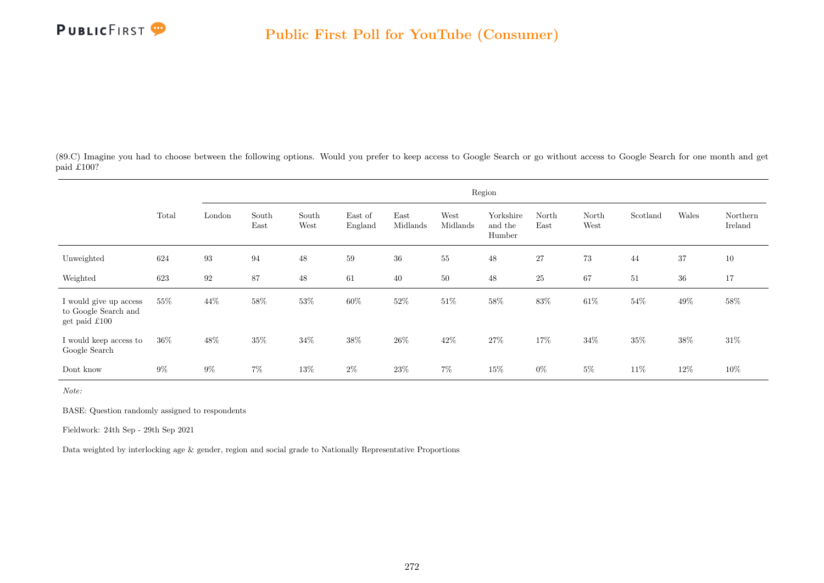

(89.C) Imagine you had to choose between the following options. Would you prefer to keep access to Google Search or go without access to Google Search for one month and get paid £100?

|                                                                 |       |                   |               |               |                    |                  |                  | Region                         |               |               |          |        |                     |
|-----------------------------------------------------------------|-------|-------------------|---------------|---------------|--------------------|------------------|------------------|--------------------------------|---------------|---------------|----------|--------|---------------------|
|                                                                 | Total | London            | South<br>East | South<br>West | East of<br>England | East<br>Midlands | West<br>Midlands | Yorkshire<br>and the<br>Humber | North<br>East | North<br>West | Scotland | Wales  | Northern<br>Ireland |
| Unweighted                                                      | 624   | $\boldsymbol{93}$ | 94            | $48\,$        | 59                 | $36\,$           | 55               | $48\,$                         | 27            | 73            | 44       | 37     | $10\,$              |
| Weighted                                                        | 623   | 92                | 87            | 48            | 61                 | 40               | $50\,$           | 48                             | <b>25</b>     | 67            | 51       | $36\,$ | 17                  |
| I would give up access<br>to Google Search and<br>get paid £100 | 55%   | 44\%              | 58\%          | $53\%$        | 60%                | $52\%$           | $51\%$           | $58\%$                         | $83\%$        | $61\%$        | $54\%$   | $49\%$ | 58%                 |
| I would keep access to<br>Google Search                         | 36\%  | 48%               | 35%           | 34%           | 38%                | 26\%             | 42\%             | 27%                            | 17%           | 34%           | 35%      | 38%    | $31\%$              |
| Dont know                                                       | $9\%$ | $9\%$             | $7\%$         | 13%           | $2\%$              | $23\%$           | $7\%$            | $15\%$                         | $0\%$         | $5\%$         | 11\%     | 12\%   | $10\%$              |

Note:

BASE: Question randomly assigned to respondents

Fieldwork: 24th Sep - 29th Sep 2021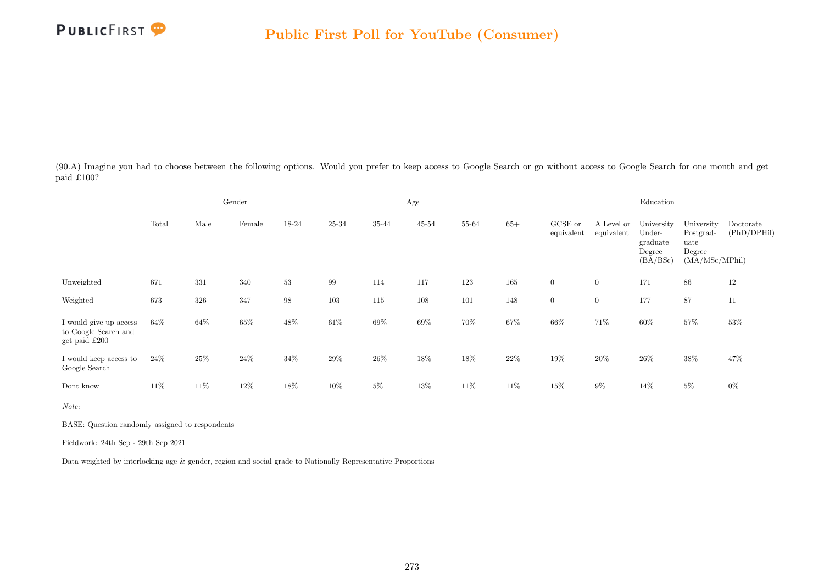

(90.A) Imagine you had to choose between the following options. Would you prefer to keep access to Google Search or go without access to Google Search for one month and get paid £100?

|                                                                 |        |      | Gender |        |        |        | Age       |       |        |                       |                          | Education                                              |                                                             |                          |
|-----------------------------------------------------------------|--------|------|--------|--------|--------|--------|-----------|-------|--------|-----------------------|--------------------------|--------------------------------------------------------|-------------------------------------------------------------|--------------------------|
|                                                                 | Total  | Male | Female | 18-24  | 25-34  | 35-44  | $45 - 54$ | 55-64 | $65+$  | GCSE or<br>equivalent | A Level or<br>equivalent | University<br>Under-<br>graduate<br>Degree<br>(BA/BSc) | University<br>Postgrad-<br>uate<br>Degree<br>(MA/MSc/MPhil) | Doctorate<br>(PhD/DPHil) |
| Unweighted                                                      | 671    | 331  | 340    | 53     | 99     | 114    | 117       | 123   | 165    | $\overline{0}$        | $\overline{0}$           | 171                                                    | 86                                                          | 12                       |
| Weighted                                                        | 673    | 326  | 347    | 98     | 103    | 115    | 108       | 101   | 148    | $\overline{0}$        | $\overline{0}$           | 177                                                    | 87                                                          | 11                       |
| I would give up access<br>to Google Search and<br>get paid £200 | $64\%$ | 64\% | 65%    | 48\%   | $61\%$ | $69\%$ | $69\%$    | 70%   | $67\%$ | 66%                   | 71%                      | $60\%$                                                 | 57%                                                         | 53%                      |
| I would keep access to<br>Google Search                         | $24\%$ | 25\% | $24\%$ | $34\%$ | $29\%$ | $26\%$ | $18\%$    | 18%   | $22\%$ | $19\%$                | $20\%$                   | $26\%$                                                 | $38\%$                                                      | 47%                      |
| Dont know                                                       | 11\%   | 11\% | $12\%$ | 18%    | 10%    | $5\%$  | 13%       | 11%   | 11%    | 15%                   | $9\%$                    | 14%                                                    | $5\%$                                                       | $0\%$                    |

Note:

BASE: Question randomly assigned to respondents

Fieldwork: 24th Sep - 29th Sep 2021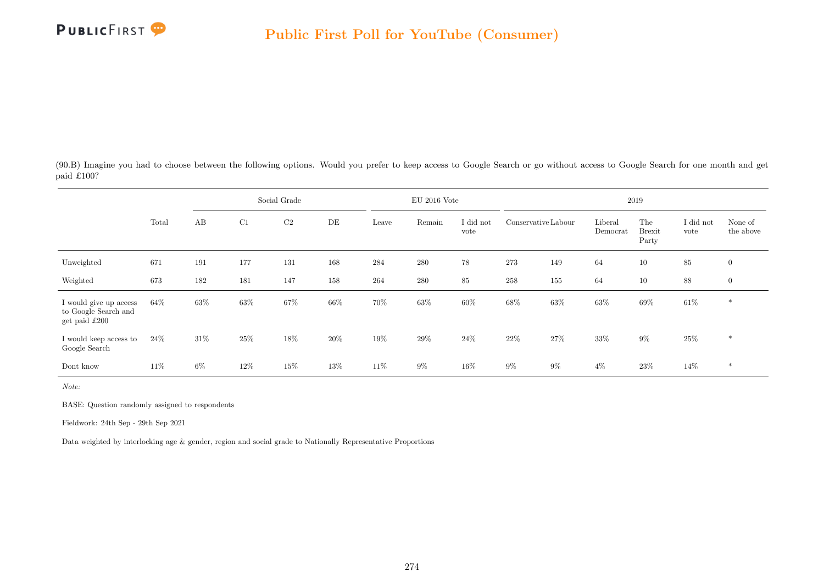

(90.B) Imagine you had to choose between the following options. Would you prefer to keep access to Google Search or go without access to Google Search for one month and get paid £100?

|                                                                 |        |       |        | Social Grade |     |        | $EU$ 2016 Vote |                   |                     |        |                     | 2019                          |                   |                      |
|-----------------------------------------------------------------|--------|-------|--------|--------------|-----|--------|----------------|-------------------|---------------------|--------|---------------------|-------------------------------|-------------------|----------------------|
|                                                                 | Total  | AB    | C1     | $\rm{C2}$    | DE  | Leave  | Remain         | I did not<br>vote | Conservative Labour |        | Liberal<br>Democrat | The<br><b>Brexit</b><br>Party | I did not<br>vote | None of<br>the above |
| Unweighted                                                      | 671    | 191   | 177    | 131          | 168 | 284    | 280            | 78                | 273                 | 149    | 64                  | 10                            | 85                | $\overline{0}$       |
| Weighted                                                        | 673    | 182   | 181    | 147          | 158 | 264    | 280            | 85                | 258                 | 155    | 64                  | 10                            | 88                | $\overline{0}$       |
| I would give up access<br>to Google Search and<br>get paid £200 | $64\%$ | 63%   | $63\%$ | $67\%$       | 66% | $70\%$ | $63\%$         | $60\%$            | 68%                 | $63\%$ | $63\%$              | $69\%$                        | $61\%$            | $\ast$               |
| I would keep access to<br>Google Search                         | 24\%   | 31\%  | 25%    | 18%          | 20% | $19\%$ | $29\%$         | 24\%              | $22\%$              | 27%    | 33%                 | $9\%$                         | $25\%$            | $\ast$               |
| Dont know                                                       | $11\%$ | $6\%$ | 12%    | 15%          | 13% | $11\%$ | $9\%$          | 16%               | $9\%$               | $9\%$  | $4\%$               | $23\%$                        | 14\%              | $*$                  |

Note:

BASE: Question randomly assigned to respondents

Fieldwork: 24th Sep - 29th Sep 2021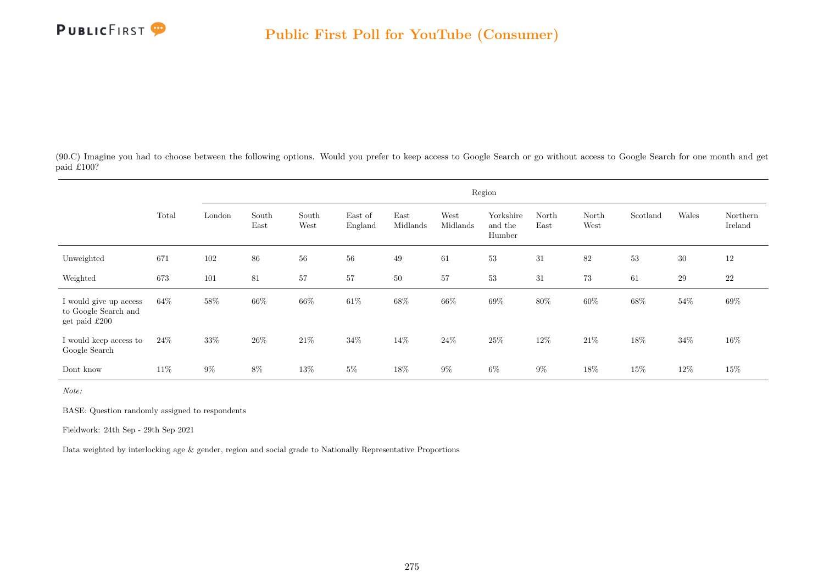

(90.C) Imagine you had to choose between the following options. Would you prefer to keep access to Google Search or go without access to Google Search for one month and get paid £100?

|                                                                 |        |        |               |               |                    |                  |                  | Region                         |               |               |          |        |                     |
|-----------------------------------------------------------------|--------|--------|---------------|---------------|--------------------|------------------|------------------|--------------------------------|---------------|---------------|----------|--------|---------------------|
|                                                                 | Total  | London | South<br>East | South<br>West | East of<br>England | East<br>Midlands | West<br>Midlands | Yorkshire<br>and the<br>Humber | North<br>East | North<br>West | Scotland | Wales  | Northern<br>Ireland |
| Unweighted                                                      | 671    | 102    | 86            | 56            | 56                 | 49               | 61               | 53                             | 31            | 82            | 53       | $30\,$ | 12                  |
| Weighted                                                        | 673    | 101    | 81            | 57            | 57                 | 50               | 57               | 53                             | 31            | 73            | 61       | 29     | $22\,$              |
| I would give up access<br>to Google Search and<br>get paid £200 | 64\%   | 58%    | 66%           | 66\%          | 61\%               | $68\%$           | 66%              | $69\%$                         | $80\%$        | $60\%$        | 68%      | 54%    | 69%                 |
| I would keep access to<br>Google Search                         | 24\%   | 33%    | 26%           | $21\%$        | 34%                | 14%              | 24\%             | 25%                            | 12%           | 21%           | 18%      | $34\%$ | $16\%$              |
| Dont know                                                       | $11\%$ | $9\%$  | $8\%$         | 13\%          | $5\%$              | 18%              | $9\%$            | $6\%$                          | $9\%$         | 18%           | 15%      | 12%    | $15\%$              |

Note:

BASE: Question randomly assigned to respondents

Fieldwork: 24th Sep - 29th Sep 2021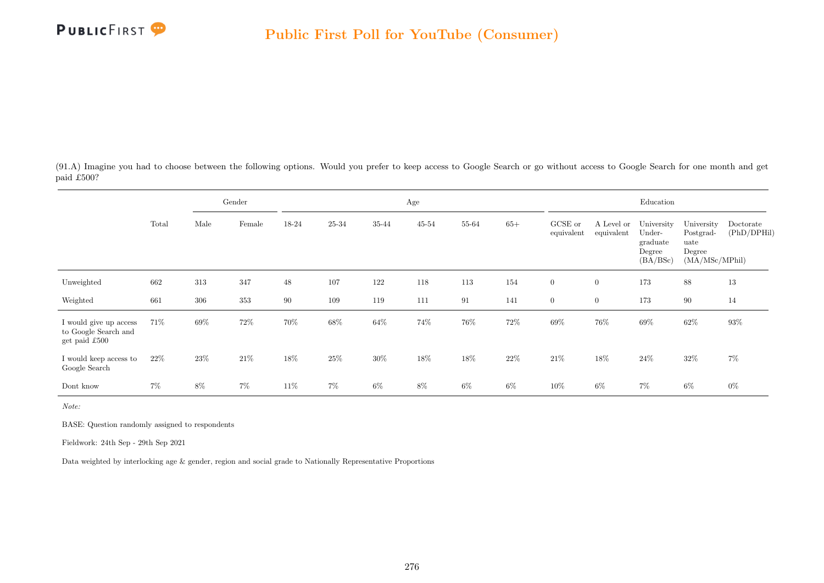

(91.A) Imagine you had to choose between the following options. Would you prefer to keep access to Google Search or go without access to Google Search for one month and get paid £500?

|                                                                   |       |      | Gender |       |       |        | Age       |       |        |                       |                          | Education                                              |                                                             |                          |
|-------------------------------------------------------------------|-------|------|--------|-------|-------|--------|-----------|-------|--------|-----------------------|--------------------------|--------------------------------------------------------|-------------------------------------------------------------|--------------------------|
|                                                                   | Total | Male | Female | 18-24 | 25-34 | 35-44  | $45 - 54$ | 55-64 | $65+$  | GCSE or<br>equivalent | A Level or<br>equivalent | University<br>Under-<br>graduate<br>Degree<br>(BA/BSc) | University<br>Postgrad-<br>uate<br>Degree<br>(MA/MSc/MPhil) | Doctorate<br>(PhD/DPHil) |
| Unweighted                                                        | 662   | 313  | 347    | 48    | 107   | 122    | 118       | 113   | 154    | $\boldsymbol{0}$      | $\overline{0}$           | 173                                                    | 88                                                          | 13                       |
| Weighted                                                          | 661   | 306  | 353    | 90    | 109   | 119    | 111       | 91    | 141    | $\overline{0}$        | $\overline{0}$           | 173                                                    | 90                                                          | 14                       |
| I would give up access<br>to Google Search and<br>get paid $£500$ | 71\%  | 69%  | 72%    | 70%   | 68%   | $64\%$ | 74%       | 76%   | 72\%   | $69\%$                | 76%                      | $69\%$                                                 | $62\%$                                                      | $93\%$                   |
| I would keep access to<br>Google Search                           | 22\%  | 23%  | 21\%   | 18%   | 25%   | $30\%$ | 18%       | 18%   | $22\%$ | $21\%$                | 18%                      | 24\%                                                   | $32\%$                                                      | 7%                       |
| Dont know                                                         | $7\%$ | 8%   | $7\%$  | 11%   | $7\%$ | 6%     | $8\%$     | $6\%$ | $6\%$  | 10%                   | $6\%$                    | $7\%$                                                  | $6\%$                                                       | $0\%$                    |

Note:

BASE: Question randomly assigned to respondents

Fieldwork: 24th Sep - 29th Sep 2021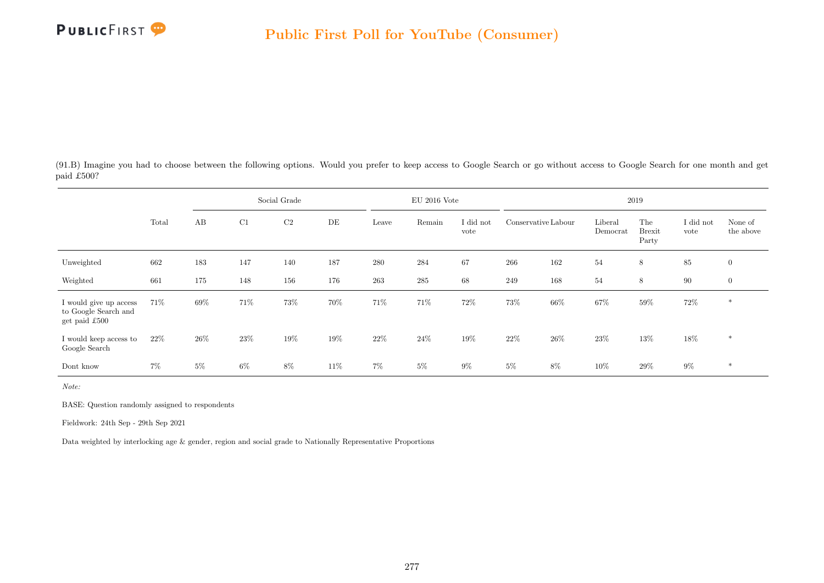

(91.B) Imagine you had to choose between the following options. Would you prefer to keep access to Google Search or go without access to Google Search for one month and get paid £500?

|                                                                 |       |       |        | Social Grade |     |       | $EU$ 2016 Vote |                   |                     |        |                     | 2019                          |                   |                      |
|-----------------------------------------------------------------|-------|-------|--------|--------------|-----|-------|----------------|-------------------|---------------------|--------|---------------------|-------------------------------|-------------------|----------------------|
|                                                                 | Total | AB    | C1     | $\rm{C2}$    | DE  | Leave | Remain         | I did not<br>vote | Conservative Labour |        | Liberal<br>Democrat | The<br><b>Brexit</b><br>Party | I did not<br>vote | None of<br>the above |
| Unweighted                                                      | 662   | 183   | 147    | 140          | 187 | 280   | 284            | 67                | 266                 | 162    | 54                  | 8                             | 85                | $\overline{0}$       |
| Weighted                                                        | 661   | 175   | 148    | 156          | 176 | 263   | $285\,$        | 68                | 249                 | 168    | 54                  | 8                             | 90                | $\mathbf{0}$         |
| I would give up access<br>to Google Search and<br>get paid £500 | 71\%  | 69%   | 71%    | 73%          | 70% | 71%   | 71\%           | 72%               | 73%                 | 66%    | 67%                 | $59\%$                        | 72\%              | $\ast$               |
| I would keep access to<br>Google Search                         | 22\%  | 26%   | $23\%$ | 19%          | 19% | 22\%  | $24\%$         | 19%               | 22\%                | $26\%$ | 23\%                | $13\%$                        | 18%               | $*$                  |
| Dont know                                                       | 7%    | $5\%$ | $6\%$  | $8\%$        | 11% | 7%    | $5\%$          | $9\%$             | $5\%$               | $8\%$  | 10%                 | $29\%$                        | $9\%$             | $*$                  |

Note:

BASE: Question randomly assigned to respondents

Fieldwork: 24th Sep - 29th Sep 2021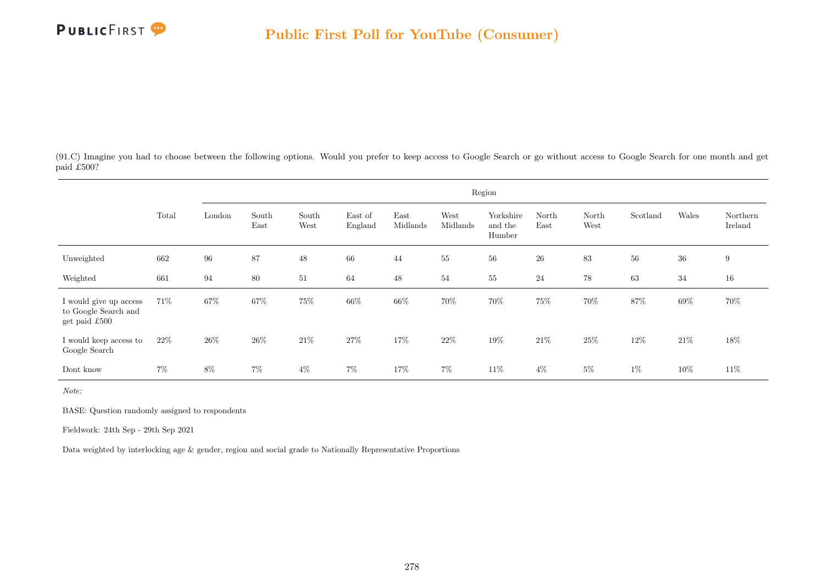

(91.C) Imagine you had to choose between the following options. Would you prefer to keep access to Google Search or go without access to Google Search for one month and get paid £500?

|                                                                 |       |        |               |               |                    |                  |                  | Region                         |               |               |          |        |                     |
|-----------------------------------------------------------------|-------|--------|---------------|---------------|--------------------|------------------|------------------|--------------------------------|---------------|---------------|----------|--------|---------------------|
|                                                                 | Total | London | South<br>East | South<br>West | East of<br>England | East<br>Midlands | West<br>Midlands | Yorkshire<br>and the<br>Humber | North<br>East | North<br>West | Scotland | Wales  | Northern<br>Ireland |
| Unweighted                                                      | 662   | 96     | 87            | $48\,$        | 66                 | 44               | $55\,$           | $56\,$                         | ${\bf 26}$    | 83            | $56\,$   | $36\,$ | 9                   |
| Weighted                                                        | 661   | 94     | 80            | 51            | 64                 | 48               | 54               | 55                             | 24            | $78\,$        | 63       | 34     | 16                  |
| I would give up access<br>to Google Search and<br>get paid £500 | 71\%  | $67\%$ | 67%           | $75\%$        | 66%                | $66\%$           | 70%              | $70\%$                         | $75\%$        | $70\%$        | 87%      | $69\%$ | 70%                 |
| I would keep access to<br>Google Search                         | 22\%  | 26\%   | 26\%          | $21\%$        | $27\%$             | 17%              | 22%              | 19%                            | 21\%          | 25%           | 12%      | 21%    | 18%                 |
| Dont know                                                       | $7\%$ | $8\%$  | $7\%$         | $4\%$         | $7\%$              | 17%              | $7\%$            | 11\%                           | $4\%$         | $5\%$         | $1\%$    | 10%    | 11\%                |

Note:

BASE: Question randomly assigned to respondents

Fieldwork: 24th Sep - 29th Sep 2021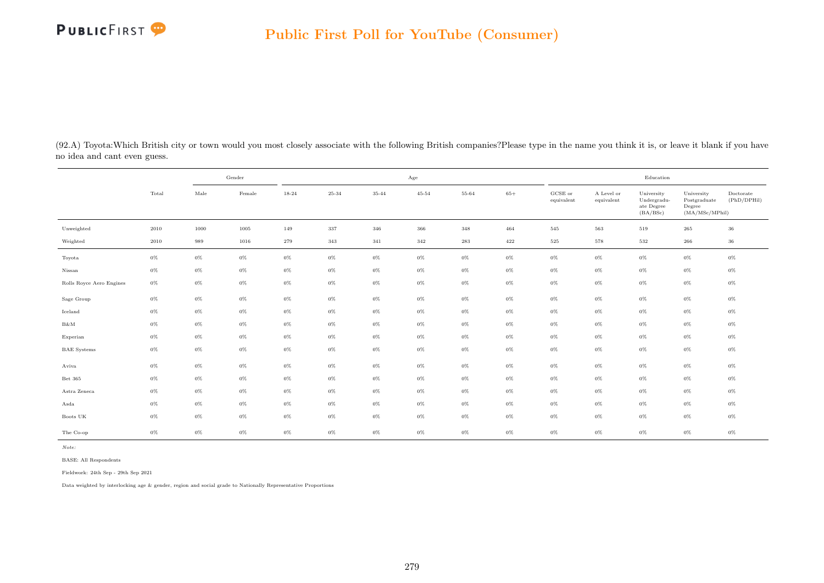

(92.A) Toyota:Which British city or town would you most closely associate with the following British companies?Please type in the name you think it is, or leave it blank if you have no idea and cant even guess.

|                          |       | Gender |        |       |       |       | Age       |       |       |                       |                          | Education                                           |                                                         |                          |
|--------------------------|-------|--------|--------|-------|-------|-------|-----------|-------|-------|-----------------------|--------------------------|-----------------------------------------------------|---------------------------------------------------------|--------------------------|
|                          | Total | Male   | Female | 18-24 | 25-34 | 35-44 | $45 - 54$ | 55-64 | $65+$ | GCSE or<br>equivalent | A Level or<br>equivalent | University<br>Undergradu-<br>ate Degree<br>(BA/BSc) | University<br>Postgraduate<br>Degree<br>(MA/MSc/MPhill) | Doctorate<br>(PhD/DPHil) |
| Unweighted               | 2010  | 1000   | 1005   | 149   | 337   | 346   | 366       | 348   | 464   | 545                   | 563                      | 519                                                 | 265                                                     | 36                       |
| Weighted                 | 2010  | 989    | 1016   | 279   | 343   | 341   | 342       | 283   | 422   | 525                   | 578                      | 532                                                 | 266                                                     | $36\,$                   |
| Toyota                   | $0\%$ | $0\%$  | $0\%$  | $0\%$ | $0\%$ | $0\%$ | $0\%$     | $0\%$ | $0\%$ | $0\%$                 | $0\%$                    | $0\%$                                               | $0\%$                                                   | $0\%$                    |
| Nissan                   | $0\%$ | $0\%$  | $0\%$  | $0\%$ | $0\%$ | $0\%$ | $0\%$     | $0\%$ | $0\%$ | $0\%$                 | $0\%$                    | $0\%$                                               | $0\%$                                                   | $0\%$                    |
| Rolls Royce Aero Engines | $0\%$ | $0\%$  | $0\%$  | $0\%$ | $0\%$ | $0\%$ | $0\%$     | $0\%$ | $0\%$ | $0\%$                 | $0\%$                    | $0\%$                                               | $0\%$                                                   | $0\%$                    |
| Sage Group               | $0\%$ | $0\%$  | $0\%$  | $0\%$ | $0\%$ | $0\%$ | $0\%$     | $0\%$ | $0\%$ | $0\%$                 | $0\%$                    | $0\%$                                               | $0\%$                                                   | $0\%$                    |
| Iceland                  | $0\%$ | $0\%$  | $0\%$  | $0\%$ | $0\%$ | $0\%$ | $0\%$     | $0\%$ | $0\%$ | $0\%$                 | $0\%$                    | $0\%$                                               | $0\%$                                                   | $0\%$                    |
| $B\&M$                   | $0\%$ | $0\%$  | $0\%$  | $0\%$ | $0\%$ | $0\%$ | $0\%$     | $0\%$ | $0\%$ | $0\%$                 | $0\%$                    | $0\%$                                               | $0\%$                                                   | $0\%$                    |
| Experian                 | $0\%$ | $0\%$  | $0\%$  | $0\%$ | $0\%$ | $0\%$ | $0\%$     | $0\%$ | $0\%$ | $0\%$                 | $0\%$                    | $0\%$                                               | $0\%$                                                   | $0\%$                    |
| <b>BAE</b> Systems       | $0\%$ | $0\%$  | $0\%$  | $0\%$ | $0\%$ | $0\%$ | $0\%$     | $0\%$ | $0\%$ | $0\%$                 | $0\%$                    | $0\%$                                               | $0\%$                                                   | $0\%$                    |
| Aviva                    | $0\%$ | $0\%$  | $0\%$  | $0\%$ | $0\%$ | $0\%$ | $0\%$     | $0\%$ | $0\%$ | $0\%$                 | $0\%$                    | $0\%$                                               | $0\%$                                                   | $0\%$                    |
| Bet 365                  | $0\%$ | $0\%$  | $0\%$  | $0\%$ | $0\%$ | $0\%$ | $0\%$     | $0\%$ | $0\%$ | $0\%$                 | $0\%$                    | $0\%$                                               | $0\%$                                                   | $0\%$                    |
| Astra Zeneca             | $0\%$ | $0\%$  | $0\%$  | $0\%$ | $0\%$ | $0\%$ | $0\%$     | $0\%$ | $0\%$ | $0\%$                 | $0\%$                    | $0\%$                                               | $0\%$                                                   | $0\%$                    |
| Asda                     | $0\%$ | $0\%$  | $0\%$  | $0\%$ | $0\%$ | $0\%$ | $0\%$     | $0\%$ | $0\%$ | $0\%$                 | $0\%$                    | $0\%$                                               | $0\%$                                                   | $0\%$                    |
| Boots UK                 | $0\%$ | $0\%$  | $0\%$  | $0\%$ | $0\%$ | $0\%$ | $0\%$     | $0\%$ | $0\%$ | $0\%$                 | $0\%$                    | $0\%$                                               | $0\%$                                                   | $0\%$                    |
| The Co-op                | $0\%$ | $0\%$  | $0\%$  | $0\%$ | $0\%$ | $0\%$ | $0\%$     | $0\%$ | $0\%$ | $0\%$                 | $0\%$                    | $0\%$                                               | $0\%$                                                   | $0\%$                    |

Note:

BASE: All Respondents

Fieldwork: 24th Sep - 29th Sep 2021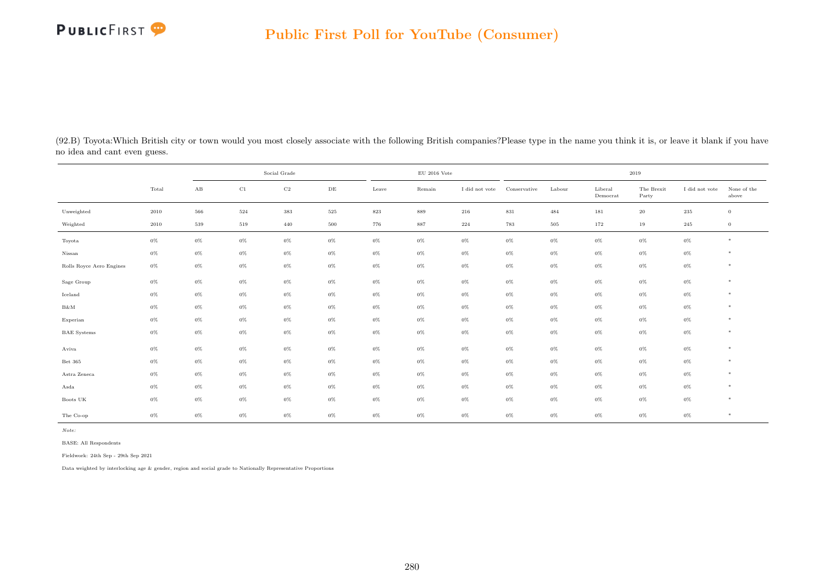## PUBLICFIRST<sup>9</sup>

| (92.B) Toyota: Which British city or town would you most closely associate with the following British companies? Please type in the name you think it is, or leave it blank if you have |
|-----------------------------------------------------------------------------------------------------------------------------------------------------------------------------------------|
| no idea and cant even guess.                                                                                                                                                            |

|                          |          | Social Grade<br>$\rm C1$<br>$\mathbf{A}\mathbf{B}$<br>$\rm{DE}$ |         |             |         |         | $\rm EU$ 2016 Vote |                |              |        |                     | 2019                |                |                      |
|--------------------------|----------|-----------------------------------------------------------------|---------|-------------|---------|---------|--------------------|----------------|--------------|--------|---------------------|---------------------|----------------|----------------------|
|                          | Total    |                                                                 |         | $_{\rm C2}$ |         | Leave   | Remain             | I did not vote | Conservative | Labour | Liberal<br>Democrat | The Brexit<br>Party | I did not vote | None of the<br>above |
| Unweighted               | $2010\,$ | 566                                                             | $524\,$ | 383         | $525\,$ | $823\,$ | 889                | $216\,$        | $831\,$      | 484    | 181                 | $20\,$              | $235\,$        | $\mathbf{0}$         |
| Weighted                 | 2010     | 539                                                             | 519     | 440         | 500     | 776     | 887                | 224            | 783          | 505    | 172                 | 19                  | 245            | $\overline{0}$       |
| Toyota                   | $0\%$    | $0\%$                                                           | $0\%$   | $0\%$       | $0\%$   | $0\%$   | $0\%$              | $0\%$          | $0\%$        | $0\%$  | $0\%$               | $0\%$               | $0\%$          | $*$                  |
| Nissan                   | $0\%$    | $0\%$                                                           | $0\%$   | $0\%$       | $0\%$   | $0\%$   | $0\%$              | $0\%$          | $0\%$        | $0\%$  | $0\%$               | $0\%$               | $0\%$          | $*$                  |
| Rolls Royce Aero Engines | $0\%$    | $0\%$                                                           | $0\%$   | $0\%$       | $0\%$   | $0\%$   | $0\%$              | $0\%$          | $0\%$        | $0\%$  | $0\%$               | $0\%$               | $0\%$          | $*$                  |
| Sage Group               | $0\%$    | 0%                                                              | $0\%$   | $0\%$       | $0\%$   | $0\%$   | $0\%$              | $0\%$          | $0\%$        | $0\%$  | $0\%$               | $0\%$               | $0\%$          | $\ast$               |
| Iceland                  | $0\%$    | $0\%$                                                           | $0\%$   | $0\%$       | $0\%$   | $0\%$   | $0\%$              | $0\%$          | $0\%$        | $0\%$  | $0\%$               | $0\%$               | $0\%$          | $*$                  |
| $B\&M$                   | $0\%$    | $0\%$                                                           | $0\%$   | $0\%$       | $0\%$   | $0\%$   | $0\%$              | $0\%$          | $0\%$        | $0\%$  | $0\%$               | $0\%$               | $0\%$          | $\ast$               |
| Experian                 | $0\%$    | $0\%$                                                           | $0\%$   | $0\%$       | $0\%$   | $0\%$   | $0\%$              | $0\%$          | 0%           | $0\%$  | $0\%$               | $0\%$               | $0\%$          | $*$                  |
| <b>BAE</b> Systems       | $0\%$    | $0\%$                                                           | $0\%$   | $0\%$       | $0\%$   | $0\%$   | $0\%$              | $0\%$          | $0\%$        | $0\%$  | $0\%$               | $0\%$               | $0\%$          | $*$                  |
| Aviva                    | $0\%$    | $0\%$                                                           | $0\%$   | $0\%$       | $0\%$   | $0\%$   | $0\%$              | $0\%$          | $0\%$        | $0\%$  | $0\%$               | $0\%$               | $0\%$          | $\ast$               |
| Bet 365                  | $0\%$    | $0\%$                                                           | $0\%$   | $0\%$       | $0\%$   | $0\%$   | $0\%$              | $0\%$          | $0\%$        | $0\%$  | $0\%$               | $0\%$               | $0\%$          | $*$                  |
| Astra Zeneca             | $0\%$    | $0\%$                                                           | $0\%$   | $0\%$       | $0\%$   | 0%      | $0\%$              | $0\%$          | 0%           | $0\%$  | $0\%$               | $0\%$               | $0\%$          | $\ast$               |
| Asda                     | $0\%$    | $0\%$                                                           | $0\%$   | $0\%$       | $0\%$   | $0\%$   | $0\%$              | $0\%$          | $0\%$        | $0\%$  | $0\%$               | $0\%$               | $0\%$          | $*$                  |
| Boots UK                 | $0\%$    | $0\%$                                                           | $0\%$   | $0\%$       | $0\%$   | $0\%$   | $0\%$              | $0\%$          | $0\%$        | $0\%$  | $0\%$               | $0\%$               | $0\%$          | $*$                  |
| The Co-op                | $0\%$    | 0%                                                              | $0\%$   | $0\%$       | 0%      | $0\%$   | $0\%$              | 0%             | $0\%$        | $0\%$  | 0%                  | $0\%$               | $0\%$          | $\ast$               |

Note:

BASE: All Respondents

Fieldwork: 24th Sep - 29th Sep 2021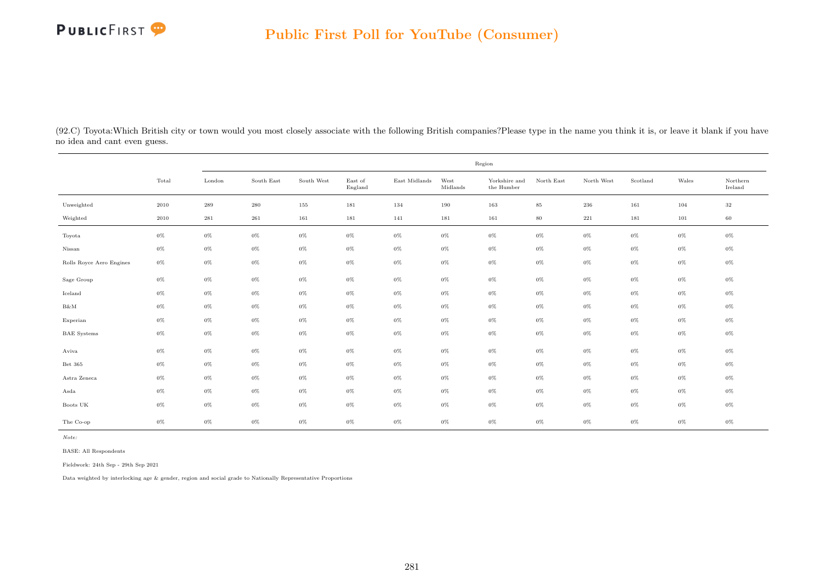

(92.C) Toyota:Which British city or town would you most closely associate with the following British companies?Please type in the name you think it is, or leave it blank if you have no idea and cant even guess.

|                          |          | Region    |            |            |                    |               |                  |                             |            |              |          |         |                     |  |
|--------------------------|----------|-----------|------------|------------|--------------------|---------------|------------------|-----------------------------|------------|--------------|----------|---------|---------------------|--|
|                          | Total    | London    | South East | South West | East of<br>England | East Midlands | West<br>Midlands | Yorkshire and<br>the Humber | North East | North West   | Scotland | Wales   | Northern<br>Ireland |  |
| Unweighted               | 2010     | $\,289$   | $\,280$    | 155        | 181                | 134           | 190              | 163                         | $85\,$     | $\,236$      | 161      | 104     | $32\,$              |  |
| Weighted                 | $2010\,$ | $\bf 281$ | $261\,$    | 161        | 181                | 141           | 181              | 161                         | $80\,$     | $2\sqrt{2}1$ | 181      | $101\,$ | 60                  |  |
| Toyota                   | $0\%$    | $0\%$     | $0\%$      | $0\%$      | $0\%$              | $0\%$         | $0\%$            | $0\%$                       | $0\%$      | $0\%$        | $0\%$    | 0%      | 0%                  |  |
| Nissan                   | $0\%$    | $0\%$     | $0\%$      | $0\%$      | $0\%$              | $0\%$         | $0\%$            | $0\%$                       | $0\%$      | $0\%$        | $0\%$    | 0%      | $0\%$               |  |
| Rolls Royce Aero Engines | $0\%$    | $0\%$     | $0\%$      | $0\%$      | $0\%$              | $0\%$         | $0\%$            | $0\%$                       | $0\%$      | $0\%$        | $0\%$    | $0\%$   | $0\%$               |  |
| Sage Group               | $0\%$    | $0\%$     | $0\%$      | $0\%$      | $0\%$              | $0\%$         | $0\%$            | $0\%$                       | $0\%$      | $0\%$        | $0\%$    | $0\%$   | $0\%$               |  |
| Iceland                  | $0\%$    | $0\%$     | $0\%$      | $0\%$      | $0\%$              | $0\%$         | $0\%$            | $0\%$                       | $0\%$      | $0\%$        | $0\%$    | 0%      | $0\%$               |  |
| $B\&M$                   | $0\%$    | $0\%$     | $0\%$      | $0\%$      | $0\%$              | $0\%$         | $0\%$            | $0\%$                       | $0\%$      | $0\%$        | $0\%$    | $0\%$   | $0\%$               |  |
| Experian                 | $0\%$    | $0\%$     | $0\%$      | $0\%$      | $0\%$              | $0\%$         | $0\%$            | $0\%$                       | $0\%$      | $0\%$        | $0\%$    | $0\%$   | $0\%$               |  |
| <b>BAE</b> Systems       | $0\%$    | $0\%$     | $0\%$      | $0\%$      | $0\%$              | $0\%$         | $0\%$            | $0\%$                       | $0\%$      | $0\%$        | $0\%$    | $0\%$   | $0\%$               |  |
| Aviva                    | $0\%$    | $0\%$     | $0\%$      | $0\%$      | $0\%$              | $0\%$         | $0\%$            | $0\%$                       | $0\%$      | $0\%$        | $0\%$    | $0\%$   | 0%                  |  |
| Bet 365                  | $0\%$    | $0\%$     | $0\%$      | $0\%$      | $0\%$              | $0\%$         | $0\%$            | $0\%$                       | $0\%$      | $0\%$        | $0\%$    | 0%      | 0%                  |  |
| Astra Zeneca             | $0\%$    | $0\%$     | $0\%$      | $0\%$      | $0\%$              | $0\%$         | $0\%$            | $0\%$                       | $0\%$      | $0\%$        | $0\%$    | 0%      | $0\%$               |  |
| Asda                     | $0\%$    | $0\%$     | $0\%$      | $0\%$      | $0\%$              | $0\%$         | $0\%$            | $0\%$                       | $0\%$      | $0\%$        | $0\%$    | $0\%$   | $0\%$               |  |
| Boots UK                 | $0\%$    | $0\%$     | $0\%$      | 0%         | $0\%$              | $0\%$         | $0\%$            | $0\%$                       | $0\%$      | $0\%$        | $0\%$    | 0%      | $0\%$               |  |
| The Co-op                | $0\%$    | $0\%$     | $0\%$      | $0\%$      | $0\%$              | $0\%$         | $0\%$            | $0\%$                       | $0\%$      | $0\%$        | $0\%$    | $0\%$   | 0%                  |  |

Note:

BASE: All Respondents

Fieldwork: 24th Sep - 29th Sep 2021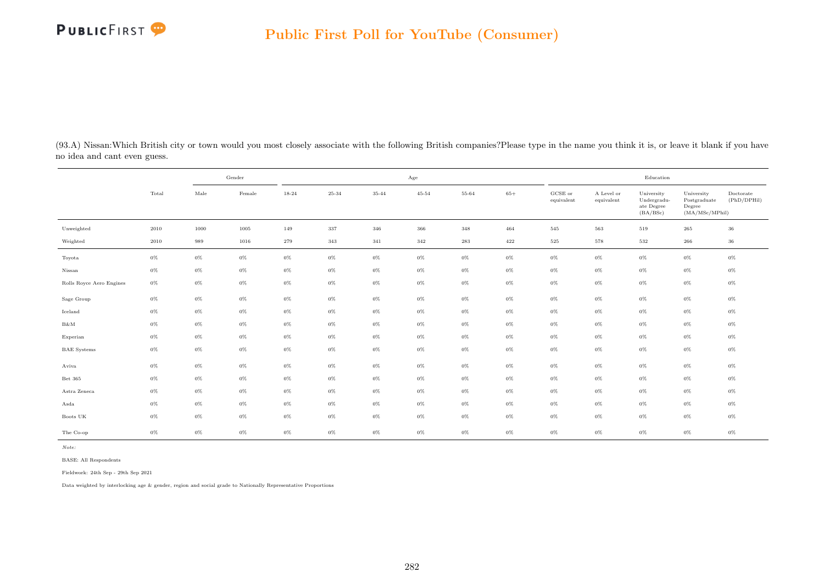

(93.A) Nissan:Which British city or town would you most closely associate with the following British companies?Please type in the name you think it is, or leave it blank if you have no idea and cant even guess.

|                          |       |       | Gender |       |         |       | Age       |       |       |                                |                          | Education                                           |                                                         |                          |
|--------------------------|-------|-------|--------|-------|---------|-------|-----------|-------|-------|--------------------------------|--------------------------|-----------------------------------------------------|---------------------------------------------------------|--------------------------|
|                          | Total | Male  | Female | 18-24 | 25-34   | 35-44 | $45 - 54$ | 55-64 | $65+$ | $_{\rm GCSE~or}$<br>equivalent | A Level or<br>equivalent | University<br>Undergradu-<br>ate Degree<br>(BA/BSc) | University<br>Postgraduate<br>Degree<br>(MA/MSc/MPhill) | Doctorate<br>(PhD/DPHil) |
| Unweighted               | 2010  | 1000  | 1005   | 149   | $337\,$ | 346   | 366       | 348   | 464   | 545                            | 563                      | 519                                                 | $265\,$                                                 | 36                       |
| Weighted                 | 2010  | 989   | 1016   | 279   | 343     | 341   | $342\,$   | 283   | 422   | $525\,$                        | 578                      | 532                                                 | 266                                                     | 36                       |
| Toyota                   | $0\%$ | $0\%$ | $0\%$  | $0\%$ | $0\%$   | $0\%$ | $0\%$     | $0\%$ | $0\%$ | $0\%$                          | $0\%$                    | $0\%$                                               | $0\%$                                                   | $0\%$                    |
| Nissan                   | $0\%$ | $0\%$ | $0\%$  | $0\%$ | $0\%$   | $0\%$ | $0\%$     | $0\%$ | $0\%$ | $0\%$                          | $0\%$                    | $0\%$                                               | $0\%$                                                   | $0\%$                    |
| Rolls Royce Aero Engines | $0\%$ | $0\%$ | $0\%$  | $0\%$ | $0\%$   | $0\%$ | $0\%$     | $0\%$ | $0\%$ | $0\%$                          | $0\%$                    | $0\%$                                               | $0\%$                                                   | $0\%$                    |
| Sage Group               | $0\%$ | $0\%$ | $0\%$  | $0\%$ | $0\%$   | $0\%$ | $0\%$     | $0\%$ | $0\%$ | $0\%$                          | $0\%$                    | $0\%$                                               | $0\%$                                                   | $0\%$                    |
| Iceland                  | $0\%$ | $0\%$ | $0\%$  | $0\%$ | $0\%$   | $0\%$ | $0\%$     | $0\%$ | $0\%$ | $0\%$                          | $0\%$                    | $0\%$                                               | $0\%$                                                   | $0\%$                    |
| $B\&M$                   | $0\%$ | $0\%$ | $0\%$  | $0\%$ | $0\%$   | $0\%$ | $0\%$     | $0\%$ | $0\%$ | $0\%$                          | $0\%$                    | $0\%$                                               | $0\%$                                                   | $0\%$                    |
| Experian                 | $0\%$ | $0\%$ | $0\%$  | $0\%$ | $0\%$   | $0\%$ | $0\%$     | $0\%$ | $0\%$ | $0\%$                          | $0\%$                    | $0\%$                                               | $0\%$                                                   | $0\%$                    |
| <b>BAE</b> Systems       | $0\%$ | $0\%$ | $0\%$  | $0\%$ | $0\%$   | $0\%$ | $0\%$     | $0\%$ | $0\%$ | $0\%$                          | $0\%$                    | $0\%$                                               | $0\%$                                                   | $0\%$                    |
| Aviva                    | $0\%$ | $0\%$ | $0\%$  | $0\%$ | $0\%$   | $0\%$ | $0\%$     | $0\%$ | $0\%$ | $0\%$                          | $0\%$                    | $0\%$                                               | $0\%$                                                   | $0\%$                    |
| Bet 365                  | $0\%$ | $0\%$ | $0\%$  | $0\%$ | $0\%$   | $0\%$ | $0\%$     | $0\%$ | $0\%$ | $0\%$                          | $0\%$                    | $0\%$                                               | $0\%$                                                   | $0\%$                    |
| Astra Zeneca             | $0\%$ | $0\%$ | $0\%$  | $0\%$ | $0\%$   | $0\%$ | $0\%$     | $0\%$ | $0\%$ | $0\%$                          | $0\%$                    | $0\%$                                               | $0\%$                                                   | $0\%$                    |
| Asda                     | $0\%$ | $0\%$ | $0\%$  | $0\%$ | $0\%$   | $0\%$ | $0\%$     | $0\%$ | $0\%$ | $0\%$                          | $0\%$                    | $0\%$                                               | $0\%$                                                   | $0\%$                    |
| Boots UK                 | $0\%$ | $0\%$ | $0\%$  | $0\%$ | $0\%$   | $0\%$ | $0\%$     | $0\%$ | $0\%$ | $0\%$                          | $0\%$                    | $0\%$                                               | $0\%$                                                   | $0\%$                    |
| The Co-op                | $0\%$ | $0\%$ | $0\%$  | $0\%$ | $0\%$   | $0\%$ | $0\%$     | $0\%$ | $0\%$ | $0\%$                          | $0\%$                    | $0\%$                                               | $0\%$                                                   | $0\%$                    |

Note:

BASE: All Respondents

Fieldwork: 24th Sep - 29th Sep 2021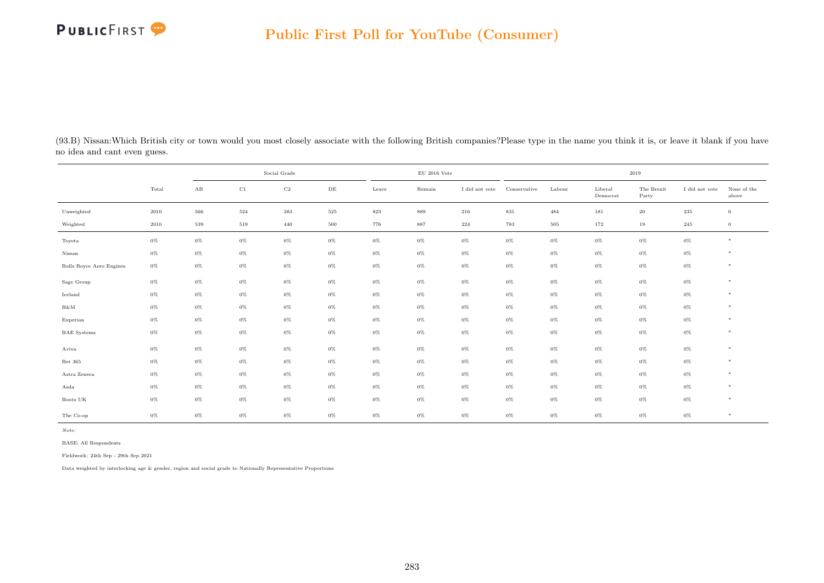## PUBLICFIRST<sup>9</sup>

| (93.B) Nissan: Which British city or town would you most closely associate with the following British companies? Please type in the name you think it is, or leave it blank if you have |  |  |  |
|-----------------------------------------------------------------------------------------------------------------------------------------------------------------------------------------|--|--|--|
| no idea and cant even guess.                                                                                                                                                            |  |  |  |

|                          |       | Social Grade           |          |             |           |         | $\rm EU$ 2016 Vote |                |              |        |                     | $2019\,$            |                |                      |
|--------------------------|-------|------------------------|----------|-------------|-----------|---------|--------------------|----------------|--------------|--------|---------------------|---------------------|----------------|----------------------|
|                          | Total | $\mathbf{A}\mathbf{B}$ | $\rm C1$ | $_{\rm C2}$ | $\rm{DE}$ | Leave   | Remain             | I did not vote | Conservative | Labour | Liberal<br>Democrat | The Brexit<br>Party | I did not vote | None of the<br>above |
| Unweighted               | 2010  | 566                    | $524\,$  | $383\,$     | $525\,$   | $823\,$ | 889                | $216\,$        | $831\,$      | 484    | 181                 | $20\,$              | $235\,$        | $\overline{0}$       |
| Weighted                 | 2010  | 539                    | 519      | 440         | 500       | 776     | 887                | 224            | 783          | 505    | 172                 | 19                  | 245            | $\overline{0}$       |
| Toyota                   | $0\%$ | $0\%$                  | $0\%$    | $0\%$       | $0\%$     | $0\%$   | $0\%$              | $0\%$          | $0\%$        | $0\%$  | $0\%$               | $0\%$               | $0\%$          | $\ast$               |
| Nissan                   | $0\%$ | $0\%$                  | $0\%$    | $0\%$       | $0\%$     | $0\%$   | $0\%$              | $0\%$          | $0\%$        | $0\%$  | $0\%$               | $0\%$               | $0\%$          | *                    |
| Rolls Royce Aero Engines | $0\%$ | $0\%$                  | $0\%$    | $0\%$       | $0\%$     | $0\%$   | $0\%$              | $0\%$          | $0\%$        | $0\%$  | $0\%$               | $0\%$               | $0\%$          | $*$                  |
| Sage Group               | $0\%$ | $0\%$                  | $0\%$    | $0\%$       | $0\%$     | $0\%$   | $0\%$              | $0\%$          | $0\%$        | $0\%$  | $0\%$               | $0\%$               | $0\%$          | $\ast$               |
| Iceland                  | $0\%$ | $0\%$                  | $0\%$    | $0\%$       | $0\%$     | $0\%$   | $0\%$              | $0\%$          | $0\%$        | $0\%$  | $0\%$               | $0\%$               | $0\%$          | $*$                  |
| $\rm B\&M$               | $0\%$ | $0\%$                  | $0\%$    | $0\%$       | $0\%$     | $0\%$   | $0\%$              | $0\%$          | $0\%$        | $0\%$  | $0\%$               | $0\%$               | $0\%$          | $*$                  |
| Experian                 | $0\%$ | $0\%$                  | $0\%$    | $0\%$       | 0%        | $0\%$   | $0\%$              | $0\%$          | 0%           | $0\%$  | $0\%$               | $0\%$               | $0\%$          | $\ast$               |
| <b>BAE</b> Systems       | $0\%$ | $0\%$                  | $0\%$    | $0\%$       | $0\%$     | $0\%$   | $0\%$              | $0\%$          | $0\%$        | $0\%$  | $0\%$               | $0\%$               | $0\%$          | $\ast$               |
| Aviva                    | $0\%$ | $0\%$                  | $0\%$    | $0\%$       | $0\%$     | $0\%$   | $0\%$              | $0\%$          | $0\%$        | $0\%$  | $0\%$               | $0\%$               | $0\%$          | $*$                  |
| Bet 365                  | $0\%$ | $0\%$                  | $0\%$    | $0\%$       | $0\%$     | $0\%$   | $0\%$              | $0\%$          | $0\%$        | $0\%$  | $0\%$               | $0\%$               | $0\%$          | $\ast$               |
| Astra Zeneca             | $0\%$ | $0\%$                  | $0\%$    | $0\%$       | $0\%$     | $0\%$   | $0\%$              | $0\%$          | $0\%$        | $0\%$  | $0\%$               | $0\%$               | $0\%$          | $\ast$               |
| Asda                     | $0\%$ | $0\%$                  | $0\%$    | $0\%$       | $0\%$     | $0\%$   | $0\%$              | $0\%$          | $0\%$        | $0\%$  | $0\%$               | $0\%$               | $0\%$          | $\ast$               |
| Boots UK                 | $0\%$ | $0\%$                  | $0\%$    | $0\%$       | $0\%$     | $0\%$   | $0\%$              | $0\%$          | $0\%$        | $0\%$  | $0\%$               | $0\%$               | $0\%$          | $*$                  |
| The Co-op                | $0\%$ | $0\%$                  | $0\%$    | $0\%$       | $0\%$     | $0\%$   | $0\%$              | $0\%$          | $0\%$        | $0\%$  | $0\%$               | $0\%$               | $0\%$          | $\ast$               |

Note:

BASE: All Respondents

Fieldwork: 24th Sep - 29th Sep 2021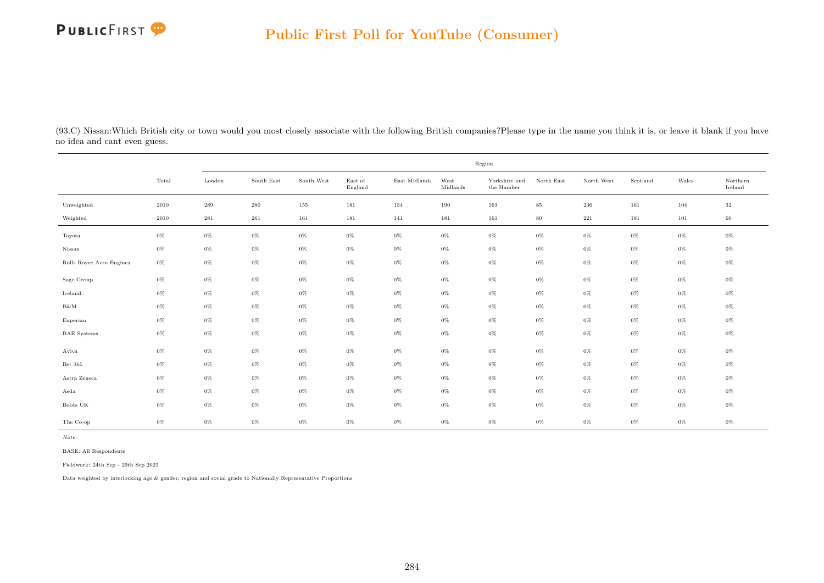

(93.C) Nissan:Which British city or town would you most closely associate with the following British companies?Please type in the name you think it is, or leave it blank if you have no idea and cant even guess.

|                          |       | Region    |            |            |                    |                     |                  |                             |            |            |          |       |                     |
|--------------------------|-------|-----------|------------|------------|--------------------|---------------------|------------------|-----------------------------|------------|------------|----------|-------|---------------------|
|                          | Total | London    | South East | South West | East of<br>England | $\rm East$ Midlands | West<br>Midlands | Yorkshire and<br>the Humber | North East | North West | Scotland | Wales | Northern<br>Ireland |
| Unweighted               | 2010  | $\,289$   | $\,280$    | 155        | 181                | 134                 | 190              | 163                         | $85\,$     | $\,236$    | 161      | 104   | $32\,$              |
| Weighted                 | 2010  | $\bf 281$ | $261\,$    | 161        | 181                | 141                 | 181              | 161                         | $80\,$     | $221\,$    | 181      | 101   | 60                  |
| Toyota                   | $0\%$ | $0\%$     | $0\%$      | $0\%$      | $0\%$              | $0\%$               | $0\%$            | $0\%$                       | $0\%$      | $0\%$      | $0\%$    | 0%    | 0%                  |
| Nissan                   | $0\%$ | $0\%$     | $0\%$      | $0\%$      | $0\%$              | $0\%$               | $0\%$            | $0\%$                       | $0\%$      | $0\%$      | $0\%$    | $0\%$ | $0\%$               |
| Rolls Royce Aero Engines | $0\%$ | $0\%$     | $0\%$      | $0\%$      | $0\%$              | $0\%$               | $0\%$            | $0\%$                       | $0\%$      | $0\%$      | $0\%$    | $0\%$ | $0\%$               |
| Sage Group               | $0\%$ | $0\%$     | $0\%$      | $0\%$      | $0\%$              | $0\%$               | $0\%$            | $0\%$                       | $0\%$      | $0\%$      | $0\%$    | $0\%$ | 0%                  |
| Iceland                  | $0\%$ | $0\%$     | $0\%$      | $0\%$      | $0\%$              | $0\%$               | $0\%$            | $0\%$                       | $0\%$      | $0\%$      | $0\%$    | $0\%$ | $0\%$               |
| $B\&M$                   | $0\%$ | $0\%$     | $0\%$      | $0\%$      | $0\%$              | $0\%$               | $0\%$            | $0\%$                       | $0\%$      | $0\%$      | $0\%$    | 0%    | $0\%$               |
| Experian                 | $0\%$ | $0\%$     | $0\%$      | $0\%$      | $0\%$              | $0\%$               | $0\%$            | $0\%$                       | $0\%$      | $0\%$      | $0\%$    | $0\%$ | $0\%$               |
| <b>BAE</b> Systems       | $0\%$ | $0\%$     | $0\%$      | $0\%$      | $0\%$              | $0\%$               | $0\%$            | $0\%$                       | $0\%$      | $0\%$      | $0\%$    | $0\%$ | 0%                  |
| Aviva                    | $0\%$ | $0\%$     | $0\%$      | $0\%$      | $0\%$              | $0\%$               | $0\%$            | $0\%$                       | $0\%$      | $0\%$      | $0\%$    | 0%    | $0\%$               |
| Bet 365                  | $0\%$ | $0\%$     | $0\%$      | $0\%$      | $0\%$              | $0\%$               | $0\%$            | $0\%$                       | $0\%$      | $0\%$      | $0\%$    | $0\%$ | $0\%$               |
| Astra Zeneca             | $0\%$ | $0\%$     | $0\%$      | $0\%$      | $0\%$              | $0\%$               | $0\%$            | $0\%$                       | $0\%$      | $0\%$      | $0\%$    | $0\%$ | 0%                  |
| Asda                     | $0\%$ | $0\%$     | $0\%$      | $0\%$      | $0\%$              | $0\%$               | $0\%$            | $0\%$                       | $0\%$      | $0\%$      | $0\%$    | $0\%$ | 0%                  |
| Boots UK                 | $0\%$ | $0\%$     | $0\%$      | $0\%$      | $0\%$              | $0\%$               | $0\%$            | $0\%$                       | $0\%$      | $0\%$      | $0\%$    | 0%    | $0\%$               |
| The Co-op                | $0\%$ | $0\%$     | $0\%$      | $0\%$      | $0\%$              | $0\%$               | $0\%$            | $0\%$                       | $0\%$      | $0\%$      | $0\%$    | $0\%$ | 0%                  |

Note:

BASE: All Respondents

Fieldwork: 24th Sep - 29th Sep 2021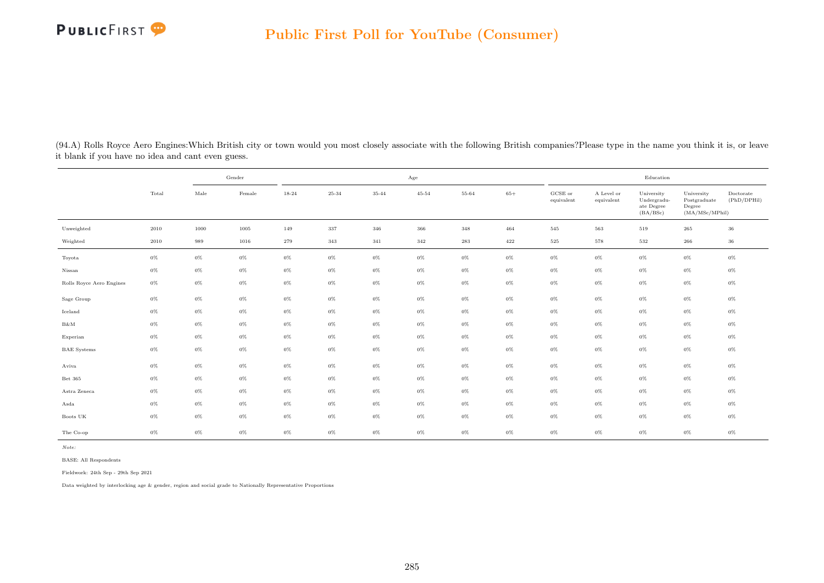

(94.A) Rolls Royce Aero Engines:Which British city or town would you most closely associate with the following British companies?Please type in the name you think it is, or leave it blank if you have no idea and cant even guess.

|                          |       |               | Gender   |       |       |           | Age       |       |         |                                |                          | Education                                           |                                                         |                          |
|--------------------------|-------|---------------|----------|-------|-------|-----------|-----------|-------|---------|--------------------------------|--------------------------|-----------------------------------------------------|---------------------------------------------------------|--------------------------|
|                          | Total | $_{\rm Male}$ | Female   | 18-24 | 25-34 | $35 - 44$ | $45 - 54$ | 55-64 | $65+$   | $_{\rm GCSE~or}$<br>equivalent | A Level or<br>equivalent | University<br>Undergradu-<br>ate Degree<br>(BA/BSc) | University<br>Postgraduate<br>Degree<br>(MA/MSc/MPhill) | Doctorate<br>(PhD/DPHil) |
| Unweighted               | 2010  | 1000          | $1005\,$ | 149   | 337   | 346       | 366       | 348   | 464     | 545                            | 563                      | 519                                                 | 265                                                     | $36\,$                   |
| Weighted                 | 2010  | 989           | 1016     | 279   | 343   | 341       | 342       | 283   | $422\,$ | 525                            | 578                      | 532                                                 | 266                                                     | 36                       |
| Toyota                   | $0\%$ | $0\%$         | $0\%$    | $0\%$ | $0\%$ | 0%        | $0\%$     | $0\%$ | $0\%$   | $0\%$                          | $0\%$                    | $0\%$                                               | $0\%$                                                   | $0\%$                    |
| Nissan                   | $0\%$ | $0\%$         | $0\%$    | $0\%$ | $0\%$ | 0%        | $0\%$     | $0\%$ | $0\%$   | $0\%$                          | $0\%$                    | $0\%$                                               | $0\%$                                                   | $0\%$                    |
| Rolls Royce Aero Engines | $0\%$ | $0\%$         | $0\%$    | $0\%$ | $0\%$ | $0\%$     | $0\%$     | $0\%$ | $0\%$   | $0\%$                          | $0\%$                    | $0\%$                                               | $0\%$                                                   | $0\%$                    |
| Sage Group               | $0\%$ | $0\%$         | $0\%$    | $0\%$ | $0\%$ | 0%        | $0\%$     | $0\%$ | $0\%$   | $0\%$                          | $0\%$                    | $0\%$                                               | $0\%$                                                   | $0\%$                    |
| Iceland                  | $0\%$ | $0\%$         | $0\%$    | $0\%$ | $0\%$ | $0\%$     | $0\%$     | $0\%$ | $0\%$   | $0\%$                          | $0\%$                    | $0\%$                                               | $0\%$                                                   | $0\%$                    |
| $B\&M$                   | $0\%$ | $0\%$         | $0\%$    | $0\%$ | $0\%$ | $0\%$     | $0\%$     | $0\%$ | $0\%$   | $0\%$                          | $0\%$                    | $0\%$                                               | $0\%$                                                   | 0%                       |
| Experian                 | $0\%$ | $0\%$         | $0\%$    | $0\%$ | $0\%$ | 0%        | $0\%$     | $0\%$ | $0\%$   | $0\%$                          | $0\%$                    | $0\%$                                               | $0\%$                                                   | $0\%$                    |
| <b>BAE</b> Systems       | $0\%$ | $0\%$         | $0\%$    | $0\%$ | $0\%$ | $0\%$     | $0\%$     | $0\%$ | $0\%$   | $0\%$                          | $0\%$                    | $0\%$                                               | $0\%$                                                   | $0\%$                    |
| Aviva                    | $0\%$ | $0\%$         | $0\%$    | $0\%$ | $0\%$ | 0%        | $0\%$     | $0\%$ | $0\%$   | $0\%$                          | $0\%$                    | $0\%$                                               | $0\%$                                                   | $0\%$                    |
| Bet 365                  | $0\%$ | $0\%$         | $0\%$    | $0\%$ | $0\%$ | 0%        | $0\%$     | $0\%$ | $0\%$   | $0\%$                          | $0\%$                    | $0\%$                                               | $0\%$                                                   | $0\%$                    |
| Astra Zeneca             | $0\%$ | $0\%$         | $0\%$    | $0\%$ | $0\%$ | 0%        | $0\%$     | $0\%$ | $0\%$   | $0\%$                          | $0\%$                    | $0\%$                                               | $0\%$                                                   | $0\%$                    |
| Asda                     | $0\%$ | $0\%$         | $0\%$    | $0\%$ | $0\%$ | 0%        | $0\%$     | $0\%$ | $0\%$   | $0\%$                          | $0\%$                    | $0\%$                                               | $0\%$                                                   | $0\%$                    |
| Boots $\mathrm{UK}$      | $0\%$ | $0\%$         | $0\%$    | $0\%$ | $0\%$ | 0%        | $0\%$     | $0\%$ | $0\%$   | $0\%$                          | 0%                       | $0\%$                                               | $0\%$                                                   | 0%                       |
| The Co-op                | 0%    | $0\%$         | $0\%$    | $0\%$ | $0\%$ | $0\%$     | $0\%$     | $0\%$ | $0\%$   | $0\%$                          | $0\%$                    | $0\%$                                               | $0\%$                                                   | $0\%$                    |

Note:

BASE: All Respondents

Fieldwork: 24th Sep - 29th Sep 2021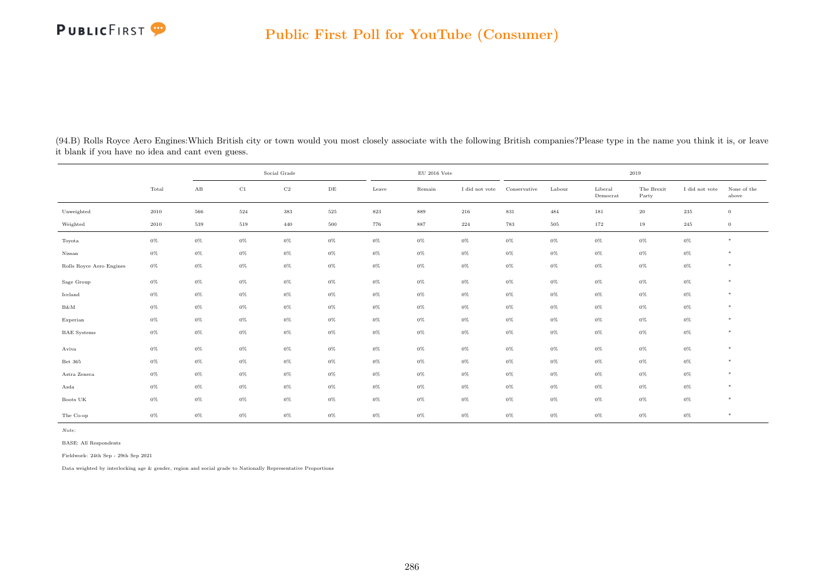## PUBLICFIRST<sup>9</sup>

|                          |                | Social Grade           |             |             |           |       | $\rm EU$ 2016 Vote |                |              | 2019   |                     |                     |                |                      |  |  |
|--------------------------|----------------|------------------------|-------------|-------------|-----------|-------|--------------------|----------------|--------------|--------|---------------------|---------------------|----------------|----------------------|--|--|
|                          | $_{\rm Total}$ | $\mathbf{A}\mathbf{B}$ | $_{\rm C1}$ | $_{\rm C2}$ | $\rm{DE}$ | Leave | Remain             | I did not vote | Conservative | Labour | Liberal<br>Democrat | The Brexit<br>Party | I did not vote | None of the<br>above |  |  |
| Unweighted               | 2010           | 566                    | 524         | 383         | 525       | 823   | 889                | 216            | 831          | 484    | 181                 | $20\,$              | 235            | $\mathbf{0}$         |  |  |
| Weighted                 | 2010           | 539                    | 519         | 440         | $500\,$   | 776   | 887                | $\bf 224$      | 783          | 505    | 172                 | 19                  | 245            | $\bf{0}$             |  |  |
| Toyota                   | $0\%$          | $0\%$                  | $0\%$       | $0\%$       | $0\%$     | $0\%$ | $0\%$              | $0\%$          | $0\%$        | $0\%$  | $0\%$               | $0\%$               | $0\%$          | $*$                  |  |  |
| Nissan                   | $0\%$          | $0\%$                  | $0\%$       | $0\%$       | $0\%$     | $0\%$ | $0\%$              | $0\%$          | $0\%$        | $0\%$  | $0\%$               | $0\%$               | $0\%$          | $*$                  |  |  |
| Rolls Royce Aero Engines | $0\%$          | $0\%$                  | $0\%$       | $0\%$       | $0\%$     | $0\%$ | $0\%$              | $0\%$          | $0\%$        | $0\%$  | $0\%$               | $0\%$               | $0\%$          | $*$                  |  |  |
| Sage Group               | $0\%$          | $0\%$                  | $0\%$       | $0\%$       | $0\%$     | $0\%$ | $0\%$              | $0\%$          | $0\%$        | $0\%$  | $0\%$               | $0\%$               | $0\%$          | $*$                  |  |  |
| Iceland                  | $0\%$          | $0\%$                  | $0\%$       | $0\%$       | $0\%$     | $0\%$ | $0\%$              | $0\%$          | $0\%$        | $0\%$  | $0\%$               | $0\%$               | $0\%$          | $\ast$               |  |  |
| B&M                      | $0\%$          | $0\%$                  | $0\%$       | $0\%$       | $0\%$     | $0\%$ | $0\%$              | $0\%$          | $0\%$        | $0\%$  | $0\%$               | $0\%$               | $0\%$          | $\ast$               |  |  |
| Experian                 | $0\%$          | $0\%$                  | $0\%$       | $0\%$       | $0\%$     | $0\%$ | $0\%$              | $0\%$          | $0\%$        | $0\%$  | $0\%$               | $0\%$               | $0\%$          | $*$                  |  |  |
| <b>BAE</b> Systems       | $0\%$          | $0\%$                  | $0\%$       | $0\%$       | $0\%$     | $0\%$ | $0\%$              | $0\%$          | $0\%$        | $0\%$  | $0\%$               | $0\%$               | $0\%$          | $*$                  |  |  |
| Aviva                    | $0\%$          | $0\%$                  | $0\%$       | $0\%$       | $0\%$     | $0\%$ | $0\%$              | $0\%$          | $0\%$        | $0\%$  | $0\%$               | $0\%$               | $0\%$          | $\ast$               |  |  |
| Bet 365                  | $0\%$          | $0\%$                  | 0%          | $0\%$       | $0\%$     | $0\%$ | $0\%$              | $0\%$          | $0\%$        | $0\%$  | $0\%$               | $0\%$               | $0\%$          | $*$                  |  |  |
| Astra Zeneca             | $0\%$          | $0\%$                  | $0\%$       | $0\%$       | $0\%$     | $0\%$ | $0\%$              | $0\%$          | $0\%$        | $0\%$  | $0\%$               | $0\%$               | $0\%$          | $*$                  |  |  |
| Asda                     | $0\%$          | $0\%$                  | $0\%$       | $0\%$       | $0\%$     | $0\%$ | $0\%$              | $0\%$          | $0\%$        | $0\%$  | $0\%$               | $0\%$               | $0\%$          | $*$                  |  |  |
| Boots UK                 | $0\%$          | $0\%$                  | $0\%$       | $0\%$       | $0\%$     | $0\%$ | $0\%$              | $0\%$          | $0\%$        | $0\%$  | $0\%$               | $0\%$               | $0\%$          | $\ast$               |  |  |
| The Co-op                | $0\%$          | $0\%$                  | $0\%$       | $0\%$       | $0\%$     | $0\%$ | $0\%$              | $0\%$          | $0\%$        | $0\%$  | $0\%$               | $0\%$               | 0%             | $*$                  |  |  |

(94.B) Rolls Royce Aero Engines:Which British city or town would you most closely associate with the following British companies?Please type in the name you think it is, or leave it blank if you have no idea and cant even guess.

Note:

BASE: All Respondents

Fieldwork: 24th Sep - 29th Sep 2021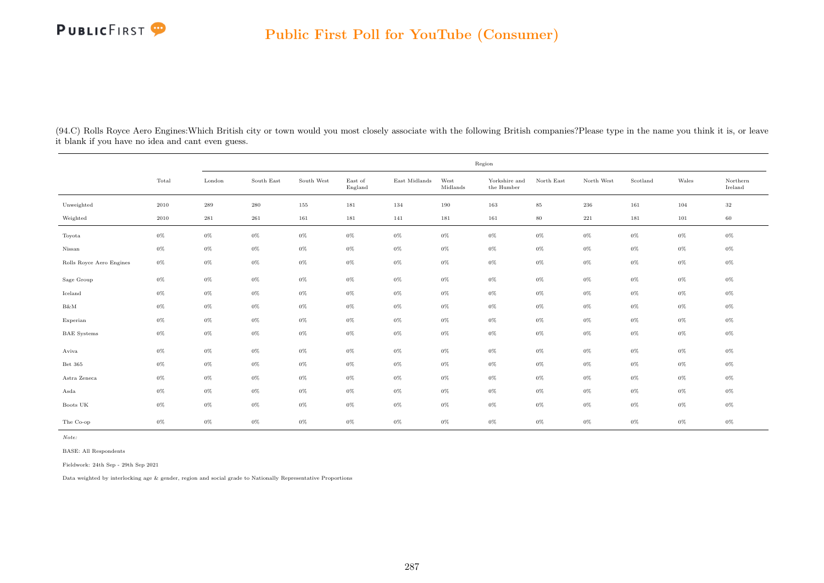

(94.C) Rolls Royce Aero Engines:Which British city or town would you most closely associate with the following British companies?Please type in the name you think it is, or leave it blank if you have no idea and cant even guess.

|                          |          | Region    |            |            |                    |               |                  |                                      |            |            |          |       |                     |
|--------------------------|----------|-----------|------------|------------|--------------------|---------------|------------------|--------------------------------------|------------|------------|----------|-------|---------------------|
|                          | Total    | London    | South East | South West | East of<br>England | East Midlands | West<br>Midlands | Yorkshire and<br>the $\mbox{Humber}$ | North East | North West | Scotland | Wales | Northern<br>Ireland |
| Unweighted               | $2010\,$ | $\bf 289$ | $\,280$    | 155        | 181                | 134           | 190              | 163                                  | $85\,$     | $\,236$    | 161      | 104   | $32\,$              |
| Weighted                 | 2010     | 281       | $261\,$    | 161        | 181                | 141           | 181              | 161                                  | $80\,$     | $221\,$    | 181      | 101   | 60                  |
| Toyota                   | $0\%$    | $0\%$     | 0%         | $0\%$      | $0\%$              | $0\%$         | $0\%$            | $0\%$                                | $0\%$      | $0\%$      | $0\%$    | $0\%$ | 0%                  |
| Nissan                   | $0\%$    | $0\%$     | $0\%$      | $0\%$      | $0\%$              | $0\%$         | $0\%$            | $0\%$                                | $0\%$      | $0\%$      | $0\%$    | $0\%$ | 0%                  |
| Rolls Royce Aero Engines | $0\%$    | $0\%$     | $0\%$      | $0\%$      | $0\%$              | $0\%$         | $0\%$            | $0\%$                                | $0\%$      | $0\%$      | $0\%$    | $0\%$ | 0%                  |
| Sage Group               | $0\%$    | $0\%$     | 0%         | $0\%$      | $0\%$              | $0\%$         | $0\%$            | $0\%$                                | $0\%$      | $0\%$      | $0\%$    | $0\%$ | 0%                  |
| Iceland                  | $0\%$    | $0\%$     | $0\%$      | $0\%$      | $0\%$              | $0\%$         | $0\%$            | $0\%$                                | $0\%$      | $0\%$      | $0\%$    | $0\%$ | 0%                  |
| B&M                      | $0\%$    | $0\%$     | $0\%$      | $0\%$      | $0\%$              | $0\%$         | $0\%$            | $0\%$                                | $0\%$      | $0\%$      | $0\%$    | $0\%$ | $0\%$               |
| Experian                 | $0\%$    | $0\%$     | 0%         | $0\%$      | $0\%$              | $0\%$         | $0\%$            | $0\%$                                | $0\%$      | $0\%$      | $0\%$    | $0\%$ | 0%                  |
| <b>BAE</b> Systems       | $0\%$    | $0\%$     | $0\%$      | $0\%$      | $0\%$              | $0\%$         | $0\%$            | $0\%$                                | $0\%$      | $0\%$      | $0\%$    | $0\%$ | 0%                  |
| Aviva                    | $0\%$    | $0\%$     | $0\%$      | $0\%$      | $0\%$              | $0\%$         | $0\%$            | $0\%$                                | $0\%$      | $0\%$      | $0\%$    | $0\%$ | $0\%$               |
| Bet 365                  | $0\%$    | $0\%$     | 0%         | $0\%$      | $0\%$              | $0\%$         | $0\%$            | $0\%$                                | $0\%$      | $0\%$      | $0\%$    | $0\%$ | 0%                  |
| Astra Zeneca             | $0\%$    | $0\%$     | $0\%$      | $0\%$      | $0\%$              | $0\%$         | $0\%$            | $0\%$                                | $0\%$      | $0\%$      | $0\%$    | $0\%$ | 0%                  |
| Asda                     | $0\%$    | $0\%$     | $0\%$      | $0\%$      | $0\%$              | $0\%$         | $0\%$            | $0\%$                                | $0\%$      | $0\%$      | $0\%$    | $0\%$ | $0\%$               |
| Boots UK                 | $0\%$    | $0\%$     | 0%         | $0\%$      | $0\%$              | $0\%$         | $0\%$            | $0\%$                                | $0\%$      | $0\%$      | $0\%$    | $0\%$ | 0%                  |
| The Co-op                | $0\%$    | $0\%$     | $0\%$      | $0\%$      | $0\%$              | $0\%$         | $0\%$            | $0\%$                                | $0\%$      | $0\%$      | $0\%$    | $0\%$ | 0%                  |

Note:

BASE: All Respondents

Fieldwork: 24th Sep - 29th Sep 2021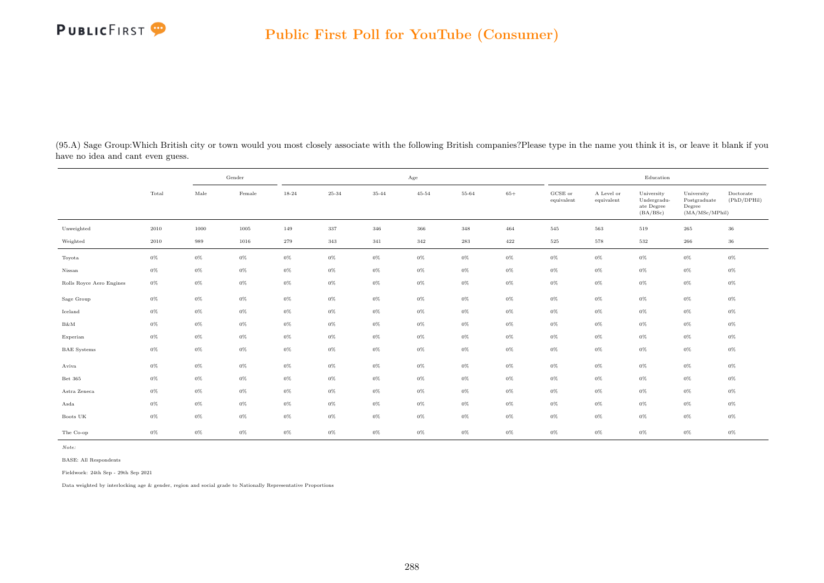

(95.A) Sage Group:Which British city or town would you most closely associate with the following British companies?Please type in the name you think it is, or leave it blank if you have no idea and cant even guess.

|                                                      | Gender |       |        | $_{\rm Age}$ |           |       |           |       |       | Education                      |                          |                                                     |                                                         |                          |
|------------------------------------------------------|--------|-------|--------|--------------|-----------|-------|-----------|-------|-------|--------------------------------|--------------------------|-----------------------------------------------------|---------------------------------------------------------|--------------------------|
|                                                      | Total  | Male  | Female | 18-24        | $25 - 34$ | 35-44 | $45 - 54$ | 55-64 | $65+$ | $_{\rm GCSE~or}$<br>equivalent | A Level or<br>equivalent | University<br>Undergradu-<br>ate Degree<br>(BA/BSc) | University<br>Postgraduate<br>Degree<br>(MA/MSc/MPhill) | Doctorate<br>(PhD/DPHil) |
| Unweighted                                           | 2010   | 1000  | 1005   | 149          | 337       | 346   | 366       | 348   | 464   | 545                            | 563                      | 519                                                 | $265\,$                                                 | 36                       |
| Weighted                                             | 2010   | 989   | 1016   | 279          | 343       | 341   | 342       | 283   | 422   | 525                            | 578                      | 532                                                 | 266                                                     | 36                       |
| Toyota                                               | $0\%$  | $0\%$ | $0\%$  | $0\%$        | $0\%$     | $0\%$ | $0\%$     | $0\%$ | $0\%$ | $0\%$                          | $0\%$                    | $0\%$                                               | $0\%$                                                   | $0\%$                    |
| Nissan                                               | $0\%$  | $0\%$ | $0\%$  | $0\%$        | $0\%$     | $0\%$ | $0\%$     | $0\%$ | $0\%$ | $0\%$                          | $0\%$                    | $0\%$                                               | $0\%$                                                   | $0\%$                    |
| Rolls Royce Aero Engines                             | $0\%$  | $0\%$ | $0\%$  | $0\%$        | $0\%$     | $0\%$ | $0\%$     | $0\%$ | $0\%$ | $0\%$                          | $0\%$                    | $0\%$                                               | $0\%$                                                   | $0\%$                    |
| Sage Group                                           | $0\%$  | $0\%$ | $0\%$  | $0\%$        | $0\%$     | $0\%$ | $0\%$     | $0\%$ | $0\%$ | $0\%$                          | $0\%$                    | $0\%$                                               | $0\%$                                                   | $0\%$                    |
| Iceland                                              | $0\%$  | $0\%$ | $0\%$  | $0\%$        | $0\%$     | $0\%$ | $0\%$     | $0\%$ | $0\%$ | $0\%$                          | $0\%$                    | $0\%$                                               | $0\%$                                                   | $0\%$                    |
| $\ensuremath{\mathrm{B}} \& \ensuremath{\mathrm{M}}$ | $0\%$  | $0\%$ | $0\%$  | $0\%$        | $0\%$     | $0\%$ | $0\%$     | $0\%$ | $0\%$ | $0\%$                          | $0\%$                    | $0\%$                                               | $0\%$                                                   | $0\%$                    |
| Experian                                             | $0\%$  | $0\%$ | $0\%$  | $0\%$        | $0\%$     | $0\%$ | $0\%$     | $0\%$ | $0\%$ | $0\%$                          | $0\%$                    | $0\%$                                               | $0\%$                                                   | $0\%$                    |
| <b>BAE</b> Systems                                   | $0\%$  | $0\%$ | $0\%$  | $0\%$        | $0\%$     | $0\%$ | $0\%$     | $0\%$ | $0\%$ | $0\%$                          | $0\%$                    | $0\%$                                               | $0\%$                                                   | $0\%$                    |
| Aviva                                                | $0\%$  | $0\%$ | $0\%$  | $0\%$        | $0\%$     | $0\%$ | $0\%$     | $0\%$ | $0\%$ | $0\%$                          | $0\%$                    | $0\%$                                               | $0\%$                                                   | $0\%$                    |
| Bet 365                                              | $0\%$  | $0\%$ | $0\%$  | $0\%$        | $0\%$     | $0\%$ | $0\%$     | $0\%$ | $0\%$ | $0\%$                          | $0\%$                    | $0\%$                                               | $0\%$                                                   | $0\%$                    |
| Astra Zeneca                                         | $0\%$  | $0\%$ | $0\%$  | $0\%$        | $0\%$     | $0\%$ | $0\%$     | $0\%$ | $0\%$ | $0\%$                          | $0\%$                    | $0\%$                                               | $0\%$                                                   | $0\%$                    |
| Asda                                                 | $0\%$  | $0\%$ | $0\%$  | $0\%$        | $0\%$     | $0\%$ | $0\%$     | $0\%$ | $0\%$ | $0\%$                          | $0\%$                    | $0\%$                                               | $0\%$                                                   | $0\%$                    |
| Boots UK                                             | $0\%$  | $0\%$ | $0\%$  | $0\%$        | $0\%$     | $0\%$ | $0\%$     | $0\%$ | $0\%$ | $0\%$                          | $0\%$                    | $0\%$                                               | $0\%$                                                   | $0\%$                    |
| The Co-op                                            | $0\%$  | $0\%$ | $0\%$  | $0\%$        | $0\%$     | $0\%$ | $0\%$     | $0\%$ | $0\%$ | $0\%$                          | $0\%$                    | $0\%$                                               | $0\%$                                                   | $0\%$                    |

Note:

BASE: All Respondents

Fieldwork: 24th Sep - 29th Sep 2021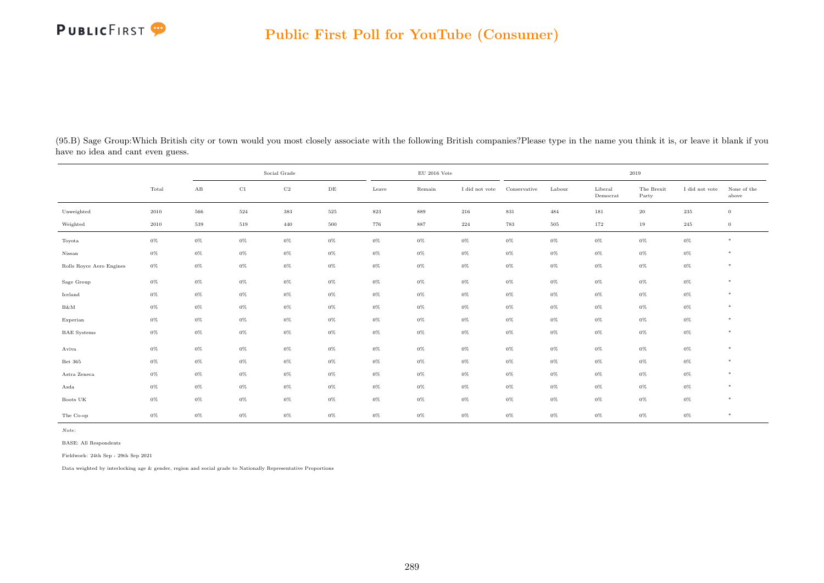

| (95.B) Sage Group: Which British city or town would you most closely associate with the following British companies? Please type in the name you think it is, or leave it blank if you |  |  |  |  |  |
|----------------------------------------------------------------------------------------------------------------------------------------------------------------------------------------|--|--|--|--|--|
| have no idea and cant even guess.                                                                                                                                                      |  |  |  |  |  |

|                          |       |          | Social Grade |             |           |         | $\rm EU$ 2016 Vote |                | 2019         |        |                     |                     |                |                      |
|--------------------------|-------|----------|--------------|-------------|-----------|---------|--------------------|----------------|--------------|--------|---------------------|---------------------|----------------|----------------------|
|                          | Total | $\rm AB$ | $_{\rm C1}$  | $_{\rm C2}$ | $\rm{DE}$ | Leave   | Remain             | I did not vote | Conservative | Labour | Liberal<br>Democrat | The Brexit<br>Party | I did not vote | None of the<br>above |
| Unweighted               | 2010  | 566      | 524          | $383\,$     | $525\,$   | $823\,$ | 889                | 216            | $831\,$      | 484    | 181                 | $20\,$              | $\,235$        | $\,0\,$              |
| Weighted                 | 2010  | 539      | 519          | 440         | 500       | 776     | 887                | 224            | 783          | 505    | 172                 | 19                  | 245            | $\overline{0}$       |
| Toyota                   | $0\%$ | $0\%$    | $0\%$        | $0\%$       | $0\%$     | $0\%$   | $0\%$              | $0\%$          | $0\%$        | $0\%$  | $0\%$               | $0\%$               | $0\%$          | $*$                  |
| Nissan                   | $0\%$ | $0\%$    | $0\%$        | $0\%$       | $0\%$     | $0\%$   | $0\%$              | $0\%$          | $0\%$        | $0\%$  | $0\%$               | $0\%$               | $0\%$          | *                    |
| Rolls Royce Aero Engines | $0\%$ | $0\%$    | $0\%$        | $0\%$       | $0\%$     | $0\%$   | $0\%$              | $0\%$          | $0\%$        | $0\%$  | $0\%$               | $0\%$               | $0\%$          | $*$                  |
| Sage Group               | $0\%$ | $0\%$    | $0\%$        | $0\%$       | $0\%$     | $0\%$   | $0\%$              | $0\%$          | $0\%$        | $0\%$  | $0\%$               | $0\%$               | $0\%$          | $\ast$               |
| Iceland                  | $0\%$ | $0\%$    | $0\%$        | $0\%$       | $0\%$     | $0\%$   | $0\%$              | $0\%$          | $0\%$        | $0\%$  | $0\%$               | $0\%$               | $0\%$          | $*$                  |
| $\rm B\&M$               | $0\%$ | $0\%$    | $0\%$        | $0\%$       | $0\%$     | $0\%$   | $0\%$              | $0\%$          | $0\%$        | $0\%$  | $0\%$               | $0\%$               | $0\%$          | $*$                  |
| Experian                 | $0\%$ | $0\%$    | $0\%$        | $0\%$       | $0\%$     | 0%      | $0\%$              | $0\%$          | 0%           | $0\%$  | $0\%$               | $0\%$               | $0\%$          | $*$                  |
| <b>BAE</b> Systems       | $0\%$ | $0\%$    | $0\%$        | $0\%$       | $0\%$     | 0%      | $0\%$              | $0\%$          | $0\%$        | $0\%$  | $0\%$               | $0\%$               | $0\%$          | $*$                  |
| Aviva                    | $0\%$ | $0\%$    | $0\%$        | $0\%$       | $0\%$     | $0\%$   | $0\%$              | $0\%$          | $0\%$        | $0\%$  | $0\%$               | $0\%$               | $0\%$          | $\ast$               |
| Bet 365                  | $0\%$ | $0\%$    | $0\%$        | $0\%$       | $0\%$     | $0\%$   | $0\%$              | $0\%$          | 0%           | $0\%$  | $0\%$               | $0\%$               | $0\%$          | $\ast$               |
| Astra Zeneca             | $0\%$ | $0\%$    | $0\%$        | $0\%$       | $0\%$     | $0\%$   | $0\%$              | $0\%$          | 0%           | $0\%$  | $0\%$               | $0\%$               | $0\%$          | $\ast$               |
| Asda                     | $0\%$ | $0\%$    | $0\%$        | $0\%$       | $0\%$     | 0%      | $0\%$              | $0\%$          | $0\%$        | $0\%$  | $0\%$               | $0\%$               | $0\%$          | $\ast$               |
| Boots UK                 | $0\%$ | $0\%$    | $0\%$        | $0\%$       | $0\%$     | $0\%$   | $0\%$              | $0\%$          | $0\%$        | $0\%$  | $0\%$               | $0\%$               | $0\%$          | $*$                  |
| The Co-op                | $0\%$ | $0\%$    | $0\%$        | $0\%$       | $0\%$     | $0\%$   | $0\%$              | $0\%$          | $0\%$        | $0\%$  | $0\%$               | $0\%$               | $0\%$          | $\ast$               |

BASE: All Respondents

Fieldwork: 24th Sep - 29th Sep 2021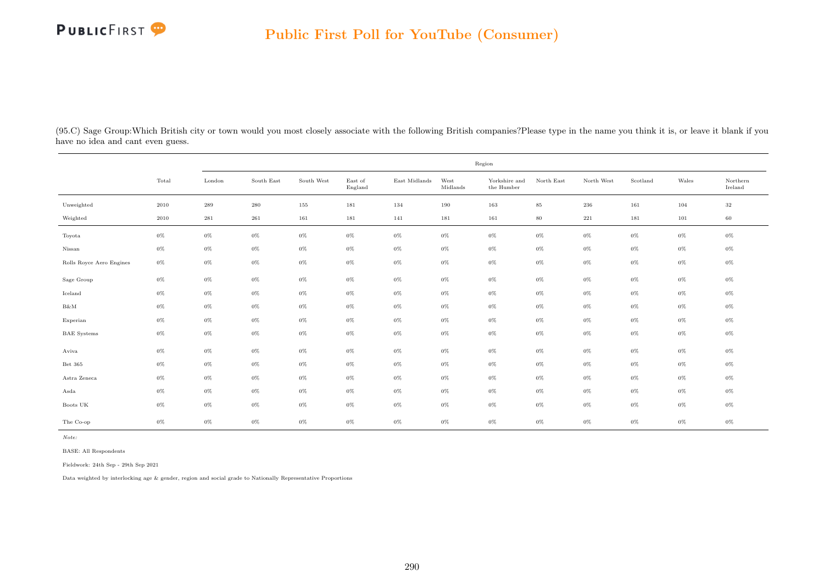

(95.C) Sage Group:Which British city or town would you most closely associate with the following British companies?Please type in the name you think it is, or leave it blank if you have no idea and cant even guess.

|                          |       | Region             |            |            |                    |               |                  |                                      |            |            |          |       |                     |  |
|--------------------------|-------|--------------------|------------|------------|--------------------|---------------|------------------|--------------------------------------|------------|------------|----------|-------|---------------------|--|
|                          | Total | London             | South East | South West | East of<br>England | East Midlands | West<br>Midlands | Yorkshire and<br>the $\mbox{Humber}$ | North East | North West | Scotland | Wales | Northern<br>Ireland |  |
| Unweighted               | 2010  | $\boldsymbol{289}$ | $\,280$    | 155        | 181                | 134           | 190              | 163                                  | $85\,$     | 236        | 161      | 104   | $32\,$              |  |
| Weighted                 | 2010  | $\bf 281$          | 261        | 161        | 181                | 141           | 181              | 161                                  | $80\,$     | $221\,$    | 181      | 101   | 60                  |  |
| Toyota                   | $0\%$ | $0\%$              | $0\%$      | $0\%$      | $0\%$              | $0\%$         | $0\%$            | $0\%$                                | $0\%$      | $0\%$      | $0\%$    | $0\%$ | $0\%$               |  |
| Nissan                   | $0\%$ | $0\%$              | $0\%$      | $0\%$      | $0\%$              | $0\%$         | $0\%$            | $0\%$                                | $0\%$      | $0\%$      | $0\%$    | $0\%$ | $0\%$               |  |
| Rolls Royce Aero Engines | $0\%$ | $0\%$              | $0\%$      | $0\%$      | $0\%$              | $0\%$         | $0\%$            | $0\%$                                | $0\%$      | $0\%$      | $0\%$    | $0\%$ | $0\%$               |  |
| Sage Group               | $0\%$ | $0\%$              | $0\%$      | $0\%$      | $0\%$              | $0\%$         | $0\%$            | $0\%$                                | $0\%$      | $0\%$      | $0\%$    | $0\%$ | $0\%$               |  |
| Iceland                  | $0\%$ | $0\%$              | $0\%$      | $0\%$      | $0\%$              | $0\%$         | $0\%$            | $0\%$                                | $0\%$      | $0\%$      | $0\%$    | $0\%$ | $0\%$               |  |
| B&M                      | $0\%$ | $0\%$              | $0\%$      | $0\%$      | $0\%$              | $0\%$         | $0\%$            | $0\%$                                | $0\%$      | $0\%$      | $0\%$    | $0\%$ | $0\%$               |  |
| Experian                 | $0\%$ | $0\%$              | $0\%$      | $0\%$      | $0\%$              | $0\%$         | $0\%$            | $0\%$                                | $0\%$      | $0\%$      | $0\%$    | $0\%$ | $0\%$               |  |
| <b>BAE</b> Systems       | $0\%$ | $0\%$              | $0\%$      | $0\%$      | $0\%$              | $0\%$         | $0\%$            | $0\%$                                | $0\%$      | $0\%$      | $0\%$    | $0\%$ | $0\%$               |  |
| Aviva                    | $0\%$ | $0\%$              | $0\%$      | $0\%$      | $0\%$              | $0\%$         | $0\%$            | $0\%$                                | $0\%$      | $0\%$      | $0\%$    | $0\%$ | $0\%$               |  |
| Bet 365                  | $0\%$ | $0\%$              | $0\%$      | $0\%$      | $0\%$              | $0\%$         | $0\%$            | $0\%$                                | $0\%$      | $0\%$      | $0\%$    | $0\%$ | $0\%$               |  |
| Astra Zeneca             | $0\%$ | $0\%$              | $0\%$      | $0\%$      | $0\%$              | $0\%$         | $0\%$            | $0\%$                                | $0\%$      | $0\%$      | $0\%$    | $0\%$ | $0\%$               |  |
| Asda                     | $0\%$ | $0\%$              | $0\%$      | $0\%$      | $0\%$              | $0\%$         | $0\%$            | $0\%$                                | $0\%$      | $0\%$      | $0\%$    | $0\%$ | $0\%$               |  |
| Boots UK                 | $0\%$ | $0\%$              | $0\%$      | $0\%$      | $0\%$              | $0\%$         | $0\%$            | $0\%$                                | $0\%$      | $0\%$      | $0\%$    | $0\%$ | $0\%$               |  |
| The Co-op                | $0\%$ | $0\%$              | $0\%$      | $0\%$      | $0\%$              | $0\%$         | $0\%$            | $0\%$                                | $0\%$      | $0\%$      | $0\%$    | $0\%$ | $0\%$               |  |

Note:

BASE: All Respondents

Fieldwork: 24th Sep - 29th Sep 2021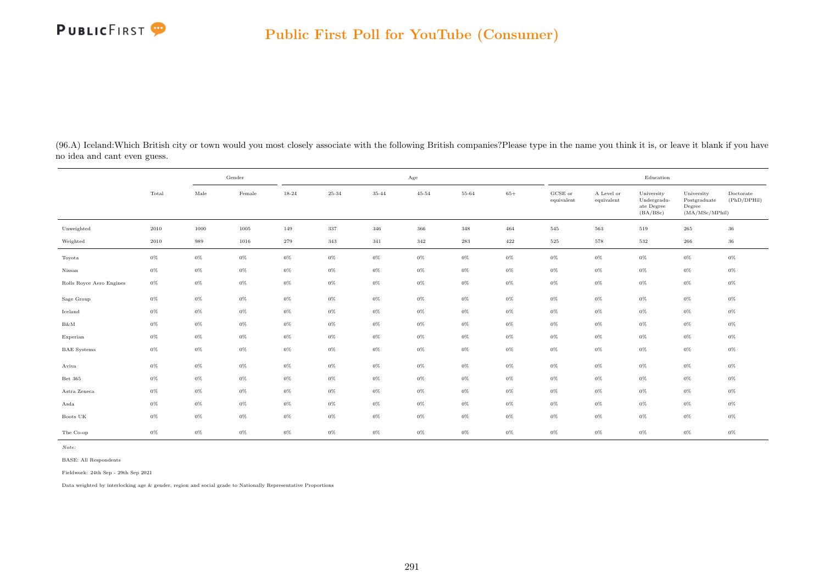

(96.A) Iceland:Which British city or town would you most closely associate with the following British companies?Please type in the name you think it is, or leave it blank if you have no idea and cant even guess.

|                          |       |       | Gender |       | Age     |       |           |       |       |                       | Education                |                                                     |                                                         |                          |  |
|--------------------------|-------|-------|--------|-------|---------|-------|-----------|-------|-------|-----------------------|--------------------------|-----------------------------------------------------|---------------------------------------------------------|--------------------------|--|
|                          | Total | Male  | Female | 18-24 | 25-34   | 35-44 | $45 - 54$ | 55-64 | $65+$ | GCSE or<br>equivalent | A Level or<br>equivalent | University<br>Undergradu-<br>ate Degree<br>(BA/BSc) | University<br>Postgraduate<br>Degree<br>(MA/MSc/MPhill) | Doctorate<br>(PhD/DPHil) |  |
| Unweighted               | 2010  | 1000  | 1005   | 149   | $337\,$ | 346   | 366       | 348   | 464   | 545                   | 563                      | 519                                                 | 265                                                     | 36                       |  |
| Weighted                 | 2010  | 989   | 1016   | 279   | 343     | 341   | 342       | 283   | 422   | 525                   | 578                      | 532                                                 | $266\,$                                                 | 36                       |  |
| Toyota                   | $0\%$ | $0\%$ | $0\%$  | $0\%$ | $0\%$   | $0\%$ | $0\%$     | $0\%$ | $0\%$ | $0\%$                 | $0\%$                    | $0\%$                                               | $0\%$                                                   | $0\%$                    |  |
| Nissan                   | $0\%$ | $0\%$ | $0\%$  | $0\%$ | $0\%$   | $0\%$ | $0\%$     | $0\%$ | $0\%$ | $0\%$                 | $0\%$                    | $0\%$                                               | $0\%$                                                   | $0\%$                    |  |
| Rolls Royce Aero Engines | $0\%$ | $0\%$ | $0\%$  | $0\%$ | $0\%$   | $0\%$ | $0\%$     | $0\%$ | $0\%$ | $0\%$                 | $0\%$                    | $0\%$                                               | $0\%$                                                   | $0\%$                    |  |
| Sage Group               | $0\%$ | $0\%$ | $0\%$  | $0\%$ | $0\%$   | $0\%$ | $0\%$     | $0\%$ | $0\%$ | $0\%$                 | $0\%$                    | $0\%$                                               | $0\%$                                                   | $0\%$                    |  |
| Iceland                  | $0\%$ | $0\%$ | $0\%$  | $0\%$ | $0\%$   | $0\%$ | $0\%$     | $0\%$ | $0\%$ | $0\%$                 | $0\%$                    | $0\%$                                               | $0\%$                                                   | $0\%$                    |  |
| $B\&M$                   | $0\%$ | $0\%$ | $0\%$  | $0\%$ | $0\%$   | $0\%$ | $0\%$     | $0\%$ | $0\%$ | $0\%$                 | $0\%$                    | $0\%$                                               | $0\%$                                                   | $0\%$                    |  |
| Experian                 | $0\%$ | $0\%$ | $0\%$  | $0\%$ | $0\%$   | $0\%$ | $0\%$     | $0\%$ | $0\%$ | $0\%$                 | $0\%$                    | $0\%$                                               | $0\%$                                                   | $0\%$                    |  |
| <b>BAE</b> Systems       | $0\%$ | $0\%$ | $0\%$  | $0\%$ | $0\%$   | $0\%$ | $0\%$     | $0\%$ | $0\%$ | $0\%$                 | $0\%$                    | $0\%$                                               | $0\%$                                                   | $0\%$                    |  |
| Aviva                    | $0\%$ | $0\%$ | $0\%$  | $0\%$ | $0\%$   | $0\%$ | $0\%$     | $0\%$ | $0\%$ | $0\%$                 | $0\%$                    | $0\%$                                               | $0\%$                                                   | $0\%$                    |  |
| Bet 365                  | $0\%$ | $0\%$ | $0\%$  | $0\%$ | $0\%$   | $0\%$ | $0\%$     | $0\%$ | $0\%$ | $0\%$                 | $0\%$                    | $0\%$                                               | $0\%$                                                   | $0\%$                    |  |
| Astra Zeneca             | $0\%$ | $0\%$ | $0\%$  | $0\%$ | $0\%$   | $0\%$ | $0\%$     | $0\%$ | $0\%$ | $0\%$                 | $0\%$                    | $0\%$                                               | $0\%$                                                   | $0\%$                    |  |
| Asda                     | $0\%$ | $0\%$ | $0\%$  | $0\%$ | $0\%$   | $0\%$ | $0\%$     | $0\%$ | $0\%$ | $0\%$                 | $0\%$                    | $0\%$                                               | $0\%$                                                   | $0\%$                    |  |
| Boots UK                 | $0\%$ | $0\%$ | $0\%$  | $0\%$ | $0\%$   | 0%    | $0\%$     | $0\%$ | 0%    | $0\%$                 | $0\%$                    | $0\%$                                               | $0\%$                                                   | $0\%$                    |  |
| The Co-op                | $0\%$ | $0\%$ | $0\%$  | $0\%$ | $0\%$   | $0\%$ | $0\%$     | $0\%$ | $0\%$ | $0\%$                 | $0\%$                    | $0\%$                                               | $0\%$                                                   | $0\%$                    |  |

BASE: All Respondents

Fieldwork: 24th Sep - 29th Sep 2021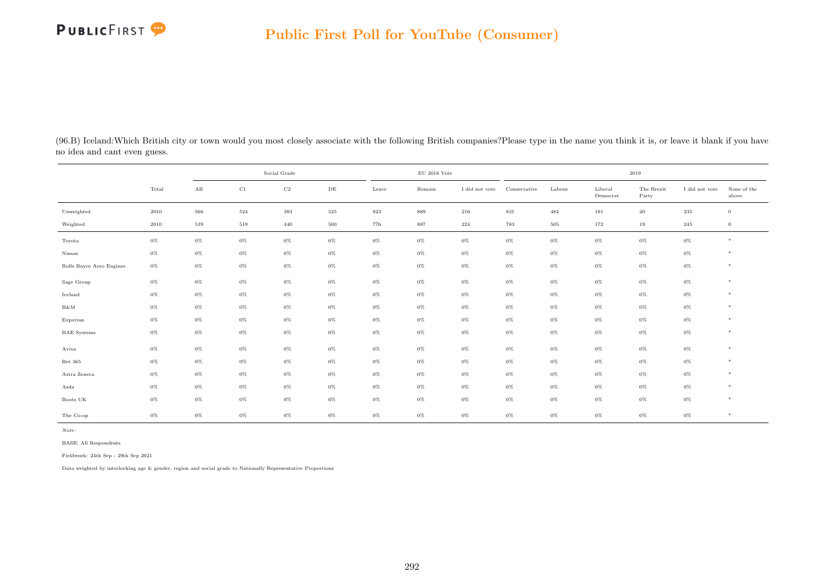| (96.B) Iceland: Which British city or town would you most closely associate with the following British companies? Please type in the name you think it is, or leave it blank if you have |
|------------------------------------------------------------------------------------------------------------------------------------------------------------------------------------------|
| no idea and cant even guess.                                                                                                                                                             |

|                          |       |          | Social Grade |             |           |         | $\rm EU$ 2016 Vote |                | 2019         |        |                     |                     |                |                      |
|--------------------------|-------|----------|--------------|-------------|-----------|---------|--------------------|----------------|--------------|--------|---------------------|---------------------|----------------|----------------------|
|                          | Total | $\rm AB$ | $_{\rm C1}$  | $_{\rm C2}$ | $\rm{DE}$ | Leave   | Remain             | I did not vote | Conservative | Labour | Liberal<br>Democrat | The Brexit<br>Party | I did not vote | None of the<br>above |
| Unweighted               | 2010  | 566      | 524          | $383\,$     | $525\,$   | $823\,$ | 889                | 216            | $831\,$      | 484    | 181                 | $20\,$              | $\,235$        | $\,0\,$              |
| Weighted                 | 2010  | 539      | 519          | 440         | 500       | 776     | 887                | 224            | 783          | 505    | 172                 | 19                  | 245            | $\overline{0}$       |
| Toyota                   | $0\%$ | $0\%$    | $0\%$        | $0\%$       | $0\%$     | $0\%$   | $0\%$              | $0\%$          | $0\%$        | $0\%$  | $0\%$               | $0\%$               | $0\%$          | $*$                  |
| Nissan                   | $0\%$ | $0\%$    | $0\%$        | $0\%$       | $0\%$     | $0\%$   | $0\%$              | $0\%$          | $0\%$        | $0\%$  | $0\%$               | $0\%$               | $0\%$          | *                    |
| Rolls Royce Aero Engines | $0\%$ | $0\%$    | $0\%$        | $0\%$       | $0\%$     | $0\%$   | $0\%$              | $0\%$          | $0\%$        | $0\%$  | $0\%$               | $0\%$               | $0\%$          | $*$                  |
| Sage Group               | $0\%$ | $0\%$    | $0\%$        | $0\%$       | $0\%$     | $0\%$   | $0\%$              | $0\%$          | $0\%$        | $0\%$  | $0\%$               | $0\%$               | $0\%$          | $\ast$               |
| Iceland                  | $0\%$ | $0\%$    | $0\%$        | $0\%$       | $0\%$     | $0\%$   | $0\%$              | $0\%$          | $0\%$        | $0\%$  | $0\%$               | $0\%$               | $0\%$          | $*$                  |
| $\rm B\&M$               | $0\%$ | $0\%$    | $0\%$        | $0\%$       | $0\%$     | $0\%$   | $0\%$              | $0\%$          | $0\%$        | $0\%$  | $0\%$               | $0\%$               | $0\%$          | $*$                  |
| Experian                 | $0\%$ | $0\%$    | $0\%$        | $0\%$       | $0\%$     | 0%      | $0\%$              | $0\%$          | 0%           | $0\%$  | $0\%$               | $0\%$               | $0\%$          | $*$                  |
| <b>BAE</b> Systems       | $0\%$ | $0\%$    | $0\%$        | $0\%$       | $0\%$     | 0%      | $0\%$              | $0\%$          | $0\%$        | $0\%$  | $0\%$               | $0\%$               | $0\%$          | $*$                  |
| Aviva                    | $0\%$ | $0\%$    | $0\%$        | $0\%$       | $0\%$     | $0\%$   | $0\%$              | $0\%$          | $0\%$        | $0\%$  | $0\%$               | $0\%$               | $0\%$          | $\ast$               |
| Bet 365                  | $0\%$ | $0\%$    | $0\%$        | $0\%$       | $0\%$     | $0\%$   | $0\%$              | $0\%$          | 0%           | $0\%$  | $0\%$               | $0\%$               | $0\%$          | $\ast$               |
| Astra Zeneca             | $0\%$ | $0\%$    | $0\%$        | $0\%$       | $0\%$     | $0\%$   | $0\%$              | $0\%$          | 0%           | $0\%$  | $0\%$               | $0\%$               | $0\%$          | $\ast$               |
| Asda                     | $0\%$ | $0\%$    | $0\%$        | $0\%$       | $0\%$     | 0%      | $0\%$              | $0\%$          | $0\%$        | $0\%$  | $0\%$               | $0\%$               | $0\%$          | $\ast$               |
| Boots UK                 | $0\%$ | $0\%$    | $0\%$        | $0\%$       | $0\%$     | $0\%$   | $0\%$              | $0\%$          | $0\%$        | $0\%$  | $0\%$               | $0\%$               | $0\%$          | $*$                  |
| The Co-op                | $0\%$ | $0\%$    | $0\%$        | $0\%$       | $0\%$     | $0\%$   | $0\%$              | $0\%$          | $0\%$        | $0\%$  | $0\%$               | $0\%$               | $0\%$          | $\ast$               |

Note:

BASE: All Respondents

Fieldwork: 24th Sep - 29th Sep 2021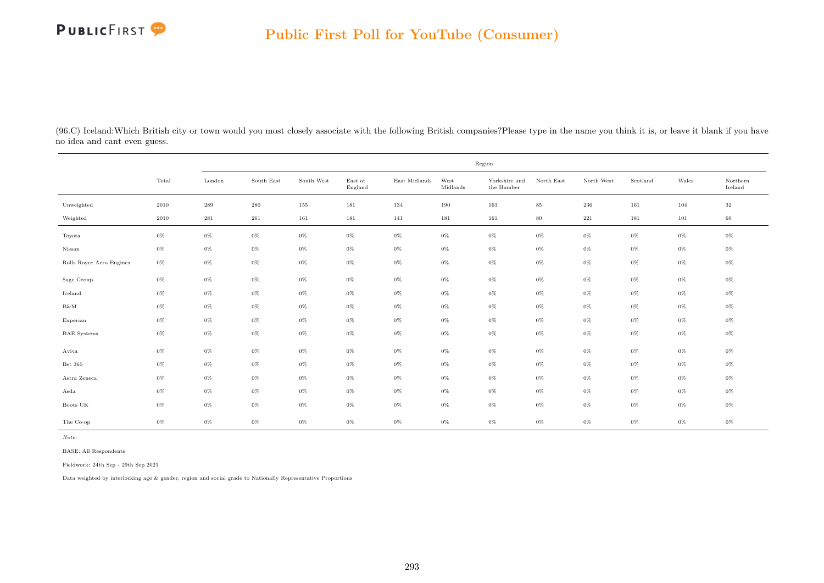

(96.C) Iceland:Which British city or town would you most closely associate with the following British companies?Please type in the name you think it is, or leave it blank if you have no idea and cant even guess.

|                          |          | Region    |            |            |                    |               |                  |                             |            |            |          |         |                     |  |
|--------------------------|----------|-----------|------------|------------|--------------------|---------------|------------------|-----------------------------|------------|------------|----------|---------|---------------------|--|
|                          | Total    | London    | South East | South West | East of<br>England | East Midlands | West<br>Midlands | Yorkshire and<br>the Humber | North East | North West | Scotland | Wales   | Northern<br>Ireland |  |
| Unweighted               | $2010\,$ | 289       | $280\,$    | 155        | 181                | 134           | 190              | 163                         | $85\,$     | $\,236$    | 161      | 104     | $32\,$              |  |
| Weighted                 | $2010\,$ | $\bf 281$ | $261\,$    | 161        | 181                | 141           | 181              | 161                         | $80\,$     | $221\,$    | 181      | $101\,$ | 60                  |  |
| Toyota                   | $0\%$    | $0\%$     | $0\%$      | $0\%$      | $0\%$              | $0\%$         | $0\%$            | $0\%$                       | $0\%$      | $0\%$      | $0\%$    | $0\%$   | $0\%$               |  |
| Nissan                   | $0\%$    | $0\%$     | $0\%$      | $0\%$      | $0\%$              | $0\%$         | $0\%$            | $0\%$                       | $0\%$      | $0\%$      | $0\%$    | $0\%$   | $0\%$               |  |
| Rolls Royce Aero Engines | $0\%$    | $0\%$     | $0\%$      | $0\%$      | $0\%$              | $0\%$         | $0\%$            | $0\%$                       | $0\%$      | $0\%$      | $0\%$    | $0\%$   | 0%                  |  |
| Sage Group               | $0\%$    | $0\%$     | 0%         | $0\%$      | $0\%$              | $0\%$         | $0\%$            | $0\%$                       | $0\%$      | $0\%$      | $0\%$    | $0\%$   | 0%                  |  |
| Iceland                  | $0\%$    | $0\%$     | $0\%$      | $0\%$      | $0\%$              | $0\%$         | $0\%$            | $0\%$                       | $0\%$      | $0\%$      | $0\%$    | $0\%$   | 0%                  |  |
| B&M                      | $0\%$    | $0\%$     | $0\%$      | $0\%$      | $0\%$              | $0\%$         | $0\%$            | $0\%$                       | $0\%$      | $0\%$      | $0\%$    | $0\%$   | $0\%$               |  |
| Experian                 | $0\%$    | $0\%$     | 0%         | $0\%$      | $0\%$              | $0\%$         | $0\%$            | $0\%$                       | $0\%$      | $0\%$      | $0\%$    | $0\%$   | 0%                  |  |
| <b>BAE</b> Systems       | $0\%$    | $0\%$     | $0\%$      | $0\%$      | $0\%$              | $0\%$         | $0\%$            | $0\%$                       | $0\%$      | $0\%$      | $0\%$    | $0\%$   | 0%                  |  |
| Aviva                    | $0\%$    | $0\%$     | $0\%$      | $0\%$      | $0\%$              | $0\%$         | $0\%$            | $0\%$                       | $0\%$      | $0\%$      | $0\%$    | $0\%$   | $0\%$               |  |
| Bet 365                  | $0\%$    | $0\%$     | 0%         | $0\%$      | $0\%$              | $0\%$         | $0\%$            | $0\%$                       | $0\%$      | $0\%$      | $0\%$    | $0\%$   | 0%                  |  |
| Astra Zeneca             | $0\%$    | $0\%$     | $0\%$      | $0\%$      | $0\%$              | $0\%$         | $0\%$            | $0\%$                       | $0\%$      | $0\%$      | $0\%$    | $0\%$   | 0%                  |  |
| Asda                     | $0\%$    | $0\%$     | $0\%$      | $0\%$      | $0\%$              | $0\%$         | $0\%$            | $0\%$                       | $0\%$      | $0\%$      | $0\%$    | $0\%$   | $0\%$               |  |
| Boots UK                 | $0\%$    | $0\%$     | 0%         | $0\%$      | $0\%$              | $0\%$         | $0\%$            | $0\%$                       | $0\%$      | $0\%$      | $0\%$    | $0\%$   | 0%                  |  |
| The Co-op                | $0\%$    | $0\%$     | $0\%$      | $0\%$      | $0\%$              | $0\%$         | $0\%$            | $0\%$                       | $0\%$      | $0\%$      | $0\%$    | $0\%$   | 0%                  |  |

Note:

BASE: All Respondents

Fieldwork: 24th Sep - 29th Sep 2021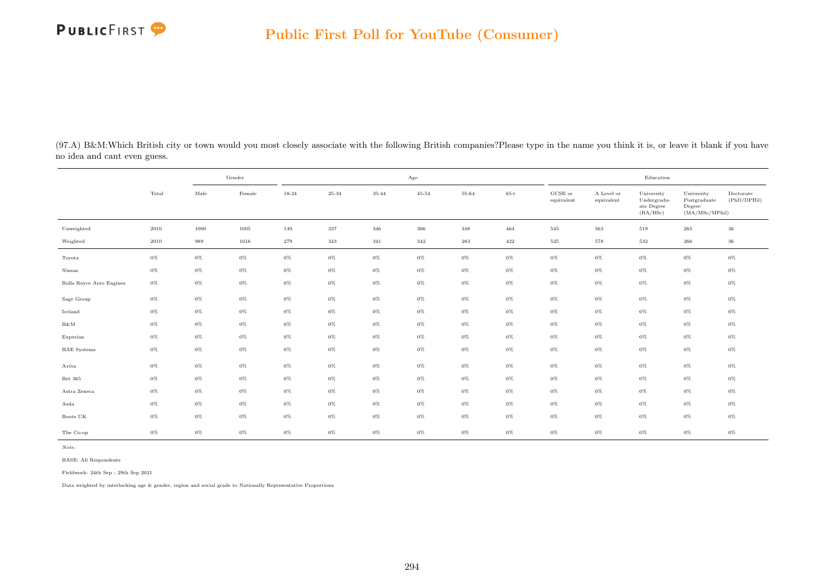

(97.A) B&M:Which British city or town would you most closely associate with the following British companies?Please type in the name you think it is, or leave it blank if you have no idea and cant even guess.

|                          |       |       | Gender |       | $_{\rm Age}$ |       |           |           |       |                       | Education                |                                                     |                                                         |                          |  |
|--------------------------|-------|-------|--------|-------|--------------|-------|-----------|-----------|-------|-----------------------|--------------------------|-----------------------------------------------------|---------------------------------------------------------|--------------------------|--|
|                          | Total | Male  | Female | 18-24 | 25-34        | 35-44 | $45 - 54$ | 55-64     | $65+$ | GCSE or<br>equivalent | A Level or<br>equivalent | University<br>Undergradu-<br>ate Degree<br>(BA/BSc) | University<br>Postgraduate<br>Degree<br>(MA/MSc/MPhill) | Doctorate<br>(PhD/DPHil) |  |
| Unweighted               | 2010  | 1000  | 1005   | 149   | 337          | 346   | 366       | $348\,$   | 464   | 545                   | $563\,$                  | 519                                                 | 265                                                     | 36                       |  |
| Weighted                 | 2010  | 989   | 1016   | 279   | 343          | 341   | $342\,$   | $\bf 283$ | 422   | $525\,$               | 578                      | 532                                                 | 266                                                     | 36                       |  |
| Toyota                   | $0\%$ | $0\%$ | $0\%$  | $0\%$ | $0\%$        | $0\%$ | $0\%$     | $0\%$     | $0\%$ | $0\%$                 | $0\%$                    | $0\%$                                               | $0\%$                                                   | $0\%$                    |  |
| Nissan                   | $0\%$ | $0\%$ | $0\%$  | $0\%$ | $0\%$        | $0\%$ | $0\%$     | $0\%$     | $0\%$ | $0\%$                 | $0\%$                    | $0\%$                                               | $0\%$                                                   | $0\%$                    |  |
| Rolls Royce Aero Engines | $0\%$ | $0\%$ | $0\%$  | $0\%$ | $0\%$        | $0\%$ | $0\%$     | $0\%$     | $0\%$ | $0\%$                 | $0\%$                    | $0\%$                                               | $0\%$                                                   | $0\%$                    |  |
| Sage Group               | $0\%$ | $0\%$ | $0\%$  | $0\%$ | $0\%$        | $0\%$ | $0\%$     | $0\%$     | $0\%$ | $0\%$                 | $0\%$                    | $0\%$                                               | $0\%$                                                   | $0\%$                    |  |
| Iceland                  | $0\%$ | $0\%$ | $0\%$  | $0\%$ | $0\%$        | $0\%$ | $0\%$     | $0\%$     | $0\%$ | $0\%$                 | $0\%$                    | $0\%$                                               | $0\%$                                                   | $0\%$                    |  |
| $B\&M$                   | $0\%$ | $0\%$ | $0\%$  | $0\%$ | $0\%$        | $0\%$ | $0\%$     | $0\%$     | $0\%$ | $0\%$                 | $0\%$                    | $0\%$                                               | $0\%$                                                   | $0\%$                    |  |
| Experian                 | $0\%$ | $0\%$ | $0\%$  | $0\%$ | $0\%$        | $0\%$ | $0\%$     | $0\%$     | $0\%$ | $0\%$                 | $0\%$                    | $0\%$                                               | $0\%$                                                   | $0\%$                    |  |
| <b>BAE</b> Systems       | $0\%$ | $0\%$ | $0\%$  | $0\%$ | $0\%$        | $0\%$ | $0\%$     | $0\%$     | $0\%$ | $0\%$                 | $0\%$                    | $0\%$                                               | $0\%$                                                   | $0\%$                    |  |
| Aviva                    | $0\%$ | $0\%$ | $0\%$  | $0\%$ | $0\%$        | $0\%$ | $0\%$     | $0\%$     | $0\%$ | $0\%$                 | $0\%$                    | $0\%$                                               | $0\%$                                                   | $0\%$                    |  |
| Bet 365                  | $0\%$ | $0\%$ | $0\%$  | $0\%$ | $0\%$        | $0\%$ | $0\%$     | $0\%$     | $0\%$ | $0\%$                 | $0\%$                    | $0\%$                                               | $0\%$                                                   | $0\%$                    |  |
| Astra Zeneca             | $0\%$ | $0\%$ | $0\%$  | $0\%$ | $0\%$        | $0\%$ | $0\%$     | $0\%$     | $0\%$ | $0\%$                 | $0\%$                    | $0\%$                                               | $0\%$                                                   | $0\%$                    |  |
| Asda                     | $0\%$ | $0\%$ | $0\%$  | $0\%$ | $0\%$        | $0\%$ | $0\%$     | $0\%$     | $0\%$ | $0\%$                 | $0\%$                    | $0\%$                                               | $0\%$                                                   | $0\%$                    |  |
| Boots UK                 | $0\%$ | $0\%$ | $0\%$  | $0\%$ | $0\%$        | $0\%$ | $0\%$     | $0\%$     | $0\%$ | $0\%$                 | $0\%$                    | $0\%$                                               | $0\%$                                                   | $0\%$                    |  |
| The Co-op                | $0\%$ | $0\%$ | $0\%$  | $0\%$ | $0\%$        | $0\%$ | $0\%$     | $0\%$     | $0\%$ | $0\%$                 | $0\%$                    | $0\%$                                               | $0\%$                                                   | $0\%$                    |  |

BASE: All Respondents

Fieldwork: 24th Sep - 29th Sep 2021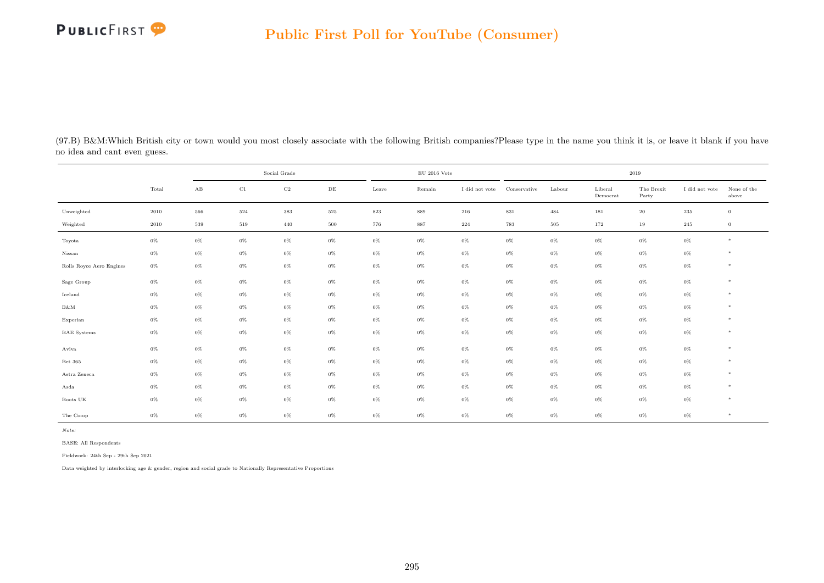

| (97.B) B&M:Which British city or town would you most closely associate with the following British companies?Please type in the name you think it is, or leave it blank if you have |  |
|------------------------------------------------------------------------------------------------------------------------------------------------------------------------------------|--|
| no idea and cant even guess.                                                                                                                                                       |  |

|                          |       |                        | Social Grade |             |           |         | $\rm EU$ 2016 Vote |                |              | 2019    |                     |                     |                |                      |
|--------------------------|-------|------------------------|--------------|-------------|-----------|---------|--------------------|----------------|--------------|---------|---------------------|---------------------|----------------|----------------------|
|                          | Total | $\mathbf{A}\mathbf{B}$ | $\rm C1$     | $_{\rm C2}$ | $\rm{DE}$ | Leave   | Remain             | I did not vote | Conservative | Labour  | Liberal<br>Democrat | The Brexit<br>Party | I did not vote | None of the<br>above |
| Unweighted               | 2010  | 566                    | 524          | 383         | $525\,$   | $823\,$ | 889                | 216            | $831\,$      | 484     | 181                 | $20\,$              | $235\,$        | $\mathbf{0}$         |
| Weighted                 | 2010  | 539                    | 519          | 440         | $500\,$   | 776     | 887                | 224            | 783          | $505\,$ | 172                 | 19                  | 245            | $\overline{0}$       |
| Toyota                   | $0\%$ | $0\%$                  | $0\%$        | $0\%$       | $0\%$     | $0\%$   | $0\%$              | $0\%$          | $0\%$        | $0\%$   | $0\%$               | $0\%$               | $0\%$          | $*$                  |
| Nissan                   | $0\%$ | $0\%$                  | $0\%$        | $0\%$       | $0\%$     | $0\%$   | $0\%$              | $0\%$          | $0\%$        | $0\%$   | $0\%$               | $0\%$               | $0\%$          | $*$                  |
| Rolls Royce Aero Engines | $0\%$ | $0\%$                  | $0\%$        | $0\%$       | $0\%$     | $0\%$   | $0\%$              | $0\%$          | $0\%$        | $0\%$   | $0\%$               | $0\%$               | $0\%$          | $\ast$               |
| Sage Group               | $0\%$ | $0\%$                  | $0\%$        | $0\%$       | $0\%$     | $0\%$   | $0\%$              | $0\%$          | $0\%$        | $0\%$   | $0\%$               | $0\%$               | $0\%$          | $*$                  |
| Iceland                  | $0\%$ | $0\%$                  | $0\%$        | $0\%$       | $0\%$     | $0\%$   | $0\%$              | $0\%$          | $0\%$        | $0\%$   | $0\%$               | $0\%$               | $0\%$          | $*$                  |
| B&M                      | $0\%$ | $0\%$                  | $0\%$        | $0\%$       | $0\%$     | $0\%$   | $0\%$              | $0\%$          | $0\%$        | $0\%$   | $0\%$               | $0\%$               | $0\%$          | $\ast$               |
| Experian                 | $0\%$ | $0\%$                  | $0\%$        | $0\%$       | $0\%$     | $0\%$   | $0\%$              | $0\%$          | $0\%$        | $0\%$   | $0\%$               | $0\%$               | $0\%$          | $\ast$               |
| <b>BAE</b> Systems       | $0\%$ | $0\%$                  | $0\%$        | $0\%$       | $0\%$     | $0\%$   | $0\%$              | $0\%$          | $0\%$        | $0\%$   | $0\%$               | $0\%$               | $0\%$          | $\ast$               |
| Aviva                    | $0\%$ | $0\%$                  | $0\%$        | $0\%$       | $0\%$     | $0\%$   | $0\%$              | $0\%$          | $0\%$        | $0\%$   | $0\%$               | $0\%$               | $0\%$          | $*$                  |
| Bet 365                  | $0\%$ | $0\%$                  | $0\%$        | $0\%$       | $0\%$     | $0\%$   | $0\%$              | $0\%$          | $0\%$        | $0\%$   | $0\%$               | $0\%$               | $0\%$          | $\ast$               |
| Astra Zeneca             | $0\%$ | $0\%$                  | $0\%$        | $0\%$       | $0\%$     | $0\%$   | $0\%$              | $0\%$          | $0\%$        | $0\%$   | $0\%$               | $0\%$               | $0\%$          | $\ast$               |
| Asda                     | $0\%$ | $0\%$                  | $0\%$        | $0\%$       | $0\%$     | $0\%$   | $0\%$              | $0\%$          | $0\%$        | $0\%$   | $0\%$               | $0\%$               | $0\%$          | $\ast$               |
| Boots UK                 | $0\%$ | $0\%$                  | $0\%$        | $0\%$       | $0\%$     | $0\%$   | $0\%$              | $0\%$          | $0\%$        | $0\%$   | $0\%$               | $0\%$               | $0\%$          | $*$                  |
| The Co-op                | $0\%$ | $0\%$                  | $0\%$        | $0\%$       | $0\%$     | $0\%$   | $0\%$              | 0%             | $0\%$        | $0\%$   | $0\%$               | $0\%$               | $0\%$          | $*$                  |

BASE: All Respondents

Fieldwork: 24th Sep - 29th Sep 2021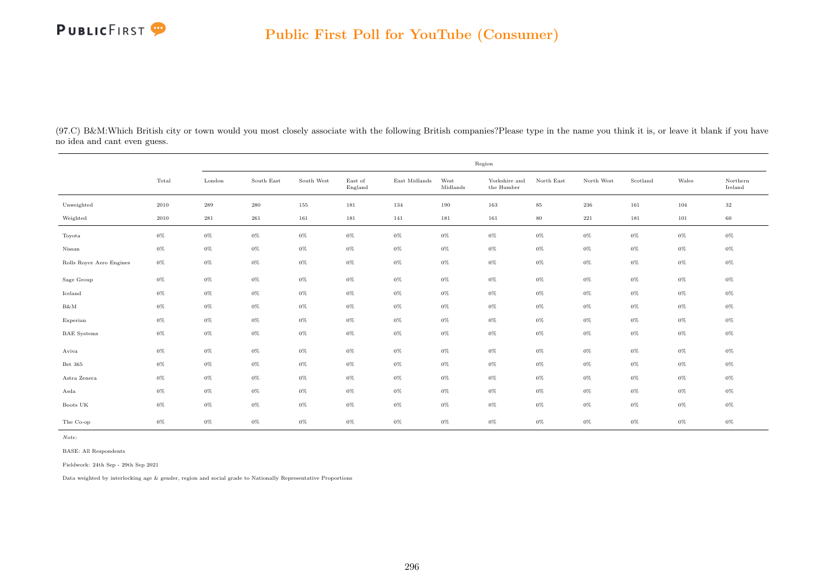

(97.C) B&M:Which British city or town would you most closely associate with the following British companies?Please type in the name you think it is, or leave it blank if you have no idea and cant even guess.

|                          |          | Region             |            |            |                    |               |                  |                             |            |              |          |         |                     |  |
|--------------------------|----------|--------------------|------------|------------|--------------------|---------------|------------------|-----------------------------|------------|--------------|----------|---------|---------------------|--|
|                          | Total    | London             | South East | South West | East of<br>England | East Midlands | West<br>Midlands | Yorkshire and<br>the Humber | North East | North West   | Scotland | Wales   | Northern<br>Ireland |  |
| Unweighted               | 2010     | $\boldsymbol{289}$ | $\,280$    | 155        | 181                | 134           | 190              | 163                         | $85\,$     | $\,236$      | 161      | 104     | $32\,$              |  |
| Weighted                 | $2010\,$ | $\bf 281$          | $261\,$    | 161        | 181                | 141           | 181              | 161                         | $80\,$     | $2\sqrt{2}1$ | 181      | $101\,$ | 60                  |  |
| Toyota                   | $0\%$    | $0\%$              | $0\%$      | $0\%$      | $0\%$              | $0\%$         | $0\%$            | $0\%$                       | $0\%$      | $0\%$        | $0\%$    | 0%      | 0%                  |  |
| Nissan                   | $0\%$    | $0\%$              | $0\%$      | $0\%$      | $0\%$              | $0\%$         | $0\%$            | $0\%$                       | $0\%$      | $0\%$        | $0\%$    | 0%      | $0\%$               |  |
| Rolls Royce Aero Engines | $0\%$    | $0\%$              | $0\%$      | $0\%$      | $0\%$              | $0\%$         | $0\%$            | $0\%$                       | $0\%$      | $0\%$        | $0\%$    | $0\%$   | $0\%$               |  |
| Sage Group               | $0\%$    | $0\%$              | $0\%$      | $0\%$      | $0\%$              | $0\%$         | $0\%$            | $0\%$                       | $0\%$      | $0\%$        | $0\%$    | $0\%$   | $0\%$               |  |
| Iceland                  | $0\%$    | $0\%$              | $0\%$      | $0\%$      | $0\%$              | $0\%$         | $0\%$            | $0\%$                       | $0\%$      | $0\%$        | $0\%$    | 0%      | $0\%$               |  |
| $B\&M$                   | $0\%$    | $0\%$              | $0\%$      | $0\%$      | $0\%$              | $0\%$         | $0\%$            | $0\%$                       | $0\%$      | $0\%$        | $0\%$    | $0\%$   | $0\%$               |  |
| Experian                 | $0\%$    | $0\%$              | $0\%$      | $0\%$      | $0\%$              | $0\%$         | $0\%$            | $0\%$                       | $0\%$      | $0\%$        | $0\%$    | $0\%$   | $0\%$               |  |
| <b>BAE</b> Systems       | $0\%$    | $0\%$              | $0\%$      | $0\%$      | $0\%$              | $0\%$         | $0\%$            | $0\%$                       | $0\%$      | $0\%$        | $0\%$    | $0\%$   | $0\%$               |  |
| Aviva                    | $0\%$    | $0\%$              | $0\%$      | $0\%$      | $0\%$              | $0\%$         | $0\%$            | $0\%$                       | $0\%$      | $0\%$        | $0\%$    | $0\%$   | 0%                  |  |
| Bet 365                  | $0\%$    | $0\%$              | $0\%$      | $0\%$      | $0\%$              | $0\%$         | $0\%$            | $0\%$                       | $0\%$      | $0\%$        | $0\%$    | 0%      | 0%                  |  |
| Astra Zeneca             | $0\%$    | $0\%$              | $0\%$      | $0\%$      | $0\%$              | $0\%$         | $0\%$            | $0\%$                       | $0\%$      | $0\%$        | $0\%$    | 0%      | $0\%$               |  |
| Asda                     | $0\%$    | $0\%$              | $0\%$      | $0\%$      | $0\%$              | $0\%$         | $0\%$            | $0\%$                       | $0\%$      | $0\%$        | $0\%$    | $0\%$   | $0\%$               |  |
| Boots UK                 | $0\%$    | $0\%$              | $0\%$      | 0%         | $0\%$              | $0\%$         | $0\%$            | $0\%$                       | $0\%$      | $0\%$        | $0\%$    | 0%      | $0\%$               |  |
| The Co-op                | $0\%$    | $0\%$              | $0\%$      | $0\%$      | $0\%$              | $0\%$         | $0\%$            | $0\%$                       | $0\%$      | $0\%$        | $0\%$    | $0\%$   | 0%                  |  |

Note:

BASE: All Respondents

Fieldwork: 24th Sep - 29th Sep 2021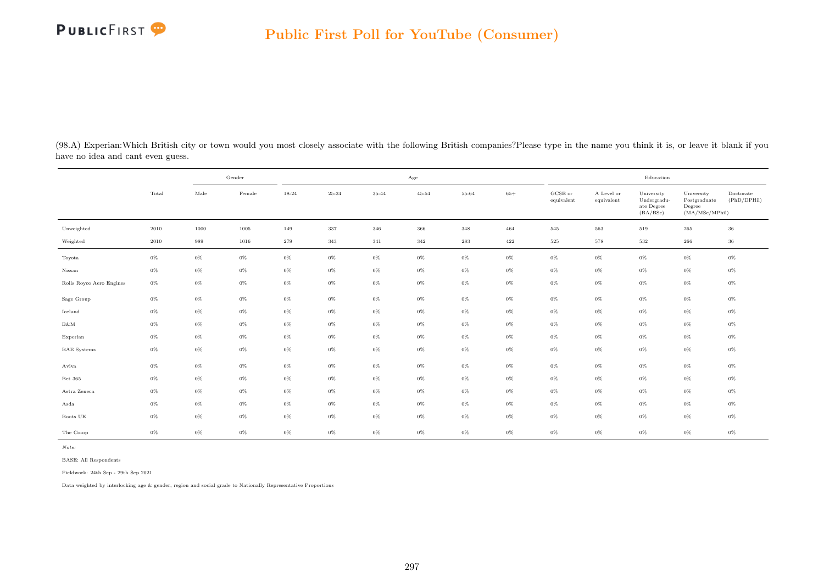

(98.A) Experian:Which British city or town would you most closely associate with the following British companies?Please type in the name you think it is, or leave it blank if you have no idea and cant even guess.

|                          |       |               | Gender |       |       |           | Age            |       |       |                                |                          | Education                                           |                                                         |                          |
|--------------------------|-------|---------------|--------|-------|-------|-----------|----------------|-------|-------|--------------------------------|--------------------------|-----------------------------------------------------|---------------------------------------------------------|--------------------------|
|                          | Total | $_{\rm Male}$ | Female | 18-24 | 25-34 | $35 - 44$ | $45\mbox{-}54$ | 55-64 | $65+$ | $_{\rm GCSE~or}$<br>equivalent | A Level or<br>equivalent | University<br>Undergradu-<br>ate Degree<br>(BA/BSc) | University<br>Postgraduate<br>Degree<br>(MA/MSc/MPhill) | Doctorate<br>(PhD/DPHil) |
| Unweighted               | 2010  | 1000          | 1005   | 149   | 337   | 346       | 366            | 348   | 464   | 545                            | 563                      | 519                                                 | 265                                                     | 36                       |
| Weighted                 | 2010  | 989           | 1016   | 279   | 343   | 341       | 342            | 283   | 422   | $525\,$                        | 578                      | 532                                                 | 266                                                     | 36                       |
| Toyota                   | $0\%$ | $0\%$         | $0\%$  | $0\%$ | $0\%$ | $0\%$     | $0\%$          | $0\%$ | $0\%$ | $0\%$                          | $0\%$                    | $0\%$                                               | $0\%$                                                   | $0\%$                    |
| Nissan                   | $0\%$ | $0\%$         | $0\%$  | $0\%$ | $0\%$ | $0\%$     | $0\%$          | $0\%$ | $0\%$ | $0\%$                          | $0\%$                    | $0\%$                                               | $0\%$                                                   | $0\%$                    |
| Rolls Royce Aero Engines | $0\%$ | $0\%$         | $0\%$  | $0\%$ | $0\%$ | $0\%$     | $0\%$          | $0\%$ | $0\%$ | $0\%$                          | $0\%$                    | $0\%$                                               | $0\%$                                                   | $0\%$                    |
| Sage Group               | $0\%$ | $0\%$         | $0\%$  | $0\%$ | $0\%$ | $0\%$     | $0\%$          | $0\%$ | $0\%$ | $0\%$                          | $0\%$                    | $0\%$                                               | $0\%$                                                   | $0\%$                    |
| Iceland                  | $0\%$ | $0\%$         | $0\%$  | $0\%$ | $0\%$ | $0\%$     | $0\%$          | $0\%$ | $0\%$ | $0\%$                          | $0\%$                    | $0\%$                                               | $0\%$                                                   | $0\%$                    |
| B&M                      | $0\%$ | $0\%$         | $0\%$  | $0\%$ | $0\%$ | $0\%$     | $0\%$          | $0\%$ | $0\%$ | $0\%$                          | $0\%$                    | $0\%$                                               | $0\%$                                                   | $0\%$                    |
| Experian                 | $0\%$ | $0\%$         | $0\%$  | $0\%$ | $0\%$ | $0\%$     | $0\%$          | $0\%$ | $0\%$ | $0\%$                          | $0\%$                    | $0\%$                                               | $0\%$                                                   | $0\%$                    |
| <b>BAE</b> Systems       | $0\%$ | $0\%$         | $0\%$  | $0\%$ | $0\%$ | $0\%$     | $0\%$          | $0\%$ | $0\%$ | $0\%$                          | $0\%$                    | $0\%$                                               | $0\%$                                                   | $0\%$                    |
| Aviva                    | $0\%$ | $0\%$         | $0\%$  | $0\%$ | $0\%$ | $0\%$     | $0\%$          | $0\%$ | $0\%$ | $0\%$                          | $0\%$                    | $0\%$                                               | $0\%$                                                   | $0\%$                    |
| Bet $365\,$              | $0\%$ | $0\%$         | $0\%$  | $0\%$ | $0\%$ | $0\%$     | $0\%$          | $0\%$ | $0\%$ | $0\%$                          | $0\%$                    | $0\%$                                               | $0\%$                                                   | $0\%$                    |
| Astra Zeneca             | $0\%$ | $0\%$         | $0\%$  | $0\%$ | $0\%$ | $0\%$     | $0\%$          | $0\%$ | $0\%$ | $0\%$                          | $0\%$                    | $0\%$                                               | $0\%$                                                   | $0\%$                    |
| Asda                     | $0\%$ | $0\%$         | $0\%$  | $0\%$ | $0\%$ | $0\%$     | $0\%$          | $0\%$ | $0\%$ | $0\%$                          | $0\%$                    | $0\%$                                               | $0\%$                                                   | $0\%$                    |
| Boots UK                 | $0\%$ | $0\%$         | $0\%$  | $0\%$ | $0\%$ | $0\%$     | $0\%$          | $0\%$ | $0\%$ | $0\%$                          | $0\%$                    | $0\%$                                               | $0\%$                                                   | $0\%$                    |
| The Co-op                | $0\%$ | $0\%$         | $0\%$  | $0\%$ | $0\%$ | $0\%$     | $0\%$          | $0\%$ | $0\%$ | $0\%$                          | $0\%$                    | $0\%$                                               | $0\%$                                                   | $0\%$                    |

BASE: All Respondents

Fieldwork: 24th Sep - 29th Sep 2021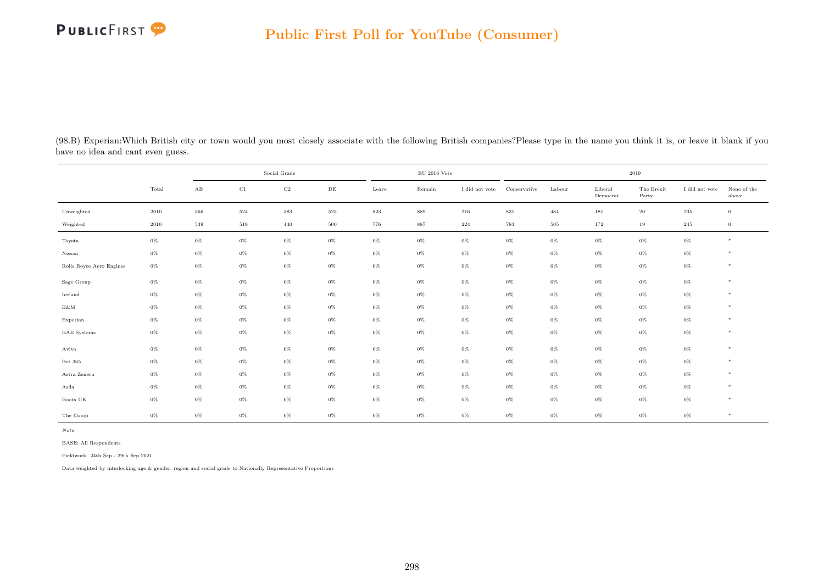| (98.B) Experian: Which British city or town would you most closely associate with the following British companies? Please type in the name you think it is, or leave it blank if you |  |  |  |  |  |  |
|--------------------------------------------------------------------------------------------------------------------------------------------------------------------------------------|--|--|--|--|--|--|
| have no idea and cant even guess.                                                                                                                                                    |  |  |  |  |  |  |

|                          |          |                        | Social Grade |             |           |         | $\rm EU$ 2016 Vote |                |              |        |                     | 2019                |                |                      |
|--------------------------|----------|------------------------|--------------|-------------|-----------|---------|--------------------|----------------|--------------|--------|---------------------|---------------------|----------------|----------------------|
|                          | Total    | $\mathbf{A}\mathbf{B}$ | C1           | $_{\rm C2}$ | $\rm{DE}$ | Leave   | Remain             | I did not vote | Conservative | Labour | Liberal<br>Democrat | The Brexit<br>Party | I did not vote | None of the<br>above |
| Unweighted               | $2010\,$ | 566                    | 524          | $383\,$     | $525\,$   | $823\,$ | 889                | $\sqrt{216}$   | $831\,$      | 484    | 181                 | $20\,$              | $235\,$        | $\overline{0}$       |
| Weighted                 | $2010\,$ | 539                    | 519          | 440         | 500       | 776     | 887                | 224            | 783          | 505    | 172                 | 19                  | 245            | $\overline{0}$       |
| Toyota                   | $0\%$    | $0\%$                  | $0\%$        | $0\%$       | $0\%$     | $0\%$   | $0\%$              | $0\%$          | $0\%$        | $0\%$  | $0\%$               | $0\%$               | $0\%$          | $*$                  |
| Nissan                   | $0\%$    | $0\%$                  | $0\%$        | $0\%$       | $0\%$     | $0\%$   | $0\%$              | $0\%$          | $0\%$        | $0\%$  | $0\%$               | $0\%$               | $0\%$          | $*$                  |
| Rolls Royce Aero Engines | $0\%$    | $0\%$                  | $0\%$        | $0\%$       | $0\%$     | $0\%$   | $0\%$              | $0\%$          | $0\%$        | $0\%$  | $0\%$               | $0\%$               | $0\%$          | $*$                  |
| Sage Group               | $0\%$    | $0\%$                  | $0\%$        | $0\%$       | $0\%$     | $0\%$   | $0\%$              | $0\%$          | $0\%$        | $0\%$  | $0\%$               | $0\%$               | $0\%$          | $*$                  |
| Iceland                  | $0\%$    | $0\%$                  | $0\%$        | $0\%$       | $0\%$     | $0\%$   | $0\%$              | $0\%$          | $0\%$        | $0\%$  | $0\%$               | $0\%$               | $0\%$          | $*$                  |
| $B\&M$                   | $0\%$    | $0\%$                  | $0\%$        | $0\%$       | $0\%$     | $0\%$   | $0\%$              | $0\%$          | $0\%$        | $0\%$  | $0\%$               | $0\%$               | $0\%$          | $*$                  |
| Experian                 | $0\%$    | $0\%$                  | $0\%$        | $0\%$       | $0\%$     | $0\%$   | $0\%$              | $0\%$          | $0\%$        | $0\%$  | $0\%$               | $0\%$               | $0\%$          | $*$                  |
| <b>BAE</b> Systems       | $0\%$    | $0\%$                  | $0\%$        | $0\%$       | $0\%$     | $0\%$   | $0\%$              | $0\%$          | $0\%$        | $0\%$  | $0\%$               | $0\%$               | $0\%$          | $*$                  |
| Aviva                    | $0\%$    | $0\%$                  | $0\%$        | $0\%$       | $0\%$     | $0\%$   | $0\%$              | $0\%$          | $0\%$        | $0\%$  | $0\%$               | $0\%$               | $0\%$          | $*$                  |
| Bet 365                  | $0\%$    | $0\%$                  | $0\%$        | $0\%$       | $0\%$     | $0\%$   | $0\%$              | $0\%$          | $0\%$        | $0\%$  | $0\%$               | $0\%$               | $0\%$          | $*$                  |
| Astra Zeneca             | $0\%$    | $0\%$                  | $0\%$        | $0\%$       | $0\%$     | $0\%$   | $0\%$              | $0\%$          | $0\%$        | $0\%$  | $0\%$               | $0\%$               | $0\%$          | $*$                  |
| Asda                     | $0\%$    | $0\%$                  | $0\%$        | $0\%$       | $0\%$     | $0\%$   | $0\%$              | $0\%$          | $0\%$        | $0\%$  | $0\%$               | $0\%$               | $0\%$          | $*$                  |
| Boots UK                 | $0\%$    | $0\%$                  | $0\%$        | $0\%$       | $0\%$     | $0\%$   | $0\%$              | $0\%$          | $0\%$        | $0\%$  | $0\%$               | $0\%$               | $0\%$          | $*$                  |
| The Co-op                | $0\%$    | $0\%$                  | $0\%$        | $0\%$       | $0\%$     | $0\%$   | $0\%$              | $0\%$          | $0\%$        | $0\%$  | 0%                  | $0\%$               | $0\%$          | $*$                  |

Note:

BASE: All Respondents

Fieldwork: 24th Sep - 29th Sep 2021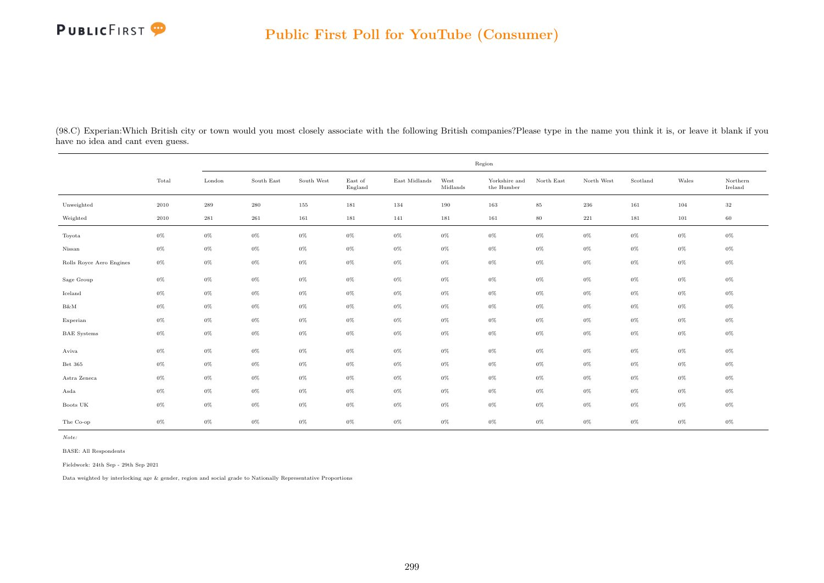|                                   | (98.C) Experian: Which British city or town would you most closely associate with the following British companies? Please type in the name you think it is, or leave it blank if you |  |  |  |  |
|-----------------------------------|--------------------------------------------------------------------------------------------------------------------------------------------------------------------------------------|--|--|--|--|
| have no idea and cant even guess. |                                                                                                                                                                                      |  |  |  |  |

|                          |       | Region |            |            |                    |               |                  |                             |            |            |          |       |                     |  |
|--------------------------|-------|--------|------------|------------|--------------------|---------------|------------------|-----------------------------|------------|------------|----------|-------|---------------------|--|
|                          | Total | London | South East | South West | East of<br>England | East Midlands | West<br>Midlands | Yorkshire and<br>the Humber | North East | North West | Scotland | Wales | Northern<br>Ireland |  |
| Unweighted               | 2010  | 289    | $\,280$    | 155        | 181                | 134           | 190              | 163                         | $\bf 85$   | $\,236$    | 161      | 104   | $32\,$              |  |
| Weighted                 | 2010  | 281    | 261        | 161        | 181                | 141           | 181              | 161                         | 80         | $221\,$    | 181      | 101   | 60                  |  |
| Toyota                   | $0\%$ | $0\%$  | $0\%$      | $0\%$      | $0\%$              | 0%            | $0\%$            | $0\%$                       | $0\%$      | $0\%$      | $0\%$    | $0\%$ | $0\%$               |  |
| Nissan                   | $0\%$ | $0\%$  | $0\%$      | $0\%$      | $0\%$              | $0\%$         | $0\%$            | $0\%$                       | $0\%$      | $0\%$      | $0\%$    | $0\%$ | $0\%$               |  |
| Rolls Royce Aero Engines | $0\%$ | $0\%$  | $0\%$      | $0\%$      | $0\%$              | $0\%$         | $0\%$            | $0\%$                       | $0\%$      | $0\%$      | $0\%$    | $0\%$ | $0\%$               |  |
| Sage Group               | $0\%$ | $0\%$  | $0\%$      | $0\%$      | $0\%$              | 0%            | $0\%$            | $0\%$                       | $0\%$      | $0\%$      | $0\%$    | $0\%$ | $0\%$               |  |
| Iceland                  | $0\%$ | $0\%$  | $0\%$      | $0\%$      | $0\%$              | $0\%$         | $0\%$            | $0\%$                       | $0\%$      | $0\%$      | $0\%$    | $0\%$ | $0\%$               |  |
| $B\&M$                   | $0\%$ | $0\%$  | $0\%$      | $0\%$      | $0\%$              | $0\%$         | $0\%$            | $0\%$                       | $0\%$      | $0\%$      | $0\%$    | $0\%$ | $0\%$               |  |
| Experian                 | $0\%$ | $0\%$  | $0\%$      | $0\%$      | $0\%$              | 0%            | $0\%$            | $0\%$                       | $0\%$      | $0\%$      | $0\%$    | $0\%$ | $0\%$               |  |
| <b>BAE</b> Systems       | $0\%$ | $0\%$  | $0\%$      | $0\%$      | $0\%$              | $0\%$         | $0\%$            | $0\%$                       | $0\%$      | $0\%$      | $0\%$    | $0\%$ | $0\%$               |  |
| Aviva                    | $0\%$ | $0\%$  | $0\%$      | $0\%$      | $0\%$              | $0\%$         | $0\%$            | $0\%$                       | $0\%$      | $0\%$      | $0\%$    | $0\%$ | $0\%$               |  |
| Bet 365                  | $0\%$ | $0\%$  | $0\%$      | $0\%$      | $0\%$              | 0%            | $0\%$            | $0\%$                       | $0\%$      | $0\%$      | $0\%$    | $0\%$ | $0\%$               |  |
| Astra Zeneca             | $0\%$ | $0\%$  | $0\%$      | $0\%$      | $0\%$              | $0\%$         | $0\%$            | $0\%$                       | $0\%$      | $0\%$      | $0\%$    | $0\%$ | $0\%$               |  |
| Asda                     | $0\%$ | $0\%$  | $0\%$      | $0\%$      | $0\%$              | $0\%$         | $0\%$            | $0\%$                       | $0\%$      | $0\%$      | $0\%$    | $0\%$ | $0\%$               |  |
| Boots UK                 | $0\%$ | $0\%$  | $0\%$      | $0\%$      | $0\%$              | 0%            | $0\%$            | $0\%$                       | $0\%$      | $0\%$      | $0\%$    | $0\%$ | $0\%$               |  |
| The Co-op                | $0\%$ | $0\%$  | $0\%$      | $0\%$      | $0\%$              | $0\%$         | $0\%$            | $0\%$                       | $0\%$      | $0\%$      | $0\%$    | $0\%$ | $0\%$               |  |

Note:

BASE: All Respondents

Fieldwork: 24th Sep - 29th Sep 2021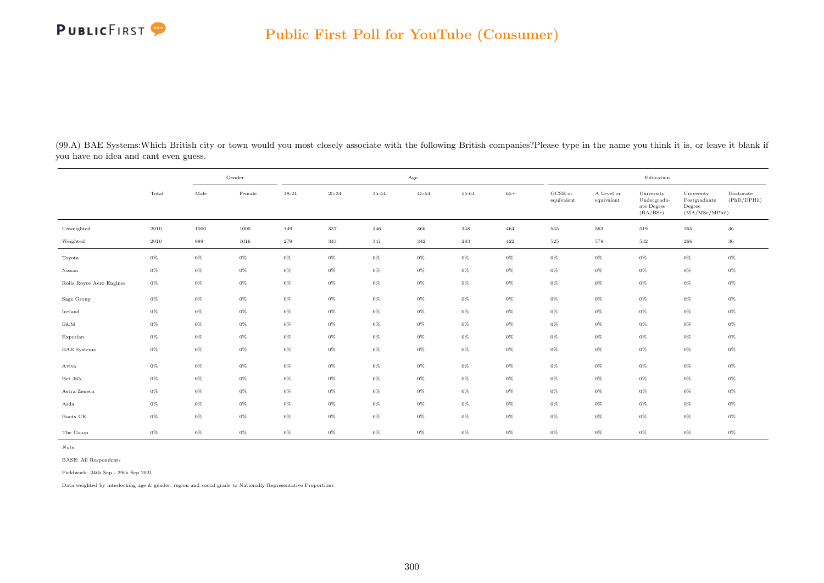

(99.A) BAE Systems:Which British city or town would you most closely associate with the following British companies?Please type in the name you think it is, or leave it blank if you have no idea and cant even guess.

|                          |       |       | Gender |       |       |           | $_{\rm Age}$ |       |         |                       |                          | Education                                           |                                                         |                          |
|--------------------------|-------|-------|--------|-------|-------|-----------|--------------|-------|---------|-----------------------|--------------------------|-----------------------------------------------------|---------------------------------------------------------|--------------------------|
|                          | Total | Male  | Female | 18-24 | 25-34 | $35 - 44$ | $45 - 54$    | 55-64 | $65+$   | GCSE or<br>equivalent | A Level or<br>equivalent | University<br>Undergradu-<br>ate Degree<br>(BA/BSc) | University<br>Postgraduate<br>Degree<br>(MA/MSc/MPhill) | Doctorate<br>(PhD/DPHil) |
| Unweighted               | 2010  | 1000  | 1005   | 149   | 337   | 346       | 366          | 348   | 464     | 545                   | 563                      | 519                                                 | 265                                                     | 36                       |
| Weighted                 | 2010  | 989   | 1016   | 279   | 343   | 341       | 342          | 283   | $422\,$ | 525                   | 578                      | 532                                                 | 266                                                     | 36                       |
| Toyota                   | $0\%$ | $0\%$ | $0\%$  | $0\%$ | $0\%$ | $0\%$     | $0\%$        | $0\%$ | $0\%$   | $0\%$                 | $0\%$                    | $0\%$                                               | $0\%$                                                   | $0\%$                    |
| Nissan                   | $0\%$ | $0\%$ | $0\%$  | $0\%$ | $0\%$ | $0\%$     | $0\%$        | $0\%$ | $0\%$   | $0\%$                 | $0\%$                    | $0\%$                                               | $0\%$                                                   | $0\%$                    |
| Rolls Royce Aero Engines | $0\%$ | $0\%$ | $0\%$  | $0\%$ | $0\%$ | $0\%$     | $0\%$        | $0\%$ | $0\%$   | $0\%$                 | $0\%$                    | $0\%$                                               | $0\%$                                                   | $0\%$                    |
| Sage Group               | $0\%$ | $0\%$ | $0\%$  | $0\%$ | $0\%$ | $0\%$     | $0\%$        | $0\%$ | $0\%$   | $0\%$                 | $0\%$                    | $0\%$                                               | $0\%$                                                   | $0\%$                    |
| Iceland                  | $0\%$ | $0\%$ | $0\%$  | $0\%$ | $0\%$ | $0\%$     | $0\%$        | $0\%$ | $0\%$   | $0\%$                 | $0\%$                    | $0\%$                                               | $0\%$                                                   | $0\%$                    |
| $B\&M$                   | $0\%$ | $0\%$ | $0\%$  | $0\%$ | $0\%$ | $0\%$     | $0\%$        | $0\%$ | $0\%$   | $0\%$                 | $0\%$                    | $0\%$                                               | $0\%$                                                   | $0\%$                    |
| Experian                 | $0\%$ | $0\%$ | $0\%$  | $0\%$ | $0\%$ | $0\%$     | $0\%$        | $0\%$ | $0\%$   | $0\%$                 | $0\%$                    | $0\%$                                               | $0\%$                                                   | $0\%$                    |
| <b>BAE</b> Systems       | $0\%$ | $0\%$ | $0\%$  | $0\%$ | $0\%$ | $0\%$     | $0\%$        | $0\%$ | $0\%$   | $0\%$                 | $0\%$                    | $0\%$                                               | $0\%$                                                   | $0\%$                    |
| Aviva                    | $0\%$ | $0\%$ | $0\%$  | $0\%$ | $0\%$ | $0\%$     | $0\%$        | $0\%$ | $0\%$   | $0\%$                 | $0\%$                    | $0\%$                                               | $0\%$                                                   | $0\%$                    |
| Bet 365                  | $0\%$ | $0\%$ | $0\%$  | $0\%$ | $0\%$ | $0\%$     | $0\%$        | $0\%$ | $0\%$   | $0\%$                 | $0\%$                    | $0\%$                                               | $0\%$                                                   | $0\%$                    |
| Astra Zeneca             | $0\%$ | $0\%$ | $0\%$  | $0\%$ | $0\%$ | $0\%$     | $0\%$        | $0\%$ | $0\%$   | $0\%$                 | $0\%$                    | $0\%$                                               | $0\%$                                                   | $0\%$                    |
| Asda                     | $0\%$ | $0\%$ | $0\%$  | $0\%$ | $0\%$ | $0\%$     | $0\%$        | $0\%$ | $0\%$   | $0\%$                 | $0\%$                    | $0\%$                                               | $0\%$                                                   | $0\%$                    |
| Boots UK                 | $0\%$ | $0\%$ | 0%     | $0\%$ | $0\%$ | 0%        | $0\%$        | $0\%$ | $0\%$   | $0\%$                 | $0\%$                    | $0\%$                                               | $0\%$                                                   | $0\%$                    |
| The Co-op                | $0\%$ | $0\%$ | $0\%$  | $0\%$ | $0\%$ | $0\%$     | $0\%$        | $0\%$ | $0\%$   | $0\%$                 | $0\%$                    | $0\%$                                               | 0%                                                      | $0\%$                    |

BASE: All Respondents

Fieldwork: 24th Sep - 29th Sep 2021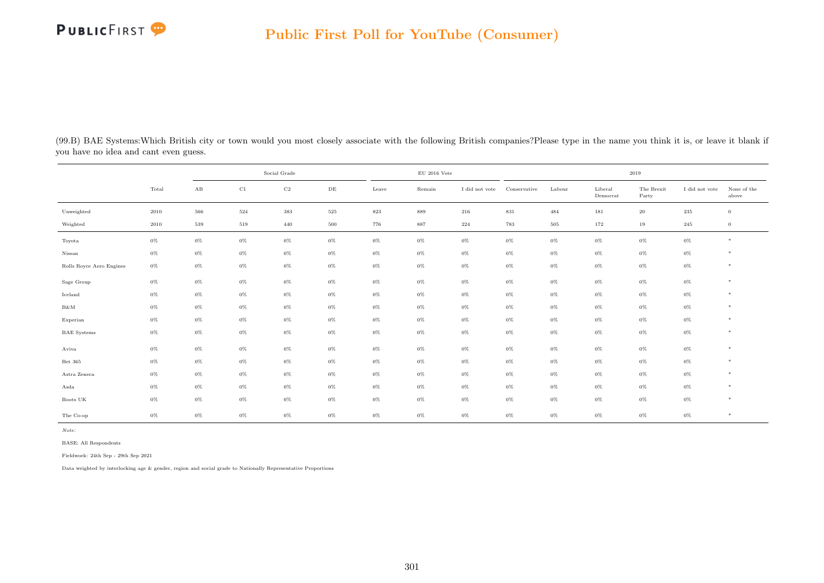| (99.B) BAE Systems: Which British city or town would you most closely associate with the following British companies? Please type in the name you think it is, or leave it blank if |  |  |  |  |
|-------------------------------------------------------------------------------------------------------------------------------------------------------------------------------------|--|--|--|--|
| you have no idea and cant even guess.                                                                                                                                               |  |  |  |  |

|                          |       |                        | Social Grade |             |           |         | $\rm EU$ 2016 Vote |                |              |        |                     | 2019                |                |                      |
|--------------------------|-------|------------------------|--------------|-------------|-----------|---------|--------------------|----------------|--------------|--------|---------------------|---------------------|----------------|----------------------|
|                          | Total | $\mathbf{A}\mathbf{B}$ | $_{\rm C1}$  | $_{\rm C2}$ | $\rm{DE}$ | Leave   | Remain             | I did not vote | Conservative | Labour | Liberal<br>Democrat | The Brexit<br>Party | I did not vote | None of the<br>above |
| Unweighted               | 2010  | 566                    | $524\,$      | 383         | $525\,$   | $823\,$ | 889                | $216\,$        | 831          | 484    | 181                 | $20\,$              | $\,235$        | $\mathbf{0}$         |
| Weighted                 | 2010  | $539\,$                | 519          | 440         | $500\,$   | 776     | 887                | 224            | 783          | 505    | 172                 | 19                  | 245            | $\boldsymbol{0}$     |
| Toyota                   | $0\%$ | $0\%$                  | $0\%$        | $0\%$       | $0\%$     | $0\%$   | $0\%$              | $0\%$          | $0\%$        | $0\%$  | $0\%$               | $0\%$               | $0\%$          | $*$                  |
| Nissan                   | $0\%$ | $0\%$                  | $0\%$        | $0\%$       | $0\%$     | 0%      | $0\%$              | $0\%$          | $0\%$        | $0\%$  | $0\%$               | $0\%$               | $0\%$          | $\ast$               |
| Rolls Royce Aero Engines | $0\%$ | $0\%$                  | $0\%$        | $0\%$       | $0\%$     | $0\%$   | $0\%$              | $0\%$          | $0\%$        | $0\%$  | $0\%$               | $0\%$               | $0\%$          | $*$                  |
| Sage Group               | $0\%$ | $0\%$                  | $0\%$        | $0\%$       | $0\%$     | $0\%$   | $0\%$              | $0\%$          | 0%           | $0\%$  | $0\%$               | $0\%$               | $0\%$          | $\ast$               |
| Iceland                  | $0\%$ | $0\%$                  | $0\%$        | $0\%$       | $0\%$     | 0%      | $0\%$              | $0\%$          | $0\%$        | $0\%$  | $0\%$               | $0\%$               | $0\%$          | *                    |
| B&M                      | $0\%$ | $0\%$                  | $0\%$        | $0\%$       | $0\%$     | $0\%$   | $0\%$              | $0\%$          | $0\%$        | $0\%$  | $0\%$               | $0\%$               | $0\%$          | $\ast$               |
| Experian                 | $0\%$ | $0\%$                  | $0\%$        | $0\%$       | $0\%$     | $0\%$   | $0\%$              | $0\%$          | $0\%$        | $0\%$  | $0\%$               | $0\%$               | $0\%$          | $\ast$               |
| <b>BAE</b> Systems       | $0\%$ | $0\%$                  | $0\%$        | $0\%$       | $0\%$     | 0%      | $0\%$              | $0\%$          | $0\%$        | $0\%$  | $0\%$               | $0\%$               | $0\%$          | $\ast$               |
| Aviva                    | $0\%$ | $0\%$                  | $0\%$        | $0\%$       | $0\%$     | $0\%$   | $0\%$              | $0\%$          | $0\%$        | $0\%$  | $0\%$               | $0\%$               | $0\%$          | $\ast$               |
| Bet 365                  | $0\%$ | $0\%$                  | $0\%$        | $0\%$       | $0\%$     | $0\%$   | $0\%$              | $0\%$          | $0\%$        | $0\%$  | $0\%$               | $0\%$               | $0\%$          | $\ast$               |
| Astra Zeneca             | $0\%$ | $0\%$                  | $0\%$        | $0\%$       | $0\%$     | $0\%$   | $0\%$              | $0\%$          | $0\%$        | $0\%$  | $0\%$               | $0\%$               | $0\%$          | $*$                  |
| Asda                     | $0\%$ | $0\%$                  | $0\%$        | $0\%$       | $0\%$     | 0%      | $0\%$              | $0\%$          | $0\%$        | $0\%$  | $0\%$               | $0\%$               | $0\%$          | $\ast$               |
| Boots UK                 | $0\%$ | $0\%$                  | $0\%$        | $0\%$       | $0\%$     | $0\%$   | $0\%$              | $0\%$          | $0\%$        | $0\%$  | $0\%$               | $0\%$               | $0\%$          | $*$                  |
| The Co-op                | $0\%$ | $0\%$                  | $0\%$        | $0\%$       | $0\%$     | $0\%$   | $0\%$              | $0\%$          | $0\%$        | $0\%$  | $0\%$               | $0\%$               | $0\%$          | $*$                  |

Note:

BASE: All Respondents

Fieldwork: 24th Sep - 29th Sep 2021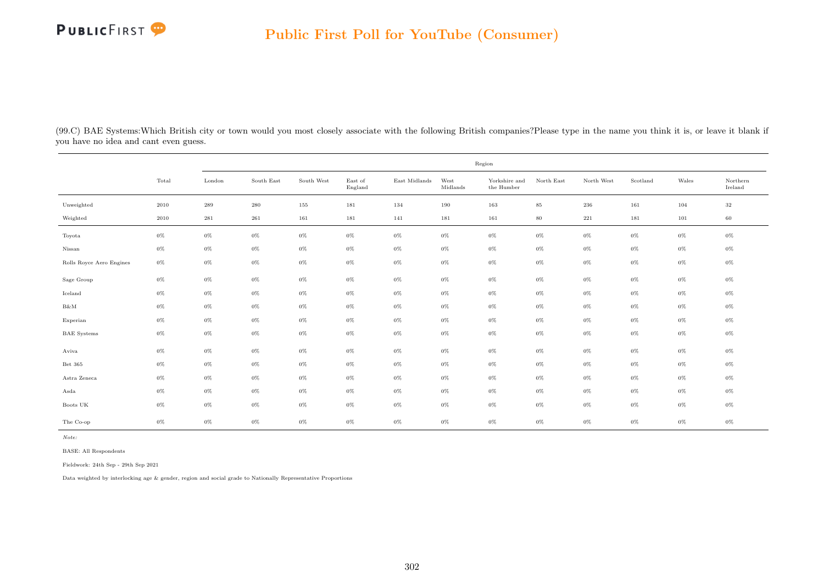

(99.C) BAE Systems:Which British city or town would you most closely associate with the following British companies?Please type in the name you think it is, or leave it blank if you have no idea and cant even guess.

|                          |       | Region             |            |            |                    |               |                  |                             |            |              |          |         |                     |  |
|--------------------------|-------|--------------------|------------|------------|--------------------|---------------|------------------|-----------------------------|------------|--------------|----------|---------|---------------------|--|
|                          | Total | London             | South East | South West | East of<br>England | East Midlands | West<br>Midlands | Yorkshire and<br>the Humber | North East | North West   | Scotland | Wales   | Northern<br>Ireland |  |
| Unweighted               | 2010  | $\boldsymbol{289}$ | $\,280$    | 155        | 181                | 134           | 190              | 163                         | $85\,$     | $\,236$      | 161      | 104     | $32\,$              |  |
| Weighted                 | 2010  | $\bf 281$          | 261        | 161        | 181                | 141           | 181              | 161                         | $80\,$     | $2\sqrt{2}1$ | 181      | $101\,$ | 60                  |  |
| Toyota                   | $0\%$ | $0\%$              | $0\%$      | $0\%$      | $0\%$              | $0\%$         | $0\%$            | $0\%$                       | $0\%$      | $0\%$        | $0\%$    | $0\%$   | $0\%$               |  |
| Nissan                   | $0\%$ | $0\%$              | $0\%$      | $0\%$      | $0\%$              | $0\%$         | $0\%$            | $0\%$                       | $0\%$      | $0\%$        | $0\%$    | $0\%$   | $0\%$               |  |
| Rolls Royce Aero Engines | $0\%$ | $0\%$              | $0\%$      | $0\%$      | $0\%$              | $0\%$         | $0\%$            | $0\%$                       | $0\%$      | $0\%$        | $0\%$    | $0\%$   | $0\%$               |  |
| Sage Group               | $0\%$ | $0\%$              | $0\%$      | $0\%$      | $0\%$              | $0\%$         | $0\%$            | $0\%$                       | $0\%$      | $0\%$        | $0\%$    | $0\%$   | $0\%$               |  |
| Iceland                  | $0\%$ | $0\%$              | $0\%$      | $0\%$      | $0\%$              | $0\%$         | $0\%$            | $0\%$                       | $0\%$      | $0\%$        | $0\%$    | $0\%$   | $0\%$               |  |
| B&M                      | $0\%$ | $0\%$              | $0\%$      | $0\%$      | $0\%$              | $0\%$         | $0\%$            | $0\%$                       | $0\%$      | $0\%$        | $0\%$    | $0\%$   | $0\%$               |  |
| Experian                 | $0\%$ | $0\%$              | $0\%$      | $0\%$      | $0\%$              | $0\%$         | $0\%$            | $0\%$                       | $0\%$      | $0\%$        | $0\%$    | $0\%$   | $0\%$               |  |
| <b>BAE</b> Systems       | $0\%$ | $0\%$              | $0\%$      | $0\%$      | $0\%$              | $0\%$         | $0\%$            | $0\%$                       | $0\%$      | $0\%$        | $0\%$    | $0\%$   | $0\%$               |  |
| Aviva                    | $0\%$ | $0\%$              | $0\%$      | $0\%$      | $0\%$              | $0\%$         | $0\%$            | $0\%$                       | $0\%$      | $0\%$        | $0\%$    | $0\%$   | $0\%$               |  |
| Bet 365                  | $0\%$ | $0\%$              | $0\%$      | $0\%$      | $0\%$              | $0\%$         | $0\%$            | $0\%$                       | $0\%$      | $0\%$        | $0\%$    | $0\%$   | $0\%$               |  |
| Astra Zeneca             | $0\%$ | $0\%$              | $0\%$      | $0\%$      | $0\%$              | $0\%$         | $0\%$            | $0\%$                       | $0\%$      | $0\%$        | $0\%$    | $0\%$   | $0\%$               |  |
| Asda                     | $0\%$ | $0\%$              | $0\%$      | $0\%$      | $0\%$              | $0\%$         | $0\%$            | $0\%$                       | $0\%$      | $0\%$        | $0\%$    | $0\%$   | $0\%$               |  |
| Boots UK                 | $0\%$ | $0\%$              | $0\%$      | $0\%$      | 0%                 | $0\%$         | $0\%$            | $0\%$                       | $0\%$      | $0\%$        | $0\%$    | $0\%$   | $0\%$               |  |
| The Co-op                | $0\%$ | $0\%$              | $0\%$      | $0\%$      | $0\%$              | $0\%$         | $0\%$            | $0\%$                       | $0\%$      | $0\%$        | $0\%$    | $0\%$   | $0\%$               |  |

Note:

BASE: All Respondents

Fieldwork: 24th Sep - 29th Sep 2021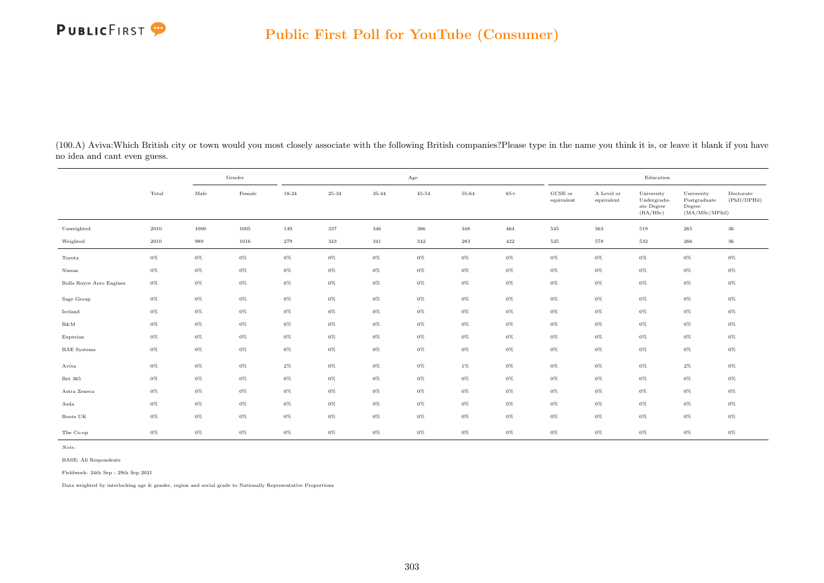

(100.A) Aviva:Which British city or town would you most closely associate with the following British companies?Please type in the name you think it is, or leave it blank if you have no idea and cant even guess.

|                          |       |       | Gender |           |       |       | Age       |       |       |                       |                          | Education                                           |                                                         |                          |
|--------------------------|-------|-------|--------|-----------|-------|-------|-----------|-------|-------|-----------------------|--------------------------|-----------------------------------------------------|---------------------------------------------------------|--------------------------|
|                          | Total | Male  | Female | $18 - 24$ | 25-34 | 35-44 | $45 - 54$ | 55-64 | $65+$ | GCSE or<br>equivalent | A Level or<br>equivalent | University<br>Undergradu-<br>ate Degree<br>(BA/BSc) | University<br>Postgraduate<br>Degree<br>(MA/MSc/MPhill) | Doctorate<br>(PhD/DPHil) |
| Unweighted               | 2010  | 1000  | 1005   | 149       | 337   | 346   | 366       | 348   | 464   | 545                   | 563                      | 519                                                 | 265                                                     | $36\,$                   |
| Weighted                 | 2010  | 989   | 1016   | 279       | 343   | 341   | 342       | 283   | 422   | 525                   | 578                      | 532                                                 | 266                                                     | $36\,$                   |
| Toyota                   | $0\%$ | $0\%$ | $0\%$  | $0\%$     | $0\%$ | $0\%$ | $0\%$     | $0\%$ | $0\%$ | $0\%$                 | $0\%$                    | $0\%$                                               | $0\%$                                                   | $0\%$                    |
| Nissan                   | $0\%$ | $0\%$ | $0\%$  | $0\%$     | $0\%$ | $0\%$ | $0\%$     | $0\%$ | $0\%$ | $0\%$                 | $0\%$                    | $0\%$                                               | $0\%$                                                   | $0\%$                    |
| Rolls Royce Aero Engines | $0\%$ | $0\%$ | $0\%$  | $0\%$     | $0\%$ | $0\%$ | $0\%$     | $0\%$ | $0\%$ | $0\%$                 | $0\%$                    | $0\%$                                               | $0\%$                                                   | $0\%$                    |
| Sage Group               | $0\%$ | $0\%$ | $0\%$  | $0\%$     | $0\%$ | $0\%$ | $0\%$     | $0\%$ | $0\%$ | $0\%$                 | $0\%$                    | $0\%$                                               | $0\%$                                                   | $0\%$                    |
| Iceland                  | $0\%$ | $0\%$ | $0\%$  | $0\%$     | $0\%$ | $0\%$ | $0\%$     | $0\%$ | $0\%$ | $0\%$                 | $0\%$                    | $0\%$                                               | $0\%$                                                   | $0\%$                    |
| $B\&M$                   | $0\%$ | $0\%$ | $0\%$  | $0\%$     | $0\%$ | $0\%$ | $0\%$     | $0\%$ | $0\%$ | $0\%$                 | $0\%$                    | $0\%$                                               | $0\%$                                                   | $0\%$                    |
| Experian                 | $0\%$ | $0\%$ | $0\%$  | $0\%$     | $0\%$ | $0\%$ | $0\%$     | $0\%$ | $0\%$ | $0\%$                 | $0\%$                    | $0\%$                                               | $0\%$                                                   | $0\%$                    |
| <b>BAE</b> Systems       | $0\%$ | $0\%$ | $0\%$  | $0\%$     | $0\%$ | $0\%$ | $0\%$     | $0\%$ | $0\%$ | $0\%$                 | $0\%$                    | $0\%$                                               | $0\%$                                                   | $0\%$                    |
| Aviva                    | $0\%$ | $0\%$ | $0\%$  | $2\%$     | $0\%$ | $0\%$ | $0\%$     | $1\%$ | $0\%$ | $0\%$                 | $0\%$                    | $0\%$                                               | $2\%$                                                   | $0\%$                    |
| Bet 365                  | $0\%$ | $0\%$ | $0\%$  | $0\%$     | $0\%$ | $0\%$ | $0\%$     | $0\%$ | $0\%$ | $0\%$                 | $0\%$                    | $0\%$                                               | $0\%$                                                   | $0\%$                    |
| Astra Zeneca             | $0\%$ | $0\%$ | $0\%$  | $0\%$     | $0\%$ | $0\%$ | $0\%$     | $0\%$ | $0\%$ | $0\%$                 | $0\%$                    | $0\%$                                               | $0\%$                                                   | $0\%$                    |
| Asda                     | $0\%$ | $0\%$ | $0\%$  | $0\%$     | $0\%$ | $0\%$ | $0\%$     | $0\%$ | $0\%$ | $0\%$                 | $0\%$                    | $0\%$                                               | $0\%$                                                   | $0\%$                    |
| Boots UK                 | $0\%$ | $0\%$ | $0\%$  | $0\%$     | $0\%$ | $0\%$ | $0\%$     | $0\%$ | $0\%$ | $0\%$                 | $0\%$                    | $0\%$                                               | $0\%$                                                   | $0\%$                    |
| The Co-op                | $0\%$ | $0\%$ | $0\%$  | $0\%$     | $0\%$ | $0\%$ | $0\%$     | $0\%$ | $0\%$ | $0\%$                 | $0\%$                    | $0\%$                                               | $0\%$                                                   | $0\%$                    |

BASE: All Respondents

Fieldwork: 24th Sep - 29th Sep 2021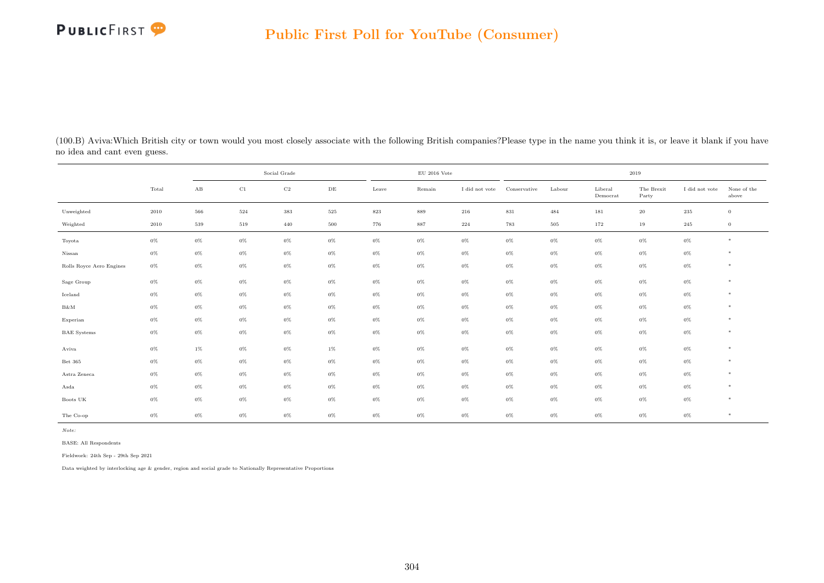| (100.B) Aviva: Which British city or town would you most closely associate with the following British companies? Please type in the name you think it is, or leave it blank if you have |
|-----------------------------------------------------------------------------------------------------------------------------------------------------------------------------------------|
| no idea and cant even guess.                                                                                                                                                            |

|                          |       |       | Social Grade |             |           |         | $\rm EU$ 2016 Vote |                |              |        |                     | 2019                |                |                      |
|--------------------------|-------|-------|--------------|-------------|-----------|---------|--------------------|----------------|--------------|--------|---------------------|---------------------|----------------|----------------------|
|                          | Total | AB    | $\rm C1$     | $_{\rm C2}$ | $\rm{DE}$ | Leave   | Remain             | I did not vote | Conservative | Labour | Liberal<br>Democrat | The Brexit<br>Party | I did not vote | None of the<br>above |
| Unweighted               | 2010  | 566   | $524\,$      | $383\,$     | 525       | $823\,$ | 889                | 216            | $831\,$      | 484    | 181                 | $20\,$              | $235\,$        | $\overline{0}$       |
| Weighted                 | 2010  | 539   | 519          | 440         | 500       | 776     | 887                | 224            | 783          | 505    | 172                 | 19                  | 245            | $\overline{0}$       |
| Toyota                   | $0\%$ | $0\%$ | $0\%$        | $0\%$       | $0\%$     | $0\%$   | $0\%$              | $0\%$          | $0\%$        | $0\%$  | $0\%$               | $0\%$               | $0\%$          | *                    |
| Nissan                   | $0\%$ | $0\%$ | $0\%$        | $0\%$       | $0\%$     | $0\%$   | $0\%$              | $0\%$          | $0\%$        | $0\%$  | $0\%$               | $0\%$               | $0\%$          | *                    |
| Rolls Royce Aero Engines | $0\%$ | $0\%$ | $0\%$        | $0\%$       | $0\%$     | $0\%$   | $0\%$              | $0\%$          | $0\%$        | $0\%$  | $0\%$               | $0\%$               | $0\%$          | $*$                  |
| Sage Group               | $0\%$ | $0\%$ | $0\%$        | $0\%$       | $0\%$     | $0\%$   | $0\%$              | $0\%$          | $0\%$        | $0\%$  | $0\%$               | $0\%$               | $0\%$          | $*$                  |
| Iceland                  | $0\%$ | $0\%$ | $0\%$        | $0\%$       | $0\%$     | $0\%$   | $0\%$              | $0\%$          | $0\%$        | $0\%$  | $0\%$               | $0\%$               | $0\%$          | *                    |
| B&M                      | $0\%$ | $0\%$ | $0\%$        | $0\%$       | $0\%$     | $0\%$   | $0\%$              | $0\%$          | $0\%$        | $0\%$  | $0\%$               | $0\%$               | $0\%$          | $*$                  |
| Experian                 | $0\%$ | $0\%$ | $0\%$        | $0\%$       | $0\%$     | $0\%$   | $0\%$              | $0\%$          | $0\%$        | $0\%$  | $0\%$               | $0\%$               | $0\%$          | *                    |
| <b>BAE</b> Systems       | $0\%$ | $0\%$ | $0\%$        | $0\%$       | $0\%$     | $0\%$   | $0\%$              | $0\%$          | $0\%$        | $0\%$  | $0\%$               | $0\%$               | $0\%$          | *                    |
| Aviva                    | $0\%$ | $1\%$ | $0\%$        | $0\%$       | $1\%$     | $0\%$   | $0\%$              | $0\%$          | $0\%$        | $0\%$  | $0\%$               | $0\%$               | $0\%$          | $*$                  |
| Bet 365                  | $0\%$ | $0\%$ | $0\%$        | $0\%$       | $0\%$     | $0\%$   | $0\%$              | $0\%$          | $0\%$        | $0\%$  | $0\%$               | $0\%$               | $0\%$          | *                    |
| Astra Zeneca             | $0\%$ | $0\%$ | $0\%$        | $0\%$       | $0\%$     | $0\%$   | $0\%$              | $0\%$          | $0\%$        | $0\%$  | $0\%$               | $0\%$               | $0\%$          | $*$                  |
| Asda                     | $0\%$ | $0\%$ | $0\%$        | $0\%$       | $0\%$     | $0\%$   | $0\%$              | $0\%$          | $0\%$        | $0\%$  | $0\%$               | $0\%$               | $0\%$          | $*$                  |
| Boots UK                 | $0\%$ | $0\%$ | $0\%$        | $0\%$       | $0\%$     | $0\%$   | $0\%$              | $0\%$          | $0\%$        | $0\%$  | $0\%$               | $0\%$               | $0\%$          | *                    |
| The Co-op                | $0\%$ | $0\%$ | $0\%$        | $0\%$       | 0%        | $0\%$   | $0\%$              | 0%             | $0\%$        | $0\%$  | 0%                  | $0\%$               | $0\%$          | *                    |

Note:

BASE: All Respondents

Fieldwork: 24th Sep - 29th Sep 2021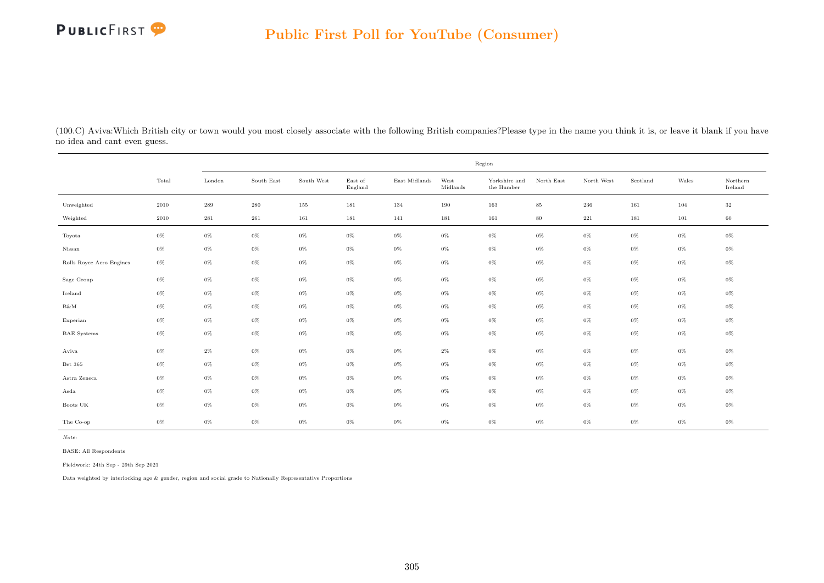

(100.C) Aviva:Which British city or town would you most closely associate with the following British companies?Please type in the name you think it is, or leave it blank if you have no idea and cant even guess.

|                          |          |           |                             |            |                    |               |                  | Region                      |            |            |          |       |                              |
|--------------------------|----------|-----------|-----------------------------|------------|--------------------|---------------|------------------|-----------------------------|------------|------------|----------|-------|------------------------------|
|                          | Total    | London    | South $\operatorname{East}$ | South West | East of<br>England | East Midlands | West<br>Midlands | Yorkshire and<br>the Humber | North East | North West | Scotland | Wales | $\mbox{Northern}$<br>Ireland |
| Unweighted               | $2010\,$ | 289       | $280\,$                     | 155        | 181                | 134           | 190              | 163                         | $85\,$     | $\,236$    | 161      | 104   | $32\,$                       |
| Weighted                 | 2010     | $\bf 281$ | $261\,$                     | 161        | 181                | 141           | 181              | 161                         | $80\,$     | $221\,$    | 181      | 101   | 60                           |
| Toyota                   | $0\%$    | $0\%$     | $0\%$                       | $0\%$      | $0\%$              | $0\%$         | $0\%$            | $0\%$                       | $0\%$      | $0\%$      | $0\%$    | $0\%$ | $0\%$                        |
| Nissan                   | $0\%$    | $0\%$     | $0\%$                       | $0\%$      | $0\%$              | $0\%$         | $0\%$            | $0\%$                       | $0\%$      | $0\%$      | $0\%$    | $0\%$ | $0\%$                        |
| Rolls Royce Aero Engines | $0\%$    | $0\%$     | $0\%$                       | $0\%$      | $0\%$              | $0\%$         | $0\%$            | $0\%$                       | $0\%$      | $0\%$      | $0\%$    | $0\%$ | $0\%$                        |
| Sage Group               | $0\%$    | $0\%$     | $0\%$                       | $0\%$      | $0\%$              | $0\%$         | $0\%$            | $0\%$                       | $0\%$      | $0\%$      | $0\%$    | $0\%$ | $0\%$                        |
| Iceland                  | $0\%$    | $0\%$     | $0\%$                       | $0\%$      | $0\%$              | $0\%$         | $0\%$            | $0\%$                       | $0\%$      | $0\%$      | $0\%$    | $0\%$ | 0%                           |
| B&M                      | $0\%$    | $0\%$     | $0\%$                       | $0\%$      | $0\%$              | $0\%$         | $0\%$            | $0\%$                       | $0\%$      | $0\%$      | $0\%$    | $0\%$ | 0%                           |
| Experian                 | $0\%$    | $0\%$     | $0\%$                       | $0\%$      | $0\%$              | $0\%$         | $0\%$            | $0\%$                       | $0\%$      | $0\%$      | $0\%$    | $0\%$ | 0%                           |
| <b>BAE</b> Systems       | $0\%$    | $0\%$     | $0\%$                       | $0\%$      | $0\%$              | $0\%$         | $0\%$            | $0\%$                       | $0\%$      | $0\%$      | $0\%$    | $0\%$ | $0\%$                        |
| Aviva                    | $0\%$    | $2\%$     | $0\%$                       | $0\%$      | $0\%$              | $0\%$         | $2\%$            | $0\%$                       | $0\%$      | $0\%$      | $0\%$    | $0\%$ | $0\%$                        |
| Bet 365                  | $0\%$    | $0\%$     | 0%                          | $0\%$      | $0\%$              | $0\%$         | $0\%$            | $0\%$                       | $0\%$      | $0\%$      | $0\%$    | $0\%$ | 0%                           |
| Astra Zeneca             | $0\%$    | $0\%$     | $0\%$                       | $0\%$      | $0\%$              | $0\%$         | $0\%$            | $0\%$                       | $0\%$      | $0\%$      | $0\%$    | $0\%$ | 0%                           |
| Asda                     | $0\%$    | $0\%$     | $0\%$                       | $0\%$      | $0\%$              | $0\%$         | $0\%$            | $0\%$                       | $0\%$      | $0\%$      | $0\%$    | $0\%$ | $0\%$                        |
| Boots UK                 | $0\%$    | $0\%$     | 0%                          | $0\%$      | $0\%$              | $0\%$         | $0\%$            | $0\%$                       | $0\%$      | $0\%$      | $0\%$    | $0\%$ | 0%                           |
| The Co-op                | $0\%$    | $0\%$     | $0\%$                       | $0\%$      | $0\%$              | $0\%$         | $0\%$            | $0\%$                       | $0\%$      | $0\%$      | $0\%$    | $0\%$ | 0%                           |

Note:

BASE: All Respondents

Fieldwork: 24th Sep - 29th Sep 2021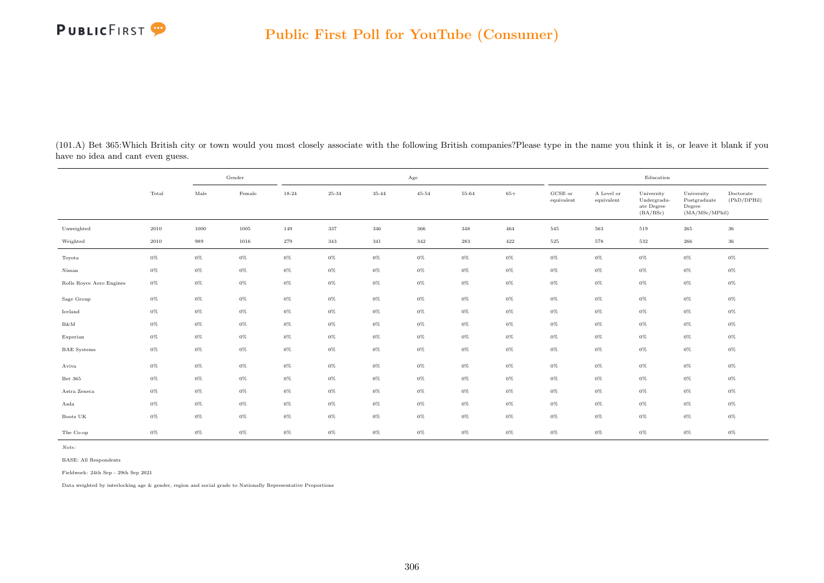

(101.A) Bet 365:Which British city or town would you most closely associate with the following British companies?Please type in the name you think it is, or leave it blank if you have no idea and cant even guess.

|                          |       |       | Gender |           |       |       | Age       |       |       |                       |                          | Education                                           |                                                         |                          |
|--------------------------|-------|-------|--------|-----------|-------|-------|-----------|-------|-------|-----------------------|--------------------------|-----------------------------------------------------|---------------------------------------------------------|--------------------------|
|                          | Total | Male  | Female | $18 - 24$ | 25-34 | 35-44 | $45 - 54$ | 55-64 | $65+$ | GCSE or<br>equivalent | A Level or<br>equivalent | University<br>Undergradu-<br>ate Degree<br>(BA/BSc) | University<br>Postgraduate<br>Degree<br>(MA/MSc/MPhill) | Doctorate<br>(PhD/DPHil) |
| Unweighted               | 2010  | 1000  | 1005   | 149       | 337   | 346   | 366       | 348   | 464   | 545                   | 563                      | 519                                                 | 265                                                     | 36                       |
| Weighted                 | 2010  | 989   | 1016   | 279       | 343   | 341   | 342       | 283   | 422   | 525                   | 578                      | 532                                                 | 266                                                     | $36\,$                   |
| Toyota                   | $0\%$ | $0\%$ | $0\%$  | $0\%$     | $0\%$ | $0\%$ | $0\%$     | $0\%$ | $0\%$ | $0\%$                 | $0\%$                    | $0\%$                                               | $0\%$                                                   | $0\%$                    |
| Nissan                   | $0\%$ | $0\%$ | $0\%$  | $0\%$     | $0\%$ | $0\%$ | $0\%$     | $0\%$ | $0\%$ | $0\%$                 | $0\%$                    | $0\%$                                               | $0\%$                                                   | $0\%$                    |
| Rolls Royce Aero Engines | $0\%$ | $0\%$ | $0\%$  | $0\%$     | $0\%$ | $0\%$ | $0\%$     | $0\%$ | $0\%$ | $0\%$                 | $0\%$                    | $0\%$                                               | $0\%$                                                   | $0\%$                    |
| Sage Group               | $0\%$ | $0\%$ | $0\%$  | $0\%$     | $0\%$ | $0\%$ | $0\%$     | $0\%$ | $0\%$ | $0\%$                 | $0\%$                    | $0\%$                                               | $0\%$                                                   | $0\%$                    |
| Iceland                  | $0\%$ | $0\%$ | $0\%$  | $0\%$     | $0\%$ | $0\%$ | $0\%$     | $0\%$ | $0\%$ | $0\%$                 | $0\%$                    | $0\%$                                               | $0\%$                                                   | $0\%$                    |
| $B\&M$                   | $0\%$ | $0\%$ | $0\%$  | $0\%$     | $0\%$ | $0\%$ | $0\%$     | $0\%$ | $0\%$ | $0\%$                 | $0\%$                    | $0\%$                                               | $0\%$                                                   | $0\%$                    |
| Experian                 | $0\%$ | $0\%$ | $0\%$  | $0\%$     | $0\%$ | $0\%$ | $0\%$     | $0\%$ | $0\%$ | $0\%$                 | $0\%$                    | $0\%$                                               | $0\%$                                                   | $0\%$                    |
| <b>BAE</b> Systems       | $0\%$ | $0\%$ | $0\%$  | $0\%$     | $0\%$ | $0\%$ | $0\%$     | $0\%$ | $0\%$ | $0\%$                 | $0\%$                    | $0\%$                                               | $0\%$                                                   | $0\%$                    |
| Aviva                    | $0\%$ | $0\%$ | $0\%$  | $0\%$     | $0\%$ | $0\%$ | $0\%$     | $0\%$ | $0\%$ | $0\%$                 | $0\%$                    | $0\%$                                               | $0\%$                                                   | $0\%$                    |
| Bet 365                  | $0\%$ | $0\%$ | $0\%$  | $0\%$     | $0\%$ | $0\%$ | $0\%$     | $0\%$ | $0\%$ | $0\%$                 | $0\%$                    | $0\%$                                               | $0\%$                                                   | $0\%$                    |
| Astra Zeneca             | $0\%$ | $0\%$ | $0\%$  | $0\%$     | $0\%$ | $0\%$ | $0\%$     | $0\%$ | $0\%$ | $0\%$                 | $0\%$                    | $0\%$                                               | $0\%$                                                   | $0\%$                    |
| Asda                     | $0\%$ | $0\%$ | $0\%$  | $0\%$     | $0\%$ | $0\%$ | $0\%$     | $0\%$ | $0\%$ | $0\%$                 | $0\%$                    | $0\%$                                               | $0\%$                                                   | $0\%$                    |
| Boots UK                 | $0\%$ | $0\%$ | $0\%$  | $0\%$     | $0\%$ | $0\%$ | $0\%$     | $0\%$ | $0\%$ | $0\%$                 | $0\%$                    | $0\%$                                               | $0\%$                                                   | $0\%$                    |
| The Co-op                | $0\%$ | $0\%$ | $0\%$  | $0\%$     | $0\%$ | $0\%$ | $0\%$     | $0\%$ | $0\%$ | $0\%$                 | $0\%$                    | $0\%$                                               | $0\%$                                                   | $0\%$                    |

BASE: All Respondents

Fieldwork: 24th Sep - 29th Sep 2021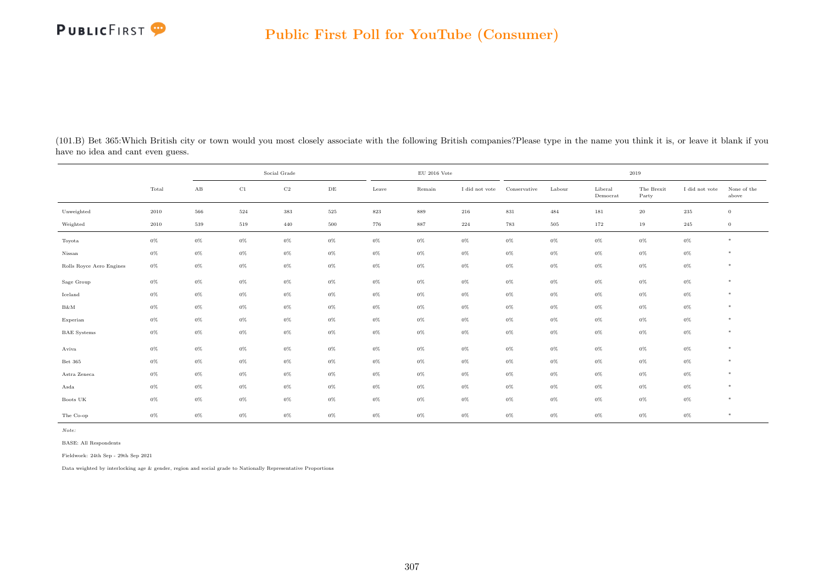| (101.B) Bet 365: Which British city or town would you most closely associate with the following British companies? Please type in the name you think it is, or leave it blank if you |  |  |  |
|--------------------------------------------------------------------------------------------------------------------------------------------------------------------------------------|--|--|--|
| have no idea and cant even guess.                                                                                                                                                    |  |  |  |

|                          |          |                        |          | Social Grade |           |       | $\rm EU$ 2016 Vote |                |              |        |                     | 2019                |                |                      |
|--------------------------|----------|------------------------|----------|--------------|-----------|-------|--------------------|----------------|--------------|--------|---------------------|---------------------|----------------|----------------------|
|                          | Total    | $\mathbf{A}\mathbf{B}$ | $\rm C1$ | $_{\rm C2}$  | $\rm{DE}$ | Leave | Remain             | I did not vote | Conservative | Labour | Liberal<br>Democrat | The Brexit<br>Party | I did not vote | None of the<br>above |
| Unweighted               | $2010\,$ | 566                    | 524      | $383\,$      | 525       | 823   | 889                | 216            | $831\,$      | 484    | 181                 | $20\,$              | $235\,$        | $\overline{0}$       |
| Weighted                 | $2010\,$ | 539                    | 519      | 440          | 500       | 776   | 887                | 224            | 783          | 505    | 172                 | 19                  | 245            | $\overline{0}$       |
| Toyota                   | $0\%$    | $0\%$                  | $0\%$    | $0\%$        | $0\%$     | $0\%$ | $0\%$              | $0\%$          | $0\%$        | $0\%$  | $0\%$               | $0\%$               | $0\%$          | $*$                  |
| Nissan                   | $0\%$    | $0\%$                  | $0\%$    | $0\%$        | $0\%$     | $0\%$ | $0\%$              | $0\%$          | $0\%$        | $0\%$  | $0\%$               | $0\%$               | $0\%$          | $*$                  |
| Rolls Royce Aero Engines | $0\%$    | $0\%$                  | $0\%$    | $0\%$        | $0\%$     | $0\%$ | $0\%$              | $0\%$          | $0\%$        | $0\%$  | $0\%$               | $0\%$               | $0\%$          | $*$                  |
| Sage Group               | $0\%$    | $0\%$                  | $0\%$    | $0\%$        | $0\%$     | $0\%$ | $0\%$              | $0\%$          | $0\%$        | $0\%$  | $0\%$               | $0\%$               | $0\%$          | $*$                  |
| Iceland                  | $0\%$    | $0\%$                  | $0\%$    | $0\%$        | $0\%$     | $0\%$ | $0\%$              | $0\%$          | $0\%$        | $0\%$  | $0\%$               | $0\%$               | $0\%$          | $*$                  |
| $B\&M$                   | $0\%$    | $0\%$                  | $0\%$    | $0\%$        | $0\%$     | $0\%$ | $0\%$              | $0\%$          | $0\%$        | $0\%$  | $0\%$               | $0\%$               | $0\%$          | $*$                  |
| Experian                 | $0\%$    | $0\%$                  | $0\%$    | $0\%$        | $0\%$     | $0\%$ | $0\%$              | $0\%$          | $0\%$        | $0\%$  | $0\%$               | $0\%$               | $0\%$          | $*$                  |
| <b>BAE</b> Systems       | $0\%$    | $0\%$                  | $0\%$    | $0\%$        | $0\%$     | $0\%$ | $0\%$              | $0\%$          | $0\%$        | $0\%$  | $0\%$               | $0\%$               | $0\%$          | $*$                  |
| Aviva                    | $0\%$    | $0\%$                  | $0\%$    | $0\%$        | $0\%$     | $0\%$ | $0\%$              | $0\%$          | $0\%$        | $0\%$  | $0\%$               | $0\%$               | $0\%$          | $*$                  |
| Bet 365                  | $0\%$    | $0\%$                  | $0\%$    | $0\%$        | $0\%$     | $0\%$ | $0\%$              | $0\%$          | $0\%$        | $0\%$  | $0\%$               | $0\%$               | $0\%$          | $*$                  |
| Astra Zeneca             | $0\%$    | $0\%$                  | $0\%$    | $0\%$        | $0\%$     | $0\%$ | $0\%$              | $0\%$          | $0\%$        | $0\%$  | $0\%$               | $0\%$               | $0\%$          | $*$                  |
| Asda                     | $0\%$    | $0\%$                  | $0\%$    | $0\%$        | $0\%$     | $0\%$ | $0\%$              | $0\%$          | $0\%$        | $0\%$  | $0\%$               | $0\%$               | $0\%$          | $*$                  |
| Boots UK                 | $0\%$    | $0\%$                  | $0\%$    | $0\%$        | $0\%$     | $0\%$ | $0\%$              | $0\%$          | $0\%$        | $0\%$  | $0\%$               | $0\%$               | $0\%$          | $*$                  |
| The Co-op                | $0\%$    | $0\%$                  | $0\%$    | $0\%$        | $0\%$     | $0\%$ | $0\%$              | $0\%$          | $0\%$        | $0\%$  | 0%                  | $0\%$               | $0\%$          | $*$                  |

Note:

BASE: All Respondents

Fieldwork: 24th Sep - 29th Sep 2021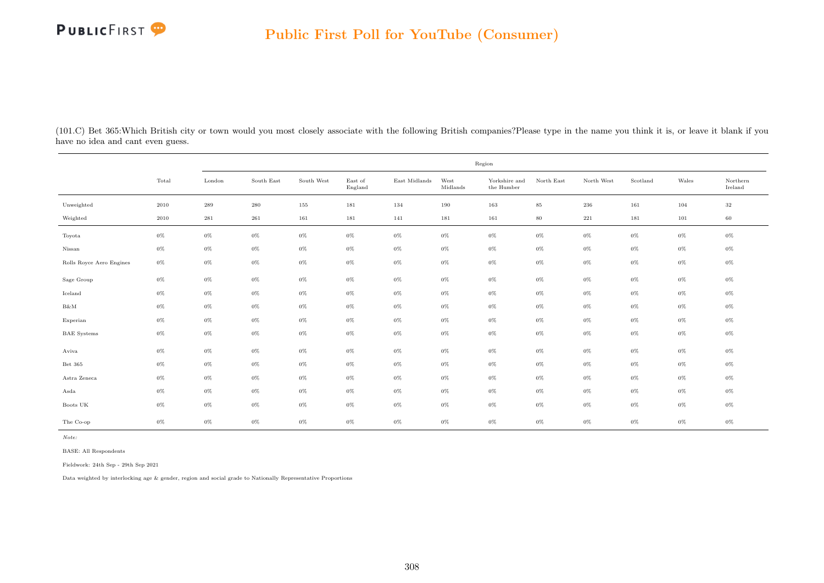

(101.C) Bet 365:Which British city or town would you most closely associate with the following British companies?Please type in the name you think it is, or leave it blank if you have no idea and cant even guess.

|                          |       |                    |            |            |                    |               |                  | Region                                       |            |            |          |       |                     |
|--------------------------|-------|--------------------|------------|------------|--------------------|---------------|------------------|----------------------------------------------|------------|------------|----------|-------|---------------------|
|                          | Total | London             | South East | South West | East of<br>England | East Midlands | West<br>Midlands | Yorkshire and<br>the $\operatorname{Humber}$ | North East | North West | Scotland | Wales | Northern<br>Ireland |
| Unweighted               | 2010  | $\boldsymbol{289}$ | $\,280$    | 155        | 181                | 134           | 190              | 163                                          | $85\,$     | $\,236$    | 161      | 104   | 32                  |
| Weighted                 | 2010  | $\bf 281$          | 261        | 161        | 181                | 141           | 181              | 161                                          | $80\,$     | 221        | 181      | 101   | 60                  |
| Toyota                   | $0\%$ | $0\%$              | $0\%$      | $0\%$      | $0\%$              | $0\%$         | $0\%$            | $0\%$                                        | $0\%$      | $0\%$      | $0\%$    | 0%    | 0%                  |
| Nissan                   | $0\%$ | $0\%$              | $0\%$      | $0\%$      | $0\%$              | $0\%$         | $0\%$            | $0\%$                                        | $0\%$      | $0\%$      | $0\%$    | $0\%$ | $0\%$               |
| Rolls Royce Aero Engines | $0\%$ | $0\%$              | $0\%$      | $0\%$      | $0\%$              | $0\%$         | $0\%$            | $0\%$                                        | $0\%$      | $0\%$      | $0\%$    | $0\%$ | $0\%$               |
| Sage Group               | $0\%$ | $0\%$              | $0\%$      | 0%         | $0\%$              | $0\%$         | $0\%$            | $0\%$                                        | $0\%$      | $0\%$      | $0\%$    | 0%    | 0%                  |
| Iceland                  | $0\%$ | $0\%$              | $0\%$      | $0\%$      | $0\%$              | $0\%$         | $0\%$            | $0\%$                                        | $0\%$      | $0\%$      | $0\%$    | $0\%$ | 0%                  |
| B&M                      | $0\%$ | $0\%$              | $0\%$      | $0\%$      | $0\%$              | $0\%$         | $0\%$            | $0\%$                                        | $0\%$      | $0\%$      | $0\%$    | $0\%$ | $0\%$               |
| Experian                 | $0\%$ | $0\%$              | $0\%$      | $0\%$      | $0\%$              | $0\%$         | $0\%$            | $0\%$                                        | $0\%$      | $0\%$      | $0\%$    | $0\%$ | $0\%$               |
| <b>BAE</b> Systems       | $0\%$ | $0\%$              | $0\%$      | $0\%$      | $0\%$              | $0\%$         | $0\%$            | $0\%$                                        | $0\%$      | $0\%$      | $0\%$    | $0\%$ | $0\%$               |
| Aviva                    | $0\%$ | $0\%$              | $0\%$      | $0\%$      | $0\%$              | $0\%$         | $0\%$            | $0\%$                                        | $0\%$      | $0\%$      | $0\%$    | $0\%$ | $0\%$               |
| Bet 365                  | $0\%$ | $0\%$              | $0\%$      | $0\%$      | $0\%$              | $0\%$         | $0\%$            | $0\%$                                        | $0\%$      | $0\%$      | $0\%$    | $0\%$ | 0%                  |
| Astra Zeneca             | $0\%$ | $0\%$              | $0\%$      | $0\%$      | $0\%$              | $0\%$         | $0\%$            | $0\%$                                        | $0\%$      | $0\%$      | $0\%$    | 0%    | 0%                  |
| Asda                     | $0\%$ | $0\%$              | $0\%$      | 0%         | 0%                 | $0\%$         | $0\%$            | $0\%$                                        | $0\%$      | $0\%$      | 0%       | 0%    | 0%                  |
| Boots UK                 | $0\%$ | $0\%$              | $0\%$      | $0\%$      | $0\%$              | $0\%$         | $0\%$            | $0\%$                                        | $0\%$      | $0\%$      | $0\%$    | 0%    | 0%                  |
| The Co-op                | $0\%$ | $0\%$              | $0\%$      | $0\%$      | $0\%$              | $0\%$         | $0\%$            | $0\%$                                        | $0\%$      | $0\%$      | $0\%$    | $0\%$ | 0%                  |

Note:

BASE: All Respondents

Fieldwork: 24th Sep - 29th Sep 2021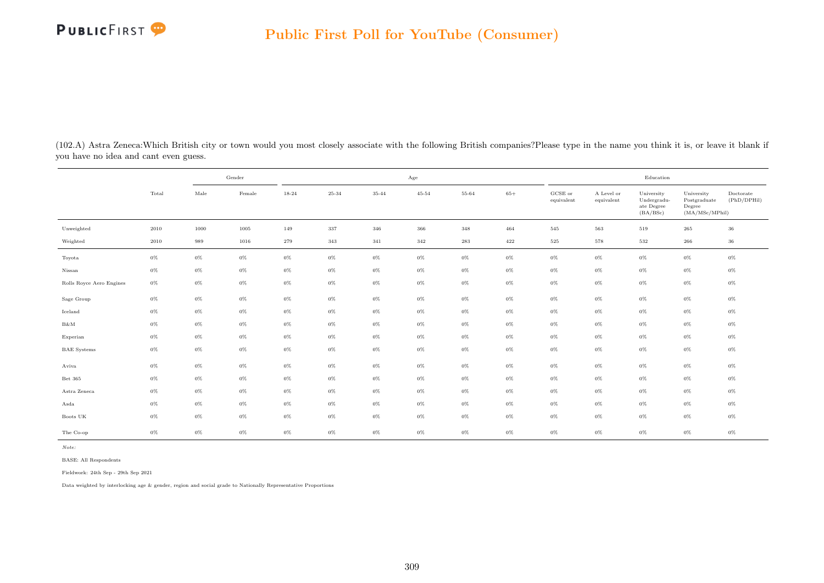

(102.A) Astra Zeneca:Which British city or town would you most closely associate with the following British companies?Please type in the name you think it is, or leave it blank if you have no idea and cant even guess.

|                          |       |               | Gender |       |       |           | Age       |       |         |                                |                          | Education                                           |                                                         |                          |
|--------------------------|-------|---------------|--------|-------|-------|-----------|-----------|-------|---------|--------------------------------|--------------------------|-----------------------------------------------------|---------------------------------------------------------|--------------------------|
|                          | Total | $_{\rm Male}$ | Female | 18-24 | 25-34 | $35 - 44$ | $45 - 54$ | 55-64 | $65+$   | $_{\rm GCSE~or}$<br>equivalent | A Level or<br>equivalent | University<br>Undergradu-<br>ate Degree<br>(BA/BSc) | University<br>Postgraduate<br>Degree<br>(MA/MSc/MPhill) | Doctorate<br>(PhD/DPHil) |
| Unweighted               | 2010  | 1000          | 1005   | 149   | 337   | 346       | 366       | 348   | 464     | 545                            | 563                      | 519                                                 | 265                                                     | $36\,$                   |
| Weighted                 | 2010  | 989           | 1016   | 279   | 343   | 341       | 342       | 283   | $422\,$ | $525\,$                        | 578                      | 532                                                 | $266\,$                                                 | $36\,$                   |
| Toyota                   | $0\%$ | $0\%$         | $0\%$  | $0\%$ | $0\%$ | $0\%$     | $0\%$     | $0\%$ | $0\%$   | $0\%$                          | $0\%$                    | $0\%$                                               | $0\%$                                                   | $0\%$                    |
| Nissan                   | $0\%$ | $0\%$         | $0\%$  | $0\%$ | $0\%$ | 0%        | $0\%$     | $0\%$ | $0\%$   | $0\%$                          | $0\%$                    | $0\%$                                               | $0\%$                                                   | $0\%$                    |
| Rolls Royce Aero Engines | $0\%$ | $0\%$         | $0\%$  | $0\%$ | $0\%$ | $0\%$     | $0\%$     | $0\%$ | $0\%$   | $0\%$                          | $0\%$                    | $0\%$                                               | $0\%$                                                   | $0\%$                    |
| Sage Group               | $0\%$ | $0\%$         | $0\%$  | $0\%$ | $0\%$ | 0%        | $0\%$     | $0\%$ | $0\%$   | $0\%$                          | $0\%$                    | $0\%$                                               | $0\%$                                                   | $0\%$                    |
| Iceland                  | $0\%$ | $0\%$         | $0\%$  | $0\%$ | $0\%$ | $0\%$     | $0\%$     | $0\%$ | $0\%$   | $0\%$                          | $0\%$                    | $0\%$                                               | $0\%$                                                   | $0\%$                    |
| $B\&M$                   | $0\%$ | $0\%$         | $0\%$  | $0\%$ | $0\%$ | $0\%$     | $0\%$     | $0\%$ | $0\%$   | $0\%$                          | $0\%$                    | $0\%$                                               | $0\%$                                                   | $0\%$                    |
| Experian                 | $0\%$ | $0\%$         | $0\%$  | $0\%$ | $0\%$ | $0\%$     | $0\%$     | $0\%$ | $0\%$   | $0\%$                          | $0\%$                    | $0\%$                                               | $0\%$                                                   | $0\%$                    |
| <b>BAE</b> Systems       | $0\%$ | $0\%$         | $0\%$  | $0\%$ | $0\%$ | 0%        | $0\%$     | $0\%$ | $0\%$   | $0\%$                          | $0\%$                    | $0\%$                                               | $0\%$                                                   | $0\%$                    |
| Aviva                    | $0\%$ | $0\%$         | $0\%$  | $0\%$ | $0\%$ | 0%        | $0\%$     | $0\%$ | $0\%$   | $0\%$                          | $0\%$                    | $0\%$                                               | $0\%$                                                   | $0\%$                    |
| Bet 365                  | $0\%$ | $0\%$         | $0\%$  | $0\%$ | $0\%$ | $0\%$     | $0\%$     | $0\%$ | $0\%$   | $0\%$                          | $0\%$                    | $0\%$                                               | $0\%$                                                   | $0\%$                    |
| Astra Zeneca             | $0\%$ | $0\%$         | $0\%$  | $0\%$ | $0\%$ | 0%        | $0\%$     | $0\%$ | $0\%$   | $0\%$                          | $0\%$                    | $0\%$                                               | $0\%$                                                   | $0\%$                    |
| Asda                     | $0\%$ | $0\%$         | $0\%$  | $0\%$ | $0\%$ | 0%        | $0\%$     | $0\%$ | $0\%$   | $0\%$                          | $0\%$                    | $0\%$                                               | $0\%$                                                   | $0\%$                    |
| Boots UK                 | $0\%$ | $0\%$         | $0\%$  | $0\%$ | $0\%$ | 0%        | $0\%$     | $0\%$ | $0\%$   | $0\%$                          | $0\%$                    | $0\%$                                               | $0\%$                                                   | $0\%$                    |
| The Co-op                | $0\%$ | $0\%$         | $0\%$  | $0\%$ | $0\%$ | $0\%$     | $0\%$     | $0\%$ | $0\%$   | $0\%$                          | $0\%$                    | $0\%$                                               | $0\%$                                                   | $0\%$                    |

BASE: All Respondents

Fieldwork: 24th Sep - 29th Sep 2021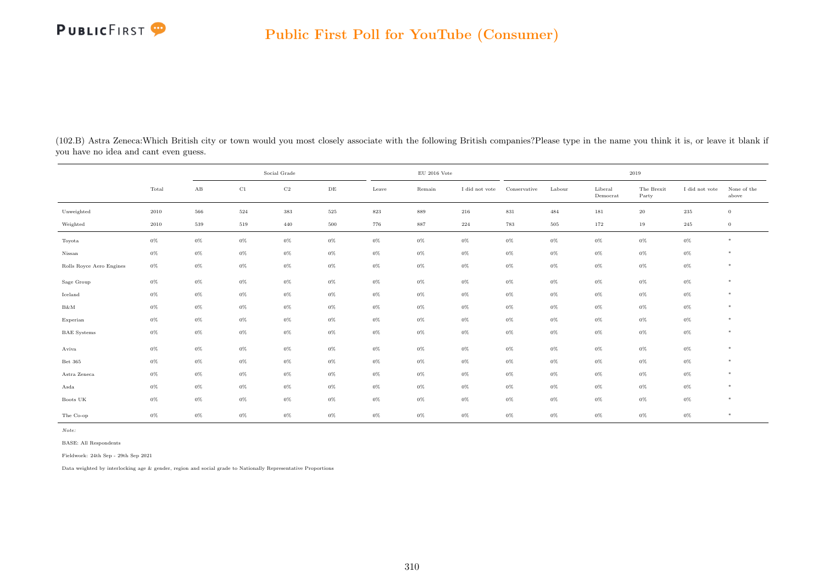| (102.B) Astra Zeneca: Which British city or town would you most closely associate with the following British companies? Please type in the name you think it is, or leave it blank if |  |  |  |  |
|---------------------------------------------------------------------------------------------------------------------------------------------------------------------------------------|--|--|--|--|
| you have no idea and cant even guess.                                                                                                                                                 |  |  |  |  |

|                          |          |                        |       | Social Grade |           |         | $\rm EU$ 2016 Vote |                |              |        |                     | 2019                |                |                      |
|--------------------------|----------|------------------------|-------|--------------|-----------|---------|--------------------|----------------|--------------|--------|---------------------|---------------------|----------------|----------------------|
|                          | Total    | $\mathbf{A}\mathbf{B}$ | C1    | $_{\rm C2}$  | $\rm{DE}$ | Leave   | Remain             | I did not vote | Conservative | Labour | Liberal<br>Democrat | The Brexit<br>Party | I did not vote | None of the<br>above |
| Unweighted               | 2010     | 566                    | 524   | $383\,$      | $525\,$   | $823\,$ | 889                | 216            | $831\,$      | 484    | 181                 | $20\,$              | 235            | $\overline{0}$       |
| Weighted                 | $2010\,$ | 539                    | 519   | 440          | 500       | 776     | 887                | 224            | 783          | 505    | 172                 | 19                  | 245            | $\overline{0}$       |
| Toyota                   | $0\%$    | $0\%$                  | $0\%$ | $0\%$        | $0\%$     | $0\%$   | $0\%$              | $0\%$          | $0\%$        | $0\%$  | $0\%$               | $0\%$               | $0\%$          | $*$                  |
| Nissan                   | $0\%$    | $0\%$                  | $0\%$ | $0\%$        | $0\%$     | $0\%$   | $0\%$              | $0\%$          | $0\%$        | $0\%$  | $0\%$               | $0\%$               | $0\%$          | $*$                  |
| Rolls Royce Aero Engines | $0\%$    | $0\%$                  | $0\%$ | $0\%$        | $0\%$     | $0\%$   | $0\%$              | $0\%$          | $0\%$        | $0\%$  | $0\%$               | $0\%$               | $0\%$          | $*$                  |
| Sage Group               | $0\%$    | $0\%$                  | $0\%$ | $0\%$        | $0\%$     | $0\%$   | $0\%$              | $0\%$          | $0\%$        | $0\%$  | $0\%$               | $0\%$               | $0\%$          | $*$                  |
| Iceland                  | $0\%$    | $0\%$                  | $0\%$ | $0\%$        | $0\%$     | $0\%$   | $0\%$              | $0\%$          | $0\%$        | $0\%$  | $0\%$               | $0\%$               | $0\%$          | $*$                  |
| $B\&M$                   | $0\%$    | $0\%$                  | $0\%$ | $0\%$        | $0\%$     | $0\%$   | $0\%$              | $0\%$          | $0\%$        | $0\%$  | $0\%$               | $0\%$               | $0\%$          | $*$                  |
| Experian                 | $0\%$    | $0\%$                  | $0\%$ | $0\%$        | $0\%$     | $0\%$   | $0\%$              | $0\%$          | $0\%$        | $0\%$  | $0\%$               | $0\%$               | $0\%$          | $*$                  |
| <b>BAE</b> Systems       | $0\%$    | $0\%$                  | $0\%$ | $0\%$        | $0\%$     | $0\%$   | $0\%$              | $0\%$          | $0\%$        | $0\%$  | $0\%$               | $0\%$               | $0\%$          | $*$                  |
| Aviva                    | $0\%$    | $0\%$                  | $0\%$ | $0\%$        | $0\%$     | $0\%$   | $0\%$              | $0\%$          | $0\%$        | $0\%$  | $0\%$               | $0\%$               | $0\%$          | $*$                  |
| Bet 365                  | $0\%$    | $0\%$                  | $0\%$ | $0\%$        | $0\%$     | $0\%$   | $0\%$              | $0\%$          | $0\%$        | $0\%$  | $0\%$               | $0\%$               | $0\%$          | $*$                  |
| Astra Zeneca             | $0\%$    | $0\%$                  | $0\%$ | $0\%$        | $0\%$     | $0\%$   | $0\%$              | $0\%$          | $0\%$        | $0\%$  | $0\%$               | $0\%$               | $0\%$          | $*$                  |
| Asda                     | $0\%$    | $0\%$                  | $0\%$ | $0\%$        | $0\%$     | $0\%$   | $0\%$              | $0\%$          | $0\%$        | $0\%$  | $0\%$               | $0\%$               | $0\%$          | $*$                  |
| Boots UK                 | $0\%$    | $0\%$                  | $0\%$ | $0\%$        | $0\%$     | $0\%$   | $0\%$              | $0\%$          | $0\%$        | $0\%$  | $0\%$               | $0\%$               | $0\%$          | $*$                  |
| The Co-op                | $0\%$    | $0\%$                  | $0\%$ | $0\%$        | 0%        | $0\%$   | $0\%$              | 0%             | $0\%$        | $0\%$  | 0%                  | $0\%$               | $0\%$          | $*$                  |

Note:

BASE: All Respondents

Fieldwork: 24th Sep - 29th Sep 2021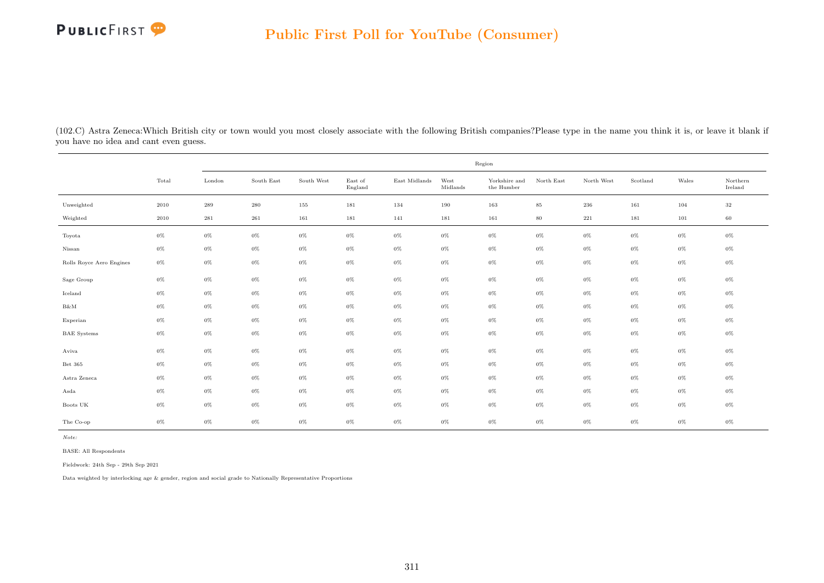

(102.C) Astra Zeneca:Which British city or town would you most closely associate with the following British companies?Please type in the name you think it is, or leave it blank if you have no idea and cant even guess.

|                          |       |                    |            |            |                    |               |                  | Region                               |            |            |          |       |                     |
|--------------------------|-------|--------------------|------------|------------|--------------------|---------------|------------------|--------------------------------------|------------|------------|----------|-------|---------------------|
|                          | Total | London             | South East | South West | East of<br>England | East Midlands | West<br>Midlands | Yorkshire and<br>the $\mbox{Humber}$ | North East | North West | Scotland | Wales | Northern<br>Ireland |
| Unweighted               | 2010  | $\boldsymbol{289}$ | $\,280$    | 155        | 181                | 134           | 190              | 163                                  | $85\,$     | 236        | 161      | 104   | $32\,$              |
| Weighted                 | 2010  | $\bf 281$          | 261        | 161        | 181                | 141           | 181              | 161                                  | $80\,$     | $221\,$    | 181      | 101   | 60                  |
| Toyota                   | $0\%$ | $0\%$              | $0\%$      | $0\%$      | $0\%$              | $0\%$         | $0\%$            | $0\%$                                | $0\%$      | $0\%$      | $0\%$    | $0\%$ | $0\%$               |
| Nissan                   | $0\%$ | $0\%$              | $0\%$      | $0\%$      | $0\%$              | $0\%$         | $0\%$            | $0\%$                                | $0\%$      | $0\%$      | $0\%$    | $0\%$ | $0\%$               |
| Rolls Royce Aero Engines | $0\%$ | $0\%$              | $0\%$      | $0\%$      | $0\%$              | $0\%$         | $0\%$            | $0\%$                                | $0\%$      | $0\%$      | $0\%$    | $0\%$ | $0\%$               |
| Sage Group               | $0\%$ | $0\%$              | $0\%$      | $0\%$      | $0\%$              | $0\%$         | $0\%$            | $0\%$                                | $0\%$      | $0\%$      | $0\%$    | $0\%$ | $0\%$               |
| Iceland                  | $0\%$ | $0\%$              | $0\%$      | $0\%$      | $0\%$              | $0\%$         | $0\%$            | $0\%$                                | $0\%$      | $0\%$      | $0\%$    | $0\%$ | $0\%$               |
| B&M                      | $0\%$ | $0\%$              | $0\%$      | $0\%$      | $0\%$              | $0\%$         | $0\%$            | $0\%$                                | $0\%$      | $0\%$      | $0\%$    | $0\%$ | $0\%$               |
| Experian                 | $0\%$ | $0\%$              | $0\%$      | $0\%$      | $0\%$              | $0\%$         | $0\%$            | $0\%$                                | $0\%$      | $0\%$      | $0\%$    | $0\%$ | $0\%$               |
| <b>BAE</b> Systems       | $0\%$ | $0\%$              | $0\%$      | $0\%$      | $0\%$              | $0\%$         | $0\%$            | $0\%$                                | $0\%$      | $0\%$      | $0\%$    | $0\%$ | $0\%$               |
| Aviva                    | $0\%$ | $0\%$              | $0\%$      | $0\%$      | $0\%$              | $0\%$         | $0\%$            | $0\%$                                | $0\%$      | $0\%$      | $0\%$    | $0\%$ | $0\%$               |
| Bet 365                  | $0\%$ | $0\%$              | $0\%$      | $0\%$      | $0\%$              | $0\%$         | $0\%$            | $0\%$                                | $0\%$      | $0\%$      | $0\%$    | $0\%$ | $0\%$               |
| Astra Zeneca             | $0\%$ | $0\%$              | $0\%$      | $0\%$      | $0\%$              | $0\%$         | $0\%$            | $0\%$                                | $0\%$      | $0\%$      | $0\%$    | $0\%$ | $0\%$               |
| Asda                     | $0\%$ | $0\%$              | $0\%$      | $0\%$      | $0\%$              | $0\%$         | $0\%$            | $0\%$                                | $0\%$      | $0\%$      | $0\%$    | $0\%$ | $0\%$               |
| Boots UK                 | $0\%$ | $0\%$              | $0\%$      | $0\%$      | $0\%$              | $0\%$         | $0\%$            | $0\%$                                | $0\%$      | $0\%$      | $0\%$    | $0\%$ | $0\%$               |
| The Co-op                | $0\%$ | $0\%$              | $0\%$      | $0\%$      | $0\%$              | $0\%$         | $0\%$            | $0\%$                                | $0\%$      | $0\%$      | $0\%$    | $0\%$ | $0\%$               |

Note:

BASE: All Respondents

Fieldwork: 24th Sep - 29th Sep 2021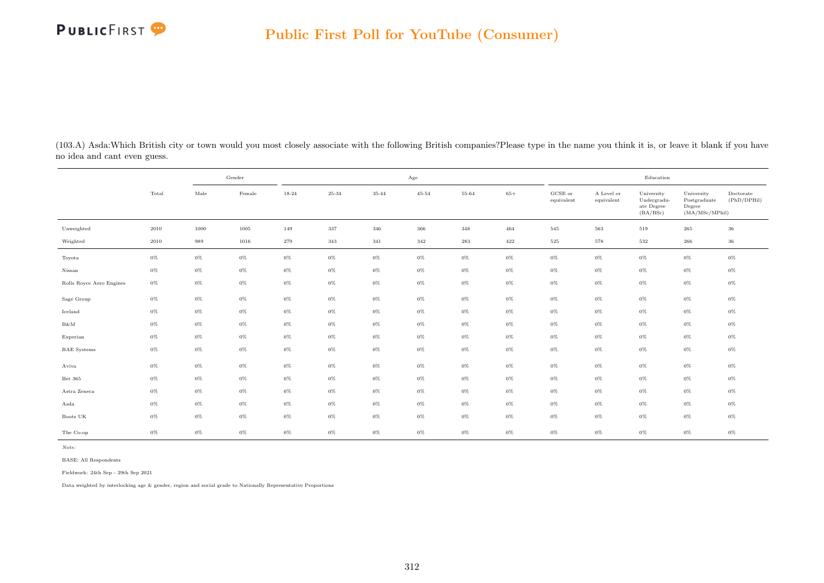

(103.A) Asda:Which British city or town would you most closely associate with the following British companies?Please type in the name you think it is, or leave it blank if you have no idea and cant even guess.

|                          |       |       | Gender |       |         |       | Age       |       |       |                       |                          | Education                                           |                                                         |                          |
|--------------------------|-------|-------|--------|-------|---------|-------|-----------|-------|-------|-----------------------|--------------------------|-----------------------------------------------------|---------------------------------------------------------|--------------------------|
|                          | Total | Male  | Female | 18-24 | 25-34   | 35-44 | $45 - 54$ | 55-64 | $65+$ | GCSE or<br>equivalent | A Level or<br>equivalent | University<br>Undergradu-<br>ate Degree<br>(BA/BSc) | University<br>Postgraduate<br>Degree<br>(MA/MSc/MPhill) | Doctorate<br>(PhD/DPHil) |
| Unweighted               | 2010  | 1000  | 1005   | 149   | $337\,$ | 346   | 366       | 348   | 464   | 545                   | 563                      | 519                                                 | 265                                                     | 36                       |
| Weighted                 | 2010  | 989   | 1016   | 279   | 343     | 341   | 342       | 283   | 422   | $525\,$               | 578                      | 532                                                 | 266                                                     | 36                       |
| Toyota                   | $0\%$ | $0\%$ | $0\%$  | $0\%$ | $0\%$   | $0\%$ | $0\%$     | $0\%$ | $0\%$ | $0\%$                 | $0\%$                    | $0\%$                                               | $0\%$                                                   | $0\%$                    |
| Nissan                   | $0\%$ | $0\%$ | $0\%$  | $0\%$ | $0\%$   | $0\%$ | $0\%$     | $0\%$ | $0\%$ | $0\%$                 | $0\%$                    | $0\%$                                               | $0\%$                                                   | $0\%$                    |
| Rolls Royce Aero Engines | $0\%$ | $0\%$ | $0\%$  | $0\%$ | $0\%$   | $0\%$ | $0\%$     | $0\%$ | $0\%$ | $0\%$                 | $0\%$                    | $0\%$                                               | $0\%$                                                   | $0\%$                    |
| Sage Group               | $0\%$ | $0\%$ | $0\%$  | $0\%$ | $0\%$   | $0\%$ | $0\%$     | $0\%$ | $0\%$ | $0\%$                 | $0\%$                    | $0\%$                                               | $0\%$                                                   | $0\%$                    |
| Iceland                  | $0\%$ | $0\%$ | $0\%$  | $0\%$ | $0\%$   | $0\%$ | $0\%$     | $0\%$ | $0\%$ | $0\%$                 | $0\%$                    | $0\%$                                               | $0\%$                                                   | $0\%$                    |
| $B\&M$                   | $0\%$ | $0\%$ | $0\%$  | $0\%$ | $0\%$   | $0\%$ | $0\%$     | $0\%$ | $0\%$ | $0\%$                 | $0\%$                    | $0\%$                                               | $0\%$                                                   | $0\%$                    |
| Experian                 | $0\%$ | $0\%$ | $0\%$  | $0\%$ | $0\%$   | $0\%$ | $0\%$     | $0\%$ | $0\%$ | $0\%$                 | $0\%$                    | $0\%$                                               | $0\%$                                                   | $0\%$                    |
| <b>BAE</b> Systems       | $0\%$ | $0\%$ | $0\%$  | $0\%$ | $0\%$   | $0\%$ | $0\%$     | $0\%$ | $0\%$ | $0\%$                 | $0\%$                    | $0\%$                                               | $0\%$                                                   | $0\%$                    |
| Aviva                    | $0\%$ | $0\%$ | $0\%$  | $0\%$ | $0\%$   | $0\%$ | $0\%$     | $0\%$ | $0\%$ | $0\%$                 | $0\%$                    | $0\%$                                               | $0\%$                                                   | $0\%$                    |
| Bet 365                  | $0\%$ | $0\%$ | $0\%$  | $0\%$ | $0\%$   | $0\%$ | $0\%$     | $0\%$ | $0\%$ | $0\%$                 | $0\%$                    | $0\%$                                               | $0\%$                                                   | $0\%$                    |
| Astra Zeneca             | $0\%$ | $0\%$ | $0\%$  | $0\%$ | $0\%$   | $0\%$ | $0\%$     | $0\%$ | $0\%$ | $0\%$                 | $0\%$                    | $0\%$                                               | $0\%$                                                   | $0\%$                    |
| Asda                     | $0\%$ | $0\%$ | $0\%$  | $0\%$ | $0\%$   | $0\%$ | $0\%$     | $0\%$ | $0\%$ | $0\%$                 | $0\%$                    | $0\%$                                               | $0\%$                                                   | $0\%$                    |
| Boots UK                 | $0\%$ | $0\%$ | 0%     | $0\%$ | $0\%$   | $0\%$ | $0\%$     | $0\%$ | $0\%$ | $0\%$                 | $0\%$                    | $0\%$                                               | $0\%$                                                   | $0\%$                    |
| The Co-op                | $0\%$ | $0\%$ | $0\%$  | $0\%$ | $0\%$   | $0\%$ | $0\%$     | $0\%$ | $0\%$ | $0\%$                 | $0\%$                    | $0\%$                                               | $0\%$                                                   | $0\%$                    |

BASE: All Respondents

Fieldwork: 24th Sep - 29th Sep 2021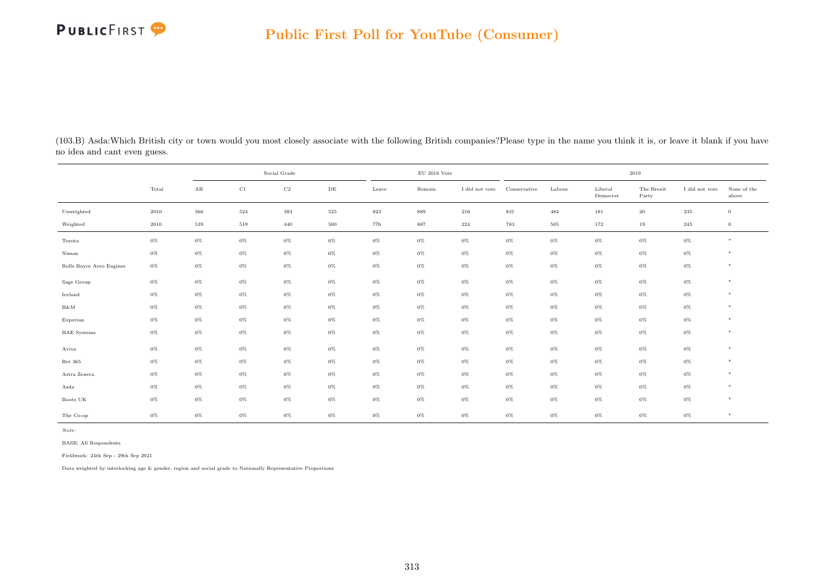

(103.B) Asda:Which British city or town would you most closely associate with the following British companies?Please type in the name you think it is, or leave it blank if you have no idea and cant even guess.

|                          |       |       |       | Social Grade |         |         | $\rm EU$ 2016 Vote |                |              |        |                     | 2019                |                |                      |
|--------------------------|-------|-------|-------|--------------|---------|---------|--------------------|----------------|--------------|--------|---------------------|---------------------|----------------|----------------------|
|                          | Total | AB    | C1    | $_{\rm C2}$  | DE      | Leave   | Remain             | I did not vote | Conservative | Labour | Liberal<br>Democrat | The Brexit<br>Party | I did not vote | None of the<br>above |
| Unweighted               | 2010  | 566   | 524   | 383          | $525\,$ | $823\,$ | 889                | 216            | 831          | 484    | 181                 | $20\,$              | 235            | $\overline{0}$       |
| Weighted                 | 2010  | 539   | 519   | 440          | 500     | 776     | 887                | 224            | 783          | 505    | 172                 | 19                  | 245            | $\overline{0}$       |
| Toyota                   | $0\%$ | $0\%$ | $0\%$ | $0\%$        | $0\%$   | $0\%$   | $0\%$              | $0\%$          | $0\%$        | $0\%$  | $0\%$               | $0\%$               | $0\%$          | $*$                  |
| Nissan                   | $0\%$ | $0\%$ | $0\%$ | $0\%$        | $0\%$   | $0\%$   | $0\%$              | $0\%$          | $0\%$        | $0\%$  | $0\%$               | $0\%$               | $0\%$          | $*$                  |
| Rolls Royce Aero Engines | $0\%$ | $0\%$ | $0\%$ | $0\%$        | $0\%$   | $0\%$   | $0\%$              | $0\%$          | $0\%$        | $0\%$  | $0\%$               | 0%                  | $0\%$          | $*$                  |
| Sage Group               | $0\%$ | $0\%$ | $0\%$ | $0\%$        | $0\%$   | $0\%$   | $0\%$              | $0\%$          | $0\%$        | $0\%$  | $0\%$               | $0\%$               | $0\%$          | $*$                  |
| Iceland                  | $0\%$ | $0\%$ | $0\%$ | $0\%$        | $0\%$   | $0\%$   | $0\%$              | $0\%$          | $0\%$        | $0\%$  | $0\%$               | $0\%$               | $0\%$          | $*$                  |
| B&M                      | $0\%$ | $0\%$ | $0\%$ | $0\%$        | $0\%$   | $0\%$   | $0\%$              | $0\%$          | $0\%$        | $0\%$  | $0\%$               | $0\%$               | $0\%$          | $*$                  |
| Experian                 | $0\%$ | $0\%$ | $0\%$ | $0\%$        | $0\%$   | $0\%$   | $0\%$              | $0\%$          | $0\%$        | $0\%$  | $0\%$               | $0\%$               | $0\%$          | $*$                  |
| <b>BAE</b> Systems       | $0\%$ | $0\%$ | $0\%$ | $0\%$        | $0\%$   | $0\%$   | $0\%$              | $0\%$          | $0\%$        | $0\%$  | $0\%$               | $0\%$               | $0\%$          | $*$                  |
| Aviva                    | $0\%$ | $0\%$ | $0\%$ | $0\%$        | $0\%$   | $0\%$   | $0\%$              | $0\%$          | $0\%$        | $0\%$  | $0\%$               | $0\%$               | $0\%$          | $*$                  |
| Bet 365                  | $0\%$ | $0\%$ | $0\%$ | $0\%$        | $0\%$   | $0\%$   | $0\%$              | $0\%$          | $0\%$        | $0\%$  | $0\%$               | 0%                  | $0\%$          | $*$                  |
| Astra Zeneca             | $0\%$ | $0\%$ | $0\%$ | $0\%$        | $0\%$   | $0\%$   | $0\%$              | $0\%$          | $0\%$        | $0\%$  | $0\%$               | 0%                  | $0\%$          | $*$                  |
| Asda                     | $0\%$ | $0\%$ | $0\%$ | $0\%$        | $0\%$   | $0\%$   | $0\%$              | $0\%$          | $0\%$        | $0\%$  | $0\%$               | $0\%$               | $0\%$          | $*$                  |
| Boots UK                 | $0\%$ | $0\%$ | $0\%$ | $0\%$        | $0\%$   | $0\%$   | $0\%$              | $0\%$          | $0\%$        | $0\%$  | $0\%$               | $0\%$               | 0%             | $*$                  |
| The Co-op                | $0\%$ | $0\%$ | $0\%$ | $0\%$        | 0%      | $0\%$   | $0\%$              | 0%             | $0\%$        | $0\%$  | 0%                  | $0\%$               | $0\%$          | $*$                  |

Note:

BASE: All Respondents

Fieldwork: 24th Sep - 29th Sep 2021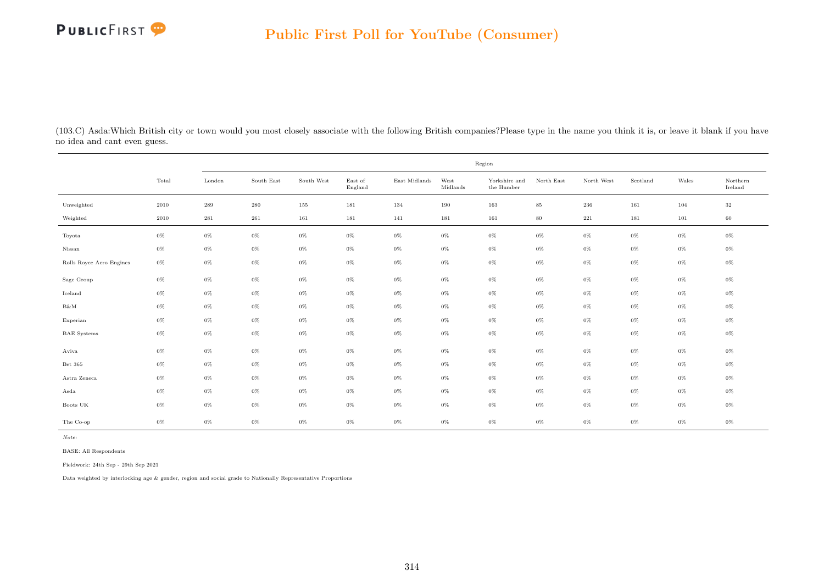

(103.C) Asda:Which British city or town would you most closely associate with the following British companies?Please type in the name you think it is, or leave it blank if you have no idea and cant even guess.

|                          |       |                    |            |            |                    |               |                  | Region                                       |            |            |          |       |                     |
|--------------------------|-------|--------------------|------------|------------|--------------------|---------------|------------------|----------------------------------------------|------------|------------|----------|-------|---------------------|
|                          | Total | London             | South East | South West | East of<br>England | East Midlands | West<br>Midlands | Yorkshire and<br>the $\operatorname{Humber}$ | North East | North West | Scotland | Wales | Northern<br>Ireland |
| Unweighted               | 2010  | $\boldsymbol{289}$ | 280        | 155        | 181                | 134           | 190              | 163                                          | $85\,$     | 236        | 161      | 104   | 32                  |
| Weighted                 | 2010  | $\bf 281$          | 261        | 161        | 181                | 141           | 181              | 161                                          | $80\,$     | $221\,$    | 181      | 101   | 60                  |
| Toyota                   | $0\%$ | $0\%$              | $0\%$      | $0\%$      | $0\%$              | $0\%$         | $0\%$            | $0\%$                                        | $0\%$      | $0\%$      | $0\%$    | $0\%$ | $0\%$               |
| Nissan                   | $0\%$ | $0\%$              | $0\%$      | $0\%$      | $0\%$              | $0\%$         | $0\%$            | $0\%$                                        | $0\%$      | $0\%$      | $0\%$    | $0\%$ | $0\%$               |
| Rolls Royce Aero Engines | $0\%$ | $0\%$              | $0\%$      | $0\%$      | $0\%$              | $0\%$         | $0\%$            | $0\%$                                        | $0\%$      | $0\%$      | $0\%$    | $0\%$ | $0\%$               |
| Sage Group               | $0\%$ | $0\%$              | $0\%$      | $0\%$      | $0\%$              | $0\%$         | $0\%$            | $0\%$                                        | $0\%$      | $0\%$      | $0\%$    | $0\%$ | $0\%$               |
| Iceland                  | $0\%$ | $0\%$              | $0\%$      | $0\%$      | $0\%$              | $0\%$         | $0\%$            | $0\%$                                        | $0\%$      | $0\%$      | $0\%$    | $0\%$ | $0\%$               |
| B&M                      | $0\%$ | $0\%$              | $0\%$      | $0\%$      | $0\%$              | $0\%$         | $0\%$            | $0\%$                                        | $0\%$      | $0\%$      | $0\%$    | $0\%$ | $0\%$               |
| Experian                 | $0\%$ | $0\%$              | $0\%$      | $0\%$      | $0\%$              | $0\%$         | $0\%$            | $0\%$                                        | $0\%$      | $0\%$      | $0\%$    | $0\%$ | $0\%$               |
| <b>BAE</b> Systems       | $0\%$ | $0\%$              | $0\%$      | $0\%$      | $0\%$              | $0\%$         | $0\%$            | $0\%$                                        | $0\%$      | $0\%$      | $0\%$    | $0\%$ | $0\%$               |
| Aviva                    | $0\%$ | $0\%$              | $0\%$      | $0\%$      | $0\%$              | $0\%$         | $0\%$            | $0\%$                                        | $0\%$      | $0\%$      | $0\%$    | $0\%$ | $0\%$               |
| Bet 365                  | $0\%$ | $0\%$              | $0\%$      | $0\%$      | $0\%$              | $0\%$         | $0\%$            | $0\%$                                        | $0\%$      | $0\%$      | $0\%$    | $0\%$ | $0\%$               |
| Astra Zeneca             | $0\%$ | $0\%$              | $0\%$      | $0\%$      | $0\%$              | $0\%$         | $0\%$            | $0\%$                                        | $0\%$      | $0\%$      | $0\%$    | $0\%$ | $0\%$               |
| Asda                     | $0\%$ | $0\%$              | $0\%$      | 0%         | $0\%$              | 0%            | $0\%$            | $0\%$                                        | 0%         | $0\%$      | $0\%$    | $0\%$ | $0\%$               |
| Boots UK                 | $0\%$ | $0\%$              | $0\%$      | $0\%$      | $0\%$              | $0\%$         | $0\%$            | $0\%$                                        | $0\%$      | $0\%$      | $0\%$    | $0\%$ | $0\%$               |
| The Co-op                | $0\%$ | $0\%$              | $0\%$      | $0\%$      | $0\%$              | $0\%$         | $0\%$            | $0\%$                                        | $0\%$      | $0\%$      | $0\%$    | $0\%$ | $0\%$               |

Note:

BASE: All Respondents

Fieldwork: 24th Sep - 29th Sep 2021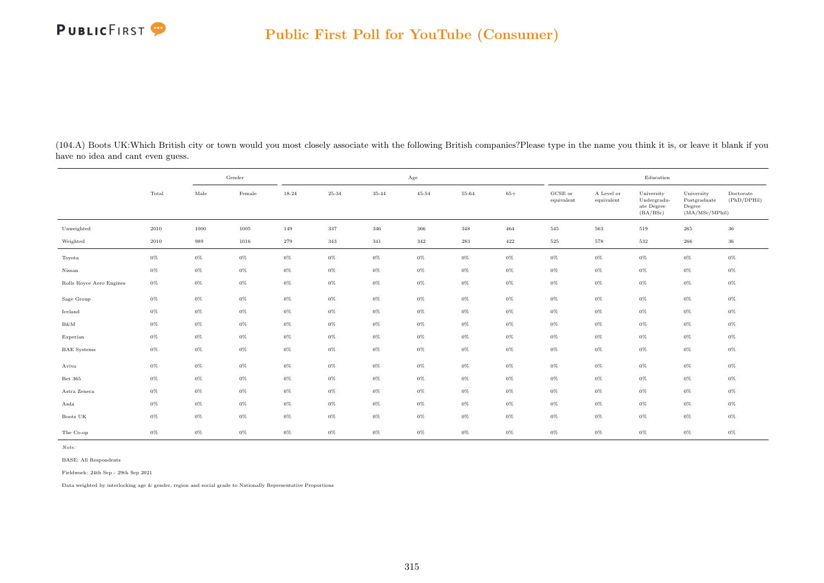

(104.A) Boots UK:Which British city or town would you most closely associate with the following British companies?Please type in the name you think it is, or leave it blank if you have no idea and cant even guess.

|                          |       |       | Gender | Age   |         |       |           |       |       | Education                      |                          |                                                     |                                                         |                          |
|--------------------------|-------|-------|--------|-------|---------|-------|-----------|-------|-------|--------------------------------|--------------------------|-----------------------------------------------------|---------------------------------------------------------|--------------------------|
|                          | Total | Male  | Female | 18-24 | 25-34   | 35-44 | $45 - 54$ | 55-64 | $65+$ | $_{\rm GCSE~or}$<br>equivalent | A Level or<br>equivalent | University<br>Undergradu-<br>ate Degree<br>(BA/BSc) | University<br>Postgraduate<br>Degree<br>(MA/MSc/MPhill) | Doctorate<br>(PhD/DPHil) |
| Unweighted               | 2010  | 1000  | 1005   | 149   | $337\,$ | 346   | 366       | 348   | 464   | 545                            | 563                      | 519                                                 | 265                                                     | 36                       |
| Weighted                 | 2010  | 989   | 1016   | 279   | 343     | 341   | 342       | 283   | 422   | 525                            | 578                      | 532                                                 | 266                                                     | 36                       |
| Toyota                   | $0\%$ | $0\%$ | $0\%$  | $0\%$ | $0\%$   | $0\%$ | $0\%$     | $0\%$ | $0\%$ | $0\%$                          | $0\%$                    | $0\%$                                               | $0\%$                                                   | $0\%$                    |
| Nissan                   | $0\%$ | $0\%$ | $0\%$  | $0\%$ | $0\%$   | $0\%$ | $0\%$     | $0\%$ | $0\%$ | $0\%$                          | $0\%$                    | $0\%$                                               | $0\%$                                                   | $0\%$                    |
| Rolls Royce Aero Engines | $0\%$ | $0\%$ | $0\%$  | $0\%$ | $0\%$   | $0\%$ | $0\%$     | $0\%$ | $0\%$ | $0\%$                          | $0\%$                    | $0\%$                                               | $0\%$                                                   | $0\%$                    |
| Sage Group               | $0\%$ | $0\%$ | $0\%$  | $0\%$ | $0\%$   | $0\%$ | $0\%$     | $0\%$ | $0\%$ | $0\%$                          | $0\%$                    | $0\%$                                               | $0\%$                                                   | $0\%$                    |
| Iceland                  | $0\%$ | $0\%$ | $0\%$  | $0\%$ | $0\%$   | $0\%$ | $0\%$     | $0\%$ | $0\%$ | $0\%$                          | $0\%$                    | $0\%$                                               | $0\%$                                                   | $0\%$                    |
| $B\&M$                   | $0\%$ | $0\%$ | $0\%$  | $0\%$ | $0\%$   | $0\%$ | $0\%$     | $0\%$ | $0\%$ | $0\%$                          | $0\%$                    | $0\%$                                               | $0\%$                                                   | $0\%$                    |
| Experian                 | $0\%$ | $0\%$ | $0\%$  | $0\%$ | $0\%$   | $0\%$ | $0\%$     | $0\%$ | $0\%$ | $0\%$                          | $0\%$                    | $0\%$                                               | $0\%$                                                   | $0\%$                    |
| <b>BAE</b> Systems       | $0\%$ | $0\%$ | $0\%$  | $0\%$ | $0\%$   | $0\%$ | $0\%$     | $0\%$ | $0\%$ | $0\%$                          | $0\%$                    | $0\%$                                               | $0\%$                                                   | $0\%$                    |
| Aviva                    | $0\%$ | $0\%$ | $0\%$  | $0\%$ | $0\%$   | $0\%$ | $0\%$     | $0\%$ | $0\%$ | $0\%$                          | $0\%$                    | $0\%$                                               | $0\%$                                                   | $0\%$                    |
| Bet 365                  | $0\%$ | $0\%$ | $0\%$  | $0\%$ | $0\%$   | $0\%$ | $0\%$     | $0\%$ | $0\%$ | $0\%$                          | $0\%$                    | $0\%$                                               | $0\%$                                                   | $0\%$                    |
| Astra Zeneca             | $0\%$ | $0\%$ | $0\%$  | $0\%$ | $0\%$   | $0\%$ | $0\%$     | $0\%$ | $0\%$ | $0\%$                          | $0\%$                    | $0\%$                                               | $0\%$                                                   | $0\%$                    |
| Asda                     | $0\%$ | $0\%$ | $0\%$  | $0\%$ | $0\%$   | $0\%$ | $0\%$     | $0\%$ | $0\%$ | $0\%$                          | $0\%$                    | $0\%$                                               | $0\%$                                                   | $0\%$                    |
| Boots UK                 | $0\%$ | $0\%$ | $0\%$  | $0\%$ | $0\%$   | $0\%$ | $0\%$     | $0\%$ | $0\%$ | $0\%$                          | $0\%$                    | $0\%$                                               | $0\%$                                                   | $0\%$                    |
| The Co-op                | $0\%$ | $0\%$ | $0\%$  | $0\%$ | $0\%$   | $0\%$ | $0\%$     | $0\%$ | $0\%$ | $0\%$                          | $0\%$                    | $0\%$                                               | $0\%$                                                   | $0\%$                    |

BASE: All Respondents

Fieldwork: 24th Sep - 29th Sep 2021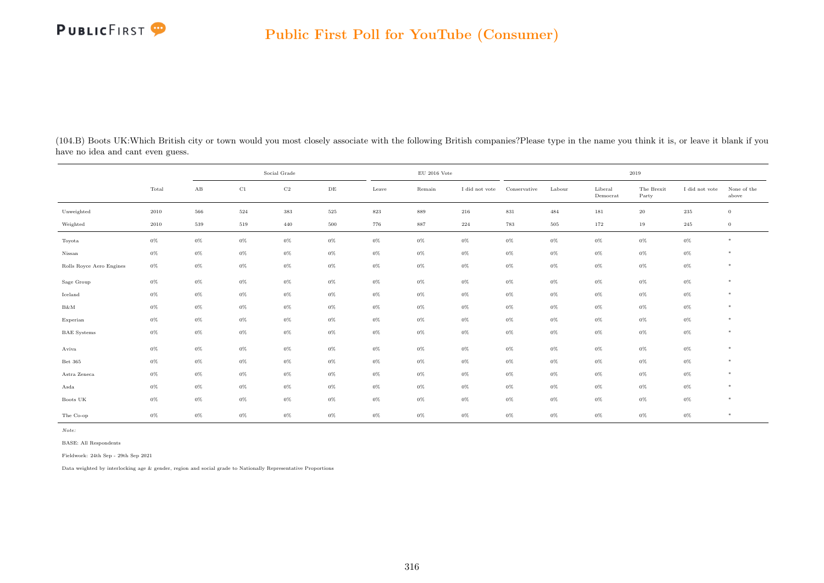| (104.B) Boots UK:Which British city or town would you most closely associate with the following British companies?Please type in the name you think it is, or leave it blank if you |  |  |  |  |
|-------------------------------------------------------------------------------------------------------------------------------------------------------------------------------------|--|--|--|--|
| have no idea and cant even guess.                                                                                                                                                   |  |  |  |  |

|                          |       | Social Grade           |             |             |           | $\rm EU$ 2016 Vote |        |                | 2019         |        |                             |                     |                |                      |
|--------------------------|-------|------------------------|-------------|-------------|-----------|--------------------|--------|----------------|--------------|--------|-----------------------------|---------------------|----------------|----------------------|
|                          | Total | $\mathbf{A}\mathbf{B}$ | $_{\rm C1}$ | $_{\rm C2}$ | $\rm{DE}$ | Leave              | Remain | I did not vote | Conservative | Labour | ${\rm Liberal}$<br>Democrat | The Brexit<br>Party | I did not vote | None of the<br>above |
| Unweighted               | 2010  | 566                    | 524         | 383         | $525\,$   | $823\,$            | 889    | 216            | $831\,$      | 484    | 181                         | $20\,$              | 235            | $\mathbf{0}$         |
| Weighted                 | 2010  | 539                    | 519         | 440         | 500       | 776                | 887    | 224            | 783          | 505    | 172                         | 19                  | 245            | $\overline{0}$       |
| Toyota                   | $0\%$ | $0\%$                  | $0\%$       | $0\%$       | $0\%$     | $0\%$              | $0\%$  | $0\%$          | $0\%$        | $0\%$  | $0\%$                       | $0\%$               | $0\%$          | $*$                  |
| Nissan                   | $0\%$ | $0\%$                  | $0\%$       | $0\%$       | $0\%$     | $0\%$              | $0\%$  | $0\%$          | $0\%$        | $0\%$  | $0\%$                       | $0\%$               | $0\%$          | $\ast$               |
| Rolls Royce Aero Engines | $0\%$ | $0\%$                  | $0\%$       | $0\%$       | $0\%$     | $0\%$              | $0\%$  | $0\%$          | $0\%$        | $0\%$  | $0\%$                       | $0\%$               | $0\%$          | $*$                  |
| Sage Group               | $0\%$ | $0\%$                  | $0\%$       | $0\%$       | $0\%$     | $0\%$              | $0\%$  | $0\%$          | $0\%$        | $0\%$  | $0\%$                       | $0\%$               | $0\%$          | $\ast$               |
| Iceland                  | $0\%$ | $0\%$                  | $0\%$       | $0\%$       | $0\%$     | $0\%$              | $0\%$  | $0\%$          | $0\%$        | $0\%$  | $0\%$                       | $0\%$               | $0\%$          | $*$                  |
| B&M                      | $0\%$ | $0\%$                  | $0\%$       | $0\%$       | $0\%$     | $0\%$              | $0\%$  | $0\%$          | $0\%$        | $0\%$  | $0\%$                       | $0\%$               | $0\%$          | $*$                  |
| Experian                 | $0\%$ | $0\%$                  | $0\%$       | $0\%$       | $0\%$     | $0\%$              | $0\%$  | $0\%$          | $0\%$        | $0\%$  | $0\%$                       | $0\%$               | $0\%$          | $\ast$               |
| <b>BAE</b> Systems       | $0\%$ | $0\%$                  | $0\%$       | $0\%$       | $0\%$     | $0\%$              | $0\%$  | $0\%$          | $0\%$        | $0\%$  | $0\%$                       | $0\%$               | $0\%$          | $*$                  |
| Aviva                    | $0\%$ | $0\%$                  | $0\%$       | $0\%$       | $0\%$     | $0\%$              | $0\%$  | $0\%$          | $0\%$        | $0\%$  | $0\%$                       | $0\%$               | $0\%$          | $*$                  |
| Bet 365                  | $0\%$ | $0\%$                  | $0\%$       | $0\%$       | $0\%$     | $0\%$              | $0\%$  | $0\%$          | $0\%$        | $0\%$  | $0\%$                       | $0\%$               | $0\%$          | $\ast$               |
| Astra Zeneca             | $0\%$ | $0\%$                  | $0\%$       | $0\%$       | $0\%$     | $0\%$              | $0\%$  | $0\%$          | $0\%$        | $0\%$  | $0\%$                       | $0\%$               | $0\%$          | $\ast$               |
| Asda                     | $0\%$ | $0\%$                  | $0\%$       | $0\%$       | 0%        | $0\%$              | $0\%$  | $0\%$          | 0%           | $0\%$  | $0\%$                       | $0\%$               | $0\%$          | $\ast$               |
| Boots UK                 | $0\%$ | $0\%$                  | $0\%$       | $0\%$       | $0\%$     | $0\%$              | $0\%$  | $0\%$          | $0\%$        | $0\%$  | $0\%$                       | $0\%$               | $0\%$          | $*$                  |
| The Co-op                | 0%    | $0\%$                  | $0\%$       | $0\%$       | $0\%$     | $0\%$              | $0\%$  | $0\%$          | $0\%$        | $0\%$  | $0\%$                       | $0\%$               | $0\%$          | $\ast$               |

Note:

BASE: All Respondents

Fieldwork: 24th Sep - 29th Sep 2021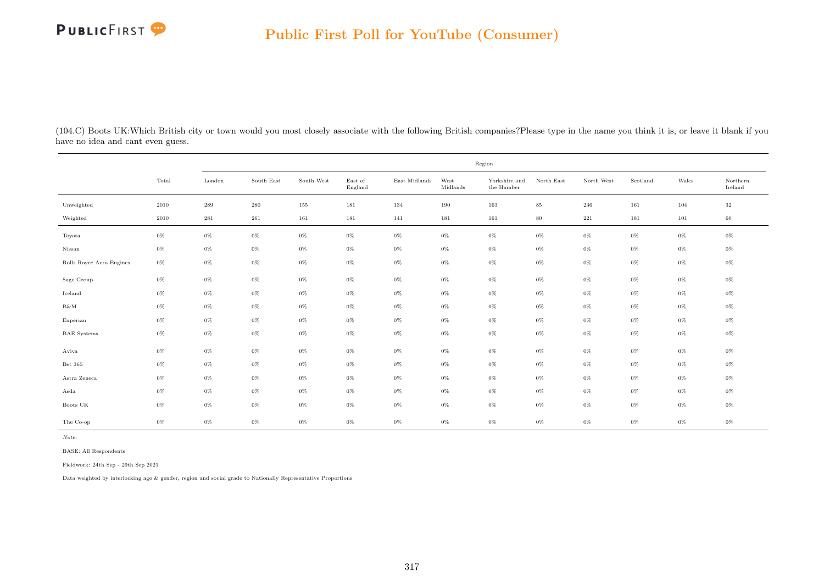

(104.C) Boots UK:Which British city or town would you most closely associate with the following British companies?Please type in the name you think it is, or leave it blank if you have no idea and cant even guess.

|                          |          | Region    |            |            |                    |               |                  |                             |            |            |          |       |                                      |  |
|--------------------------|----------|-----------|------------|------------|--------------------|---------------|------------------|-----------------------------|------------|------------|----------|-------|--------------------------------------|--|
|                          | Total    | London    | South East | South West | East of<br>England | East Midlands | West<br>Midlands | Yorkshire and<br>the Humber | North East | North West | Scotland | Wales | $\operatorname{Northern}$<br>Ireland |  |
| Unweighted               | $2010\,$ | $\bf 289$ | $\,280$    | 155        | 181                | 134           | 190              | 163                         | $85\,$     | $\,236$    | 161      | 104   | $32\,$                               |  |
| Weighted                 | 2010     | 281       | 261        | 161        | 181                | 141           | 181              | 161                         | $80\,$     | 221        | 181      | 101   | 60                                   |  |
| Toyota                   | $0\%$    | $0\%$     | 0%         | $0\%$      | $0\%$              | $0\%$         | $0\%$            | $0\%$                       | $0\%$      | $0\%$      | $0\%$    | $0\%$ | $0\%$                                |  |
| Nissan                   | $0\%$    | $0\%$     | $0\%$      | $0\%$      | $0\%$              | $0\%$         | $0\%$            | $0\%$                       | $0\%$      | $0\%$      | $0\%$    | $0\%$ | $0\%$                                |  |
| Rolls Royce Aero Engines | $0\%$    | $0\%$     | $0\%$      | $0\%$      | $0\%$              | $0\%$         | $0\%$            | $0\%$                       | $0\%$      | $0\%$      | $0\%$    | $0\%$ | 0%                                   |  |
| Sage Group               | $0\%$    | $0\%$     | 0%         | $0\%$      | $0\%$              | $0\%$         | $0\%$            | $0\%$                       | $0\%$      | $0\%$      | $0\%$    | $0\%$ | 0%                                   |  |
| Iceland                  | $0\%$    | $0\%$     | $0\%$      | $0\%$      | $0\%$              | $0\%$         | $0\%$            | $0\%$                       | $0\%$      | $0\%$      | $0\%$    | $0\%$ | $0\%$                                |  |
| B&M                      | $0\%$    | $0\%$     | $0\%$      | $0\%$      | $0\%$              | $0\%$         | $0\%$            | $0\%$                       | $0\%$      | $0\%$      | $0\%$    | $0\%$ | $0\%$                                |  |
| Experian                 | $0\%$    | $0\%$     | 0%         | $0\%$      | $0\%$              | $0\%$         | $0\%$            | $0\%$                       | $0\%$      | $0\%$      | $0\%$    | $0\%$ | 0%                                   |  |
| <b>BAE</b> Systems       | $0\%$    | $0\%$     | $0\%$      | $0\%$      | $0\%$              | $0\%$         | $0\%$            | $0\%$                       | $0\%$      | $0\%$      | $0\%$    | $0\%$ | $0\%$                                |  |
| Aviva                    | $0\%$    | $0\%$     | $0\%$      | $0\%$      | $0\%$              | $0\%$         | $0\%$            | $0\%$                       | $0\%$      | $0\%$      | $0\%$    | $0\%$ | $0\%$                                |  |
| Bet 365                  | $0\%$    | $0\%$     | 0%         | $0\%$      | $0\%$              | $0\%$         | $0\%$            | $0\%$                       | $0\%$      | $0\%$      | $0\%$    | $0\%$ | 0%                                   |  |
| Astra Zeneca             | $0\%$    | $0\%$     | $0\%$      | $0\%$      | $0\%$              | $0\%$         | $0\%$            | $0\%$                       | $0\%$      | $0\%$      | $0\%$    | $0\%$ | 0%                                   |  |
| Asda                     | $0\%$    | $0\%$     | $0\%$      | $0\%$      | $0\%$              | $0\%$         | $0\%$            | $0\%$                       | $0\%$      | $0\%$      | $0\%$    | $0\%$ | $0\%$                                |  |
| Boots UK                 | $0\%$    | $0\%$     | 0%         | $0\%$      | $0\%$              | $0\%$         | $0\%$            | $0\%$                       | $0\%$      | $0\%$      | $0\%$    | $0\%$ | 0%                                   |  |
| The Co-op                | $0\%$    | $0\%$     | $0\%$      | $0\%$      | $0\%$              | $0\%$         | $0\%$            | $0\%$                       | $0\%$      | $0\%$      | $0\%$    | $0\%$ | $0\%$                                |  |

Note:

BASE: All Respondents

Fieldwork: 24th Sep - 29th Sep 2021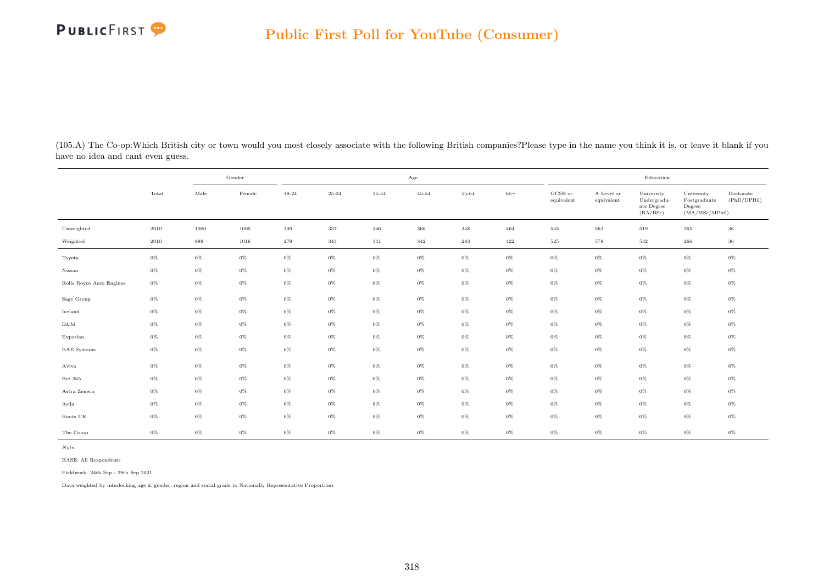

(105.A) The Co-op:Which British city or town would you most closely associate with the following British companies?Please type in the name you think it is, or leave it blank if you have no idea and cant even guess.

|                          |       |          | Gender   | Age   |         |       |           |       |       | Education             |                          |                                                     |                                                         |                          |
|--------------------------|-------|----------|----------|-------|---------|-------|-----------|-------|-------|-----------------------|--------------------------|-----------------------------------------------------|---------------------------------------------------------|--------------------------|
|                          | Total | Male     | Female   | 18-24 | 25-34   | 35-44 | $45 - 54$ | 55-64 | $65+$ | GCSE or<br>equivalent | A Level or<br>equivalent | University<br>Undergradu-<br>ate Degree<br>(BA/BSc) | University<br>Postgraduate<br>Degree<br>(MA/MSc/MPhill) | Doctorate<br>(PhD/DPHil) |
| Unweighted               | 2010  | $1000\,$ | $1005\,$ | 149   | $337\,$ | 346   | 366       | 348   | 464   | 545                   | $563\,$                  | 519                                                 | $265\,$                                                 | 36                       |
| Weighted                 | 2010  | 989      | 1016     | 279   | 343     | 341   | 342       | 283   | 422   | $525\,$               | 578                      | 532                                                 | 266                                                     | 36                       |
| Toyota                   | $0\%$ | $0\%$    | $0\%$    | $0\%$ | $0\%$   | $0\%$ | $0\%$     | $0\%$ | $0\%$ | $0\%$                 | $0\%$                    | $0\%$                                               | $0\%$                                                   | $0\%$                    |
| Nissan                   | $0\%$ | $0\%$    | $0\%$    | $0\%$ | $0\%$   | $0\%$ | $0\%$     | $0\%$ | $0\%$ | $0\%$                 | $0\%$                    | $0\%$                                               | $0\%$                                                   | $0\%$                    |
| Rolls Royce Aero Engines | $0\%$ | $0\%$    | $0\%$    | $0\%$ | $0\%$   | $0\%$ | $0\%$     | $0\%$ | $0\%$ | $0\%$                 | $0\%$                    | $0\%$                                               | $0\%$                                                   | $0\%$                    |
| Sage Group               | $0\%$ | $0\%$    | $0\%$    | $0\%$ | $0\%$   | $0\%$ | $0\%$     | $0\%$ | $0\%$ | $0\%$                 | $0\%$                    | $0\%$                                               | $0\%$                                                   | $0\%$                    |
| Iceland                  | $0\%$ | $0\%$    | $0\%$    | $0\%$ | $0\%$   | $0\%$ | $0\%$     | $0\%$ | $0\%$ | $0\%$                 | $0\%$                    | $0\%$                                               | $0\%$                                                   | $0\%$                    |
| $B\&M$                   | $0\%$ | $0\%$    | $0\%$    | $0\%$ | $0\%$   | $0\%$ | $0\%$     | $0\%$ | $0\%$ | $0\%$                 | $0\%$                    | $0\%$                                               | $0\%$                                                   | $0\%$                    |
| Experian                 | $0\%$ | $0\%$    | $0\%$    | $0\%$ | $0\%$   | $0\%$ | $0\%$     | $0\%$ | $0\%$ | $0\%$                 | $0\%$                    | $0\%$                                               | $0\%$                                                   | $0\%$                    |
| <b>BAE</b> Systems       | $0\%$ | $0\%$    | $0\%$    | $0\%$ | $0\%$   | $0\%$ | $0\%$     | $0\%$ | $0\%$ | $0\%$                 | $0\%$                    | $0\%$                                               | $0\%$                                                   | $0\%$                    |
| Aviva                    | $0\%$ | $0\%$    | $0\%$    | $0\%$ | $0\%$   | $0\%$ | $0\%$     | $0\%$ | $0\%$ | $0\%$                 | $0\%$                    | $0\%$                                               | $0\%$                                                   | $0\%$                    |
| Bet 365                  | $0\%$ | $0\%$    | $0\%$    | $0\%$ | $0\%$   | $0\%$ | $0\%$     | $0\%$ | $0\%$ | $0\%$                 | $0\%$                    | $0\%$                                               | $0\%$                                                   | $0\%$                    |
| Astra Zeneca             | $0\%$ | $0\%$    | $0\%$    | $0\%$ | $0\%$   | $0\%$ | $0\%$     | $0\%$ | $0\%$ | $0\%$                 | $0\%$                    | $0\%$                                               | $0\%$                                                   | $0\%$                    |
| Asda                     | $0\%$ | $0\%$    | $0\%$    | $0\%$ | $0\%$   | $0\%$ | $0\%$     | $0\%$ | $0\%$ | $0\%$                 | $0\%$                    | $0\%$                                               | $0\%$                                                   | $0\%$                    |
| Boots UK                 | $0\%$ | $0\%$    | $0\%$    | $0\%$ | $0\%$   | $0\%$ | $0\%$     | $0\%$ | $0\%$ | $0\%$                 | $0\%$                    | $0\%$                                               | $0\%$                                                   | $0\%$                    |
| The Co-op                | $0\%$ | $0\%$    | $0\%$    | $0\%$ | $0\%$   | $0\%$ | $0\%$     | $0\%$ | $0\%$ | $0\%$                 | $0\%$                    | $0\%$                                               | $0\%$                                                   | $0\%$                    |

BASE: All Respondents

Fieldwork: 24th Sep - 29th Sep 2021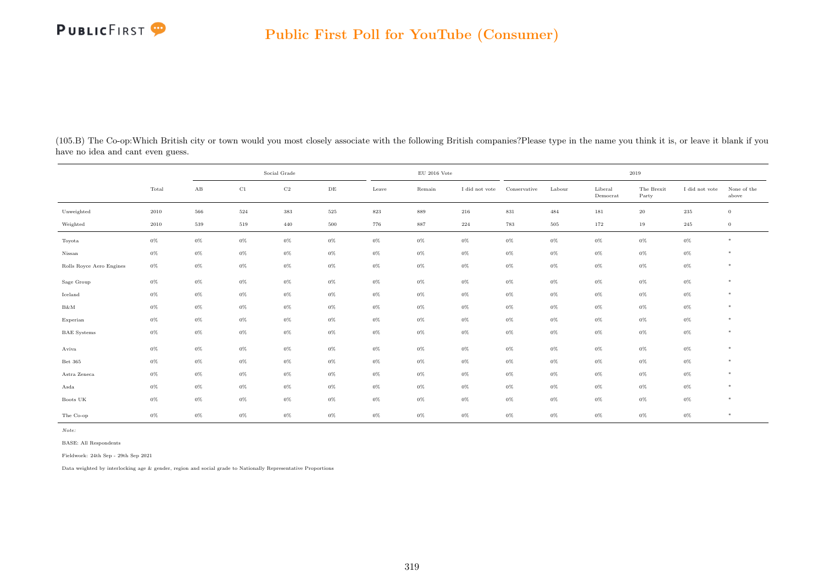

| (105.B) The Co-op: Which British city or town would you most closely associate with the following British companies? Please type in the name you think it is, or leave it blank if you |  |  |
|----------------------------------------------------------------------------------------------------------------------------------------------------------------------------------------|--|--|
| have no idea and cant even guess.                                                                                                                                                      |  |  |

|                          |       | Social Grade |             |             |           |         | $\rm EU$ 2016 Vote |                |              | 2019   |                     |                     |                |                      |
|--------------------------|-------|--------------|-------------|-------------|-----------|---------|--------------------|----------------|--------------|--------|---------------------|---------------------|----------------|----------------------|
|                          | Total | $\rm AB$     | $_{\rm C1}$ | $_{\rm C2}$ | $\rm{DE}$ | Leave   | Remain             | I did not vote | Conservative | Labour | Liberal<br>Democrat | The Brexit<br>Party | I did not vote | None of the<br>above |
| Unweighted               | 2010  | 566          | 524         | $383\,$     | $525\,$   | $823\,$ | 889                | 216            | $831\,$      | 484    | 181                 | $20\,$              | $\,235$        | $\,0\,$              |
| Weighted                 | 2010  | 539          | 519         | 440         | 500       | 776     | 887                | 224            | 783          | 505    | 172                 | 19                  | 245            | $\overline{0}$       |
| Toyota                   | $0\%$ | $0\%$        | $0\%$       | $0\%$       | $0\%$     | $0\%$   | $0\%$              | $0\%$          | $0\%$        | $0\%$  | $0\%$               | $0\%$               | $0\%$          | $*$                  |
| Nissan                   | $0\%$ | $0\%$        | $0\%$       | $0\%$       | $0\%$     | $0\%$   | $0\%$              | $0\%$          | $0\%$        | $0\%$  | $0\%$               | $0\%$               | $0\%$          | *                    |
| Rolls Royce Aero Engines | $0\%$ | $0\%$        | $0\%$       | $0\%$       | $0\%$     | $0\%$   | $0\%$              | $0\%$          | $0\%$        | $0\%$  | $0\%$               | $0\%$               | $0\%$          | $*$                  |
| Sage Group               | $0\%$ | $0\%$        | $0\%$       | $0\%$       | $0\%$     | $0\%$   | $0\%$              | $0\%$          | $0\%$        | $0\%$  | $0\%$               | $0\%$               | $0\%$          | $\ast$               |
| Iceland                  | $0\%$ | $0\%$        | $0\%$       | $0\%$       | $0\%$     | $0\%$   | $0\%$              | $0\%$          | $0\%$        | $0\%$  | $0\%$               | $0\%$               | $0\%$          | $*$                  |
| $\rm B\&M$               | $0\%$ | $0\%$        | $0\%$       | $0\%$       | $0\%$     | $0\%$   | $0\%$              | $0\%$          | $0\%$        | $0\%$  | $0\%$               | $0\%$               | $0\%$          | $*$                  |
| Experian                 | $0\%$ | $0\%$        | $0\%$       | $0\%$       | $0\%$     | 0%      | $0\%$              | $0\%$          | 0%           | $0\%$  | $0\%$               | $0\%$               | $0\%$          | $*$                  |
| <b>BAE</b> Systems       | $0\%$ | $0\%$        | $0\%$       | $0\%$       | $0\%$     | 0%      | $0\%$              | $0\%$          | $0\%$        | $0\%$  | $0\%$               | $0\%$               | $0\%$          | $*$                  |
| Aviva                    | $0\%$ | $0\%$        | $0\%$       | $0\%$       | $0\%$     | $0\%$   | $0\%$              | $0\%$          | $0\%$        | $0\%$  | $0\%$               | $0\%$               | $0\%$          | $\ast$               |
| Bet 365                  | $0\%$ | $0\%$        | $0\%$       | $0\%$       | $0\%$     | $0\%$   | $0\%$              | $0\%$          | 0%           | $0\%$  | $0\%$               | $0\%$               | $0\%$          | $\ast$               |
| Astra Zeneca             | $0\%$ | $0\%$        | $0\%$       | $0\%$       | $0\%$     | $0\%$   | $0\%$              | $0\%$          | 0%           | $0\%$  | $0\%$               | $0\%$               | $0\%$          | $\ast$               |
| Asda                     | $0\%$ | $0\%$        | $0\%$       | $0\%$       | $0\%$     | 0%      | $0\%$              | $0\%$          | $0\%$        | $0\%$  | $0\%$               | $0\%$               | $0\%$          | $\ast$               |
| Boots UK                 | $0\%$ | $0\%$        | $0\%$       | $0\%$       | $0\%$     | $0\%$   | $0\%$              | $0\%$          | $0\%$        | $0\%$  | $0\%$               | $0\%$               | $0\%$          | $*$                  |
| The Co-op                | $0\%$ | $0\%$        | $0\%$       | $0\%$       | $0\%$     | $0\%$   | $0\%$              | $0\%$          | $0\%$        | $0\%$  | $0\%$               | $0\%$               | $0\%$          | $\ast$               |

BASE: All Respondents

Fieldwork: 24th Sep - 29th Sep 2021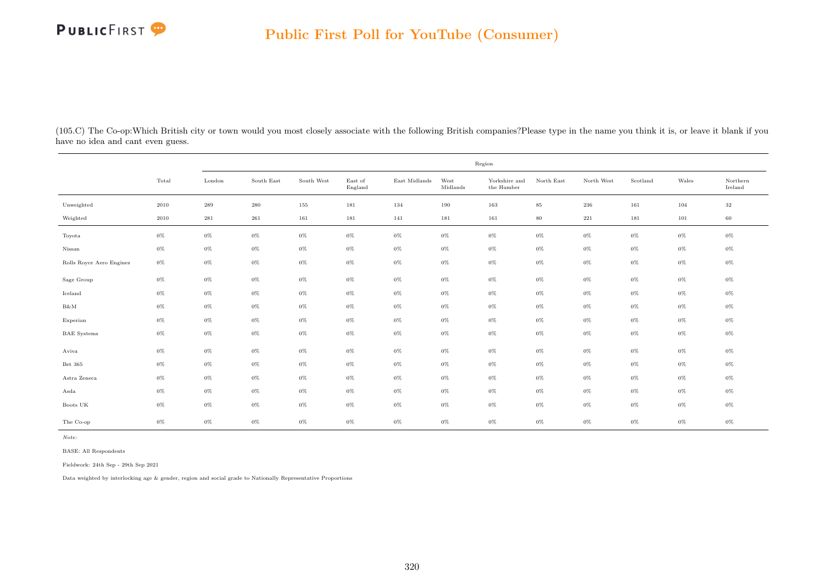

(105.C) The Co-op:Which British city or town would you most closely associate with the following British companies?Please type in the name you think it is, or leave it blank if you have no idea and cant even guess.

|                          |       | Region             |            |            |                    |               |                  |                                      |            |            |          |       |                     |  |
|--------------------------|-------|--------------------|------------|------------|--------------------|---------------|------------------|--------------------------------------|------------|------------|----------|-------|---------------------|--|
|                          | Total | London             | South East | South West | East of<br>England | East Midlands | West<br>Midlands | Yorkshire and<br>the $\mbox{Humber}$ | North East | North West | Scotland | Wales | Northern<br>Ireland |  |
| Unweighted               | 2010  | $\boldsymbol{289}$ | $\,280$    | 155        | 181                | 134           | 190              | 163                                  | $85\,$     | 236        | 161      | 104   | $32\,$              |  |
| Weighted                 | 2010  | $\bf 281$          | 261        | 161        | 181                | 141           | 181              | 161                                  | $80\,$     | $221\,$    | 181      | 101   | 60                  |  |
| Toyota                   | $0\%$ | $0\%$              | $0\%$      | $0\%$      | $0\%$              | $0\%$         | $0\%$            | $0\%$                                | $0\%$      | $0\%$      | $0\%$    | $0\%$ | $0\%$               |  |
| Nissan                   | $0\%$ | $0\%$              | $0\%$      | $0\%$      | $0\%$              | $0\%$         | $0\%$            | $0\%$                                | $0\%$      | $0\%$      | $0\%$    | $0\%$ | $0\%$               |  |
| Rolls Royce Aero Engines | $0\%$ | $0\%$              | $0\%$      | $0\%$      | $0\%$              | $0\%$         | $0\%$            | $0\%$                                | $0\%$      | $0\%$      | $0\%$    | $0\%$ | $0\%$               |  |
| Sage Group               | $0\%$ | $0\%$              | $0\%$      | $0\%$      | $0\%$              | $0\%$         | $0\%$            | $0\%$                                | $0\%$      | $0\%$      | $0\%$    | $0\%$ | $0\%$               |  |
| Iceland                  | $0\%$ | $0\%$              | $0\%$      | $0\%$      | $0\%$              | $0\%$         | $0\%$            | $0\%$                                | $0\%$      | $0\%$      | $0\%$    | $0\%$ | $0\%$               |  |
| B&M                      | $0\%$ | $0\%$              | $0\%$      | $0\%$      | $0\%$              | $0\%$         | $0\%$            | $0\%$                                | $0\%$      | $0\%$      | $0\%$    | $0\%$ | $0\%$               |  |
| Experian                 | $0\%$ | $0\%$              | $0\%$      | $0\%$      | $0\%$              | $0\%$         | $0\%$            | $0\%$                                | $0\%$      | $0\%$      | $0\%$    | $0\%$ | $0\%$               |  |
| <b>BAE</b> Systems       | $0\%$ | $0\%$              | $0\%$      | $0\%$      | $0\%$              | $0\%$         | $0\%$            | $0\%$                                | $0\%$      | $0\%$      | $0\%$    | $0\%$ | $0\%$               |  |
| Aviva                    | $0\%$ | $0\%$              | $0\%$      | $0\%$      | $0\%$              | $0\%$         | $0\%$            | $0\%$                                | $0\%$      | $0\%$      | $0\%$    | $0\%$ | $0\%$               |  |
| Bet 365                  | $0\%$ | $0\%$              | $0\%$      | $0\%$      | $0\%$              | $0\%$         | $0\%$            | $0\%$                                | $0\%$      | $0\%$      | $0\%$    | $0\%$ | $0\%$               |  |
| Astra Zeneca             | $0\%$ | $0\%$              | $0\%$      | $0\%$      | $0\%$              | $0\%$         | $0\%$            | $0\%$                                | $0\%$      | $0\%$      | $0\%$    | $0\%$ | $0\%$               |  |
| Asda                     | $0\%$ | $0\%$              | $0\%$      | $0\%$      | $0\%$              | $0\%$         | $0\%$            | $0\%$                                | $0\%$      | $0\%$      | $0\%$    | $0\%$ | $0\%$               |  |
| Boots UK                 | $0\%$ | $0\%$              | $0\%$      | $0\%$      | $0\%$              | $0\%$         | $0\%$            | $0\%$                                | $0\%$      | $0\%$      | $0\%$    | $0\%$ | $0\%$               |  |
| The Co-op                | $0\%$ | $0\%$              | $0\%$      | $0\%$      | $0\%$              | $0\%$         | $0\%$            | $0\%$                                | $0\%$      | $0\%$      | $0\%$    | $0\%$ | $0\%$               |  |

Note:

BASE: All Respondents

Fieldwork: 24th Sep - 29th Sep 2021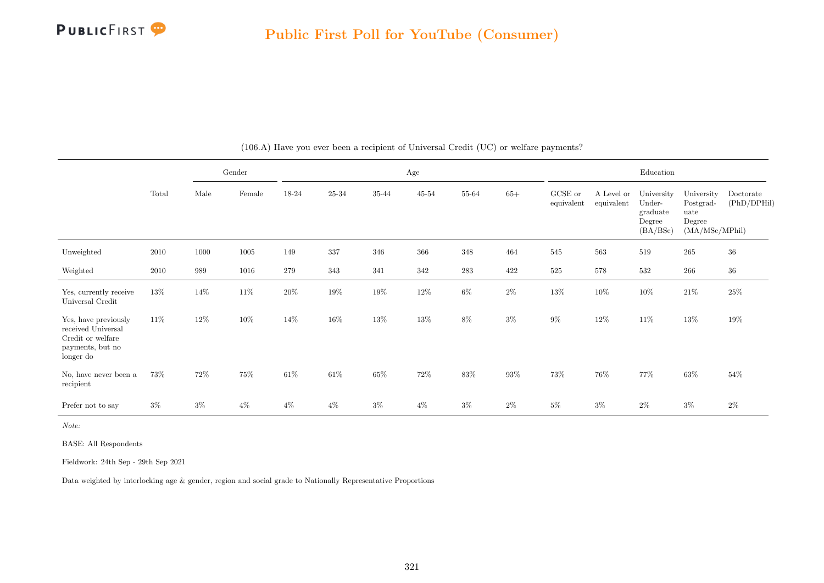

|                                                                                                  |       |        | Gender |        | Age       |           |           |           |        |                       | Education                |                                                        |                                                             |                          |  |
|--------------------------------------------------------------------------------------------------|-------|--------|--------|--------|-----------|-----------|-----------|-----------|--------|-----------------------|--------------------------|--------------------------------------------------------|-------------------------------------------------------------|--------------------------|--|
|                                                                                                  | Total | Male   | Female | 18-24  | $25 - 34$ | $35 - 44$ | $45 - 54$ | $55 - 64$ | $65+$  | GCSE or<br>equivalent | A Level or<br>equivalent | University<br>Under-<br>graduate<br>Degree<br>(BA/BSc) | University<br>Postgrad-<br>uate<br>Degree<br>(MA/MSc/MPhil) | Doctorate<br>(PhD/DPHil) |  |
| Unweighted                                                                                       | 2010  | 1000   | 1005   | 149    | 337       | 346       | 366       | 348       | 464    | 545                   | 563                      | 519                                                    | 265                                                         | $36\,$                   |  |
| Weighted                                                                                         | 2010  | 989    | 1016   | 279    | 343       | 341       | 342       | $\bf 283$ | 422    | $525\,$               | 578                      | 532                                                    | $266\,$                                                     | $36\,$                   |  |
| Yes, currently receive<br>Universal Credit                                                       | 13%   | 14%    | 11\%   | $20\%$ | $19\%$    | $19\%$    | $12\%$    | $6\%$     | $2\%$  | $13\%$                | $10\%$                   | $10\%$                                                 | $21\%$                                                      | $25\%$                   |  |
| Yes, have previously<br>received Universal<br>Credit or welfare<br>payments, but no<br>longer do | 11\%  | $12\%$ | $10\%$ | 14\%   | 16%       | 13%       | 13%       | $8\%$     | $3\%$  | 9%                    | 12\%                     | 11\%                                                   | $13\%$                                                      | $19\%$                   |  |
| No, have never been a<br>recipient                                                               | 73%   | 72\%   | 75%    | $61\%$ | $61\%$    | $65\%$    | $72\%$    | $83\%$    | $93\%$ | 73%                   | 76%                      | 77%                                                    | $63\%$                                                      | $54\%$                   |  |
| Prefer not to say                                                                                | $3\%$ | $3\%$  | $4\%$  | $4\%$  | $4\%$     | $3\%$     | $4\%$     | $3\%$     | $2\%$  | $5\%$                 | $3\%$                    | $2\%$                                                  | $3\%$                                                       | $2\%$                    |  |

(106.A) Have you ever been a recipient of Universal Credit (UC) or welfare payments?

Note:

BASE: All Respondents

Fieldwork: 24th Sep - 29th Sep 2021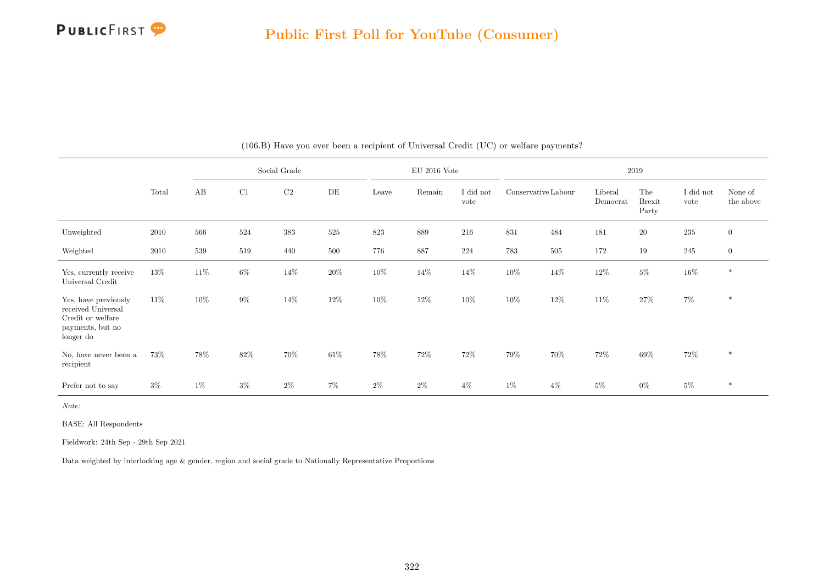

|                                                                                                  |          | Social Grade |       |       |        |         | $EU$ 2016 Vote |                   | 2019                |        |                     |                               |                   |                      |
|--------------------------------------------------------------------------------------------------|----------|--------------|-------|-------|--------|---------|----------------|-------------------|---------------------|--------|---------------------|-------------------------------|-------------------|----------------------|
|                                                                                                  | Total    | AB           | C1    | C2    | DE     | Leave   | Remain         | I did not<br>vote | Conservative Labour |        | Liberal<br>Democrat | The<br><b>Brexit</b><br>Party | I did not<br>vote | None of<br>the above |
| Unweighted                                                                                       | 2010     | 566          | 524   | 383   | 525    | $823\,$ | 889            | 216               | 831                 | 484    | 181                 | $20\,$                        | $235\,$           | $\overline{0}$       |
| Weighted                                                                                         | $2010\,$ | 539          | 519   | 440   | 500    | 776     | 887            | 224               | 783                 | 505    | 172                 | 19                            | $245\,$           | $\mathbf{0}$         |
| Yes, currently receive<br>Universal Credit                                                       | $13\%$   | $11\%$       | $6\%$ | 14%   | $20\%$ | $10\%$  | 14\%           | 14\%              | $10\%$              | 14\%   | 12\%                | $5\%$                         | $16\%$            | $\ast$               |
| Yes, have previously<br>received Universal<br>Credit or welfare<br>payments, but no<br>longer do | $11\%$   | 10%          | $9\%$ | 14%   | $12\%$ | $10\%$  | $12\%$         | 10%               | $10\%$              | $12\%$ | $11\%$              | $27\%$                        | $7\%$             | $\ast$               |
| No, have never been a<br>recipient                                                               | 73%      | 78%          | 82%   | 70%   | $61\%$ | 78%     | 72\%           | $72\%$            | $79\%$              | 70%    | 72\%                | $69\%$                        | 72\%              | $\ast$               |
| Prefer not to say                                                                                | $3\%$    | $1\%$        | $3\%$ | $2\%$ | $7\%$  | $2\%$   | $2\%$          | $4\%$             | $1\%$               | $4\%$  | $5\%$               | $0\%$                         | $5\%$             | $\ast$               |

#### (106.B) Have you ever been a recipient of Universal Credit (UC) or welfare payments?

Note:

BASE: All Respondents

Fieldwork: 24th Sep - 29th Sep 2021